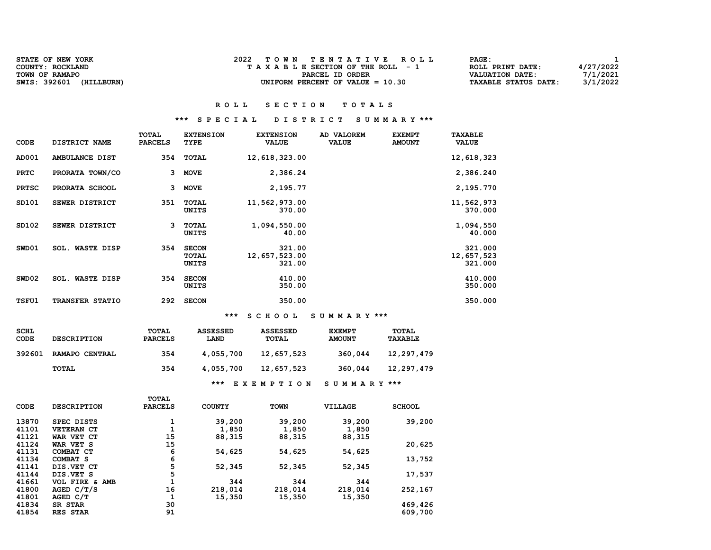| <b>STATE OF NEW YORK</b>   | TOWN TENTATIVE ROLL                   | <b>PAGE :</b>                           |
|----------------------------|---------------------------------------|-----------------------------------------|
| COUNTY: ROCKLAND           | T A X A B L E SECTION OF THE ROLL - 1 | 4/27/2022<br>ROLL PRINT DATE:           |
| TOWN OF RAMAPO             | PARCEL ID ORDER                       | 7/1/2021<br>VALUATION DATE:             |
| SWIS: 392601<br>(HILLBURN) | UNIFORM PERCENT OF VALUE $= 10.30$    | 3/1/2022<br><b>TAXABLE STATUS DATE:</b> |

# \*\*\* S P E C I A L D I S T R I C T S U M M A R Y \*\*\*

| CODE         | DISTRICT NAME          | TOTAL<br><b>PARCELS</b> | <b>EXTENSION</b><br><b>TYPE</b> | <b>EXTENSION</b><br><b>VALUE</b>  | AD VALOREM<br><b>VALUE</b> | <b>EXEMPT</b><br><b>AMOUNT</b> | <b>TAXABLE</b><br><b>VALUE</b>   |
|--------------|------------------------|-------------------------|---------------------------------|-----------------------------------|----------------------------|--------------------------------|----------------------------------|
| AD001        | AMBULANCE DIST         | 354                     | <b>TOTAL</b>                    | 12,618,323.00                     |                            |                                | 12,618,323                       |
| <b>PRTC</b>  | PRORATA TOWN/CO        | 3                       | <b>MOVE</b>                     | 2,386.24                          |                            |                                | 2,386.240                        |
| <b>PRTSC</b> | PRORATA SCHOOL         | 3                       | <b>MOVE</b>                     | 2,195.77                          |                            |                                | 2,195.770                        |
| SD101        | SEWER DISTRICT         | 351                     | TOTAL<br>UNITS                  | 11,562,973.00<br>370.00           |                            |                                | 11,562,973<br>370.000            |
| SD102        | SEWER DISTRICT         | 3                       | TOTAL<br>UNITS                  | 1,094,550.00<br>40.00             |                            |                                | 1,094,550<br>40.000              |
| SWD01        | <b>SOL. WASTE DISP</b> | 354                     | <b>SECON</b><br>TOTAL<br>UNITS  | 321.00<br>12,657,523.00<br>321.00 |                            |                                | 321.000<br>12,657,523<br>321.000 |
| SWD02        | <b>SOL. WASTE DISP</b> | 354                     | <b>SECON</b><br>UNITS           | 410.00<br>350.00                  |                            |                                | 410.000<br>350.000               |
| <b>TSFU1</b> | TRANSFER STATIO        | 292                     | <b>SECON</b>                    | 350.00                            |                            |                                | 350.000                          |

\*\*\* S C H O O L S U M M A R Y \*\*\*

| SCHL<br>CODE | <b>DESCRIPTION</b> | TOTAL<br><b>PARCELS</b> | <b>ASSESSED</b><br>LAND | <b>ASSESSED</b><br>TOTAL | <b>EXEMPT</b><br><b>AMOUNT</b> | TOTAL<br><b>TAXABLE</b> |
|--------------|--------------------|-------------------------|-------------------------|--------------------------|--------------------------------|-------------------------|
| 392601       | RAMAPO CENTRAL     | 354                     | 4,055,700               | 12,657,523               | 360,044                        | 12,297,479              |
|              | TOTAL              | 354                     | 4,055,700               | 12,657,523               | 360,044                        | 12,297,479              |
|              |                    |                         | ***                     | EXEMPTION                | SUMMARY ***                    |                         |

|             |                    | <b>TOTAL</b>   |               |             |         |               |
|-------------|--------------------|----------------|---------------|-------------|---------|---------------|
| <b>CODE</b> | <b>DESCRIPTION</b> | <b>PARCELS</b> | <b>COUNTY</b> | <b>TOWN</b> | VILLAGE | <b>SCHOOL</b> |
| 13870       | SPEC DISTS         |                | 39,200        | 39,200      | 39,200  | 39,200        |
| 41101       | <b>VETERAN CT</b>  |                | 1,850         | 1,850       | 1,850   |               |
| 41121       | WAR VET CT         | 15             | 88,315        | 88,315      | 88,315  |               |
| 41124       | WAR VET S          | 15             |               |             |         | 20,625        |
| 41131       | COMBAT CT          | 6              | 54,625        | 54,625      | 54,625  |               |
| 41134       | COMBAT S           | 6              |               |             |         | 13,752        |
| 41141       | DIS. VET CT        | 5              | 52,345        | 52,345      | 52,345  |               |
| 41144       | DIS. VET S         | 5              |               |             |         | 17,537        |
| 41661       | VOL FIRE & AMB     |                | 344           | 344         | 344     |               |
| 41800       | AGED C/T/S         | 16             | 218,014       | 218,014     | 218,014 | 252,167       |
| 41801       | AGED C/T           |                | 15,350        | 15,350      | 15,350  |               |
| 41834       | SR STAR            | 30             |               |             |         | 469,426       |
| 41854       | RES STAR           | 91             |               |             |         | 609,700       |
|             |                    |                |               |             |         |               |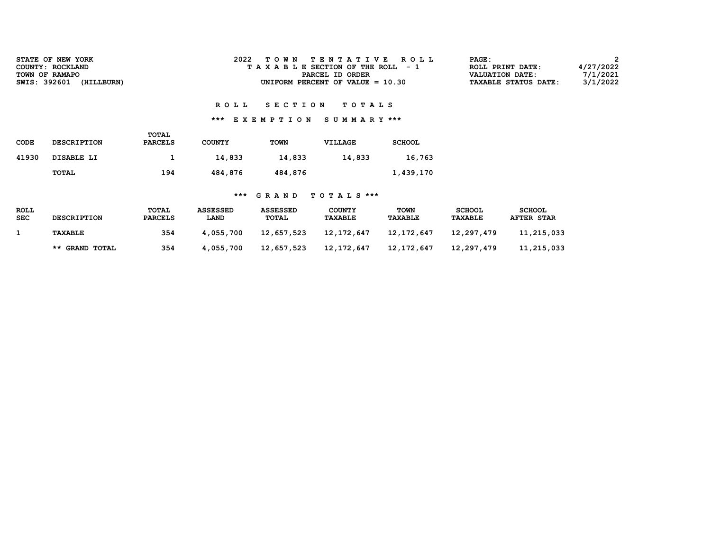| <b>STATE OF NEW YORK</b><br>COUNTY: ROCKLAND | TOWN TENTATIVE ROLL<br>T A X A B L E SECTION OF THE ROLL - 1 | <b>PAGE :</b><br>ROLL PRINT DATE:              | 4/27/2022            |
|----------------------------------------------|--------------------------------------------------------------|------------------------------------------------|----------------------|
| TOWN OF RAMAPO<br>SWIS: 392601<br>(HILLBURN) | PARCEL ID ORDER<br>UNIFORM PERCENT OF VALUE $= 10.30$        | VALUATION DATE:<br><b>TAXABLE STATUS DATE:</b> | 7/1/2021<br>3/1/2022 |
|                                              |                                                              |                                                |                      |

## \*\*\* E X E M P T I O N S U M M A R Y \*\*\*

| CODE  | <b>DESCRIPTION</b> | <b>TOTAL</b><br><b>PARCELS</b> | <b>COUNTY</b> | <b>TOWN</b> | VILLAGE | <b>SCHOOL</b> |
|-------|--------------------|--------------------------------|---------------|-------------|---------|---------------|
| 41930 | DISABLE LI         |                                | 14,833        | 14,833      | 14,833  | 16,763        |
|       | TOTAL              | 194                            | 484,876       | 484,876     |         | 1,439,170     |

| <b>ROLL</b><br><b>SEC</b> | <b>DESCRIPTION</b> | <b>TOTAL</b><br><b>PARCELS</b> | <b>ASSESSED</b><br><b>LAND</b> | <b>ASSESSED</b><br>TOTAL | <b>COUNTY</b><br><b>TAXABLE</b> | <b>TOWN</b><br><b>TAXABLE</b> | <b>SCHOOL</b><br><b>TAXABLE</b> | <b>SCHOOL</b><br><b>AFTER STAR</b> |
|---------------------------|--------------------|--------------------------------|--------------------------------|--------------------------|---------------------------------|-------------------------------|---------------------------------|------------------------------------|
|                           | <b>TAXABLE</b>     | 354                            | 4,055,700                      | 12,657,523               | 12,172,647                      | 12,172,647                    | 12,297,479                      | 11,215,033                         |
|                           | ** GRAND TOTAL     | 354                            | 4,055,700                      | 12,657,523               | 12,172,647                      | 12,172,647                    | 12,297,479                      | 11,215,033                         |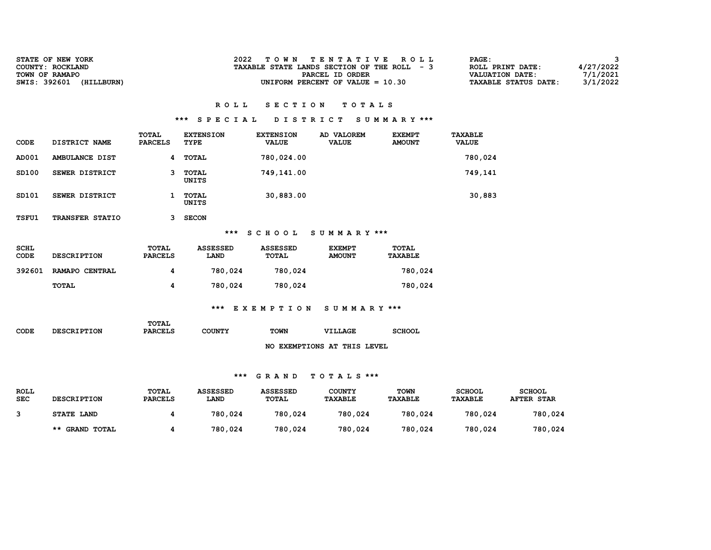| <b>STATE OF NEW YORK</b>   | TOWN TENTATIVE ROLL                         | PAGE:                       |           |
|----------------------------|---------------------------------------------|-----------------------------|-----------|
| COUNTY: ROCKLAND           | TAXABLE STATE LANDS SECTION OF THE ROLL - 3 | ROLL PRINT DATE:            | 4/27/2022 |
| TOWN OF RAMAPO             | PARCEL ID ORDER                             | VALUATION DATE:             | 7/1/2021  |
| SWIS: 392601<br>(HILLBURN) | UNIFORM PERCENT OF VALUE $= 10.30$          | <b>TAXABLE STATUS DATE:</b> | 3/1/2022  |

#### R O L L B E C T I O N T O T A L S

#### \*\*\* S P E C I A L D I S T R I C T S U M M A R Y \*\*\*

| CODE         | DISTRICT NAME          | TOTAL<br><b>PARCELS</b> | <b>EXTENSION</b><br>TYPE | <b>EXTENSION</b><br><b>VALUE</b> | AD VALOREM<br><b>VALUE</b> | <b>EXEMPT</b><br><b>AMOUNT</b> | TAXABLE<br><b>VALUE</b> |
|--------------|------------------------|-------------------------|--------------------------|----------------------------------|----------------------------|--------------------------------|-------------------------|
| AD001        | AMBULANCE DIST         | 4                       | TOTAL                    | 780,024.00                       |                            |                                | 780,024                 |
| SD100        | SEWER DISTRICT         | 3                       | TOTAL<br>UNITS           | 749,141.00                       |                            |                                | 749,141                 |
| SD101        | SEWER DISTRICT         |                         | TOTAL<br>UNITS           | 30,883.00                        |                            |                                | 30,883                  |
| <b>TSFU1</b> | <b>TRANSFER STATIO</b> |                         | <b>SECON</b>             |                                  |                            |                                |                         |

#### \*\*\* S C H O O L S U M M A R Y \*\*\*

| SCHL<br><b>CODE</b> | <b>DESCRIPTION</b> | TOTAL<br><b>PARCELS</b> | <b>ASSESSED</b><br><b>LAND</b> | ASSESSED<br>TOTAL | <b>EXEMPT</b><br><b>AMOUNT</b> | <b>TOTAL</b><br><b>TAXABLE</b> |
|---------------------|--------------------|-------------------------|--------------------------------|-------------------|--------------------------------|--------------------------------|
| 392601              | RAMAPO CENTRAL     |                         | 780,024                        | 780,024           |                                | 780,024                        |
|                     | TOTAL              |                         | 780,024                        | 780,024           |                                | 780,024                        |

### \*\*\* E X E M P T I O N S U M M A R Y \*\*\*

|      |                    | TOTAL          |        |             |                                 |               |
|------|--------------------|----------------|--------|-------------|---------------------------------|---------------|
| CODE | <b>DESCRIPTION</b> | <b>PARCELS</b> | COUNTY | <b>TOWN</b> | <b>VILLAGE</b>                  | <b>SCHOOL</b> |
|      |                    |                |        |             |                                 |               |
|      |                    |                |        | NO.         | <b>EXEMPTIONS AT THIS LEVEL</b> |               |

| <b>ROLL</b><br><b>SEC</b> | <b>DESCRIPTION</b> | TOTAL<br><b>PARCELS</b> | <b>ASSESSED</b><br><b>LAND</b> | <b>ASSESSED</b><br><b>TOTAL</b> | COUNTY<br><b>TAXABLE</b> | <b>TOWN</b><br><b>TAXABLE</b> | <b>SCHOOL</b><br><b>TAXABLE</b> | <b>SCHOOL</b><br><b>AFTER STAR</b> |
|---------------------------|--------------------|-------------------------|--------------------------------|---------------------------------|--------------------------|-------------------------------|---------------------------------|------------------------------------|
|                           | STATE LAND         |                         | 780,024                        | 780,024                         | 780,024                  | 780,024                       | 780,024                         | 780,024                            |
|                           | ** GRAND TOTAL     |                         | 780,024                        | 780,024                         | 780,024                  | 780,024                       | 780,024                         | 780,024                            |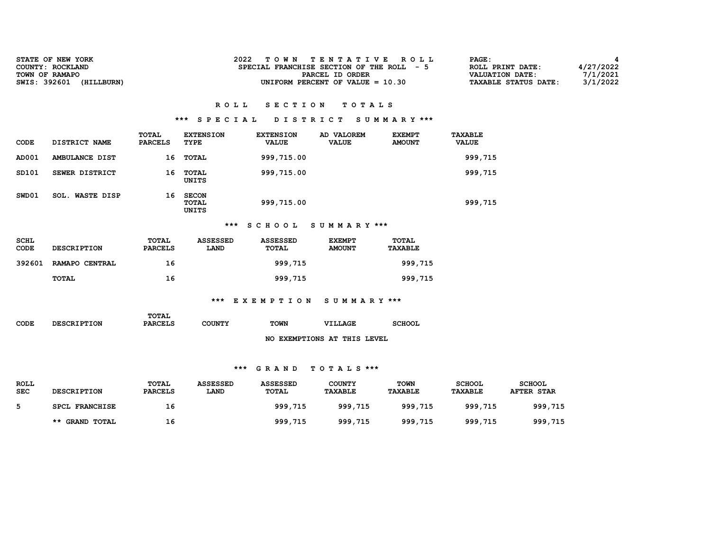| <b>STATE OF NEW YORK</b>   | TOWN TENTATIVE ROLL                       | PAGE:                       |           |
|----------------------------|-------------------------------------------|-----------------------------|-----------|
| COUNTY: ROCKLAND           | SPECIAL FRANCHISE SECTION OF THE ROLL - 5 | ROLL PRINT DATE:            | 4/27/2022 |
| TOWN OF RAMAPO             | PARCEL ID ORDER                           | VALUATION DATE:             | 7/1/2021  |
| SWIS: 392601<br>(HILLBURN) | UNIFORM PERCENT OF VALUE $= 10.30$        | <b>TAXABLE STATUS DATE:</b> | 3/1/2022  |

#### \*\*\* S P E C I A L D I S T R I C T S U M M A R Y \*\*\*

| CODE  | DISTRICT NAME          | TOTAL<br><b>PARCELS</b> | <b>EXTENSION</b><br><b>TYPE</b> | <b>EXTENSION</b><br><b>VALUE</b> | AD VALOREM<br><b>VALUE</b> | <b>EXEMPT</b><br><b>AMOUNT</b> | <b>TAXABLE</b><br><b>VALUE</b> |
|-------|------------------------|-------------------------|---------------------------------|----------------------------------|----------------------------|--------------------------------|--------------------------------|
| AD001 | AMBULANCE DIST         | 16                      | TOTAL                           | 999,715.00                       |                            |                                | 999,715                        |
| SD101 | SEWER DISTRICT         | 16                      | TOTAL<br>UNITS                  | 999,715.00                       |                            |                                | 999,715                        |
| SWD01 | <b>SOL. WASTE DISP</b> | 16                      | <b>SECON</b><br>TOTAL<br>UNITS  | 999,715.00                       |                            |                                | 999,715                        |
|       |                        |                         | ***                             | SCHOOL                           | SUMMARY ***                |                                |                                |

| SCHL<br>CODE | <b>DESCRIPTION</b> | <b>TOTAL</b><br><b>PARCELS</b> | ASSESSED<br><b>LAND</b> | <b>ASSESSED</b><br>TOTAL | <b>EXEMPT</b><br><b>AMOUNT</b> | TOTAL<br><b>TAXABLE</b> |
|--------------|--------------------|--------------------------------|-------------------------|--------------------------|--------------------------------|-------------------------|
| 392601       | RAMAPO CENTRAL     | 16                             |                         | 999,715                  |                                | 999,715                 |
|              | TOTAL              | 16                             |                         | 999,715                  |                                | 999,715                 |

# \*\*\* E X E M P T I O N S U M M A R Y \*\*\*

| CODE | <b>DESCRIPTION</b> | TOTAL<br><b>PARCELS</b> | <b>COUNTY</b> | <b>TOWN</b> | VILLAGE                     | <b>SCHOOL</b> |
|------|--------------------|-------------------------|---------------|-------------|-----------------------------|---------------|
|      |                    |                         |               |             | NO EXEMPTIONS AT THIS LEVEL |               |

| <b>ROLL</b><br><b>SEC</b> | <b>DESCRIPTION</b>    | TOTAL<br><b>PARCELS</b> | <b>ASSESSED</b><br><b>LAND</b> | <b>ASSESSED</b><br>TOTAL | <b>COUNTY</b><br><b>TAXABLE</b> | TOWN<br><b>TAXABLE</b> | <b>SCHOOL</b><br><b>TAXABLE</b> | <b>SCHOOL</b><br><b>AFTER STAR</b> |
|---------------------------|-----------------------|-------------------------|--------------------------------|--------------------------|---------------------------------|------------------------|---------------------------------|------------------------------------|
| 5                         | SPCL FRANCHISE        | 16                      |                                | 999,715                  | 999,715                         | 999,715                | 999,715                         | 999,715                            |
|                           | <b>** GRAND TOTAL</b> | 16                      |                                | 999,715                  | 999,715                         | 999,715                | 999,715                         | 999,715                            |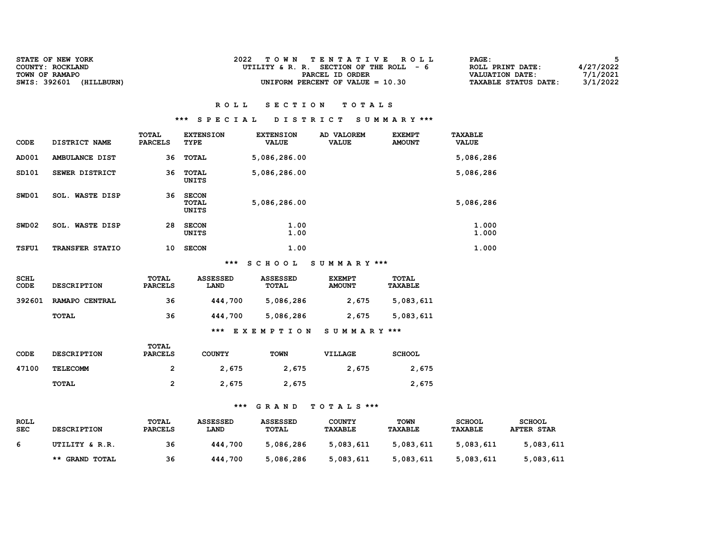| <b>STATE OF NEW YORK</b>   | TOWN TENTATIVE ROLL                     | <b>PAGE :</b>               |           |
|----------------------------|-----------------------------------------|-----------------------------|-----------|
| COUNTY: ROCKLAND           | UTILITY & R. R. SECTION OF THE ROLL - 6 | ROLL PRINT DATE:            | 4/27/2022 |
| TOWN OF RAMAPO             | PARCEL ID ORDER                         | VALUATION DATE:             | 7/1/2021  |
| SWIS: 392601<br>(HILLBURN) | UNIFORM PERCENT OF VALUE $= 10.30$      | <b>TAXABLE STATUS DATE:</b> | 3/1/2022  |

#### \*\*\* S P E C I A L D I S T R I C T S U M M A R Y \*\*\*

| <b>CODE</b>  | DISTRICT NAME             | TOTAL<br><b>PARCELS</b> | <b>EXTENSION</b><br>TYPE       | <b>EXTENSION</b><br><b>VALUE</b> | <b>VALOREM</b><br>AD.<br><b>VALUE</b> | <b>EXEMPT</b><br><b>AMOUNT</b> | TAXABLE<br><b>VALUE</b> |
|--------------|---------------------------|-------------------------|--------------------------------|----------------------------------|---------------------------------------|--------------------------------|-------------------------|
| AD001        | AMBULANCE DIST            | 36                      | TOTAL                          | 5,086,286.00                     |                                       |                                | 5,086,286               |
| SD101        | SEWER DISTRICT            | 36                      | TOTAL<br>UNITS                 | 5,086,286.00                     |                                       |                                | 5,086,286               |
| SWD01        | <b>WASTE DISP</b><br>SOL. | 36                      | <b>SECON</b><br>TOTAL<br>UNITS | 5,086,286.00                     |                                       |                                | 5,086,286               |
| SWD02        | <b>WASTE DISP</b><br>SOL. | 28                      | <b>SECON</b><br>UNITS          | 1.00<br>1.00                     |                                       |                                | 1.000<br>1.000          |
| <b>TSFU1</b> | TRANSFER STATIO           | 10                      | <b>SECON</b>                   | 1.00                             |                                       |                                | 1.000                   |

#### \*\*\* S C H O O L S U M M A R Y \*\*\*

| SCHL<br>CODE | <b>DESCRIPTION</b> | TOTAL<br><b>PARCELS</b> | <b>ASSESSED</b><br>LAND | <b>ASSESSED</b><br><b>TOTAL</b> | <b>EXEMPT</b><br><b>AMOUNT</b> | TOTAL<br><b>TAXABLE</b> |
|--------------|--------------------|-------------------------|-------------------------|---------------------------------|--------------------------------|-------------------------|
| 392601       | RAMAPO CENTRAL     | 36                      | 444,700                 | 5,086,286                       | 2,675                          | 5,083,611               |
|              | TOTAL              | 36                      | 444,700                 | 5,086,286                       | 2,675                          | 5,083,611               |
|              |                    |                         | ***                     | EXEMPTION                       | SUMMARY ***                    |                         |

| <b>CODE</b> | <b>DESCRIPTION</b> | <b>TOTAL</b><br><b>PARCELS</b> | <b>COUNTY</b> | <b>TOWN</b> | VILLAGE | <b>SCHOOL</b> |
|-------------|--------------------|--------------------------------|---------------|-------------|---------|---------------|
| 47100       | TELECOMM           | 2<br>-                         | 2,675         | 2,675       | 2,675   | 2,675         |
|             | TOTAL              | 0                              | 2,675         | 2,675       |         | 2,675         |

| <b>ROLL</b><br><b>SEC</b> | <b>DESCRIPTION</b> | TOTAL<br><b>PARCELS</b> | <b>ASSESSED</b><br><b>LAND</b> | ASSESSED<br>TOTAL | <b>COUNTY</b><br><b>TAXABLE</b> | TOWN<br><b>TAXABLE</b> | <b>SCHOOL</b><br>TAXABLE | <b>SCHOOL</b><br><b>AFTER STAR</b> |
|---------------------------|--------------------|-------------------------|--------------------------------|-------------------|---------------------------------|------------------------|--------------------------|------------------------------------|
| 6                         | UTILITY & R.R.     | 36                      | 444,700                        | 5,086,286         | 5,083,611                       | 5,083,611              | 5,083,611                | 5,083,611                          |
|                           | ** GRAND TOTAL     | 36                      | 444,700                        | 5,086,286         | 5,083,611                       | 5,083,611              | 5,083,611                | 5,083,611                          |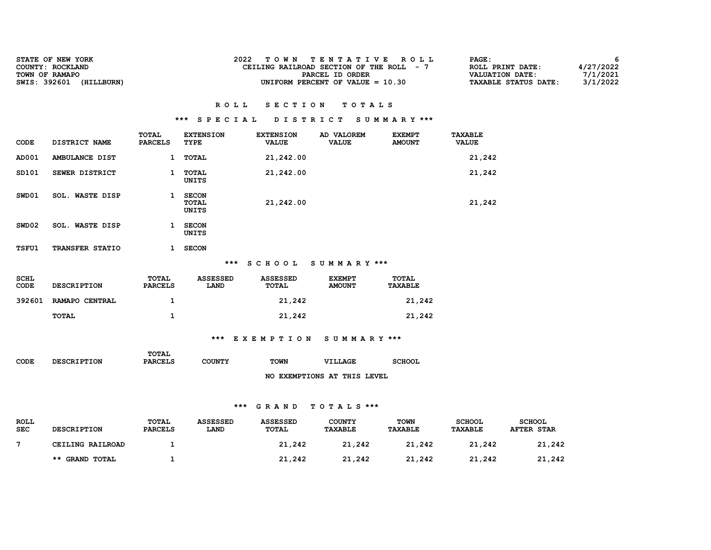| <b>STATE OF NEW YORK</b>   | TOWN TENTATIVE ROLL                      | PAGE:                       |           |
|----------------------------|------------------------------------------|-----------------------------|-----------|
| COUNTY: ROCKLAND           | CEILING RAILROAD SECTION OF THE ROLL - 7 | ROLL PRINT DATE:            | 4/27/2022 |
| TOWN OF RAMAPO             | PARCEL ID ORDER                          | VALUATION DATE:             | 7/1/2021  |
| SWIS: 392601<br>(HILLBURN) | UNIFORM PERCENT OF VALUE $= 10.30$       | <b>TAXABLE STATUS DATE:</b> | 3/1/2022  |

## R O L L S E C T I O N T O T A L S

#### \*\*\* S P E C I A L D I S T R I C T S U M M A R Y \*\*\*

| CODE         | DISTRICT NAME             | TOTAL<br><b>PARCELS</b> | <b>EXTENSION</b><br>TYPE              | <b>EXTENSION</b><br><b>VALUE</b> | AD VALOREM<br><b>VALUE</b> | <b>EXEMPT</b><br><b>AMOUNT</b> | <b>TAXABLE</b><br><b>VALUE</b> |
|--------------|---------------------------|-------------------------|---------------------------------------|----------------------------------|----------------------------|--------------------------------|--------------------------------|
| AD001        | AMBULANCE DIST            | $\mathbf{1}$            | <b>TOTAL</b>                          | 21,242.00                        |                            |                                | 21,242                         |
| SD101        | SEWER DISTRICT            | 1                       | <b>TOTAL</b><br>UNITS                 | 21,242.00                        |                            |                                | 21,242                         |
| SWD01        | <b>WASTE DISP</b><br>SOL. |                         | <b>SECON</b><br><b>TOTAL</b><br>UNITS | 21,242.00                        |                            |                                | 21,242                         |
| SWD02        | <b>WASTE DISP</b><br>SOL. | 1                       | <b>SECON</b><br>UNITS                 |                                  |                            |                                |                                |
| <b>TSFU1</b> | <b>TRANSFER STATIO</b>    | 1                       | <b>SECON</b>                          |                                  |                            |                                |                                |

#### \*\*\* S C H O O L S U M M A R Y \*\*\*

| <b>SCHL</b><br><b>CODE</b> | <b>DESCRIPTION</b>    | TOTAL<br><b>PARCELS</b> | ASSESSED<br><b>LAND</b> | <b>ASSESSED</b><br><b>TOTAL</b> | <b>EXEMPT</b><br><b>AMOUNT</b> | TOTAL<br><b>TAXABLE</b> |
|----------------------------|-----------------------|-------------------------|-------------------------|---------------------------------|--------------------------------|-------------------------|
| 392601                     | <b>RAMAPO CENTRAL</b> |                         |                         | 21,242                          |                                | 21,242                  |
|                            | <b>TOTAL</b>          |                         |                         | 21,242                          |                                | 21,242                  |

#### \*\*\* E X E M P T I O N S U M M A R Y \*\*\*

|             |                    | TOTAL          |        |      |                             |               |
|-------------|--------------------|----------------|--------|------|-----------------------------|---------------|
| <b>CODE</b> | <b>DESCRIPTION</b> | <b>PARCELS</b> | COUNTY | TOWN | VILLAGE                     | <b>SCHOOL</b> |
|             |                    |                |        |      |                             |               |
|             |                    |                |        |      | NO EXEMPTIONS AT THIS LEVEL |               |

| <b>ROLL</b><br><b>SEC</b> | <b>DESCRIPTION</b> | TOTAL<br><b>PARCELS</b> | <b>ASSESSED</b><br><b>LAND</b> | <b>ASSESSED</b><br>TOTAL | <b>COUNTY</b><br><b>TAXABLE</b> | <b>TOWN</b><br><b>TAXABLE</b> | <b>SCHOOL</b><br><b>TAXABLE</b> | <b>SCHOOL</b><br><b>AFTER STAR</b> |
|---------------------------|--------------------|-------------------------|--------------------------------|--------------------------|---------------------------------|-------------------------------|---------------------------------|------------------------------------|
| 7                         | CEILING RAILROAD   |                         |                                | 21,242                   | 21,242                          | 21,242                        | 21,242                          | 21,242                             |
|                           | ** GRAND TOTAL     |                         |                                | 21,242                   | 21,242                          | 21,242                        | 21,242                          | 21,242                             |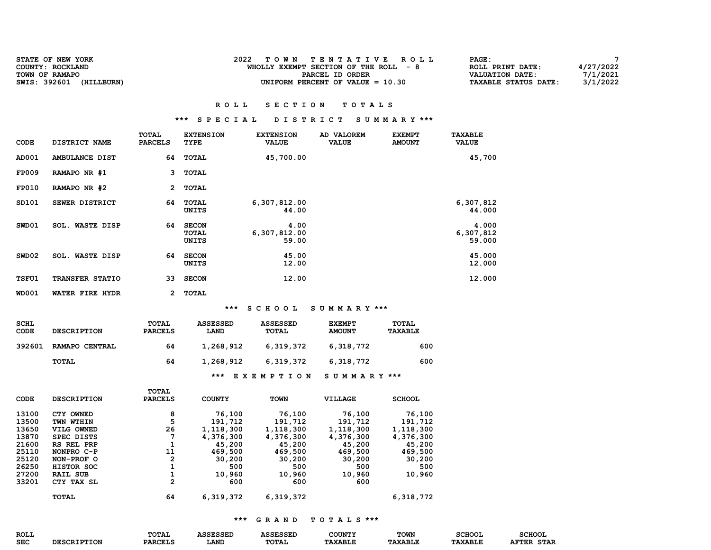| <b>STATE OF NEW YORK</b>   | 2022 TOWN TENTATIVE ROLL               | PAGE:                                   |
|----------------------------|----------------------------------------|-----------------------------------------|
| COUNTY: ROCKLAND           | WHOLLY EXEMPT SECTION OF THE ROLL $-8$ | 4/27/2022<br>ROLL PRINT DATE:           |
| TOWN OF RAMAPO             | PARCEL ID ORDER                        | 7/1/2021<br>VALUATION DATE:             |
| SWIS: 392601<br>(HILLBURN) | UNIFORM PERCENT OF VALUE $= 10.30$     | 3/1/2022<br><b>TAXABLE STATUS DATE:</b> |

# \*\*\* S P E C I A L D I S T R I C T S U M M A R Y \*\*\*

| CODE                                                                                   | DISTRICT NAME                                                                                                                                               | <b>TOTAL</b><br><b>PARCELS</b>                                                                                       | <b>EXTENSION</b><br>TYPE                                                                                        | <b>EXTENSION</b><br><b>VALUE</b>                                                                                | AD VALOREM<br><b>VALUE</b>                                                                         | <b>EXEMPT</b><br><b>AMOUNT</b>                                                              | <b>TAXABLE</b><br><b>VALUE</b> |
|----------------------------------------------------------------------------------------|-------------------------------------------------------------------------------------------------------------------------------------------------------------|----------------------------------------------------------------------------------------------------------------------|-----------------------------------------------------------------------------------------------------------------|-----------------------------------------------------------------------------------------------------------------|----------------------------------------------------------------------------------------------------|---------------------------------------------------------------------------------------------|--------------------------------|
| AD001                                                                                  | AMBULANCE DIST                                                                                                                                              | 64                                                                                                                   | <b>TOTAL</b>                                                                                                    | 45,700.00                                                                                                       |                                                                                                    |                                                                                             | 45,700                         |
| <b>FP009</b>                                                                           | RAMAPO NR #1                                                                                                                                                | 3                                                                                                                    | <b>TOTAL</b>                                                                                                    |                                                                                                                 |                                                                                                    |                                                                                             |                                |
| <b>FP010</b>                                                                           | RAMAPO NR #2                                                                                                                                                | $\overline{2}$                                                                                                       | <b>TOTAL</b>                                                                                                    |                                                                                                                 |                                                                                                    |                                                                                             |                                |
| SD101                                                                                  | SEWER DISTRICT                                                                                                                                              | 64                                                                                                                   | <b>TOTAL</b><br>UNITS                                                                                           | 6,307,812.00<br>44.00                                                                                           |                                                                                                    |                                                                                             | 6,307,812<br>44.000            |
| SWD01                                                                                  | SOL. WASTE DISP                                                                                                                                             | 64                                                                                                                   | <b>SECON</b><br>TOTAL<br><b>UNITS</b>                                                                           | 4.00<br>6,307,812.00<br>59.00                                                                                   |                                                                                                    |                                                                                             | 4.000<br>6,307,812<br>59.000   |
| SWD02                                                                                  | SOL. WASTE DISP                                                                                                                                             | 64                                                                                                                   | <b>SECON</b><br>UNITS                                                                                           | 45.00<br>12.00                                                                                                  |                                                                                                    |                                                                                             | 45.000<br>12.000               |
| TSFU1                                                                                  | TRANSFER STATIO                                                                                                                                             | 33                                                                                                                   | <b>SECON</b>                                                                                                    | 12.00                                                                                                           |                                                                                                    |                                                                                             | 12.000                         |
| WD001                                                                                  | WATER FIRE HYDR                                                                                                                                             | $\overline{2}$                                                                                                       | <b>TOTAL</b>                                                                                                    |                                                                                                                 |                                                                                                    |                                                                                             |                                |
|                                                                                        |                                                                                                                                                             |                                                                                                                      |                                                                                                                 | *** SCHOOL                                                                                                      | SUMMARY ***                                                                                        |                                                                                             |                                |
| SCHL<br>CODE                                                                           | <b>DESCRIPTION</b>                                                                                                                                          | TOTAL<br><b>PARCELS</b>                                                                                              | <b>ASSESSED</b><br>LAND                                                                                         | <b>ASSESSED</b><br>TOTAL                                                                                        | <b>EXEMPT</b><br><b>AMOUNT</b>                                                                     | <b>TOTAL</b><br><b>TAXABLE</b>                                                              |                                |
| 392601                                                                                 | RAMAPO CENTRAL                                                                                                                                              | 64                                                                                                                   | 1,268,912                                                                                                       | 6,319,372                                                                                                       | 6,318,772                                                                                          | 600                                                                                         |                                |
|                                                                                        | TOTAL                                                                                                                                                       | 64                                                                                                                   | 1,268,912                                                                                                       | 6,319,372                                                                                                       | 6,318,772                                                                                          | 600                                                                                         |                                |
|                                                                                        |                                                                                                                                                             |                                                                                                                      |                                                                                                                 | *** EXEMPTION                                                                                                   | SUMMARY ***                                                                                        |                                                                                             |                                |
| CODE                                                                                   | <b>DESCRIPTION</b>                                                                                                                                          | TOTAL<br><b>PARCELS</b>                                                                                              | <b>COUNTY</b>                                                                                                   | <b>TOWN</b>                                                                                                     | VILLAGE                                                                                            | <b>SCHOOL</b>                                                                               |                                |
| 13100<br>13500<br>13650<br>13870<br>21600<br>25110<br>25120<br>26250<br>27200<br>33201 | <b>CTY OWNED</b><br>TWN WTHIN<br>VILG OWNED<br>SPEC DISTS<br>RS REL PRP<br>NONPRO C-P<br>NON-PROF O<br>HISTOR SOC<br><b>RAIL SUB</b><br>CTY TAX SL<br>TOTAL | 8<br>5<br>26<br>$7\phantom{.0}$<br>1<br>11<br>$\overline{2}$<br>$\mathbf{1}$<br>$\mathbf{1}$<br>$\overline{2}$<br>64 | 76,100<br>191,712<br>1,118,300<br>4,376,300<br>45,200<br>469,500<br>30,200<br>500<br>10,960<br>600<br>6,319,372 | 76,100<br>191,712<br>1,118,300<br>4,376,300<br>45,200<br>469,500<br>30,200<br>500<br>10,960<br>600<br>6,319,372 | 76,100<br>191,712<br>1,118,300<br>4,376,300<br>45,200<br>469,500<br>30,200<br>500<br>10,960<br>600 | 76,100<br>191,712<br>1,118,300<br>4,376,300<br>45,200<br>469,500<br>30,200<br>500<br>10,960 |                                |
|                                                                                        |                                                                                                                                                             |                                                                                                                      |                                                                                                                 |                                                                                                                 |                                                                                                    | 6,318,772                                                                                   |                                |

| ROLL       |                    | <b>TOTAL</b>   | <b><i>SSESSED</i></b> | <i><b>\SSESSED</b></i> | COUNTY         | <b>TOWN</b>    | <b>CHOOL</b>   | <b>SCHOOL</b>                  |
|------------|--------------------|----------------|-----------------------|------------------------|----------------|----------------|----------------|--------------------------------|
| <b>SEC</b> | <b>DESCRIPTION</b> | <b>PARCELS</b> | <b>LAND</b>           | <b>TOTAL</b>           | <b>TAXABLE</b> | <b>TAXABLE</b> | <b>TAXABLE</b> | $T$ $T$ $T$ $R$<br><b>STAR</b> |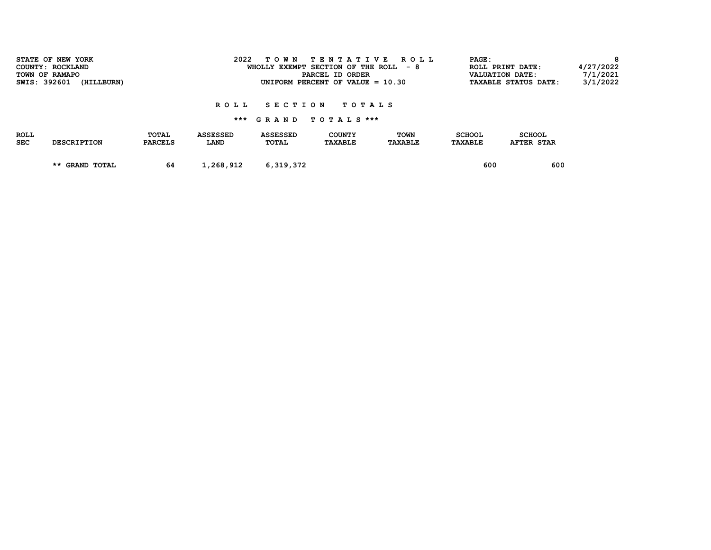| STATE OF NEW YORK<br>COUNTY: ROCKLAND<br>TOWN OF RAMAPO<br>SWIS: 392601<br>(HILLBURN) |                    |                         | 2022                    | TENTATIVE<br>T O W N<br>WHOLLY EXEMPT SECTION OF THE ROLL<br>PARCEL ID ORDER<br>UNIFORM PERCENT OF VALUE $= 10.30$ | PAGE:                           | ROLL PRINT DATE:<br><b>VALUATION DATE:</b><br><b>TAXABLE STATUS DATE:</b> |                          |                                    |  |
|---------------------------------------------------------------------------------------|--------------------|-------------------------|-------------------------|--------------------------------------------------------------------------------------------------------------------|---------------------------------|---------------------------------------------------------------------------|--------------------------|------------------------------------|--|
|                                                                                       |                    |                         | R O L L                 | SECTION                                                                                                            | TOTAL S<br>*** GRAND TOTALS *** |                                                                           |                          |                                    |  |
| <b>ROLL</b><br><b>SEC</b>                                                             | <b>DESCRIPTION</b> | TOTAL<br><b>PARCELS</b> | <b>ASSESSED</b><br>LAND | <b>ASSESSED</b><br>TOTAL                                                                                           | COUNTY<br><b>TAXABLE</b>        | TOWN<br><b>TAXABLE</b>                                                    | <b>SCHOOL</b><br>TAXABLE | <b>SCHOOL</b><br><b>AFTER STAR</b> |  |
|                                                                                       | ** GRAND TOTAL     | 64                      | 1,268,912               | 6,319,372                                                                                                          |                                 |                                                                           | 600                      | 600                                |  |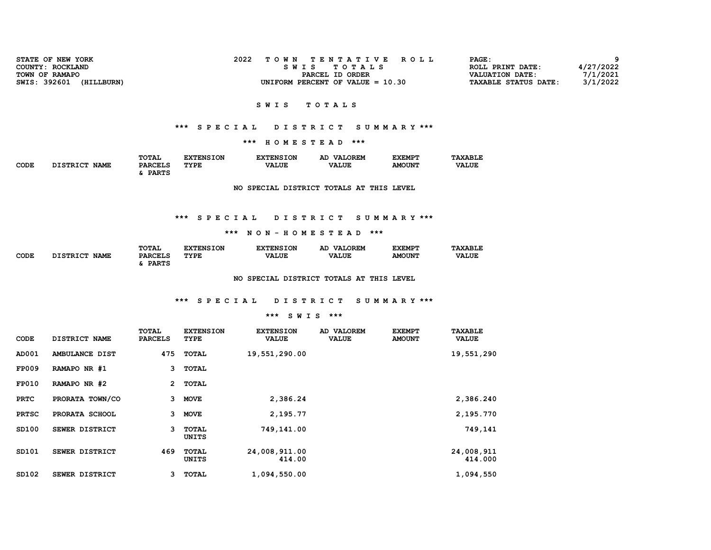| STATE OF NEW YORK<br>COUNTY: ROCKLAND<br>TOWN OF RAMAPO<br>SWIS: 392601 (HILLBURN) |                                                                | 2022<br><b>TOWN</b><br><b>SWIS</b> | TENTATIVE<br><b>ROLL</b><br>TOTALS<br>PARCEL ID ORDER<br>UNIFORM PERCENT OF VALUE = $10.30$ | PAGE:<br>ROLL PRINT DATE:<br><b>VALUATION DATE:</b><br><b>TAXABLE STATUS DATE:</b> | 9<br>4/27/2022<br>7/1/2021<br>3/1/2022 |
|------------------------------------------------------------------------------------|----------------------------------------------------------------|------------------------------------|---------------------------------------------------------------------------------------------|------------------------------------------------------------------------------------|----------------------------------------|
|                                                                                    |                                                                | S W I S                            | TOTALS                                                                                      |                                                                                    |                                        |
|                                                                                    | *** SPECIAL                                                    |                                    | DISTRICT SUMMARY ***                                                                        |                                                                                    |                                        |
|                                                                                    |                                                                | *** HOMESTEAD ***                  |                                                                                             |                                                                                    |                                        |
| <b>CODE</b><br>DISTRICT NAME                                                       | TOTAL<br><b>EXTENSION</b><br><b>PARCELS</b><br>TYPE<br>& PARTS | <b>EXTENSION</b><br><b>VALUE</b>   | AD VALOREM<br><b>EXEMPT</b><br><b>VALUE</b><br><b>AMOUNT</b>                                | <b>TAXABLE</b><br><b>VALUE</b>                                                     |                                        |
|                                                                                    |                                                                |                                    | NO SPECIAL DISTRICT TOTALS AT THIS LEVEL                                                    |                                                                                    |                                        |
|                                                                                    |                                                                |                                    |                                                                                             |                                                                                    |                                        |
|                                                                                    | *** SPECIAL                                                    |                                    | DISTRICT SUMMARY ***                                                                        |                                                                                    |                                        |
|                                                                                    |                                                                | *** NON-HOMESTEAD ***              |                                                                                             |                                                                                    |                                        |
| DISTRICT NAME<br><b>CODE</b>                                                       | TOTAL<br><b>EXTENSION</b><br><b>PARCELS</b><br>TYPE<br>& PARTS | <b>EXTENSION</b><br><b>VALUE</b>   | AD VALOREM<br><b>EXEMPT</b><br><b>VALUE</b><br><b>AMOUNT</b>                                | <b>TAXABLE</b><br><b>VALUE</b>                                                     |                                        |
|                                                                                    |                                                                |                                    | NO SPECIAL DISTRICT TOTALS AT THIS LEVEL                                                    |                                                                                    |                                        |

# \*\*\* S P E C I A L D I S T R I C T S U M M A R Y \*\*\*

#### \*\*\* S W I S \*\*\*

| CODE         | DISTRICT NAME         | <b>TOTAL</b><br><b>PARCELS</b> | <b>EXTENSION</b><br>TYPE | <b>EXTENSION</b><br><b>VALUE</b> | AD VALOREM<br><b>VALUE</b> | <b>EXEMPT</b><br><b>AMOUNT</b> | <b>TAXABLE</b><br><b>VALUE</b> |
|--------------|-----------------------|--------------------------------|--------------------------|----------------------------------|----------------------------|--------------------------------|--------------------------------|
| AD001        | AMBULANCE DIST        | 475                            | TOTAL                    | 19,551,290.00                    |                            |                                | 19,551,290                     |
| <b>FP009</b> | RAMAPO NR #1          | 3                              | <b>TOTAL</b>             |                                  |                            |                                |                                |
| <b>FP010</b> | RAMAPO NR #2          | $\mathbf{2}$                   | <b>TOTAL</b>             |                                  |                            |                                |                                |
| <b>PRTC</b>  | PRORATA TOWN/CO       | 3                              | <b>MOVE</b>              | 2,386.24                         |                            |                                | 2,386.240                      |
| <b>PRTSC</b> | PRORATA SCHOOL        | 3                              | <b>MOVE</b>              | 2,195.77                         |                            |                                | 2,195.770                      |
| SD100        | SEWER DISTRICT        | 3                              | <b>TOTAL</b><br>UNITS    | 749,141.00                       |                            |                                | 749,141                        |
| SD101        | SEWER DISTRICT        | 469                            | <b>TOTAL</b><br>UNITS    | 24,008,911.00<br>414.00          |                            |                                | 24,008,911<br>414.000          |
| SD102        | <b>SEWER DISTRICT</b> | 3                              | <b>TOTAL</b>             | 1,094,550.00                     |                            |                                | 1,094,550                      |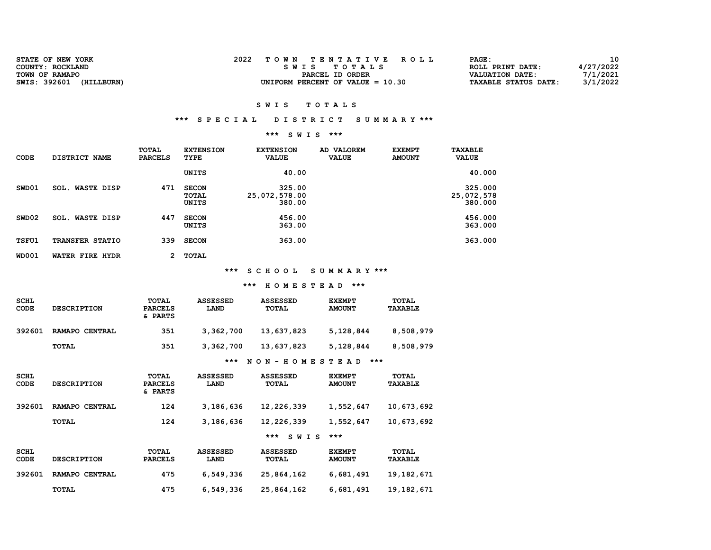| <b>STATE OF NEW YORK</b>   | 2022<br>TOWN TENTATIVE ROLL        | <b>PAGE :</b>          | 10        |
|----------------------------|------------------------------------|------------------------|-----------|
| COUNTY: ROCKLAND           | SWIS TOTALS                        | ROLL PRINT DATE:       | 4/27/2022 |
| TOWN OF RAMAPO             | PARCEL ID ORDER                    | <b>VALUATION DATE:</b> | 7/1/2021  |
| SWIS: 392601<br>(HILLBURN) | UNIFORM PERCENT OF VALUE $= 10.30$ | TAXABLE STATUS DATE:   | 3/1/2022  |

#### \*\*\* S P E C I A L D I S T R I C T S U M M A R Y \*\*\*

#### \*\*\* S W I S \*\*\*

| CODE              | DISTRICT NAME             | TOTAL<br><b>PARCELS</b> | <b>EXTENSION</b><br><b>TYPE</b> | <b>EXTENSION</b><br><b>VALUE</b>  | AD VALOREM<br><b>VALUE</b> | <b>EXEMPT</b><br><b>AMOUNT</b> | <b>TAXABLE</b><br><b>VALUE</b>   |
|-------------------|---------------------------|-------------------------|---------------------------------|-----------------------------------|----------------------------|--------------------------------|----------------------------------|
|                   |                           |                         | <b>UNITS</b>                    | 40.00                             |                            |                                | 40.000                           |
| SWD01             | <b>WASTE DISP</b><br>SOL. | 471                     | <b>SECON</b><br>TOTAL<br>UNITS  | 325.00<br>25,072,578.00<br>380.00 |                            |                                | 325.000<br>25,072,578<br>380.000 |
| SWD <sub>02</sub> | <b>WASTE DISP</b><br>SOL. | 447                     | <b>SECON</b><br>UNITS           | 456.00<br>363.00                  |                            |                                | 456.000<br>363.000               |
| <b>TSFU1</b>      | TRANSFER STATIO           | 339                     | <b>SECON</b>                    | 363.00                            |                            |                                | 363.000                          |
| <b>WD001</b>      | WATER FIRE HYDR           | 2                       | TOTAL                           |                                   |                            |                                |                                  |

\*\*\* S C H O O L S U M M A R Y \*\*\*

## \*\*\* H O M E S T E A D \*\*\*

| <b>SCHL</b><br>CODE | <b>DESCRIPTION</b> | TOTAL<br><b>PARCELS</b><br>& PARTS | <b>ASSESSED</b><br><b>LAND</b> | <b>ASSESSED</b><br>TOTAL | <b>EXEMPT</b><br><b>AMOUNT</b> | <b>TOTAL</b><br><b>TAXABLE</b> |
|---------------------|--------------------|------------------------------------|--------------------------------|--------------------------|--------------------------------|--------------------------------|
| 392601              | RAMAPO CENTRAL     | 351                                | 3,362,700                      | 13,637,823               | 5,128,844                      | 8,508,979                      |
|                     | <b>TOTAL</b>       | 351                                | 3,362,700                      | 13,637,823               | 5,128,844                      | 8,508,979                      |
|                     |                    |                                    | ***                            | NON - HOMESTEAD          | ***                            |                                |

| <b>SCHL</b> |                    | TOTAL          | ASSESSED | ASSESSED     | <b>EXEMPT</b> | <b>TOTAL</b>   |
|-------------|--------------------|----------------|----------|--------------|---------------|----------------|
| CODE        | <b>DESCRIPTION</b> | <b>PARCELS</b> | LAND     | <b>TOTAL</b> | <b>AMOUNT</b> | <b>TAXABLE</b> |
|             |                    | 55555          |          |              |               |                |

|                     |                    | & PARTS                        |                         |                          |                                |                                |
|---------------------|--------------------|--------------------------------|-------------------------|--------------------------|--------------------------------|--------------------------------|
| 392601              | RAMAPO CENTRAL     | 124                            | 3,186,636               | 12,226,339               | 1,552,647                      | 10,673,692                     |
|                     | <b>TOTAL</b>       | 124                            | 3,186,636               | 12,226,339               | 1,552,647                      | 10,673,692                     |
|                     |                    |                                |                         | $***$<br><b>SWIS</b>     | ***                            |                                |
| <b>SCHL</b><br>CODE | <b>DESCRIPTION</b> | <b>TOTAL</b><br><b>PARCELS</b> | <b>ASSESSED</b><br>LAND | <b>ASSESSED</b><br>TOTAL | <b>EXEMPT</b><br><b>AMOUNT</b> | <b>TOTAL</b><br><b>TAXABLE</b> |
| 392601              | RAMAPO CENTRAL     | 475                            | 6,549,336               | 25,864,162               | 6,681,491                      | 19, 182, 671                   |
|                     | <b>TOTAL</b>       | 475                            | 6,549,336               | 25,864,162               | 6,681,491                      | 19, 182, 671                   |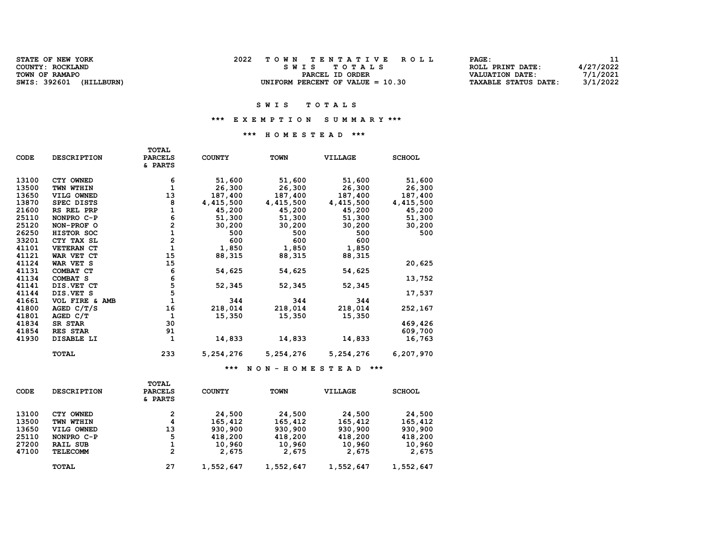| <b>STATE OF NEW YORK</b>   | TOWN TENTATIVE ROLL                | PAGE:                                   |
|----------------------------|------------------------------------|-----------------------------------------|
| COUNTY: ROCKLAND           | SWIS TOTALS                        | 4/27/2022<br>ROLL PRINT DATE:           |
| TOWN OF RAMAPO             | PARCEL ID ORDER                    | 7/1/2021<br>VALUATION DATE:             |
| SWIS: 392601<br>(HILLBURN) | UNIFORM PERCENT OF VALUE $= 10.30$ | 3/1/2022<br><b>TAXABLE STATUS DATE:</b> |

#### \*\*\* E X E M P T I O N S U M M A R Y \*\*\*

#### \*\*\* H O M E S T E A D \*\*\*

| CODE  | <b>DESCRIPTION</b> | <b>PARCELS</b><br>& PARTS | <b>COUNTY</b> | <b>TOWN</b> | <b>VILLAGE</b> | <b>SCHOOL</b> |
|-------|--------------------|---------------------------|---------------|-------------|----------------|---------------|
| 13100 | CTY OWNED          | 6                         | 51,600        | 51,600      | 51,600         | 51,600        |
| 13500 | TWN WTHIN          | $\mathbf{1}$              | 26,300        | 26,300      | 26,300         | 26,300        |
| 13650 | VILG OWNED         | 13                        | 187,400       | 187,400     | 187,400        | 187,400       |
| 13870 | SPEC DISTS         | 8                         | 4,415,500     | 4,415,500   | 4,415,500      | 4,415,500     |
| 21600 | RS REL PRP         | 1                         | 45,200        | 45,200      | 45,200         | 45,200        |
| 25110 | NONPRO C-P         | 6                         | 51,300        | 51,300      | 51,300         | 51,300        |
| 25120 | NON-PROF O         | $\overline{\mathbf{c}}$   | 30,200        | 30,200      | 30,200         | 30,200        |
| 26250 | HISTOR SOC         | $\mathbf 1$               | 500           | 500         | 500            | 500           |
| 33201 | CTY TAX SL         | $\overline{a}$            | 600           | 600         | 600            |               |
| 41101 | VETERAN CT         | $\mathbf{1}$              | 1,850         | 1,850       | 1,850          |               |
| 41121 | WAR VET CT         | 15                        | 88,315        | 88,315      | 88,315         |               |
| 41124 | WAR VET S          | 15                        |               |             |                | 20,625        |
| 41131 | COMBAT CT          | 6                         | 54,625        | 54,625      | 54,625         |               |
| 41134 | <b>COMBAT S</b>    |                           |               |             |                | 13,752        |
| 41141 | DIS. VET CT        | 6<br>5<br>5               | 52,345        | 52,345      | 52,345         |               |
| 41144 | DIS.VET S          |                           |               |             |                | 17,537        |
| 41661 | VOL FIRE & AMB     | $\mathbf{1}$              | 344           | 344         | 344            |               |
| 41800 | AGED $C/T/S$       | 16                        | 218,014       | 218,014     | 218,014        | 252,167       |
| 41801 | AGED C/T           | $\mathbf{1}$              | 15,350        | 15,350      | 15,350         |               |
| 41834 | SR STAR            | 30                        |               |             |                | 469,426       |
| 41854 | RES STAR           | 91                        |               |             |                | 609,700       |
| 41930 | DISABLE LI         | 1                         | 14,833        | 14,833      | 14,833         | 16,763        |
|       | <b>TOTAL</b>       | 233                       | 5,254,276     | 5,254,276   | 5,254,276      | 6,207,970     |

TOTAL

#### \*\*\* N O N - H O M E S T E A D \*\*\*

|       |                    | TOTAL          |               |           |           |               |
|-------|--------------------|----------------|---------------|-----------|-----------|---------------|
| CODE  | <b>DESCRIPTION</b> | <b>PARCELS</b> | <b>COUNTY</b> | TOWN      | VILLAGE   | <b>SCHOOL</b> |
|       |                    | & PARTS        |               |           |           |               |
| 13100 | CTY OWNED          | 2              | 24,500        | 24,500    | 24,500    | 24,500        |
| 13500 | TWN WTHIN          | 4              | 165,412       | 165,412   | 165,412   | 165,412       |
| 13650 | VILG OWNED         | 13             | 930,900       | 930,900   | 930,900   | 930,900       |
| 25110 | NONPRO C-P         | 5              | 418,200       | 418,200   | 418,200   | 418,200       |
| 27200 | RAIL SUB           |                | 10,960        | 10,960    | 10,960    | 10,960        |
| 47100 | <b>TELECOMM</b>    | 2              | 2,675         | 2,675     | 2,675     | 2,675         |
|       | TOTAL              | 27             | 1,552,647     | 1,552,647 | 1,552,647 | 1,552,647     |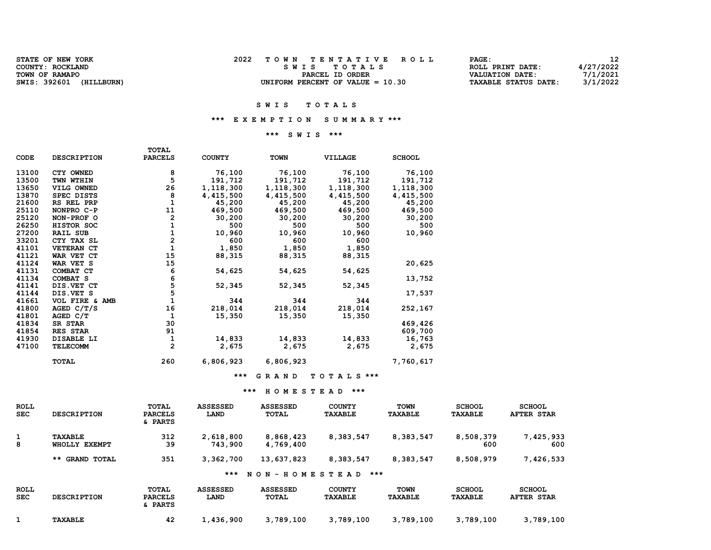| <b>STATE OF NEW YORK</b>   | TOWN TENTATIVE ROLL                | PAGE:                       |           |
|----------------------------|------------------------------------|-----------------------------|-----------|
| COUNTY: ROCKLAND           | SWIS TOTALS                        | ROLL PRINT DATE:            | 4/27/2022 |
| TOWN OF RAMAPO             | PARCEL ID ORDER                    | VALUATION DATE:             | 7/1/2021  |
| SWIS: 392601<br>(HILLBURN) | UNIFORM PERCENT OF VALUE $= 10.30$ | <b>TAXABLE STATUS DATE:</b> | 3/1/2022  |

#### \*\*\* E X E M P T I O N S U M M A R Y \*\*\*

#### \*\*\* S W I S \*\*\*

| CODE  | <b>DESCRIPTION</b>  | <b>PARCELS</b> | <b>COUNTY</b> | <b>TOWN</b>      | VILLAGE           | <b>SCHOOL</b> |
|-------|---------------------|----------------|---------------|------------------|-------------------|---------------|
| 13100 | CTY OWNED           | 8              | 76,100        | 76,100           | 76,100            | 76,100        |
| 13500 | TWN WTHIN           | 5              | 191,712       | 191,712          | 191,712           | 191,712       |
| 13650 | VILG OWNED          | 26             | 1,118,300     | 1,118,300        | 1,118,300         | 1,118,300     |
| 13870 | SPEC DISTS          | 8              | 4,415,500     | 4,415,500        | 4,415,500         | 4,415,500     |
| 21600 | RS REL PRP          | $\mathbf{1}$   | 45,200        | 45,200           | 45,200            | 45,200        |
| 25110 | NONPRO C-P          | 11             | 469,500       | 469,500          | 469,500           | 469,500       |
| 25120 | NON-PROF O          | $\mathbf{2}$   | 30,200        | 30,200           | 30,200            | 30,200        |
| 26250 | HISTOR SOC          |                | 500           | 500              | 500               | 500           |
| 27200 | <b>RAIL SUB</b>     |                | 10,960        | 10,960           | 10,960            | 10,960        |
| 33201 | CTY TAX SL          | 2              | 600           | 600              | 600               |               |
| 41101 | <b>VETERAN CT</b>   | $\mathbf{1}$   | 1,850         | 1,850            | 1,850             |               |
| 41121 | WAR VET CT          | 15             | 88,315        | 88,315           | 88,315            |               |
| 41124 | WAR VET S           | 15             |               |                  |                   | 20,625        |
| 41131 | COMBAT CT           | 6              | 54,625        | 54,625           | 54,625            |               |
| 41134 | COMBAT <sub>S</sub> | 6              |               |                  |                   | 13,752        |
| 41141 | DIS.VET CT          | 5              | 52,345        | 52,345           | 52,345            |               |
| 41144 | DIS.VET S           | 5              |               |                  |                   | 17,537        |
| 41661 | VOL FIRE & AMB      |                | 344           | 344              | 344               |               |
| 41800 | AGED C/T/S          | 16             | 218,014       | 218,014          | 218,014           | 252,167       |
| 41801 | AGED C/T            | 1              | 15,350        | 15,350           | 15,350            |               |
| 41834 | SR STAR             | 30             |               |                  |                   | 469,426       |
| 41854 | RES STAR            | 91             |               |                  |                   | 609,700       |
| 41930 | DISABLE LI          | 1              | 14,833        | 14,833           | 14,833            | 16,763        |
| 47100 | <b>TELECOMM</b>     | $\overline{2}$ | 2,675         | 2,675            | 2,675             | 2,675         |
|       | TOTAL               | 260            | 6,806,923     | 6,806,923        |                   | 7,760,617     |
|       |                     |                | ***           | <b>RAND</b><br>G | O TALS $***$<br>т |               |

TOTAL

#### \*\*\* H O M E S T E A D \*\*\*

| <b>ROLL</b><br><b>SEC</b> | <b>DESCRIPTION</b>              | TOTAL<br><b>PARCELS</b><br>& PARTS | <b>ASSESSED</b><br>LAND | <b>ASSESSED</b><br>TOTAL | <b>COUNTY</b><br><b>TAXABLE</b> | <b>TOWN</b><br><b>TAXABLE</b> | <b>SCHOOL</b><br><b>TAXABLE</b> | <b>SCHOOL</b><br><b>AFTER STAR</b> |
|---------------------------|---------------------------------|------------------------------------|-------------------------|--------------------------|---------------------------------|-------------------------------|---------------------------------|------------------------------------|
| 1<br>8                    | <b>TAXABLE</b><br>WHOLLY EXEMPT | 312<br>39                          | 2,618,800<br>743,900    | 8,868,423<br>4,769,400   | 8,383,547                       | 8,383,547                     | 8,508,379<br>600                | 7,425,933<br>600                   |
|                           | <b>GRAND TOTAL</b><br>$***$     | 351                                | 3,362,700               | 13,637,823               | 8,383,547                       | 8,383,547                     | 8,508,979                       | 7,426,533                          |
|                           |                                 |                                    | $***$                   | NON-HOMESTEAD            | ***                             |                               |                                 |                                    |
| <b>ROLL</b><br><b>SEC</b> | <b>DESCRIPTION</b>              | TOTAL<br><b>PARCELS</b><br>& PARTS | <b>ASSESSED</b><br>LAND | <b>ASSESSED</b><br>TOTAL | <b>COUNTY</b><br>TAXABLE        | <b>TOWN</b><br><b>TAXABLE</b> | <b>SCHOOL</b><br><b>TAXABLE</b> | <b>SCHOOL</b><br><b>AFTER STAR</b> |
|                           | <b>TAXABLE</b>                  | 42                                 | 1,436,900               | 3,789,100                | 3,789,100                       | 3,789,100                     | 3,789,100                       | 3,789,100                          |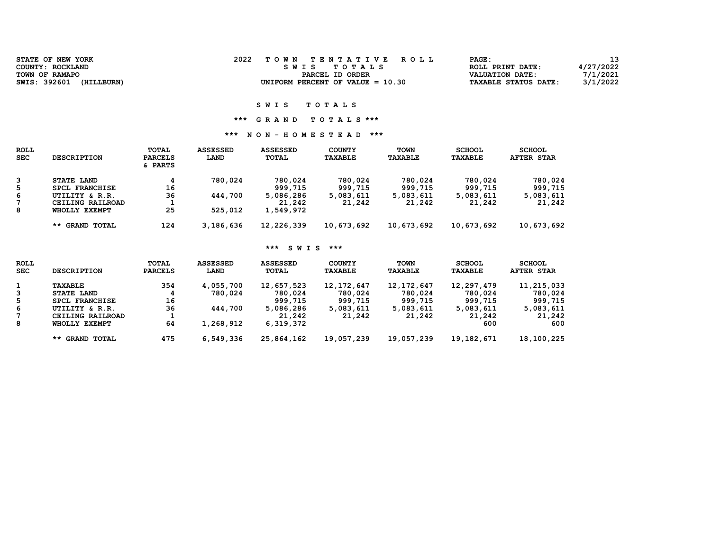| <b>STATE OF NEW YORK</b>   | TOWN TENTATIVE ROLL                | <b>PAGE :</b>               |           |
|----------------------------|------------------------------------|-----------------------------|-----------|
| COUNTY: ROCKLAND           | SWIS TOTALS                        | ROLL PRINT DATE:            | 4/27/2022 |
| TOWN OF RAMAPO             | PARCEL ID ORDER                    | <b>VALUATION DATE:</b>      | 7/1/2021  |
| SWIS: 392601<br>(HILLBURN) | UNIFORM PERCENT OF VALUE $= 10.30$ | <b>TAXABLE STATUS DATE:</b> | 3/1/2022  |

# \*\*\* G R A N D T O T A L S \*\*\*

## \*\*\* N O N - H O M E S T E A D \*\*\*

| <b>ROLL</b><br><b>SEC</b> | <b>DESCRIPTION</b>    | TOTAL<br><b>PARCELS</b><br>& PARTS | <b>ASSESSED</b><br>LAND | ASSESSED<br>TOTAL | <b>COUNTY</b><br><b>TAXABLE</b> | <b>TOWN</b><br><b>TAXABLE</b> | <b>SCHOOL</b><br><b>TAXABLE</b> | <b>SCHOOL</b><br><b>AFTER STAR</b> |
|---------------------------|-----------------------|------------------------------------|-------------------------|-------------------|---------------------------------|-------------------------------|---------------------------------|------------------------------------|
| 3                         | STATE LAND            | 4                                  | 780,024                 | 780,024           | 780,024                         | 780,024                       | 780,024                         | 780,024                            |
| 5                         | <b>SPCL FRANCHISE</b> | 16                                 |                         | 999,715           | 999,715                         | 999,715                       | 999,715                         | 999,715                            |
| 6                         | UTILITY & R.R.        | 36                                 | 444,700                 | 5,086,286         | 5,083,611                       | 5,083,611                     | 5,083,611                       | 5,083,611                          |
| 7                         | CEILING RAILROAD      |                                    |                         | 21,242            | 21,242                          | 21,242                        | 21,242                          | 21,242                             |
| 8                         | WHOLLY EXEMPT         | 25                                 | 525,012                 | 1,549,972         |                                 |                               |                                 |                                    |
|                           | ** GRAND TOTAL        | 124                                | 3,186,636               | 12,226,339        | 10,673,692                      | 10,673,692                    | 10,673,692                      | 10,673,692                         |

## \*\*\* S W I S \*\*\*

| <b>ROLL</b><br><b>SEC</b> | <b>DESCRIPTION</b> | TOTAL<br><b>PARCELS</b> | <b>ASSESSED</b><br>LAND | <b>ASSESSED</b><br>TOTAL | <b>COUNTY</b><br>TAXABLE | <b>TOWN</b><br><b>TAXABLE</b> | <b>SCHOOL</b><br><b>TAXABLE</b> | <b>SCHOOL</b><br><b>AFTER STAR</b> |
|---------------------------|--------------------|-------------------------|-------------------------|--------------------------|--------------------------|-------------------------------|---------------------------------|------------------------------------|
|                           | TAXABLE            | 354                     | 4,055,700               | 12,657,523               | 12, 172, 647             | 12, 172, 647                  | 12,297,479                      | 11,215,033                         |
| 3                         | STATE LAND         |                         | 780,024                 | 780,024                  | 780,024                  | 780,024                       | 780,024                         | 780,024                            |
| 5                         | SPCL FRANCHISE     | 16                      |                         | 999,715                  | 999,715                  | 999,715                       | 999,715                         | 999,715                            |
| 6                         | UTILITY & R.R.     | 36                      | 444,700                 | 5,086,286                | 5,083,611                | 5,083,611                     | 5,083,611                       | 5,083,611                          |
| 7                         | CEILING RAILROAD   |                         |                         | 21,242                   | 21,242                   | 21,242                        | 21,242                          | 21,242                             |
| 8                         | WHOLLY EXEMPT      | 64                      | 1,268,912               | 6,319,372                |                          |                               | 600                             | 600                                |
|                           | ** GRAND TOTAL     | 475                     | 6,549,336               | 25,864,162               | 19,057,239               | 19,057,239                    | 19,182,671                      | 18,100,225                         |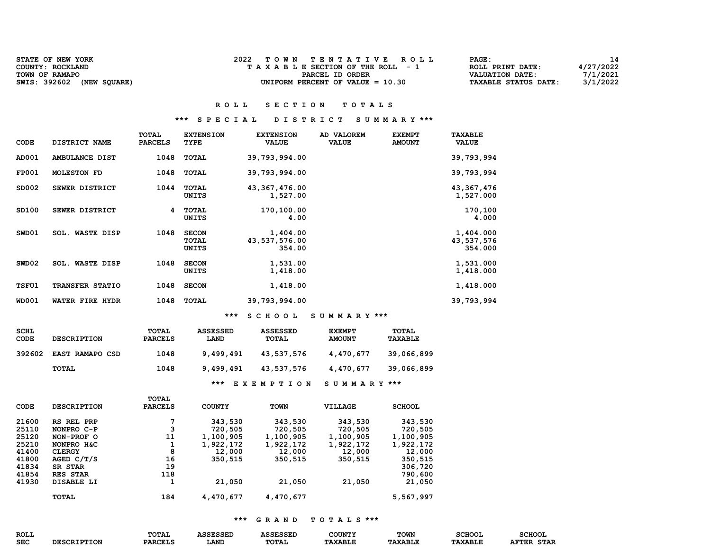| <b>STATE OF NEW YORK</b>     | TOWN TENTATIVE ROLL                   | 14<br>PAGE:                             |
|------------------------------|---------------------------------------|-----------------------------------------|
| COUNTY: ROCKLAND             | T A X A B L E SECTION OF THE ROLL - 1 | 4/27/2022<br>ROLL PRINT DATE:           |
| TOWN OF RAMAPO               | PARCEL ID ORDER                       | 7/1/2021<br><b>VALUATION DATE:</b>      |
| SWIS: 392602<br>(NEW SOUARE) | UNIFORM PERCENT OF VALUE $= 10.30$    | 3/1/2022<br><b>TAXABLE STATUS DATE:</b> |

#### R O L L B E C T I O N T O T A L S

#### \*\*\* S P E C I A L D I S T R I C T S U M M A R Y \*\*\*

| <b>CODE</b>       | DISTRICT NAME             | TOTAL<br><b>PARCELS</b> | <b>EXTENSION</b><br>TYPE              | <b>EXTENSION</b><br><b>VALUE</b>    | AD VALOREM<br><b>VALUE</b> | <b>EXEMPT</b><br><b>AMOUNT</b> | <b>TAXABLE</b><br><b>VALUE</b>     |
|-------------------|---------------------------|-------------------------|---------------------------------------|-------------------------------------|----------------------------|--------------------------------|------------------------------------|
| AD001             | AMBULANCE DIST            | 1048                    | TOTAL                                 | 39,793,994.00                       |                            |                                | 39,793,994                         |
| <b>FP001</b>      | <b>MOLESTON FD</b>        | 1048                    | TOTAL                                 | 39,793,994.00                       |                            |                                | 39,793,994                         |
| SD002             | SEWER DISTRICT            | 1044                    | TOTAL<br>UNITS                        | 43, 367, 476.00<br>1,527.00         |                            |                                | 43, 367, 476<br>1,527.000          |
| SD100             | SEWER DISTRICT            | 4                       | TOTAL<br>UNITS                        | 170,100.00<br>4.00                  |                            |                                | 170,100<br>4.000                   |
| SWD01             | <b>WASTE DISP</b><br>SOL. | 1048                    | <b>SECON</b><br><b>TOTAL</b><br>UNITS | 1,404.00<br>43,537,576.00<br>354.00 |                            |                                | 1,404.000<br>43,537,576<br>354.000 |
| SWD <sub>02</sub> | <b>SOL. WASTE DISP</b>    | 1048                    | <b>SECON</b><br>UNITS                 | 1,531.00<br>1,418.00                |                            |                                | 1,531.000<br>1,418.000             |
| <b>TSFU1</b>      | <b>TRANSFER STATIO</b>    | 1048                    | <b>SECON</b>                          | 1,418.00                            |                            |                                | 1,418.000                          |
| <b>WD001</b>      | WATER FIRE HYDR           | 1048                    | TOTAL                                 | 39,793,994.00                       |                            |                                | 39,793,994                         |

\*\*\* S C H O O L S U M M A R Y \*\*\*

| SCHL<br>CODE | <b>DESCRIPTION</b> | TOTAL<br><b>PARCELS</b> | <b>ASSESSED</b><br>LAND | <b>ASSESSED</b><br>TOTAL | <b>EXEMPT</b><br><b>AMOUNT</b> | TOTAL<br><b>TAXABLE</b> |
|--------------|--------------------|-------------------------|-------------------------|--------------------------|--------------------------------|-------------------------|
| 392602       | EAST RAMAPO CSD    | 1048                    | 9,499,491               | 43,537,576               | 4,470,677                      | 39,066,899              |
|              | TOTAL              | 1048                    | 9,499,491               | 43,537,576               | 4,470,677                      | 39,066,899              |
|              |                    |                         | ***                     | EXEMPTION                | SUMMARY ***                    |                         |

|             |                    | TOTAL          |               |             |                |               |
|-------------|--------------------|----------------|---------------|-------------|----------------|---------------|
| <b>CODE</b> | <b>DESCRIPTION</b> | <b>PARCELS</b> | <b>COUNTY</b> | <b>TOWN</b> | <b>VILLAGE</b> | <b>SCHOOL</b> |
| 21600       | RS REL PRP         | 7              | 343,530       | 343,530     | 343,530        | 343,530       |
| 25110       | NONPRO C-P         | 3              | 720,505       | 720,505     | 720,505        | 720,505       |
| 25120       | NON-PROF O         | 11             | 1,100,905     | 1,100,905   | 1,100,905      | 1,100,905     |
| 25210       | NONPRO H&C         | 1              | 1,922,172     | 1,922,172   | 1,922,172      | 1,922,172     |
| 41400       | <b>CLERGY</b>      | 8              | 12,000        | 12,000      | 12,000         | 12,000        |
| 41800       | AGED $C/T/S$       | 16             | 350,515       | 350,515     | 350,515        | 350,515       |
| 41834       | <b>SR STAR</b>     | 19             |               |             |                | 306,720       |
| 41854       | RES STAR           | 118            |               |             |                | 790,600       |
| 41930       | DISABLE LI         | 1              | 21,050        | 21,050      | 21,050         | 21,050        |
|             | <b>TOTAL</b>       | 184            | 4,470,677     | 4,470,677   |                | 5,567,997     |

| <b>ROLI</b> |     | $m \wedge m \wedge n$<br>.UTAL | 1.07777777 |             | ּיחזור | <b>TOWN</b> | $\sim$ | ----<br>$-22$     |
|-------------|-----|--------------------------------|------------|-------------|--------|-------------|--------|-------------------|
| <b>SEC</b>  | ΤЕ. | <b>DADCET</b><br>.             | <b>ANI</b> | <b>TOTA</b> | m 7    |             |        | $cm\pi$<br>ल्लाहर |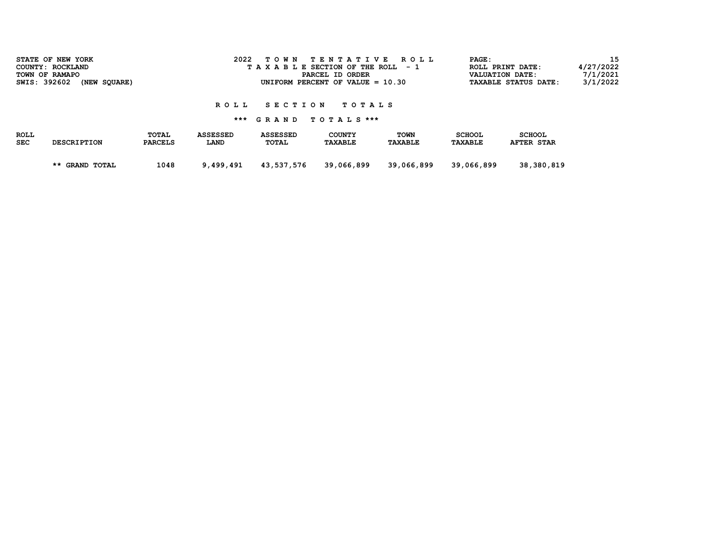|                    | STATE OF NEW YORK<br>COUNTY: ROCKLAND<br>TOWN OF RAMAPO<br>SWIS: 392602 (NEW SOUARE) |                         | 2022                    |                          | TOWN TENTATIVE ROLL<br>T A X A B L E SECTION OF THE ROLL - 1<br>PARCEL ID ORDER<br>UNIFORM PERCENT OF VALUE $= 10.30$ |                        | PAGE:<br><b>VALUATION DATE:</b> | ROLL PRINT DATE:<br><b>TAXABLE STATUS DATE:</b> | 15<br>4/27/2022<br>7/1/2021<br>3/1/2022 |
|--------------------|--------------------------------------------------------------------------------------|-------------------------|-------------------------|--------------------------|-----------------------------------------------------------------------------------------------------------------------|------------------------|---------------------------------|-------------------------------------------------|-----------------------------------------|
|                    |                                                                                      |                         | ROLL.                   | <b>SECTION</b>           | TOTAL S<br>*** GRAND TOTALS ***                                                                                       |                        |                                 |                                                 |                                         |
| ROLL<br><b>SEC</b> | <b>DESCRIPTION</b>                                                                   | TOTAL<br><b>PARCELS</b> | <b>ASSESSED</b><br>LAND | <b>ASSESSED</b><br>TOTAL | COUNTY<br><b>TAXABLE</b>                                                                                              | TOWN<br><b>TAXABLE</b> | <b>SCHOOL</b><br>TAXABLE        | <b>SCHOOL</b><br><b>AFTER STAR</b>              |                                         |

| 1048<br><b>GRAND TOTAL</b> | .499.491 | 43.537.576 | 39,066,899 | 39,066,899 | 39,066,899 | ,380,819<br>38. |
|----------------------------|----------|------------|------------|------------|------------|-----------------|
|----------------------------|----------|------------|------------|------------|------------|-----------------|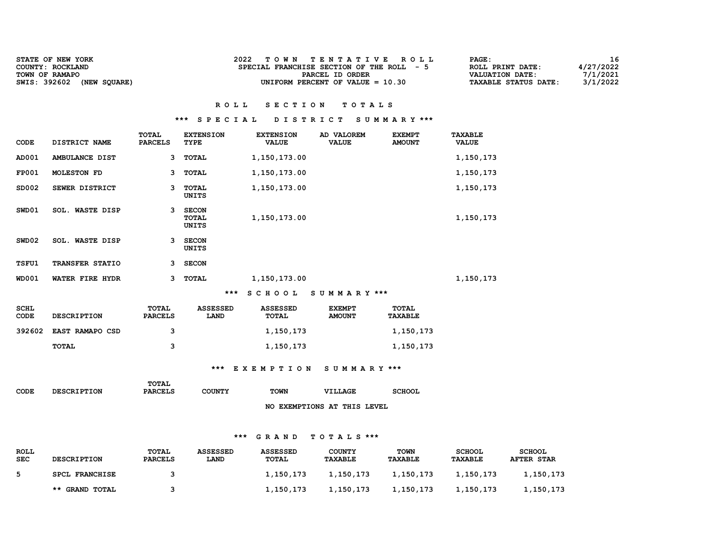| <b>STATE OF NEW YORK</b>     | TOWN TENTATIVE ROLL                       | 16<br><b>PAGE :</b>                     |
|------------------------------|-------------------------------------------|-----------------------------------------|
| COUNTY: ROCKLAND             | SPECIAL FRANCHISE SECTION OF THE ROLL - 5 | 4/27/2022<br>ROLL PRINT DATE:           |
| TOWN OF RAMAPO               | PARCEL ID ORDER                           | 7/1/2021<br>VALUATION DATE:             |
| SWIS: 392602<br>(NEW SOUARE) | UNIFORM PERCENT OF VALUE $= 10.30$        | 3/1/2022<br><b>TAXABLE STATUS DATE:</b> |

#### \*\*\* S P E C I A L D I S T R I C T S U M M A R Y \*\*\*

| CODE         | DISTRICT NAME          | <b>TOTAL</b><br><b>PARCELS</b> | <b>EXTENSION</b><br>TYPE       | <b>EXTENSION</b><br><b>VALUE</b> | AD VALOREM<br><b>VALUE</b>     | <b>EXEMPT</b><br><b>AMOUNT</b> | <b>TAXABLE</b><br><b>VALUE</b> |
|--------------|------------------------|--------------------------------|--------------------------------|----------------------------------|--------------------------------|--------------------------------|--------------------------------|
| AD001        | AMBULANCE DIST         | 3                              | TOTAL                          | 1,150,173.00                     |                                |                                | 1,150,173                      |
| <b>FP001</b> | <b>MOLESTON FD</b>     | 3                              | TOTAL                          | 1,150,173.00                     |                                |                                | 1,150,173                      |
| SD002        | SEWER DISTRICT         | 3                              | <b>TOTAL</b><br>UNITS          | 1,150,173.00                     |                                |                                | 1,150,173                      |
| SWD01        | SOL. WASTE DISP        | 3                              | <b>SECON</b><br>TOTAL<br>UNITS | 1,150,173.00                     |                                |                                | 1,150,173                      |
| SWD02        | <b>SOL. WASTE DISP</b> | 3                              | <b>SECON</b><br>UNITS          |                                  |                                |                                |                                |
| <b>TSFU1</b> | <b>TRANSFER STATIO</b> | 3                              | <b>SECON</b>                   |                                  |                                |                                |                                |
| <b>WD001</b> | WATER FIRE HYDR        | 3                              | <b>TOTAL</b>                   | 1,150,173.00                     |                                |                                | 1,150,173                      |
|              |                        |                                | $***$                          | <b>SCHOOL</b>                    | SUMMARY ***                    |                                |                                |
| SCHL<br>CODE | <b>DESCRIPTION</b>     | <b>TOTAL</b><br><b>PARCELS</b> | <b>ASSESSED</b><br>LAND        | <b>ASSESSED</b><br>TOTAL         | <b>EXEMPT</b><br><b>AMOUNT</b> | <b>TOTAL</b><br><b>TAXABLE</b> |                                |
| 392602       | <b>EAST RAMAPO CSD</b> | 3                              |                                | 1,150,173                        |                                | 1,150,173                      |                                |

TOTAL 3 3 1,150,173 1,150,173

# \*\*\* E X E M P T I O N S U M M A R Y \*\*\*

| <b>CODE</b> | <b>DESCRIPTION</b> | TOTAL<br><b>PARCELS</b> | COUNTY | <b>TOWN</b> | <b>VILLAGE</b>              | <b>SCHOOL</b> |
|-------------|--------------------|-------------------------|--------|-------------|-----------------------------|---------------|
|             |                    |                         |        |             | NO EXEMPTIONS AT THIS LEVEL |               |

| <b>ROLL</b><br><b>SEC</b> | <b>DESCRIPTION</b> | TOTAL<br><b>PARCELS</b> | <b>ASSESSED</b><br><b>LAND</b> | <b>ASSESSED</b><br>TOTAL | <b>COUNTY</b><br><b>TAXABLE</b> | TOWN<br><b>TAXABLE</b> | <b>SCHOOL</b><br>TAXABLE | <b>SCHOOL</b><br><b>AFTER STAR</b> |
|---------------------------|--------------------|-------------------------|--------------------------------|--------------------------|---------------------------------|------------------------|--------------------------|------------------------------------|
| 5.                        | SPCL FRANCHISE     |                         |                                | 1,150,173                | 1,150,173                       | 1,150,173              | 1,150,173                | 1,150,173                          |
|                           | ** GRAND TOTAL     |                         |                                | 1,150,173                | 1,150,173                       | 1,150,173              | 1,150,173                | 1,150,173                          |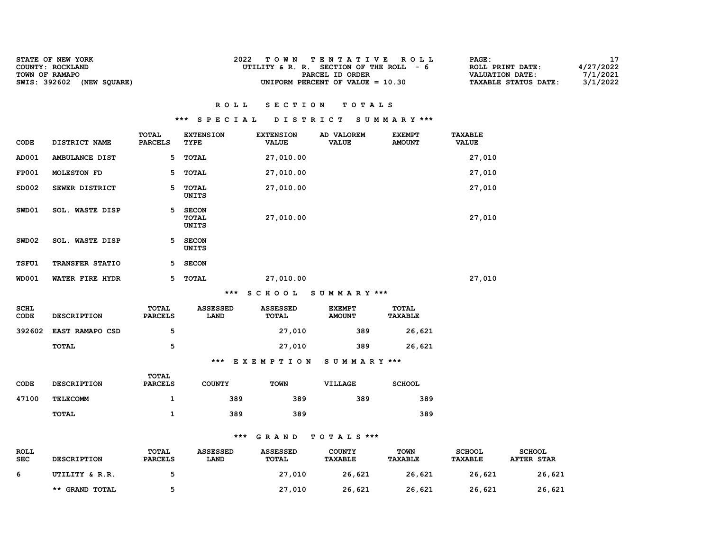| <b>STATE OF NEW YORK</b><br>COUNTY: ROCKLAND   | 2022<br>TOWN TENTATIVE ROLL<br>UTILITY & R. R. SECTION OF THE ROLL $-6$ | <b>PAGE :</b><br>ROLL PRINT DATE:              | 4/27/2022            |
|------------------------------------------------|-------------------------------------------------------------------------|------------------------------------------------|----------------------|
| TOWN OF RAMAPO<br>SWIS: 392602<br>(NEW SOUARE) | PARCEL ID ORDER<br>UNIFORM PERCENT OF VALUE $= 10.30$                   | VALUATION DATE:<br><b>TAXABLE STATUS DATE:</b> | 7/1/2021<br>3/1/2022 |

# \*\*\* S P E C I A L D I S T R I C T S U M M A R Y \*\*\*

| <b>CODE</b>                | DISTRICT NAME          | <b>TOTAL</b><br><b>PARCELS</b> | <b>EXTENSION</b><br>TYPE                | <b>EXTENSION</b><br><b>VALUE</b> | AD VALOREM<br><b>VALUE</b>     | <b>EXEMPT</b><br><b>AMOUNT</b> | <b>TAXABLE</b><br><b>VALUE</b> |
|----------------------------|------------------------|--------------------------------|-----------------------------------------|----------------------------------|--------------------------------|--------------------------------|--------------------------------|
| AD001                      | AMBULANCE DIST         | 5                              | <b>TOTAL</b>                            | 27,010.00                        |                                |                                | 27,010                         |
| <b>FP001</b>               | <b>MOLESTON FD</b>     | 5                              | <b>TOTAL</b>                            | 27,010.00                        |                                |                                | 27,010                         |
| SD002                      | SEWER DISTRICT         | 5                              | <b>TOTAL</b><br><b>UNITS</b>            | 27,010.00                        |                                |                                | 27,010                         |
| SWD01                      | SOL. WASTE DISP        |                                | 5 SECON<br><b>TOTAL</b><br><b>UNITS</b> | 27,010.00                        |                                |                                | 27,010                         |
| SWD02                      | <b>SOL. WASTE DISP</b> |                                | 5 SECON<br><b>UNITS</b>                 |                                  |                                |                                |                                |
| TSFU1                      | TRANSFER STATIO        | 5                              | <b>SECON</b>                            |                                  |                                |                                |                                |
| <b>WD001</b>               | WATER FIRE HYDR        | 5                              | TOTAL                                   | 27,010.00                        |                                |                                | 27,010                         |
|                            |                        |                                |                                         | $***$<br>SCHOOL                  | SUMMARY ***                    |                                |                                |
| <b>SCHL</b><br><b>CODE</b> | <b>DESCRIPTION</b>     | TOTAL<br><b>PARCELS</b>        | <b>ASSESSED</b><br>LAND                 | <b>ASSESSED</b><br><b>TOTAL</b>  | <b>EXEMPT</b><br><b>AMOUNT</b> | <b>TOTAL</b><br>TAXABLE        |                                |
| 392602                     | EAST RAMAPO CSD        | 5                              |                                         | 27,010                           | 389                            | 26,621                         |                                |
|                            | <b>TOTAL</b>           | 5                              |                                         | 27,010                           | 389                            | 26,621                         |                                |
|                            |                        |                                |                                         | *** EXEMPTION                    | SUMMARY ***                    |                                |                                |
| CODE                       | <b>DESCRIPTION</b>     | TOTAL<br><b>PARCELS</b>        | <b>COUNTY</b>                           | <b>TOWN</b>                      | VILLAGE                        | <b>SCHOOL</b>                  |                                |
| 47100                      | <b>TELECOMM</b>        | $\mathbf{1}$                   |                                         | 389<br>389                       | 389                            | 389                            |                                |
|                            | TOTAL                  | 1                              |                                         | 389<br>389                       |                                | 389                            |                                |

| <b>ROLL</b><br><b>SEC</b> | <b>DESCRIPTION</b> | <b>TOTAL</b><br><b>PARCELS</b> | <b>ASSESSED</b><br><b>LAND</b> | <b>ASSESSED</b><br>TOTAL | <b>COUNTY</b><br><b>TAXABLE</b> | TOWN<br><b>TAXABLE</b> | <b>SCHOOL</b><br><b>TAXABLE</b> | <b>SCHOOL</b><br><b>AFTER STAR</b> |
|---------------------------|--------------------|--------------------------------|--------------------------------|--------------------------|---------------------------------|------------------------|---------------------------------|------------------------------------|
| 6                         | UTILITY & R.R.     |                                |                                | 27,010                   | 26,621                          | 26,621                 | 26,621                          | 26,621                             |
|                           | ** GRAND TOTAL     |                                |                                | 27,010                   | 26,621                          | 26,621                 | 26,621                          | 26,621                             |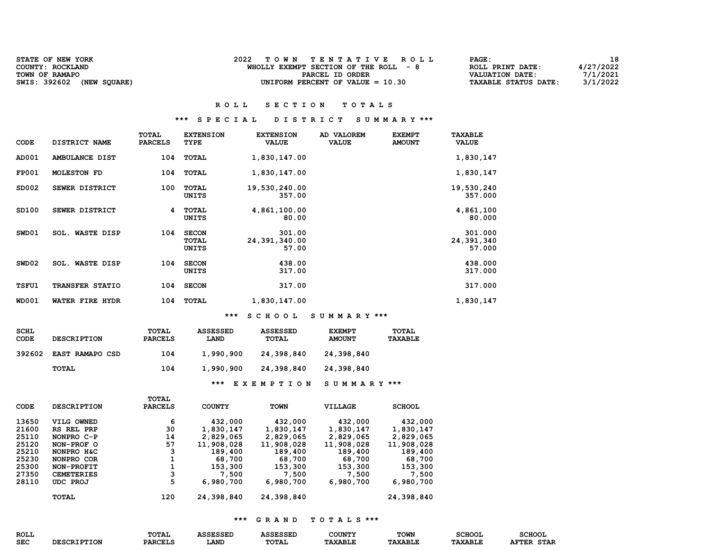| <b>STATE OF NEW YORK</b>     | TOWN TENTATIVE ROLL                    | <b>PAGE :</b>               | 18        |
|------------------------------|----------------------------------------|-----------------------------|-----------|
| COUNTY: ROCKLAND             | WHOLLY EXEMPT SECTION OF THE ROLL $-8$ | ROLL PRINT DATE:            | 4/27/2022 |
| TOWN OF RAMAPO               | PARCEL ID ORDER                        | VALUATION DATE:             | 7/1/2021  |
| SWIS: 392602<br>(NEW SOUARE) | UNIFORM PERCENT OF VALUE $= 10.30$     | <b>TAXABLE STATUS DATE:</b> | 3/1/2022  |

# \*\*\* S P E C I A L D I S T R I C T S U M M A R Y \*\*\*

| CODE         | DISTRICT NAME             | <b>TOTAL</b><br><b>PARCELS</b> | <b>EXTENSION</b><br>TYPE       | <b>EXTENSION</b><br><b>VALUE</b>   | <b>AD VALOREM</b><br><b>VALUE</b> | <b>EXEMPT</b><br><b>AMOUNT</b> | <b>TAXABLE</b><br><b>VALUE</b>  |
|--------------|---------------------------|--------------------------------|--------------------------------|------------------------------------|-----------------------------------|--------------------------------|---------------------------------|
| AD001        | AMBULANCE DIST            | 104                            | TOTAL                          | 1,830,147.00                       |                                   |                                | 1,830,147                       |
| <b>FP001</b> | <b>MOLESTON FD</b>        | 104                            | TOTAL                          | 1,830,147.00                       |                                   |                                | 1,830,147                       |
| SD002        | SEWER DISTRICT            | 100                            | <b>TOTAL</b><br>UNITS          | 19,530,240.00<br>357.00            |                                   |                                | 19,530,240<br>357.000           |
| SD100        | SEWER DISTRICT            | 4                              | TOTAL<br>UNITS                 | 4,861,100.00<br>80.00              |                                   |                                | 4,861,100<br>80.000             |
| SWD01        | <b>WASTE DISP</b><br>SOL. | 104                            | <b>SECON</b><br>TOTAL<br>UNITS | 301.00<br>24, 391, 340.00<br>57.00 |                                   |                                | 301.000<br>24,391,340<br>57.000 |
| SWD02        | <b>WASTE DISP</b><br>SOL. | 104                            | <b>SECON</b><br>UNITS          | 438.00<br>317.00                   |                                   |                                | 438.000<br>317.000              |
| <b>TSFU1</b> | TRANSFER STATIO           | 104                            | <b>SECON</b>                   | 317.00                             |                                   |                                | 317.000                         |
| <b>WD001</b> | WATER FIRE HYDR           | 104                            | TOTAL                          | 1,830,147.00                       |                                   |                                | 1,830,147                       |
|              |                           |                                | $***$                          | <b>CHOOL</b><br>s                  | SUMMARY ***                       |                                |                                 |

| SCHL<br>CODE | <b>DESCRIPTION</b>     | <b>TOTAL</b><br><b>PARCELS</b> | <b>ASSESSED</b><br>LAND | <b>ASSESSED</b><br><b>TOTAL</b> | <b>EXEMPT</b><br><b>AMOUNT</b> | TOTAL<br>TAXABLE |
|--------------|------------------------|--------------------------------|-------------------------|---------------------------------|--------------------------------|------------------|
| 392602       | <b>EAST RAMAPO CSD</b> | 104                            | 1,990,900               | 24,398,840                      | 24,398,840                     |                  |
|              | TOTAL                  | 104                            | 1,990,900               | 24,398,840                      | 24,398,840                     |                  |
|              |                        |                                | ***                     | EXEMPTION                       | SUMMARY ***                    |                  |

|             |                    | TOTAL          |               |             |            |               |
|-------------|--------------------|----------------|---------------|-------------|------------|---------------|
| <b>CODE</b> | <b>DESCRIPTION</b> | <b>PARCELS</b> | <b>COUNTY</b> | <b>TOWN</b> | VILLAGE    | <b>SCHOOL</b> |
| 13650       | VILG OWNED         | 6              | 432,000       | 432,000     | 432,000    | 432,000       |
| 21600       | RS REL PRP         | 30             | 1,830,147     | 1,830,147   | 1,830,147  | 1,830,147     |
| 25110       | NONPRO C-P         | 14             | 2,829,065     | 2,829,065   | 2,829,065  | 2,829,065     |
| 25120       | NON-PROF O         | 57             | 11,908,028    | 11,908,028  | 11,908,028 | 11,908,028    |
| 25210       | NONPRO H&C         | з              | 189,400       | 189,400     | 189,400    | 189,400       |
| 25230       | NONPRO COR         | 1              | 68,700        | 68,700      | 68,700     | 68,700        |
| 25300       | NON-PROFIT         | 1              | 153,300       | 153,300     | 153,300    | 153,300       |
| 27350       | <b>CEMETERIES</b>  | 3              | 7,500         | 7,500       | 7,500      | 7,500         |
| 28110       | UDC PROJ           | 5              | 6,980,700     | 6,980,700   | 6,980,700  | 6,980,700     |
|             | <b>TOTAL</b>       | 120            | 24,398,840    | 24,398,840  |            | 24,398,840    |

| <b>ROLI</b> |     | TOTAL          | 5005F          | _______      | <b>- ייזא</b> ט. | <b>TOWN</b> |        | $-$  |
|-------------|-----|----------------|----------------|--------------|------------------|-------------|--------|------|
| <b>SEC</b>  | ΤЕ. | <b>PARCELS</b> | ידר הי<br>LANI | <b>TOTAT</b> |                  |             | المساف | 医血管石 |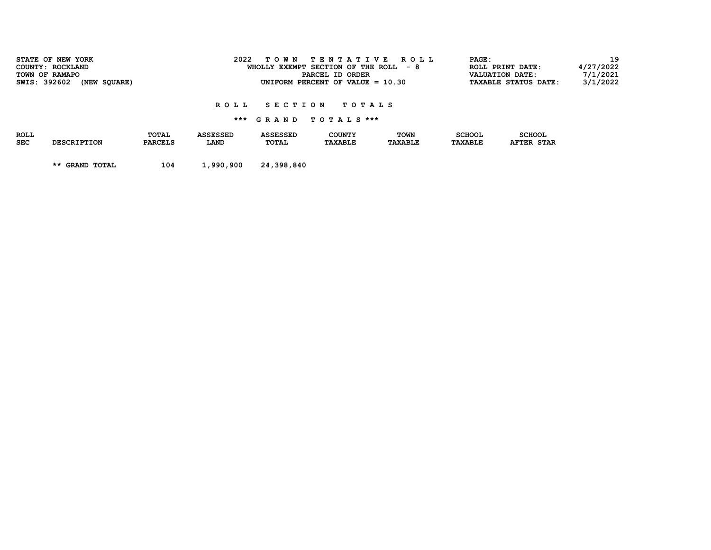| SWIS: 392602       | STATE OF NEW YORK<br>COUNTY: ROCKLAND<br>TOWN OF RAMAPO<br>(NEW SOUARE) |                         | 2022                           |                          | TOWN TENTATIVE ROLL<br>WHOLLY EXEMPT SECTION OF THE ROLL $-8$<br>PARCEL ID ORDER<br>UNIFORM PERCENT OF VALUE $= 10.30$ |                               | PAGE:                           | ROLL PRINT DATE:<br>VALUATION DATE:<br><b>TAXABLE STATUS DATE:</b> | 19<br>4/27/2022<br>7/1/2021<br>3/1/2022 |
|--------------------|-------------------------------------------------------------------------|-------------------------|--------------------------------|--------------------------|------------------------------------------------------------------------------------------------------------------------|-------------------------------|---------------------------------|--------------------------------------------------------------------|-----------------------------------------|
|                    |                                                                         |                         |                                | ROLL SECTION             | TOTAL S                                                                                                                |                               |                                 |                                                                    |                                         |
|                    | *** GRAND TOTALS ***                                                    |                         |                                |                          |                                                                                                                        |                               |                                 |                                                                    |                                         |
| ROLL<br><b>SEC</b> | <b>DESCRIPTION</b>                                                      | TOTAL<br><b>PARCELS</b> | <b>ASSESSED</b><br><b>LAND</b> | <b>ASSESSED</b><br>TOTAL | COUNTY<br>TAXABLE                                                                                                      | <b>TOWN</b><br><b>TAXABLE</b> | <b>SCHOOL</b><br><b>TAXABLE</b> | <b>SCHOOL</b><br><b>AFTER STAR</b>                                 |                                         |

\*\* GRAND TOTAL 104 1,990,900 24,398,840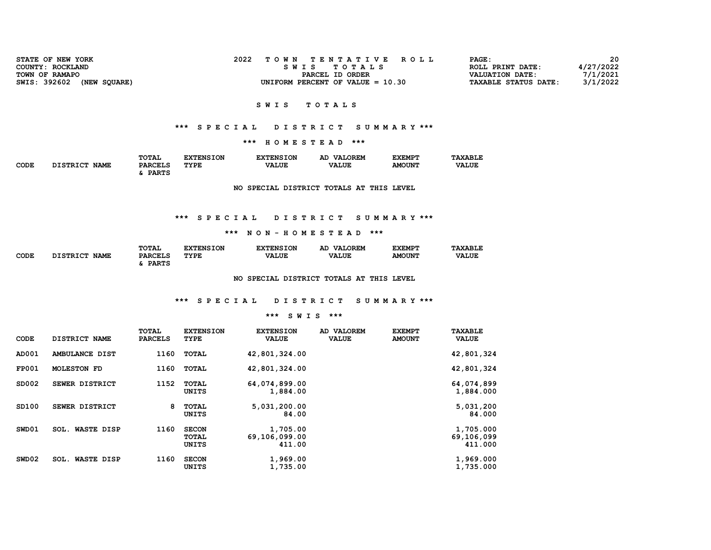| <b>STATE OF NEW YORK</b>     | 2022<br>TOWN TENTATIVE ROLL        | 20<br>PAGE:                             |
|------------------------------|------------------------------------|-----------------------------------------|
| COUNTY: ROCKLAND             | SWIS TOTALS                        | 4/27/2022<br>ROLL PRINT DATE:           |
| TOWN OF RAMAPO               | PARCEL ID ORDER                    | 7/1/2021<br><b>VALUATION DATE:</b>      |
| SWIS: 392602<br>(NEW SOUARE) | UNIFORM PERCENT OF VALUE $= 10.30$ | 3/1/2022<br><b>TAXABLE STATUS DATE:</b> |
|                              |                                    |                                         |

#### S W I S T O T A L S

## \*\*\* S P E C I A L D I S T R I C T S U M M A R Y \*\*\*

\*\*\* H O M E S T E A D \*\*\*

|             |                                | TOTAL          | <b>'XTENSION</b> | <b>EXTENSION</b> | <b>VALOREM</b><br>AD | <b>EXEMPT</b> | <b>TAXABLE</b> |
|-------------|--------------------------------|----------------|------------------|------------------|----------------------|---------------|----------------|
| CODE<br>- - | <b>DISTRICT</b><br><b>NAME</b> | <b>PARCELS</b> | TYPE             | <b>VALUE</b>     | <b>VALUE</b>         | <b>AMOUNT</b> | <b>VALUE</b>   |
|             |                                | <b>DADTC</b>   |                  |                  |                      |               |                |

NO SPECIAL DISTRICT TOTALS AT THIS LEVEL

## \*\*\* S P E C I A L D I S T R I C T S U M M A R Y \*\*\*

#### \*\*\* N O N - H O M E S T E A D \*\*\*

|             |                           | TOTAL          | <b>NSION</b><br>™TN< . | <b>EXTENSION</b> | LOREM<br>VAT.<br>АC | <b>EXEMPT</b> | <b>TAXABLE</b> |
|-------------|---------------------------|----------------|------------------------|------------------|---------------------|---------------|----------------|
| CODE<br>___ | חמד סחס דר<br><b>NAME</b> | <b>PARCELS</b> | TYPE                   | <b>VALUE</b>     | <b>VALUE</b>        | <b>AMOUNT</b> | <b>VALUE</b>   |
|             |                           | <b>DADMC</b>   |                        |                  |                     |               |                |

NO SPECIAL DISTRICT TOTALS AT THIS LEVEL

## \*\*\* S P E C I A L D I S T R I C T S U M M A R Y \*\*\*

#### \*\*\* S W I S \*\*\*

| CODE         | DISTRICT NAME             | <b>TOTAL</b><br><b>PARCELS</b> | <b>EXTENSION</b><br>TYPE       | <b>EXTENSION</b><br><b>VALUE</b>    | AD VALOREM<br><b>VALUE</b> | <b>EXEMPT</b><br><b>AMOUNT</b> | <b>TAXABLE</b><br><b>VALUE</b>     |
|--------------|---------------------------|--------------------------------|--------------------------------|-------------------------------------|----------------------------|--------------------------------|------------------------------------|
| AD001        | <b>AMBULANCE DIST</b>     | 1160                           | <b>TOTAL</b>                   | 42,801,324.00                       |                            |                                | 42,801,324                         |
| <b>FP001</b> | <b>MOLESTON FD</b>        | 1160                           | <b>TOTAL</b>                   | 42,801,324.00                       |                            |                                | 42,801,324                         |
| SD002        | SEWER DISTRICT            | 1152                           | TOTAL<br>UNITS                 | 64,074,899.00<br>1,884.00           |                            |                                | 64,074,899<br>1,884.000            |
| SD100        | SEWER DISTRICT            | 8                              | TOTAL<br>UNITS                 | 5,031,200.00<br>84.00               |                            |                                | 5,031,200<br>84.000                |
| SWD01        | <b>WASTE DISP</b><br>SOL. | 1160                           | <b>SECON</b><br>TOTAL<br>UNITS | 1,705.00<br>69,106,099.00<br>411.00 |                            |                                | 1,705.000<br>69,106,099<br>411.000 |
| SWD02        | <b>WASTE DISP</b><br>SOL. | 1160                           | <b>SECON</b><br>UNITS          | 1,969.00<br>1,735.00                |                            |                                | 1,969.000<br>1,735.000             |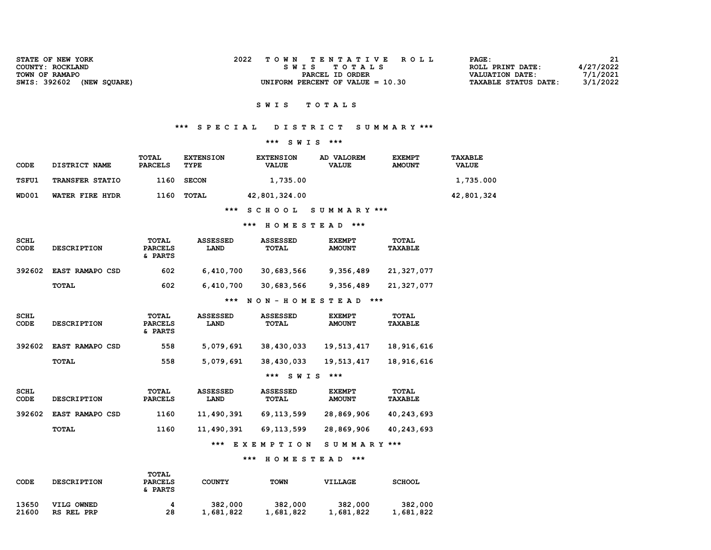| 2022<br>STATE OF NEW YORK    | TOWN TENTATIVE ROLL                | PAGE:                |           |
|------------------------------|------------------------------------|----------------------|-----------|
| COUNTY: ROCKLAND             | SWIS TOTALS                        | ROLL PRINT DATE:     | 4/27/2022 |
| TOWN OF RAMAPO               | PARCEL ID ORDER                    | VALUATION DATE:      | 7/1/2021  |
| SWIS: 392602<br>(NEW SOUARE) | UNIFORM PERCENT OF VALUE $= 10.30$ | TAXABLE STATUS DATE: | 3/1/2022  |

## S W I S T O T A L S

# \*\*\* S P E C I A L D I S T R I C T S U M M A R Y \*\*\*

#### \*\*\* S W I S \*\*\*

| <b>CODE</b>  | DISTRICT NAME          | TOTAL<br><b>PARCELS</b> | <b>EXTENSION</b><br>TYPE | <b>EXTENSION</b><br><b>VALUE</b> | AD VALOREM<br><b>VALUE</b> | <b>EXEMPT</b><br><b>AMOUNT</b> | TAXABLE<br><b>VALUE</b> |
|--------------|------------------------|-------------------------|--------------------------|----------------------------------|----------------------------|--------------------------------|-------------------------|
| TSFU1        | <b>TRANSFER STATIO</b> | 1160                    | <b>SECON</b>             | 1,735.00                         |                            |                                | 1,735.000               |
| <b>WD001</b> | WATER FIRE HYDR        | 1160                    | <b>TOTAL</b>             | 42,801,324.00                    |                            |                                | 42,801,324              |

\*\*\* S C H O O L S U M M A R Y \*\*\*

#### \*\*\* H O M E S T E A D \*\*\*

| SCHL<br>CODE | <b>DESCRIPTION</b>     | TOTAL<br><b>PARCELS</b><br>& PARTS | <b>ASSESSED</b><br>LAND | <b>ASSESSED</b><br>TOTAL | <b>EXEMPT</b><br><b>AMOUNT</b> | TOTAL<br><b>TAXABLE</b> |
|--------------|------------------------|------------------------------------|-------------------------|--------------------------|--------------------------------|-------------------------|
| 392602       | <b>EAST RAMAPO CSD</b> | 602                                | 6,410,700               | 30,683,566               | 9,356,489                      | 21,327,077              |
|              | TOTAL                  | 602                                | 6,410,700               | 30,683,566               | 9,356,489                      | 21,327,077              |
|              |                        |                                    | ***                     | NON - HOMESTEAD          | ***                            |                         |

| <b>SCHL</b><br><b>CODE</b> | <b>DESCRIPTION</b>     | TOTAL<br><b>PARCELS</b><br>& PARTS | <b>ASSESSED</b><br>LAND | <b>ASSESSED</b><br>TOTAL | <b>EXEMPT</b><br><b>AMOUNT</b> | <b>TOTAL</b><br><b>TAXABLE</b> |
|----------------------------|------------------------|------------------------------------|-------------------------|--------------------------|--------------------------------|--------------------------------|
| 392602                     | <b>EAST RAMAPO CSD</b> | 558                                | 5,079,691               | 38,430,033               | 19,513,417                     | 18,916,616                     |
|                            | <b>TOTAL</b>           | 558                                | 5,079,691               | 38,430,033               | 19,513,417                     | 18,916,616                     |
|                            |                        |                                    |                         | ***<br><b>SWIS</b>       | ***                            |                                |

| <b>SCHL</b><br>CODE | <b>DESCRIPTION</b> | <b>TOTAL</b><br><b>PARCELS</b> | <b>ASSESSED</b><br>LAND | <b>ASSESSED</b><br>TOTAL | <b>EXEMPT</b><br><b>AMOUNT</b> | <b>TOTAL</b><br><b>TAXABLE</b> |
|---------------------|--------------------|--------------------------------|-------------------------|--------------------------|--------------------------------|--------------------------------|
| 392602              | EAST RAMAPO CSD    | 1160                           | 11,490,391              | 69, 113, 599             | 28,869,906                     | 40,243,693                     |
|                     | TOTAL              | 1160                           | 11,490,391              | 69, 113, 599             | 28,869,906                     | 40,243,693                     |
|                     |                    |                                | ***                     | EXEMPTION                | SUMMARY ***                    |                                |

## \*\*\* H O M E S T E A D \*\*\*

| CODE  | <b>DESCRIPTION</b> | <b>TOTAL</b><br><b>PARCELS</b><br>& PARTS | <b>COUNTY</b> | <b>TOWN</b> | VILLAGE   | <b>SCHOOL</b> |
|-------|--------------------|-------------------------------------------|---------------|-------------|-----------|---------------|
| 13650 | VILG OWNED         | 4                                         | 382,000       | 382,000     | 382,000   | 382,000       |
| 21600 | RS REL PRP         | 28                                        | 1,681,822     | 1,681,822   | 1,681,822 | 1,681,822     |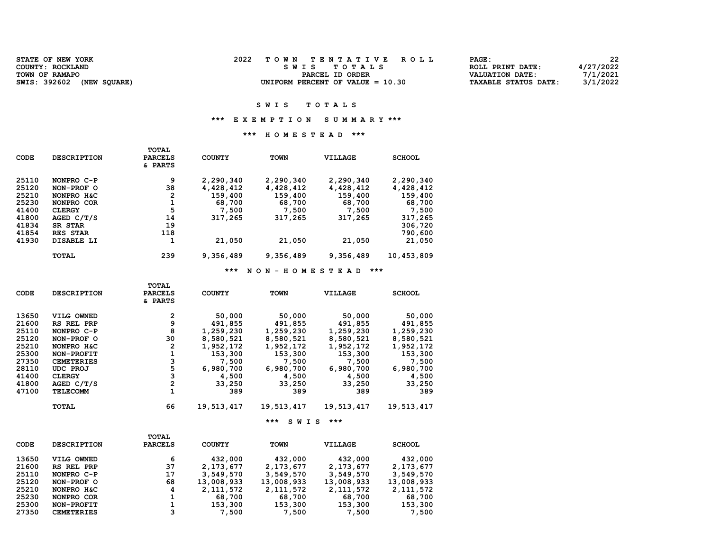| <b>STATE OF NEW YORK</b>     | TOWN TENTATIVE ROLL                | <b>PAGE:</b>                | 22        |
|------------------------------|------------------------------------|-----------------------------|-----------|
| COUNTY: ROCKLAND             | SWIS TOTALS                        | ROLL PRINT DATE:            | 4/27/2022 |
| TOWN OF RAMAPO               | PARCEL ID ORDER                    | <b>VALUATION DATE:</b>      | 7/1/2021  |
| SWIS: 392602<br>(NEW SOUARE) | UNIFORM PERCENT OF VALUE $= 10.30$ | <b>TAXABLE STATUS DATE:</b> | 3/1/2022  |

### \*\*\* E X E M P T I O N S U M M A R Y \*\*\*

#### \*\*\* H O M E S T E A D \*\*\*

| <b>CODE</b> | <b>DESCRIPTION</b> | <b>TOTAL</b><br><b>PARCELS</b><br>& PARTS | <b>COUNTY</b> | <b>TOWN</b> | <b>VILLAGE</b> | <b>SCHOOL</b> |
|-------------|--------------------|-------------------------------------------|---------------|-------------|----------------|---------------|
| 25110       | NONPRO C-P         | 9                                         | 2,290,340     | 2,290,340   | 2,290,340      | 2,290,340     |
| 25120       | NON-PROF O         | 38                                        | 4,428,412     | 4,428,412   | 4,428,412      | 4,428,412     |
| 25210       | NONPRO H&C         | 2                                         | 159,400       | 159,400     | 159,400        | 159,400       |
| 25230       | NONPRO COR         |                                           | 68,700        | 68,700      | 68,700         | 68,700        |
| 41400       | <b>CLERGY</b>      | 5                                         | 7,500         | 7,500       | 7,500          | 7,500         |
| 41800       | AGED C/T/S         | 14                                        | 317,265       | 317,265     | 317,265        | 317,265       |
| 41834       | <b>SR STAR</b>     | 19                                        |               |             |                | 306,720       |
| 41854       | <b>RES STAR</b>    | 118                                       |               |             |                | 790,600       |
| 41930       | DISABLE LI         |                                           | 21,050        | 21,050      | 21,050         | 21,050        |
|             | <b>TOTAL</b>       | 239                                       | 9,356,489     | 9,356,489   | 9,356,489      | 10,453,809    |

#### \*\*\* N O N - H O M E S T E A D \*\*\*

|             |                    | TOTAL          |               |                               |                |               |
|-------------|--------------------|----------------|---------------|-------------------------------|----------------|---------------|
| <b>CODE</b> | <b>DESCRIPTION</b> | <b>PARCELS</b> | <b>COUNTY</b> | <b>TOWN</b>                   | <b>VILLAGE</b> | <b>SCHOOL</b> |
|             |                    | & PARTS        |               |                               |                |               |
|             |                    |                |               |                               |                |               |
| 13650       | VILG OWNED         | 2              | 50,000        | 50,000                        | 50,000         | 50,000        |
| 21600       | RS REL PRP         | 9              | 491,855       | 491,855                       | 491,855        | 491,855       |
| 25110       | NONPRO C-P         | 8              | 1,259,230     | 1,259,230                     | 1,259,230      | 1,259,230     |
| 25120       | NON-PROF O         | 30             | 8,580,521     | 8,580,521                     | 8,580,521      | 8,580,521     |
| 25210       | NONPRO H&C         | $\overline{2}$ | 1,952,172     | 1,952,172                     | 1,952,172      | 1,952,172     |
| 25300       | NON-PROFIT         | 1              | 153,300       | 153,300                       | 153,300        | 153,300       |
| 27350       | <b>CEMETERIES</b>  | 3              | 7,500         | 7,500                         | 7,500          | 7,500         |
| 28110       | <b>UDC PROJ</b>    | 5              | 6,980,700     | 6,980,700                     | 6,980,700      | 6,980,700     |
| 41400       | <b>CLERGY</b>      | 3              | 4,500         | 4,500                         | 4,500          | 4,500         |
| 41800       | AGED $C/T/S$       | $\overline{2}$ | 33,250        | 33,250                        | 33,250         | 33,250        |
| 47100       | <b>TELECOMM</b>    | 1              | 389           | 389                           | 389            | 389           |
|             | <b>TOTAL</b>       | 66             | 19,513,417    | 19,513,417                    | 19,513,417     | 19,513,417    |
|             |                    |                |               | ***<br>W<br>s<br>$\mathbf{I}$ | ***<br>s       |               |

|       |                    | TOTAL          |               |             |             |               |
|-------|--------------------|----------------|---------------|-------------|-------------|---------------|
| CODE  | <b>DESCRIPTION</b> | <b>PARCELS</b> | <b>COUNTY</b> | <b>TOWN</b> | VILLAGE     | <b>SCHOOL</b> |
| 13650 | VILG OWNED         | 6              | 432,000       | 432,000     | 432,000     | 432,000       |
| 21600 | RS REL PRP         | 37             | 2, 173, 677   | 2, 173, 677 | 2, 173, 677 | 2, 173, 677   |
| 25110 | NONPRO C-P         | 17             | 3,549,570     | 3,549,570   | 3,549,570   | 3,549,570     |
| 25120 | NON-PROF O         | 68             | 13,008,933    | 13,008,933  | 13,008,933  | 13,008,933    |
| 25210 | NONPRO H&C         | 4              | 2, 111, 572   | 2, 111, 572 | 2, 111, 572 | 2, 111, 572   |
| 25230 | NONPRO COR         | 1              | 68,700        | 68,700      | 68,700      | 68,700        |
| 25300 | NON-PROFIT         | 1              | 153,300       | 153,300     | 153,300     | 153,300       |
| 27350 | <b>CEMETERIES</b>  | 3              | 7,500         | 7,500       | 7,500       | 7,500         |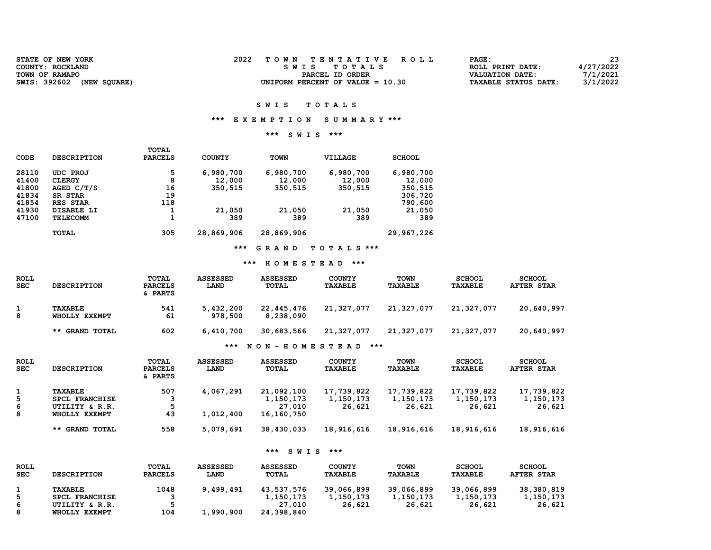| STATE OF NEW YORK            | 2022<br>TOWN TENTATIVE ROLL        | 23<br>PAGE:                             |
|------------------------------|------------------------------------|-----------------------------------------|
| COUNTY: ROCKLAND             | SWIS TOTALS                        | 4/27/2022<br>ROLL PRINT DATE:           |
| TOWN OF RAMAPO               | PARCEL ID ORDER                    | 7/1/2021<br>VALUATION DATE:             |
| SWIS: 392602<br>(NEW SOUARE) | UNIFORM PERCENT OF VALUE $= 10.30$ | 3/1/2022<br><b>TAXABLE STATUS DATE:</b> |
|                              |                                    |                                         |

#### \*\*\* E X E M P T I O N S U M M A R Y \*\*\*

#### \*\*\* S W I S \*\*\*

|             |                    | <b>TOTAL</b>   |               |             |            |               |
|-------------|--------------------|----------------|---------------|-------------|------------|---------------|
| <b>CODE</b> | <b>DESCRIPTION</b> | <b>PARCELS</b> | <b>COUNTY</b> | <b>TOWN</b> | VILLAGE    | <b>SCHOOL</b> |
| 28110       | UDC PROJ           | 5              | 6,980,700     | 6,980,700   | 6,980,700  | 6,980,700     |
| 41400       | <b>CLERGY</b>      | 8              | 12,000        | 12,000      | 12,000     | 12,000        |
| 41800       | AGED $C/T/S$       | 16             | 350,515       | 350,515     | 350,515    | 350,515       |
| 41834       | SR STAR            | 19             |               |             |            | 306,720       |
| 41854       | <b>RES STAR</b>    | 118            |               |             |            | 790,600       |
| 41930       | DISABLE LI         |                | 21,050        | 21,050      | 21,050     | 21,050        |
| 47100       | <b>TELECOMM</b>    |                | 389           | 389         | 389        | 389           |
|             | <b>TOTAL</b>       | 305            | 28,869,906    | 28,869,906  |            | 29,967,226    |
|             |                    |                | ***           | GRAND       | TOTALS *** |               |

#### \*\*\* H O M E S T E A D \*\*\*

| <b>ROLL</b><br><b>SEC</b> | <b>DESCRIPTION</b>       | TOTAL<br><b>PARCELS</b><br>& PARTS | <b>ASSESSED</b><br>LAND | <b>ASSESSED</b><br>TOTAL | <b>COUNTY</b><br><b>TAXABLE</b> | TOWN<br><b>TAXABLE</b> | <b>SCHOOL</b><br>TAXABLE | <b>SCHOOL</b><br><b>AFTER STAR</b> |
|---------------------------|--------------------------|------------------------------------|-------------------------|--------------------------|---------------------------------|------------------------|--------------------------|------------------------------------|
| 8                         | TAXABLE<br>WHOLLY EXEMPT | 541<br>61                          | 5,432,200<br>978,500    | 22,445,476<br>8,238,090  | 21,327,077                      | 21,327,077             | 21,327,077               | 20,640,997                         |
|                           | ** GRAND TOTAL           | 602                                | 6,410,700               | 30,683,566               | 21,327,077                      | 21,327,077             | 21,327,077               | 20,640,997                         |

#### \*\*\* N O N - H O M E S T E A D \*\*\*

| <b>ROLL</b><br><b>SEC</b> | <b>DESCRIPTION</b>                                                  | TOTAL<br><b>PARCELS</b><br>& PARTS | <b>ASSESSED</b><br>LAND | <b>ASSESSED</b><br>TOTAL                        | <b>COUNTY</b><br><b>TAXABLE</b>   | <b>TOWN</b><br><b>TAXABLE</b>     | <b>SCHOOL</b><br><b>TAXABLE</b>   | <b>SCHOOL</b><br><b>AFTER STAR</b> |
|---------------------------|---------------------------------------------------------------------|------------------------------------|-------------------------|-------------------------------------------------|-----------------------------------|-----------------------------------|-----------------------------------|------------------------------------|
| 5<br>6<br>8               | <b>TAXABLE</b><br>SPCL FRANCHISE<br>UTILITY & R.R.<br>WHOLLY EXEMPT | 507<br>43                          | 4,067,291<br>1,012,400  | 21,092,100<br>1,150,173<br>27,010<br>16,160,750 | 17,739,822<br>1,150,173<br>26,621 | 17,739,822<br>1,150,173<br>26,621 | 17,739,822<br>1,150,173<br>26,621 | 17,739,822<br>1,150,173<br>26,621  |
|                           | ** GRAND TOTAL                                                      | 558                                | 5,079,691               | 38,430,033                                      | 18,916,616                        | 18,916,616                        | 18,916,616                        | 18,916,616                         |

#### \*\*\* S W I S \*\*\*

| <b>ROLL</b><br><b>SEC</b> | <b>DESCRIPTION</b> | TOTAL<br><b>PARCELS</b> | <b>ASSESSED</b><br>LAND | <b>ASSESSED</b><br>TOTAL | <b>COUNTY</b><br><b>TAXABLE</b> | <b>TOWN</b><br><b>TAXABLE</b> | <b>SCHOOL</b><br>TAXABLE | <b>SCHOOL</b><br><b>AFTER STAR</b> |
|---------------------------|--------------------|-------------------------|-------------------------|--------------------------|---------------------------------|-------------------------------|--------------------------|------------------------------------|
|                           | TAXABLE            | 1048                    | 9,499,491               | 43,537,576               | 39,066,899                      | 39,066,899                    | 39,066,899               | 38,380,819                         |
| 5.                        | SPCL FRANCHISE     |                         |                         | 1,150,173                | 1,150,173                       | 1,150,173                     | 1,150,173                | 1,150,173                          |
| 6                         | UTILITY & R.R.     |                         |                         | 27,010                   | 26,621                          | 26,621                        | 26,621                   | 26,621                             |
| 8                         | WHOLLY EXEMPT      | 104                     | 1,990,900               | 24,398,840               |                                 |                               |                          |                                    |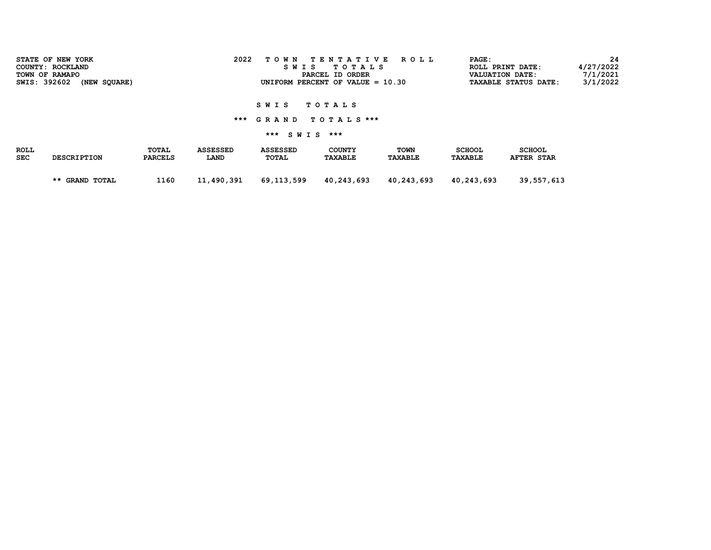| SWIS: 392602              | STATE OF NEW YORK<br>COUNTY: ROCKLAND<br>TOWN OF RAMAPO<br>(NEW SQUARE) |                         | 2022                    | T O W N<br>S W I S       | TENTATIVE<br>TOTAL S<br>PARCEL ID ORDER<br>UNIFORM PERCENT OF VALUE = $10.30$ | R O L L                       | PAGE:<br><b>VALUATION DATE:</b> | ROLL PRINT DATE:<br><b>TAXABLE STATUS DATE:</b> | -24<br>4/27/2022<br>7/1/2021<br>3/1/2022 |
|---------------------------|-------------------------------------------------------------------------|-------------------------|-------------------------|--------------------------|-------------------------------------------------------------------------------|-------------------------------|---------------------------------|-------------------------------------------------|------------------------------------------|
|                           |                                                                         |                         |                         | <b>SWIS</b>              | TOTAL S                                                                       |                               |                                 |                                                 |                                          |
|                           |                                                                         |                         |                         | *** GRAND TOTALS ***     |                                                                               |                               |                                 |                                                 |                                          |
|                           |                                                                         |                         |                         | *** SWIS ***             |                                                                               |                               |                                 |                                                 |                                          |
| <b>ROLL</b><br><b>SEC</b> | <b>DESCRIPTION</b>                                                      | TOTAL<br><b>PARCELS</b> | <b>ASSESSED</b><br>LAND | <b>ASSESSED</b><br>TOTAL | <b>COUNTY</b><br><b>TAXABLE</b>                                               | <b>TOWN</b><br><b>TAXABLE</b> | <b>SCHOOL</b><br>TAXABLE        | <b>SCHOOL</b><br><b>AFTER STAR</b>              |                                          |
|                           | ** GRAND TOTAL                                                          | 1160                    | 11,490,391              | 69,113,599               | 40,243,693                                                                    | 40,243,693                    | 40,243,693                      | 39,557,613                                      |                                          |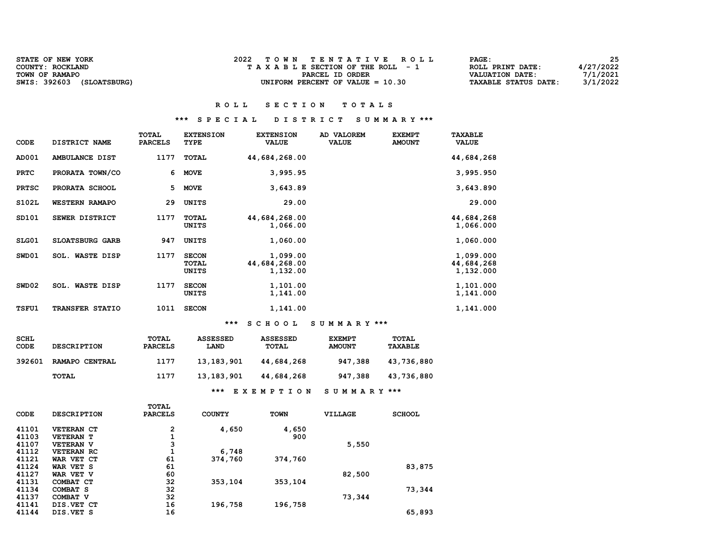| <b>STATE OF NEW YORK</b>     | TOWN TENTATIVE ROLL                | 25<br><b>PAGE :</b>                     |
|------------------------------|------------------------------------|-----------------------------------------|
| COUNTY: ROCKLAND             | TAXABLE SECTION OF THE ROLL - 1    | 4/27/2022<br>ROLL PRINT DATE:           |
| TOWN OF RAMAPO               | PARCEL ID ORDER                    | 7/1/2021<br>VALUATION DATE:             |
| SWIS: 392603<br>(SLOATSBURG) | UNIFORM PERCENT OF VALUE $= 10.30$ | 3/1/2022<br><b>TAXABLE STATUS DATE:</b> |

# R O L L S E C T I O N T O T A L S

#### \*\*\* S P E C I A L D I S T R I C T S U M M A R Y \*\*\*

| CODE         | DISTRICT NAME          | <b>TOTAL</b><br><b>PARCELS</b> | <b>EXTENSION</b><br>TYPE       | <b>EXTENSION</b><br><b>VALUE</b>      | AD VALOREM<br><b>VALUE</b> | <b>EXEMPT</b><br><b>AMOUNT</b> | <b>TAXABLE</b><br><b>VALUE</b>       |
|--------------|------------------------|--------------------------------|--------------------------------|---------------------------------------|----------------------------|--------------------------------|--------------------------------------|
| AD001        | AMBULANCE DIST         | 1177                           | TOTAL                          | 44,684,268.00                         |                            |                                | 44,684,268                           |
| PRTC         | PRORATA TOWN/CO        | 6                              | <b>MOVE</b>                    | 3,995.95                              |                            |                                | 3,995.950                            |
| <b>PRTSC</b> | PRORATA SCHOOL         | 5                              | <b>MOVE</b>                    | 3,643.89                              |                            |                                | 3,643.890                            |
| <b>S102L</b> | <b>WESTERN RAMAPO</b>  | 29                             | UNITS                          | 29.00                                 |                            |                                | 29.000                               |
| SD101        | SEWER DISTRICT         | 1177                           | <b>TOTAL</b><br>UNITS          | 44,684,268.00<br>1,066.00             |                            |                                | 44,684,268<br>1,066.000              |
| SLG01        | SLOATSBURG GARB        | 947                            | UNITS                          | 1,060.00                              |                            |                                | 1,060.000                            |
| SWD01        | SOL. WASTE DISP        | 1177                           | <b>SECON</b><br>TOTAL<br>UNITS | 1,099.00<br>44,684,268.00<br>1,132.00 |                            |                                | 1,099.000<br>44,684,268<br>1,132.000 |
| SWD02        | <b>SOL. WASTE DISP</b> | 1177                           | <b>SECON</b><br>UNITS          | 1,101.00<br>1,141.00                  |                            |                                | 1,101.000<br>1,141.000               |
| <b>TSFU1</b> | TRANSFER STATIO        | 1011                           | <b>SECON</b>                   | 1,141.00                              |                            |                                | 1,141.000                            |
|              |                        |                                |                                | .                                     | ---------------            |                                |                                      |

## \*\*\* S C H O O L S U M M A R Y \*\*\*

| <b>SCHL</b><br>CODE | <b>DESCRIPTION</b> | TOTAL<br><b>PARCELS</b> | <b>ASSESSED</b><br><b>LAND</b> | <b>ASSESSED</b><br>TOTAL | <b>EXEMPT</b><br><b>AMOUNT</b> | TOTAL<br><b>TAXABLE</b> |
|---------------------|--------------------|-------------------------|--------------------------------|--------------------------|--------------------------------|-------------------------|
| 392601              | RAMAPO CENTRAL     | 1177                    | 13,183,901                     | 44,684,268               | 947,388                        | 43,736,880              |
|                     | TOTAL              | 1177                    | 13,183,901                     | 44,684,268               | 947,388                        | 43,736,880              |
|                     |                    |                         | ***                            | EXEMPTION                | SUMMARY ***                    |                         |

|             |                    | <b>TOTAL</b>   |               |             |         |               |
|-------------|--------------------|----------------|---------------|-------------|---------|---------------|
| <b>CODE</b> | <b>DESCRIPTION</b> | <b>PARCELS</b> | <b>COUNTY</b> | <b>TOWN</b> | VILLAGE | <b>SCHOOL</b> |
| 41101       | <b>VETERAN CT</b>  | 2              | 4,650         | 4,650       |         |               |
| 41103       | <b>VETERAN T</b>   |                |               | 900         |         |               |
| 41107       | <b>VETERAN V</b>   | 3              |               |             | 5,550   |               |
| 41112       | <b>VETERAN RC</b>  |                | 6,748         |             |         |               |
| 41121       | WAR VET CT         | 61             | 374,760       | 374,760     |         |               |
| 41124       | WAR VET S          | 61             |               |             |         | 83,875        |
| 41127       | WAR VET V          | 60             |               |             | 82,500  |               |
| 41131       | COMBAT CT          | 32             | 353,104       | 353,104     |         |               |
| 41134       | COMBAT S           | 32             |               |             |         | 73,344        |
| 41137       | COMBAT V           | 32             |               |             | 73,344  |               |
| 41141       | DIS.VET CT         | 16             | 196,758       | 196,758     |         |               |
| 41144       | DIS.VET S          | 16             |               |             |         | 65,893        |
|             |                    |                |               |             |         |               |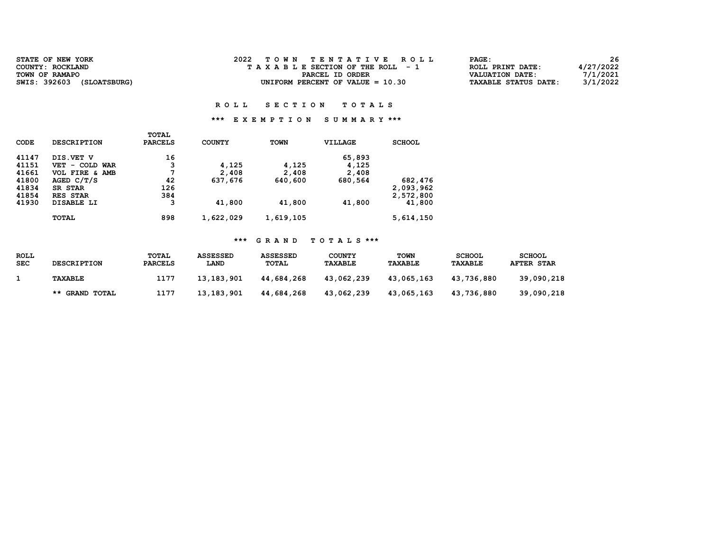| <b>STATE OF NEW YORK</b>     | TOWN TENTATIVE ROLL                | <b>PAGE :</b>               | 26        |
|------------------------------|------------------------------------|-----------------------------|-----------|
| COUNTY: ROCKLAND             | TAXABLE SECTION OF THE ROLL - 1    | ROLL PRINT DATE:            | 4/27/2022 |
| TOWN OF RAMAPO               | PARCEL ID ORDER                    | VALUATION DATE:             | 7/1/2021  |
| SWIS: 392603<br>(SLOATSBURG) | UNIFORM PERCENT OF VALUE $= 10.30$ | <b>TAXABLE STATUS DATE:</b> | 3/1/2022  |

## \*\*\* E X E M P T I O N S U M M A R Y \*\*\*

|             |                                             | <b>TOTAL</b>   |               |             |                |               |
|-------------|---------------------------------------------|----------------|---------------|-------------|----------------|---------------|
| <b>CODE</b> | <b>DESCRIPTION</b>                          | <b>PARCELS</b> | <b>COUNTY</b> | <b>TOWN</b> | <b>VILLAGE</b> | <b>SCHOOL</b> |
| 41147       | DIS.VET V                                   | 16             |               |             | 65,893         |               |
| 41151       | COLD WAR<br>VET<br>$\overline{\phantom{0}}$ | 3              | 4,125         | 4,125       | 4,125          |               |
| 41661       | VOL FIRE & AMB                              | 7              | 2,408         | 2,408       | 2,408          |               |
| 41800       | AGED $C/T/S$                                | 42             | 637,676       | 640,600     | 680,564        | 682,476       |
| 41834       | SR STAR                                     | 126            |               |             |                | 2,093,962     |
| 41854       | RES STAR                                    | 384            |               |             |                | 2,572,800     |
| 41930       | DISABLE LI                                  | 3              | 41,800        | 41,800      | 41,800         | 41,800        |
|             | <b>TOTAL</b>                                | 898            | 1,622,029     | 1,619,105   |                | 5,614,150     |

| <b>ROLL</b><br><b>SEC</b> | <b>DESCRIPTION</b> | <b>TOTAL</b><br><b>PARCELS</b> | <b>ASSESSED</b><br><b>LAND</b> | <b>ASSESSED</b><br><b>TOTAL</b> | <b>COUNTY</b><br><b>TAXABLE</b> | TOWN<br><b>TAXABLE</b> | <b>SCHOOL</b><br>TAXABLE | <b>SCHOOL</b><br><b>AFTER STAR</b> |
|---------------------------|--------------------|--------------------------------|--------------------------------|---------------------------------|---------------------------------|------------------------|--------------------------|------------------------------------|
|                           | TAXABLE            | 1177                           | 13,183,901                     | 44,684,268                      | 43,062,239                      | 43,065,163             | 43,736,880               | 39,090,218                         |
|                           | ** GRAND TOTAL     | 1177                           | 13,183,901                     | 44,684,268                      | 43,062,239                      | 43,065,163             | 43,736,880               | 39,090,218                         |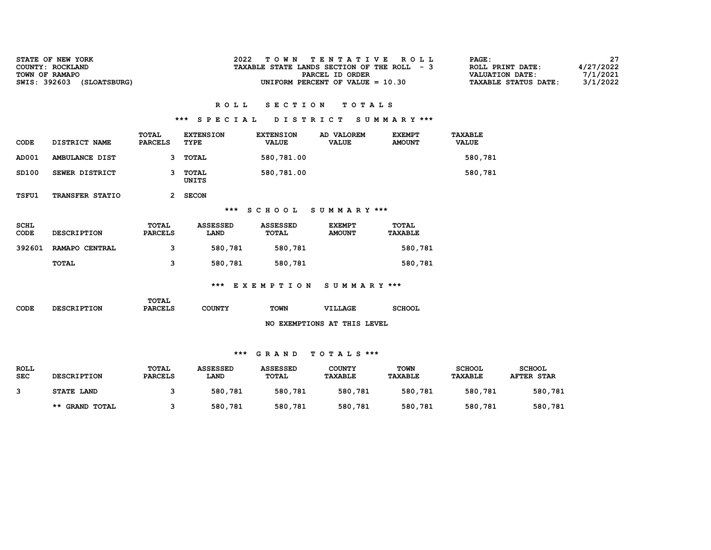| <b>STATE OF NEW YORK</b>     | TOWN TENTATIVE ROLL                         | $\mathtt{PAGE}$ :                       | 27 |
|------------------------------|---------------------------------------------|-----------------------------------------|----|
| COUNTY: ROCKLAND             | TAXABLE STATE LANDS SECTION OF THE ROLL - 3 | 4/27/2022<br>ROLL PRINT DATE:           |    |
| TOWN OF RAMAPO               | PARCEL ID ORDER                             | 7/1/2021<br>VALUATION DATE:             |    |
| SWIS: 392603<br>(SLOATSBURG) | UNIFORM PERCENT OF VALUE $= 10.30$          | 3/1/2022<br><b>TAXABLE STATUS DATE:</b> |    |

# \*\*\* S P E C I A L D I S T R I C T S U M M A R Y \*\*\*

| CODE                | DISTRICT NAME      | TOTAL<br><b>PARCELS</b> | <b>EXTENSION</b><br>TYPE | <b>EXTENSION</b><br><b>VALUE</b> | AD VALOREM<br><b>VALUE</b>     | <b>EXEMPT</b><br><b>AMOUNT</b> | <b>TAXABLE</b><br><b>VALUE</b> |
|---------------------|--------------------|-------------------------|--------------------------|----------------------------------|--------------------------------|--------------------------------|--------------------------------|
| AD001               | AMBULANCE DIST     | 3                       | TOTAL                    | 580,781.00                       |                                |                                | 580,781                        |
| SD100               | SEWER DISTRICT     | 3                       | <b>TOTAL</b><br>UNITS    | 580,781.00                       |                                |                                | 580,781                        |
| TSFU1               | TRANSFER STATIO    | $\mathbf{2}$            | <b>SECON</b>             |                                  |                                |                                |                                |
|                     |                    |                         |                          | $***$ SCHOOL                     | SUMMARY ***                    |                                |                                |
| <b>SCHL</b><br>CODE | <b>DESCRIPTION</b> | TOTAL<br><b>PARCELS</b> | <b>ASSESSED</b><br>LAND  | <b>ASSESSED</b><br>TOTAL         | <b>EXEMPT</b><br><b>AMOUNT</b> | TOTAL<br><b>TAXABLE</b>        |                                |
| 392601              | RAMAPO CENTRAL     | з                       | 580,781                  | 580,781                          |                                | 580,781                        |                                |
|                     | TOTAL              | 3                       | 580,781                  | 580,781                          |                                | 580,781                        |                                |
|                     |                    |                         |                          | *** EXEMPTION                    | SUMMARY ***                    |                                |                                |
| <b>CODE</b>         | <b>DESCRIPTION</b> | TOTAL<br><b>PARCELS</b> | <b>COUNTY</b>            | <b>TOWN</b>                      | VILLAGE                        | <b>SCHOOL</b>                  |                                |

## NO EXEMPTIONS AT THIS LEVEL

| <b>ROLL</b><br><b>SEC</b> | <b>DESCRIPTION</b>    | TOTAL<br><b>PARCELS</b> | <b>ASSESSED</b><br><b>LAND</b> | <b>ASSESSED</b><br><b>TOTAL</b> | <b>COUNTY</b><br><b>TAXABLE</b> | <b>TOWN</b><br><b>TAXABLE</b> | <b>SCHOOL</b><br>TAXABLE | <b>SCHOOL</b><br><b>AFTER STAR</b> |
|---------------------------|-----------------------|-------------------------|--------------------------------|---------------------------------|---------------------------------|-------------------------------|--------------------------|------------------------------------|
|                           | STATE LAND            |                         | 580,781                        | 580,781                         | 580,781                         | 580,781                       | 580,781                  | 580,781                            |
|                           | <b>** GRAND TOTAL</b> |                         | 580,781                        | 580,781                         | 580,781                         | 580,781                       | 580,781                  | 580,781                            |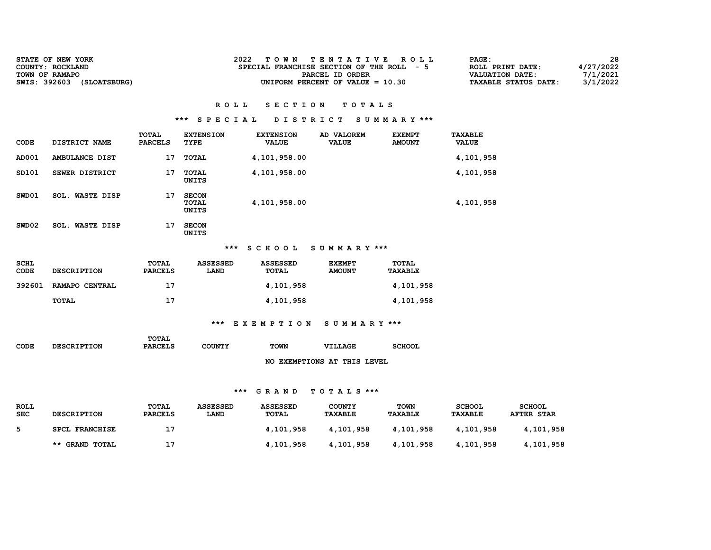| <b>STATE OF NEW YORK</b><br>COUNTY: ROCKLAND   | 2022<br>TOWN TENTATIVE ROLL<br>SPECIAL FRANCHISE SECTION OF THE ROLL - 5 | 28<br>PAGE:<br>4/27/2022<br>ROLL PRINT DATE:                           |
|------------------------------------------------|--------------------------------------------------------------------------|------------------------------------------------------------------------|
| TOWN OF RAMAPO<br>SWIS: 392603<br>(SLOATSBURG) | PARCEL ID ORDER<br>UNIFORM PERCENT OF VALUE $= 10.30$                    | 7/1/2021<br><b>VALUATION DATE:</b><br>3/1/2022<br>TAXABLE STATUS DATE: |
|                                                |                                                                          |                                                                        |

### \*\*\* S P E C I A L D I S T R I C T S U M M A R Y \*\*\*

| <b>CODE</b>       | DISTRICT NAME             | TOTAL<br><b>PARCELS</b> | <b>EXTENSION</b><br>TYPE       | <b>EXTENSION</b><br><b>VALUE</b> | AD VALOREM<br><b>VALUE</b> | <b>EXEMPT</b><br><b>AMOUNT</b> | TAXABLE<br><b>VALUE</b> |
|-------------------|---------------------------|-------------------------|--------------------------------|----------------------------------|----------------------------|--------------------------------|-------------------------|
| AD001             | AMBULANCE DIST            | 17                      | TOTAL                          | 4,101,958.00                     |                            |                                | 4,101,958               |
| SD101             | SEWER DISTRICT            | 17                      | TOTAL<br>UNITS                 | 4,101,958.00                     |                            |                                | 4,101,958               |
| SWD01             | <b>WASTE DISP</b><br>SOL. | 17                      | <b>SECON</b><br>TOTAL<br>UNITS | 4,101,958.00                     |                            |                                | 4,101,958               |
| SWD <sub>02</sub> | <b>WASTE DISP</b><br>SOL. | 17                      | <b>SECON</b><br><b>UNITS</b>   |                                  |                            |                                |                         |

#### \*\*\* S C H O O L S U M M A R Y \*\*\*

| SCHL<br><b>CODE</b> | <b>DESCRIPTION</b> | <b>TOTAL</b><br><b>PARCELS</b> | ASSESSED<br><b>LAND</b> | ASSESSED<br>TOTAL | <b>EXEMPT</b><br><b>AMOUNT</b> | <b>TOTAL</b><br><b>TAXABLE</b> |
|---------------------|--------------------|--------------------------------|-------------------------|-------------------|--------------------------------|--------------------------------|
| 392601              | RAMAPO CENTRAL     | 17                             |                         | 4,101,958         |                                | 4,101,958                      |
|                     | TOTAL              | 17                             |                         | 4,101,958         |                                | 4,101,958                      |

### \*\*\* E X E M P T I O N S U M M A R Y \*\*\*

|                    | TOTAL          |        |             |                |                             |
|--------------------|----------------|--------|-------------|----------------|-----------------------------|
| <b>DESCRIPTION</b> | <b>PARCELS</b> | COUNTY | <b>TOWN</b> | <b>VILLAGE</b> | <b>SCHOOL</b>               |
|                    |                |        |             |                |                             |
|                    |                |        |             |                | NO EXEMPTIONS AT THIS LEVEL |

| <b>ROLL</b><br><b>SEC</b> | <b>DESCRIPTION</b>    | <b>TOTAL</b><br><b>PARCELS</b> | <b>ASSESSED</b><br><b>LAND</b> | <b>ASSESSED</b><br>TOTAL | <b>COUNTY</b><br><b>TAXABLE</b> | TOWN<br>TAXABLE | <b>SCHOOL</b><br><b>TAXABLE</b> | <b>SCHOOL</b><br><b>AFTER STAR</b> |
|---------------------------|-----------------------|--------------------------------|--------------------------------|--------------------------|---------------------------------|-----------------|---------------------------------|------------------------------------|
|                           | <b>SPCL FRANCHISE</b> |                                |                                | 4,101,958                | 4,101,958                       | 4,101,958       | 4,101,958                       | 4,101,958                          |
|                           | ** GRAND TOTAL        | 17                             |                                | 4,101,958                | 4,101,958                       | 4,101,958       | 4,101,958                       | 4,101,958                          |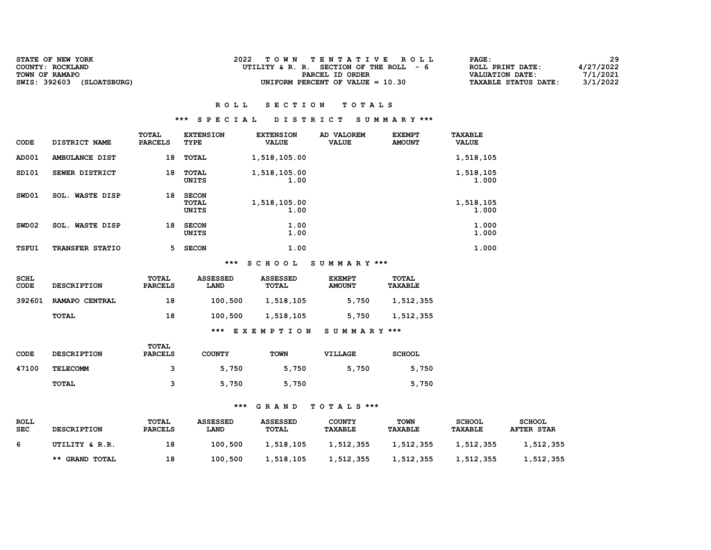| <b>STATE OF NEW YORK</b>     | TOWN TENTATIVE ROLL                     | 29<br><b>PAGE :</b>                     |
|------------------------------|-----------------------------------------|-----------------------------------------|
| COUNTY: ROCKLAND             | UTILITY & R. R. SECTION OF THE ROLL - 6 | 4/27/2022<br>ROLL PRINT DATE:           |
| TOWN OF RAMAPO               | PARCEL ID ORDER                         | 7/1/2021<br>VALUATION DATE:             |
| SWIS: 392603<br>(SLOATSBURG) | UNIFORM PERCENT OF VALUE $= 10.30$      | 3/1/2022<br><b>TAXABLE STATUS DATE:</b> |

#### \*\*\* S P E C I A L D I S T R I C T S U M M A R Y \*\*\*

| <b>CODE</b>  | DISTRICT NAME             | TOTAL<br><b>PARCELS</b> | <b>EXTENSION</b><br>TYPE                     | <b>EXTENSION</b><br><b>VALUE</b> | <b>VALOREM</b><br>AD<br><b>VALUE</b> | <b>EXEMPT</b><br><b>AMOUNT</b> | <b>TAXABLE</b><br><b>VALUE</b> |
|--------------|---------------------------|-------------------------|----------------------------------------------|----------------------------------|--------------------------------------|--------------------------------|--------------------------------|
| AD001        | AMBULANCE DIST            | 18                      | <b>TOTAL</b>                                 | 1,518,105.00                     |                                      |                                | 1,518,105                      |
| SD101        | SEWER DISTRICT            | 18                      | <b>TOTAL</b><br>UNITS                        | 1,518,105.00<br>1.00             |                                      |                                | 1,518,105<br>1.000             |
| SWD01        | <b>WASTE DISP</b><br>SOL. | 18                      | <b>SECON</b><br><b>TOTAL</b><br><b>UNITS</b> | 1,518,105.00<br>1.00             |                                      |                                | 1,518,105<br>1.000             |
| SWD02        | <b>WASTE DISP</b><br>SOL. | 18                      | <b>SECON</b><br>UNITS                        | 1.00<br>1.00                     |                                      |                                | 1.000<br>1.000                 |
| <b>TSFU1</b> | TRANSFER STATIO           | 5                       | <b>SECON</b>                                 | 1.00                             |                                      |                                | 1.000                          |

#### \*\*\* S C H O O L S U M M A R Y \*\*\*

| <b>SCHL</b><br>CODE | <b>DESCRIPTION</b> | TOTAL<br><b>PARCELS</b> | <b>ASSESSED</b><br>LAND | <b>ASSESSED</b><br><b>TOTAL</b> | <b>EXEMPT</b><br><b>AMOUNT</b> | TOTAL<br><b>TAXABLE</b> |
|---------------------|--------------------|-------------------------|-------------------------|---------------------------------|--------------------------------|-------------------------|
| 392601              | RAMAPO CENTRAL     | 18                      | 100,500                 | 1,518,105                       | 5,750                          | 1,512,355               |
|                     | TOTAL              | 18                      | 100,500                 | 1,518,105                       | 5,750                          | 1,512,355               |
|                     |                    |                         | ***                     | EXEMPTION                       | SUMMARY ***                    |                         |

| <b>CODE</b> | <b>DESCRIPTION</b> | TOTAL<br><b>PARCELS</b> | <b>COUNTY</b> | <b>TOWN</b> | VILLAGE | <b>SCHOOL</b> |
|-------------|--------------------|-------------------------|---------------|-------------|---------|---------------|
| 47100       | <b>TELECOMM</b>    |                         | 5,750         | 5,750       | 5,750   | 5,750         |
|             | TOTAL              |                         | 5,750         | 5,750       |         | 5,750         |

| <b>ROLL</b><br><b>SEC</b> | <b>DESCRIPTION</b> | TOTAL<br><b>PARCELS</b> | <b>ASSESSED</b><br><b>LAND</b> | ASSESSED<br>TOTAL | <b>COUNTY</b><br><b>TAXABLE</b> | <b>TOWN</b><br><b>TAXABLE</b> | <b>SCHOOL</b><br>TAXABLE | <b>SCHOOL</b><br><b>AFTER STAR</b> |
|---------------------------|--------------------|-------------------------|--------------------------------|-------------------|---------------------------------|-------------------------------|--------------------------|------------------------------------|
| -6                        | UTILITY & R.R.     | 18                      | 100,500                        | 1,518,105         | 1,512,355                       | 1,512,355                     | 1,512,355                | 1,512,355                          |
|                           | ** GRAND TOTAL     | 18                      | 100,500                        | 1,518,105         | 1,512,355                       | 1,512,355                     | 1,512,355                | 1,512,355                          |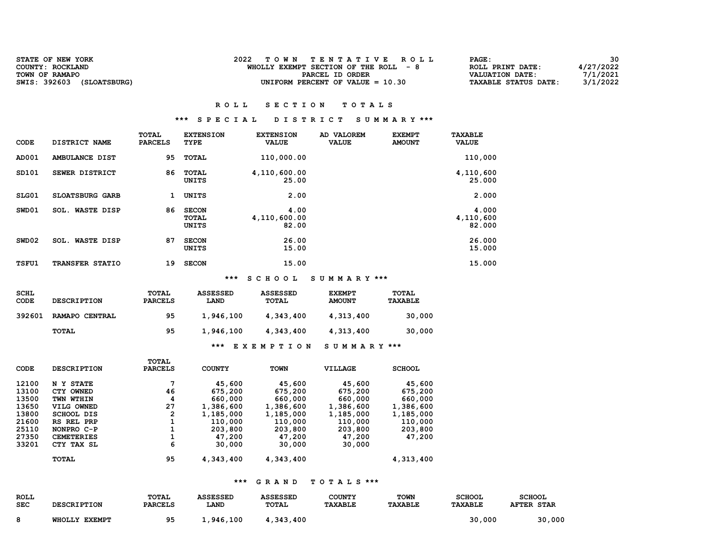| <b>STATE OF NEW YORK</b>     | TOWN TENTATIVE ROLL                   | 30<br><b>PAGE :</b>                     |
|------------------------------|---------------------------------------|-----------------------------------------|
| COUNTY: ROCKLAND             | WHOLLY EXEMPT SECTION OF THE ROLL - 8 | 4/27/2022<br>ROLL PRINT DATE:           |
| TOWN OF RAMAPO               | PARCEL ID ORDER                       | 7/1/2021<br>VALUATION DATE:             |
| SWIS: 392603<br>(SLOATSBURG) | UNIFORM PERCENT OF VALUE $= 10.30$    | 3/1/2022<br><b>TAXABLE STATUS DATE:</b> |

#### \*\*\* S P E C I A L D I S T R I C T S U M M A R Y \*\*\*

| CODE         | DISTRICT NAME             | TOTAL<br><b>PARCELS</b> | <b>EXTENSION</b><br>TYPE              | <b>EXTENSION</b><br><b>VALUE</b> | AD VALOREM<br><b>VALUE</b> | <b>EXEMPT</b><br><b>AMOUNT</b> | <b>TAXABLE</b><br><b>VALUE</b> |
|--------------|---------------------------|-------------------------|---------------------------------------|----------------------------------|----------------------------|--------------------------------|--------------------------------|
| AD001        | AMBULANCE DIST            | 95                      | <b>TOTAL</b>                          | 110,000.00                       |                            |                                | 110,000                        |
| SD101        | SEWER DISTRICT            | 86                      | TOTAL<br>UNITS                        | 4,110,600.00<br>25.00            |                            |                                | 4,110,600<br>25.000            |
| SLG01        | SLOATSBURG GARB           | 1                       | UNITS                                 | 2.00                             |                            |                                | 2.000                          |
| SWD01        | <b>WASTE DISP</b><br>SOL. | 86                      | <b>SECON</b><br><b>TOTAL</b><br>UNITS | 4.00<br>4,110,600.00<br>82.00    |                            |                                | 4.000<br>4,110,600<br>82.000   |
| SWD02        | <b>WASTE DISP</b><br>SOL. | 87                      | <b>SECON</b><br>UNITS                 | 26.00<br>15.00                   |                            |                                | 26.000<br>15.000               |
| <b>TSFU1</b> | <b>TRANSFER STATIO</b>    | 19                      | <b>SECON</b>                          | 15.00                            |                            |                                | 15.000                         |

## \*\*\* S C H O O L S U M M A R Y \*\*\*

| SCHL<br>CODE | <b>DESCRIPTION</b> | TOTAL<br><b>PARCELS</b> | <b>ASSESSED</b><br><b>LAND</b> | ASSESSED<br>TOTAL | <b>EXEMPT</b><br><b>AMOUNT</b> | TOTAL<br>TAXABLE |
|--------------|--------------------|-------------------------|--------------------------------|-------------------|--------------------------------|------------------|
| 392601       | RAMAPO CENTRAL     | 95                      | 1,946,100                      | 4,343,400         | 4,313,400                      | 30,000           |
|              | TOTAL              | 95                      | 1,946,100                      | 4,343,400         | 4,313,400                      | 30,000           |

# \*\*\* E X E M P T I O N S U M M A R Y \*\*\*

|             |                    | <b>TOTAL</b>   |               |             |                |               |
|-------------|--------------------|----------------|---------------|-------------|----------------|---------------|
| <b>CODE</b> | <b>DESCRIPTION</b> | <b>PARCELS</b> | <b>COUNTY</b> | <b>TOWN</b> | <b>VILLAGE</b> | <b>SCHOOL</b> |
|             |                    |                |               |             |                |               |
| 12100       | N Y STATE          |                | 45,600        | 45,600      | 45,600         | 45,600        |
| 13100       | CTY OWNED          | 46             | 675,200       | 675,200     | 675,200        | 675,200       |
| 13500       | TWN WTHIN          | 4              | 660,000       | 660,000     | 660,000        | 660,000       |
| 13650       | VILG OWNED         | 27             | 1,386,600     | 1,386,600   | 1,386,600      | 1,386,600     |
| 13800       | <b>SCHOOL DIS</b>  | $\overline{2}$ | 1,185,000     | 1,185,000   | 1,185,000      | 1,185,000     |
| 21600       | RS REL PRP         |                | 110,000       | 110,000     | 110,000        | 110,000       |
| 25110       | NONPRO C-P         |                | 203,800       | 203,800     | 203,800        | 203,800       |
| 27350       | <b>CEMETERIES</b>  |                | 47,200        | 47,200      | 47,200         | 47,200        |
| 33201       | CTY TAX SL         | 6              | 30,000        | 30,000      | 30,000         |               |
|             | TOTAL              | 95             | 4,343,400     | 4,343,400   |                | 4,313,400     |
|             |                    |                |               |             |                |               |

| ROLL       |                    | TOTAL          | <b>ASSESSED</b> | <b>ASSESSED</b> | <b>COUNTY</b>  | <b>TOWN</b>    | <b>SCHOOL</b>         | <b>SCHOOL</b>     |
|------------|--------------------|----------------|-----------------|-----------------|----------------|----------------|-----------------------|-------------------|
| <b>SEC</b> | <b>DESCRIPTION</b> | <b>PARCELS</b> | <b>LAND</b>     | TOTAL           | <b>TAXABLE</b> | <b>TAXABLE</b> | <b><i>TAXABLE</i></b> | <b>AFTER STAR</b> |
|            |                    |                |                 |                 |                |                |                       |                   |
| 8          | WHOLLY EXEMPT      | QF             | 1,946,100       | 4,343,400       |                |                | 30,000                | 30,000            |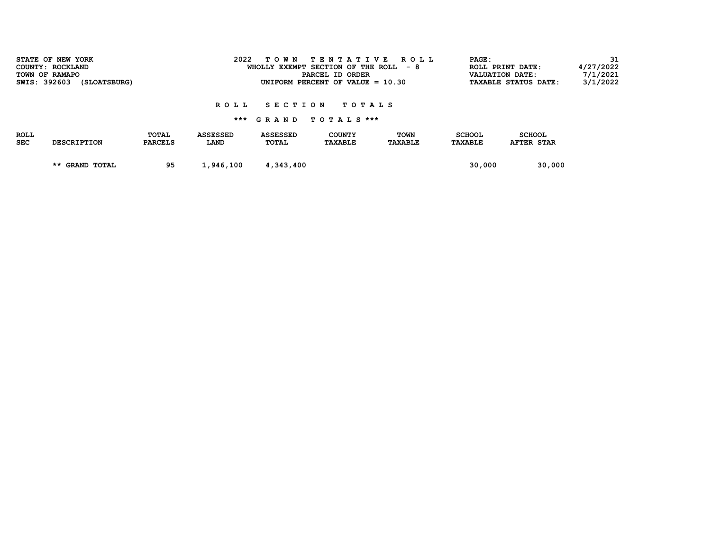| STATE OF NEW YORK<br>COUNTY: ROCKLAND<br>TOWN OF RAMAPO<br>SWIS: 392603<br>(SLOATSBURG) |                    |                         | 2022                    | T O W N                  | TENTATIVE<br>WHOLLY EXEMPT SECTION OF THE ROLL<br>PARCEL ID ORDER<br>UNIFORM PERCENT OF VALUE $= 10.30$ | R O L L<br>- 8         | PAGE:                    | ROLL PRINT DATE:<br><b>VALUATION DATE:</b><br><b>TAXABLE STATUS DATE:</b> | 31<br>4/27/2022<br>7/1/2021<br>3/1/2022 |
|-----------------------------------------------------------------------------------------|--------------------|-------------------------|-------------------------|--------------------------|---------------------------------------------------------------------------------------------------------|------------------------|--------------------------|---------------------------------------------------------------------------|-----------------------------------------|
|                                                                                         |                    |                         | R O L L                 | <b>SECTION</b>           | TOTAL S<br>*** GRAND TOTALS ***                                                                         |                        |                          |                                                                           |                                         |
| <b>ROLL</b><br><b>SEC</b>                                                               | <b>DESCRIPTION</b> | TOTAL<br><b>PARCELS</b> | <b>ASSESSED</b><br>LAND | <b>ASSESSED</b><br>TOTAL | COUNTY<br><b>TAXABLE</b>                                                                                | TOWN<br><b>TAXABLE</b> | <b>SCHOOL</b><br>TAXABLE | <b>SCHOOL</b><br><b>AFTER STAR</b>                                        |                                         |
|                                                                                         | ** GRAND TOTAL     | 95                      | 1,946,100               | 4,343,400                |                                                                                                         |                        | 30,000                   | 30,000                                                                    |                                         |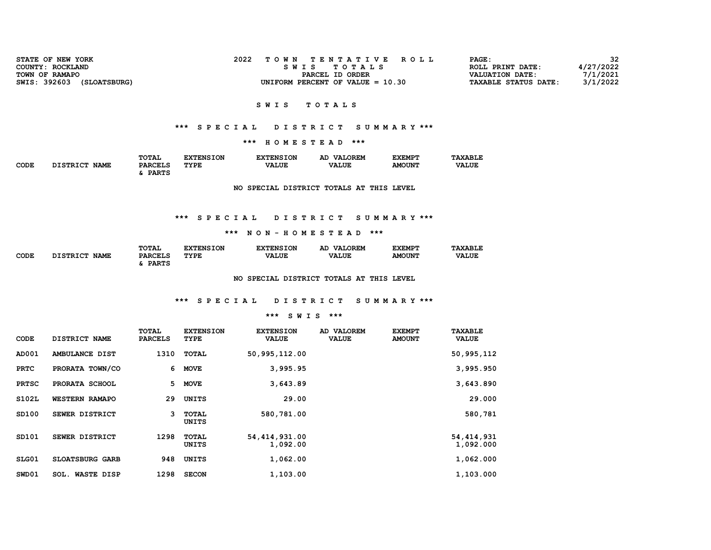| <b>STATE OF NEW YORK</b>     | TOWN TENTATIVE ROLL                | 32<br>PAGE:                             |
|------------------------------|------------------------------------|-----------------------------------------|
| COUNTY: ROCKLAND             | SWIS TOTALS                        | 4/27/2022<br>ROLL PRINT DATE:           |
| TOWN OF RAMAPO               | PARCEL ID ORDER                    | 7/1/2021<br><b>VALUATION DATE:</b>      |
| SWIS: 392603<br>(SLOATSBURG) | UNIFORM PERCENT OF VALUE $= 10.30$ | 3/1/2022<br><b>TAXABLE STATUS DATE:</b> |
|                              |                                    |                                         |

#### S W I S T O T A L S

## \*\*\* S P E C I A L D I S T R I C T S U M M A R Y \*\*\*

\*\*\* H O M E S T E A D \*\*\*

|             |                                | TOTAL          | <b>'XTENSION</b> | <b>EXTENSION</b> | <b>VALOREM</b><br>AD | <b>EXEMPT</b> | <b>TAXABLE</b> |
|-------------|--------------------------------|----------------|------------------|------------------|----------------------|---------------|----------------|
| CODE<br>- - | <b>DISTRICT</b><br><b>NAME</b> | <b>PARCELS</b> | TYPE             | <b>VALUE</b>     | <b>VALUE</b>         | <b>AMOUNT</b> | <b>VALUE</b>   |
|             |                                | <b>DADTC</b>   |                  |                  |                      |               |                |

NO SPECIAL DISTRICT TOTALS AT THIS LEVEL

## \*\*\* S P E C I A L D I S T R I C T S U M M A R Y \*\*\*

#### \*\*\* N O N - H O M E S T E A D \*\*\*

|             |                                | TOTAL          | <b>TXTENSION</b> | <b>EXTENSION</b> | <b>VALOREM</b><br>AD | <b>EXEMPT</b> | <b>TAXABLE</b> |
|-------------|--------------------------------|----------------|------------------|------------------|----------------------|---------------|----------------|
| <b>CODE</b> | <b>DISTRICT</b><br><b>NAME</b> | <b>PARCELS</b> | TYPE             | <b>VALUE</b>     | <b>VALUE</b>         | <b>AMOUNT</b> | <b>VALUE</b>   |
|             |                                | <b>PARTS</b>   |                  |                  |                      |               |                |

NO SPECIAL DISTRICT TOTALS AT THIS LEVEL

# \*\*\* S P E C I A L D I S T R I C T S U M M A R Y \*\*\*

#### \*\*\* S W I S \*\*\*

| CODE         | DISTRICT NAME          | TOTAL<br><b>PARCELS</b> | <b>EXTENSION</b><br>TYPE | <b>EXTENSION</b><br><b>VALUE</b> | AD VALOREM<br><b>VALUE</b> | <b>EXEMPT</b><br><b>AMOUNT</b> | <b>TAXABLE</b><br><b>VALUE</b> |
|--------------|------------------------|-------------------------|--------------------------|----------------------------------|----------------------------|--------------------------------|--------------------------------|
| AD001        | AMBULANCE DIST         | 1310                    | TOTAL                    | 50, 995, 112.00                  |                            |                                | 50,995,112                     |
| <b>PRTC</b>  | PRORATA TOWN/CO        | 6                       | <b>MOVE</b>              | 3,995.95                         |                            |                                | 3,995.950                      |
| <b>PRTSC</b> | PRORATA SCHOOL         | 5                       | <b>MOVE</b>              | 3,643.89                         |                            |                                | 3,643.890                      |
| S102L        | <b>WESTERN RAMAPO</b>  | 29                      | UNITS                    | 29.00                            |                            |                                | 29.000                         |
| SD100        | SEWER DISTRICT         | з                       | <b>TOTAL</b><br>UNITS    | 580,781.00                       |                            |                                | 580,781                        |
| SD101        | SEWER DISTRICT         | 1298                    | <b>TOTAL</b><br>UNITS    | 54, 414, 931.00<br>1,092.00      |                            |                                | 54, 414, 931<br>1,092.000      |
| SLG01        | SLOATSBURG GARB        | 948                     | UNITS                    | 1,062.00                         |                            |                                | 1,062.000                      |
| SWD01        | <b>SOL. WASTE DISP</b> | 1298                    | <b>SECON</b>             | 1,103.00                         |                            |                                | 1,103.000                      |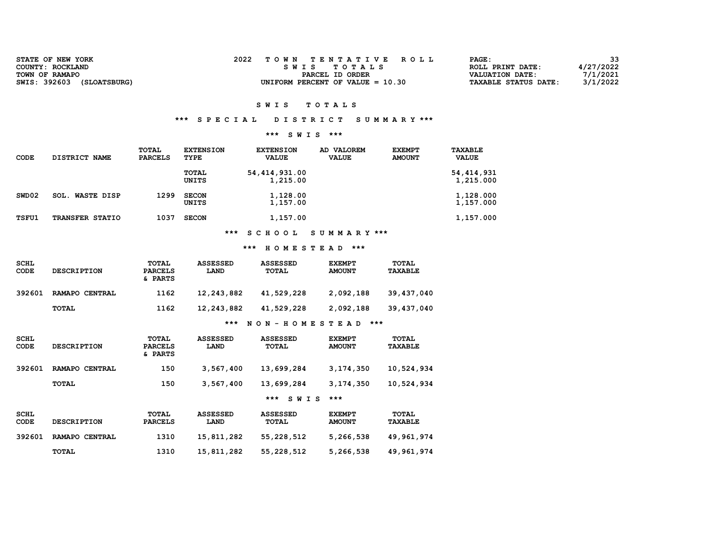| STATE OF NEW YORK            | TOWN TENTATIVE ROLL                | PAGE:                       | 33        |
|------------------------------|------------------------------------|-----------------------------|-----------|
| COUNTY: ROCKLAND             | SWIS TOTALS                        | ROLL PRINT DATE:            | 4/27/2022 |
| TOWN OF RAMAPO               | PARCEL ID ORDER                    | <b>VALUATION DATE:</b>      | 7/1/2021  |
| SWIS: 392603<br>(SLOATSBURG) | UNIFORM PERCENT OF VALUE $= 10.30$ | <b>TAXABLE STATUS DATE:</b> | 3/1/2022  |

# S W I S T O T A L S

# \*\*\* S P E C I A L D I S T R I C T S U M M A R Y \*\*\*

## \*\*\* S W I S \*\*\*

| CODE         | DISTRICT NAME             | TOTAL<br><b>PARCELS</b> | <b>EXTENSION</b><br>TYPE | <b>EXTENSION</b><br><b>VALUE</b> | AD VALOREM<br><b>VALUE</b> | <b>EXEMPT</b><br><b>AMOUNT</b> | <b>TAXABLE</b><br><b>VALUE</b> |
|--------------|---------------------------|-------------------------|--------------------------|----------------------------------|----------------------------|--------------------------------|--------------------------------|
|              |                           |                         | TOTAL<br>UNITS           | 54, 414, 931, 00<br>1,215.00     |                            |                                | 54, 414, 931<br>1,215.000      |
| SWD02        | <b>WASTE DISP</b><br>SOL. | 1299                    | <b>SECON</b><br>UNITS    | 1,128.00<br>1,157.00             |                            |                                | 1,128.000<br>1,157.000         |
| <b>TSFU1</b> | <b>TRANSFER STATIO</b>    | 1037                    | <b>SECON</b>             | 1,157.00                         |                            |                                | 1,157.000                      |

\*\*\* S C H O O L S U M M A R Y \*\*\*

## \*\*\* H O M E S T E A D \*\*\*

| <b>SCHL</b><br><b>CODE</b> | <b>DESCRIPTION</b> | <b>TOTAL</b><br><b>PARCELS</b><br>& PARTS | <b>ASSESSED</b><br><b>LAND</b> | <b>ASSESSED</b><br><b>TOTAL</b> | <b>EXEMPT</b><br><b>AMOUNT</b> | <b>TOTAL</b><br><b>TAXABLE</b> |
|----------------------------|--------------------|-------------------------------------------|--------------------------------|---------------------------------|--------------------------------|--------------------------------|
| 392601                     | RAMAPO CENTRAL     | 1162                                      | 12,243,882                     | 41,529,228                      | 2,092,188                      | 39,437,040                     |
|                            | <b>TOTAL</b>       | 1162                                      | 12,243,882                     | 41,529,228                      | 2,092,188                      | 39,437,040                     |
|                            |                    |                                           | ***                            | NON-HOMESTEAD                   | ***                            |                                |

| <b>SCHL</b><br><b>CODE</b> | <b>DESCRIPTION</b>              | TOTAL<br><b>PARCELS</b><br>& PARTS | <b>ASSESSED</b><br>LAND | <b>ASSESSED</b><br>TOTAL        | <b>EXEMPT</b><br><b>AMOUNT</b> | <b>TOTAL</b><br><b>TAXABLE</b> |
|----------------------------|---------------------------------|------------------------------------|-------------------------|---------------------------------|--------------------------------|--------------------------------|
| 392601                     | RAMAPO CENTRAL                  | 150                                | 3,567,400               | 13,699,284                      | 3, 174, 350                    | 10,524,934                     |
|                            | <b>TOTAL</b>                    | 150                                | 3,567,400               | 13,699,284                      | 3, 174, 350                    | 10,524,934                     |
|                            |                                 |                                    |                         | ***<br><b>SWIS</b>              | $***$                          |                                |
| <b>SCHL</b><br>CODE        | <b>DESCRIPTION</b>              | <b>TOTAL</b><br><b>PARCELS</b>     | <b>ASSESSED</b><br>LAND | <b>ASSESSED</b><br><b>TOTAL</b> | <b>EXEMPT</b><br><b>AMOUNT</b> | <b>TOTAL</b><br><b>TAXABLE</b> |
| 392601                     | <b>RAMAPO</b><br><b>CENTRAL</b> | 1310                               | 15,811,282              | 55, 228, 512                    | 5,266,538                      | 49,961,974                     |
|                            | <b>TOTAL</b>                    | 1310                               | 15,811,282              | 55, 228, 512                    | 5,266,538                      | 49,961,974                     |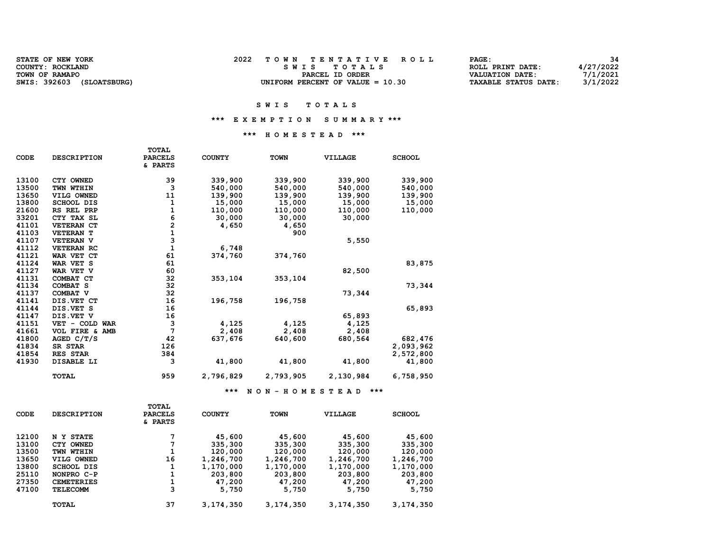| <b>STATE OF NEW YORK</b>     | TOWN TENTATIVE ROLL                | PAGE :                      | 34        |
|------------------------------|------------------------------------|-----------------------------|-----------|
| COUNTY: ROCKLAND             | SWIS TOTALS                        | ROLL PRINT DATE:            | 4/27/2022 |
| TOWN OF RAMAPO               | PARCEL ID ORDER                    | <b>VALUATION DATE:</b>      | 7/1/2021  |
| SWIS: 392603<br>(SLOATSBURG) | UNIFORM PERCENT OF VALUE $= 10.30$ | <b>TAXABLE STATUS DATE:</b> | 3/1/2022  |

#### \*\*\* E X E M P T I O N S U M M A R Y \*\*\*

#### \*\*\* H O M E S T E A D \*\*\*

| CODE  | <b>DESCRIPTION</b> | TOTAL<br><b>PARCELS</b><br>& PARTS         | <b>COUNTY</b> | <b>TOWN</b>     | <b>VILLAGE</b> | <b>SCHOOL</b> |
|-------|--------------------|--------------------------------------------|---------------|-----------------|----------------|---------------|
| 13100 | CTY OWNED          | 39                                         | 339,900       | 339,900         | 339,900        | 339,900       |
| 13500 | TWN WTHIN          | 3                                          | 540,000       | 540,000         | 540,000        | 540,000       |
| 13650 | VILG OWNED         | 11                                         | 139,900       | 139,900         | 139,900        | 139,900       |
| 13800 | <b>SCHOOL DIS</b>  | 1                                          | 15,000        | 15,000          | 15,000         | 15,000        |
| 21600 | RS REL PRP         | $\mathbf{1}$                               | 110,000       | 110,000         | 110,000        | 110,000       |
| 33201 | CTY TAX SL         | 6                                          | 30,000        | 30,000          | 30,000         |               |
| 41101 | <b>VETERAN CT</b>  |                                            | 4,650         | 4,650           |                |               |
| 41103 | <b>VETERAN T</b>   | $\begin{array}{c} 2 \\ 1 \\ 3 \end{array}$ |               | 900             |                |               |
| 41107 | <b>VETERAN V</b>   |                                            |               |                 | 5,550          |               |
| 41112 | <b>VETERAN RC</b>  | $\mathbf 1$                                | 6,748         |                 |                |               |
| 41121 | WAR VET CT         | 61                                         | 374,760       | 374,760         |                |               |
| 41124 | WAR VET S          | 61                                         |               |                 |                | 83,875        |
| 41127 | WAR VET V          | 60                                         |               |                 | 82,500         |               |
| 41131 | COMBAT CT          | 32                                         | 353,104       | 353,104         |                |               |
| 41134 | <b>COMBAT S</b>    | 32                                         |               |                 |                | 73,344        |
| 41137 | COMBAT V           | 32                                         |               |                 | 73,344         |               |
| 41141 | DIS.VET CT         | 16                                         | 196,758       | 196,758         |                |               |
| 41144 | DIS.VET S          | 16                                         |               |                 |                | 65,893        |
| 41147 | DIS.VET V          | 16                                         |               |                 | 65,893         |               |
| 41151 | VET - COLD WAR     | 3                                          | 4,125         | 4,125           | 4,125          |               |
| 41661 | VOL FIRE & AMB     | 7                                          | 2,408         | 2,408           | 2,408          |               |
| 41800 | AGED C/T/S         | 42                                         | 637,676       | 640,600         | 680,564        | 682,476       |
| 41834 | SR STAR            | 126                                        |               |                 |                | 2,093,962     |
| 41854 | RES STAR           | 384                                        |               |                 |                | 2,572,800     |
| 41930 | DISABLE LI         | 3                                          | 41,800        | 41,800          | 41,800         | 41,800        |
|       | <b>TOTAL</b>       | 959                                        | 2,796,829     | 2,793,905       | 2,130,984      | 6,758,950     |
|       |                    |                                            | ***           | NON - HOMESTEAD | ***            |               |

| <b>DESCRIPTION</b> | TOTAL<br><b>PARCELS</b><br>& PARTS | <b>COUNTY</b> | <b>TOWN</b> | VILLAGE   | <b>SCHOOL</b> |
|--------------------|------------------------------------|---------------|-------------|-----------|---------------|
| N Y STATE          |                                    | 45,600        | 45,600      | 45,600    | 45,600        |
| CTY OWNED          | 7                                  | 335,300       | 335,300     | 335,300   | 335,300       |
| TWN WTHIN          |                                    | 120,000       | 120,000     | 120,000   | 120,000       |
| VILG OWNED         | 16                                 | 1,246,700     | 1,246,700   | 1,246,700 | 1,246,700     |
| <b>SCHOOL DIS</b>  |                                    | 1,170,000     | 1,170,000   | 1,170,000 | 1,170,000     |
| NONPRO C-P         |                                    | 203,800       | 203,800     | 203,800   | 203,800       |
| <b>CEMETERIES</b>  |                                    | 47,200        | 47,200      | 47,200    | 47,200        |
| <b>TELECOMM</b>    | 3                                  | 5,750         | 5,750       | 5,750     | 5,750         |
| <b>TOTAL</b>       | 37                                 | 3,174,350     | 3, 174, 350 | 3,174,350 | 3,174,350     |
|                    |                                    |               |             |           |               |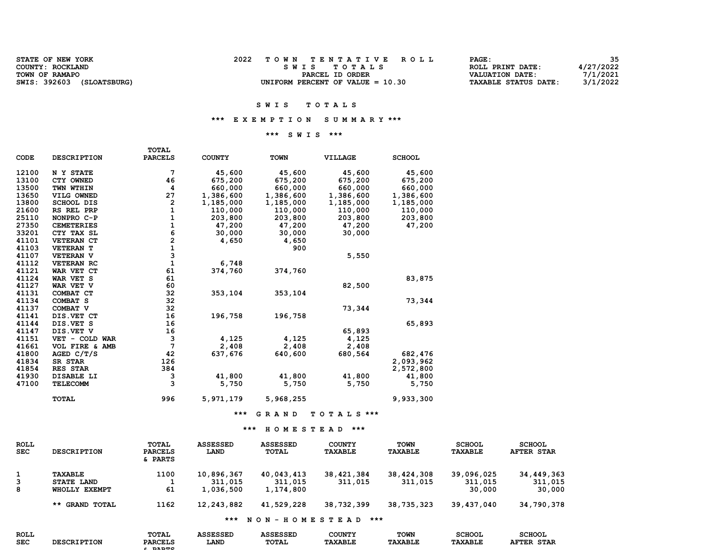| <b>STATE OF NEW YORK</b>     | TOWN TENTATIVE ROLL                | <b>PAGE :</b>               | 35        |
|------------------------------|------------------------------------|-----------------------------|-----------|
| COUNTY: ROCKLAND             | SWIS TOTALS                        | ROLL PRINT DATE:            | 4/27/2022 |
| TOWN OF RAMAPO               | PARCEL ID ORDER                    | VALUATION DATE:             | 7/1/2021  |
| SWIS: 392603<br>(SLOATSBURG) | UNIFORM PERCENT OF VALUE $= 10.30$ | <b>TAXABLE STATUS DATE:</b> | 3/1/2022  |

#### S W I S T O T A L S

#### \*\*\* E X E M P T I O N S U M M A R Y \*\*\*

#### \*\*\* S W I S \*\*\*

| CODE  | <b>DESCRIPTION</b> | <b>PARCELS</b> | <b>COUNTY</b> | <b>TOWN</b> | VILLAGE   | <b>SCHOOL</b> |
|-------|--------------------|----------------|---------------|-------------|-----------|---------------|
| 12100 | N Y STATE          | 7              | 45,600        | 45,600      | 45,600    | 45,600        |
| 13100 | CTY OWNED          | 46             | 675,200       | 675,200     | 675,200   | 675,200       |
| 13500 | TWN WTHIN          | 4              | 660,000       | 660,000     | 660,000   | 660,000       |
| 13650 | VILG OWNED         | 27             | 1,386,600     | 1,386,600   | 1,386,600 | 1,386,600     |
| 13800 | <b>SCHOOL DIS</b>  | 2              | 1,185,000     | 1,185,000   | 1,185,000 | 1,185,000     |
| 21600 | RS REL PRP         | 1              | 110,000       | 110,000     | 110,000   | 110,000       |
| 25110 | NONPRO C-P         | $\mathbf 1$    | 203,800       | 203,800     | 203,800   | 203,800       |
| 27350 | <b>CEMETERIES</b>  | 1              | 47,200        | 47,200      | 47,200    | 47,200        |
| 33201 | CTY TAX SL         | 6              | 30,000        | 30,000      | 30,000    |               |
| 41101 | <b>VETERAN CT</b>  | 2              | 4,650         | 4,650       |           |               |
| 41103 | <b>VETERAN T</b>   | $\frac{1}{3}$  |               | 900         |           |               |
| 41107 | <b>VETERAN V</b>   |                |               |             | 5,550     |               |
| 41112 | <b>VETERAN RC</b>  | $\mathbf{1}$   | 6,748         |             |           |               |
| 41121 | WAR VET CT         | 61             | 374,760       | 374,760     |           |               |
| 41124 | WAR VET S          | 61             |               |             |           | 83,875        |
| 41127 | WAR VET V          | 60             |               |             | 82,500    |               |
| 41131 | COMBAT CT          | 32             | 353,104       | 353,104     |           |               |
| 41134 | <b>COMBAT S</b>    | 32             |               |             |           | 73,344        |
| 41137 | COMBAT V           | 32             |               |             | 73,344    |               |
| 41141 | DIS.VET CT         | 16             | 196,758       | 196,758     |           |               |
| 41144 | DIS.VET S          | 16             |               |             |           | 65,893        |
| 41147 | DIS.VET V          | 16             |               |             | 65,893    |               |
| 41151 | VET - COLD WAR     | 3              | 4,125         | 4,125       | 4,125     |               |
| 41661 | VOL FIRE & AMB     | 7              | 2,408         | 2,408       | 2,408     |               |
| 41800 | AGED C/T/S         | 42             | 637,676       | 640,600     | 680,564   | 682,476       |
| 41834 | SR STAR            | 126            |               |             |           | 2,093,962     |
| 41854 | <b>RES STAR</b>    | 384            |               |             |           | 2,572,800     |
| 41930 | DISABLE LI         | з              | 41,800        | 41,800      | 41,800    | 41,800        |
| 47100 | <b>TELECOMM</b>    | 3              | 5,750         | 5,750       | 5,750     | 5,750         |
|       | <b>TOTAL</b>       | 996            | 5,971,179     | 5,968,255   |           | 9,933,300     |

TOTAL

\*\*\* G R A N D T O T A L S \*\*\*

#### \*\*\* H O M E S T E A D \*\*\*

| ROLL<br><b>SEC</b> | <b>DESCRIPTION</b>                            | TOTAL<br><b>PARCELS</b><br>& PARTS | <b>ASSESSED</b><br>LAND            | <b>ASSESSED</b><br>TOTAL           | <b>COUNTY</b><br><b>TAXABLE</b> | <b>TOWN</b><br><b>TAXABLE</b> | <b>SCHOOL</b><br><b>TAXABLE</b> | <b>SCHOOL</b><br><b>AFTER STAR</b> |
|--------------------|-----------------------------------------------|------------------------------------|------------------------------------|------------------------------------|---------------------------------|-------------------------------|---------------------------------|------------------------------------|
| 3<br>8             | TAXABLE<br><b>STATE LAND</b><br>WHOLLY EXEMPT | 1100<br>61                         | 10,896,367<br>311,015<br>1,036,500 | 40,043,413<br>311,015<br>1,174,800 | 38, 421, 384<br>311,015         | 38,424,308<br>311,015         | 39,096,025<br>311,015<br>30,000 | 34,449,363<br>311,015<br>30,000    |
|                    | ** GRAND TOTAL                                | 1162                               | 12,243,882                         | 41,529,228                         | 38,732,399                      | 38,735,323                    | 39,437,040                      | 34,790,378                         |
|                    |                                               |                                    | ***                                | NON - HOMESTEAD                    | ***                             |                               |                                 |                                    |

| <b>ROLL</b> | <b>TOTA1</b>                       | 2.00000 |             | <b>COUNTY</b> | <b>TOWN</b>        | 0011001 | <b>SCHOOL</b>       |
|-------------|------------------------------------|---------|-------------|---------------|--------------------|---------|---------------------|
| <b>SEC</b>  | <b>DORT C</b><br><b>DAL</b><br>. . | LAND    | <b>TOTA</b> | DT E<br>יים   | <b>XABLI</b><br>גת |         | <b>STAR</b><br>医血管下 |
|             | n n n n                            |         |             |               |                    |         |                     |
|             |                                    |         |             |               |                    |         |                     |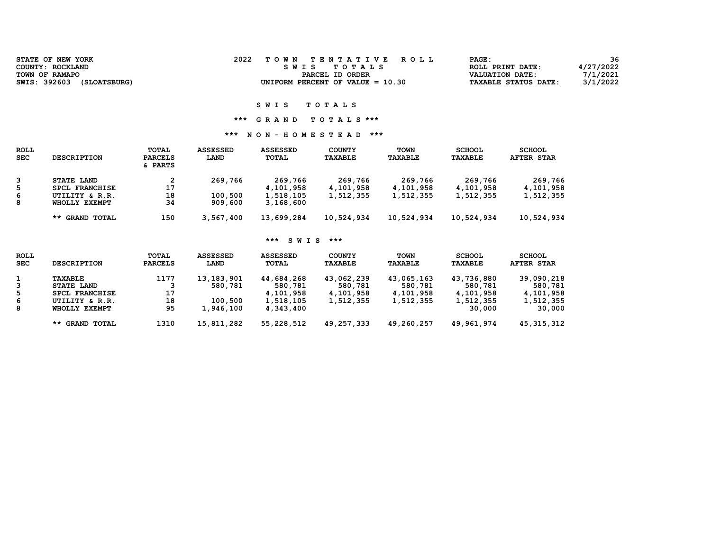| STATE OF NEW YORK            | 2022<br>TOWN TENTATIVE ROLL        | PAGE:                       | 36        |
|------------------------------|------------------------------------|-----------------------------|-----------|
| COUNTY: ROCKLAND             | SWIS TOTALS                        | ROLL PRINT DATE:            | 4/27/2022 |
| TOWN OF RAMAPO               | PARCEL ID ORDER                    | <b>VALUATION DATE:</b>      | 7/1/2021  |
| SWIS: 392603<br>(SLOATSBURG) | UNIFORM PERCENT OF VALUE $= 10.30$ | <b>TAXABLE STATUS DATE:</b> | 3/1/2022  |
|                              |                                    |                             |           |

# S W I S T O T A L S

# \*\*\* G R A N D T O T A L S \*\*\*

# \*\*\* N O N - H O M E S T E A D \*\*\*

| <b>ROLL</b><br><b>SEC</b> | <b>DESCRIPTION</b>    | TOTAL<br><b>PARCELS</b><br>& PARTS | <b>ASSESSED</b><br>LAND | <b>ASSESSED</b><br>TOTAL | <b>COUNTY</b><br><b>TAXABLE</b> | <b>TOWN</b><br><b>TAXABLE</b> | <b>SCHOOL</b><br>TAXABLE | <b>SCHOOL</b><br><b>AFTER STAR</b> |
|---------------------------|-----------------------|------------------------------------|-------------------------|--------------------------|---------------------------------|-------------------------------|--------------------------|------------------------------------|
| 3                         | <b>STATE LAND</b>     |                                    | 269,766                 | 269,766                  | 269,766                         | 269,766                       | 269,766                  | 269,766                            |
| 5                         | <b>SPCL FRANCHISE</b> | 17                                 |                         | 4,101,958                | 4,101,958                       | 4,101,958                     | 4,101,958                | 4,101,958                          |
| 6                         | UTILITY & R.R.        | 18                                 | 100,500                 | 1,518,105                | 1,512,355                       | 1,512,355                     | 1,512,355                | 1,512,355                          |
| 8                         | WHOLLY EXEMPT         | 34                                 | 909,600                 | 3,168,600                |                                 |                               |                          |                                    |
|                           | ** GRAND TOTAL        | 150                                | 3,567,400               | 13,699,284               | 10,524,934                      | 10,524,934                    | 10,524,934               | 10,524,934                         |

## \*\*\* S W I S \*\*\*

| ROLL       |                    | TOTAL          | <b>ASSESSED</b> | ASSESSED   | <b>COUNTY</b>  | <b>TOWN</b>    | <b>SCHOOL</b>  | <b>SCHOOL</b>     |
|------------|--------------------|----------------|-----------------|------------|----------------|----------------|----------------|-------------------|
| <b>SEC</b> | <b>DESCRIPTION</b> | <b>PARCELS</b> | LAND            | TOTAL      | <b>TAXABLE</b> | <b>TAXABLE</b> | <b>TAXABLE</b> | <b>AFTER STAR</b> |
|            | TAXABLE            | 1177           | 13,183,901      | 44,684,268 | 43,062,239     | 43,065,163     | 43,736,880     | 39,090,218        |
| 3          | <b>STATE LAND</b>  |                | 580,781         | 580,781    | 580,781        | 580,781        | 580,781        | 580,781           |
| 5.         | SPCL FRANCHISE     | 17             |                 | 4,101,958  | 4,101,958      | 4,101,958      | 4,101,958      | 4,101,958         |
| 6          | UTILITY & R.R.     | 18             | 100,500         | 1,518,105  | 1,512,355      | 1,512,355      | 1,512,355      | 1,512,355         |
| 8          | WHOLLY EXEMPT      | 95             | 1,946,100       | 4,343,400  |                |                | 30,000         | 30,000            |
|            | ** GRAND TOTAL     | 1310           | 15,811,282      | 55,228,512 | 49,257,333     | 49,260,257     | 49,961,974     | 45, 315, 312      |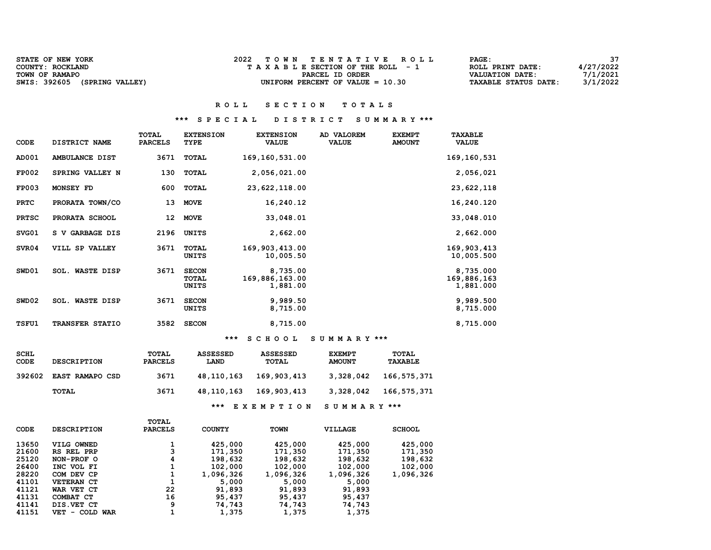| <b>STATE OF NEW YORK</b>        | TOWN TENTATIVE ROLL                | 37<br><b>PAGE :</b>                     |
|---------------------------------|------------------------------------|-----------------------------------------|
| COUNTY: ROCKLAND                | TAXABLE SECTION OF THE ROLL - 1    | 4/27/2022<br>ROLL PRINT DATE:           |
| TOWN OF RAMAPO                  | PARCEL ID ORDER                    | 7/1/2021<br>VALUATION DATE:             |
| SWIS: 392605<br>(SPRING VALLEY) | UNIFORM PERCENT OF VALUE $= 10.30$ | 3/1/2022<br><b>TAXABLE STATUS DATE:</b> |

#### \*\*\* S P E C I A L D I S T R I C T S U M M A R Y \*\*\*

| CODE         | DISTRICT NAME             | <b>TOTAL</b><br><b>PARCELS</b> | <b>EXTENSION</b><br>TYPE       | <b>EXTENSION</b><br><b>VALUE</b>       | AD VALOREM<br><b>VALUE</b> | <b>EXEMPT</b><br><b>AMOUNT</b> | <b>TAXABLE</b><br><b>VALUE</b>        |
|--------------|---------------------------|--------------------------------|--------------------------------|----------------------------------------|----------------------------|--------------------------------|---------------------------------------|
| AD001        | AMBULANCE DIST            | 3671                           | <b>TOTAL</b>                   | 169, 160, 531.00                       |                            |                                | 169,160,531                           |
| <b>FP002</b> | SPRING VALLEY N           | 130                            | TOTAL                          | 2,056,021.00                           |                            |                                | 2,056,021                             |
| <b>FP003</b> | MONSEY FD                 | 600                            | <b>TOTAL</b>                   | 23,622,118.00                          |                            |                                | 23,622,118                            |
| PRTC         | PRORATA TOWN/CO           | 13                             | <b>MOVE</b>                    | 16,240.12                              |                            |                                | 16,240.120                            |
| <b>PRTSC</b> | PRORATA SCHOOL            | 12                             | <b>MOVE</b>                    | 33,048.01                              |                            |                                | 33,048.010                            |
| SVG01        | <b>GARBAGE DIS</b><br>s v | 2196                           | UNITS                          | 2,662.00                               |                            |                                | 2,662.000                             |
| SVR04        | VILL SP VALLEY            | 3671                           | TOTAL<br>UNITS                 | 169,903,413.00<br>10,005.50            |                            |                                | 169,903,413<br>10,005.500             |
| SWD01        | SOL. WASTE DISP           | 3671                           | <b>SECON</b><br>TOTAL<br>UNITS | 8,735.00<br>169,886,163.00<br>1,881.00 |                            |                                | 8,735.000<br>169,886,163<br>1,881.000 |
| SWD02        | <b>SOL. WASTE DISP</b>    | 3671                           | <b>SECON</b><br>UNITS          | 9,989.50<br>8,715.00                   |                            |                                | 9,989.500<br>8,715.000                |
| <b>TSFU1</b> | TRANSFER STATIO           | 3582                           | <b>SECON</b>                   | 8,715.00                               |                            |                                | 8,715.000                             |

#### \*\*\* S C H O O L S U M M A R Y \*\*\*

| <b>SCHL</b><br>CODE | <b>DESCRIPTION</b> | TOTAL<br><b>PARCELS</b> | <b>ASSESSED</b><br>LAND | <b>ASSESSED</b><br><b>TOTAL</b> | <b>EXEMPT</b><br><b>AMOUNT</b> | TOTAL<br><b>TAXABLE</b> |
|---------------------|--------------------|-------------------------|-------------------------|---------------------------------|--------------------------------|-------------------------|
| 392602              | EAST RAMAPO CSD    | 3671                    | 48,110,163              | 169,903,413                     | 3,328,042                      | 166,575,371             |
|                     | TOTAL              | 3671                    | 48,110,163              | 169,903,413                     | 3,328,042                      | 166,575,371             |
|                     |                    |                         | ***                     | EXEMPTION                       | SUMMARY ***                    |                         |

|       |                    | TOTAL          |               |             |                |               |
|-------|--------------------|----------------|---------------|-------------|----------------|---------------|
| CODE  | <b>DESCRIPTION</b> | <b>PARCELS</b> | <b>COUNTY</b> | <b>TOWN</b> | <b>VILLAGE</b> | <b>SCHOOL</b> |
| 13650 | VILG OWNED         |                | 425,000       | 425,000     | 425,000        | 425,000       |
| 21600 | RS REL PRP         | з              | 171,350       | 171,350     | 171,350        | 171,350       |
| 25120 | NON-PROF O         | 4              | 198,632       | 198,632     | 198,632        | 198,632       |
| 26400 | INC VOL FI         | 1              | 102,000       | 102,000     | 102,000        | 102,000       |
| 28220 | COM DEV CP         | 1              | 1,096,326     | 1,096,326   | 1,096,326      | 1,096,326     |
| 41101 | <b>VETERAN CT</b>  | 1              | 5,000         | 5,000       | 5,000          |               |
| 41121 | WAR VET CT         | 22             | 91,893        | 91,893      | 91,893         |               |
| 41131 | COMBAT CT          | 16             | 95,437        | 95,437      | 95,437         |               |
| 41141 | DIS.VET CT         | 9              | 74,743        | 74,743      | 74,743         |               |
| 41151 | VET - COLD WAR     |                | 1,375         | 1,375       | 1,375          |               |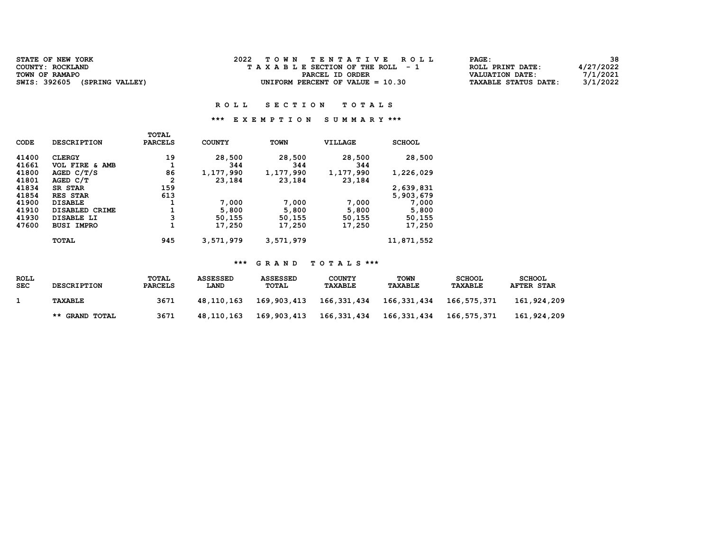| <b>STATE OF NEW YORK</b>        | TOWN TENTATIVE ROLL                | <b>PAGE :</b>               | 38        |
|---------------------------------|------------------------------------|-----------------------------|-----------|
| COUNTY: ROCKLAND                | TAXABLE SECTION OF THE ROLL - 1    | ROLL PRINT DATE:            | 4/27/2022 |
| TOWN OF RAMAPO                  | PARCEL ID ORDER                    | VALUATION DATE:             | 7/1/2021  |
| SWIS: 392605<br>(SPRING VALLEY) | UNIFORM PERCENT OF VALUE $= 10.30$ | <b>TAXABLE STATUS DATE:</b> | 3/1/2022  |

## \*\*\* E X E M P T I O N S U M M A R Y \*\*\*

|             |                    | TOTAL          |               |             |                |               |
|-------------|--------------------|----------------|---------------|-------------|----------------|---------------|
| <b>CODE</b> | <b>DESCRIPTION</b> | <b>PARCELS</b> | <b>COUNTY</b> | <b>TOWN</b> | <b>VILLAGE</b> | <b>SCHOOL</b> |
|             |                    |                |               |             |                |               |
| 41400       | <b>CLERGY</b>      | 19             | 28,500        | 28,500      | 28,500         | 28,500        |
| 41661       | VOL FIRE & AMB     |                | 344           | 344         | 344            |               |
| 41800       | AGED $C/T/S$       | 86             | 1,177,990     | 1,177,990   | 1,177,990      | 1,226,029     |
| 41801       | AGED C/T           | $\overline{2}$ | 23,184        | 23,184      | 23,184         |               |
| 41834       | SR STAR            | 159            |               |             |                | 2,639,831     |
| 41854       | <b>RES STAR</b>    | 613            |               |             |                | 5,903,679     |
| 41900       | <b>DISABLE</b>     |                | 7,000         | 7,000       | 7,000          | 7,000         |
| 41910       | DISABLED CRIME     |                | 5,800         | 5,800       | 5,800          | 5,800         |
| 41930       | DISABLE LI         | 3              | 50,155        | 50,155      | 50,155         | 50,155        |
| 47600       | <b>BUSI IMPRO</b>  |                | 17,250        | 17,250      | 17,250         | 17,250        |
|             | <b>TOTAL</b>       | 945            | 3,571,979     | 3,571,979   |                | 11,871,552    |

| <b>ROLL</b><br><b>SEC</b> | <b>DESCRIPTION</b> | TOTAL<br><b>PARCELS</b> | <b>ASSESSED</b><br><b>LAND</b> | <b>ASSESSED</b><br>TOTAL | <b>COUNTY</b><br><b>TAXABLE</b> | <b>TOWN</b><br><b>TAXABLE</b> | <b>SCHOOL</b><br>TAXABLE | <b>SCHOOL</b><br><b>AFTER STAR</b> |
|---------------------------|--------------------|-------------------------|--------------------------------|--------------------------|---------------------------------|-------------------------------|--------------------------|------------------------------------|
|                           | TAXABLE            | 3671                    | 48,110,163                     | 169,903,413              | 166,331,434                     | 166,331,434                   | 166,575,371              | 161,924,209                        |
|                           | ** GRAND TOTAL     | 3671                    | 48,110,163                     | 169,903,413              | 166, 331, 434                   | 166,331,434                   | 166,575,371              | 161,924,209                        |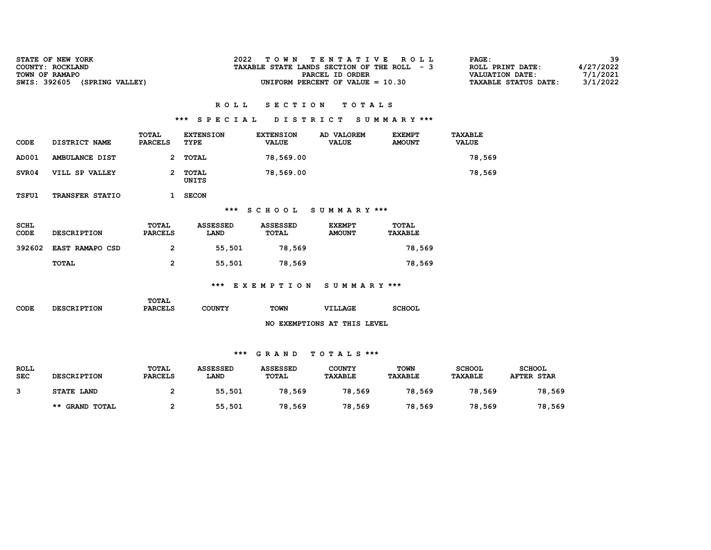| <b>STATE OF NEW YORK</b>        | TOWN TENTATIVE ROLL                         | $\mathtt{PAGE}$ :           | 39        |
|---------------------------------|---------------------------------------------|-----------------------------|-----------|
| COUNTY: ROCKLAND                | TAXABLE STATE LANDS SECTION OF THE ROLL - 3 | ROLL PRINT DATE:            | 4/27/2022 |
| TOWN OF RAMAPO                  | PARCEL ID ORDER                             | VALUATION DATE:             | 7/1/2021  |
| SWIS: 392605<br>(SPRING VALLEY) | UNIFORM PERCENT OF VALUE $= 10.30$          | <b>TAXABLE STATUS DATE:</b> | 3/1/2022  |

# R O L L S E C T I O N T O T A L S

## \*\*\* S P E C I A L D I S T R I C T S U M M A R Y \*\*\*

| CODE         | DISTRICT NAME      | TOTAL<br><b>PARCELS</b> | <b>EXTENSION</b><br>TYPE | <b>EXTENSION</b><br><b>VALUE</b> | AD VALOREM<br><b>VALUE</b>     | <b>EXEMPT</b><br><b>AMOUNT</b> | <b>TAXABLE</b><br><b>VALUE</b> |
|--------------|--------------------|-------------------------|--------------------------|----------------------------------|--------------------------------|--------------------------------|--------------------------------|
| AD001        | AMBULANCE DIST     | $\overline{2}$          | TOTAL                    | 78,569.00                        |                                |                                | 78,569                         |
| SVR04        | VILL SP VALLEY     | 2                       | TOTAL<br>UNITS           | 78,569.00                        |                                |                                | 78,569                         |
| <b>TSFU1</b> | TRANSFER STATIO    | $\mathbf{1}$            | <b>SECON</b>             |                                  |                                |                                |                                |
|              |                    |                         | ***                      | <b>SCHOOL</b>                    | SUMMARY ***                    |                                |                                |
| SCHL<br>CODE | <b>DESCRIPTION</b> | TOTAL<br><b>PARCELS</b> | <b>ASSESSED</b><br>LAND  | <b>ASSESSED</b><br><b>TOTAL</b>  | <b>EXEMPT</b><br><b>AMOUNT</b> | TOTAL<br><b>TAXABLE</b>        |                                |
| 392602       | EAST RAMAPO CSD    | 2                       | 55,501                   | 78,569                           |                                | 78,569                         |                                |
|              | TOTAL              | 2                       | 55,501                   | 78,569                           |                                | 78,569                         |                                |
|              |                    |                         | ***                      | <b>EXEMPTION</b>                 | SUMMARY ***                    |                                |                                |
| CODE         | <b>DESCRIPTION</b> | TOTAL<br><b>PARCELS</b> | <b>COUNTY</b>            | <b>TOWN</b>                      | <b>VILLAGE</b>                 | <b>SCHOOL</b>                  |                                |

#### NO EXEMPTIONS AT THIS LEVEL

| <b>ROLL</b><br><b>SEC</b> | <b>DESCRIPTION</b> | <b>TOTAL</b><br><b>PARCELS</b> | <b>ASSESSED</b><br><b>LAND</b> | <b>ASSESSED</b><br>TOTAL | <b>COUNTY</b><br><b>TAXABLE</b> | <b>TOWN</b><br><b>TAXABLE</b> | <b>SCHOOL</b><br>TAXABLE | <b>SCHOOL</b><br><b>AFTER STAR</b> |
|---------------------------|--------------------|--------------------------------|--------------------------------|--------------------------|---------------------------------|-------------------------------|--------------------------|------------------------------------|
|                           | STATE LAND         |                                | 55,501                         | 78,569                   | 78,569                          | 78,569                        | 78,569                   | 78,569                             |
|                           | ** GRAND TOTAL     |                                | 55,501                         | 78,569                   | 78,569                          | 78,569                        | 78,569                   | 78,569                             |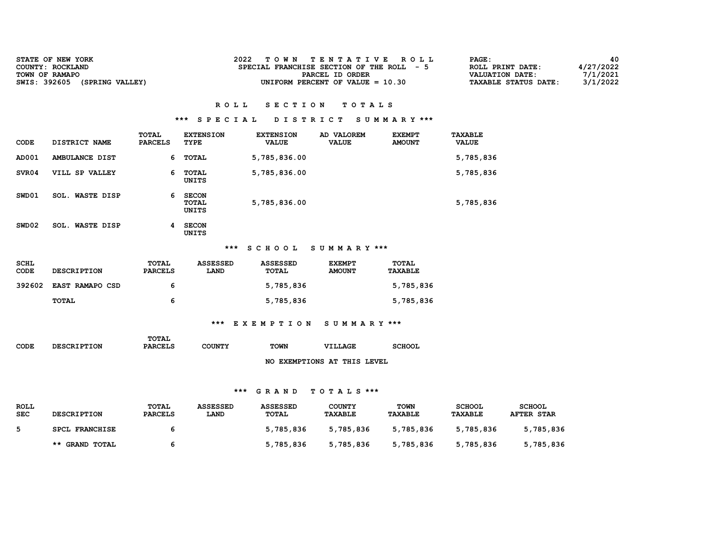| <b>STATE OF NEW YORK</b>        | TOWN TENTATIVE ROLL                        | PAGE:                | 40        |
|---------------------------------|--------------------------------------------|----------------------|-----------|
| COUNTY: ROCKLAND                | SPECIAL FRANCHISE SECTION OF THE ROLL $-5$ | ROLL PRINT DATE:     | 4/27/2022 |
| TOWN OF RAMAPO                  | PARCEL ID ORDER                            | VALUATION DATE:      | 7/1/2021  |
| SWIS: 392605<br>(SPRING VALLEY) | UNIFORM PERCENT OF VALUE $= 10.30$         | TAXABLE STATUS DATE: | 3/1/2022  |

#### \*\*\* S P E C I A L D I S T R I C T S U M M A R Y \*\*\*

| CODE  | DISTRICT NAME             | TOTAL<br><b>PARCELS</b> | <b>EXTENSION</b><br>TYPE       | <b>EXTENSION</b><br><b>VALUE</b> | AD VALOREM<br><b>VALUE</b> | <b>EXEMPT</b><br><b>AMOUNT</b> | <b>TAXABLE</b><br><b>VALUE</b> |
|-------|---------------------------|-------------------------|--------------------------------|----------------------------------|----------------------------|--------------------------------|--------------------------------|
| AD001 | AMBULANCE DIST            | 6                       | TOTAL                          | 5,785,836.00                     |                            |                                | 5,785,836                      |
| SVR04 | VILL SP VALLEY            | 6                       | TOTAL<br>UNITS                 | 5,785,836.00                     |                            |                                | 5,785,836                      |
| SWD01 | <b>WASTE DISP</b><br>SOL. | 6                       | <b>SECON</b><br>TOTAL<br>UNITS | 5,785,836.00                     |                            |                                | 5,785,836                      |
| SWD02 | <b>SOL. WASTE DISP</b>    | 4                       | <b>SECON</b><br>UNITS          |                                  |                            |                                |                                |

#### \*\*\* S C H O O L S U M M A R Y \*\*\*

| SCHL<br><b>CODE</b> | <b>DESCRIPTION</b>     | <b>TOTAL</b><br><b>PARCELS</b> | ASSESSED<br><b>LAND</b> | ASSESSED<br><b>TOTAL</b> | <b>EXEMPT</b><br><b>AMOUNT</b> | <b>TOTAL</b><br><b>TAXABLE</b> |
|---------------------|------------------------|--------------------------------|-------------------------|--------------------------|--------------------------------|--------------------------------|
| 392602              | <b>EAST RAMAPO CSD</b> | 6                              |                         | 5,785,836                |                                | 5,785,836                      |
|                     | TOTAL                  | 6                              |                         | 5,785,836                |                                | 5,785,836                      |

## \*\*\* E X E M P T I O N S U M M A R Y \*\*\*

|             |                    | TOTAL          |        |             |         |               |
|-------------|--------------------|----------------|--------|-------------|---------|---------------|
| <b>CODE</b> | <b>DESCRIPTION</b> | <b>PARCELS</b> | COUNTY | <b>TOWN</b> | VILLAGE | <b>SCHOOL</b> |
|             |                    |                |        |             |         |               |

#### NO EXEMPTIONS AT THIS LEVEL

| <b>ROLL</b><br><b>SEC</b> | <b>DESCRIPTION</b> | <b>TOTAL</b><br><b>PARCELS</b> | <b>ASSESSED</b><br>LAND | ASSESSED<br><b>TOTAL</b> | <b>COUNTY</b><br><b>TAXABLE</b> | <b>TOWN</b><br><b>TAXABLE</b> | <b>SCHOOL</b><br><b>TAXABLE</b> | <b>SCHOOL</b><br><b>AFTER STAR</b> |
|---------------------------|--------------------|--------------------------------|-------------------------|--------------------------|---------------------------------|-------------------------------|---------------------------------|------------------------------------|
|                           | SPCL FRANCHISE     |                                |                         | 5,785,836                | 5,785,836                       | 5,785,836                     | 5,785,836                       | 5,785,836                          |
|                           | ** GRAND TOTAL     |                                |                         | 5,785,836                | 5,785,836                       | 5,785,836                     | 5,785,836                       | 5,785,836                          |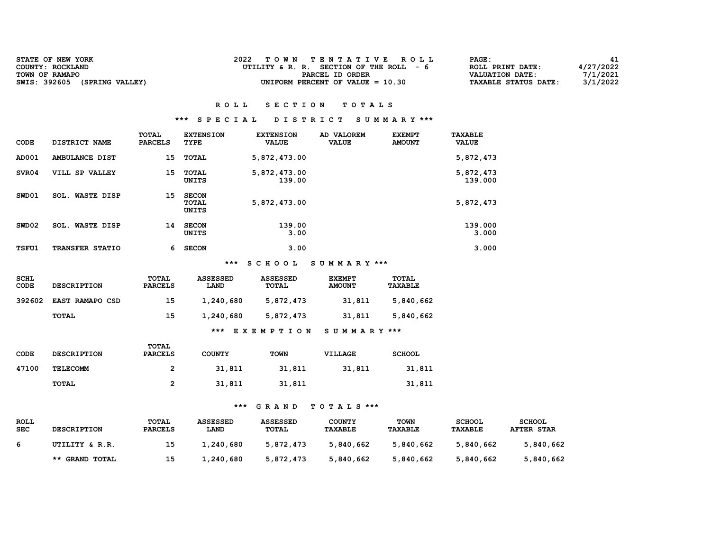| <b>STATE OF NEW YORK</b><br>COUNTY: ROCKLAND      | TOWN TENTATIVE ROLL<br>UTILITY & R. R. SECTION OF THE ROLL - 6 | <b>PAGE :</b><br>4/27/2022<br>ROLL PRINT DATE:                         |
|---------------------------------------------------|----------------------------------------------------------------|------------------------------------------------------------------------|
| TOWN OF RAMAPO<br>SWIS: 392605<br>(SPRING VALLEY) | PARCEL ID ORDER<br>UNIFORM PERCENT OF VALUE $= 10.30$          | 7/1/2021<br>VALUATION DATE:<br>3/1/2022<br><b>TAXABLE STATUS DATE:</b> |

#### \*\*\* S P E C I A L D I S T R I C T S U M M A R Y \*\*\*

| CODE         | DISTRICT NAME             | TOTAL<br><b>PARCELS</b> | <b>EXTENSION</b><br>TYPE              | <b>EXTENSION</b><br><b>VALUE</b> | AD VALOREM<br><b>VALUE</b> | <b>EXEMPT</b><br><b>AMOUNT</b> | TAXABLE<br><b>VALUE</b> |
|--------------|---------------------------|-------------------------|---------------------------------------|----------------------------------|----------------------------|--------------------------------|-------------------------|
| AD001        | AMBULANCE DIST            | 15                      | <b>TOTAL</b>                          | 5,872,473.00                     |                            |                                | 5,872,473               |
| SVR04        | VILL SP VALLEY            | 15                      | TOTAL<br>UNITS                        | 5,872,473.00<br>139.00           |                            |                                | 5,872,473<br>139.000    |
| SWD01        | <b>WASTE DISP</b><br>SOL. | 15                      | <b>SECON</b><br><b>TOTAL</b><br>UNITS | 5,872,473.00                     |                            |                                | 5,872,473               |
| SWD02        | <b>WASTE DISP</b><br>SOL. | 14                      | <b>SECON</b><br>UNITS                 | 139.00<br>3.00                   |                            |                                | 139.000<br>3.000        |
| <b>TSFU1</b> | TRANSFER STATIO           | 6                       | <b>SECON</b>                          | 3.00                             |                            |                                | 3.000                   |

#### \*\*\* S C H O O L S U M M A R Y \*\*\*

| SCHL<br>CODE | <b>DESCRIPTION</b>     | TOTAL<br><b>PARCELS</b> | <b>ASSESSED</b><br>LAND | <b>ASSESSED</b><br>TOTAL | <b>EXEMPT</b><br><b>AMOUNT</b> | TOTAL<br><b>TAXABLE</b> |
|--------------|------------------------|-------------------------|-------------------------|--------------------------|--------------------------------|-------------------------|
| 392602       | <b>EAST RAMAPO CSD</b> | 15                      | 1,240,680               | 5,872,473                | 31,811                         | 5,840,662               |
|              | TOTAL                  | 15                      | 1,240,680               | 5,872,473                | 31,811                         | 5,840,662               |
|              |                        |                         | ***                     | EXEMPTION                | SUMMARY ***                    |                         |

| <b>CODE</b> | <b>DESCRIPTION</b> | TOTAL<br><b>PARCELS</b> | <b>COUNTY</b> | <b>TOWN</b> | VILLAGE | <b>SCHOOL</b> |
|-------------|--------------------|-------------------------|---------------|-------------|---------|---------------|
| 47100       | TELECOMM           |                         | 31,811        | 31,811      | 31,811  | 31,811        |
|             | TOTAL              |                         | 31,811        | 31,811      |         | 31,811        |

| <b>ROLL</b><br><b>SEC</b> | <b>DESCRIPTION</b> | TOTAL<br><b>PARCELS</b> | <b>ASSESSED</b><br><b>LAND</b> | ASSESSED<br>TOTAL | <b>COUNTY</b><br><b>TAXABLE</b> | TOWN<br><b>TAXABLE</b> | <b>SCHOOL</b><br>TAXABLE | <b>SCHOOL</b><br><b>AFTER STAR</b> |
|---------------------------|--------------------|-------------------------|--------------------------------|-------------------|---------------------------------|------------------------|--------------------------|------------------------------------|
| 6                         | UTILITY & R.R.     | 15                      | 1,240,680                      | 5,872,473         | 5,840,662                       | 5,840,662              | 5,840,662                | 5,840,662                          |
|                           | ** GRAND TOTAL     | 15                      | 1,240,680                      | 5,872,473         | 5,840,662                       | 5,840,662              | 5,840,662                | 5,840,662                          |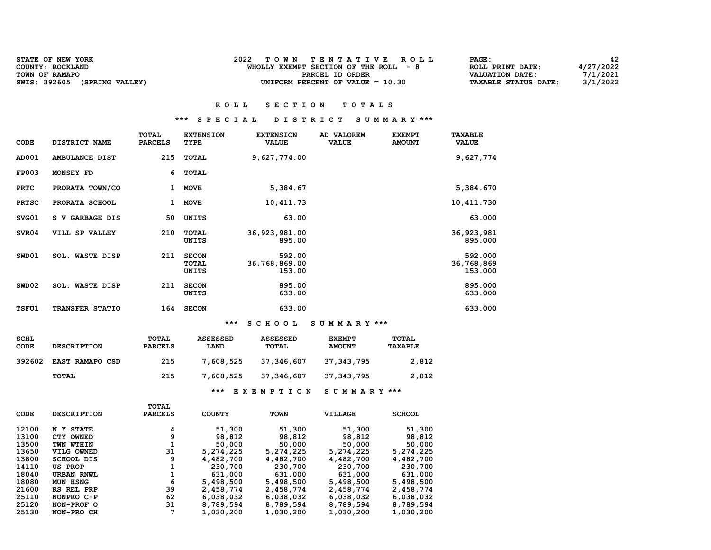| STATE OF NEW YORK               | TOWN TENTATIVE ROLL                    | 42<br>PAGE:                             |
|---------------------------------|----------------------------------------|-----------------------------------------|
| COUNTY: ROCKLAND                | WHOLLY EXEMPT SECTION OF THE ROLL $-8$ | 4/27/2022<br>ROLL PRINT DATE:           |
| TOWN OF RAMAPO                  | PARCEL ID ORDER                        | 7/1/2021<br>VALUATION DATE:             |
| SWIS: 392605<br>(SPRING VALLEY) | UNIFORM PERCENT OF VALUE $= 10.30$     | 3/1/2022<br><b>TAXABLE STATUS DATE:</b> |

#### \*\*\* S P E C I A L D I S T R I C T S U M M A R Y \*\*\*

| CODE         | DISTRICT NAME             | TOTAL<br><b>PARCELS</b> | <b>EXTENSION</b><br>TYPE              | <b>EXTENSION</b><br><b>VALUE</b>  | AD VALOREM<br><b>VALUE</b> | <b>EXEMPT</b><br><b>AMOUNT</b> | <b>TAXABLE</b><br><b>VALUE</b>   |
|--------------|---------------------------|-------------------------|---------------------------------------|-----------------------------------|----------------------------|--------------------------------|----------------------------------|
| AD001        | AMBULANCE DIST            | 215                     | <b>TOTAL</b>                          | 9,627,774.00                      |                            |                                | 9,627,774                        |
| <b>FP003</b> | MONSEY FD                 | 6                       | TOTAL                                 |                                   |                            |                                |                                  |
| <b>PRTC</b>  | PRORATA TOWN/CO           | 1                       | <b>MOVE</b>                           | 5,384.67                          |                            |                                | 5,384.670                        |
| <b>PRTSC</b> | PRORATA SCHOOL            | 1                       | <b>MOVE</b>                           | 10,411.73                         |                            |                                | 10,411.730                       |
| SVG01        | S V GARBAGE DIS           | 50                      | <b>UNITS</b>                          | 63.00                             |                            |                                | 63.000                           |
| SVR04        | VILL SP VALLEY            | 210                     | <b>TOTAL</b><br>UNITS                 | 36,923,981.00<br>895.00           |                            |                                | 36, 923, 981<br>895.000          |
| SWD01        | <b>WASTE DISP</b><br>SOL. | 211                     | <b>SECON</b><br><b>TOTAL</b><br>UNITS | 592.00<br>36,768,869.00<br>153.00 |                            |                                | 592.000<br>36,768,869<br>153.000 |
| SWD02        | <b>SOL. WASTE DISP</b>    | 211                     | <b>SECON</b><br>UNITS                 | 895.00<br>633.00                  |                            |                                | 895.000<br>633.000               |
| <b>TSFU1</b> | <b>TRANSFER STATIO</b>    | 164                     | <b>SECON</b>                          | 633.00                            |                            |                                | 633.000                          |

## \*\*\* S C H O O L S U M M A R Y \*\*\*

| <b>SCHL</b><br>CODE | <b>DESCRIPTION</b>     | TOTAL<br><b>PARCELS</b> | <b>ASSESSED</b><br><b>LAND</b> | <b>ASSESSED</b><br>TOTAL | <b>EXEMPT</b><br><b>AMOUNT</b> | TOTAL<br><b>TAXABLE</b> |
|---------------------|------------------------|-------------------------|--------------------------------|--------------------------|--------------------------------|-------------------------|
| 392602              | <b>EAST RAMAPO CSD</b> | 215                     | 7,608,525                      | 37,346,607               | 37,343,795                     | 2,812                   |
|                     | TOTAL                  | 215                     | 7,608,525                      | 37,346,607               | 37,343,795                     | 2,812                   |

## \*\*\* E X E M P T I O N S U M M A R Y \*\*\*

|                    | TOTAL          |               |             |                |               |
|--------------------|----------------|---------------|-------------|----------------|---------------|
| <b>DESCRIPTION</b> | <b>PARCELS</b> | <b>COUNTY</b> | <b>TOWN</b> | <b>VILLAGE</b> | <b>SCHOOL</b> |
| N Y STATE          | 4              | 51,300        | 51,300      | 51,300         | 51,300        |
| CTY OWNED          | 9              | 98,812        | 98,812      | 98,812         | 98,812        |
| TWN WTHIN          |                | 50,000        | 50,000      | 50,000         | 50,000        |
| VILG OWNED         | 31             | 5, 274, 225   | 5, 274, 225 | 5,274,225      | 5,274,225     |
| <b>SCHOOL DIS</b>  | 9              | 4,482,700     | 4,482,700   | 4,482,700      | 4,482,700     |
| <b>US PROP</b>     |                | 230,700       | 230,700     | 230,700        | 230,700       |
| URBAN RNWL         |                | 631,000       | 631,000     | 631,000        | 631,000       |
| <b>MUN HSNG</b>    | 6              | 5,498,500     | 5,498,500   | 5,498,500      | 5,498,500     |
| RS REL PRP         | 39             | 2,458,774     | 2,458,774   | 2,458,774      | 2,458,774     |
| NONPRO C-P         | 62             | 6,038,032     | 6,038,032   | 6,038,032      | 6,038,032     |
| NON-PROF O         | 31             | 8,789,594     | 8,789,594   | 8,789,594      | 8,789,594     |
| NON-PRO CH         |                | 1,030,200     | 1,030,200   | 1,030,200      | 1,030,200     |
|                    |                |               |             |                |               |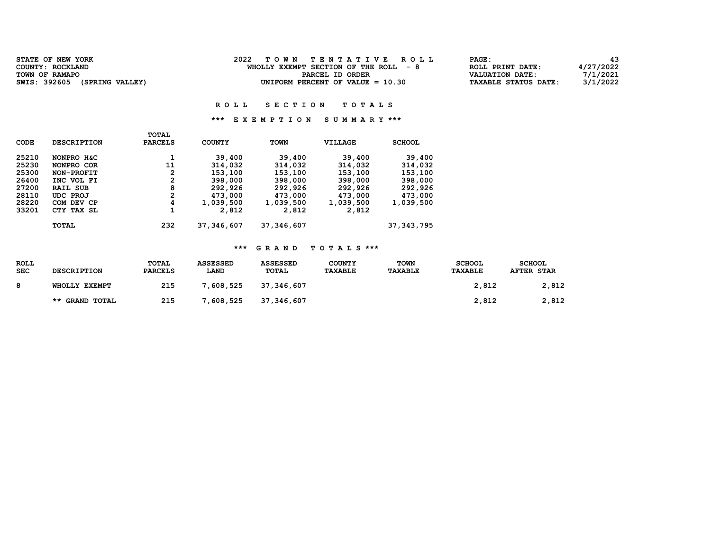| STATE OF NEW YORK               | TOWN TENTATIVE ROLL                   | <b>PAGE :</b>                           |
|---------------------------------|---------------------------------------|-----------------------------------------|
| COUNTY: ROCKLAND                | WHOLLY EXEMPT SECTION OF THE ROLL - 8 | 4/27/2022<br>ROLL PRINT DATE:           |
| TOWN OF RAMAPO                  | PARCEL ID ORDER                       | 7/1/2021<br>VALUATION DATE:             |
| SWIS: 392605<br>(SPRING VALLEY) | UNIFORM PERCENT OF VALUE $= 10.30$    | 3/1/2022<br><b>TAXABLE STATUS DATE:</b> |
|                                 |                                       |                                         |

### \*\*\* E X E M P T I O N S U M M A R Y \*\*\*

|       |                    | <b>TOTAL</b>   |               |             |                |               |
|-------|--------------------|----------------|---------------|-------------|----------------|---------------|
| CODE  | <b>DESCRIPTION</b> | <b>PARCELS</b> | <b>COUNTY</b> | <b>TOWN</b> | <b>VILLAGE</b> | <b>SCHOOL</b> |
| 25210 | NONPRO H&C         |                | 39,400        | 39,400      | 39,400         | 39,400        |
| 25230 | NONPRO COR         | 11             | 314,032       | 314,032     | 314,032        | 314,032       |
| 25300 | NON-PROFIT         | 2              | 153,100       | 153,100     | 153,100        | 153,100       |
| 26400 | INC VOL FI         | 2              | 398,000       | 398,000     | 398,000        | 398,000       |
| 27200 | <b>RAIL SUB</b>    | 8              | 292,926       | 292,926     | 292,926        | 292,926       |
| 28110 | <b>UDC PROJ</b>    | 2              | 473,000       | 473,000     | 473,000        | 473,000       |
| 28220 | COM DEV CP         | 4              | 1,039,500     | 1,039,500   | 1,039,500      | 1,039,500     |
| 33201 | CTY TAX SL         |                | 2,812         | 2,812       | 2,812          |               |
|       | TOTAL              | 232            | 37,346,607    | 37,346,607  |                | 37, 343, 795  |

| <b>ROLL</b><br><b>SEC</b> | <b>DESCRIPTION</b> | TOTAL<br><b>PARCELS</b> | <b>ASSESSED</b><br><b>LAND</b> | <b>ASSESSED</b><br><b>TOTAL</b> | <b>COUNTY</b><br><b>TAXABLE</b> | <b>TOWN</b><br><b>TAXABLE</b> | <b>SCHOOL</b><br>TAXABLE | <b>SCHOOL</b><br><b>AFTER STAR</b> |
|---------------------------|--------------------|-------------------------|--------------------------------|---------------------------------|---------------------------------|-------------------------------|--------------------------|------------------------------------|
| 8                         | WHOLLY EXEMPT      | 215                     | 7,608,525                      | 37,346,607                      |                                 |                               | 2,812                    | 2,812                              |
|                           | ** GRAND TOTAL     | 215                     | 7,608,525                      | 37,346,607                      |                                 |                               | 2,812                    | 2,812                              |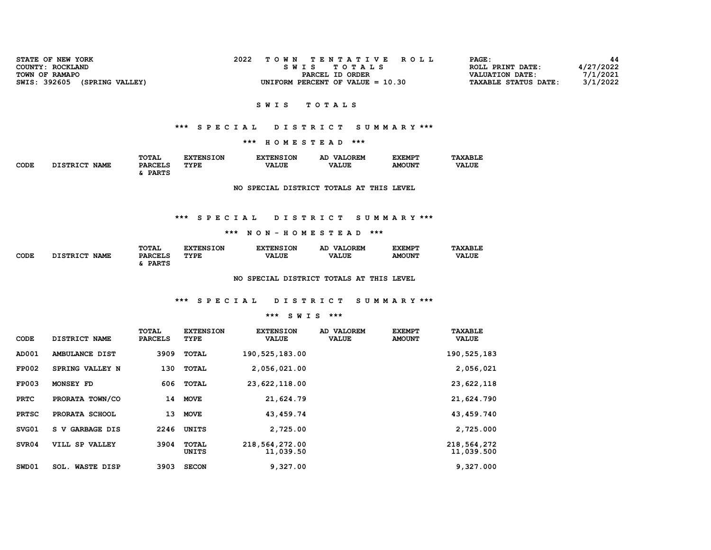| STATE OF NEW YORK               | TOWN TENTATIVE ROLL                | 44<br>PAGE:                             |
|---------------------------------|------------------------------------|-----------------------------------------|
| COUNTY: ROCKLAND                | SWIS TOTALS                        | 4/27/2022<br>ROLL PRINT DATE:           |
| TOWN OF RAMAPO                  | PARCEL ID ORDER                    | 7/1/2021<br><b>VALUATION DATE:</b>      |
| SWIS: 392605<br>(SPRING VALLEY) | UNIFORM PERCENT OF VALUE $= 10.30$ | 3/1/2022<br><b>TAXABLE STATUS DATE:</b> |
|                                 |                                    |                                         |

### \*\*\* S P E C I A L D I S T R I C T S U M M A R Y \*\*\*

\*\*\* H O M E S T E A D \*\*\*

|             |                                | TOTAL          | <b>'XTENSION</b> | <b>EXTENSION</b> | <b>VALOREM</b><br>AD | <b>EXEMPT</b> | <b>TAXABLE</b> |
|-------------|--------------------------------|----------------|------------------|------------------|----------------------|---------------|----------------|
| CODE<br>- - | <b>DISTRICT</b><br><b>NAME</b> | <b>PARCELS</b> | TYPE             | <b>VALUE</b>     | <b>VALUE</b>         | <b>AMOUNT</b> | <b>VALUE</b>   |
|             |                                | <b>DADTC</b>   |                  |                  |                      |               |                |

NO SPECIAL DISTRICT TOTALS AT THIS LEVEL

### \*\*\* S P E C I A L D I S T R I C T S U M M A R Y \*\*\*

#### \*\*\* N O N - H O M E S T E A D \*\*\*

|             |                                | TOTAL          | <b>TXTENSION</b> | <b>EXTENSION</b> | <b>VALOREM</b><br>AD | <b>EXEMPT</b> | <b>TAXABLE</b> |
|-------------|--------------------------------|----------------|------------------|------------------|----------------------|---------------|----------------|
| <b>CODE</b> | <b>DISTRICT</b><br><b>NAME</b> | <b>PARCELS</b> | TYPE             | <b>VALUE</b>     | <b>VALUE</b>         | <b>AMOUNT</b> | <b>VALUE</b>   |
|             |                                | <b>PARTS</b>   |                  |                  |                      |               |                |

NO SPECIAL DISTRICT TOTALS AT THIS LEVEL

# \*\*\* S P E C I A L D I S T R I C T S U M M A R Y \*\*\*

| CODE         | DISTRICT NAME          | <b>TOTAL</b><br><b>PARCELS</b> | <b>EXTENSION</b><br>TYPE | <b>EXTENSION</b><br><b>VALUE</b> | AD VALOREM<br><b>VALUE</b> | <b>EXEMPT</b><br><b>AMOUNT</b> | <b>TAXABLE</b><br><b>VALUE</b> |
|--------------|------------------------|--------------------------------|--------------------------|----------------------------------|----------------------------|--------------------------------|--------------------------------|
| AD001        | AMBULANCE DIST         | 3909                           | TOTAL                    | 190, 525, 183.00                 |                            |                                | 190,525,183                    |
| <b>FP002</b> | SPRING VALLEY N        | 130                            | <b>TOTAL</b>             | 2,056,021.00                     |                            |                                | 2,056,021                      |
| <b>FP003</b> | MONSEY FD              | 606                            | <b>TOTAL</b>             | 23,622,118.00                    |                            |                                | 23,622,118                     |
| <b>PRTC</b>  | PRORATA TOWN/CO        | 14                             | <b>MOVE</b>              | 21,624.79                        |                            |                                | 21,624.790                     |
| <b>PRTSC</b> | PRORATA SCHOOL         | 13                             | <b>MOVE</b>              | 43,459.74                        |                            |                                | 43,459.740                     |
| SVG01        | S V GARBAGE DIS        | 2246                           | <b>UNITS</b>             | 2,725.00                         |                            |                                | 2,725.000                      |
| SVR04        | VILL SP VALLEY         | 3904                           | TOTAL<br>UNITS           | 218,564,272.00<br>11,039.50      |                            |                                | 218,564,272<br>11,039.500      |
| SWD01        | <b>SOL. WASTE DISP</b> | 3903                           | <b>SECON</b>             | 9,327.00                         |                            |                                | 9,327.000                      |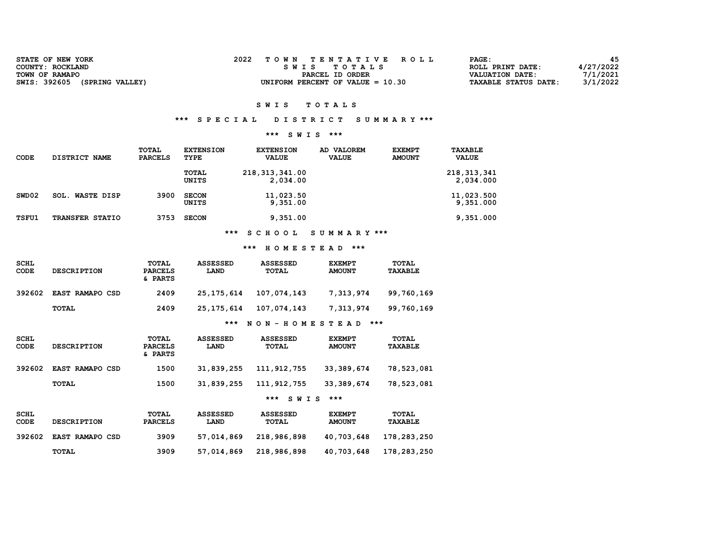| STATE OF NEW YORK               | TOWN TENTATIVE ROLL                | PAGE:                       | 45        |
|---------------------------------|------------------------------------|-----------------------------|-----------|
| COUNTY: ROCKLAND                | SWIS TOTALS                        | ROLL PRINT DATE:            | 4/27/2022 |
| TOWN OF RAMAPO                  | PARCEL ID ORDER                    | <b>VALUATION DATE:</b>      | 7/1/2021  |
| SWIS: 392605<br>(SPRING VALLEY) | UNIFORM PERCENT OF VALUE $= 10.30$ | <b>TAXABLE STATUS DATE:</b> | 3/1/2022  |

# \*\*\* S P E C I A L D I S T R I C T S U M M A R Y \*\*\*

## \*\*\* S W I S \*\*\*

| CODE         | DISTRICT NAME             | TOTAL<br><b>PARCELS</b> | <b>EXTENSION</b><br>TYPE | <b>EXTENSION</b><br><b>VALUE</b> | <b>VALOREM</b><br>AD.<br><b>VALUE</b> | <b>EXEMPT</b><br><b>AMOUNT</b> | TAXABLE<br><b>VALUE</b>    |
|--------------|---------------------------|-------------------------|--------------------------|----------------------------------|---------------------------------------|--------------------------------|----------------------------|
|              |                           |                         | TOTAL<br>UNITS           | 218, 313, 341.00<br>2,034.00     |                                       |                                | 218, 313, 341<br>2,034.000 |
| SWD02        | <b>WASTE DISP</b><br>SOL. | 3900                    | <b>SECON</b><br>UNITS    | 11,023.50<br>9,351.00            |                                       |                                | 11,023.500<br>9,351.000    |
| <b>TSFU1</b> | <b>TRANSFER STATIO</b>    | 3753                    | <b>SECON</b>             | 9,351.00                         |                                       |                                | 9,351.000                  |

\*\*\* S C H O O L S U M M A R Y \*\*\*

#### \*\*\* H O M E S T E A D \*\*\*

| <b>SCHL</b><br><b>CODE</b> | <b>DESCRIPTION</b>     | TOTAL<br><b>PARCELS</b><br>& PARTS | <b>ASSESSED</b><br><b>LAND</b> | <b>ASSESSED</b><br><b>TOTAL</b> | <b>EXEMPT</b><br><b>AMOUNT</b> | TOTAL<br>TAXABLE |
|----------------------------|------------------------|------------------------------------|--------------------------------|---------------------------------|--------------------------------|------------------|
| 392602                     | <b>EAST RAMAPO CSD</b> | 2409                               | 25, 175, 614                   | 107,074,143                     | 7,313,974                      | 99,760,169       |
|                            | <b>TOTAL</b>           | 2409                               | 25,175,614                     | 107,074,143                     | 7,313,974                      | 99,760,169       |
|                            |                        |                                    | ***                            | NON - HOMESTEAD                 | ***                            |                  |

| <b>SCHL</b><br><b>CODE</b> | <b>DESCRIPTION</b>     | TOTAL<br><b>PARCELS</b><br>& PARTS | <b>ASSESSED</b><br><b>LAND</b> | <b>ASSESSED</b><br><b>TOTAL</b> | <b>EXEMPT</b><br><b>AMOUNT</b> | <b>TOTAL</b><br><b>TAXABLE</b> |
|----------------------------|------------------------|------------------------------------|--------------------------------|---------------------------------|--------------------------------|--------------------------------|
| 392602                     | <b>EAST RAMAPO CSD</b> | 1500                               | 31,839,255                     | 111,912,755                     | 33, 389, 674                   | 78,523,081                     |
|                            | <b>TOTAL</b>           | 1500                               | 31,839,255                     | 111,912,755                     | 33, 389, 674                   | 78,523,081                     |
|                            |                        |                                    |                                | ***<br><b>SWIS</b>              | ***                            |                                |
| <b>SCHL</b><br>CODE        | <b>DESCRIPTION</b>     | TOTAL<br><b>PARCELS</b>            | <b>ASSESSED</b><br>LAND        | <b>ASSESSED</b><br>TOTAL        | <b>EXEMPT</b><br><b>AMOUNT</b> | <b>TOTAL</b><br><b>TAXABLE</b> |
| 392602                     | <b>EAST RAMAPO CSD</b> | 3909                               | 57,014,869                     | 218,986,898                     | 40,703,648                     | 178,283,250                    |
|                            | TOTAL                  | 3909                               | 57,014,869                     | 218,986,898                     | 40,703,648                     | 178,283,250                    |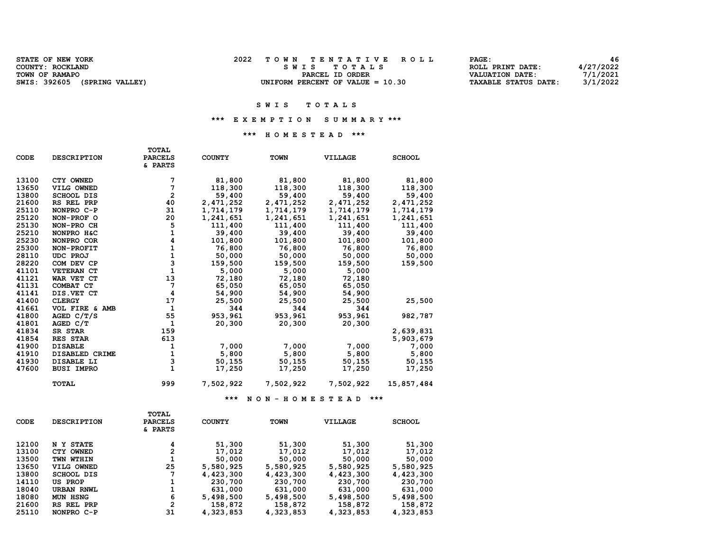| STATE OF NEW YORK               | TOWN TENTATIVE ROLL                | 46<br>PAGE:                             |
|---------------------------------|------------------------------------|-----------------------------------------|
| COUNTY: ROCKLAND                | SWIS TOTALS                        | 4/27/2022<br>ROLL PRINT DATE:           |
| TOWN OF RAMAPO                  | PARCEL ID ORDER                    | 7/1/2021<br>VALUATION DATE:             |
| SWIS: 392605<br>(SPRING VALLEY) | UNIFORM PERCENT OF VALUE $= 10.30$ | 3/1/2022<br><b>TAXABLE STATUS DATE:</b> |

#### \*\*\* E X E M P T I O N S U M M A R Y \*\*\*

#### \*\*\* H O M E S T E A D \*\*\*

| <b>CODE</b> | <b>DESCRIPTION</b> | <b>TOTAL</b><br><b>PARCELS</b><br>& PARTS | <b>COUNTY</b> | <b>TOWN</b>     | <b>VILLAGE</b> | <b>SCHOOL</b> |
|-------------|--------------------|-------------------------------------------|---------------|-----------------|----------------|---------------|
| 13100       | CTY OWNED          | 7                                         | 81,800        | 81,800          | 81,800         | 81,800        |
| 13650       | VILG OWNED         | 7                                         | 118,300       | 118,300         | 118,300        | 118,300       |
| 13800       | <b>SCHOOL DIS</b>  | $\overline{2}$                            | 59,400        | 59,400          | 59,400         | 59,400        |
| 21600       | RS REL PRP         | 40                                        | 2,471,252     | 2,471,252       | 2,471,252      | 2,471,252     |
| 25110       | NONPRO C-P         | 31                                        | 1,714,179     | 1,714,179       | 1,714,179      | 1,714,179     |
| 25120       | NON-PROF O         | 20                                        | 1,241,651     | 1,241,651       | 1,241,651      | 1,241,651     |
| 25130       | NON-PRO CH         | 5                                         | 111,400       | 111,400         | 111,400        | 111,400       |
| 25210       | NONPRO H&C         | $\mathbf 1$                               | 39,400        | 39,400          | 39,400         | 39,400        |
| 25230       | NONPRO COR         | 4                                         | 101,800       | 101,800         | 101,800        | 101,800       |
| 25300       | NON-PROFIT         | $\mathbf{1}$                              | 76,800        | 76,800          | 76,800         | 76,800        |
| 28110       | UDC PROJ           | $\mathbf 1$                               | 50,000        | 50,000          | 50,000         | 50,000        |
| 28220       | COM DEV CP         | $\frac{1}{3}$                             | 159,500       | 159,500         | 159,500        | 159,500       |
| 41101       | VETERAN CT         |                                           | 5,000         | 5,000           | 5,000          |               |
| 41121       | WAR VET CT         | 13                                        | 72,180        | 72,180          | 72,180         |               |
| 41131       | COMBAT CT          | 7                                         | 65,050        | 65,050          | 65,050         |               |
| 41141       | DIS. VET CT        | 4                                         | 54,900        | 54,900          | 54,900         |               |
| 41400       | <b>CLERGY</b>      | 17                                        | 25,500        | 25,500          | 25,500         | 25,500        |
| 41661       | VOL FIRE & AMB     | 1                                         | 344           | 344             | 344            |               |
| 41800       | AGED C/T/S         | 55                                        | 953,961       | 953,961         | 953,961        | 982,787       |
| 41801       | AGED C/T           | 1                                         | 20,300        | 20,300          | 20,300         |               |
| 41834       | SR STAR            | 159                                       |               |                 |                | 2,639,831     |
| 41854       | <b>RES STAR</b>    | 613                                       |               |                 |                | 5,903,679     |
| 41900       | <b>DISABLE</b>     | 1                                         | 7,000         | 7,000           | 7,000          | 7,000         |
| 41910       | DISABLED CRIME     | 1                                         | 5,800         | 5,800           | 5,800          | 5,800         |
| 41930       | DISABLE LI         | 3                                         | 50,155        | 50,155          | 50,155         | 50,155        |
| 47600       | <b>BUSI IMPRO</b>  | $\mathbf{1}$                              | 17,250        | 17,250          | 17,250         | 17,250        |
|             | TOTAL              | 999                                       | 7,502,922     | 7,502,922       | 7,502,922      | 15,857,484    |
|             |                    |                                           | ***           | NON - HOMESTEAD | ***            |               |

| CODE  | <b>DESCRIPTION</b> | <b>TOTAL</b><br><b>PARCELS</b><br>& PARTS | <b>COUNTY</b> | <b>TOWN</b> | <b>VILLAGE</b> | <b>SCHOOL</b> |
|-------|--------------------|-------------------------------------------|---------------|-------------|----------------|---------------|
| 12100 | N Y STATE          | 4                                         | 51,300        | 51,300      | 51,300         | 51,300        |
| 13100 | CTY OWNED          | 2                                         | 17,012        | 17,012      | 17,012         | 17,012        |
| 13500 | TWN WTHIN          | 1                                         | 50,000        | 50,000      | 50,000         | 50,000        |
| 13650 | VILG OWNED         | 25                                        | 5,580,925     | 5,580,925   | 5,580,925      | 5,580,925     |
| 13800 | SCHOOL DIS         | 7                                         | 4,423,300     | 4,423,300   | 4,423,300      | 4,423,300     |
| 14110 | US PROP            | 1                                         | 230,700       | 230,700     | 230,700        | 230,700       |
| 18040 | URBAN RNWL         | 1                                         | 631,000       | 631,000     | 631,000        | 631,000       |
| 18080 | MUN HSNG           | 6                                         | 5,498,500     | 5,498,500   | 5,498,500      | 5,498,500     |
| 21600 | RS REL PRP         | $\mathbf{2}$                              | 158,872       | 158,872     | 158,872        | 158,872       |
| 25110 | NONPRO C-P         | 31                                        | 4,323,853     | 4,323,853   | 4,323,853      | 4,323,853     |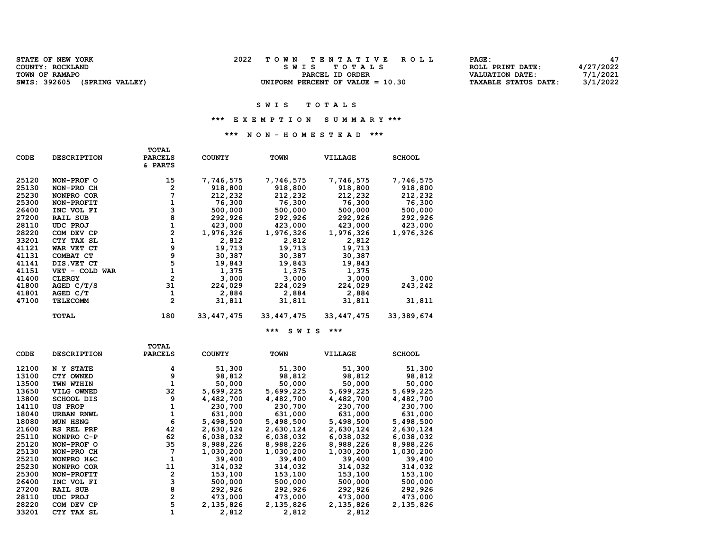| <b>STATE OF NEW YORK</b>        | TOWN TENTATIVE ROLL                | PAGE:                                   |
|---------------------------------|------------------------------------|-----------------------------------------|
| COUNTY: ROCKLAND                | SWIS TOTALS                        | 4/27/2022<br>ROLL PRINT DATE:           |
| TOWN OF RAMAPO                  | PARCEL ID ORDER                    | 7/1/2021<br>VALUATION DATE:             |
| SWIS: 392605<br>(SPRING VALLEY) | UNIFORM PERCENT OF VALUE $= 10.30$ | 3/1/2022<br><b>TAXABLE STATUS DATE:</b> |

#### \*\*\* E X E M P T I O N S U M M A R Y \*\*\*

#### \*\*\* N O N - H O M E S T E A D \*\*\*

| <b>CODE</b> | <b>DESCRIPTION</b> | TOTAL<br><b>PARCELS</b><br>& PARTS | <b>COUNTY</b> | <b>TOWN</b> | VILLAGE      | <b>SCHOOL</b> |
|-------------|--------------------|------------------------------------|---------------|-------------|--------------|---------------|
| 25120       | NON-PROF O         | 15                                 | 7,746,575     | 7,746,575   | 7,746,575    | 7,746,575     |
| 25130       | NON-PRO CH         | 2                                  | 918,800       | 918,800     | 918,800      | 918,800       |
| 25230       | NONPRO COR         | 7                                  | 212,232       | 212,232     | 212,232      | 212,232       |
| 25300       | NON-PROFIT         | 1                                  | 76,300        | 76,300      | 76,300       | 76,300        |
| 26400       | INC VOL FI         | з                                  | 500,000       | 500,000     | 500,000      | 500,000       |
| 27200       | <b>RAIL SUB</b>    | 8                                  | 292,926       | 292,926     | 292,926      | 292,926       |
| 28110       | <b>UDC PROJ</b>    | 1                                  | 423,000       | 423,000     | 423,000      | 423,000       |
| 28220       | COM DEV CP         | $\overline{2}$                     | 1,976,326     | 1,976,326   | 1,976,326    | 1,976,326     |
| 33201       | CTY TAX SL         | 1                                  | 2,812         | 2,812       | 2,812        |               |
| 41121       | WAR VET<br>CТ      | 9                                  | 19,713        | 19,713      | 19,713       |               |
| 41131       | COMBAT CT          | 9                                  | 30,387        | 30,387      | 30,387       |               |
| 41141       | DIS. VET CT        | 5                                  | 19,843        | 19,843      | 19,843       |               |
| 41151       | VET - COLD WAR     | $\mathbf{1}$                       | 1,375         | 1,375       | 1,375        |               |
| 41400       | <b>CLERGY</b>      | $\overline{2}$                     | 3,000         | 3,000       | 3,000        | 3,000         |
| 41800       | AGED $C/T/S$       | 31                                 | 224,029       | 224,029     | 224,029      | 243,242       |
| 41801       | AGED C/T           | 1                                  | 2,884         | 2,884       | 2,884        |               |
| 47100       | <b>TELECOMM</b>    | $\overline{2}$                     | 31,811        | 31,811      | 31,811       | 31,811        |
|             | TOTAL              | 180                                | 33,447,475    | 33,447,475  | 33, 447, 475 | 33,389,674    |

|       |                    | <b>TOTAL</b>   |               |             |                |               |
|-------|--------------------|----------------|---------------|-------------|----------------|---------------|
| CODE  | <b>DESCRIPTION</b> | <b>PARCELS</b> | <b>COUNTY</b> | <b>TOWN</b> | <b>VILLAGE</b> | <b>SCHOOL</b> |
|       |                    |                |               |             |                |               |
| 12100 | N Y STATE          |                | 51,300        | 51,300      | 51,300         | 51,300        |
| 13100 | CTY OWNED          | 9              | 98,812        | 98,812      | 98,812         | 98,812        |
| 13500 | TWN WTHIN          |                | 50,000        | 50,000      | 50,000         | 50,000        |
| 13650 | VILG OWNED         | 32             | 5,699,225     | 5,699,225   | 5,699,225      | 5,699,225     |
| 13800 | <b>SCHOOL DIS</b>  | 9              | 4,482,700     | 4,482,700   | 4,482,700      | 4,482,700     |
| 14110 | <b>US PROP</b>     |                | 230,700       | 230,700     | 230,700        | 230,700       |
| 18040 | <b>URBAN RNWL</b>  |                | 631,000       | 631,000     | 631,000        | 631,000       |
| 18080 | MUN HSNG           | 6              | 5,498,500     | 5,498,500   | 5,498,500      | 5,498,500     |
| 21600 | RS REL PRP         | 42             | 2,630,124     | 2,630,124   | 2,630,124      | 2,630,124     |
| 25110 | NONPRO C-P         | 62             | 6,038,032     | 6,038,032   | 6,038,032      | 6,038,032     |
| 25120 | NON-PROF O         | 35             | 8,988,226     | 8,988,226   | 8,988,226      | 8,988,226     |
| 25130 | NON-PRO CH         | 7              | 1,030,200     | 1,030,200   | 1,030,200      | 1,030,200     |
| 25210 | NONPRO H&C         |                | 39,400        | 39,400      | 39,400         | 39,400        |
| 25230 | NONPRO COR         | 11             | 314,032       | 314,032     | 314,032        | 314,032       |
| 25300 | NON-PROFIT         | 2              | 153,100       | 153,100     | 153,100        | 153,100       |
| 26400 | INC VOL FI         | 3              | 500,000       | 500,000     | 500,000        | 500,000       |
| 27200 | <b>RAIL SUB</b>    | 8              | 292,926       | 292,926     | 292,926        | 292,926       |
| 28110 | <b>UDC PROJ</b>    | $\overline{2}$ | 473,000       | 473,000     | 473,000        | 473,000       |
| 28220 | COM DEV CP         | 5              | 2,135,826     | 2,135,826   | 2,135,826      | 2,135,826     |
| 33201 | CTY TAX SL         |                | 2,812         | 2,812       | 2,812          |               |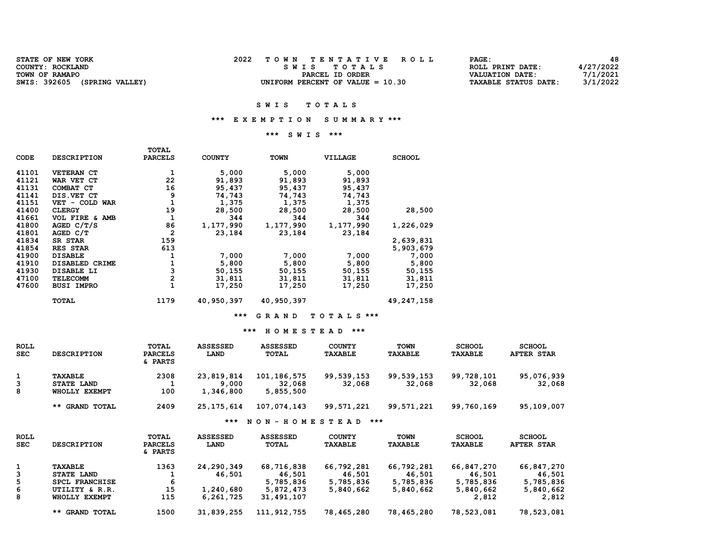| <b>STATE OF NEW YORK</b>        | TOWN TENTATIVE ROLL                | PAGE :                      | 48        |
|---------------------------------|------------------------------------|-----------------------------|-----------|
| COUNTY: ROCKLAND                | SWIS TOTALS                        | ROLL PRINT DATE:            | 4/27/2022 |
| TOWN OF RAMAPO                  | PARCEL ID ORDER                    | <b>VALUATION DATE:</b>      | 7/1/2021  |
| SWIS: 392605<br>(SPRING VALLEY) | UNIFORM PERCENT OF VALUE $= 10.30$ | <b>TAXABLE STATUS DATE:</b> | 3/1/2022  |

#### \*\*\* E X E M P T I O N S U M M A R Y \*\*\*

#### \*\*\* S W I S \*\*\*

|       |                    | TOTAL          |               |             |           |               |
|-------|--------------------|----------------|---------------|-------------|-----------|---------------|
| CODE  | <b>DESCRIPTION</b> | <b>PARCELS</b> | <b>COUNTY</b> | <b>TOWN</b> | VILLAGE   | <b>SCHOOL</b> |
| 41101 | <b>VETERAN CT</b>  | 1              | 5,000         | 5,000       | 5,000     |               |
| 41121 | WAR VET CT         | 22             | 91,893        | 91,893      | 91,893    |               |
|       |                    |                |               |             |           |               |
| 41131 | COMBAT CT          | 16             | 95,437        | 95,437      | 95,437    |               |
| 41141 | DIS. VET CT        | 9              | 74,743        | 74,743      | 74,743    |               |
| 41151 | VET - COLD WAR     |                | 1,375         | 1,375       | 1,375     |               |
| 41400 | <b>CLERGY</b>      | 19             | 28,500        | 28,500      | 28,500    | 28,500        |
| 41661 | VOL FIRE & AMB     | $\mathbf{1}$   | 344           | 344         | 344       |               |
| 41800 | AGED C/T/S         | 86             | 1,177,990     | 1,177,990   | 1,177,990 | 1,226,029     |
| 41801 | AGED C/T           | $\mathbf{2}$   | 23,184        | 23,184      | 23,184    |               |
| 41834 | SR STAR            | 159            |               |             |           | 2,639,831     |
| 41854 | <b>RES STAR</b>    | 613            |               |             |           | 5,903,679     |
| 41900 | <b>DISABLE</b>     |                | 7,000         | 7,000       | 7,000     | 7,000         |
| 41910 | DISABLED CRIME     |                | 5,800         | 5,800       | 5,800     | 5,800         |
| 41930 | DISABLE LI         |                | 50,155        | 50,155      | 50,155    | 50,155        |
| 47100 | <b>TELECOMM</b>    | $\mathbf{2}$   | 31,811        | 31,811      | 31,811    | 31,811        |
| 47600 | <b>BUSI IMPRO</b>  |                | 17,250        | 17,250      | 17,250    | 17,250        |
|       | TOTAL              | 1179           | 40,950,397    | 40,950,397  |           | 49,247,158    |

\*\*\* G R A N D T O T A L S \*\*\*

### \*\*\* H O M E S T E A D \*\*\*

| <b>ROLL</b><br><b>SEC</b> | <b>DESCRIPTION</b>                     | <b>TOTAL</b><br><b>PARCELS</b><br>& PARTS | <b>ASSESSED</b><br>LAND          | <b>ASSESSED</b><br>TOTAL           | <b>COUNTY</b><br><b>TAXABLE</b> | <b>TOWN</b><br><b>TAXABLE</b> | <b>SCHOOL</b><br><b>TAXABLE</b> | <b>SCHOOL</b><br><b>AFTER STAR</b> |
|---------------------------|----------------------------------------|-------------------------------------------|----------------------------------|------------------------------------|---------------------------------|-------------------------------|---------------------------------|------------------------------------|
| 3<br>8                    | TAXABLE<br>STATE LAND<br>WHOLLY EXEMPT | 2308<br>100                               | 23,819,814<br>9,000<br>1,346,800 | 101,186,575<br>32,068<br>5,855,500 | 99,539,153<br>32,068            | 99,539,153<br>32,068          | 99,728,101<br>32,068            | 95,076,939<br>32,068               |
|                           | ** GRAND TOTAL                         | 2409                                      | 25,175,614                       | 107,074,143                        | 99,571,221                      | 99,571,221                    | 99,760,169                      | 95,109,007                         |

#### \*\*\* N O N - H O M E S T E A D \*\*\*

| <b>ROLL</b> |                    | TOTAL          | <b>ASSESSED</b> | <b>ASSESSED</b> | <b>COUNTY</b>  | <b>TOWN</b>    | <b>SCHOOL</b>  | <b>SCHOOL</b>     |
|-------------|--------------------|----------------|-----------------|-----------------|----------------|----------------|----------------|-------------------|
| <b>SEC</b>  | <b>DESCRIPTION</b> | <b>PARCELS</b> | LAND            | TOTAL           | <b>TAXABLE</b> | <b>TAXABLE</b> | <b>TAXABLE</b> | <b>AFTER STAR</b> |
|             |                    | & PARTS        |                 |                 |                |                |                |                   |
|             | <b>TAXABLE</b>     | 1363           | 24,290,349      | 68,716,838      | 66,792,281     | 66,792,281     | 66,847,270     | 66,847,270        |
| 3           | STATE LAND         |                | 46,501          | 46,501          | 46,501         | 46,501         | 46,501         | 46,501            |
| 5           | SPCL FRANCHISE     | 6              |                 | 5,785,836       | 5,785,836      | 5,785,836      | 5,785,836      | 5,785,836         |
| 6           | UTILITY & R.R.     | 15             | 1,240,680       | 5,872,473       | 5,840,662      | 5,840,662      | 5,840,662      | 5,840,662         |
| 8           | WHOLLY EXEMPT      | 115            | 6,261,725       | 31,491,107      |                |                | 2,812          | 2,812             |
|             | ** GRAND TOTAL     | 1500           | 31,839,255      | 111,912,755     | 78,465,280     | 78,465,280     | 78,523,081     | 78,523,081        |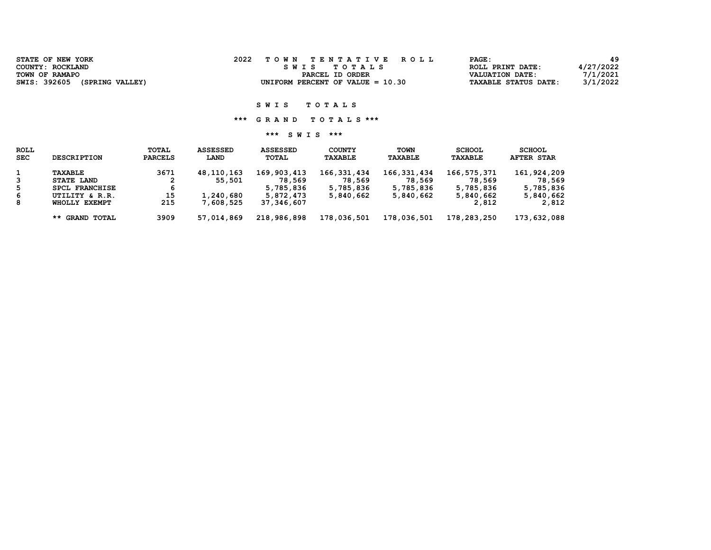| STATE OF NEW YORK               | 2022<br>TOWN TENTATIVE ROLL        | PAGE:                | 49        |
|---------------------------------|------------------------------------|----------------------|-----------|
| COUNTY: ROCKLAND                | SWIS TOTALS                        | ROLL PRINT DATE:     | 4/27/2022 |
| TOWN OF RAMAPO                  | PARCEL ID ORDER                    | VALUATION DATE:      | 7/1/2021  |
| SWIS: 392605<br>(SPRING VALLEY) | UNIFORM PERCENT OF VALUE $= 10.30$ | TAXABLE STATUS DATE: | 3/1/2022  |

\*\*\* G R A N D T O T A L S \*\*\*

| ROLL       |                       | TOTAL          | <b>ASSESSED</b> | <b>ASSESSED</b> | <b>COUNTY</b>  | TOWN           | <b>SCHOOL</b> | <b>SCHOOL</b>     |
|------------|-----------------------|----------------|-----------------|-----------------|----------------|----------------|---------------|-------------------|
| <b>SEC</b> | <b>DESCRIPTION</b>    | <b>PARCELS</b> | LAND            | TOTAL           | <b>TAXABLE</b> | <b>TAXABLE</b> | TAXABLE       | <b>AFTER STAR</b> |
|            | TAXABLE               | 3671           | 48,110,163      | 169,903,413     | 166, 331, 434  | 166, 331, 434  | 166,575,371   | 161,924,209       |
| 3          | STATE LAND            |                | 55,501          | 78,569          | 78,569         | 78,569         | 78,569        | 78,569            |
| 5          | <b>SPCL FRANCHISE</b> |                |                 | 5,785,836       | 5,785,836      | 5,785,836      | 5,785,836     | 5,785,836         |
| 6          | UTILITY & R.R.        | 15             | 1,240,680       | 5,872,473       | 5,840,662      | 5,840,662      | 5,840,662     | 5,840,662         |
| 8          | WHOLLY EXEMPT         | 215            | 7,608,525       | 37,346,607      |                |                | 2,812         | 2,812             |
|            | <b>** GRAND TOTAL</b> | 3909           | 57,014,869      | 218,986,898     | 178,036,501    | 178,036,501    | 178,283,250   | 173,632,088       |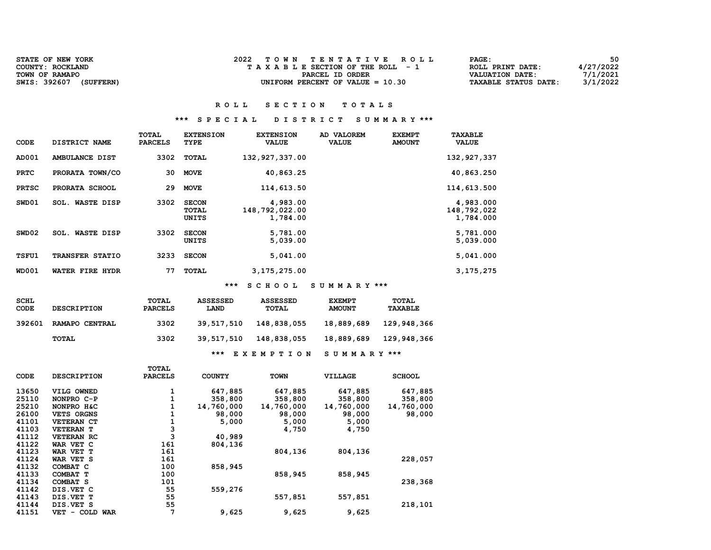| <b>STATE OF NEW YORK</b>  | TOWN TENTATIVE ROLL                | <b>PAGE :</b>               | 50        |
|---------------------------|------------------------------------|-----------------------------|-----------|
| COUNTY: ROCKLAND          | TAXABLE SECTION OF THE ROLL - 1    | ROLL PRINT DATE:            | 4/27/2022 |
| TOWN OF RAMAPO            | PARCEL ID ORDER                    | VALUATION DATE:             | 7/1/2021  |
| SWIS: 392607<br>(SUFFERN) | UNIFORM PERCENT OF VALUE $= 10.30$ | <b>TAXABLE STATUS DATE:</b> | 3/1/2022  |

#### \*\*\* S P E C I A L D I S T R I C T S U M M A R Y \*\*\*

| <b>CODE</b>  | DISTRICT NAME             | TOTAL<br><b>PARCELS</b> | <b>EXTENSION</b><br><b>TYPE</b> | <b>EXTENSION</b><br><b>VALUE</b>       | AD VALOREM<br><b>VALUE</b> | <b>EXEMPT</b><br><b>AMOUNT</b> | <b>TAXABLE</b><br><b>VALUE</b>        |
|--------------|---------------------------|-------------------------|---------------------------------|----------------------------------------|----------------------------|--------------------------------|---------------------------------------|
| AD001        | AMBULANCE DIST            | 3302                    | <b>TOTAL</b>                    | 132, 927, 337.00                       |                            |                                | 132, 927, 337                         |
| <b>PRTC</b>  | PRORATA TOWN/CO           | 30                      | <b>MOVE</b>                     | 40,863.25                              |                            |                                | 40,863.250                            |
| <b>PRTSC</b> | PRORATA SCHOOL            | 29                      | <b>MOVE</b>                     | 114,613.50                             |                            |                                | 114,613.500                           |
| SWD01        | <b>WASTE DISP</b><br>SOL. | 3302                    | <b>SECON</b><br>TOTAL<br>UNITS  | 4,983.00<br>148,792,022.00<br>1,784.00 |                            |                                | 4,983.000<br>148,792,022<br>1,784.000 |
| SWD02        | <b>WASTE DISP</b><br>SOL. | 3302                    | <b>SECON</b><br>UNITS           | 5,781.00<br>5,039.00                   |                            |                                | 5,781.000<br>5,039.000                |
| <b>TSFU1</b> | TRANSFER STATIO           | 3233                    | <b>SECON</b>                    | 5,041.00                               |                            |                                | 5,041.000                             |
| <b>WD001</b> | WATER FIRE HYDR           | 77                      | <b>TOTAL</b>                    | 3, 175, 275.00                         |                            |                                | 3, 175, 275                           |

\*\*\* S C H O O L S U M M A R Y \*\*\*

| SCHL<br>CODE | <b>DESCRIPTION</b> | TOTAL<br><b>PARCELS</b> | <b>ASSESSED</b><br>LAND | <b>ASSESSED</b><br>TOTAL | <b>EXEMPT</b><br><b>AMOUNT</b> | <b>TOTAL</b><br><b>TAXABLE</b> |
|--------------|--------------------|-------------------------|-------------------------|--------------------------|--------------------------------|--------------------------------|
| 392601       | RAMAPO CENTRAL     | 3302                    | 39,517,510              | 148,838,055              | 18,889,689                     | 129,948,366                    |
|              | TOTAL              | 3302                    | 39,517,510              | 148,838,055              | 18,889,689                     | 129,948,366                    |
|              |                    |                         | ***                     | EXEMPTION                | SUMMARY ***                    |                                |

|             |                                             | TOTAL          |               |            |            |               |
|-------------|---------------------------------------------|----------------|---------------|------------|------------|---------------|
| <b>CODE</b> | <b>DESCRIPTION</b>                          | <b>PARCELS</b> | <b>COUNTY</b> | TOWN       | VILLAGE    | <b>SCHOOL</b> |
| 13650       | VILG OWNED                                  |                | 647,885       | 647,885    | 647,885    | 647,885       |
| 25110       | NONPRO C-P                                  |                | 358,800       | 358,800    | 358,800    | 358,800       |
| 25210       | NONPRO H&C                                  |                | 14,760,000    | 14,760,000 | 14,760,000 | 14,760,000    |
| 26100       | <b>VETS ORGNS</b>                           |                | 98,000        | 98,000     | 98,000     | 98,000        |
| 41101       | <b>VETERAN CT</b>                           |                | 5,000         | 5,000      | 5,000      |               |
| 41103       | <b>VETERAN T</b>                            | 3              |               | 4,750      | 4,750      |               |
| 41112       | <b>VETERAN RC</b>                           | 3              | 40,989        |            |            |               |
| 41122       | WAR VET C                                   | 161            | 804,136       |            |            |               |
| 41123       | WAR VET T                                   | 161            |               | 804,136    | 804,136    |               |
| 41124       | WAR VET S                                   | 161            |               |            |            | 228,057       |
| 41132       | COMBAT C                                    | 100            | 858,945       |            |            |               |
| 41133       | COMBAT T                                    | 100            |               | 858,945    | 858,945    |               |
| 41134       | COMBAT S                                    | 101            |               |            |            | 238,368       |
| 41142       | DIS.VET C                                   | 55             | 559,276       |            |            |               |
| 41143       | DIS.VET T                                   | 55             |               | 557,851    | 557,851    |               |
| 41144       | DIS. VET S                                  | 55             |               |            |            | 218,101       |
| 41151       | COLD WAR<br>VET<br>$\overline{\phantom{a}}$ | 7              | 9,625         | 9,625      | 9,625      |               |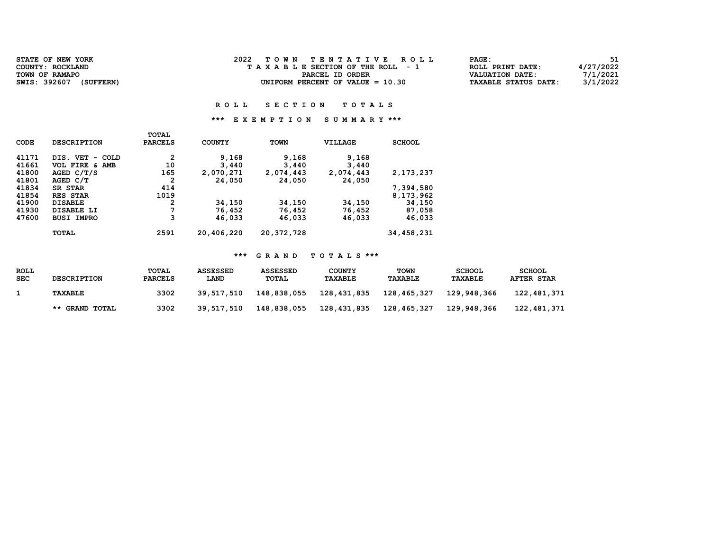| STATE OF NEW YORK<br>COUNTY: ROCKLAND       | 2022<br>TOWN TENTATIVE ROLL<br>$T A X A B L E$ SECTION OF THE ROLL - 1 | PAGE:<br>ROLL PRINT DATE:               | 4/27/2022            |
|---------------------------------------------|------------------------------------------------------------------------|-----------------------------------------|----------------------|
| TOWN OF RAMAPO<br>SWIS: 392607<br>(SUFFERN) | PARCEL ID ORDER<br>UNIFORM PERCENT OF VALUE $= 10.30$                  | VALUATION DATE:<br>TAXABLE STATUS DATE: | 7/1/2021<br>3/1/2022 |

### \*\*\* E X E M P T I O N S U M M A R Y \*\*\*

|             |                                              | <b>TOTAL</b>   |               |              |           |               |
|-------------|----------------------------------------------|----------------|---------------|--------------|-----------|---------------|
| <b>CODE</b> | <b>DESCRIPTION</b>                           | <b>PARCELS</b> | <b>COUNTY</b> | <b>TOWN</b>  | VILLAGE   | <b>SCHOOL</b> |
| 41171       | DIS. VET<br>COLD<br>$\overline{\phantom{a}}$ | 2              | 9,168         | 9,168        | 9,168     |               |
| 41661       | VOL FIRE & AMB                               | 10             | 3,440         | 3,440        | 3,440     |               |
| 41800       | AGED $C/T/S$                                 | 165            | 2,070,271     | 2,074,443    | 2,074,443 | 2,173,237     |
| 41801       | AGED C/T                                     | 2              | 24,050        | 24,050       | 24,050    |               |
| 41834       | <b>SR STAR</b>                               | 414            |               |              |           | 7,394,580     |
| 41854       | <b>RES STAR</b>                              | 1019           |               |              |           | 8,173,962     |
| 41900       | <b>DISABLE</b>                               | 2              | 34,150        | 34,150       | 34,150    | 34,150        |
| 41930       | DISABLE LI                                   | 7              | 76,452        | 76,452       | 76,452    | 87,058        |
| 47600       | <b>BUSI IMPRO</b>                            | 3              | 46,033        | 46,033       | 46,033    | 46,033        |
|             | <b>TOTAL</b>                                 | 2591           | 20,406,220    | 20, 372, 728 |           | 34,458,231    |

| <b>ROLL</b><br><b>SEC</b> | <b>DESCRIPTION</b> | <b>TOTAL</b><br><b>PARCELS</b> | <b>ASSESSED</b><br><b>LAND</b> | <b>ASSESSED</b><br><b>TOTAL</b> | <b>COUNTY</b><br><b>TAXABLE</b> | TOWN<br><b>TAXABLE</b> | <b>SCHOOL</b><br><b>TAXABLE</b> | <b>SCHOOL</b><br><b>AFTER STAR</b> |
|---------------------------|--------------------|--------------------------------|--------------------------------|---------------------------------|---------------------------------|------------------------|---------------------------------|------------------------------------|
|                           | TAXABLE            | 3302                           | 39,517,510                     | 148,838,055                     | 128,431,835                     | 128,465,327            | 129,948,366                     | 122,481,371                        |
|                           | ** GRAND TOTAL     | 3302                           | 39,517,510                     | 148,838,055                     | 128,431,835                     | 128,465,327            | 129,948,366                     | 122,481,371                        |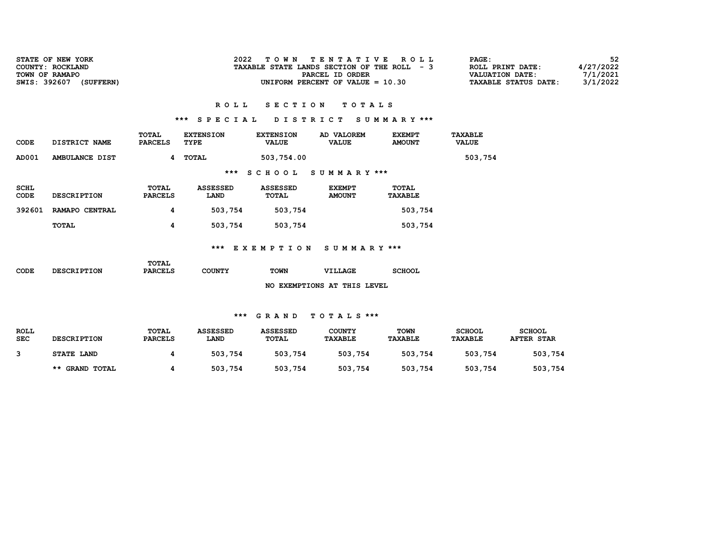| <b>STATE OF NEW YORK</b><br>COUNTY: ROCKLAND | TOWN TENTATIVE ROLL<br>TAXABLE STATE LANDS SECTION OF THE ROLL - 3 | 52<br>PAGE:<br>4/27/2022<br>ROLL PRINT DATE:                           |
|----------------------------------------------|--------------------------------------------------------------------|------------------------------------------------------------------------|
| TOWN OF RAMAPO<br>SWIS: 392607<br>(SUFFERN)  | PARCEL ID ORDER<br>UNIFORM PERCENT OF VALUE $= 10.30$              | 7/1/2021<br>VALUATION DATE:<br>3/1/2022<br><b>TAXABLE STATUS DATE:</b> |

#### \*\*\* S P E C I A L D I S T R I C T S U M M A R Y \*\*\*

| CODE  | DISTRICT NAME  | <b>TOTAL</b><br><b>PARCELS</b> | <b>EXTENSION</b><br>TYPE | <b>EXTENSION</b><br><b>VALUE</b> | AD VALOREM<br><b>VALUE</b> | <b>EXEMPT</b><br><b>AMOUNT</b> | <b>TAXABLE</b><br><b>VALUE</b> |
|-------|----------------|--------------------------------|--------------------------|----------------------------------|----------------------------|--------------------------------|--------------------------------|
| AD001 | AMBULANCE DIST |                                | TOTAL                    | 503,754.00                       |                            |                                | 503,754                        |
|       |                |                                |                          |                                  | *** SCHOOL SUMMARY ***     |                                |                                |

| SCHL<br>CODE | <b>DESCRIPTION</b> | <b>TOTAL</b><br><b>PARCELS</b> | ASSESSED<br><b>LAND</b> | ASSESSED<br>TOTAL | <b>EXEMPT</b><br><b>AMOUNT</b> | <b>TOTAL</b><br><b>TAXABLE</b> |
|--------------|--------------------|--------------------------------|-------------------------|-------------------|--------------------------------|--------------------------------|
| 392601       | RAMAPO CENTRAL     | д                              | 503,754                 | 503,754           |                                | 503,754                        |
|              | TOTAL              | 4                              | 503,754                 | 503,754           |                                | 503,754                        |

\*\*\* E X E M P T I O N S U M M A R Y \*\*\*

|                    | <b>TOTAL</b>   |        |             |      |               |
|--------------------|----------------|--------|-------------|------|---------------|
| <b>DESCRIPTION</b> | <b>PARCELS</b> | COUNTY | <b>TOWN</b> | LACE | <b>SCHOOL</b> |
|                    |                |        |             |      |               |
|                    |                |        |             |      |               |

NO EXEMPTIONS AT THIS LEVEL

| <b>ROLL</b><br><b>SEC</b> | <b>DESCRIPTION</b> | TOTAL<br><b>PARCELS</b> | <b>ASSESSED</b><br><b>LAND</b> | <b>ASSESSED</b><br><b>TOTAL</b> | <b>COUNTY</b><br><b>TAXABLE</b> | <b>TOWN</b><br><b>TAXABLE</b> | <b>SCHOOL</b><br>TAXABLE | <b>SCHOOL</b><br><b>AFTER STAR</b> |
|---------------------------|--------------------|-------------------------|--------------------------------|---------------------------------|---------------------------------|-------------------------------|--------------------------|------------------------------------|
|                           | <b>STATE LAND</b>  |                         | 503,754                        | 503,754                         | 503,754                         | 503,754                       | 503,754                  | 503,754                            |
|                           | ** GRAND TOTAL     |                         | 503,754                        | 503,754                         | 503,754                         | 503,754                       | 503,754                  | 503,754                            |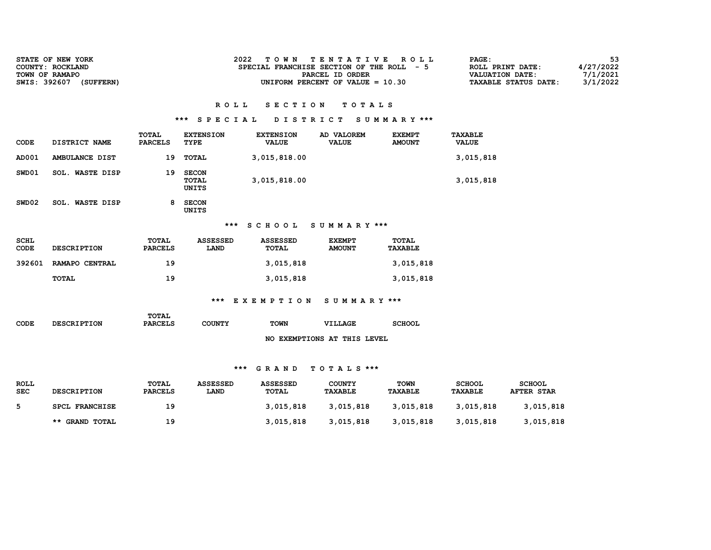| <b>STATE OF NEW YORK</b><br>COUNTY: ROCKLAND | 2022<br>TOWN TENTATIVE ROLL<br>SPECIAL FRANCHISE SECTION OF THE ROLL - 5 | PAGE:<br>4/27/2022<br>ROLL PRINT DATE:                          |  |
|----------------------------------------------|--------------------------------------------------------------------------|-----------------------------------------------------------------|--|
| TOWN OF RAMAPO<br>SWIS: 392607<br>(SUFFERN)  | PARCEL ID ORDER<br>UNIFORM PERCENT OF VALUE $= 10.30$                    | 7/1/2021<br>VALUATION DATE:<br>3/1/2022<br>TAXABLE STATUS DATE: |  |

## \*\*\* S P E C I A L D I S T R I C T S U M M A R Y \*\*\*

| CODE                | DISTRICT NAME          | TOTAL<br><b>PARCELS</b>        | <b>EXTENSION</b><br><b>TYPE</b>       | <b>EXTENSION</b><br><b>VALUE</b> | AD VALOREM<br><b>VALUE</b>     | <b>EXEMPT</b><br><b>AMOUNT</b> | <b>TAXABLE</b><br><b>VALUE</b> |
|---------------------|------------------------|--------------------------------|---------------------------------------|----------------------------------|--------------------------------|--------------------------------|--------------------------------|
| AD001               | AMBULANCE DIST         | 19                             | TOTAL                                 | 3,015,818.00                     |                                |                                | 3,015,818                      |
| SWD01               | SOL. WASTE DISP        | 19                             | <b>SECON</b><br><b>TOTAL</b><br>UNITS | 3,015,818.00                     |                                |                                | 3,015,818                      |
| SWD02               | <b>SOL. WASTE DISP</b> | 8                              | <b>SECON</b><br><b>UNITS</b>          |                                  |                                |                                |                                |
|                     |                        |                                |                                       | *** SCHOOL                       | SUMMARY ***                    |                                |                                |
| <b>SCHL</b><br>CODE | <b>DESCRIPTION</b>     | TOTAL<br><b>PARCELS</b>        | <b>ASSESSED</b><br>LAND               | <b>ASSESSED</b><br><b>TOTAL</b>  | <b>EXEMPT</b><br><b>AMOUNT</b> | TOTAL<br><b>TAXABLE</b>        |                                |
| 392601              | RAMAPO CENTRAL         | 19                             |                                       | 3,015,818                        |                                | 3,015,818                      |                                |
|                     | <b>TOTAL</b>           | 19                             |                                       | 3,015,818                        |                                | 3,015,818                      |                                |
|                     |                        |                                |                                       | *** EXEMPTION                    | SUMMARY ***                    |                                |                                |
| <b>CODE</b>         | <b>DESCRIPTION</b>     | <b>TOTAL</b><br><b>PARCELS</b> | <b>COUNTY</b>                         | <b>TOWN</b>                      | <b>VILLAGE</b>                 | <b>SCHOOL</b>                  |                                |
|                     |                        |                                |                                       |                                  | NO EXEMPTIONS AT THIS LEVEL    |                                |                                |
|                     |                        |                                |                                       |                                  |                                |                                |                                |

| <b>ROLL</b><br><b>SEC</b> | <b>DESCRIPTION</b> | TOTAL<br><b>PARCELS</b> | <b>ASSESSED</b><br><b>LAND</b> | <b>ASSESSED</b><br>TOTAL | <b>COUNTY</b><br>TAXABLE | TOWN<br><b>TAXABLE</b> | <b>SCHOOL</b><br><b>TAXABLE</b> | <b>SCHOOL</b><br><b>AFTER STAR</b> |
|---------------------------|--------------------|-------------------------|--------------------------------|--------------------------|--------------------------|------------------------|---------------------------------|------------------------------------|
|                           | SPCL FRANCHISE     | 19                      |                                | 3,015,818                | 3,015,818                | 3,015,818              | 3,015,818                       | 3,015,818                          |
|                           | ** GRAND TOTAL     | 19                      |                                | 3,015,818                | 3,015,818                | 3,015,818              | 3,015,818                       | 3,015,818                          |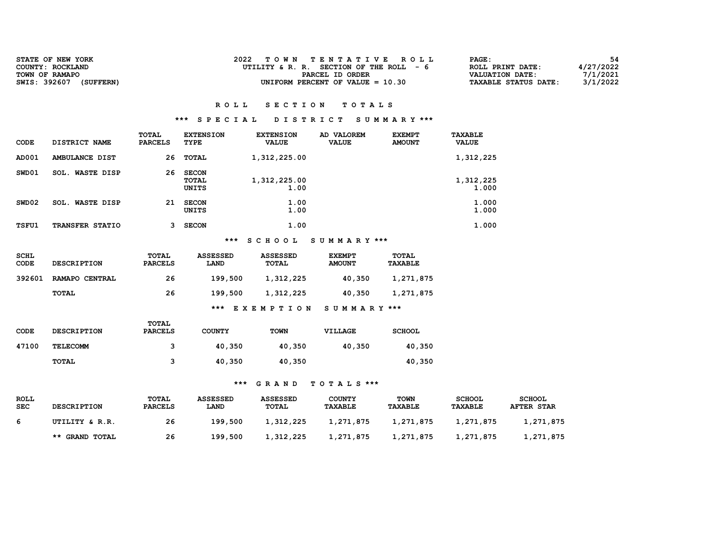| <b>STATE OF NEW YORK</b><br>COUNTY: ROCKLAND | 2022<br>TOWN TENTATIVE ROLL<br>UTILITY & R. R. SECTION OF THE ROLL $-6$ | -54<br><b>PAGE :</b><br>4/27/2022<br>ROLL PRINT DATE:                  |
|----------------------------------------------|-------------------------------------------------------------------------|------------------------------------------------------------------------|
| TOWN OF RAMAPO<br>SWIS: 392607<br>(SUFFERN)  | PARCEL ID ORDER<br>UNIFORM PERCENT OF VALUE $= 10.30$                   | 7/1/2021<br>VALUATION DATE:<br>3/1/2022<br><b>TAXABLE STATUS DATE:</b> |

#### \*\*\* S P E C I A L D I S T R I C T S U M M A R Y \*\*\*

| CODE  | DISTRICT NAME             | TOTAL<br><b>PARCELS</b> | <b>EXTENSION</b><br>TYPE       | <b>EXTENSION</b><br><b>VALUE</b> | AD VALOREM<br><b>VALUE</b> | <b>EXEMPT</b><br><b>AMOUNT</b> | <b>TAXABLE</b><br><b>VALUE</b> |
|-------|---------------------------|-------------------------|--------------------------------|----------------------------------|----------------------------|--------------------------------|--------------------------------|
| AD001 | AMBULANCE DIST            | 26                      | TOTAL                          | 1,312,225.00                     |                            |                                | 1,312,225                      |
| SWD01 | <b>WASTE DISP</b><br>SOL. | 26                      | <b>SECON</b><br>TOTAL<br>UNITS | 1,312,225.00<br>1.00             |                            |                                | 1,312,225<br>1.000             |
| SWD02 | <b>SOL. WASTE DISP</b>    | 21                      | <b>SECON</b><br>UNITS          | 1.00<br>1.00                     |                            |                                | 1.000<br>1.000                 |
| TSFU1 | <b>TRANSFER STATIO</b>    |                         | <b>SECON</b>                   | 1.00                             |                            |                                | 1.000                          |

## \*\*\* S C H O O L S U M M A R Y \*\*\*

| <b>SCHL</b><br>CODE | <b>DESCRIPTION</b> | TOTAL<br><b>PARCELS</b> | <b>ASSESSED</b><br>LAND | <b>ASSESSED</b><br><b>TOTAL</b> | <b>EXEMPT</b><br><b>AMOUNT</b> | TOTAL<br><b>TAXABLE</b> |
|---------------------|--------------------|-------------------------|-------------------------|---------------------------------|--------------------------------|-------------------------|
| 392601              | RAMAPO CENTRAL     | 26                      | 199,500                 | 1,312,225                       | 40,350                         | 1,271,875               |
|                     | TOTAL              | 26                      | 199,500                 | 1,312,225                       | 40,350                         | 1,271,875               |
|                     |                    |                         | ***                     | EXEMPTION                       | SUMMARY ***                    |                         |

| <b>CODE</b> | <b>DESCRIPTION</b> | TOTAL<br><b>PARCELS</b> | <b>COUNTY</b> | <b>TOWN</b> | <b>VILLAGE</b> | <b>SCHOOL</b> |
|-------------|--------------------|-------------------------|---------------|-------------|----------------|---------------|
| 47100       | <b>TELECOMM</b>    | ີ                       | 40,350        | 40,350      | 40,350         | 40,350        |
|             | TOTAL              | ີ                       | 40,350        | 40,350      |                | 40,350        |

| ROLL<br><b>SEC</b> | <b>DESCRIPTION</b> | TOTAL<br><b>PARCELS</b> | <b>ASSESSED</b><br><b>LAND</b> | <b>ASSESSED</b><br><b>TOTAL</b> | <b>COUNTY</b><br><b>TAXABLE</b> | <b>TOWN</b><br><b>TAXABLE</b> | <b>SCHOOL</b><br><b>TAXABLE</b> | <b>SCHOOL</b><br><b>AFTER STAR</b> |
|--------------------|--------------------|-------------------------|--------------------------------|---------------------------------|---------------------------------|-------------------------------|---------------------------------|------------------------------------|
| -6                 | UTILITY & R.R.     | 26                      | 199,500                        | 1,312,225                       | 1,271,875                       | 1,271,875                     | 1,271,875                       | 1,271,875                          |
|                    | ** GRAND TOTAL     | 26                      | 199,500                        | 1,312,225                       | 1,271,875                       | 1,271,875                     | 1,271,875                       | 1,271,875                          |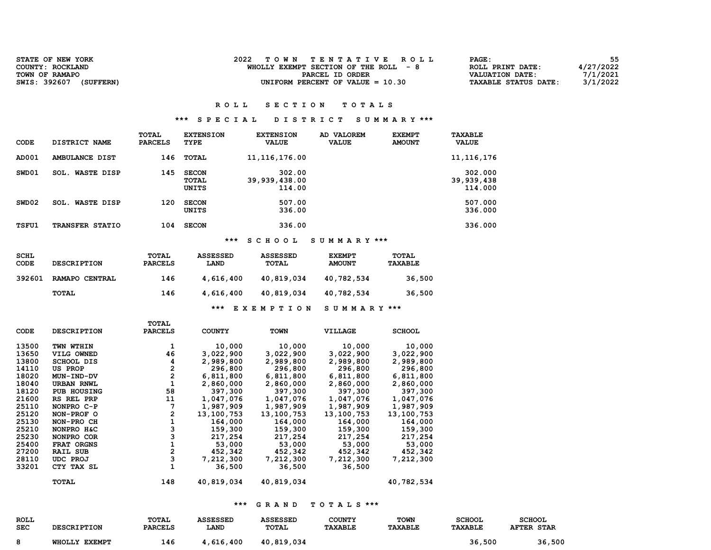| <b>STATE OF NEW YORK</b><br>COUNTY: ROCKLAND | TOWN TENTATIVE ROLL<br>WHOLLY EXEMPT SECTION OF THE ROLL $-8$ | 55<br><b>PAGE :</b><br>4/27/2022<br>ROLL PRINT DATE:                   |
|----------------------------------------------|---------------------------------------------------------------|------------------------------------------------------------------------|
| TOWN OF RAMAPO<br>SWIS: 392607<br>(SUFFERN)  | PARCEL ID ORDER<br>UNIFORM PERCENT OF VALUE $= 10.30$         | 7/1/2021<br>VALUATION DATE:<br>3/1/2022<br><b>TAXABLE STATUS DATE:</b> |

#### \*\*\* S P E C I A L D I S T R I C T S U M M A R Y \*\*\*

| CODE  | DISTRICT NAME          | TOTAL<br><b>PARCELS</b> | <b>EXTENSION</b><br>TYPE              | <b>EXTENSION</b><br><b>VALUE</b>  | AD VALOREM<br><b>VALUE</b> | <b>EXEMPT</b><br><b>AMOUNT</b> | <b>TAXABLE</b><br><b>VALUE</b>   |
|-------|------------------------|-------------------------|---------------------------------------|-----------------------------------|----------------------------|--------------------------------|----------------------------------|
| AD001 | AMBULANCE DIST         | 146                     | TOTAL                                 | 11, 116, 176.00                   |                            |                                | 11, 116, 176                     |
| SWD01 | <b>SOL. WASTE DISP</b> | 145                     | <b>SECON</b><br>TOTAL<br><b>UNITS</b> | 302.00<br>39,939,438.00<br>114.00 |                            |                                | 302.000<br>39,939,438<br>114,000 |
| SWD02 | <b>SOL. WASTE DISP</b> | 120                     | <b>SECON</b><br>UNITS                 | 507.00<br>336.00                  |                            |                                | 507.000<br>336.000               |
| TSFU1 | <b>TRANSFER STATIO</b> | 104                     | <b>SECON</b>                          | 336.00                            |                            |                                | 336.000                          |

## \*\*\* S C H O O L S U M M A R Y \*\*\*

| <b>SCHL</b><br>CODE | <b>DESCRIPTION</b> | <b>TOTAL</b><br><b>PARCELS</b> | <b>ASSESSED</b><br>LAND | <b>ASSESSED</b><br>TOTAL | <b>EXEMPT</b><br><b>AMOUNT</b> | <b>TOTAL</b><br><b>TAXABLE</b> |
|---------------------|--------------------|--------------------------------|-------------------------|--------------------------|--------------------------------|--------------------------------|
| 392601              | RAMAPO CENTRAL     | 146                            | 4,616,400               | 40,819,034               | 40,782,534                     | 36,500                         |
|                     | TOTAL              | 146                            | 4,616,400               | 40,819,034               | 40,782,534                     | 36,500                         |
|                     |                    |                                | ***                     | EXEMPTION                | SUMMARY ***                    |                                |

|             |                    | TOTAL          |               |             |                |               |
|-------------|--------------------|----------------|---------------|-------------|----------------|---------------|
| <b>CODE</b> | <b>DESCRIPTION</b> | <b>PARCELS</b> | <b>COUNTY</b> | <b>TOWN</b> | <b>VILLAGE</b> | <b>SCHOOL</b> |
| 13500       | TWN WTHIN          | 1              | 10,000        | 10,000      | 10,000         | 10,000        |
| 13650       | VILG OWNED         | 46             | 3,022,900     | 3,022,900   | 3,022,900      | 3,022,900     |
| 13800       | <b>SCHOOL DIS</b>  | 4              | 2,989,800     | 2,989,800   | 2,989,800      | 2,989,800     |
| 14110       | US PROP            | $\mathbf{2}$   | 296,800       | 296,800     | 296,800        | 296,800       |
| 18020       | MUN-IND-DV         | 2              | 6,811,800     | 6,811,800   | 6,811,800      | 6,811,800     |
| 18040       | <b>URBAN RNWL</b>  | $\mathbf{1}$   | 2,860,000     | 2,860,000   | 2,860,000      | 2,860,000     |
| 18120       | <b>PUB HOUSING</b> | 58             | 397,300       | 397,300     | 397,300        | 397,300       |
| 21600       | RS REL PRP         | 11             | 1,047,076     | 1,047,076   | 1,047,076      | 1,047,076     |
| 25110       | NONPRO C-P         | 7              | 1,987,909     | 1,987,909   | 1,987,909      | 1,987,909     |
| 25120       | NON-PROF O         | $\mathbf{2}$   | 13,100,753    | 13,100,753  | 13,100,753     | 13,100,753    |
| 25130       | NON-PRO CH         | 1              | 164,000       | 164,000     | 164,000        | 164,000       |
| 25210       | NONPRO H&C         |                | 159,300       | 159,300     | 159,300        | 159,300       |
| 25230       | NONPRO COR         |                | 217,254       | 217,254     | 217,254        | 217,254       |
| 25400       | <b>FRAT ORGNS</b>  |                | 53,000        | 53,000      | 53,000         | 53,000        |
| 27200       | <b>RAIL SUB</b>    |                | 452,342       | 452,342     | 452,342        | 452,342       |
| 28110       | <b>UDC PROJ</b>    | 3              | 7,212,300     | 7,212,300   | 7,212,300      | 7,212,300     |
| 33201       | CTY TAX SL         | 1              | 36,500        | 36,500      | 36,500         |               |
|             | <b>TOTAL</b>       | 148            | 40,819,034    | 40,819,034  |                | 40,782,534    |

| ROLL       |                    | TOTAL          | <b>ASSESSED</b> | <b>ASSESSED</b> | COUNTY         | <b>TOWN</b>    | <b>SCHOOL</b>  | <b>SCHOOL</b>     |
|------------|--------------------|----------------|-----------------|-----------------|----------------|----------------|----------------|-------------------|
| <b>SEC</b> | <b>DESCRIPTION</b> | <b>PARCELS</b> | LAND            | TOTAL           | <b>TAXABLE</b> | <b>TAXABLE</b> | <b>TAXABLE</b> | <b>AFTER STAR</b> |
|            |                    |                |                 |                 |                |                |                |                   |
| 8          | WHOLLY EXEMPT      | 146            | , 616, 400      | 40,819,034      |                |                | 36,500         | 36,500            |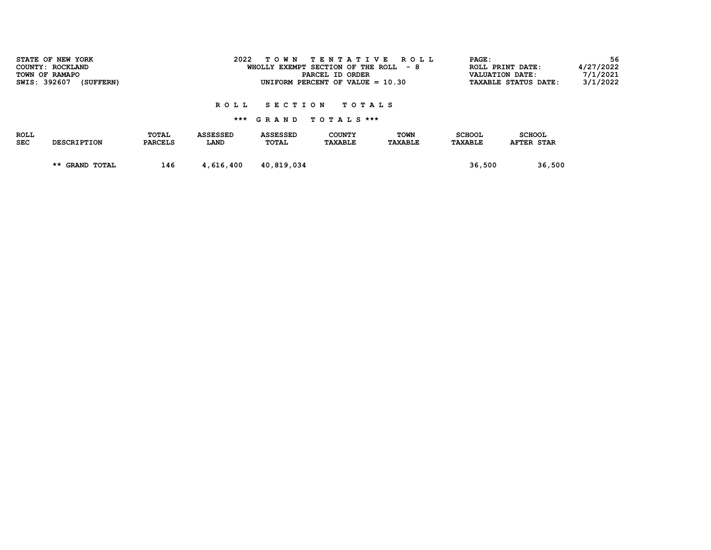| SWIS: 392607              | STATE OF NEW YORK<br>COUNTY: ROCKLAND<br>TOWN OF RAMAPO<br>(SUFFERN) |                         | 2022                    | T O W N                  | TENTATIVE<br>WHOLLY EXEMPT SECTION OF THE ROLL<br>PARCEL ID ORDER<br>UNIFORM PERCENT OF VALUE = $10.30$ | ROLL<br>- 8            | PAGE:                    | ROLL PRINT DATE:<br><b>VALUATION DATE:</b><br><b>TAXABLE STATUS DATE:</b> | 56<br>4/27/2022<br>7/1/2021<br>3/1/2022 |
|---------------------------|----------------------------------------------------------------------|-------------------------|-------------------------|--------------------------|---------------------------------------------------------------------------------------------------------|------------------------|--------------------------|---------------------------------------------------------------------------|-----------------------------------------|
|                           |                                                                      |                         | ROLL.                   | <b>SECTION</b>           | TOTAL S<br>*** GRAND TOTALS ***                                                                         |                        |                          |                                                                           |                                         |
| <b>ROLL</b><br><b>SEC</b> | <b>DESCRIPTION</b>                                                   | TOTAL<br><b>PARCELS</b> | <b>ASSESSED</b><br>LAND | <b>ASSESSED</b><br>TOTAL | COUNTY<br><b>TAXABLE</b>                                                                                | TOWN<br><b>TAXABLE</b> | <b>SCHOOL</b><br>TAXABLE | <b>SCHOOL</b><br><b>AFTER STAR</b>                                        |                                         |
|                           | ** GRAND TOTAL                                                       | 146                     | 4,616,400               | 40,819,034               |                                                                                                         |                        | 36,500                   | 36,500                                                                    |                                         |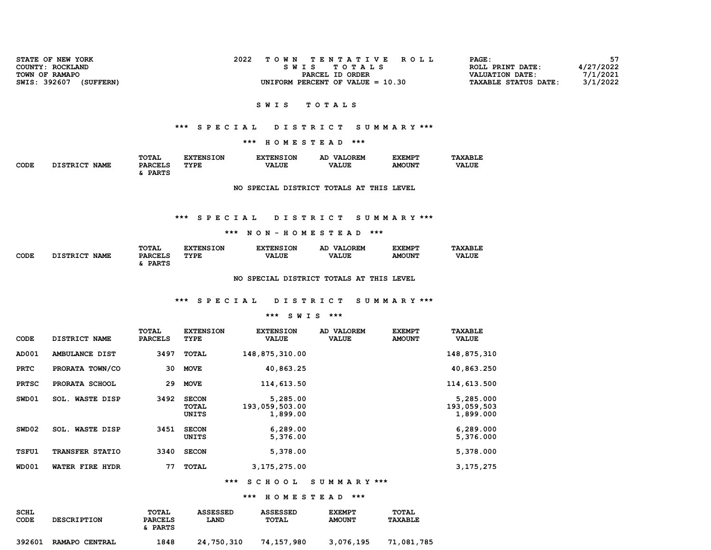| <b>STATE OF NEW YORK</b><br>COUNTY: ROCKLAND<br>TOWN OF RAMAPO | 2022<br>TOWN TENTATIVE ROLL<br>SWIS TOTALS<br>PARCEL ID ORDER | <b>PAGE :</b><br>ROLL PRINT DATE:<br><b>VALUATION DATE:</b> | 57<br>4/27/2022<br>7/1/2021 |
|----------------------------------------------------------------|---------------------------------------------------------------|-------------------------------------------------------------|-----------------------------|
| SWIS: 392607<br>(SUFFERN)                                      | UNIFORM PERCENT OF VALUE $= 10.30$                            | <b>TAXABLE STATUS DATE:</b>                                 | 3/1/2022                    |

## \*\*\* S P E C I A L D I S T R I C T S U M M A R Y \*\*\*

\*\*\* H O M E S T E A D \*\*\*

|      |                         | <b>TOTAL</b>                            | <b>XTENSION</b> | <b>EXTENSION</b> | <b>VALOREM</b><br>AD | <b>EXEMPT</b> | <b>TAXABLE</b> |
|------|-------------------------|-----------------------------------------|-----------------|------------------|----------------------|---------------|----------------|
| CODE | <b>NAME</b><br>DISTRICT | <b>PARCELS</b><br>_____<br><b>PARTS</b> | TYPE            | <b>VALUE</b>     | <b>VALUE</b>         | <b>AMOUNT</b> | <b>VALUE</b>   |
|      |                         |                                         |                 |                  |                      |               |                |

NO SPECIAL DISTRICT TOTALS AT THIS LEVEL

#### \*\*\* S P E C I A L D I S T R I C T S U M M A R Y \*\*\*

#### \*\*\* N O N - H O M E S T E A D \*\*\*

|             |                                | TOTAL          | <b>TXTENSION</b> | <b>EXTENSION</b> | <b>VALOREM</b><br>AD | <b>EXEMPT</b> | <b>TAXABLE</b> |
|-------------|--------------------------------|----------------|------------------|------------------|----------------------|---------------|----------------|
| <b>CODE</b> | <b>DISTRICT</b><br><b>NAME</b> | <b>PARCELS</b> | TYPE             | <b>VALUE</b>     | <b>VALUE</b>         | <b>AMOUNT</b> | <b>VALUE</b>   |
|             |                                | <b>PARTS</b>   |                  |                  |                      |               |                |

NO SPECIAL DISTRICT TOTALS AT THIS LEVEL

#### \*\*\* S P E C I A L D I S T R I C T S U M M A R Y \*\*\*

#### \*\*\* S W I S \*\*\*

| CODE         | DISTRICT NAME             | TOTAL<br><b>PARCELS</b> | <b>EXTENSION</b><br>TYPE       | <b>EXTENSION</b><br><b>VALUE</b>       | AD VALOREM<br><b>VALUE</b> | <b>EXEMPT</b><br><b>AMOUNT</b> | TAXABLE<br><b>VALUE</b>               |
|--------------|---------------------------|-------------------------|--------------------------------|----------------------------------------|----------------------------|--------------------------------|---------------------------------------|
| AD001        | AMBULANCE DIST            | 3497                    | <b>TOTAL</b>                   | 148,875,310.00                         |                            |                                | 148,875,310                           |
| <b>PRTC</b>  | PRORATA TOWN/CO           | 30                      | <b>MOVE</b>                    | 40,863.25                              |                            |                                | 40,863.250                            |
| <b>PRTSC</b> | PRORATA SCHOOL            | 29                      | <b>MOVE</b>                    | 114,613.50                             |                            |                                | 114,613.500                           |
| SWD01        | <b>SOL. WASTE DISP</b>    | 3492                    | <b>SECON</b><br>TOTAL<br>UNITS | 5,285.00<br>193,059,503.00<br>1,899.00 |                            |                                | 5,285.000<br>193,059,503<br>1,899.000 |
| SWD02        | <b>WASTE DISP</b><br>SOL. | 3451                    | <b>SECON</b><br>UNITS          | 6,289.00<br>5,376.00                   |                            |                                | 6,289.000<br>5,376.000                |
| <b>TSFU1</b> | TRANSFER STATIO           | 3340                    | <b>SECON</b>                   | 5,378.00                               |                            |                                | 5,378.000                             |
| <b>WD001</b> | WATER FIRE HYDR           | 77                      | <b>TOTAL</b>                   | 3, 175, 275.00                         |                            |                                | 3, 175, 275                           |

#### \*\*\* S C H O O L S U M M A R Y \*\*\*

#### \*\*\* H O M E S T E A D \*\*\*

| <b>SCHL</b><br>CODE | <b>DESCRIPTION</b> | <b>TOTAL</b><br><b>PARCELS</b><br>& PARTS | <b>ASSESSED</b><br><b>LAND</b> | <b>ASSESSED</b><br>TOTAL | <b>EXEMPT</b><br><b>AMOUNT</b> | <b>TOTAL</b><br>TAXABLE |
|---------------------|--------------------|-------------------------------------------|--------------------------------|--------------------------|--------------------------------|-------------------------|
| 392601              | RAMAPO CENTRAL     | 1848                                      | 24,750,310                     | 74,157,980               | 3,076,195                      | 71,081,785              |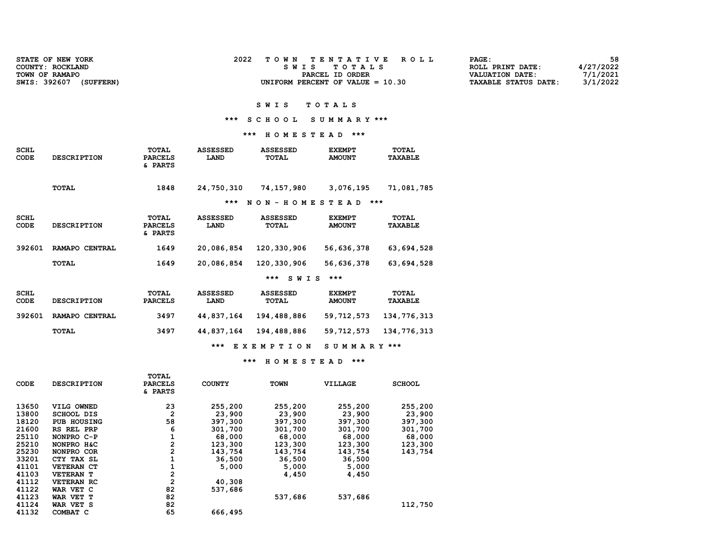| STATE OF NEW YORK<br>COUNTY: ROCKLAND<br>TOWN OF RAMAPO<br>SWIS: 392607 (SUFFERN) |                          | 2022<br>TENTATIVE<br>ROLL<br>T O W N<br>SWIS<br>TOTALS<br>PARCEL ID ORDER<br>UNIFORM PERCENT OF VALUE = 10.30 |                         |                                 |                                | PAGE:<br>ROLL PRINT DATE:<br><b>VALUATION DATE:</b><br><b>TAXABLE STATUS DATE:</b> | 58<br>4/27/2022<br>7/1/2021<br>3/1/2022 |  |
|-----------------------------------------------------------------------------------|--------------------------|---------------------------------------------------------------------------------------------------------------|-------------------------|---------------------------------|--------------------------------|------------------------------------------------------------------------------------|-----------------------------------------|--|
|                                                                                   |                          |                                                                                                               |                         | SWIS                            | TOTALS                         |                                                                                    |                                         |  |
|                                                                                   |                          |                                                                                                               | ***                     | <b>SCHOOL</b>                   | SUMMARY ***                    |                                                                                    |                                         |  |
|                                                                                   |                          |                                                                                                               |                         | HOMESTEAD ***<br>***            |                                |                                                                                    |                                         |  |
| <b>SCHL</b><br>CODE                                                               | <b>DESCRIPTION</b>       | TOTAL<br><b>PARCELS</b><br>& PARTS                                                                            | <b>ASSESSED</b><br>LAND | <b>ASSESSED</b><br>TOTAL        | <b>EXEMPT</b><br><b>AMOUNT</b> | TOTAL<br><b>TAXABLE</b>                                                            |                                         |  |
|                                                                                   | TOTAL                    | 1848                                                                                                          | 24,750,310              | 74,157,980                      | 3,076,195                      | 71,081,785                                                                         |                                         |  |
|                                                                                   |                          |                                                                                                               |                         | *** NON-HOMESTEAD ***           |                                |                                                                                    |                                         |  |
| <b>SCHL</b><br>CODE                                                               | <b>DESCRIPTION</b>       | TOTAL<br><b>PARCELS</b><br>& PARTS                                                                            | <b>ASSESSED</b><br>LAND | <b>ASSESSED</b><br>TOTAL        | <b>EXEMPT</b><br><b>AMOUNT</b> | TOTAL<br><b>TAXABLE</b>                                                            |                                         |  |
| 392601                                                                            | RAMAPO CENTRAL           | 1649                                                                                                          | 20,086,854              | 120,330,906                     | 56,636,378                     | 63,694,528                                                                         |                                         |  |
|                                                                                   | TOTAL                    | 1649                                                                                                          | 20,086,854              | 120,330,906                     | 56,636,378                     | 63,694,528                                                                         |                                         |  |
|                                                                                   |                          |                                                                                                               |                         | *** SWIS                        | ***                            |                                                                                    |                                         |  |
| <b>SCHL</b><br>CODE                                                               | <b>DESCRIPTION</b>       | <b>TOTAL</b><br><b>PARCELS</b>                                                                                | <b>ASSESSED</b><br>LAND | <b>ASSESSED</b><br><b>TOTAL</b> | <b>EXEMPT</b><br><b>AMOUNT</b> | TOTAL<br><b>TAXABLE</b>                                                            |                                         |  |
| 392601                                                                            | RAMAPO CENTRAL           | 3497                                                                                                          | 44,837,164              | 194,488,886                     | 59,712,573                     | 134, 776, 313                                                                      |                                         |  |
|                                                                                   | TOTAL                    | 3497                                                                                                          | 44,837,164              | 194,488,886                     | 59, 712, 573                   | 134, 776, 313                                                                      |                                         |  |
|                                                                                   |                          |                                                                                                               |                         | *** EXEMPTION                   | SUMMARY ***                    |                                                                                    |                                         |  |
|                                                                                   |                          |                                                                                                               |                         | *** HOMESTEAD ***               |                                |                                                                                    |                                         |  |
| CODE                                                                              | <b>DESCRIPTION</b>       | TOTAL<br><b>PARCELS</b><br>& PARTS                                                                            | <b>COUNTY</b>           | <b>TOWN</b>                     | VILLAGE                        | <b>SCHOOL</b>                                                                      |                                         |  |
| 13650                                                                             | VILG OWNED               | 23                                                                                                            | 255,200                 | 255,200                         | 255,200                        | 255,200                                                                            |                                         |  |
| 13800                                                                             | <b>SCHOOL DIS</b>        | $\overline{2}$                                                                                                | 23,900                  | 23,900                          | 23,900                         | 23,900                                                                             |                                         |  |
| 18120                                                                             | <b>PUB HOUSING</b>       | 58                                                                                                            | 397,300                 | 397,300                         | 397,300                        | 397,300                                                                            |                                         |  |
| 21600<br>25110                                                                    | RS REL PRP<br>NONPRO C-P | 6<br>$\mathbf{1}$                                                                                             | 301,700<br>68,000       | 301,700<br>68,000               | 301,700<br>68,000              | 301,700<br>68,000                                                                  |                                         |  |

 25210 NONPRO H&C 2 123,300 123,300 123,300 123,300 25230 NONPRO COR 2 143,754 143,754 143,754 143,754

41124 WAR VET S 82 112,750

 33201 CTY TAX SL 1 36,500 36,500 36,500 41101 VETERAN CT 1 5,000 5,000 5,000 41103 VETERAN T 2 4,450 4,450

41123 WAR VET T 82 537,686 537,686

41112 VETERAN RC 2 40,308 41122 WAR VET C 82 537,686

41132 COMBAT C 65 666,495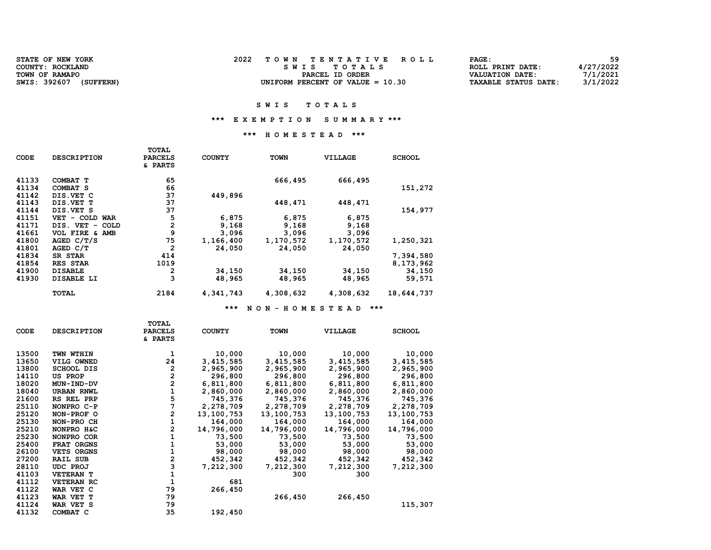| <b>STATE OF NEW YORK</b>  | TOWN TENTATIVE ROLL                | 59<br>PAGE:                             |
|---------------------------|------------------------------------|-----------------------------------------|
| COUNTY: ROCKLAND          | SWIS TOTALS                        | 4/27/2022<br>ROLL PRINT DATE:           |
| TOWN OF RAMAPO            | PARCEL ID ORDER                    | 7/1/2021<br>VALUATION DATE:             |
| SWIS: 392607<br>(SUFFERN) | UNIFORM PERCENT OF VALUE $= 10.30$ | 3/1/2022<br><b>TAXABLE STATUS DATE:</b> |

#### \*\*\* E X E M P T I O N S U M M A R Y \*\*\*

#### \*\*\* H O M E S T E A D \*\*\*

| <b>CODE</b> | <b>DESCRIPTION</b>                           | TOTAL<br><b>PARCELS</b><br>& PARTS | <b>COUNTY</b> | <b>TOWN</b> | <b>VILLAGE</b> | <b>SCHOOL</b> |
|-------------|----------------------------------------------|------------------------------------|---------------|-------------|----------------|---------------|
| 41133       | COMBAT T                                     | 65                                 |               | 666,495     | 666,495        |               |
| 41134       | COMBAT S                                     | 66                                 |               |             |                | 151,272       |
| 41142       | DIS.VET C                                    | 37                                 | 449,896       |             |                |               |
| 41143       | DIS.VET T                                    | 37                                 |               | 448,471     | 448,471        |               |
| 41144       | DIS. VET S                                   | 37                                 |               |             |                | 154,977       |
| 41151       | VET - COLD WAR                               | 5                                  | 6,875         | 6,875       | 6,875          |               |
| 41171       | DIS. VET<br>COLD<br>$\overline{\phantom{a}}$ | 2                                  | 9,168         | 9,168       | 9,168          |               |
| 41661       | VOL FIRE &<br>AMB                            | 9                                  | 3,096         | 3,096       | 3,096          |               |
| 41800       | AGED C/T/S                                   | 75                                 | 1,166,400     | 1,170,572   | 1,170,572      | 1,250,321     |
| 41801       | AGED C/T                                     | $\mathbf{2}$                       | 24,050        | 24,050      | 24,050         |               |
| 41834       | SR STAR                                      | 414                                |               |             |                | 7,394,580     |
| 41854       | <b>RES STAR</b>                              | 1019                               |               |             |                | 8,173,962     |
| 41900       | <b>DISABLE</b>                               | 2                                  | 34,150        | 34,150      | 34,150         | 34,150        |
| 41930       | DISABLE LI                                   | 3                                  | 48,965        | 48,965      | 48,965         | 59,571        |
|             | <b>TOTAL</b>                                 | 2184                               | 4,341,743     | 4,308,632   | 4,308,632      | 18,644,737    |

\*\*\* N O N - H O M E S T E A D \*\*\*

| CODE  | <b>DESCRIPTION</b> | <b>TOTAL</b><br><b>PARCELS</b><br>& PARTS | <b>COUNTY</b> | <b>TOWN</b> | <b>VILLAGE</b> | <b>SCHOOL</b> |
|-------|--------------------|-------------------------------------------|---------------|-------------|----------------|---------------|
| 13500 | TWN WTHIN          | 1                                         | 10,000        | 10,000      | 10,000         | 10,000        |
| 13650 | VILG OWNED         | 24                                        | 3,415,585     | 3,415,585   | 3,415,585      | 3,415,585     |
| 13800 | <b>SCHOOL DIS</b>  | 2                                         | 2,965,900     | 2,965,900   | 2,965,900      | 2,965,900     |
| 14110 | US PROP            | 2                                         | 296,800       | 296,800     | 296,800        | 296,800       |
| 18020 | MUN-IND-DV         | $\overline{\mathbf{c}}$                   | 6,811,800     | 6,811,800   | 6,811,800      | 6,811,800     |
| 18040 | <b>URBAN RNWL</b>  | $\frac{1}{5}$                             | 2,860,000     | 2,860,000   | 2,860,000      | 2,860,000     |
| 21600 | RS REL PRP         |                                           | 745,376       | 745,376     | 745,376        | 745,376       |
| 25110 | NONPRO C-P         | 7                                         | 2,278,709     | 2,278,709   | 2,278,709      | 2,278,709     |
| 25120 | NON-PROF O         | 2                                         | 13,100,753    | 13,100,753  | 13,100,753     | 13,100,753    |
| 25130 | NON-PRO CH         | 1                                         | 164,000       | 164,000     | 164,000        | 164,000       |
| 25210 | NONPRO H&C         | $\overline{2}$                            | 14,796,000    | 14,796,000  | 14,796,000     | 14,796,000    |
| 25230 | NONPRO COR         |                                           | 73,500        | 73,500      | 73,500         | 73,500        |
| 25400 | FRAT ORGNS         |                                           | 53,000        | 53,000      | 53,000         | 53,000        |
| 26100 | <b>VETS ORGNS</b>  |                                           | 98,000        | 98,000      | 98,000         | 98,000        |
| 27200 | <b>RAIL SUB</b>    | 2                                         | 452,342       | 452,342     | 452,342        | 452,342       |
| 28110 | <b>UDC PROJ</b>    | 3                                         | 7,212,300     | 7,212,300   | 7,212,300      | 7,212,300     |
| 41103 | <b>VETERAN T</b>   |                                           |               | 300         | 300            |               |
| 41112 | <b>VETERAN RC</b>  |                                           | 681           |             |                |               |
| 41122 | WAR VET C          | 79                                        | 266,450       |             |                |               |
| 41123 | WAR VET T          | 79                                        |               | 266,450     | 266,450        |               |
| 41124 | WAR VET S          | 79                                        |               |             |                | 115,307       |
| 41132 | COMBAT C           | 35                                        | 192,450       |             |                |               |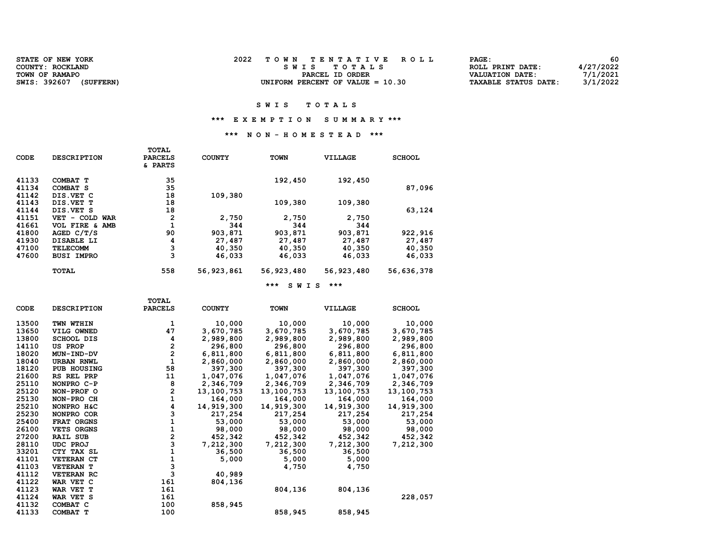| <b>STATE OF NEW YORK</b>  | TOWN TENTATIVE ROLL                | PAGE:                                   | 60 |
|---------------------------|------------------------------------|-----------------------------------------|----|
| COUNTY: ROCKLAND          | SWIS TOTALS                        | 4/27/2022<br>ROLL PRINT DATE:           |    |
| TOWN OF RAMAPO            | PARCEL ID ORDER                    | 7/1/2021<br>VALUATION DATE:             |    |
| SWIS: 392607<br>(SUFFERN) | UNIFORM PERCENT OF VALUE $= 10.30$ | 3/1/2022<br><b>TAXABLE STATUS DATE:</b> |    |

#### \*\*\* E X E M P T I O N S U M M A R Y \*\*\*

#### \*\*\* N O N - H O M E S T E A D \*\*\*

| <b>CODE</b> | <b>DESCRIPTION</b>  | TOTAL<br><b>PARCELS</b><br>& PARTS | <b>COUNTY</b> | <b>TOWN</b>  | VILLAGE    | <b>SCHOOL</b> |
|-------------|---------------------|------------------------------------|---------------|--------------|------------|---------------|
| 41133       | COMBAT T            | 35                                 |               | 192,450      | 192,450    |               |
| 41134       | COMBAT <sub>S</sub> | 35                                 |               |              |            | 87,096        |
| 41142       | DIS.VET C           | 18                                 | 109,380       |              |            |               |
| 41143       | DIS. VET T          | 18                                 |               | 109,380      | 109,380    |               |
| 41144       | DIS. VET S          | 18                                 |               |              |            | 63,124        |
| 41151       | VET - COLD<br>WAR   | $\mathbf{2}$                       | 2,750         | 2,750        | 2,750      |               |
| 41661       | VOL FIRE & AMB      |                                    | 344           | 344          | 344        |               |
| 41800       | AGED C/T/S          | 90                                 | 903,871       | 903,871      | 903,871    | 922,916       |
| 41930       | DISABLE LI          | 4                                  | 27,487        | 27,487       | 27,487     | 27,487        |
| 47100       | <b>TELECOMM</b>     | 3                                  | 40,350        | 40,350       | 40,350     | 40,350        |
| 47600       | <b>BUSI IMPRO</b>   | 3                                  | 46,033        | 46,033       | 46,033     | 46,033        |
|             | TOTAL               | 558                                | 56,923,861    | 56, 923, 480 | 56,923,480 | 56,636,378    |

TOTAL

| CODE  | <b>DESCRIPTION</b> | <b>PARCELS</b> | <b>COUNTY</b> | <b>TOWN</b> | VILLAGE    | <b>SCHOOL</b> |
|-------|--------------------|----------------|---------------|-------------|------------|---------------|
| 13500 | TWN WTHIN          | 1              | 10,000        | 10,000      | 10,000     | 10,000        |
| 13650 | VILG OWNED         | 47             | 3,670,785     | 3,670,785   | 3,670,785  | 3,670,785     |
| 13800 | <b>SCHOOL DIS</b>  | 4              | 2,989,800     | 2,989,800   | 2,989,800  | 2,989,800     |
| 14110 | <b>US PROP</b>     | 2              | 296,800       | 296,800     | 296,800    | 296,800       |
| 18020 | MUN-IND-DV         | $\overline{a}$ | 6,811,800     | 6,811,800   | 6,811,800  | 6,811,800     |
| 18040 | <b>URBAN RNWL</b>  | $\mathbf{1}$   | 2,860,000     | 2,860,000   | 2,860,000  | 2,860,000     |
| 18120 | <b>PUB HOUSING</b> | 58             | 397,300       | 397,300     | 397,300    | 397,300       |
| 21600 | RS REL PRP         | 11             | 1,047,076     | 1,047,076   | 1,047,076  | 1,047,076     |
| 25110 | NONPRO C-P         | 8              | 2,346,709     | 2,346,709   | 2,346,709  | 2,346,709     |
| 25120 | NON-PROF O         | 2              | 13,100,753    | 13,100,753  | 13,100,753 | 13,100,753    |
| 25130 | NON-PRO CH         | $\mathbf{1}$   | 164,000       | 164,000     | 164,000    | 164,000       |
| 25210 | NONPRO H&C         | 4              | 14,919,300    | 14,919,300  | 14,919,300 | 14,919,300    |
| 25230 | NONPRO COR         | 3              | 217,254       | 217,254     | 217,254    | 217,254       |
| 25400 | FRAT ORGNS         |                | 53,000        | 53,000      | 53,000     | 53,000        |
| 26100 | <b>VETS ORGNS</b>  | 1              | 98,000        | 98,000      | 98,000     | 98,000        |
| 27200 | <b>RAIL SUB</b>    | $\frac{2}{3}$  | 452,342       | 452,342     | 452,342    | 452,342       |
| 28110 | UDC PROJ           |                | 7,212,300     | 7,212,300   | 7,212,300  | 7,212,300     |
| 33201 | CTY TAX SL         | 1              | 36,500        | 36,500      | 36,500     |               |
| 41101 | <b>VETERAN CT</b>  | $\mathbf{1}$   | 5,000         | 5,000       | 5,000      |               |
| 41103 | <b>VETERAN T</b>   | 3              |               | 4,750       | 4,750      |               |
| 41112 | <b>VETERAN RC</b>  | 3              | 40,989        |             |            |               |
| 41122 | WAR VET C          | 161            | 804,136       |             |            |               |
| 41123 | WAR VET T          | 161            |               | 804,136     | 804,136    |               |
| 41124 | WAR VET S          | 161            |               |             |            | 228,057       |
| 41132 | COMBAT C           | 100            | 858,945       |             |            |               |
| 41133 | COMBAT T           | 100            |               | 858,945     | 858,945    |               |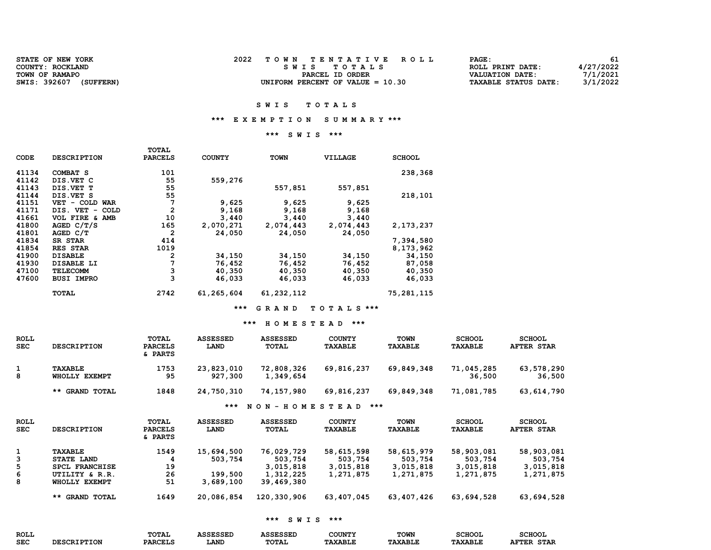| COUNTY: ROCKLAND<br>ROLL PRINT DATE:<br>SWIS TOTALS                                            | 4/27/2022 |
|------------------------------------------------------------------------------------------------|-----------|
| TOWN OF RAMAPO<br>PARCEL ID ORDER<br>VALUATION DATE:                                           | 7/1/2021  |
| SWIS: 392607<br>(SUFFERN)<br>UNIFORM PERCENT OF VALUE $= 10.30$<br><b>TAXABLE STATUS DATE:</b> | 3/1/2022  |

#### \*\*\* E X E M P T I O N S U M M A R Y \*\*\*

#### \*\*\* S W I S \*\*\*

| <b>CODE</b> | <b>DESCRIPTION</b>                             | <b>PARCELS</b> | <b>COUNTY</b> | <b>TOWN</b>  | VILLAGE   | <b>SCHOOL</b> |
|-------------|------------------------------------------------|----------------|---------------|--------------|-----------|---------------|
| 41134       | COMBAT S                                       | 101            |               |              |           | 238,368       |
| 41142       | DIS.VET C                                      | 55             | 559,276       |              |           |               |
| 41143       | DIS.VET T                                      | 55             |               | 557,851      | 557,851   |               |
| 41144       | DIS. VET S                                     | 55             |               |              |           | 218,101       |
| 41151       | COLD<br>VET<br>WAR<br>$\overline{\phantom{a}}$ | 7              | 9,625         | 9,625        | 9,625     |               |
| 41171       | DIS. VET<br>COLD<br>$\overline{\phantom{m}}$   | $\mathbf{2}$   | 9,168         | 9,168        | 9,168     |               |
| 41661       | VOL FIRE &<br>AMB                              | 10             | 3,440         | 3,440        | 3,440     |               |
| 41800       | AGED C/T/S                                     | 165            | 2,070,271     | 2,074,443    | 2,074,443 | 2, 173, 237   |
| 41801       | AGED C/T                                       | 2              | 24,050        | 24,050       | 24,050    |               |
| 41834       | SR STAR                                        | 414            |               |              |           | 7,394,580     |
| 41854       | RES STAR                                       | 1019           |               |              |           | 8,173,962     |
| 41900       | <b>DISABLE</b>                                 | 2              | 34,150        | 34,150       | 34,150    | 34,150        |
| 41930       | DISABLE LI                                     | 7              | 76,452        | 76,452       | 76,452    | 87,058        |
| 47100       | <b>TELECOMM</b>                                | 3              | 40,350        | 40,350       | 40,350    | 40,350        |
| 47600       | <b>BUSI IMPRO</b>                              | 3              | 46,033        | 46,033       | 46,033    | 46,033        |
|             | TOTAL                                          | 2742           | 61,265,604    | 61, 232, 112 |           | 75,281,115    |

TOTAL

\*\*\* G R A N D T O T A L S \*\*\*

#### \*\*\* H O M E S T E A D \*\*\*

| ROLL<br><b>SEC</b> | <b>DESCRIPTION</b>       | TOTAL<br><b>PARCELS</b><br>& PARTS | <b>ASSESSED</b><br>LAND | <b>ASSESSED</b><br>TOTAL | <b>COUNTY</b><br><b>TAXABLE</b> | <b>TOWN</b><br><b>TAXABLE</b> | <b>SCHOOL</b><br><b>TAXABLE</b> | <b>SCHOOL</b><br><b>AFTER STAR</b> |
|--------------------|--------------------------|------------------------------------|-------------------------|--------------------------|---------------------------------|-------------------------------|---------------------------------|------------------------------------|
| 1<br>8             | TAXABLE<br>WHOLLY EXEMPT | 1753<br>95                         | 23,823,010<br>927,300   | 72,808,326<br>1,349,654  | 69,816,237                      | 69,849,348                    | 71,045,285<br>36,500            | 63,578,290<br>36,500               |
|                    | ** GRAND TOTAL           | 1848                               | 24,750,310              | 74,157,980               | 69,816,237                      | 69,849,348                    | 71,081,785                      | 63, 614, 790                       |
|                    |                          |                                    | ***                     | NON - HOMESTEAD          | ***                             |                               |                                 |                                    |

| ROLL<br><b>SEC</b> | <b>DESCRIPTION</b>    | TOTAL<br><b>PARCELS</b><br>& PARTS | <b>ASSESSED</b><br>LAND | <b>ASSESSED</b><br>TOTAL | <b>COUNTY</b><br><b>TAXABLE</b> | <b>TOWN</b><br><b>TAXABLE</b> | <b>SCHOOL</b><br><b>TAXABLE</b> | <b>SCHOOL</b><br><b>AFTER STAR</b> |
|--------------------|-----------------------|------------------------------------|-------------------------|--------------------------|---------------------------------|-------------------------------|---------------------------------|------------------------------------|
|                    | TAXABLE               | 1549                               | 15,694,500              | 76,029,729               | 58,615,598                      | 58,615,979                    | 58,903,081                      | 58,903,081                         |
| 3                  | STATE LAND            | 4                                  | 503,754                 | 503,754                  | 503,754                         | 503,754                       | 503,754                         | 503,754                            |
| 5                  | <b>SPCL FRANCHISE</b> | 19                                 |                         | 3,015,818                | 3,015,818                       | 3,015,818                     | 3,015,818                       | 3,015,818                          |
| 6                  | UTILITY & R.R.        | 26                                 | 199,500                 | 1,312,225                | 1,271,875                       | 1,271,875                     | 1,271,875                       | 1,271,875                          |
| 8                  | WHOLLY EXEMPT         | 51                                 | 3,689,100               | 39,469,380               |                                 |                               |                                 |                                    |
|                    | ** GRAND TOTAL        | 1649                               | 20,086,854              | 120,330,906              | 63,407,045                      | 63,407,426                    | 63,694,528                      | 63,694,528                         |

| <b>ROLI</b> | <b>TOTAI</b> |             | -----       | <sup>יידו</sup> או יי | <b>TOWN</b> |     | ------<br>.          |
|-------------|--------------|-------------|-------------|-----------------------|-------------|-----|----------------------|
| <b>SEC</b>  | .            | <b>.AND</b> | <b>momn</b> |                       |             | m 7 | <b>CTAC</b><br>emp e |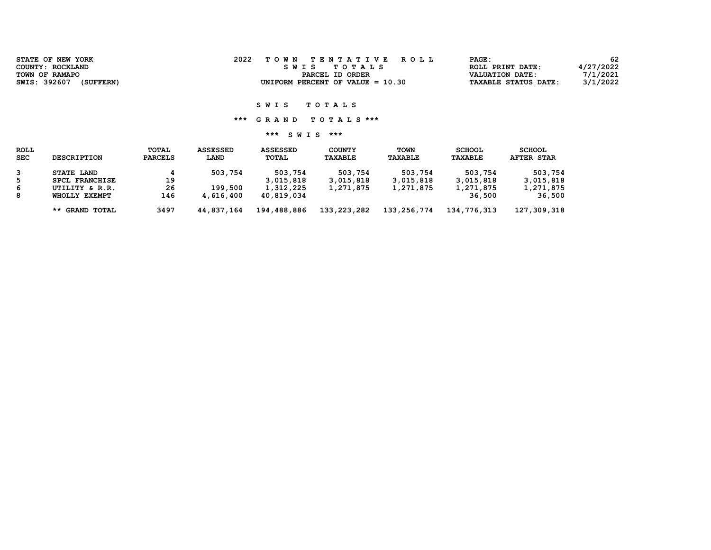| STATE OF NEW YORK<br>COUNTY: ROCKLAND       | 2022<br>TOWN TENTATIVE ROLL<br>SWIS TOTALS            | 62<br>PAGE:<br>4/27/2022<br>ROLL PRINT DATE:                                  |
|---------------------------------------------|-------------------------------------------------------|-------------------------------------------------------------------------------|
| TOWN OF RAMAPO<br>SWIS: 392607<br>(SUFFERN) | PARCEL ID ORDER<br>UNIFORM PERCENT OF VALUE $= 10.30$ | 7/1/2021<br><b>VALUATION DATE:</b><br>3/1/2022<br><b>TAXABLE STATUS DATE:</b> |

## \*\*\* G R A N D T O T A L S \*\*\*

| ROLL<br><b>SEC</b> | <b>DESCRIPTION</b>    | TOTAL<br><b>PARCELS</b> | <b>ASSESSED</b><br>LAND | <b>ASSESSED</b><br>TOTAL | <b>COUNTY</b><br><b>TAXABLE</b> | TOWN<br><b>TAXABLE</b> | <b>SCHOOL</b><br><b>TAXABLE</b> | <b>SCHOOL</b><br><b>AFTER STAR</b> |
|--------------------|-----------------------|-------------------------|-------------------------|--------------------------|---------------------------------|------------------------|---------------------------------|------------------------------------|
| 3                  | <b>STATE LAND</b>     |                         | 503,754                 | 503,754                  | 503,754                         | 503,754                | 503,754                         | 503,754                            |
| 5.                 | <b>SPCL FRANCHISE</b> | 19                      |                         | 3,015,818                | 3,015,818                       | 3,015,818              | 3,015,818                       | 3,015,818                          |
| 6                  | UTILITY & R.R.        | 26                      | 199,500                 | 1,312,225                | 1,271,875                       | 1,271,875              | 1,271,875                       | 1,271,875                          |
| 8                  | WHOLLY EXEMPT         | 146                     | 4,616,400               | 40,819,034               |                                 |                        | 36,500                          | 36,500                             |
|                    | ** GRAND TOTAL        | 3497                    | 44,837,164              | 194,488,886              | 133, 223, 282                   | 133,256,774            | 134,776,313                     | 127,309,318                        |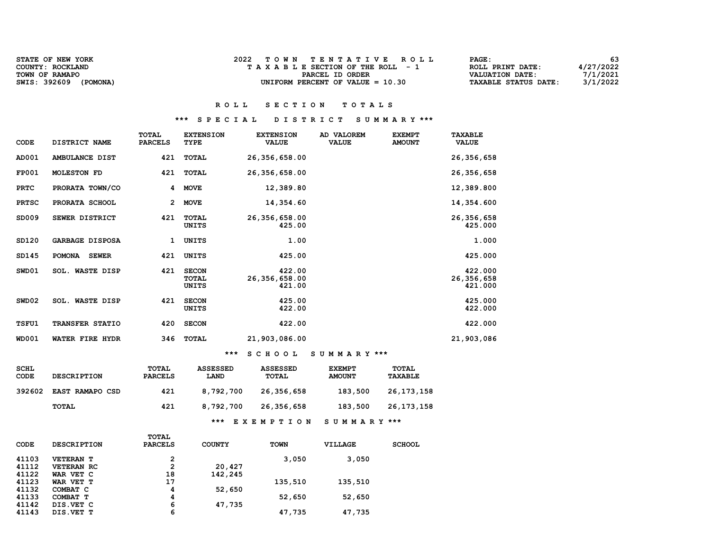| <b>STATE OF NEW YORK</b> | TOWN TENTATIVE ROLL                   | <b>PAGE :</b>               | 63        |
|--------------------------|---------------------------------------|-----------------------------|-----------|
| COUNTY: ROCKLAND         | T A X A B L E SECTION OF THE ROLL - 1 | ROLL PRINT DATE:            | 4/27/2022 |
| TOWN OF RAMAPO           | PARCEL ID ORDER                       | VALUATION DATE:             | 7/1/2021  |
| SWIS: 392609<br>(POMONA) | UNIFORM PERCENT OF VALUE $= 10.30$    | <b>TAXABLE STATUS DATE:</b> | 3/1/2022  |

#### \*\*\* S P E C I A L D I S T R I C T S U M M A R Y \*\*\*

| <b>CODE</b>  | DISTRICT NAME                 | <b>TOTAL</b><br><b>PARCELS</b> | <b>EXTENSION</b><br><b>TYPE</b> | <b>EXTENSION</b><br><b>VALUE</b>  | AD VALOREM<br><b>VALUE</b> | <b>EXEMPT</b><br><b>AMOUNT</b> | <b>TAXABLE</b><br><b>VALUE</b>   |
|--------------|-------------------------------|--------------------------------|---------------------------------|-----------------------------------|----------------------------|--------------------------------|----------------------------------|
| AD001        | AMBULANCE DIST                | 421                            | TOTAL                           | 26, 356, 658.00                   |                            |                                | 26,356,658                       |
| <b>FP001</b> | <b>MOLESTON FD</b>            | 421                            | TOTAL                           | 26,356,658.00                     |                            |                                | 26,356,658                       |
| <b>PRTC</b>  | PRORATA TOWN/CO               | 4                              | <b>MOVE</b>                     | 12,389.80                         |                            |                                | 12,389.800                       |
| <b>PRTSC</b> | PRORATA SCHOOL                | 2                              | <b>MOVE</b>                     | 14,354.60                         |                            |                                | 14,354.600                       |
| SD009        | SEWER DISTRICT                | 421                            | TOTAL<br>UNITS                  | 26,356,658.00<br>425.00           |                            |                                | 26,356,658<br>425.000            |
| SD120        | <b>GARBAGE DISPOSA</b>        | 1                              | UNITS                           | 1.00                              |                            |                                | 1.000                            |
| SD145        | <b>POMONA</b><br><b>SEWER</b> | 421                            | <b>UNITS</b>                    | 425.00                            |                            |                                | 425.000                          |
| SWD01        | <b>SOL. WASTE DISP</b>        | 421                            | <b>SECON</b><br>TOTAL<br>UNITS  | 422.00<br>26,356,658.00<br>421.00 |                            |                                | 422.000<br>26,356,658<br>421.000 |
| SWD02        | SOL. WASTE DISP               | 421                            | <b>SECON</b><br>UNITS           | 425.00<br>422.00                  |                            |                                | 425.000<br>422.000               |
| <b>TSFU1</b> | TRANSFER STATIO               | 420                            | <b>SECON</b>                    | 422.00                            |                            |                                | 422.000                          |
| <b>WD001</b> | WATER FIRE HYDR               | 346                            | TOTAL                           | 21,903,086.00                     |                            |                                | 21,903,086                       |

## \*\*\* S C H O O L S U M M A R Y \*\*\*

| <b>SCHL</b><br>CODE | <b>DESCRIPTION</b>     | <b>TOTAL</b><br><b>PARCELS</b> | <b>ASSESSED</b><br><b>LAND</b> | <b>ASSESSED</b><br>TOTAL | <b>EXEMPT</b><br><b>AMOUNT</b> | <b>TOTAL</b><br><b>TAXABLE</b> |
|---------------------|------------------------|--------------------------------|--------------------------------|--------------------------|--------------------------------|--------------------------------|
| 392602              | <b>EAST RAMAPO CSD</b> | 421                            | 8,792,700                      | 26,356,658               | 183,500                        | 26,173,158                     |
|                     | TOTAL                  | 421                            | 8,792,700                      | 26,356,658               | 183,500                        | 26,173,158                     |
|                     |                        |                                | ***                            | EXEMPTION                | SUMMARY ***                    |                                |

|             |                    | TOTAL          |               |             |                |               |
|-------------|--------------------|----------------|---------------|-------------|----------------|---------------|
| <b>CODE</b> | <b>DESCRIPTION</b> | <b>PARCELS</b> | <b>COUNTY</b> | <b>TOWN</b> | <b>VILLAGE</b> | <b>SCHOOL</b> |
| 41103       | <b>VETERAN T</b>   | 2              |               | 3,050       | 3,050          |               |
|             |                    |                |               |             |                |               |
| 41112       | <b>VETERAN RC</b>  | 2              | 20,427        |             |                |               |
| 41122       | WAR VET C          | 18             | 142,245       |             |                |               |
| 41123       | WAR VET T          | 17             |               | 135,510     | 135,510        |               |
| 41132       | COMBAT C           | 4              | 52,650        |             |                |               |
| 41133       | COMBAT T           | 4              |               | 52,650      | 52,650         |               |
| 41142       | DIS.VET C          | 6              | 47,735        |             |                |               |
| 41143       | DIS.VET T          | 6              |               | 47,735      | 47,735         |               |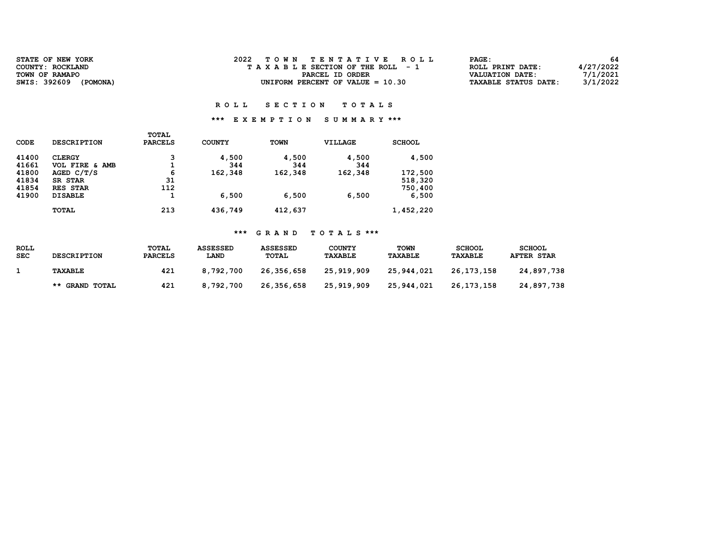| <b>STATE OF NEW YORK</b> | 2022 TOWN TENTATIVE ROLL           | 64<br><b>PAGE :</b>                     |
|--------------------------|------------------------------------|-----------------------------------------|
| COUNTY: ROCKLAND         | TAXABLE SECTION OF THE ROLL - 1    | 4/27/2022<br>ROLL PRINT DATE:           |
| TOWN OF RAMAPO           | PARCEL ID ORDER                    | 7/1/2021<br>VALUATION DATE:             |
| SWIS: 392609<br>(POMONA) | UNIFORM PERCENT OF VALUE $= 10.30$ | 3/1/2022<br><b>TAXABLE STATUS DATE:</b> |

## \*\*\* E X E M P T I O N S U M M A R Y \*\*\*

|             |                    | TOTAL          |               |             |                |               |
|-------------|--------------------|----------------|---------------|-------------|----------------|---------------|
| <b>CODE</b> | <b>DESCRIPTION</b> | <b>PARCELS</b> | <b>COUNTY</b> | <b>TOWN</b> | <b>VILLAGE</b> | <b>SCHOOL</b> |
| 41400       | <b>CLERGY</b>      | з              | 4,500         | 4,500       | 4,500          | 4,500         |
| 41661       | VOL FIRE & AMB     |                | 344           | 344         | 344            |               |
| 41800       | AGED C/T/S         | 6              | 162,348       | 162,348     | 162,348        | 172,500       |
| 41834       | SR STAR            | 31             |               |             |                | 518,320       |
| 41854       | RES STAR           | 112            |               |             |                | 750,400       |
| 41900       | <b>DISABLE</b>     |                | 6,500         | 6,500       | 6,500          | 6,500         |
|             | TOTAL              | 213            | 436,749       | 412,637     |                | 1,452,220     |

| <b>ROLL</b><br><b>SEC</b> | <b>DESCRIPTION</b> | <b>TOTAL</b><br><b>PARCELS</b> | <b>ASSESSED</b><br><b>LAND</b> | ASSESSED<br>TOTAL | <b>COUNTY</b><br><b>TAXABLE</b> | TOWN<br><b>TAXABLE</b> | <b>SCHOOL</b><br>TAXABLE | <b>SCHOOL</b><br><b>AFTER STAR</b> |
|---------------------------|--------------------|--------------------------------|--------------------------------|-------------------|---------------------------------|------------------------|--------------------------|------------------------------------|
|                           | TAXABLE            | 421                            | 8,792,700                      | 26,356,658        | 25,919,909                      | 25,944,021             | 26, 173, 158             | 24,897,738                         |
|                           | ** GRAND TOTAL     | 421                            | 8,792,700                      | 26,356,658        | 25,919,909                      | 25,944,021             | 26, 173, 158             | 24,897,738                         |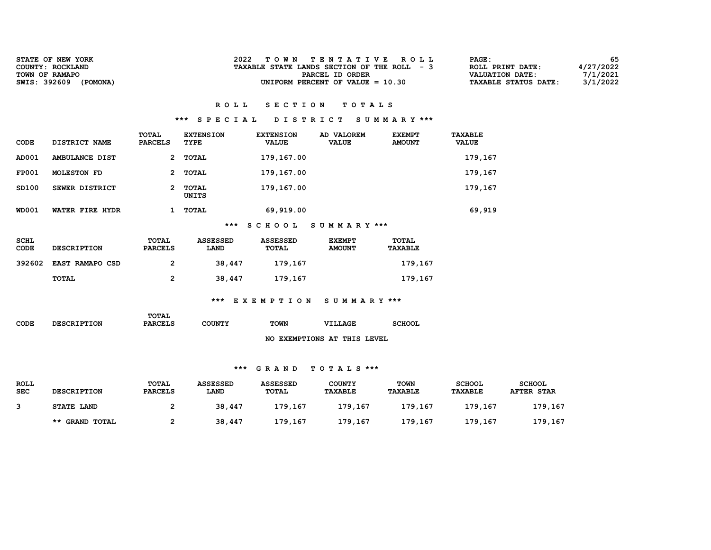| <b>STATE OF NEW YORK</b> | 2022 TOWN TENTATIVE ROLL                    | 65<br>PAGE:                             |
|--------------------------|---------------------------------------------|-----------------------------------------|
| COUNTY: ROCKLAND         | TAXABLE STATE LANDS SECTION OF THE ROLL - 3 | 4/27/2022<br>ROLL PRINT DATE:           |
| TOWN OF RAMAPO           | PARCEL ID ORDER                             | 7/1/2021<br>VALUATION DATE:             |
| SWIS: 392609<br>(POMONA) | UNIFORM PERCENT OF VALUE $= 10.30$          | 3/1/2022<br><b>TAXABLE STATUS DATE:</b> |

#### \*\*\* S P E C I A L D I S T R I C T S U M M A R Y \*\*\*

| CODE         | DISTRICT NAME      | TOTAL<br><b>PARCELS</b> | <b>EXTENSION</b><br>TYPE | <b>EXTENSION</b><br><b>VALUE</b> | AD VALOREM<br><b>VALUE</b> | <b>EXEMPT</b><br><b>AMOUNT</b> | TAXABLE<br><b>VALUE</b> |
|--------------|--------------------|-------------------------|--------------------------|----------------------------------|----------------------------|--------------------------------|-------------------------|
| AD001        | AMBULANCE DIST     | 2                       | TOTAL                    | 179,167.00                       |                            |                                | 179,167                 |
| <b>FP001</b> | <b>MOLESTON FD</b> | 2                       | TOTAL                    | 179,167.00                       |                            |                                | 179,167                 |
| SD100        | SEWER DISTRICT     | 2                       | TOTAL<br>UNITS           | 179,167.00                       |                            |                                | 179,167                 |
| <b>WD001</b> | WATER FIRE HYDR    |                         | TOTAL                    | 69,919.00                        |                            |                                | 69,919                  |
|              |                    |                         | ***                      | <b>SCHOOL</b>                    | SUMMARY ***                |                                |                         |

| SCHL<br><b>CODE</b> | <b>DESCRIPTION</b>     | TOTAL<br><b>PARCELS</b> | <b>ASSESSED</b><br><b>LAND</b> | ASSESSED<br><b>TOTAL</b> | <b>EXEMPT</b><br><b>AMOUNT</b> | <b>TOTAL</b><br><b>TAXABLE</b> |
|---------------------|------------------------|-------------------------|--------------------------------|--------------------------|--------------------------------|--------------------------------|
| 392602              | <b>EAST RAMAPO CSD</b> |                         | 38,447                         | 179,167                  |                                | 179,167                        |
|                     | TOTAL                  | 2                       | 38,447                         | 179,167                  |                                | 179,167                        |

## \*\*\* E X E M P T I O N S U M M A R Y \*\*\*

| CODE | <b>DESCRIPTION</b> | TOTAL<br><b>PARCELS</b> | <b>COUNTY</b> | TOWN | VILLAGE                         | <b>SCHOOL</b> |
|------|--------------------|-------------------------|---------------|------|---------------------------------|---------------|
|      |                    |                         |               | NO.  | <b>EXEMPTIONS AT THIS LEVEL</b> |               |

| ROLL<br><b>SEC</b> | <b>DESCRIPTION</b>    | TOTAL<br><b>PARCELS</b> | <b>ASSESSED</b><br>LAND | <b>ASSESSED</b><br>TOTAL | <b>COUNTY</b><br><b>TAXABLE</b> | TOWN<br><b>TAXABLE</b> | <b>SCHOOL</b><br><b>TAXABLE</b> | <b>SCHOOL</b><br><b>AFTER STAR</b> |
|--------------------|-----------------------|-------------------------|-------------------------|--------------------------|---------------------------------|------------------------|---------------------------------|------------------------------------|
|                    | <b>STATE LAND</b>     |                         | 38,447                  | 179,167                  | 179,167                         | 179,167                | 179,167                         | 179,167                            |
|                    | <b>** GRAND TOTAL</b> |                         | 38,447                  | 179,167                  | 179,167                         | 179,167                | 179,167                         | 179,167                            |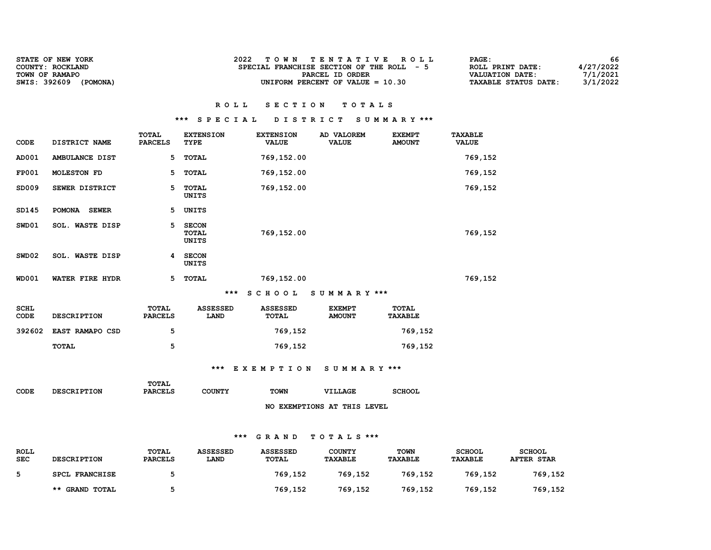| <b>STATE OF NEW YORK</b> | TOWN TENTATIVE ROLL                       | <b>PAGE :</b>               | 66        |
|--------------------------|-------------------------------------------|-----------------------------|-----------|
| COUNTY: ROCKLAND         | SPECIAL FRANCHISE SECTION OF THE ROLL - 5 | ROLL PRINT DATE:            | 4/27/2022 |
| TOWN OF RAMAPO           | PARCEL ID ORDER                           | VALUATION DATE:             | 7/1/2021  |
| SWIS: 392609<br>(POMONA) | UNIFORM PERCENT OF VALUE $= 10.30$        | <b>TAXABLE STATUS DATE:</b> | 3/1/2022  |

#### \*\*\* S P E C I A L D I S T R I C T S U M M A R Y \*\*\*

| CODE                | DISTRICT NAME                 | <b>TOTAL</b><br><b>PARCELS</b> | <b>EXTENSION</b><br>TYPE              | <b>EXTENSION</b><br><b>VALUE</b> | AD VALOREM<br><b>VALUE</b>     | <b>EXEMPT</b><br><b>AMOUNT</b> | <b>TAXABLE</b><br><b>VALUE</b> |
|---------------------|-------------------------------|--------------------------------|---------------------------------------|----------------------------------|--------------------------------|--------------------------------|--------------------------------|
| AD001               | AMBULANCE DIST                | 5                              | <b>TOTAL</b>                          | 769,152.00                       |                                |                                | 769,152                        |
| <b>FP001</b>        | <b>MOLESTON FD</b>            | 5                              | <b>TOTAL</b>                          | 769,152.00                       |                                |                                | 769,152                        |
| SD009               | SEWER DISTRICT                | 5                              | <b>TOTAL</b><br>UNITS                 | 769,152.00                       |                                |                                | 769,152                        |
| SD145               | <b>POMONA</b><br><b>SEWER</b> | 5.                             | UNITS                                 |                                  |                                |                                |                                |
| SWD01               | <b>SOL. WASTE DISP</b>        | 5                              | <b>SECON</b><br><b>TOTAL</b><br>UNITS | 769,152.00                       |                                |                                | 769,152                        |
| SWD02               | <b>SOL. WASTE DISP</b>        | 4                              | <b>SECON</b><br>UNITS                 |                                  |                                |                                |                                |
| <b>WD001</b>        | WATER FIRE HYDR               | 5                              | TOTAL                                 | 769,152.00                       |                                |                                | 769,152                        |
|                     |                               |                                | $***$                                 | <b>SCHOOL</b>                    | SUMMARY ***                    |                                |                                |
| <b>SCHL</b><br>CODE | <b>DESCRIPTION</b>            | TOTAL<br><b>PARCELS</b>        | <b>ASSESSED</b><br>LAND               | <b>ASSESSED</b><br>TOTAL         | <b>EXEMPT</b><br><b>AMOUNT</b> | <b>TOTAL</b><br><b>TAXABLE</b> |                                |
| 392602              | EAST RAMAPO CSD               | 5                              |                                       | 769,152                          |                                | 769,152                        |                                |
|                     | TOTAL                         | 5                              |                                       | 769,152                          |                                | 769,152                        |                                |

\*\*\* E X E M P T I O N S U M M A R Y \*\*\*

| <b>CODE</b> | <b>DESCRIPTION</b> | <b>TOTAL</b><br><b>PARCELS</b> | <b>COUNTY</b> | <b>TOWN</b> | <b>VILLAGE</b>                       | <b>SCHOOL</b> |
|-------------|--------------------|--------------------------------|---------------|-------------|--------------------------------------|---------------|
|             |                    |                                |               | ,,,         | <b>MISSISSON TAIL AN MILLA IMITS</b> |               |

NO EXEMPTIONS AT THIS LEVEL

| <b>ROLL</b><br><b>SEC</b> | <b>DESCRIPTION</b>    | <b>TOTAL</b><br><b>PARCELS</b> | <b>ASSESSED</b><br><b>LAND</b> | <b>ASSESSED</b><br>TOTAL | <b>COUNTY</b><br><b>TAXABLE</b> | <b>TOWN</b><br><b>TAXABLE</b> | <b>SCHOOL</b><br>TAXABLE | <b>SCHOOL</b><br><b>AFTER STAR</b> |
|---------------------------|-----------------------|--------------------------------|--------------------------------|--------------------------|---------------------------------|-------------------------------|--------------------------|------------------------------------|
|                           | <b>SPCL FRANCHISE</b> |                                |                                | 769,152                  | 769,152                         | 769,152                       | 769,152                  | 769,152                            |
|                           | ** GRAND TOTAL        |                                |                                | 769,152                  | 769,152                         | 769,152                       | 769,152                  | 769,152                            |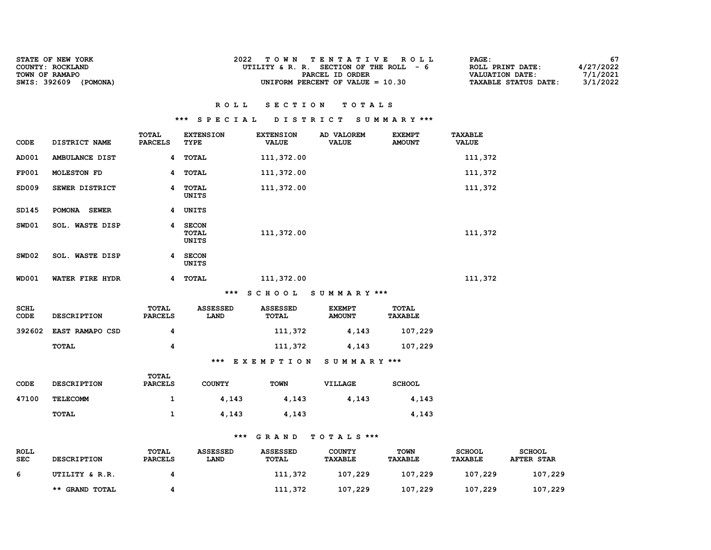| <b>STATE OF NEW YORK</b> | TOWN TENTATIVE ROLL                      | <b>PAGE :</b>                           |  |
|--------------------------|------------------------------------------|-----------------------------------------|--|
| COUNTY: ROCKLAND         | UTILITY & R. R. SECTION OF THE ROLL $-6$ | 4/27/2022<br>ROLL PRINT DATE:           |  |
| TOWN OF RAMAPO           | PARCEL ID ORDER                          | 7/1/2021<br>VALUATION DATE:             |  |
| SWIS: 392609<br>(POMONA) | UNIFORM PERCENT OF VALUE $= 10.30$       | 3/1/2022<br><b>TAXABLE STATUS DATE:</b> |  |

#### \*\*\* S P E C I A L D I S T R I C T S U M M A R Y \*\*\*

| CODE                | DISTRICT NAME                 | TOTAL<br><b>PARCELS</b>        | <b>EXTENSION</b><br>TYPE                     | <b>EXTENSION</b><br><b>VALUE</b> | AD VALOREM<br><b>VALUE</b>     | <b>EXEMPT</b><br><b>AMOUNT</b> | <b>TAXABLE</b><br><b>VALUE</b> |
|---------------------|-------------------------------|--------------------------------|----------------------------------------------|----------------------------------|--------------------------------|--------------------------------|--------------------------------|
| AD001               | AMBULANCE DIST                | 4                              | <b>TOTAL</b>                                 | 111,372.00                       |                                |                                | 111,372                        |
| <b>FP001</b>        | <b>MOLESTON FD</b>            | 4                              | <b>TOTAL</b>                                 | 111,372.00                       |                                |                                | 111,372                        |
| SD009               | SEWER DISTRICT                | 4                              | <b>TOTAL</b><br><b>UNITS</b>                 | 111,372.00                       |                                |                                | 111,372                        |
| SD145               | <b>POMONA</b><br><b>SEWER</b> | 4                              | UNITS                                        |                                  |                                |                                |                                |
| SWD01               | SOL. WASTE DISP               | 4                              | <b>SECON</b><br><b>TOTAL</b><br><b>UNITS</b> | 111,372.00                       |                                |                                | 111,372                        |
| SWD02               | SOL. WASTE DISP               | 4                              | <b>SECON</b><br><b>UNITS</b>                 |                                  |                                |                                |                                |
| <b>WD001</b>        | WATER FIRE HYDR               | 4                              | <b>TOTAL</b>                                 | 111,372.00                       |                                |                                | 111,372                        |
|                     |                               |                                | ***                                          | <b>SCHOOL</b>                    | SUMMARY ***                    |                                |                                |
| <b>SCHL</b><br>CODE | <b>DESCRIPTION</b>            | <b>TOTAL</b><br><b>PARCELS</b> | <b>ASSESSED</b><br>LAND                      | <b>ASSESSED</b><br><b>TOTAL</b>  | <b>EXEMPT</b><br><b>AMOUNT</b> | <b>TOTAL</b><br><b>TAXABLE</b> |                                |
| 392602              | EAST RAMAPO CSD               | 4                              |                                              | 111,372                          | 4,143                          | 107,229                        |                                |
|                     | <b>TOTAL</b>                  | 4                              |                                              | 111,372                          | 4,143                          | 107,229                        |                                |
|                     |                               |                                | ***                                          | <b>EXEMPTION</b>                 | SUMMARY ***                    |                                |                                |
| CODE                | <b>DESCRIPTION</b>            | <b>TOTAL</b><br><b>PARCELS</b> | <b>COUNTY</b>                                | <b>TOWN</b>                      | VILLAGE                        | <b>SCHOOL</b>                  |                                |
| 47100               | <b>TELECOMM</b>               | 1                              | 4,143                                        | 4,143                            | 4,143                          | 4,143                          |                                |

TOTAL 1 4,143 4,143 4,143

| ROLL<br><b>SEC</b> | <b>DESCRIPTION</b> | TOTAL<br><b>PARCELS</b> | <b>ASSESSED</b><br><b>LAND</b> | <b>ASSESSED</b><br>TOTAL | <b>COUNTY</b><br><b>TAXABLE</b> | <b>TOWN</b><br><b>TAXABLE</b> | <b>SCHOOL</b><br><b>TAXABLE</b> | <b>SCHOOL</b><br><b>AFTER STAR</b> |
|--------------------|--------------------|-------------------------|--------------------------------|--------------------------|---------------------------------|-------------------------------|---------------------------------|------------------------------------|
| 6                  | UTILITY & R.R.     |                         |                                | 111,372                  | 107,229                         | 107,229                       | 107,229                         | 107,229                            |
|                    | ** GRAND TOTAL     |                         |                                | 111,372                  | 107,229                         | 107,229                       | 107,229                         | 107,229                            |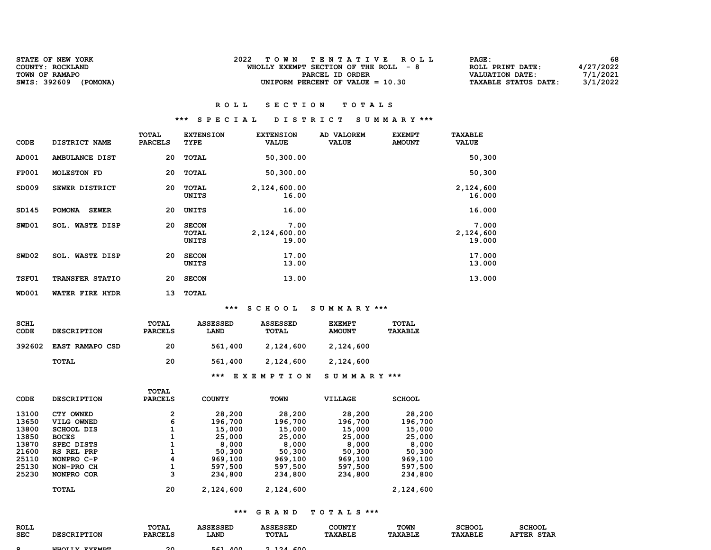| STATE OF NEW YORK<br>COUNTY: ROCKLAND      | TOWN TENTATIVE ROLL<br>WHOLLY EXEMPT SECTION OF THE ROLL - 8 | 68<br><b>PAGE :</b><br>4/27/2022<br>ROLL PRINT DATE:                   |
|--------------------------------------------|--------------------------------------------------------------|------------------------------------------------------------------------|
| TOWN OF RAMAPO<br>SWIS: 392609<br>(POMONA) | PARCEL ID ORDER<br>UNIFORM PERCENT OF VALUE $= 10.30$        | 7/1/2021<br>VALUATION DATE:<br>3/1/2022<br><b>TAXABLE STATUS DATE:</b> |

## \*\*\* S P E C I A L D I S T R I C T S U M M A R Y \*\*\*

| <b>CODE</b>                                                                   | DISTRICT NAME                                                                                                                      | TOTAL<br><b>PARCELS</b>                              | <b>EXTENSION</b><br>TYPE                                                                  | <b>EXTENSION</b><br><b>VALUE</b>                                                          | AD VALOREM<br><b>VALUE</b>                                                                | <b>EXEMPT</b><br><b>AMOUNT</b>                                                            | <b>TAXABLE</b><br><b>VALUE</b> |
|-------------------------------------------------------------------------------|------------------------------------------------------------------------------------------------------------------------------------|------------------------------------------------------|-------------------------------------------------------------------------------------------|-------------------------------------------------------------------------------------------|-------------------------------------------------------------------------------------------|-------------------------------------------------------------------------------------------|--------------------------------|
| AD001                                                                         | AMBULANCE DIST                                                                                                                     | 20                                                   | <b>TOTAL</b>                                                                              | 50,300.00                                                                                 |                                                                                           |                                                                                           | 50,300                         |
| <b>FP001</b>                                                                  | <b>MOLESTON FD</b>                                                                                                                 | 20                                                   | <b>TOTAL</b>                                                                              | 50,300.00                                                                                 |                                                                                           |                                                                                           | 50,300                         |
| SD009                                                                         | SEWER DISTRICT                                                                                                                     | 20                                                   | <b>TOTAL</b><br><b>UNITS</b>                                                              | 2,124,600.00<br>16.00                                                                     |                                                                                           |                                                                                           | 2,124,600<br>16.000            |
| SD145                                                                         | POMONA SEWER                                                                                                                       | 20                                                   | UNITS                                                                                     | 16.00                                                                                     |                                                                                           |                                                                                           | 16.000                         |
| SWD01                                                                         | SOL. WASTE DISP                                                                                                                    | 20                                                   | <b>SECON</b><br><b>TOTAL</b><br><b>UNITS</b>                                              | 7.00<br>2,124,600.00<br>19.00                                                             |                                                                                           |                                                                                           | 7.000<br>2,124,600<br>19.000   |
| SWD02                                                                         | SOL. WASTE DISP                                                                                                                    | 20                                                   | <b>SECON</b><br>UNITS                                                                     | 17.00<br>13.00                                                                            |                                                                                           |                                                                                           | 17.000<br>13.000               |
| <b>TSFU1</b>                                                                  | TRANSFER STATIO                                                                                                                    | 20                                                   | <b>SECON</b>                                                                              | 13.00                                                                                     |                                                                                           |                                                                                           | 13.000                         |
| WD001                                                                         | WATER FIRE HYDR                                                                                                                    | 13                                                   | <b>TOTAL</b>                                                                              |                                                                                           |                                                                                           |                                                                                           |                                |
|                                                                               |                                                                                                                                    |                                                      | ***                                                                                       | <b>SCHOOL</b>                                                                             | SUMMARY ***                                                                               |                                                                                           |                                |
| SCHL<br>CODE                                                                  | <b>DESCRIPTION</b>                                                                                                                 | <b>TOTAL</b><br><b>PARCELS</b>                       | <b>ASSESSED</b><br>LAND                                                                   | <b>ASSESSED</b><br>TOTAL                                                                  | <b>EXEMPT</b><br><b>AMOUNT</b>                                                            | TOTAL<br><b>TAXABLE</b>                                                                   |                                |
| 392602                                                                        | <b>EAST RAMAPO CSD</b>                                                                                                             | 20                                                   | 561,400                                                                                   | 2,124,600                                                                                 | 2,124,600                                                                                 |                                                                                           |                                |
|                                                                               | TOTAL                                                                                                                              | 20                                                   | 561,400                                                                                   | 2,124,600                                                                                 | 2,124,600                                                                                 |                                                                                           |                                |
|                                                                               |                                                                                                                                    |                                                      |                                                                                           | *** EXEMPTION                                                                             | SUMMARY ***                                                                               |                                                                                           |                                |
| CODE                                                                          | <b>DESCRIPTION</b>                                                                                                                 | TOTAL<br><b>PARCELS</b>                              | <b>COUNTY</b>                                                                             | <b>TOWN</b>                                                                               | VILLAGE                                                                                   | <b>SCHOOL</b>                                                                             |                                |
| 13100<br>13650<br>13800<br>13850<br>13870<br>21600<br>25110<br>25130<br>25230 | CTY OWNED<br>VILG OWNED<br><b>SCHOOL DIS</b><br><b>BOCES</b><br>SPEC DISTS<br>RS REL PRP<br>NONPRO C-P<br>NON-PRO CH<br>NONPRO COR | 2<br>6<br>1<br>1<br>1<br>$\mathbf{1}$<br>4<br>1<br>3 | 28,200<br>196,700<br>15,000<br>25,000<br>8,000<br>50,300<br>969,100<br>597,500<br>234,800 | 28,200<br>196,700<br>15,000<br>25,000<br>8,000<br>50,300<br>969,100<br>597,500<br>234,800 | 28,200<br>196,700<br>15,000<br>25,000<br>8,000<br>50,300<br>969,100<br>597,500<br>234,800 | 28,200<br>196,700<br>15,000<br>25,000<br>8,000<br>50,300<br>969,100<br>597,500<br>234,800 |                                |
|                                                                               | <b>TOTAL</b>                                                                                                                       | 20                                                   | 2,124,600                                                                                 | 2,124,600                                                                                 |                                                                                           | 2,124,600                                                                                 |                                |

| <b>ROLL</b> |                      | TOTAL          | <b>\SSESSED</b>          | ASSESSED       | <b>COUNTY</b>  | <b>TOWN</b>    | <b>SCHOOL</b>  | <b>SCHOOL</b>               |
|-------------|----------------------|----------------|--------------------------|----------------|----------------|----------------|----------------|-----------------------------|
| <b>SEC</b>  | <b>DESCRIPTION</b>   | <b>PARCELS</b> | LAND                     | TOTAL          | <b>TAXABLE</b> | <b>TAXABLE</b> | <b>TAXABLE</b> | <b>AFTER</b><br><b>STAR</b> |
|             |                      |                |                          |                |                |                |                |                             |
|             | <b>MUALLY RYBVOR</b> | $\sim$         | $\sqrt{2}$<br><b>EC1</b> | $0.101$ $0.00$ |                |                |                |                             |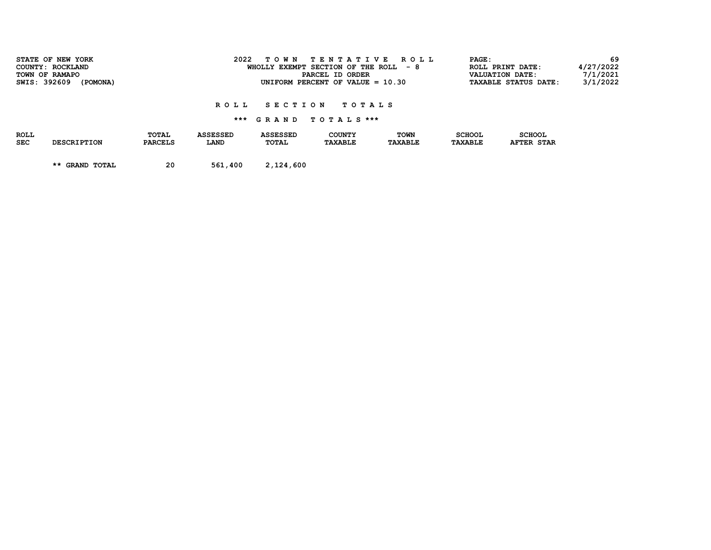| SWIS: 392609              | STATE OF NEW YORK<br>COUNTY: ROCKLAND<br>TOWN OF RAMAPO<br>(POMONA) |                         | 2022                    | T O W N                         | TENTATIVE ROLL<br>WHOLLY EXEMPT SECTION OF THE ROLL $-8$<br>PARCEL ID ORDER<br>UNIFORM PERCENT OF VALUE $= 10.30$ |                               | PAGE:                           | ROLL PRINT DATE:<br><b>VALUATION DATE:</b><br>TAXABLE STATUS DATE: | 69<br>4/27/2022<br>7/1/2021<br>3/1/2022 |
|---------------------------|---------------------------------------------------------------------|-------------------------|-------------------------|---------------------------------|-------------------------------------------------------------------------------------------------------------------|-------------------------------|---------------------------------|--------------------------------------------------------------------|-----------------------------------------|
|                           |                                                                     |                         | ROLL.                   | <b>SECTION</b>                  | TOTAL S<br>*** GRAND TOTALS ***                                                                                   |                               |                                 |                                                                    |                                         |
| <b>ROLL</b><br><b>SEC</b> | <b>DESCRIPTION</b>                                                  | TOTAL<br><b>PARCELS</b> | <b>ASSESSED</b><br>LAND | <b>ASSESSED</b><br><b>TOTAL</b> | <b>COUNTY</b><br><b>TAXABLE</b>                                                                                   | <b>TOWN</b><br><b>TAXABLE</b> | <b>SCHOOL</b><br><b>TAXABLE</b> | <b>SCHOOL</b><br><b>AFTER STAR</b>                                 |                                         |
|                           | ** GRAND TOTAL                                                      | 20                      | 561,400                 | 2,124,600                       |                                                                                                                   |                               |                                 |                                                                    |                                         |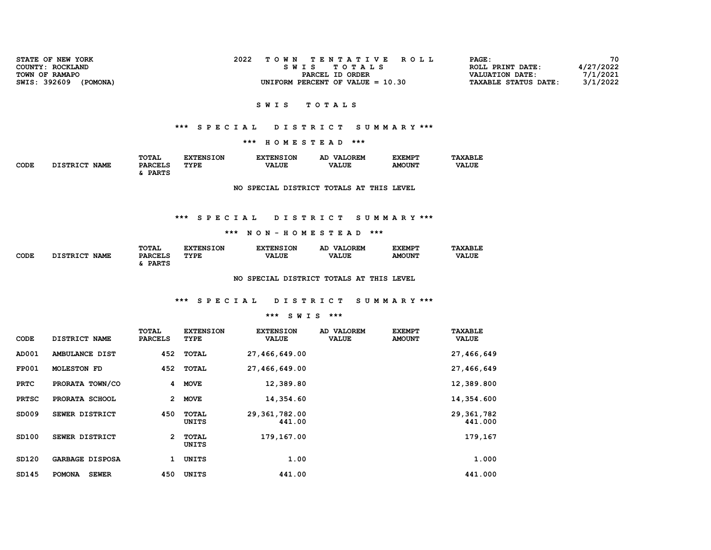| STATE OF NEW YORK<br><b>COUNTY: ROCKLAND</b> | 2022<br>TOWN TENTATIVE ROLL<br>SWIS TOTALS            | PAGE:<br>ROLL PRINT DATE:                      | 70<br>4/27/2022      |
|----------------------------------------------|-------------------------------------------------------|------------------------------------------------|----------------------|
| TOWN OF RAMAPO<br>SWIS: 392609<br>(POMONA)   | PARCEL ID ORDER<br>UNIFORM PERCENT OF VALUE $= 10.30$ | VALUATION DATE:<br><b>TAXABLE STATUS DATE:</b> | 7/1/2021<br>3/1/2022 |
|                                              |                                                       |                                                |                      |

## \*\*\* S P E C I A L D I S T R I C T S U M M A R Y \*\*\*

\*\*\* H O M E S T E A D \*\*\*

| <b>CODE</b><br><b>PARCELS</b><br>DISTRICT NAME<br><b>VALUE</b><br>TYPE<br><b>PARTS</b> | <b>VALUE</b> | <b>AMOUNT</b> | <b>VALUE</b> |
|----------------------------------------------------------------------------------------|--------------|---------------|--------------|

NO SPECIAL DISTRICT TOTALS AT THIS LEVEL

### \*\*\* S P E C I A L D I S T R I C T S U M M A R Y \*\*\*

#### \*\*\* N O N - H O M E S T E A D \*\*\*

|             |                                | TOTAL          | <b>TXTENSION</b> | <b>EXTENSION</b> | <b>VALOREM</b><br>AD | <b>EXEMPT</b> | <b>TAXABLE</b> |
|-------------|--------------------------------|----------------|------------------|------------------|----------------------|---------------|----------------|
| <b>CODE</b> | <b>DISTRICT</b><br><b>NAME</b> | <b>PARCELS</b> | TYPE             | <b>VALUE</b>     | <b>VALUE</b>         | <b>AMOUNT</b> | <b>VALUE</b>   |
|             |                                | <b>PARTS</b>   |                  |                  |                      |               |                |

NO SPECIAL DISTRICT TOTALS AT THIS LEVEL

# \*\*\* S P E C I A L D I S T R I C T S U M M A R Y \*\*\*

| CODE         | DISTRICT NAME                 | <b>TOTAL</b><br><b>PARCELS</b> | <b>EXTENSION</b><br>TYPE | <b>EXTENSION</b><br><b>VALUE</b> | AD VALOREM<br><b>VALUE</b> | <b>EXEMPT</b><br><b>AMOUNT</b> | <b>TAXABLE</b><br><b>VALUE</b> |
|--------------|-------------------------------|--------------------------------|--------------------------|----------------------------------|----------------------------|--------------------------------|--------------------------------|
| AD001        | AMBULANCE DIST                | 452                            | TOTAL                    | 27,466,649.00                    |                            |                                | 27,466,649                     |
| <b>FP001</b> | <b>MOLESTON FD</b>            | 452                            | <b>TOTAL</b>             | 27,466,649.00                    |                            |                                | 27,466,649                     |
| <b>PRTC</b>  | PRORATA TOWN/CO               | 4                              | <b>MOVE</b>              | 12,389.80                        |                            |                                | 12,389.800                     |
| <b>PRTSC</b> | PRORATA SCHOOL                | $\mathbf{2}$                   | <b>MOVE</b>              | 14,354.60                        |                            |                                | 14,354.600                     |
| SD009        | SEWER DISTRICT                | 450                            | <b>TOTAL</b><br>UNITS    | 29, 361, 782.00<br>441.00        |                            |                                | 29,361,782<br>441.000          |
| SD100        | SEWER DISTRICT                | 2                              | <b>TOTAL</b><br>UNITS    | 179,167.00                       |                            |                                | 179,167                        |
| SD120        | <b>GARBAGE DISPOSA</b>        | 1                              | <b>UNITS</b>             | 1.00                             |                            |                                | 1.000                          |
| SD145        | <b>POMONA</b><br><b>SEWER</b> | 450                            | <b>UNITS</b>             | 441.00                           |                            |                                | 441.000                        |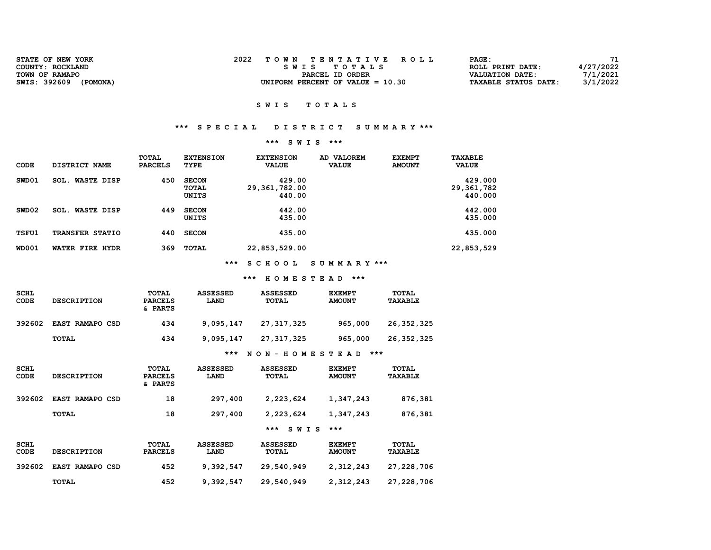| <b>STATE OF NEW YORK</b> | TOWN TENTATIVE ROLL                | <b>PAGE :</b>                           |
|--------------------------|------------------------------------|-----------------------------------------|
| COUNTY: ROCKLAND         | SWIS TOTALS                        | 4/27/2022<br>ROLL PRINT DATE:           |
| TOWN OF RAMAPO           | PARCEL ID ORDER                    | 7/1/2021<br>VALUATION DATE:             |
| SWIS: 392609<br>(POMONA) | UNIFORM PERCENT OF VALUE $= 10.30$ | 3/1/2022<br><b>TAXABLE STATUS DATE:</b> |
|                          |                                    |                                         |

## \*\*\* S P E C I A L D I S T R I C T S U M M A R Y \*\*\*

### \*\*\* S W I S \*\*\*

| <b>CODE</b>  | DISTRICT NAME             | TOTAL<br><b>PARCELS</b> | <b>EXTENSION</b><br>TYPE       | <b>EXTENSION</b><br><b>VALUE</b>    | AD VALOREM<br><b>VALUE</b> | <b>EXEMPT</b><br><b>AMOUNT</b> | TAXABLE<br><b>VALUE</b>          |
|--------------|---------------------------|-------------------------|--------------------------------|-------------------------------------|----------------------------|--------------------------------|----------------------------------|
| SWD01        | <b>WASTE DISP</b><br>SOL. | 450                     | <b>SECON</b><br>TOTAL<br>UNITS | 429.00<br>29, 361, 782.00<br>440.00 |                            |                                | 429.000<br>29,361,782<br>440.000 |
| SWD02        | <b>SOL. WASTE DISP</b>    | 449                     | <b>SECON</b><br>UNITS          | 442.00<br>435.00                    |                            |                                | 442.000<br>435.000               |
| TSFU1        | <b>TRANSFER STATIO</b>    | 440                     | <b>SECON</b>                   | 435.00                              |                            |                                | 435.000                          |
| <b>WD001</b> | WATER FIRE HYDR           | 369                     | TOTAL                          | 22,853,529.00                       |                            |                                | 22,853,529                       |

\*\*\* S C H O O L S U M M A R Y \*\*\*

## \*\*\* H O M E S T E A D \*\*\*

| <b>SCHL</b><br>CODE | <b>DESCRIPTION</b>     | TOTAL<br><b>PARCELS</b><br>& PARTS | <b>ASSESSED</b><br><b>LAND</b> | <b>ASSESSED</b><br>TOTAL | <b>EXEMPT</b><br><b>AMOUNT</b> | <b>TOTAL</b><br><b>TAXABLE</b> |
|---------------------|------------------------|------------------------------------|--------------------------------|--------------------------|--------------------------------|--------------------------------|
| 392602              | <b>EAST RAMAPO CSD</b> | 434                                | 9,095,147                      | 27, 317, 325             | 965,000                        | 26,352,325                     |
|                     | <b>TOTAL</b>           | 434                                | 9,095,147                      | 27, 317, 325             | 965,000                        | 26,352,325                     |

## \*\*\* N O N - H O M E S T E A D \*\*\*

| <b>SCHL</b><br><b>CODE</b> | <b>DESCRIPTION</b>     | TOTAL<br><b>PARCELS</b><br>& PARTS | <b>ASSESSED</b><br>LAND | <b>ASSESSED</b><br><b>TOTAL</b> | <b>EXEMPT</b><br><b>AMOUNT</b> | <b>TOTAL</b><br><b>TAXABLE</b> |
|----------------------------|------------------------|------------------------------------|-------------------------|---------------------------------|--------------------------------|--------------------------------|
| 392602                     | <b>EAST RAMAPO CSD</b> | 18                                 | 297,400                 | 2,223,624                       | 1,347,243                      | 876,381                        |
|                            | <b>TOTAL</b>           | 18                                 | 297,400                 | 2,223,624                       | 1,347,243                      | 876,381                        |
|                            |                        |                                    |                         | $***$<br><b>SWIS</b>            | $***$                          |                                |
| <b>SCHL</b><br><b>CODE</b> | <b>DESCRIPTION</b>     | <b>TOTAL</b><br><b>PARCELS</b>     | <b>ASSESSED</b><br>LAND | <b>ASSESSED</b><br><b>TOTAL</b> | <b>EXEMPT</b><br><b>AMOUNT</b> | <b>TOTAL</b><br><b>TAXABLE</b> |
| 392602                     | <b>EAST RAMAPO CSD</b> | 452                                | 9,392,547               | 29,540,949                      | 2,312,243                      | 27,228,706                     |
|                            | <b>TOTAL</b>           | 452                                | 9,392,547               | 29,540,949                      | 2,312,243                      | 27,228,706                     |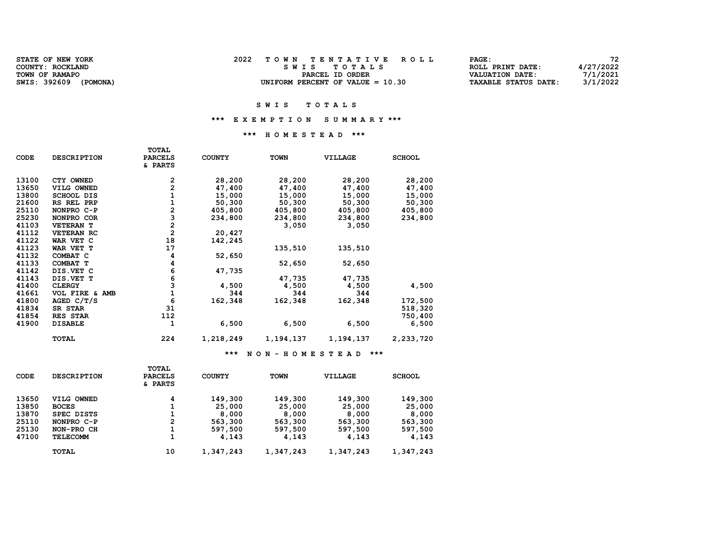| <b>STATE OF NEW YORK</b> | TOWN TENTATIVE ROLL                | PAGE:                       | 72        |
|--------------------------|------------------------------------|-----------------------------|-----------|
| COUNTY: ROCKLAND         | SWIS TOTALS                        | ROLL PRINT DATE:            | 4/27/2022 |
| TOWN OF RAMAPO           | PARCEL ID ORDER                    | VALUATION DATE:             | 7/1/2021  |
| SWIS: 392609<br>(POMONA) | UNIFORM PERCENT OF VALUE $= 10.30$ | <b>TAXABLE STATUS DATE:</b> | 3/1/2022  |

#### \*\*\* E X E M P T I O N S U M M A R Y \*\*\*

#### \*\*\* H O M E S T E A D \*\*\*

| CODE  | <b>DESCRIPTION</b> | <b>TOTAL</b><br><b>PARCELS</b><br>& PARTS  | <b>COUNTY</b> | <b>TOWN</b> | VILLAGE   | <b>SCHOOL</b> |
|-------|--------------------|--------------------------------------------|---------------|-------------|-----------|---------------|
| 13100 | CTY OWNED          | 2                                          | 28,200        | 28,200      | 28,200    | 28,200        |
| 13650 | VILG OWNED         | 2                                          | 47,400        | 47,400      | 47,400    | 47,400        |
| 13800 | <b>SCHOOL DIS</b>  | 1                                          | 15,000        | 15,000      | 15,000    | 15,000        |
| 21600 | RS REL PRP         | 1                                          | 50,300        | 50,300      | 50,300    | 50,300        |
| 25110 | NONPRO C-P         | $\overline{\mathbf{c}}$                    | 405,800       | 405,800     | 405,800   | 405,800       |
| 25230 | NONPRO COR         | $\begin{array}{c} 3 \\ 2 \\ 2 \end{array}$ | 234,800       | 234,800     | 234,800   | 234,800       |
| 41103 | <b>VETERAN T</b>   |                                            |               | 3,050       | 3,050     |               |
| 41112 | VETERAN RC         |                                            | 20,427        |             |           |               |
| 41122 | WAR VET C          | 18                                         | 142,245       |             |           |               |
| 41123 | WAR VET T          | 17                                         |               | 135,510     | 135,510   |               |
| 41132 | COMBAT C           | 4                                          | 52,650        |             |           |               |
| 41133 | COMBAT T           | 4                                          |               | 52,650      | 52,650    |               |
| 41142 | DIS.VET C          | 6                                          | 47,735        |             |           |               |
| 41143 | DIS. VET T         | 6                                          |               | 47,735      | 47,735    |               |
| 41400 | <b>CLERGY</b>      | 3                                          | 4,500         | 4,500       | 4,500     | 4,500         |
| 41661 | VOL FIRE & AMB     | 1                                          | 344           | 344         | 344       |               |
| 41800 | AGED $C/T/S$       | 6                                          | 162,348       | 162,348     | 162,348   | 172,500       |
| 41834 | SR STAR            | 31                                         |               |             |           | 518,320       |
| 41854 | <b>RES STAR</b>    | 112                                        |               |             |           | 750,400       |
| 41900 | <b>DISABLE</b>     | 1                                          | 6,500         | 6,500       | 6,500     | 6,500         |
|       | TOTAL              | 224                                        | 1,218,249     | 1,194,137   | 1,194,137 | 2,233,720     |

#### \*\*\* N O N - H O M E S T E A D \*\*\*

| <b>CODE</b> | <b>DESCRIPTION</b> | TOTAL<br><b>PARCELS</b><br>& PARTS | <b>COUNTY</b> | <b>TOWN</b> | VILLAGE   | <b>SCHOOL</b> |
|-------------|--------------------|------------------------------------|---------------|-------------|-----------|---------------|
| 13650       | VILG OWNED         | 4                                  | 149,300       | 149,300     | 149,300   | 149,300       |
| 13850       | <b>BOCES</b>       | 1                                  | 25,000        | 25,000      | 25,000    | 25,000        |
| 13870       | <b>SPEC DISTS</b>  | 1                                  | 8,000         | 8,000       | 8,000     | 8,000         |
| 25110       | NONPRO C-P         | 2                                  | 563,300       | 563,300     | 563,300   | 563,300       |
| 25130       | NON-PRO CH         | 1                                  | 597,500       | 597,500     | 597,500   | 597,500       |
| 47100       | <b>TELECOMM</b>    | 1                                  | 4,143         | 4,143       | 4,143     | 4,143         |
|             | <b>TOTAL</b>       | 10                                 | 1,347,243     | 1,347,243   | 1,347,243 | 1,347,243     |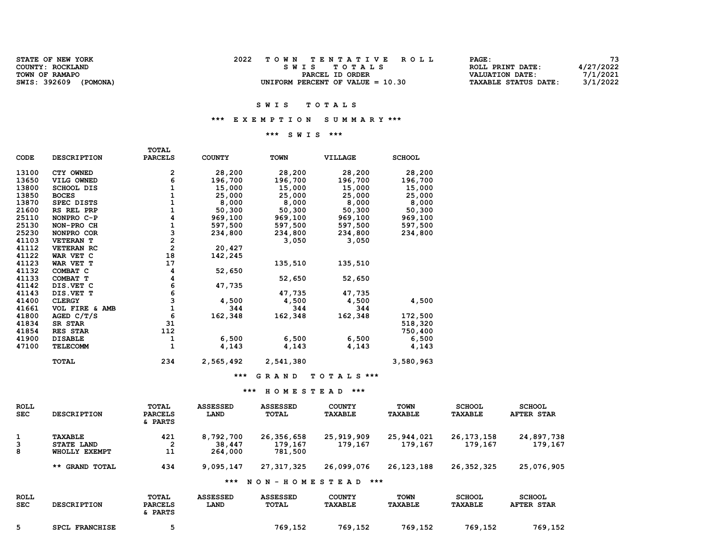| STATE OF NEW YORK     |  |
|-----------------------|--|
| COUNTY: ROCKLAND      |  |
| TOWN OF RAMAPO        |  |
| SWIS: 392609 (POMONA) |  |

| STATE OF NEW YORK        | TOWN TENTATIVE ROLL                | PAGE:                       | 73        |
|--------------------------|------------------------------------|-----------------------------|-----------|
| COUNTY: ROCKLAND         | SWIS TOTALS                        | ROLL PRINT DATE:            | 4/27/2022 |
| TOWN OF RAMAPO           | PARCEL ID ORDER                    | VALUATION DATE:             | 7/1/2021  |
| SWIS: 392609<br>(POMONA) | UNIFORM PERCENT OF VALUE $= 10.30$ | <b>TAXABLE STATUS DATE:</b> | 3/1/2022  |

### \*\*\* E X E M P T I O N S U M M A R Y \*\*\*

### \*\*\* S W I S \*\*\*

|             |                    | <b>TOTAL</b>   |               |             |            |               |
|-------------|--------------------|----------------|---------------|-------------|------------|---------------|
| <b>CODE</b> | <b>DESCRIPTION</b> | <b>PARCELS</b> | <b>COUNTY</b> | <b>TOWN</b> | VILLAGE    | <b>SCHOOL</b> |
| 13100       | CTY OWNED          | 2              | 28,200        | 28,200      | 28,200     | 28,200        |
| 13650       | VILG OWNED         | 6              | 196,700       | 196,700     | 196,700    | 196,700       |
| 13800       | <b>SCHOOL DIS</b>  |                | 15,000        | 15,000      | 15,000     | 15,000        |
| 13850       | <b>BOCES</b>       | 1              | 25,000        | 25,000      | 25,000     | 25,000        |
| 13870       | <b>SPEC DISTS</b>  | 1              | 8,000         | 8,000       | 8,000      | 8,000         |
| 21600       | RS REL PRP         |                | 50,300        | 50,300      | 50,300     | 50,300        |
| 25110       | NONPRO C-P         | 4              | 969,100       | 969,100     | 969,100    | 969,100       |
| 25130       | NON-PRO CH         |                | 597,500       | 597,500     | 597,500    | 597,500       |
| 25230       | NONPRO COR         | 3              | 234,800       | 234,800     | 234,800    | 234,800       |
| 41103       | <b>VETERAN T</b>   | $\overline{2}$ |               | 3,050       | 3,050      |               |
| 41112       | <b>VETERAN RC</b>  | $\overline{2}$ | 20,427        |             |            |               |
| 41122       | WAR VET C          | 18             | 142,245       |             |            |               |
| 41123       | WAR VET T          | 17             |               | 135,510     | 135,510    |               |
| 41132       | COMBAT C           | 4              | 52,650        |             |            |               |
| 41133       | COMBAT T           | 4              |               | 52,650      | 52,650     |               |
| 41142       | DIS.VET C          | 6              | 47,735        |             |            |               |
| 41143       | DIS.VET T          | 6              |               | 47,735      | 47,735     |               |
| 41400       | <b>CLERGY</b>      | 3              | 4,500         | 4,500       | 4,500      | 4,500         |
| 41661       | VOL FIRE & AMB     | $\mathbf{1}$   | 344           | 344         | 344        |               |
| 41800       | AGED C/T/S         | 6              | 162,348       | 162,348     | 162,348    | 172,500       |
| 41834       | SR STAR            | 31             |               |             |            | 518,320       |
| 41854       | RES STAR           | 112            |               |             |            | 750,400       |
| 41900       | <b>DISABLE</b>     | 1              | 6,500         | 6,500       | 6,500      | 6,500         |
| 47100       | <b>TELECOMM</b>    | $\mathbf{1}$   | 4,143         | 4,143       | 4,143      | 4,143         |
|             | <b>TOTAL</b>       | 234            | 2,565,492     | 2,541,380   |            | 3,580,963     |
|             |                    |                | ***           | GRAND       | TOTALS *** |               |

### \*\*\* H O M E S T E A D \*\*\*

| ROLL<br><b>SEC</b> | <b>DESCRIPTION</b>                     | TOTAL<br><b>PARCELS</b><br>& PARTS | <b>ASSESSED</b><br>LAND        | <b>ASSESSED</b><br>TOTAL         | <b>COUNTY</b><br><b>TAXABLE</b> | <b>TOWN</b><br><b>TAXABLE</b> | <b>SCHOOL</b><br><b>TAXABLE</b> | <b>SCHOOL</b><br><b>AFTER STAR</b> |
|--------------------|----------------------------------------|------------------------------------|--------------------------------|----------------------------------|---------------------------------|-------------------------------|---------------------------------|------------------------------------|
| 1<br>3<br>8        | TAXABLE<br>STATE LAND<br>WHOLLY EXEMPT | 421<br>2<br>11                     | 8,792,700<br>38,447<br>264,000 | 26,356,658<br>179,167<br>781,500 | 25,919,909<br>179,167           | 25,944,021<br>179,167         | 26, 173, 158<br>179,167         | 24,897,738<br>179,167              |
|                    | ** GRAND TOTAL                         | 434                                | 9,095,147                      | 27, 317, 325                     | 26,099,076                      | 26, 123, 188                  | 26, 352, 325                    | 25,076,905                         |
|                    |                                        |                                    | ***                            | NON - HOMESTEAD                  | ***                             |                               |                                 |                                    |
| ROLL<br><b>SEC</b> | <b>DESCRIPTION</b>                     | TOTAL<br><b>PARCELS</b><br>& PARTS | <b>ASSESSED</b><br>LAND        | <b>ASSESSED</b><br><b>TOTAL</b>  | <b>COUNTY</b><br><b>TAXABLE</b> | <b>TOWN</b><br><b>TAXABLE</b> | <b>SCHOOL</b><br><b>TAXABLE</b> | <b>SCHOOL</b><br><b>AFTER STAR</b> |

5 SPCL FRANCHISE 5 769,152 769,152 769,152 769,152 769,152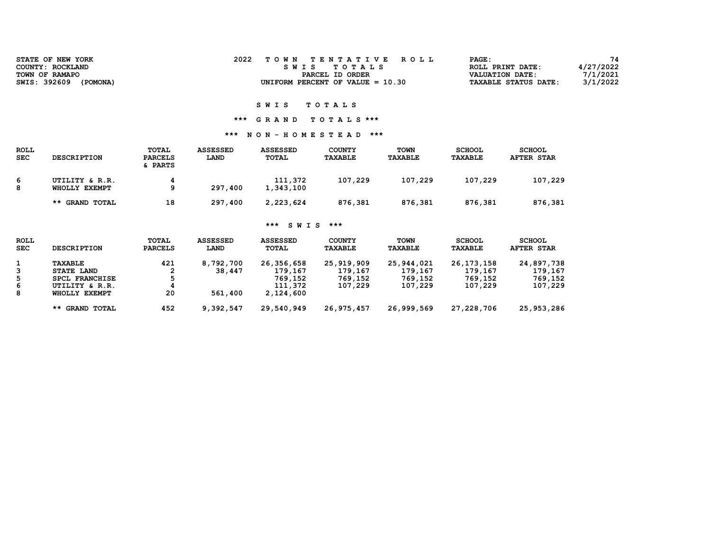| <b>STATE OF NEW YORK</b><br>COUNTY: ROCKLAND | 2022<br>TOWN TENTATIVE ROLL<br>SWIS TOTALS | PAGE:<br>ROLL PRINT DATE:   | 74<br>4/27/2022 |
|----------------------------------------------|--------------------------------------------|-----------------------------|-----------------|
| TOWN OF RAMAPO                               | PARCEL ID ORDER                            | VALUATION DATE:             | 7/1/2021        |
| SWIS: 392609<br>(POMONA)                     | UNIFORM PERCENT OF VALUE $= 10.30$         | <b>TAXABLE STATUS DATE:</b> | 3/1/2022        |
|                                              |                                            |                             |                 |

## \*\*\* G R A N D T O T A L S \*\*\*

## \*\*\* N O N - H O M E S T E A D \*\*\*

| <b>ROLL</b><br><b>SEC</b> | <b>DESCRIPTION</b>              | TOTAL<br><b>PARCELS</b><br>& PARTS | <b>ASSESSED</b><br>LAND | <b>ASSESSED</b><br>TOTAL | <b>COUNTY</b><br>TAXABLE | <b>TOWN</b><br><b>TAXABLE</b> | <b>SCHOOL</b><br><b>TAXABLE</b> | <b>SCHOOL</b><br><b>AFTER STAR</b> |
|---------------------------|---------------------------------|------------------------------------|-------------------------|--------------------------|--------------------------|-------------------------------|---------------------------------|------------------------------------|
| 6<br>8                    | UTILITY & R.R.<br>WHOLLY EXEMPT | 9                                  | 297,400                 | 111,372<br>1,343,100     | 107,229                  | 107,229                       | 107,229                         | 107,229                            |
|                           | ** GRAND TOTAL                  | 18                                 | 297,400                 | 2,223,624                | 876,381                  | 876,381                       | 876,381                         | 876,381                            |

## \*\*\* S W I S \*\*\*

| <b>ROLL</b><br><b>SEC</b> | <b>DESCRIPTION</b> | <b>TOTAL</b><br><b>PARCELS</b> | <b>ASSESSED</b><br>LAND | <b>ASSESSED</b><br>TOTAL | <b>COUNTY</b><br><b>TAXABLE</b> | <b>TOWN</b><br>TAXABLE | <b>SCHOOL</b><br><b>TAXABLE</b> | <b>SCHOOL</b><br><b>AFTER STAR</b> |
|---------------------------|--------------------|--------------------------------|-------------------------|--------------------------|---------------------------------|------------------------|---------------------------------|------------------------------------|
|                           |                    |                                |                         |                          |                                 |                        |                                 |                                    |
|                           | TAXABLE            | 421                            | 8,792,700               | 26,356,658               | 25,919,909                      | 25,944,021             | 26,173,158                      | 24,897,738                         |
| 3                         | <b>STATE LAND</b>  |                                | 38,447                  | 179,167                  | 179,167                         | 179,167                | 179,167                         | 179,167                            |
| 5                         | SPCL FRANCHISE     |                                |                         | 769,152                  | 769,152                         | 769,152                | 769,152                         | 769,152                            |
| 6                         | UTILITY & R.R.     |                                |                         | 111,372                  | 107,229                         | 107,229                | 107,229                         | 107,229                            |
| 8                         | WHOLLY EXEMPT      | 20                             | 561,400                 | 2,124,600                |                                 |                        |                                 |                                    |
|                           | ** GRAND TOTAL     | 452                            | 9,392,547               | 29,540,949               | 26,975,457                      | 26,999,569             | 27,228,706                      | 25,953,286                         |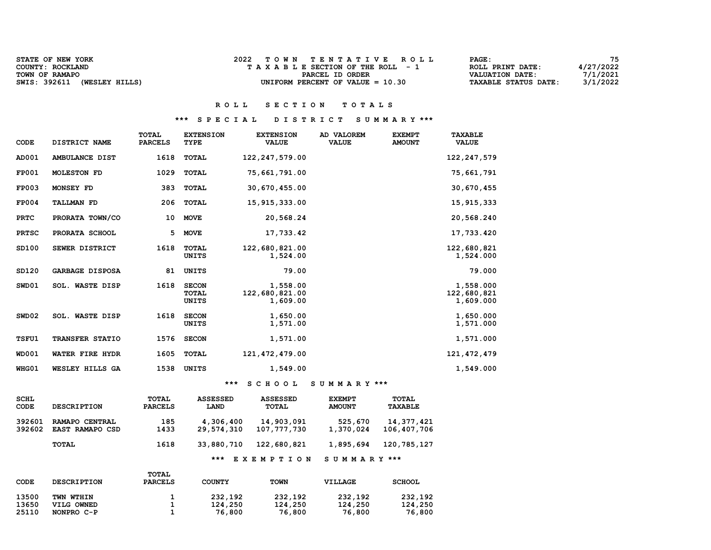| <b>STATE OF NEW YORK</b>       | TOWN TENTATIVE ROLL                | <b>PAGE :</b>               | 75        |
|--------------------------------|------------------------------------|-----------------------------|-----------|
| COUNTY: ROCKLAND               | TAXABLE SECTION OF THE ROLL - 1    | ROLL PRINT DATE:            | 4/27/2022 |
| TOWN OF RAMAPO                 | PARCEL ID ORDER                    | <b>VALUATION DATE:</b>      | 7/1/2021  |
| SWIS: 392611<br>(WESLEY HILLS) | UNIFORM PERCENT OF VALUE $= 10.30$ | <b>TAXABLE STATUS DATE:</b> | 3/1/2022  |

# R O L L S E C T I O N T O T A L S

## \*\*\* S P E C I A L D I S T R I C T S U M M A R Y \*\*\*

| <b>CODE</b>  | DISTRICT NAME          | <b>TOTAL</b><br><b>PARCELS</b> | <b>EXTENSION</b><br>TYPE                     | <b>EXTENSION</b><br><b>VALUE</b>       | AD VALOREM<br><b>VALUE</b> | <b>EXEMPT</b><br><b>AMOUNT</b> | <b>TAXABLE</b><br><b>VALUE</b>        |
|--------------|------------------------|--------------------------------|----------------------------------------------|----------------------------------------|----------------------------|--------------------------------|---------------------------------------|
| AD001        | AMBULANCE DIST         | 1618                           | <b>TOTAL</b>                                 | 122, 247, 579.00                       |                            |                                | 122,247,579                           |
| <b>FP001</b> | <b>MOLESTON FD</b>     | 1029                           | <b>TOTAL</b>                                 | 75,661,791.00                          |                            |                                | 75,661,791                            |
| <b>FP003</b> | MONSEY FD              | 383                            | <b>TOTAL</b>                                 | 30,670,455.00                          |                            |                                | 30,670,455                            |
| <b>FP004</b> | <b>TALLMAN FD</b>      | 206                            | <b>TOTAL</b>                                 | 15,915,333.00                          |                            |                                | 15, 915, 333                          |
| <b>PRTC</b>  | PRORATA TOWN/CO        | 10                             | <b>MOVE</b>                                  | 20,568.24                              |                            |                                | 20,568.240                            |
| <b>PRTSC</b> | PRORATA SCHOOL         | 5                              | <b>MOVE</b>                                  | 17,733.42                              |                            |                                | 17,733.420                            |
| SD100        | SEWER DISTRICT         | 1618                           | <b>TOTAL</b><br><b>UNITS</b>                 | 122,680,821.00<br>1,524.00             |                            |                                | 122,680,821<br>1,524.000              |
| SD120        | <b>GARBAGE DISPOSA</b> | 81                             | <b>UNITS</b>                                 | 79.00                                  |                            |                                | 79.000                                |
| SWD01        | <b>SOL. WASTE DISP</b> | 1618                           | <b>SECON</b><br><b>TOTAL</b><br><b>UNITS</b> | 1,558.00<br>122,680,821.00<br>1,609.00 |                            |                                | 1,558.000<br>122,680,821<br>1,609.000 |
| SWD02        | <b>SOL. WASTE DISP</b> | 1618                           | <b>SECON</b><br>UNITS                        | 1,650.00<br>1,571.00                   |                            |                                | 1,650.000<br>1,571.000                |
| TSFU1        | TRANSFER STATIO        | 1576                           | <b>SECON</b>                                 | 1,571.00                               |                            |                                | 1,571.000                             |
| <b>WD001</b> | WATER FIRE HYDR        | 1605                           | <b>TOTAL</b>                                 | 121, 472, 479.00                       |                            |                                | 121, 472, 479                         |
| WHG01        | WESLEY HILLS GA        | 1538                           | <b>UNITS</b>                                 | 1,549.00                               |                            |                                | 1,549.000                             |

### \*\*\* S C H O O L S U M M A R Y \*\*\*

| SCHL   | <b>DESCRIPTION</b>     | TOTAL          | <b>ASSESSED</b> | <b>ASSESSED</b> | <b>EXEMPT</b> | <b>TOTAL</b>   |
|--------|------------------------|----------------|-----------------|-----------------|---------------|----------------|
| CODE   |                        | <b>PARCELS</b> | LAND            | TOTAL           | <b>AMOUNT</b> | <b>TAXABLE</b> |
| 392601 | RAMAPO CENTRAL         | 185            | 4,306,400       | 14,903,091      | 525,670       | 14,377,421     |
| 392602 | <b>EAST RAMAPO CSD</b> | 1433           | 29,574,310      | 107,777,730     | 1,370,024     | 106,407,706    |
|        | TOTAL                  | 1618           | 33,880,710      | 122,680,821     | 1,895,694     | 120,785,127    |

## \*\*\* E X E M P T I O N S U M M A R Y \*\*\*

| CODE  | <b>DESCRIPTION</b> | <b>TOTAL</b><br><b>PARCELS</b> | <b>COUNTY</b> | <b>TOWN</b> | VILLAGE | <b>SCHOOL</b> |
|-------|--------------------|--------------------------------|---------------|-------------|---------|---------------|
| 13500 | TWN WTHIN          |                                | 232,192       | 232,192     | 232,192 | 232,192       |
| 13650 | VILG OWNED         |                                | 124,250       | 124,250     | 124,250 | 124,250       |
| 25110 | NONPRO C-P         |                                | 76,800        | 76,800      | 76,800  | 76,800        |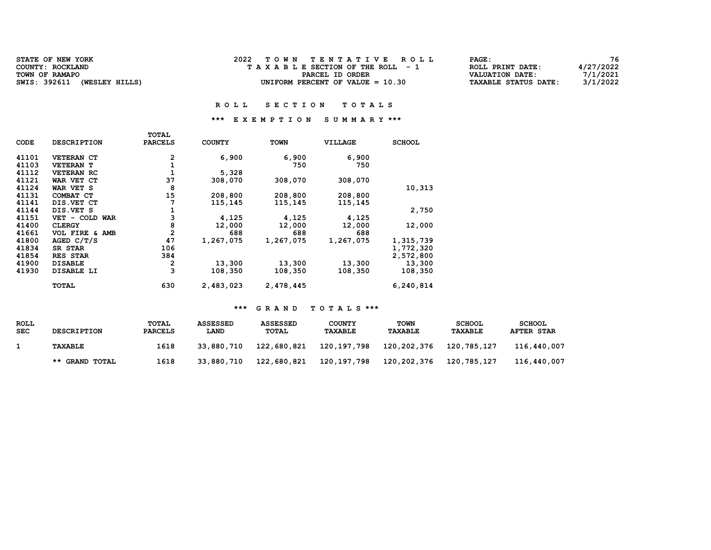| STATE OF NEW YORK              | 2022<br>TOWN TENTATIVE ROLL        | PAGE:                       | 76        |
|--------------------------------|------------------------------------|-----------------------------|-----------|
| COUNTY: ROCKLAND               | TAXABLE SECTION OF THE ROLL - 1    | ROLL PRINT DATE:            | 4/27/2022 |
| TOWN OF RAMAPO                 | PARCEL ID ORDER                    | VALUATION DATE:             | 7/1/2021  |
| SWIS: 392611<br>(WESLEY HILLS) | UNIFORM PERCENT OF VALUE $= 10.30$ | <b>TAXABLE STATUS DATE:</b> | 3/1/2022  |
|                                |                                    |                             |           |

### \*\*\* E X E M P T I O N S U M M A R Y \*\*\*

|             |                    | TOTAL          |               |             |           |               |
|-------------|--------------------|----------------|---------------|-------------|-----------|---------------|
| <b>CODE</b> | <b>DESCRIPTION</b> | <b>PARCELS</b> | <b>COUNTY</b> | <b>TOWN</b> | VILLAGE   | <b>SCHOOL</b> |
| 41101       | <b>VETERAN CT</b>  | 2              | 6,900         | 6,900       | 6,900     |               |
| 41103       | <b>VETERAN T</b>   |                |               | 750         | 750       |               |
| 41112       | <b>VETERAN RC</b>  |                | 5,328         |             |           |               |
| 41121       | WAR VET CT         | 37             | 308,070       | 308,070     | 308,070   |               |
| 41124       | WAR VET S          | 8              |               |             |           | 10,313        |
| 41131       | COMBAT CT          | 15             | 208,800       | 208,800     | 208,800   |               |
|             |                    |                |               |             |           |               |
| 41141       | DIS. VET CT        | 7              | 115,145       | 115,145     | 115,145   |               |
| 41144       | DIS.VET S          |                |               |             |           | 2,750         |
| 41151       | COLD WAR<br>VET -  | 3              | 4,125         | 4,125       | 4,125     |               |
| 41400       | <b>CLERGY</b>      | 8              | 12,000        | 12,000      | 12,000    | 12,000        |
| 41661       | VOL FIRE & AMB     | $\overline{2}$ | 688           | 688         | 688       |               |
| 41800       | AGED C/T/S         | 47             | 1,267,075     | 1,267,075   | 1,267,075 | 1,315,739     |
| 41834       | SR STAR            | 106            |               |             |           | 1,772,320     |
| 41854       | RES STAR           | 384            |               |             |           | 2,572,800     |
| 41900       | <b>DISABLE</b>     | 2              | 13,300        | 13,300      | 13,300    | 13,300        |
| 41930       | DISABLE LI         | 3              | 108,350       | 108,350     | 108,350   | 108,350       |
|             | TOTAL              | 630            | 2,483,023     | 2,478,445   |           | 6,240,814     |

| <b>ROLL</b><br><b>SEC</b> | <b>DESCRIPTION</b> | <b>TOTAL</b><br><b>PARCELS</b> | <b>ASSESSED</b><br><b>LAND</b> | <b>ASSESSED</b><br><b>TOTAL</b> | <b>COUNTY</b><br>TAXABLE | TOWN<br><b>TAXABLE</b> | <b>SCHOOL</b><br>TAXABLE | <b>SCHOOL</b><br><b>AFTER STAR</b> |
|---------------------------|--------------------|--------------------------------|--------------------------------|---------------------------------|--------------------------|------------------------|--------------------------|------------------------------------|
|                           | TAXABLE            | 1618                           | 33.880.710                     | 122,680,821                     | 120,197,798              | 120,202,376            | 120,785,127              | 116,440,007                        |
|                           | ** GRAND TOTAL     | 1618                           | 33,880,710                     | 122,680,821                     | 120,197,798              | 120,202,376            | 120,785,127              | 116,440,007                        |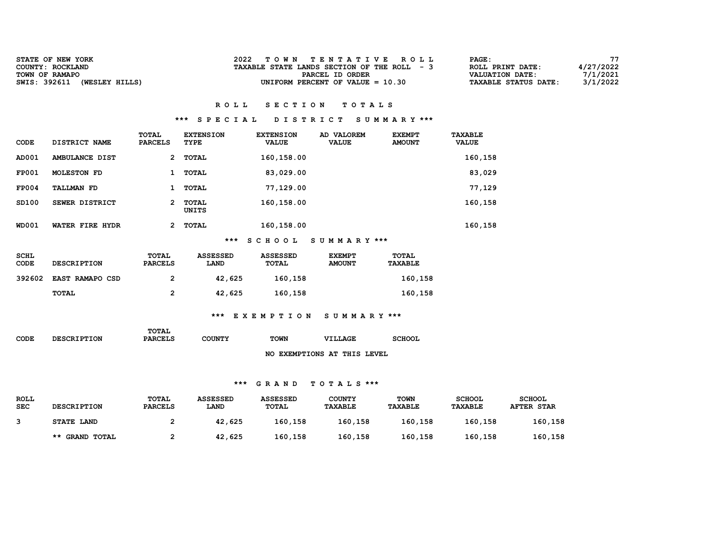| <b>STATE OF NEW YORK</b>       | TOWN TENTATIVE ROLL                         | $\mathtt{PAGE}$ :           | 77        |
|--------------------------------|---------------------------------------------|-----------------------------|-----------|
| COUNTY: ROCKLAND               | TAXABLE STATE LANDS SECTION OF THE ROLL - 3 | ROLL PRINT DATE:            | 4/27/2022 |
| TOWN OF RAMAPO                 | PARCEL ID ORDER                             | VALUATION DATE:             | 7/1/2021  |
| SWIS: 392611<br>(WESLEY HILLS) | UNIFORM PERCENT OF VALUE $= 10.30$          | <b>TAXABLE STATUS DATE:</b> | 3/1/2022  |

### \*\*\* S P E C I A L D I S T R I C T S U M M A R Y \*\*\*

| CODE         | DISTRICT NAME      | TOTAL<br><b>PARCELS</b> | <b>EXTENSION</b><br>TYPE | <b>EXTENSION</b><br><b>VALUE</b> | AD VALOREM<br><b>VALUE</b> | <b>EXEMPT</b><br><b>AMOUNT</b> | <b>TAXABLE</b><br><b>VALUE</b> |
|--------------|--------------------|-------------------------|--------------------------|----------------------------------|----------------------------|--------------------------------|--------------------------------|
| AD001        | AMBULANCE DIST     | 2                       | TOTAL                    | 160,158.00                       |                            |                                | 160,158                        |
| <b>FP001</b> | <b>MOLESTON FD</b> | 1                       | <b>TOTAL</b>             | 83,029.00                        |                            |                                | 83,029                         |
| <b>FP004</b> | <b>TALLMAN FD</b>  | 1                       | <b>TOTAL</b>             | 77,129.00                        |                            |                                | 77,129                         |
| SD100        | SEWER DISTRICT     | 2                       | <b>TOTAL</b><br>UNITS    | 160,158.00                       |                            |                                | 160,158                        |
| <b>WD001</b> | WATER FIRE HYDR    | 2                       | TOTAL                    | 160,158.00                       |                            |                                | 160,158                        |

### \*\*\* S C H O O L S U M M A R Y \*\*\*

| SCHL<br>CODE | <b>DESCRIPTION</b>     | <b>TOTAL</b><br><b>PARCELS</b> | <b>ASSESSED</b><br><b>LAND</b> | <b>ASSESSED</b><br>TOTAL | <b>EXEMPT</b><br><b>AMOUNT</b> | <b>TOTAL</b><br><b>TAXABLE</b> |
|--------------|------------------------|--------------------------------|--------------------------------|--------------------------|--------------------------------|--------------------------------|
| 392602       | <b>EAST RAMAPO CSD</b> |                                | 42,625                         | 160,158                  |                                | 160,158                        |
|              | TOTAL                  |                                | 42,625                         | 160,158                  |                                | 160,158                        |

### \*\*\* E X E M P T I O N S U M M A R Y \*\*\*

|      |                    | TOTAL          |        |      |                             |               |
|------|--------------------|----------------|--------|------|-----------------------------|---------------|
| CODE | <b>DESCRIPTION</b> | <b>PARCELS</b> | COUNTY | TOWN | VILLAGE                     | <b>SCHOOL</b> |
|      |                    |                |        |      |                             |               |
|      |                    |                |        |      | NO EXEMPTIONS AT THIS LEVEL |               |

| <b>ROLL</b><br><b>SEC</b> | <b>DESCRIPTION</b> | TOTAL<br><b>PARCELS</b> | <b>ASSESSED</b><br><b>LAND</b> | <b>ASSESSED</b><br>TOTAL | <b>COUNTY</b><br>TAXABLE | TOWN<br><b>TAXABLE</b> | <b>SCHOOL</b><br><b>TAXABLE</b> | <b>SCHOOL</b><br><b>AFTER STAR</b> |
|---------------------------|--------------------|-------------------------|--------------------------------|--------------------------|--------------------------|------------------------|---------------------------------|------------------------------------|
|                           | <b>STATE LAND</b>  | -                       | 42,625                         | 160,158                  | 160,158                  | 160,158                | 160,158                         | 160,158                            |
|                           | ** GRAND TOTAL     |                         | 42,625                         | 160,158                  | 160,158                  | 160,158                | 160,158                         | 160,158                            |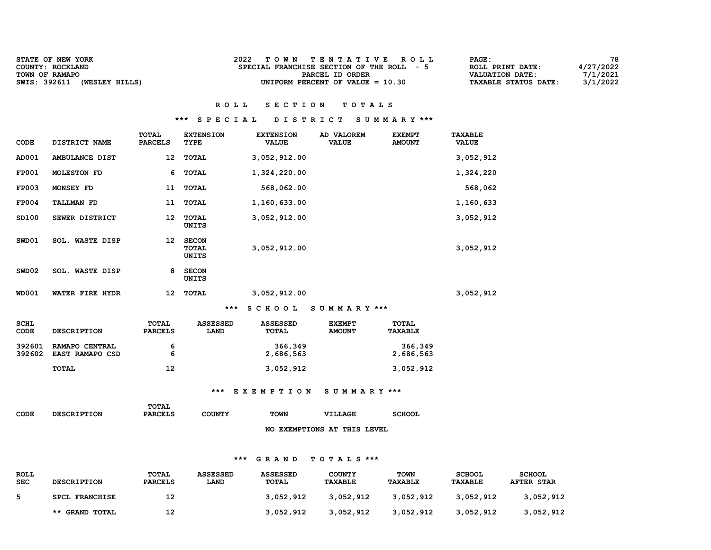| <b>STATE OF NEW YORK</b>       | 2022<br>TOWN TENTATIVE ROLL               | 78<br><b>PAGE :</b>                     |
|--------------------------------|-------------------------------------------|-----------------------------------------|
| COUNTY: ROCKLAND               | SPECIAL FRANCHISE SECTION OF THE ROLL - 5 | 4/27/2022<br>ROLL PRINT DATE:           |
| TOWN OF RAMAPO                 | PARCEL ID ORDER                           | 7/1/2021<br>VALUATION DATE:             |
| SWIS: 392611<br>(WESLEY HILLS) | UNIFORM PERCENT OF VALUE $= 10.30$        | 3/1/2022<br><b>TAXABLE STATUS DATE:</b> |

### \*\*\* S P E C I A L D I S T R I C T S U M M A R Y \*\*\*

| CODE                | DISTRICT NAME          | TOTAL<br><b>PARCELS</b>        | <b>EXTENSION</b><br>TYPE       | <b>EXTENSION</b><br><b>VALUE</b> | AD VALOREM<br><b>VALUE</b>     | <b>EXEMPT</b><br><b>AMOUNT</b> | <b>TAXABLE</b><br><b>VALUE</b> |
|---------------------|------------------------|--------------------------------|--------------------------------|----------------------------------|--------------------------------|--------------------------------|--------------------------------|
| AD001               | AMBULANCE DIST         | 12                             | TOTAL                          | 3,052,912.00                     |                                |                                | 3,052,912                      |
| <b>FP001</b>        | <b>MOLESTON FD</b>     | 6                              | TOTAL                          | 1,324,220.00                     |                                |                                | 1,324,220                      |
| <b>FP003</b>        | MONSEY FD              | 11                             | TOTAL                          | 568,062.00                       |                                |                                | 568,062                        |
| <b>FP004</b>        | <b>TALLMAN FD</b>      | 11                             | TOTAL                          | 1,160,633.00                     |                                |                                | 1,160,633                      |
| SD100               | SEWER DISTRICT         | 12                             | TOTAL<br>UNITS                 | 3,052,912.00                     |                                |                                | 3,052,912                      |
| SWD01               | <b>SOL. WASTE DISP</b> | 12                             | <b>SECON</b><br>TOTAL<br>UNITS | 3,052,912.00                     |                                |                                | 3,052,912                      |
| SWD02               | SOL. WASTE DISP        | 8                              | <b>SECON</b><br>UNITS          |                                  |                                |                                |                                |
| <b>WD001</b>        | WATER FIRE HYDR        | 12                             | TOTAL                          | 3,052,912.00                     |                                |                                | 3,052,912                      |
|                     |                        |                                | ***                            | <b>SCHOOL</b>                    | SUMMARY ***                    |                                |                                |
| <b>SCHL</b><br>CODE | <b>DESCRIPTION</b>     | <b>TOTAL</b><br><b>PARCELS</b> | <b>ASSESSED</b><br>LAND        | <b>ASSESSED</b><br><b>TOTAL</b>  | <b>EXEMPT</b><br><b>AMOUNT</b> | <b>TOTAL</b><br><b>TAXABLE</b> |                                |

| 392601 | <b>RAMAPO CENTRAL</b>  | 'n | 366,349   | 366,349   |
|--------|------------------------|----|-----------|-----------|
|        | 392602 EAST RAMAPO CSD | ∽  | 2,686,563 | 2,686,563 |
|        | TOTAL                  | 12 | 3,052,912 | 3,052,912 |

### \*\*\* E X E M P T I O N S U M M A R Y \*\*\*

| CODE | <b>DESCRIPTION</b> | TOTAL<br><b>PARCELS</b> | COUNTY | <b>TOWN</b> | <b>VILLAGE</b>              | <b>SCHOOL</b> |
|------|--------------------|-------------------------|--------|-------------|-----------------------------|---------------|
|      |                    |                         |        |             | NO EXEMPTIONS AT THIS LEVEL |               |

| <b>ROLL</b><br><b>SEC</b> | <b>DESCRIPTION</b>    | TOTAL<br><b>PARCELS</b> | <b>ASSESSED</b><br><b>LAND</b> | <b>ASSESSED</b><br>TOTAL | <b>COUNTY</b><br>TAXABLE | <b>TOWN</b><br><b>TAXABLE</b> | <b>SCHOOL</b><br>TAXABLE | <b>SCHOOL</b><br><b>AFTER STAR</b> |
|---------------------------|-----------------------|-------------------------|--------------------------------|--------------------------|--------------------------|-------------------------------|--------------------------|------------------------------------|
|                           | <b>SPCL FRANCHISE</b> | 12                      |                                | 3.052.912                | 3.052.912                | 3.052.912                     | 3,052,912                | 3,052,912                          |
|                           | ** GRAND TOTAL        | 12                      |                                | 3,052,912                | 3.052.912                | 3.052.912                     | 3,052,912                | 3,052,912                          |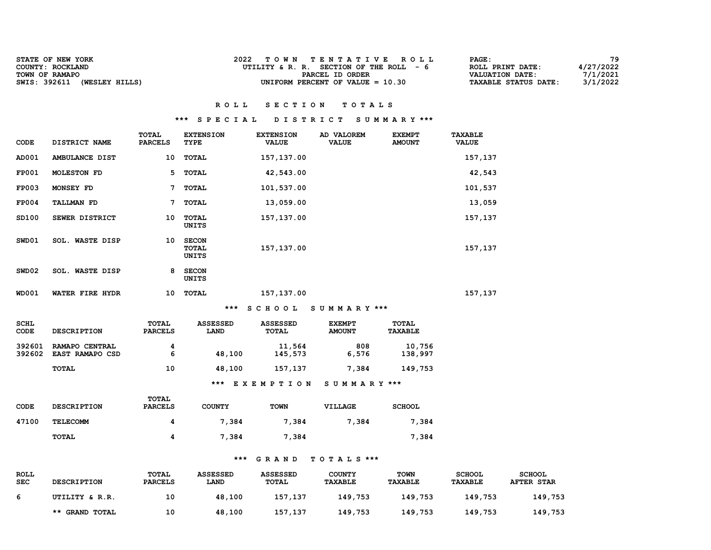| <b>STATE OF NEW YORK</b><br>COUNTY: ROCKLAND     | TOWN TENTATIVE ROLL<br>UTILITY & R. R. SECTION OF THE ROLL $-6$ | <b>PAGE :</b><br>4/27/2022<br>ROLL PRINT DATE:                         | 79 |
|--------------------------------------------------|-----------------------------------------------------------------|------------------------------------------------------------------------|----|
| TOWN OF RAMAPO<br>SWIS: 392611<br>(WESLEY HILLS) | PARCEL ID ORDER<br>UNIFORM PERCENT OF VALUE $= 10.30$           | 7/1/2021<br>VALUATION DATE:<br>3/1/2022<br><b>TAXABLE STATUS DATE:</b> |    |

### \*\*\* S P E C I A L D I S T R I C T S U M M A R Y \*\*\*

| <b>CODE</b>         | DISTRICT NAME                     | <b>TOTAL</b><br><b>PARCELS</b> | <b>EXTENSION</b><br>TYPE                     | <b>EXTENSION</b><br><b>VALUE</b> | AD VALOREM<br><b>VALUE</b>     | <b>EXEMPT</b><br><b>AMOUNT</b> | <b>TAXABLE</b><br><b>VALUE</b> |
|---------------------|-----------------------------------|--------------------------------|----------------------------------------------|----------------------------------|--------------------------------|--------------------------------|--------------------------------|
| AD001               | AMBULANCE DIST                    | 10                             | <b>TOTAL</b>                                 | 157, 137.00                      |                                |                                | 157,137                        |
| <b>FP001</b>        | <b>MOLESTON FD</b>                | 5                              | <b>TOTAL</b>                                 | 42,543.00                        |                                |                                | 42,543                         |
| <b>FP003</b>        | MONSEY FD                         | 7                              | <b>TOTAL</b>                                 | 101,537.00                       |                                |                                | 101,537                        |
| <b>FP004</b>        | <b>TALLMAN FD</b>                 | 7                              | <b>TOTAL</b>                                 | 13,059.00                        |                                |                                | 13,059                         |
| SD100               | SEWER DISTRICT                    | 10                             | <b>TOTAL</b><br><b>UNITS</b>                 | 157, 137.00                      |                                |                                | 157,137                        |
| SWD01               | <b>SOL. WASTE DISP</b>            | 10                             | <b>SECON</b><br><b>TOTAL</b><br><b>UNITS</b> | 157,137.00                       |                                |                                | 157,137                        |
| SWD02               | SOL. WASTE DISP                   | 8                              | <b>SECON</b><br><b>UNITS</b>                 |                                  |                                |                                |                                |
| <b>WD001</b>        | WATER FIRE HYDR                   | 10                             | <b>TOTAL</b>                                 | 157,137.00                       |                                |                                | 157,137                        |
|                     |                                   |                                | $***$                                        | <b>SCHOOL</b>                    | SUMMARY ***                    |                                |                                |
| <b>SCHL</b><br>CODE | <b>DESCRIPTION</b>                | TOTAL<br><b>PARCELS</b>        | <b>ASSESSED</b><br>LAND                      | <b>ASSESSED</b><br><b>TOTAL</b>  | <b>EXEMPT</b><br><b>AMOUNT</b> | TOTAL<br><b>TAXABLE</b>        |                                |
| 392601<br>392602    | RAMAPO CENTRAL<br>EAST RAMAPO CSD | 4<br>6                         | 48,100                                       | 11,564<br>145,573                | 808<br>6,576                   | 10,756<br>138,997              |                                |
|                     | <b>TOTAL</b>                      | 10                             | 48,100                                       | 157,137                          | 7,384                          | 149,753                        |                                |
|                     |                                   |                                |                                              | *** EXEMPTION                    | SUMMARY ***                    |                                |                                |
| CODE                | <b>DESCRIPTION</b>                | <b>TOTAL</b><br><b>PARCELS</b> | <b>COUNTY</b>                                | <b>TOWN</b>                      | VILLAGE                        | <b>SCHOOL</b>                  |                                |
| 47100               | <b>TELECOMM</b>                   | 4                              | 7,384                                        | 7,384                            | 7,384                          | 7,384                          |                                |

TOTAL 4 7,384 7,384 7,384

| <b>ROLL</b><br><b>SEC</b> | <b>DESCRIPTION</b> | <b>TOTAL</b><br><b>PARCELS</b> | <b>ASSESSED</b><br><b>LAND</b> | <b>ASSESSED</b><br>TOTAL | <b>COUNTY</b><br><b>TAXABLE</b> | TOWN<br><b>TAXABLE</b> | <b>SCHOOL</b><br>TAXABLE | <b>SCHOOL</b><br><b>AFTER STAR</b> |
|---------------------------|--------------------|--------------------------------|--------------------------------|--------------------------|---------------------------------|------------------------|--------------------------|------------------------------------|
| 6                         | UTILITY & R.R.     | 10                             | 48,100                         | 157.137                  | 149,753                         | 149,753                | 149,753                  | 149,753                            |
|                           | ** GRAND TOTAL     | 10                             | 48,100                         | 157,137                  | 149,753                         | 149,753                | 149,753                  | 149,753                            |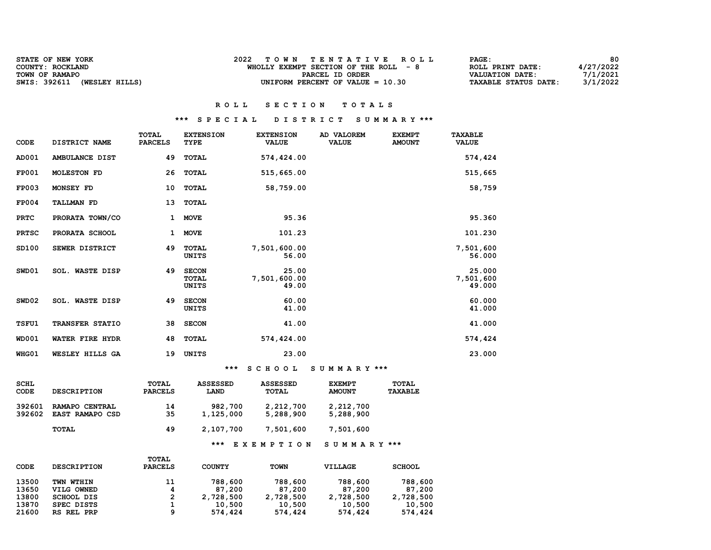| STATE OF NEW YORK              | TOWN TENTATIVE ROLL                   | 80<br>PAGE:                             |
|--------------------------------|---------------------------------------|-----------------------------------------|
| COUNTY: ROCKLAND               | WHOLLY EXEMPT SECTION OF THE ROLL - 8 | 4/27/2022<br>ROLL PRINT DATE:           |
| TOWN OF RAMAPO                 | PARCEL ID ORDER                       | 7/1/2021<br>VALUATION DATE:             |
| SWIS: 392611<br>(WESLEY HILLS) | UNIFORM PERCENT OF VALUE $= 10.30$    | 3/1/2022<br><b>TAXABLE STATUS DATE:</b> |

### \*\*\* S P E C I A L D I S T R I C T S U M M A R Y \*\*\*

| <b>CODE</b>  | DISTRICT NAME          | <b>TOTAL</b><br><b>PARCELS</b> | <b>EXTENSION</b><br><b>TYPE</b>       | <b>EXTENSION</b><br><b>VALUE</b> | AD VALOREM<br><b>VALUE</b> | <b>EXEMPT</b><br><b>AMOUNT</b> | <b>TAXABLE</b><br><b>VALUE</b> |
|--------------|------------------------|--------------------------------|---------------------------------------|----------------------------------|----------------------------|--------------------------------|--------------------------------|
| AD001        | AMBULANCE DIST         | 49                             | <b>TOTAL</b>                          | 574,424.00                       |                            |                                | 574,424                        |
| <b>FP001</b> | <b>MOLESTON FD</b>     | 26                             | <b>TOTAL</b>                          | 515,665.00                       |                            |                                | 515,665                        |
| <b>FP003</b> | MONSEY FD              | 10                             | <b>TOTAL</b>                          | 58,759.00                        |                            |                                | 58,759                         |
| <b>FP004</b> | <b>TALLMAN FD</b>      | 13                             | <b>TOTAL</b>                          |                                  |                            |                                |                                |
| <b>PRTC</b>  | PRORATA TOWN/CO        | $\mathbf{1}$                   | <b>MOVE</b>                           | 95.36                            |                            |                                | 95.360                         |
| <b>PRTSC</b> | PRORATA SCHOOL         | 1                              | <b>MOVE</b>                           | 101.23                           |                            |                                | 101.230                        |
| SD100        | SEWER DISTRICT         | 49                             | <b>TOTAL</b><br>UNITS                 | 7,501,600.00<br>56.00            |                            |                                | 7,501,600<br>56.000            |
| SWD01        | <b>SOL. WASTE DISP</b> | 49                             | <b>SECON</b><br><b>TOTAL</b><br>UNITS | 25.00<br>7,501,600.00<br>49.00   |                            |                                | 25.000<br>7,501,600<br>49.000  |
| SWD02        | SOL. WASTE DISP        | 49                             | <b>SECON</b><br>UNITS                 | 60.00<br>41.00                   |                            |                                | 60.000<br>41.000               |
| TSFU1        | <b>TRANSFER STATIO</b> | 38                             | <b>SECON</b>                          | 41.00                            |                            |                                | 41.000                         |
| <b>WD001</b> | WATER FIRE HYDR        | 48                             | TOTAL                                 | 574,424.00                       |                            |                                | 574,424                        |
| WHG01        | WESLEY HILLS GA        | 19                             | <b>UNITS</b>                          | 23.00                            |                            |                                | 23.000                         |

\*\*\* S C H O O L S U M M A R Y \*\*\*

| SCHL        | <b>DESCRIPTION</b>     | TOTAL          | <b>ASSESSED</b> | <b>ASSESSED</b> | <b>EXEMPT</b> | TOTAL          |
|-------------|------------------------|----------------|-----------------|-----------------|---------------|----------------|
| <b>CODE</b> |                        | <b>PARCELS</b> | <b>LAND</b>     | <b>TOTAL</b>    | <b>AMOUNT</b> | <b>TAXABLE</b> |
| 392601      | RAMAPO CENTRAL         | 14             | 982,700         | 2,212,700       | 2,212,700     |                |
| 392602      | <b>EAST RAMAPO CSD</b> | 35             | 1,125,000       | 5,288,900       | 5,288,900     |                |
|             | TOTAL                  | 49             | 2,107,700       | 7,501,600       | 7,501,600     |                |
|             |                        |                | ***             | EXEMPTION       | SUMMARY ***   |                |

| CODE  | <b>DESCRIPTION</b> | TOTAL<br><b>PARCELS</b> | <b>COUNTY</b> | TOWN      | <b>VILLAGE</b> | <b>SCHOOL</b> |
|-------|--------------------|-------------------------|---------------|-----------|----------------|---------------|
| 13500 | TWN WTHIN          | 11                      | 788,600       | 788,600   | 788,600        | 788,600       |
| 13650 | VILG OWNED         | 4                       | 87,200        | 87,200    | 87,200         | 87,200        |
| 13800 | <b>SCHOOL DIS</b>  | 2                       | 2,728,500     | 2,728,500 | 2,728,500      | 2,728,500     |
| 13870 | SPEC DISTS         | ı                       | 10,500        | 10,500    | 10,500         | 10,500        |
| 21600 | RS REL PRP         | 9                       | 574,424       | 574,424   | 574,424        | 574,424       |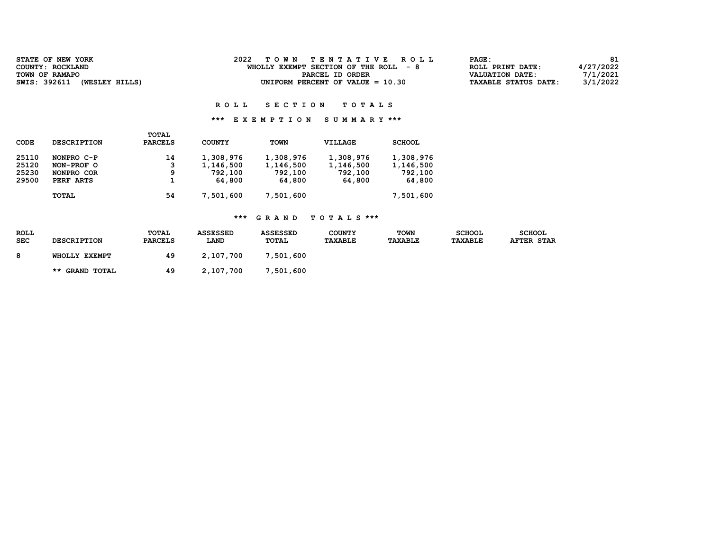| STATE OF NEW YORK              | 2022<br>TOWN TENTATIVE ROLL           | PAGE:                |           |
|--------------------------------|---------------------------------------|----------------------|-----------|
| COUNTY: ROCKLAND               | WHOLLY EXEMPT SECTION OF THE ROLL - 8 | ROLL PRINT DATE:     | 4/27/2022 |
| TOWN OF RAMAPO                 | PARCEL ID ORDER                       | VALUATION DATE:      | 7/1/2021  |
| SWIS: 392611<br>(WESLEY HILLS) | UNIFORM PERCENT OF VALUE $= 10.30$    | TAXABLE STATUS DATE: | 3/1/2022  |

### \*\*\* E X E M P T I O N S U M M A R Y \*\*\*

| CODE  | <b>DESCRIPTION</b> | <b>TOTAL</b><br><b>PARCELS</b> | <b>COUNTY</b> | <b>TOWN</b> | <b>VILLAGE</b> | <b>SCHOOL</b> |
|-------|--------------------|--------------------------------|---------------|-------------|----------------|---------------|
| 25110 | NONPRO C-P         | 14                             | 1,308,976     | 1,308,976   | 1,308,976      | 1,308,976     |
| 25120 | NON-PROF O         | 3                              | 1,146,500     | 1,146,500   | 1,146,500      | 1,146,500     |
| 25230 | NONPRO COR         | 9                              | 792,100       | 792,100     | 792,100        | 792,100       |
| 29500 | PERF ARTS          |                                | 64,800        | 64,800      | 64,800         | 64,800        |
|       | <b>TOTAL</b>       | 54                             | 7,501,600     | 7,501,600   |                | 7,501,600     |

| <b>ROLL</b><br><b>SEC</b> | <b>DESCRIPTION</b> | TOTAL<br><b>PARCELS</b> | <b>ASSESSED</b><br>LAND | <b>ASSESSED</b><br>TOTAL | <b>COUNTY</b><br>TAXABLE | <b>TOWN</b><br><b>TAXABLE</b> | <b>SCHOOL</b><br>TAXABLE | <b>SCHOOL</b><br><b>AFTER STAR</b> |
|---------------------------|--------------------|-------------------------|-------------------------|--------------------------|--------------------------|-------------------------------|--------------------------|------------------------------------|
| 8                         | WHOLLY EXEMPT      | 49                      | 2,107,700               | 7,501,600                |                          |                               |                          |                                    |
|                           | ** GRAND TOTAL     | 49                      | 2,107,700               | 7,501,600                |                          |                               |                          |                                    |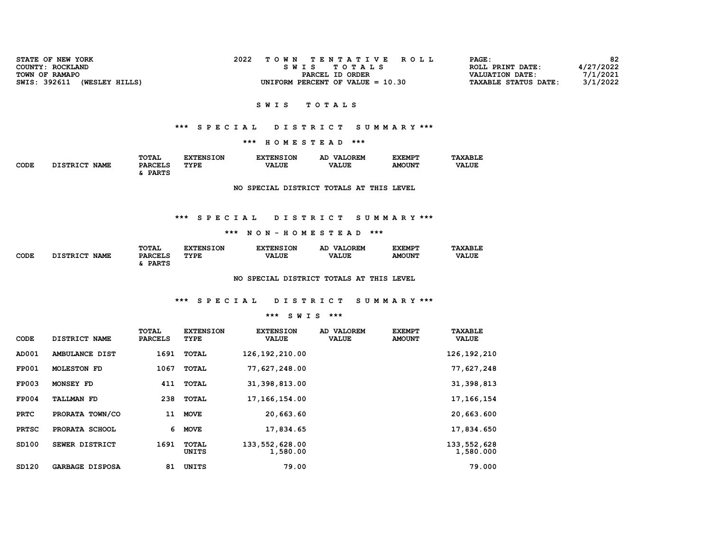| STATE OF NEW YORK              | TOWN TENTATIVE ROLL                | PAGE:                                   | 82 |
|--------------------------------|------------------------------------|-----------------------------------------|----|
| COUNTY: ROCKLAND               | SWIS TOTALS                        | 4/27/2022<br>ROLL PRINT DATE:           |    |
| TOWN OF RAMAPO                 | PARCEL ID ORDER                    | 7/1/2021<br>VALUATION DATE:             |    |
| SWIS: 392611<br>(WESLEY HILLS) | UNIFORM PERCENT OF VALUE $= 10.30$ | 3/1/2022<br><b>TAXABLE STATUS DATE:</b> |    |
|                                |                                    |                                         |    |

### \*\*\* S P E C I A L D I S T R I C T S U M M A R Y \*\*\*

\*\*\* H O M E S T E A D \*\*\*

|      |                         | <b>TOTAL</b>                             | <b>XTENSION</b> | <b>EXTENSION</b> | <b>VALOREM</b><br>AD | <b>EXEMPT</b> | <b>TAXABLE</b> |
|------|-------------------------|------------------------------------------|-----------------|------------------|----------------------|---------------|----------------|
| CODE | <b>NAME</b><br>DISTRICT | <b>PARCELS</b><br>______<br><b>PARTS</b> | TYPE            | <b>VALUE</b>     | <b>VALUE</b>         | <b>AMOUNT</b> | <b>VALUE</b>   |
|      |                         |                                          |                 |                  |                      |               |                |

NO SPECIAL DISTRICT TOTALS AT THIS LEVEL

### \*\*\* S P E C I A L D I S T R I C T S U M M A R Y \*\*\*

#### \*\*\* N O N - H O M E S T E A D \*\*\*

|             |                                | TOTAL          | <b>TXTENSION</b> | <b>EXTENSION</b> | <b>VALOREM</b><br>AD | <b>EXEMPT</b> | <b>TAXABLE</b> |
|-------------|--------------------------------|----------------|------------------|------------------|----------------------|---------------|----------------|
| <b>CODE</b> | <b>DISTRICT</b><br><b>NAME</b> | <b>PARCELS</b> | TYPE             | <b>VALUE</b>     | <b>VALUE</b>         | <b>AMOUNT</b> | <b>VALUE</b>   |
|             |                                | <b>PARTS</b>   |                  |                  |                      |               |                |

NO SPECIAL DISTRICT TOTALS AT THIS LEVEL

# \*\*\* S P E C I A L D I S T R I C T S U M M A R Y \*\*\*

#### \*\*\* S W I S \*\*\*

| CODE         | DISTRICT NAME          | TOTAL<br><b>PARCELS</b> | <b>EXTENSION</b><br>TYPE | <b>EXTENSION</b><br><b>VALUE</b> | AD VALOREM<br><b>VALUE</b> | <b>EXEMPT</b><br><b>AMOUNT</b> | <b>TAXABLE</b><br><b>VALUE</b> |
|--------------|------------------------|-------------------------|--------------------------|----------------------------------|----------------------------|--------------------------------|--------------------------------|
| AD001        | AMBULANCE DIST         | 1691                    | TOTAL                    | 126, 192, 210.00                 |                            |                                | 126, 192, 210                  |
| <b>FP001</b> | <b>MOLESTON FD</b>     | 1067                    | TOTAL                    | 77,627,248.00                    |                            |                                | 77,627,248                     |
| <b>FP003</b> | MONSEY FD              | 411                     | <b>TOTAL</b>             | 31, 398, 813.00                  |                            |                                | 31,398,813                     |
| <b>FP004</b> | <b>TALLMAN FD</b>      | 238                     | TOTAL                    | 17, 166, 154.00                  |                            |                                | 17, 166, 154                   |
| <b>PRTC</b>  | PRORATA TOWN/CO        | 11                      | <b>MOVE</b>              | 20,663.60                        |                            |                                | 20,663.600                     |
| <b>PRTSC</b> | PRORATA SCHOOL         | 6                       | <b>MOVE</b>              | 17,834.65                        |                            |                                | 17,834.650                     |
| SD100        | SEWER DISTRICT         | 1691                    | <b>TOTAL</b><br>UNITS    | 133, 552, 628.00<br>1,580.00     |                            |                                | 133, 552, 628<br>1,580.000     |
| SD120        | <b>GARBAGE DISPOSA</b> | 81                      | UNITS                    | 79.00                            |                            |                                | 79.000                         |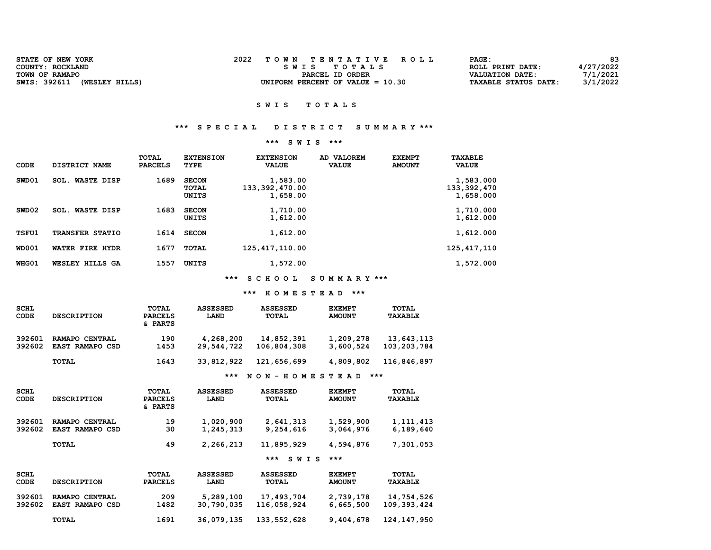| STATE OF NEW YORK              | TOWN TENTATIVE ROLL                | 83<br>PAGE:                        |
|--------------------------------|------------------------------------|------------------------------------|
| COUNTY: ROCKLAND               | SWIS TOTALS                        | 4/27/2022<br>ROLL PRINT DATE:      |
| TOWN OF RAMAPO                 | PARCEL ID ORDER                    | 7/1/2021<br><b>VALUATION DATE:</b> |
| SWIS: 392611<br>(WESLEY HILLS) | UNIFORM PERCENT OF VALUE $= 10.30$ | 3/1/2022<br>TAXABLE STATUS DATE:   |
|                                |                                    |                                    |

## \*\*\* S P E C I A L D I S T R I C T S U M M A R Y \*\*\*

### \*\*\* S W I S \*\*\*

| TOTAL<br><b>PARCELS</b> | <b>EXTENSION</b><br>TYPE       | <b>EXTENSION</b><br><b>VALUE</b>         | AD VALOREM<br><b>VALUE</b> | <b>EXEMPT</b><br><b>AMOUNT</b> | <b>TAXABLE</b><br><b>VALUE</b>        |
|-------------------------|--------------------------------|------------------------------------------|----------------------------|--------------------------------|---------------------------------------|
| 1689                    | <b>SECON</b><br>TOTAL<br>UNITS | 1,583.00<br>133, 392, 470.00<br>1,658.00 |                            |                                | 1,583.000<br>133,392,470<br>1,658.000 |
| 1683                    | <b>SECON</b><br>UNITS          | 1,710.00<br>1,612.00                     |                            |                                | 1,710.000<br>1,612.000                |
| 1614                    | <b>SECON</b>                   | 1,612.00                                 |                            |                                | 1,612.000                             |
| 1677                    | TOTAL                          | 125, 417, 110.00                         |                            |                                | 125, 417, 110                         |
| 1557                    | UNITS                          | 1,572.00                                 |                            |                                | 1,572.000                             |
|                         |                                |                                          |                            |                                |                                       |

\*\*\* S C H O O L S U M M A R Y \*\*\*

#### \*\*\* H O M E S T E A D \*\*\*

| <b>SCHL</b><br>CODE | <b>DESCRIPTION</b>                       | TOTAL<br><b>PARCELS</b><br>& PARTS | <b>ASSESSED</b><br><b>LAND</b> | <b>ASSESSED</b><br>TOTAL  | <b>EXEMPT</b><br><b>AMOUNT</b> | TOTAL<br><b>TAXABLE</b>   |
|---------------------|------------------------------------------|------------------------------------|--------------------------------|---------------------------|--------------------------------|---------------------------|
| 392601<br>392602    | RAMAPO CENTRAL<br><b>EAST RAMAPO CSD</b> | 190<br>1453                        | 4,268,200<br>29,544,722        | 14,852,391<br>106,804,308 | 1,209,278<br>3,600,524         | 13,643,113<br>103,203,784 |
|                     | TOTAL                                    | 1643                               | 33,812,922                     | 121,656,699               | 4,809,802                      | 116,846,897               |

### \*\*\* N O N - H O M E S T E A D \*\*\*

| SCHL<br>CODE     | <b>DESCRIPTION</b>                       | TOTAL<br><b>PARCELS</b><br>& PARTS | <b>ASSESSED</b><br>LAND | <b>ASSESSED</b><br>TOTAL | <b>EXEMPT</b><br><b>AMOUNT</b> | <b>TOTAL</b><br>TAXABLE |
|------------------|------------------------------------------|------------------------------------|-------------------------|--------------------------|--------------------------------|-------------------------|
| 392601<br>392602 | RAMAPO CENTRAL<br><b>EAST RAMAPO CSD</b> | 19<br>30                           | 1,020,900<br>1,245,313  | 2,641,313<br>9,254,616   | 1,529,900<br>3,064,976         | 1,111,413<br>6,189,640  |
|                  | <b>TOTAL</b>                             | 49                                 | 2,266,213               | 11,895,929               | 4,594,876                      | 7,301,053               |
|                  |                                          |                                    |                         | ***<br><b>SWIS</b>       | ***                            |                         |

| <b>SCHL</b> | <b>DESCRIPTION</b> | <b>TOTAL</b>   | ASSESSED   | ASSESSED    | <b>EXEMPT</b> | <b>TOTAL</b>   |
|-------------|--------------------|----------------|------------|-------------|---------------|----------------|
| CODE        |                    | <b>PARCELS</b> | LAND       | TOTAL       | <b>AMOUNT</b> | <b>TAXABLE</b> |
| 392601      | RAMAPO CENTRAL     | 209            | 5,289,100  | 17,493,704  | 2,739,178     | 14,754,526     |
| 392602      | EAST RAMAPO CSD    | 1482           | 30,790,035 | 116,058,924 | 6,665,500     | 109,393,424    |
|             | TOTAL              | 1691           | 36,079,135 | 133,552,628 | 9,404,678     | 124,147,950    |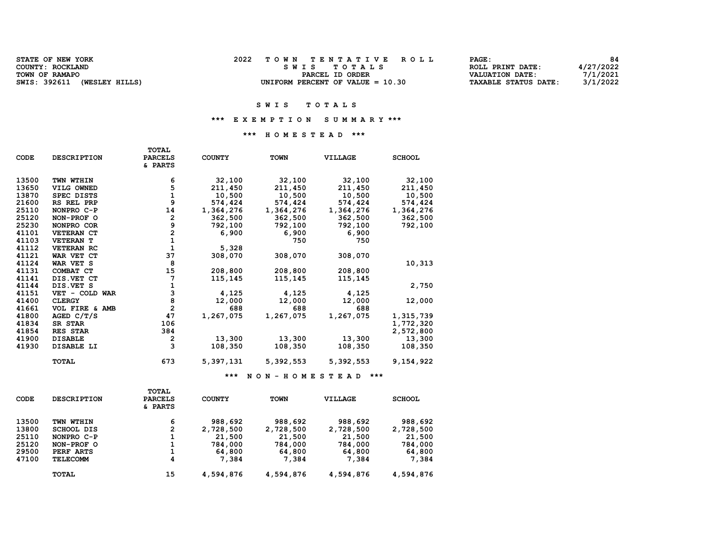| <b>STATE OF NEW YORK</b>       | TOWN TENTATIVE ROLL                | PAGE :                      | -84       |
|--------------------------------|------------------------------------|-----------------------------|-----------|
| COUNTY: ROCKLAND               | SWIS TOTALS                        | ROLL PRINT DATE:            | 4/27/2022 |
| TOWN OF RAMAPO                 | PARCEL ID ORDER                    | <b>VALUATION DATE:</b>      | 7/1/2021  |
| SWIS: 392611<br>(WESLEY HILLS) | UNIFORM PERCENT OF VALUE $= 10.30$ | <b>TAXABLE STATUS DATE:</b> | 3/1/2022  |

#### SWIS TOTALS

#### \*\*\* E X E M P T I O N S U M M A R Y \*\*\*

#### \*\*\* H O M E S T E A D \*\*\*

| <b>CODE</b> | <b>DESCRIPTION</b> | TOTAL<br><b>PARCELS</b><br>& PARTS          | <b>COUNTY</b> | <b>TOWN</b>     | VILLAGE   | <b>SCHOOL</b> |
|-------------|--------------------|---------------------------------------------|---------------|-----------------|-----------|---------------|
| 13500       | TWN WTHIN          | 6                                           | 32,100        | 32,100          | 32,100    | 32,100        |
| 13650       | VILG OWNED         | 5                                           | 211,450       | 211,450         | 211,450   | 211,450       |
| 13870       | <b>SPEC DISTS</b>  | $\mathbf 1$                                 | 10,500        | 10,500          | 10,500    | 10,500        |
| 21600       | RS REL PRP         | 9                                           | 574,424       | 574,424         | 574,424   | 574,424       |
| 25110       | NONPRO C-P         | 14                                          | 1,364,276     | 1,364,276       | 1,364,276 | 1,364,276     |
| 25120       | NON-PROF O         | $\overline{2}$                              | 362,500       | 362,500         | 362,500   | 362,500       |
| 25230       | NONPRO COR         | 9                                           | 792,100       | 792,100         | 792,100   | 792,100       |
| 41101       | <b>VETERAN CT</b>  | $\begin{smallmatrix}2\2\1\end{smallmatrix}$ | 6,900         | 6,900           | 6,900     |               |
| 41103       | <b>VETERAN T</b>   |                                             |               | 750             | 750       |               |
| 41112       | <b>VETERAN RC</b>  | $\mathbf{1}$                                | 5,328         |                 |           |               |
| 41121       | WAR VET CT         | 37                                          | 308,070       | 308,070         | 308,070   |               |
| 41124       | WAR VET S          | 8                                           |               |                 |           | 10,313        |
| 41131       | COMBAT CT          | 15                                          | 208,800       | 208,800         | 208,800   |               |
| 41141       | DIS. VET CT        | 7                                           | 115,145       | 115,145         | 115,145   |               |
| 41144       | DIS.VET S          |                                             |               |                 |           | 2,750         |
| 41151       | VET - COLD WAR     | $\frac{1}{3}$                               | 4,125         | 4,125           | 4,125     |               |
| 41400       | <b>CLERGY</b>      |                                             | 12,000        | 12,000          | 12,000    | 12,000        |
| 41661       | VOL FIRE & AMB     | $\overline{2}$                              | 688           | 688             | 688       |               |
| 41800       | AGED C/T/S         | 47                                          | 1,267,075     | 1,267,075       | 1,267,075 | 1,315,739     |
| 41834       | SR STAR            | 106                                         |               |                 |           | 1,772,320     |
| 41854       | RES STAR           | 384                                         |               |                 |           | 2,572,800     |
| 41900       | <b>DISABLE</b>     | 2                                           | 13,300        | 13,300          | 13,300    | 13,300        |
| 41930       | DISABLE LI         | $\overline{\mathbf{3}}$                     | 108,350       | 108,350         | 108,350   | 108,350       |
|             | TOTAL              | 673                                         | 5,397,131     | 5,392,553       | 5,392,553 | 9,154,922     |
|             |                    |                                             | $***$         | NON - HOMESTEAD | ***       |               |

TOTAL<br>CODE DESCRIPTION PARCELS DESCRIPTION PARCELS COUNTY TOWN VILLAGE SCHOOL & PARTS 13500 TWN WTHIN 6 988,692 988,692 988,692 988,692 13800 SCHOOL DIS 2 2,728,500 2,728,500 2,728,500 2,728,500 25110 NONPRO C-P 1 21,500 21,500 21,500 21,500 25120 NON-PROF O 1 784,000 784,000 784,000 784,000 29500 PERF ARTS 1 64,800 64,800 64,800 64,800 47100 TELECOMM 4 7,384 7,384 7,384 7,384 TOTAL 15 4,594,876 4,594,876 4,594,876 4,594,876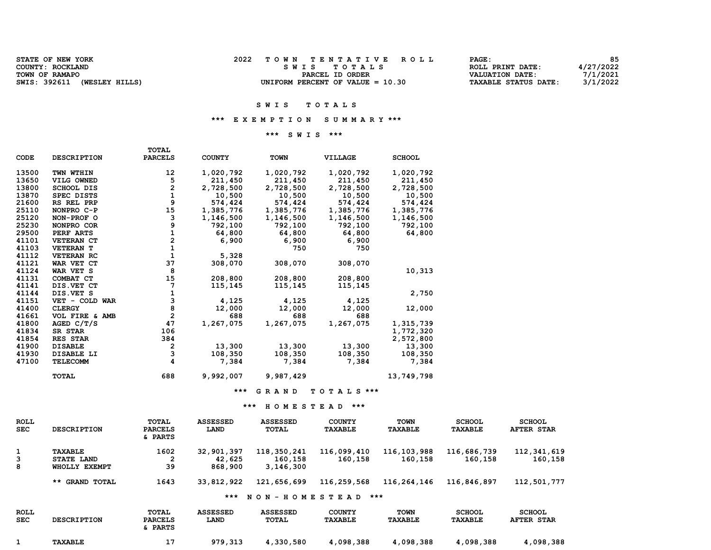| <b>STATE OF NEW YORK</b>       | TOWN TENTATIVE ROLL                | PAGE:                | 85        |
|--------------------------------|------------------------------------|----------------------|-----------|
| COUNTY: ROCKLAND               | SWIS TOTALS                        | ROLL PRINT DATE:     | 4/27/2022 |
| TOWN OF RAMAPO                 | PARCEL ID ORDER                    | VALUATION DATE:      | 7/1/2021  |
| SWIS: 392611<br>(WESLEY HILLS) | UNIFORM PERCENT OF VALUE $= 10.30$ | TAXABLE STATUS DATE: | 3/1/2022  |

### \*\*\* E X E M P T I O N S U M M A R Y \*\*\*

### \*\*\* S W I S \*\*\*

|             |                    | <b>TOTAL</b>   |               |             |                |               |
|-------------|--------------------|----------------|---------------|-------------|----------------|---------------|
| <b>CODE</b> | <b>DESCRIPTION</b> | <b>PARCELS</b> | <b>COUNTY</b> | <b>TOWN</b> | <b>VILLAGE</b> | <b>SCHOOL</b> |
| 13500       | TWN WTHIN          | 12             | 1,020,792     | 1,020,792   | 1,020,792      | 1,020,792     |
| 13650       | VILG OWNED         | 5              | 211,450       | 211,450     | 211,450        | 211,450       |
| 13800       | <b>SCHOOL DIS</b>  | 2              | 2,728,500     | 2,728,500   | 2,728,500      | 2,728,500     |
| 13870       | <b>SPEC DISTS</b>  | $\mathbf{1}$   | 10,500        | 10,500      | 10,500         | 10,500        |
| 21600       | RS REL PRP         | 9              | 574,424       | 574,424     | 574,424        | 574,424       |
| 25110       | NONPRO C-P         | 15             | 1,385,776     | 1,385,776   | 1,385,776      | 1,385,776     |
| 25120       | NON-PROF O         | 3              | 1,146,500     | 1,146,500   | 1,146,500      | 1,146,500     |
| 25230       | NONPRO COR         | 9              | 792,100       | 792,100     | 792,100        | 792,100       |
| 29500       | PERF ARTS          | $\mathbf{1}$   | 64,800        | 64,800      | 64,800         | 64,800        |
| 41101       | <b>VETERAN CT</b>  | 2              | 6,900         | 6,900       | 6,900          |               |
| 41103       | <b>VETERAN T</b>   | $\mathbf{1}$   |               | 750         | 750            |               |
| 41112       | <b>VETERAN RC</b>  | $\mathbf{1}$   | 5,328         |             |                |               |
| 41121       | WAR VET CT         | 37             | 308,070       | 308,070     | 308,070        |               |
| 41124       | WAR VET S          | 8              |               |             |                | 10,313        |
| 41131       | COMBAT CT          | 15             | 208,800       | 208,800     | 208,800        |               |
| 41141       | DIS.VET CT         | 7              | 115,145       | 115,145     | 115,145        |               |
| 41144       | DIS.VET S          | 1              |               |             |                | 2,750         |
| 41151       | VET - COLD WAR     | 3              | 4,125         | 4,125       | 4,125          |               |
| 41400       | <b>CLERGY</b>      | 8              | 12,000        | 12,000      | 12,000         | 12,000        |
| 41661       | VOL FIRE & AMB     | $\overline{2}$ | 688           | 688         | 688            |               |
| 41800       | AGED C/T/S         | 47             | 1,267,075     | 1,267,075   | 1,267,075      | 1,315,739     |
| 41834       | SR STAR            | 106            |               |             |                | 1,772,320     |
| 41854       | <b>RES STAR</b>    | 384            |               |             |                | 2,572,800     |
| 41900       | <b>DISABLE</b>     | 2              | 13,300        | 13,300      | 13,300         | 13,300        |
| 41930       | DISABLE LI         | 3              | 108,350       | 108,350     | 108,350        | 108,350       |
| 47100       | <b>TELECOMM</b>    | 4              | 7,384         | 7,384       | 7,384          | 7,384         |
|             | <b>TOTAL</b>       | 688            | 9,992,007     | 9,987,429   |                | 13,749,798    |

\*\*\* G R A N D T O T A L S \*\*\*

### \*\*\* H O M E S T E A D \*\*\*

| ROLL<br><b>SEC</b> | <b>DESCRIPTION</b>                            | TOTAL<br><b>PARCELS</b><br>& PARTS | <b>ASSESSED</b><br>LAND         | <b>ASSESSED</b><br>TOTAL            | <b>COUNTY</b><br><b>TAXABLE</b> | TOWN<br><b>TAXABLE</b> | <b>SCHOOL</b><br><b>TAXABLE</b> | <b>SCHOOL</b><br><b>AFTER STAR</b> |
|--------------------|-----------------------------------------------|------------------------------------|---------------------------------|-------------------------------------|---------------------------------|------------------------|---------------------------------|------------------------------------|
| 3<br>8             | TAXABLE<br><b>STATE LAND</b><br>WHOLLY EXEMPT | 1602<br>39                         | 32,901,397<br>42,625<br>868,900 | 118,350,241<br>160,158<br>3,146,300 | 116,099,410<br>160,158          | 116,103,988<br>160,158 | 116,686,739<br>160,158          | 112,341,619<br>160,158             |
|                    | ** GRAND TOTAL                                | 1643                               | 33,812,922                      | 121,656,699<br>*** NON-HOMESTEAD    | 116,259,568                     | 116,264,146<br>***     | 116,846,897                     | 112,501,777                        |

| ROLL<br><b>SEC</b> | <b>DESCRIPTION</b> | <b>TOTAL</b><br><b>PARCELS</b> | <b>ASSESSED</b><br>LAND | <b>ASSESSED</b><br>TOTAL | <b>COUNTY</b><br>TAXABLE | <b>TOWN</b><br><b>TAXABLE</b> | <b>SCHOOL</b><br><b>TAXABLE</b> | <b>SCHOOL</b><br><b>AFTER STAR</b> |
|--------------------|--------------------|--------------------------------|-------------------------|--------------------------|--------------------------|-------------------------------|---------------------------------|------------------------------------|
|                    |                    | & PARTS                        |                         |                          |                          |                               |                                 |                                    |
|                    | <b>TAXABLE</b>     |                                | 979,313                 | 4,330,580                | 4,098,388                | 4,098,388                     | 4,098,388                       | l.098.388                          |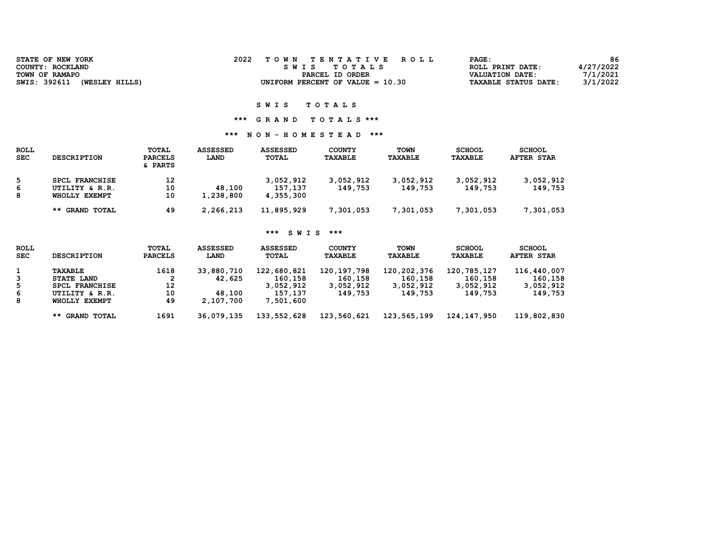| COUNTY: ROCKLAND<br>ROLL PRINT DATE:<br>SWIS TOTALS<br>TOWN OF RAMAPO<br>VALUATION DATE:<br>PARCEL ID ORDER | STATE OF NEW YORK | 2022<br>TOWN TENTATIVE ROLL | PAGE: | 86        |
|-------------------------------------------------------------------------------------------------------------|-------------------|-----------------------------|-------|-----------|
|                                                                                                             |                   |                             |       | 4/27/2022 |
|                                                                                                             |                   |                             |       | 7/1/2021  |
| SWIS: 392611<br>UNIFORM PERCENT OF VALUE $= 10.30$<br>(WESLEY HILLS)<br><b>TAXABLE STATUS DATE:</b>         |                   |                             |       | 3/1/2022  |

## \*\*\* G R A N D T O T A L S \*\*\*

## \*\*\* N O N - H O M E S T E A D \*\*\*

| ROLL<br><b>SEC</b> | <b>DESCRIPTION</b>                                       | TOTAL<br><b>PARCELS</b><br>& PARTS | <b>ASSESSED</b><br>LAND | <b>ASSESSED</b><br>TOTAL          | <b>COUNTY</b><br><b>TAXABLE</b> | TOWN<br><b>TAXABLE</b> | <b>SCHOOL</b><br><b>TAXABLE</b> | <b>SCHOOL</b><br><b>AFTER STAR</b> |
|--------------------|----------------------------------------------------------|------------------------------------|-------------------------|-----------------------------------|---------------------------------|------------------------|---------------------------------|------------------------------------|
| 5.<br>6<br>8       | <b>SPCL FRANCHISE</b><br>UTILITY & R.R.<br>WHOLLY EXEMPT | 12<br>10<br>10                     | 48,100<br>1,238,800     | 3,052,912<br>157,137<br>4,355,300 | 3,052,912<br>149,753            | 3,052,912<br>149,753   | 3,052,912<br>149,753            | 3,052,912<br>149,753               |
|                    | ** GRAND TOTAL                                           | 49                                 | 2,266,213               | 11,895,929                        | 7,301,053                       | 7,301,053              | 7,301,053                       | 7,301,053                          |

### \*\*\* S W I S \*\*\*

| ROLL<br><b>SEC</b> | <b>DESCRIPTION</b> | TOTAL<br><b>PARCELS</b> | <b>ASSESSED</b><br>LAND | <b>ASSESSED</b><br>TOTAL | <b>COUNTY</b><br><b>TAXABLE</b> | <b>TOWN</b><br><b>TAXABLE</b> | <b>SCHOOL</b><br><b>TAXABLE</b> | <b>SCHOOL</b><br><b>AFTER STAR</b> |
|--------------------|--------------------|-------------------------|-------------------------|--------------------------|---------------------------------|-------------------------------|---------------------------------|------------------------------------|
|                    | <b>TAXABLE</b>     | 1618                    | 33,880,710              | 122,680,821              | 120, 197, 798                   | 120,202,376                   | 120,785,127                     | 116,440,007                        |
| 3                  | <b>STATE LAND</b>  |                         | 42,625                  | 160,158                  | 160,158                         | 160,158                       | 160,158                         | 160,158                            |
| 5                  | SPCL FRANCHISE     | 12                      |                         | 3,052,912                | 3,052,912                       | 3,052,912                     | 3,052,912                       | 3,052,912                          |
| 6                  | UTILITY & R.R.     | 10                      | 48,100                  | 157,137                  | 149,753                         | 149,753                       | 149,753                         | 149,753                            |
| 8                  | WHOLLY EXEMPT      | 49                      | 2,107,700               | 7,501,600                |                                 |                               |                                 |                                    |
|                    | ** GRAND TOTAL     | 1691                    | 36,079,135              | 133,552,628              | 123,560,621                     | 123,565,199                   | 124, 147, 950                   | 119,802,830                        |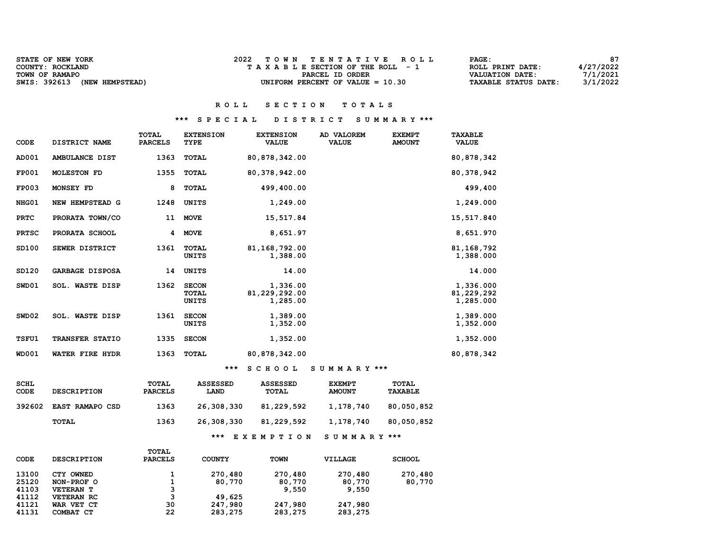| <b>STATE OF NEW YORK</b>        | 2022<br>TOWN TENTATIVE ROLL           | 87<br><b>PAGE :</b>                     |
|---------------------------------|---------------------------------------|-----------------------------------------|
| COUNTY: ROCKLAND                | T A X A B L E SECTION OF THE ROLL - 1 | 4/27/2022<br>ROLL PRINT DATE:           |
| TOWN OF RAMAPO                  | PARCEL ID ORDER                       | 7/1/2021<br>VALUATION DATE:             |
| SWIS: 392613<br>(NEW HEMPSTEAD) | UNIFORM PERCENT OF VALUE $= 10.30$    | 3/1/2022<br><b>TAXABLE STATUS DATE:</b> |

# R O L L S E C T I O N T O T A L S

## \*\*\* S P E C I A L D I S T R I C T S U M M A R Y \*\*\*

| CODE         | DISTRICT NAME          | <b>TOTAL</b><br><b>PARCELS</b> | <b>EXTENSION</b><br>TYPE              | <b>EXTENSION</b><br><b>VALUE</b>      | AD VALOREM<br><b>VALUE</b> | <b>EXEMPT</b><br><b>AMOUNT</b> | <b>TAXABLE</b><br><b>VALUE</b>       |
|--------------|------------------------|--------------------------------|---------------------------------------|---------------------------------------|----------------------------|--------------------------------|--------------------------------------|
| AD001        | AMBULANCE DIST         | 1363                           | <b>TOTAL</b>                          | 80, 878, 342.00                       |                            |                                | 80,878,342                           |
| <b>FP001</b> | <b>MOLESTON FD</b>     | 1355                           | <b>TOTAL</b>                          | 80, 378, 942.00                       |                            |                                | 80, 378, 942                         |
| <b>FP003</b> | MONSEY FD              | 8                              | <b>TOTAL</b>                          | 499,400.00                            |                            |                                | 499,400                              |
| NHG01        | NEW HEMPSTEAD G        | 1248                           | UNITS                                 | 1,249.00                              |                            |                                | 1,249.000                            |
| <b>PRTC</b>  | PRORATA TOWN/CO        | 11                             | <b>MOVE</b>                           | 15,517.84                             |                            |                                | 15,517.840                           |
| <b>PRTSC</b> | PRORATA SCHOOL         | 4                              | <b>MOVE</b>                           | 8,651.97                              |                            |                                | 8,651.970                            |
| SD100        | SEWER DISTRICT         | 1361                           | <b>TOTAL</b><br>UNITS                 | 81, 168, 792.00<br>1,388.00           |                            |                                | 81, 168, 792<br>1,388.000            |
| SD120        | <b>GARBAGE DISPOSA</b> | 14                             | UNITS                                 | 14.00                                 |                            |                                | 14.000                               |
| SWD01        | <b>SOL. WASTE DISP</b> | 1362                           | <b>SECON</b><br><b>TOTAL</b><br>UNITS | 1,336.00<br>81,229,292.00<br>1,285.00 |                            |                                | 1,336.000<br>81,229,292<br>1,285.000 |
| SWD02        | <b>SOL. WASTE DISP</b> | 1361                           | <b>SECON</b><br>UNITS                 | 1,389.00<br>1,352.00                  |                            |                                | 1,389.000<br>1,352.000               |
| <b>TSFU1</b> | TRANSFER STATIO        | 1335                           | <b>SECON</b>                          | 1,352.00                              |                            |                                | 1,352.000                            |
| <b>WD001</b> | WATER FIRE HYDR        | 1363                           | TOTAL                                 | 80, 878, 342.00                       |                            |                                | 80,878,342                           |

\*\*\* S C H O O L S U M M A R Y \*\*\*

| <b>SCHL</b><br>CODE | <b>DESCRIPTION</b> | TOTAL<br><b>PARCELS</b> | <b>ASSESSED</b><br>LAND | <b>ASSESSED</b><br>TOTAL | <b>EXEMPT</b><br><b>AMOUNT</b> | <b>TOTAL</b><br><b>TAXABLE</b> |
|---------------------|--------------------|-------------------------|-------------------------|--------------------------|--------------------------------|--------------------------------|
| 392602              | EAST RAMAPO CSD    | 1363                    | 26,308,330              | 81,229,592               | 1,178,740                      | 80,050,852                     |
|                     | TOTAL              | 1363                    | 26,308,330              | 81,229,592               | 1,178,740                      | 80,050,852                     |
|                     |                    |                         | ***                     | EXEMPTION                | SUMMARY ***                    |                                |

|       |                    | TOTAL          |               |             |         |               |
|-------|--------------------|----------------|---------------|-------------|---------|---------------|
| CODE  | <b>DESCRIPTION</b> | <b>PARCELS</b> | <b>COUNTY</b> | <b>TOWN</b> | VILLAGE | <b>SCHOOL</b> |
| 13100 | CTY OWNED          |                | 270,480       | 270,480     | 270,480 | 270,480       |
| 25120 | NON-PROF O         | 1              | 80,770        | 80,770      | 80,770  | 80,770        |
| 41103 | <b>VETERAN T</b>   | 3              |               | 9,550       | 9,550   |               |
| 41112 | <b>VETERAN RC</b>  | 3              | 49,625        |             |         |               |
| 41121 | WAR VET CT         | 30             | 247,980       | 247,980     | 247,980 |               |
| 41131 | COMBAT CT          | 22             | 283,275       | 283,275     | 283,275 |               |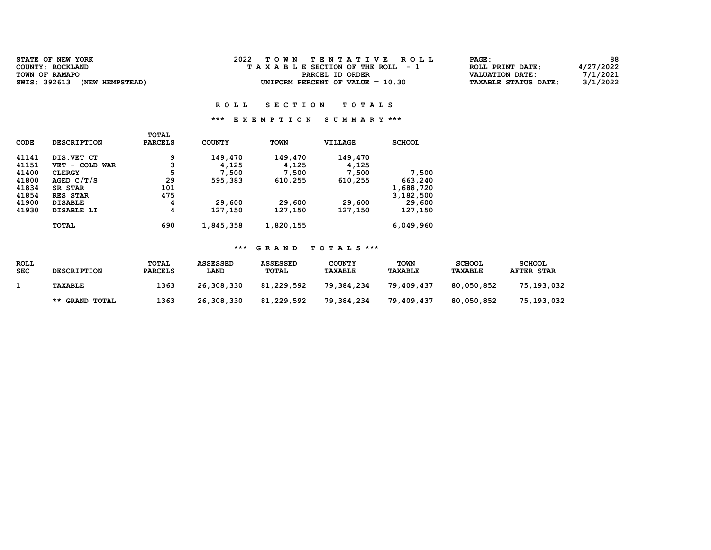| STATE OF NEW YORK               | 2022<br>TOWN TENTATIVE ROLL        | PAGE:                | 88        |
|---------------------------------|------------------------------------|----------------------|-----------|
| COUNTY: ROCKLAND                | TAXABLE SECTION OF THE ROLL - 1    | ROLL PRINT DATE:     | 4/27/2022 |
| TOWN OF RAMAPO                  | PARCEL ID ORDER                    | VALUATION DATE:      | 7/1/2021  |
| SWIS: 392613<br>(NEW HEMPSTEAD) | UNIFORM PERCENT OF VALUE $= 10.30$ | TAXABLE STATUS DATE: | 3/1/2022  |

### \*\*\* E X E M P T I O N S U M M A R Y \*\*\*

|             |                    | <b>TOTAL</b>   |               |             |         |               |
|-------------|--------------------|----------------|---------------|-------------|---------|---------------|
| <b>CODE</b> | <b>DESCRIPTION</b> | <b>PARCELS</b> | <b>COUNTY</b> | <b>TOWN</b> | VILLAGE | <b>SCHOOL</b> |
| 41141       | DIS. VET CT        | 9              | 149,470       | 149,470     | 149,470 |               |
| 41151       | VET - COLD WAR     | 3              | 4,125         | 4,125       | 4,125   |               |
| 41400       | <b>CLERGY</b>      | 5              | 7,500         | 7,500       | 7,500   | 7,500         |
| 41800       | AGED $C/T/S$       | 29             | 595,383       | 610,255     | 610,255 | 663,240       |
| 41834       | SR STAR            | 101            |               |             |         | 1,688,720     |
| 41854       | RES STAR           | 475            |               |             |         | 3,182,500     |
| 41900       | <b>DISABLE</b>     | 4              | 29,600        | 29,600      | 29,600  | 29,600        |
| 41930       | DISABLE LI         | 4              | 127,150       | 127,150     | 127,150 | 127,150       |
|             | TOTAL              | 690            | 1,845,358     | 1,820,155   |         | 6,049,960     |

| <b>ROLL</b><br><b>SEC</b> | <b>DESCRIPTION</b> | TOTAL<br><b>PARCELS</b> | <b>ASSESSED</b><br><b>LAND</b> | <b>ASSESSED</b><br><b>TOTAL</b> | <b>COUNTY</b><br><b>TAXABLE</b> | <b>TOWN</b><br><b>TAXABLE</b> | <b>SCHOOL</b><br>TAXABLE | <b>SCHOOL</b><br><b>AFTER STAR</b> |
|---------------------------|--------------------|-------------------------|--------------------------------|---------------------------------|---------------------------------|-------------------------------|--------------------------|------------------------------------|
|                           | TAXABLE            | 1363                    | 26,308,330                     | 81,229,592                      | 79,384,234                      | 79,409,437                    | 80,050,852               | 75,193,032                         |
|                           | ** GRAND TOTAL     | 1363                    | 26,308,330                     | 81,229,592                      | 79,384,234                      | 79,409,437                    | 80,050,852               | 75,193,032                         |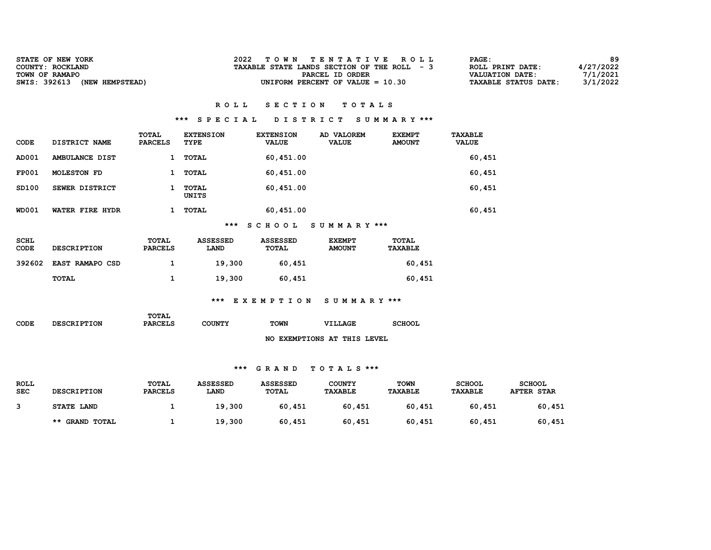| <b>STATE OF NEW YORK</b>        | TOWN TENTATIVE ROLL                         | $\mathtt{PAGE}$ :           | 89        |
|---------------------------------|---------------------------------------------|-----------------------------|-----------|
| COUNTY: ROCKLAND                | TAXABLE STATE LANDS SECTION OF THE ROLL - 3 | ROLL PRINT DATE:            | 4/27/2022 |
| TOWN OF RAMAPO                  | PARCEL ID ORDER                             | VALUATION DATE:             | 7/1/2021  |
| SWIS: 392613<br>(NEW HEMPSTEAD) | UNIFORM PERCENT OF VALUE = $10.30$          | <b>TAXABLE STATUS DATE:</b> | 3/1/2022  |

### \*\*\* S P E C I A L D I S T R I C T S U M M A R Y \*\*\*

| CODE         | DISTRICT NAME      | TOTAL<br><b>PARCELS</b> | <b>EXTENSION</b><br>TYPE | <b>EXTENSION</b><br><b>VALUE</b> | AD VALOREM<br><b>VALUE</b> | <b>EXEMPT</b><br><b>AMOUNT</b> | TAXABLE<br><b>VALUE</b> |
|--------------|--------------------|-------------------------|--------------------------|----------------------------------|----------------------------|--------------------------------|-------------------------|
| AD001        | AMBULANCE DIST     |                         | TOTAL                    | 60,451.00                        |                            |                                | 60,451                  |
| <b>FP001</b> | <b>MOLESTON FD</b> |                         | TOTAL                    | 60,451.00                        |                            |                                | 60,451                  |
| SD100        | SEWER DISTRICT     |                         | TOTAL<br>UNITS           | 60,451.00                        |                            |                                | 60,451                  |
| <b>WD001</b> | WATER FIRE HYDR    |                         | TOTAL                    | 60,451.00                        |                            |                                | 60,451                  |
|              |                    |                         | ***                      | SCHOOL                           | SUMMARY ***                |                                |                         |

| SCHL<br>CODE | <b>DESCRIPTION</b>     | TOTAL<br><b>PARCELS</b> | <b>ASSESSED</b><br><b>LAND</b> | ASSESSED<br><b>TOTAL</b> | <b>EXEMPT</b><br><b>AMOUNT</b> | <b>TOTAL</b><br><b>TAXABLE</b> |
|--------------|------------------------|-------------------------|--------------------------------|--------------------------|--------------------------------|--------------------------------|
| 392602       | <b>EAST RAMAPO CSD</b> |                         | 19,300                         | 60,451                   |                                | 60,451                         |
|              | <b>TOTAL</b>           |                         | 19,300                         | 60,451                   |                                | 60,451                         |

## \*\*\* E X E M P T I O N S U M M A R Y \*\*\*

| CODE | <b>DESCRIPTION</b> | TOTAL<br><b>PARCELS</b> | <b>COUNTY</b> | <b>TOWN</b> | <b>VILLAGE</b>              | <b>SCHOOL</b> |
|------|--------------------|-------------------------|---------------|-------------|-----------------------------|---------------|
|      |                    |                         |               |             | NO EXEMPTIONS AT THIS LEVEL |               |

| <b>ROLL</b><br><b>SEC</b> | <b>DESCRIPTION</b> | TOTAL<br><b>PARCELS</b> | <b>ASSESSED</b><br><b>LAND</b> | <b>ASSESSED</b><br>TOTAL | <b>COUNTY</b><br><b>TAXABLE</b> | <b>TOWN</b><br><b>TAXABLE</b> | <b>SCHOOL</b><br>TAXABLE | <b>SCHOOL</b><br><b>AFTER STAR</b> |
|---------------------------|--------------------|-------------------------|--------------------------------|--------------------------|---------------------------------|-------------------------------|--------------------------|------------------------------------|
| 3                         | STATE LAND         |                         | 19,300                         | 60,451                   | 60,451                          | 60,451                        | 60,451                   | 60,451                             |
|                           | ** GRAND TOTAL     |                         | 19,300                         | 60,451                   | 60,451                          | 60,451                        | 60,451                   | 60,451                             |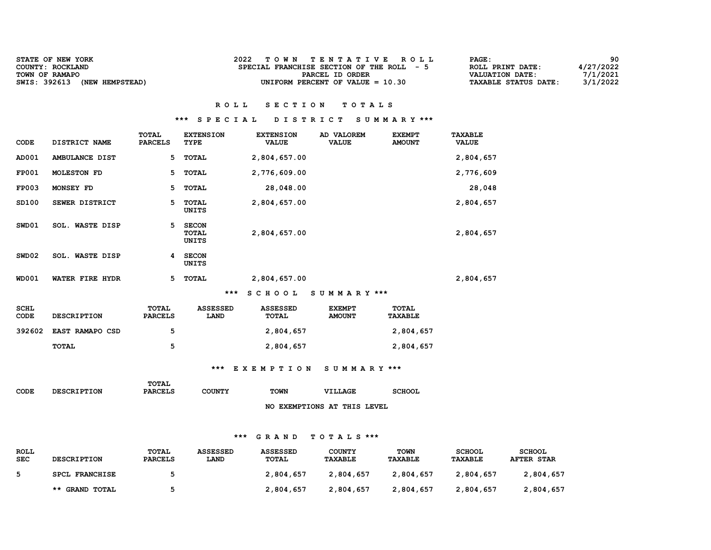| STATE OF NEW YORK               | TOWN TENTATIVE ROLL                       | PAGE:                       | 90        |
|---------------------------------|-------------------------------------------|-----------------------------|-----------|
| COUNTY: ROCKLAND                | SPECIAL FRANCHISE SECTION OF THE ROLL - 5 | ROLL PRINT DATE:            | 4/27/2022 |
| TOWN OF RAMAPO                  | PARCEL ID ORDER                           | VALUATION DATE:             | 7/1/2021  |
| SWIS: 392613<br>(NEW HEMPSTEAD) | UNIFORM PERCENT OF VALUE $= 10.30$        | <b>TAXABLE STATUS DATE:</b> | 3/1/2022  |

### \*\*\* S P E C I A L D I S T R I C T S U M M A R Y \*\*\*

| CODE         | DISTRICT NAME          | <b>TOTAL</b><br><b>PARCELS</b> | <b>EXTENSION</b><br>TYPE       | <b>EXTENSION</b><br><b>VALUE</b> | AD VALOREM<br><b>VALUE</b>     | <b>EXEMPT</b><br><b>AMOUNT</b> | <b>TAXABLE</b><br><b>VALUE</b> |
|--------------|------------------------|--------------------------------|--------------------------------|----------------------------------|--------------------------------|--------------------------------|--------------------------------|
| AD001        | AMBULANCE DIST         | 5                              | TOTAL                          | 2,804,657.00                     |                                |                                | 2,804,657                      |
| <b>FP001</b> | <b>MOLESTON FD</b>     | 5.                             | TOTAL                          | 2,776,609.00                     |                                |                                | 2,776,609                      |
| <b>FP003</b> | MONSEY FD              | 5                              | TOTAL                          | 28,048.00                        |                                |                                | 28,048                         |
| SD100        | SEWER DISTRICT         | 5                              | TOTAL<br>UNITS                 | 2,804,657.00                     |                                |                                | 2,804,657                      |
| SWD01        | <b>SOL. WASTE DISP</b> | 5.                             | <b>SECON</b><br>TOTAL<br>UNITS | 2,804,657.00                     |                                |                                | 2,804,657                      |
| SWD02        | SOL. WASTE DISP        | 4                              | <b>SECON</b><br>UNITS          |                                  |                                |                                |                                |
| <b>WD001</b> | WATER FIRE HYDR        | 5                              | TOTAL                          | 2,804,657.00                     |                                |                                | 2,804,657                      |
|              |                        |                                | $***$                          | <b>SCHOOL</b>                    | SUMMARY ***                    |                                |                                |
| SCHL<br>CODE | <b>DESCRIPTION</b>     | TOTAL<br><b>PARCELS</b>        | <b>ASSESSED</b><br>LAND        | <b>ASSESSED</b><br>TOTAL         | <b>EXEMPT</b><br><b>AMOUNT</b> | TOTAL<br><b>TAXABLE</b>        |                                |
| 392602       | EAST RAMAPO CSD        | 5                              |                                | 2,804,657                        |                                | 2,804,657                      |                                |

TOTAL 5 2,804,657 2,804,657

### \*\*\* E X E M P T I O N S U M M A R Y \*\*\*

| <b>CODE</b> | <b>DESCRIPTION</b> | TOTAL<br><b>PARCELS</b> | COUNTY | <b>TOWN</b> | VILLAGE                     | <b>SCHOOL</b> |
|-------------|--------------------|-------------------------|--------|-------------|-----------------------------|---------------|
|             |                    |                         |        |             | NO EXEMPTIONS AT THIS LEVEL |               |

| <b>ROLL</b><br><b>SEC</b> | <b>DESCRIPTION</b>    | <b>TOTAL</b><br><b>PARCELS</b> | <b>ASSESSED</b><br><b>LAND</b> | <b>ASSESSED</b><br>TOTAL | <b>COUNTY</b><br><b>TAXABLE</b> | <b>TOWN</b><br><b>TAXABLE</b> | <b>SCHOOL</b><br>TAXABLE | <b>SCHOOL</b><br><b>AFTER STAR</b> |
|---------------------------|-----------------------|--------------------------------|--------------------------------|--------------------------|---------------------------------|-------------------------------|--------------------------|------------------------------------|
|                           | <b>SPCL FRANCHISE</b> |                                |                                | 2,804,657                | 2,804,657                       | 2,804,657                     | 2,804,657                | 2,804,657                          |
|                           | ** GRAND TOTAL        |                                |                                | 2,804,657                | 2,804,657                       | 2,804,657                     | 2,804,657                | 2,804,657                          |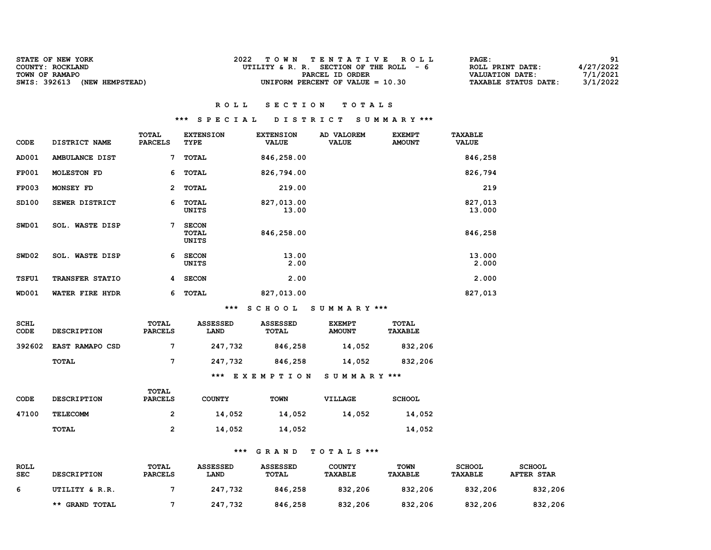| <b>STATE OF NEW YORK</b><br>COUNTY: ROCKLAND      | 2022<br>TOWN TENTATIVE ROLL<br>UTILITY & R. R. SECTION OF THE ROLL - 6 | <b>PAGE :</b><br>4/27/2022<br>ROLL PRINT DATE:                         | 91 |
|---------------------------------------------------|------------------------------------------------------------------------|------------------------------------------------------------------------|----|
| TOWN OF RAMAPO<br>SWIS: 392613<br>(NEW HEMPSTEAD) | PARCEL ID ORDER<br>UNIFORM PERCENT OF VALUE $= 10.30$                  | 7/1/2021<br>VALUATION DATE:<br>3/1/2022<br><b>TAXABLE STATUS DATE:</b> |    |

### \*\*\* S P E C I A L D I S T R I C T S U M M A R Y \*\*\*

| CODE                | DISTRICT NAME          | <b>TOTAL</b><br><b>PARCELS</b> | <b>EXTENSION</b><br><b>TYPE</b>              | <b>EXTENSION</b><br><b>VALUE</b> | AD VALOREM<br><b>VALUE</b>     | <b>EXEMPT</b><br><b>AMOUNT</b> | <b>TAXABLE</b><br><b>VALUE</b> |
|---------------------|------------------------|--------------------------------|----------------------------------------------|----------------------------------|--------------------------------|--------------------------------|--------------------------------|
| AD001               | AMBULANCE DIST         | 7                              | <b>TOTAL</b>                                 | 846,258.00                       |                                |                                | 846,258                        |
| <b>FP001</b>        | MOLESTON FD            | 6                              | <b>TOTAL</b>                                 | 826,794.00                       |                                |                                | 826,794                        |
| <b>FP003</b>        | MONSEY FD              | $\overline{2}$                 | <b>TOTAL</b>                                 | 219.00                           |                                |                                | 219                            |
| SD100               | SEWER DISTRICT         | 6                              | <b>TOTAL</b><br><b>UNITS</b>                 | 827,013.00<br>13.00              |                                |                                | 827,013<br>13.000              |
| SWD01               | SOL. WASTE DISP        | 7                              | <b>SECON</b><br><b>TOTAL</b><br><b>UNITS</b> | 846,258.00                       |                                |                                | 846,258                        |
| SWD02               | SOL. WASTE DISP        | 6                              | <b>SECON</b><br><b>UNITS</b>                 | 13.00<br>2.00                    |                                |                                | 13.000<br>2.000                |
| <b>TSFU1</b>        | <b>TRANSFER STATIO</b> | 4                              | <b>SECON</b>                                 | 2.00                             |                                |                                | 2.000                          |
| <b>WD001</b>        | WATER FIRE HYDR        | 6                              | <b>TOTAL</b>                                 | 827,013.00                       |                                |                                | 827,013                        |
|                     |                        |                                | ***                                          | <b>SCHOOL</b>                    | SUMMARY ***                    |                                |                                |
| <b>SCHL</b><br>CODE | <b>DESCRIPTION</b>     | <b>TOTAL</b><br><b>PARCELS</b> | <b>ASSESSED</b><br>LAND                      | <b>ASSESSED</b><br><b>TOTAL</b>  | <b>EXEMPT</b><br><b>AMOUNT</b> | <b>TOTAL</b><br><b>TAXABLE</b> |                                |
| 392602              | EAST RAMAPO CSD        | 7                              | 247,732                                      | 846,258                          | 14,052                         | 832,206                        |                                |
|                     | <b>TOTAL</b>           | 7                              | 247,732                                      | 846,258                          | 14,052                         | 832,206                        |                                |
|                     |                        |                                | ***                                          | <b>EXEMPTION</b>                 | SUMMARY ***                    |                                |                                |
|                     |                        | <b>TOTAL</b>                   |                                              |                                  |                                |                                |                                |

| CODE  | <b>DESCRIPTION</b> | <b>PARCELS</b> | COUNTY | <b>TOWN</b> | VILLAGE | <b>SCHOOL</b> |
|-------|--------------------|----------------|--------|-------------|---------|---------------|
| 47100 | TELECOMM           |                | 14,052 | 14,052      | 14,052  | 14,052        |
|       | TOTAL              |                | 14,052 | 14,052      |         | 14,052        |

| <b>ROLL</b><br><b>SEC</b> | <b>DESCRIPTION</b> | TOTAL<br><b>PARCELS</b> | <b>ASSESSED</b><br><b>LAND</b> | <b>ASSESSED</b><br>TOTAL | <b>COUNTY</b><br><b>TAXABLE</b> | <b>TOWN</b><br><b>TAXABLE</b> | <b>SCHOOL</b><br>TAXABLE | <b>SCHOOL</b><br><b>AFTER STAR</b> |
|---------------------------|--------------------|-------------------------|--------------------------------|--------------------------|---------------------------------|-------------------------------|--------------------------|------------------------------------|
| 6                         | UTILITY & R.R.     |                         | 247,732                        | 846,258                  | 832,206                         | 832,206                       | 832,206                  | 832,206                            |
|                           | ** GRAND TOTAL     |                         | 247,732                        | 846,258                  | 832,206                         | 832,206                       | 832,206                  | 832,206                            |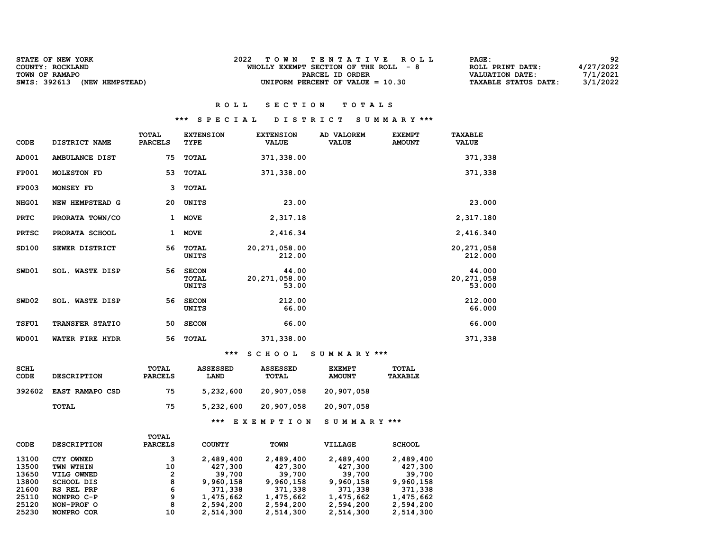| STATE OF NEW YORK               | TOWN TENTATIVE ROLL                    | 92<br>PAGE:                             |
|---------------------------------|----------------------------------------|-----------------------------------------|
| COUNTY: ROCKLAND                | WHOLLY EXEMPT SECTION OF THE ROLL $-8$ | 4/27/2022<br>ROLL PRINT DATE:           |
| TOWN OF RAMAPO                  | PARCEL ID ORDER                        | 7/1/2021<br>VALUATION DATE:             |
| SWIS: 392613<br>(NEW HEMPSTEAD) | UNIFORM PERCENT OF VALUE $= 10.30$     | 3/1/2022<br><b>TAXABLE STATUS DATE:</b> |

### \*\*\* S P E C I A L D I S T R I C T S U M M A R Y \*\*\*

| CODE         | DISTRICT NAME          | <b>TOTAL</b><br><b>PARCELS</b> | <b>EXTENSION</b><br>TYPE                     | <b>EXTENSION</b><br><b>VALUE</b>  | AD VALOREM<br><b>VALUE</b> | <b>EXEMPT</b><br><b>AMOUNT</b> | <b>TAXABLE</b><br><b>VALUE</b>   |  |
|--------------|------------------------|--------------------------------|----------------------------------------------|-----------------------------------|----------------------------|--------------------------------|----------------------------------|--|
| AD001        | AMBULANCE DIST         | 75                             | <b>TOTAL</b>                                 | 371,338.00                        |                            |                                | 371,338                          |  |
| <b>FP001</b> | <b>MOLESTON FD</b>     | 53                             | <b>TOTAL</b>                                 | 371,338.00                        |                            |                                | 371,338                          |  |
| <b>FP003</b> | MONSEY FD              | 3                              | TOTAL                                        |                                   |                            |                                |                                  |  |
| NHG01        | NEW HEMPSTEAD G        | 20                             | UNITS                                        | 23.00                             |                            |                                | 23.000                           |  |
| <b>PRTC</b>  | PRORATA TOWN/CO        | 1                              | <b>MOVE</b>                                  | 2,317.18                          |                            |                                | 2,317.180                        |  |
| <b>PRTSC</b> | PRORATA SCHOOL         | 1                              | <b>MOVE</b>                                  | 2,416.34                          |                            |                                | 2,416.340                        |  |
| SD100        | SEWER DISTRICT         | 56                             | <b>TOTAL</b><br>UNITS                        | 20, 271, 058.00<br>212.00         |                            |                                | 20, 271, 058<br>212.000          |  |
| SWD01        | SOL. WASTE DISP        | 56                             | <b>SECON</b><br><b>TOTAL</b><br><b>UNITS</b> | 44.00<br>20, 271, 058.00<br>53.00 |                            |                                | 44.000<br>20, 271, 058<br>53.000 |  |
| SWD02        | SOL. WASTE DISP        | 56                             | <b>SECON</b><br>UNITS                        | 212.00<br>66.00                   |                            |                                | 212.000<br>66.000                |  |
| <b>TSFU1</b> | <b>TRANSFER STATIO</b> | 50                             | <b>SECON</b>                                 | 66.00                             |                            |                                | 66.000                           |  |
| <b>WD001</b> | WATER FIRE HYDR        | 56                             | TOTAL                                        | 371,338.00                        |                            |                                | 371,338                          |  |

### \*\*\* S C H O O L S U M M A R Y \*\*\*

| SCHL<br>CODE | <b>DESCRIPTION</b>     | TOTAL<br><b>PARCELS</b> | <b>ASSESSED</b><br>LAND | <b>ASSESSED</b><br>TOTAL | <b>EXEMPT</b><br><b>AMOUNT</b> | TOTAL<br>TAXABLE |
|--------------|------------------------|-------------------------|-------------------------|--------------------------|--------------------------------|------------------|
| 392602       | <b>EAST RAMAPO CSD</b> | 75                      | 5,232,600               | 20,907,058               | 20,907,058                     |                  |
|              | TOTAL                  | 75                      | 5,232,600               | 20,907,058               | 20,907,058                     |                  |
|              |                        |                         | ***                     | EXEMPTION                | SUMMARY ***                    |                  |

|       |                    | TOTAL          |               |             |                |               |
|-------|--------------------|----------------|---------------|-------------|----------------|---------------|
| CODE  | <b>DESCRIPTION</b> | <b>PARCELS</b> | <b>COUNTY</b> | <b>TOWN</b> | <b>VILLAGE</b> | <b>SCHOOL</b> |
| 13100 | CTY OWNED          | з              | 2,489,400     | 2,489,400   | 2,489,400      | 2,489,400     |
| 13500 | TWN WTHIN          | 10             | 427,300       | 427,300     | 427,300        | 427,300       |
| 13650 | VILG OWNED         | 2              | 39,700        | 39,700      | 39,700         | 39,700        |
| 13800 | <b>SCHOOL DIS</b>  | 8              | 9,960,158     | 9,960,158   | 9,960,158      | 9,960,158     |
| 21600 | RS REL PRP         | 6              | 371,338       | 371,338     | 371,338        | 371,338       |
| 25110 | NONPRO C-P         | 9              | 1,475,662     | 1,475,662   | 1,475,662      | 1,475,662     |
| 25120 | NON-PROF O         | 8              | 2,594,200     | 2,594,200   | 2,594,200      | 2,594,200     |
| 25230 | NONPRO COR         | 10             | 2,514,300     | 2,514,300   | 2,514,300      | 2,514,300     |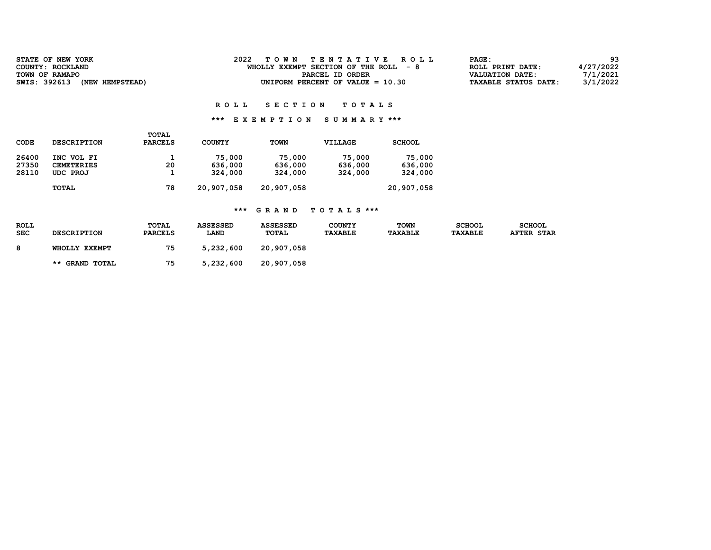| STATE OF NEW YORK               | TOWN TENTATIVE ROLL                   | PAGE:                         | 93       |
|---------------------------------|---------------------------------------|-------------------------------|----------|
| COUNTY: ROCKLAND                | WHOLLY EXEMPT SECTION OF THE ROLL - 8 | 4/27/2022<br>ROLL PRINT DATE: |          |
| TOWN OF RAMAPO                  | PARCEL ID ORDER                       | VALUATION DATE:               | 7/1/2021 |
| SWIS: 392613<br>(NEW HEMPSTEAD) | UNIFORM PERCENT OF VALUE $= 10.30$    | <b>TAXABLE STATUS DATE:</b>   | 3/1/2022 |

### \*\*\* E X E M P T I O N S U M M A R Y \*\*\*

| CODE                    | <b>DESCRIPTION</b>                          | TOTAL<br><b>PARCELS</b> | <b>COUNTY</b>                | <b>TOWN</b>                  | VILLAGE                      | <b>SCHOOL</b>                |
|-------------------------|---------------------------------------------|-------------------------|------------------------------|------------------------------|------------------------------|------------------------------|
| 26400<br>27350<br>28110 | INC VOL FI<br><b>CEMETERIES</b><br>UDC PROJ | 20                      | 75,000<br>636,000<br>324,000 | 75,000<br>636,000<br>324,000 | 75,000<br>636,000<br>324,000 | 75,000<br>636,000<br>324,000 |
|                         | TOTAL                                       | 78                      | 20,907,058                   | 20,907,058                   |                              | 20,907,058                   |

| ROLL<br><b>SEC</b> | <b>DESCRIPTION</b> | TOTAL<br><b>PARCELS</b> | <b>ASSESSED</b><br><b>LAND</b> | <b>ASSESSED</b><br>TOTAL | <b>COUNTY</b><br><b>TAXABLE</b> | <b>TOWN</b><br><b>TAXABLE</b> | <b>SCHOOL</b><br><b>TAXABLE</b> | <b>SCHOOL</b><br><b>AFTER STAR</b> |
|--------------------|--------------------|-------------------------|--------------------------------|--------------------------|---------------------------------|-------------------------------|---------------------------------|------------------------------------|
| 8                  | WHOLLY EXEMPT      | 75                      | 5.232.600                      | 20,907,058               |                                 |                               |                                 |                                    |
|                    | ** GRAND TOTAL     | 75                      | 5,232,600                      | 20,907,058               |                                 |                               |                                 |                                    |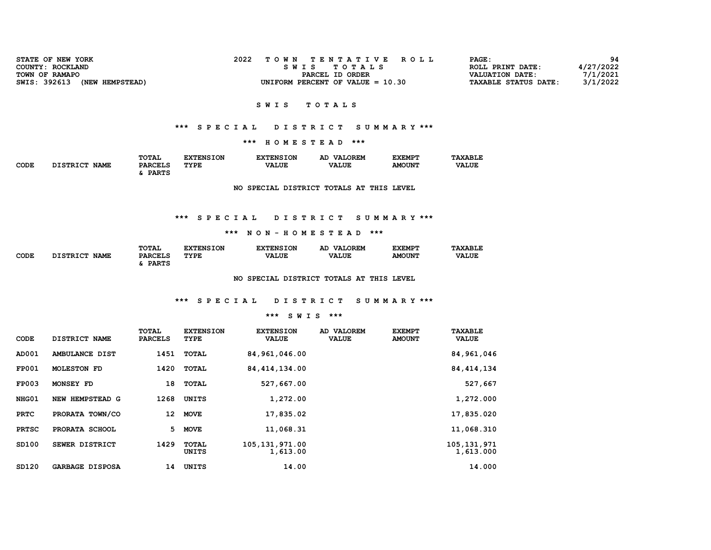| STATE OF NEW YORK               | TOWN TENTATIVE ROLL                | PAGE:                       | 94        |
|---------------------------------|------------------------------------|-----------------------------|-----------|
| COUNTY: ROCKLAND                | SWIS TOTALS                        | ROLL PRINT DATE:            | 4/27/2022 |
| TOWN OF RAMAPO                  | PARCEL ID ORDER                    | VALUATION DATE:             | 7/1/2021  |
| SWIS: 392613<br>(NEW HEMPSTEAD) | UNIFORM PERCENT OF VALUE $= 10.30$ | <b>TAXABLE STATUS DATE:</b> | 3/1/2022  |
|                                 |                                    |                             |           |

### \*\*\* S P E C I A L D I S T R I C T S U M M A R Y \*\*\*

\*\*\* H O M E S T E A D \*\*\*

|                      |                                | TOTAL          | <b>XTENSION</b> | <b>EXTENSION</b> | <b>VALOREM</b><br>AD | <b>EXEMPT</b> | <b>TAXABLE</b> |
|----------------------|--------------------------------|----------------|-----------------|------------------|----------------------|---------------|----------------|
| <b>CODE</b><br>$  -$ | <b>DISTRICT</b><br><b>NAME</b> | <b>PARCELS</b> | TYPE            | <b>VALUE</b>     | <b>VALUE</b>         | <b>AMOUNT</b> | <b>VALUE</b>   |
|                      |                                | <b>DADTC</b>   |                 |                  |                      |               |                |

NO SPECIAL DISTRICT TOTALS AT THIS LEVEL

### \*\*\* S P E C I A L D I S T R I C T S U M M A R Y \*\*\*

#### \*\*\* N O N - H O M E S T E A D \*\*\*

|             |                           | TOTAL          | <b>NSION</b><br>™TN< . | <b>EXTENSION</b> | LOREM<br>VAT.<br>АC | <b>EXEMPT</b> | <b>TAXABLE</b> |
|-------------|---------------------------|----------------|------------------------|------------------|---------------------|---------------|----------------|
| CODE<br>___ | חמד סחס דר<br><b>NAME</b> | <b>PARCELS</b> | TYPE                   | <b>VALUE</b>     | <b>VALUE</b>        | <b>AMOUNT</b> | <b>VALUE</b>   |
|             |                           | <b>DADMC</b>   |                        |                  |                     |               |                |

NO SPECIAL DISTRICT TOTALS AT THIS LEVEL

### \*\*\* S P E C I A L D I S T R I C T S U M M A R Y \*\*\*

#### \*\*\* S W I S \*\*\*

| CODE         | DISTRICT NAME          | TOTAL<br><b>PARCELS</b> | <b>EXTENSION</b><br>TYPE | <b>EXTENSION</b><br><b>VALUE</b> | AD VALOREM<br><b>VALUE</b> | <b>EXEMPT</b><br><b>AMOUNT</b> | <b>TAXABLE</b><br><b>VALUE</b> |
|--------------|------------------------|-------------------------|--------------------------|----------------------------------|----------------------------|--------------------------------|--------------------------------|
| AD001        | AMBULANCE DIST         | 1451                    | TOTAL                    | 84, 961, 046.00                  |                            |                                | 84, 961, 046                   |
| <b>FP001</b> | <b>MOLESTON FD</b>     | 1420                    | TOTAL                    | 84, 414, 134, 00                 |                            |                                | 84, 414, 134                   |
| <b>FP003</b> | MONSEY FD              | 18                      | TOTAL                    | 527,667.00                       |                            |                                | 527,667                        |
| NHG01        | NEW HEMPSTEAD G        | 1268                    | <b>UNITS</b>             | 1,272.00                         |                            |                                | 1,272.000                      |
| <b>PRTC</b>  | PRORATA TOWN/CO        | 12                      | <b>MOVE</b>              | 17,835.02                        |                            |                                | 17,835.020                     |
| <b>PRTSC</b> | PRORATA SCHOOL         | 5.                      | <b>MOVE</b>              | 11,068.31                        |                            |                                | 11,068.310                     |
| SD100        | SEWER DISTRICT         | 1429                    | TOTAL<br>UNITS           | 105, 131, 971.00<br>1,613.00     |                            |                                | 105, 131, 971<br>1,613.000     |
| SD120        | <b>GARBAGE DISPOSA</b> | 14                      | UNITS                    | 14.00                            |                            |                                | 14.000                         |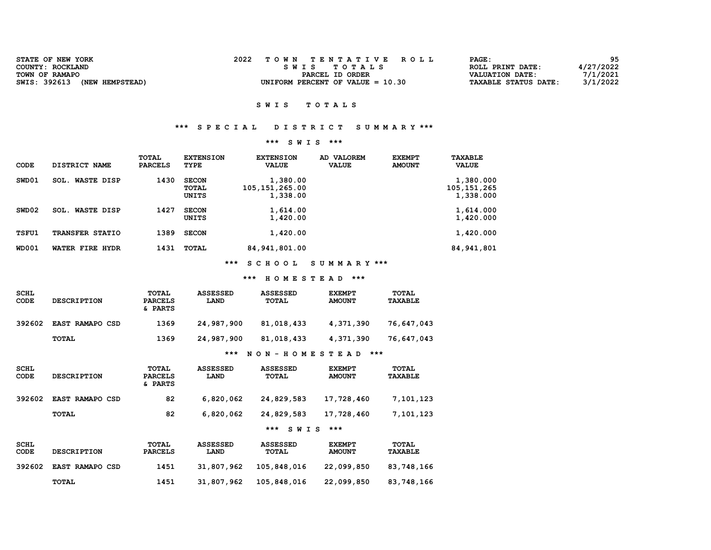| STATE OF NEW YORK               | TOWN TENTATIVE ROLL                | PAGE:                  | 95        |
|---------------------------------|------------------------------------|------------------------|-----------|
| COUNTY: ROCKLAND                | SWIS TOTALS                        | ROLL PRINT DATE:       | 4/27/2022 |
| TOWN OF RAMAPO                  | PARCEL ID ORDER                    | <b>VALUATION DATE:</b> | 7/1/2021  |
| SWIS: 392613<br>(NEW HEMPSTEAD) | UNIFORM PERCENT OF VALUE $= 10.30$ | TAXABLE STATUS DATE:   | 3/1/2022  |

## \*\*\* S P E C I A L D I S T R I C T S U M M A R Y \*\*\*

### \*\*\* S W I S \*\*\*

| CODE         | DISTRICT NAME             | TOTAL<br><b>PARCELS</b> | <b>EXTENSION</b><br>TYPE       | <b>EXTENSION</b><br><b>VALUE</b>         | AD VALOREM<br><b>VALUE</b> | <b>EXEMPT</b><br><b>AMOUNT</b> | TAXABLE<br><b>VALUE</b>               |
|--------------|---------------------------|-------------------------|--------------------------------|------------------------------------------|----------------------------|--------------------------------|---------------------------------------|
| SWD01        | <b>WASTE DISP</b><br>SOL. | 1430                    | <b>SECON</b><br>TOTAL<br>UNITS | 1,380.00<br>105, 151, 265.00<br>1,338.00 |                            |                                | 1,380.000<br>105,151,265<br>1,338.000 |
| SWD02        | <b>SOL. WASTE DISP</b>    | 1427                    | <b>SECON</b><br>UNITS          | 1,614.00<br>1,420.00                     |                            |                                | 1,614.000<br>1,420.000                |
| TSFU1        | <b>TRANSFER STATIO</b>    | 1389                    | <b>SECON</b>                   | 1,420.00                                 |                            |                                | 1,420.000                             |
| <b>WD001</b> | WATER FIRE HYDR           | 1431                    | <b>TOTAL</b>                   | 84, 941, 801.00                          |                            |                                | 84, 941, 801                          |

\*\*\* S C H O O L S U M M A R Y \*\*\*

### \*\*\* H O M E S T E A D \*\*\*

| <b>SCHL</b><br>CODE | <b>DESCRIPTION</b> | TOTAL<br><b>PARCELS</b><br>& PARTS | <b>ASSESSED</b><br><b>LAND</b> | <b>ASSESSED</b><br>TOTAL | <b>EXEMPT</b><br><b>AMOUNT</b> | TOTAL<br><b>TAXABLE</b> |
|---------------------|--------------------|------------------------------------|--------------------------------|--------------------------|--------------------------------|-------------------------|
| 392602              | EAST RAMAPO CSD    | 1369                               | 24,987,900                     | 81,018,433               | 4,371,390                      | 76,647,043              |
|                     | <b>TOTAL</b>       | 1369                               | 24,987,900                     | 81,018,433               | 4,371,390                      | 76,647,043              |

### \*\*\* N O N - H O M E S T E A D \*\*\*

| --------            |                    |                                    |                         |                          |                                |                         |
|---------------------|--------------------|------------------------------------|-------------------------|--------------------------|--------------------------------|-------------------------|
|                     |                    |                                    |                         | ***<br><b>SWIS</b>       | ***                            |                         |
|                     | TOTAL              | 82                                 | 6,820,062               | 24,829,583               | 17,728,460                     | 7,101,123               |
| 392602              | EAST RAMAPO CSD    | 82                                 | 6,820,062               | 24,829,583               | 17,728,460                     | 7,101,123               |
| SCHL<br><b>CODE</b> | <b>DESCRIPTION</b> | TOTAL<br><b>PARCELS</b><br>& PARTS | <b>ASSESSED</b><br>LAND | <b>ASSESSED</b><br>TOTAL | <b>EXEMPT</b><br><b>AMOUNT</b> | TOTAL<br><b>TAXABLE</b> |

| <b>SCHL</b><br>CODE | <b>DESCRIPTION</b>     | <b>TOTAL</b><br><b>PARCELS</b> | ASSESSED<br><b>LAND</b> | <b>ASSESSED</b><br>TOTAL | <b>EXEMPT</b><br><b>AMOUNT</b> | <b>TOTAL</b><br><b>TAXABLE</b> |
|---------------------|------------------------|--------------------------------|-------------------------|--------------------------|--------------------------------|--------------------------------|
| 392602              | <b>EAST RAMAPO CSD</b> | 1451                           | 31,807,962              | 105,848,016              | 22,099,850                     | 83,748,166                     |
|                     | <b>TOTAL</b>           | 1451                           | 31,807,962              | 105,848,016              | 22,099,850                     | 83,748,166                     |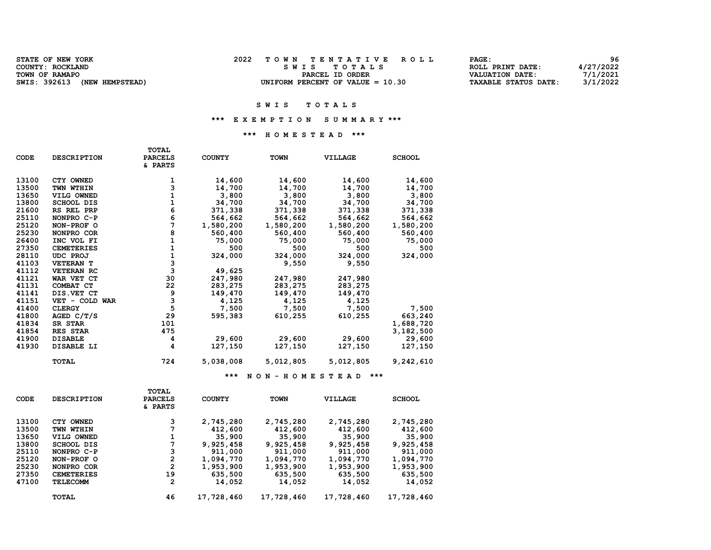| <b>STATE OF NEW YORK</b>        | TOWN TENTATIVE ROLL                | PAGE:                | 96        |
|---------------------------------|------------------------------------|----------------------|-----------|
| COUNTY: ROCKLAND                | SWIS TOTALS                        | ROLL PRINT DATE:     | 4/27/2022 |
| TOWN OF RAMAPO                  | PARCEL ID ORDER                    | VALUATION DATE:      | 7/1/2021  |
| SWIS: 392613<br>(NEW HEMPSTEAD) | UNIFORM PERCENT OF VALUE $= 10.30$ | TAXABLE STATUS DATE: | 3/1/2022  |

#### SWIS TOTALS

### \*\*\* E X E M P T I O N S U M M A R Y \*\*\*

### \*\*\* H O M E S T E A D \*\*\*

| <b>CODE</b> | <b>DESCRIPTION</b> | <b>TOTAL</b><br><b>PARCELS</b><br>& PARTS | <b>COUNTY</b> | <b>TOWN</b>     | <b>VILLAGE</b> | <b>SCHOOL</b> |
|-------------|--------------------|-------------------------------------------|---------------|-----------------|----------------|---------------|
| 13100       | CTY OWNED          | 1                                         | 14,600        | 14,600          | 14,600         | 14,600        |
| 13500       | TWN WTHIN          | з                                         | 14,700        | 14,700          | 14,700         | 14,700        |
| 13650       | VILG OWNED         | 1                                         | 3,800         | 3,800           | 3,800          | 3,800         |
| 13800       | <b>SCHOOL DIS</b>  | 1                                         | 34,700        | 34,700          | 34,700         | 34,700        |
| 21600       | RS REL PRP         | 6                                         | 371,338       | 371,338         | 371,338        | 371,338       |
| 25110       | NONPRO C-P         | 6                                         | 564,662       | 564,662         | 564,662        | 564,662       |
| 25120       | NON-PROF O         | 7                                         | 1,580,200     | 1,580,200       | 1,580,200      | 1,580,200     |
| 25230       | NONPRO COR         | 8                                         | 560,400       | 560,400         | 560,400        | 560,400       |
| 26400       | INC VOL FI         | $\mathbf{1}$                              | 75,000        | 75,000          | 75,000         | 75,000        |
| 27350       | <b>CEMETERIES</b>  | $\mathbf 1$                               | 500           | 500             | 500            | 500           |
| 28110       | <b>UDC PROJ</b>    | $\overline{1}$                            | 324,000       | 324,000         | 324,000        | 324,000       |
| 41103       | <b>VETERAN T</b>   | 3                                         |               | 9,550           | 9,550          |               |
| 41112       | <b>VETERAN RC</b>  | 3                                         | 49,625        |                 |                |               |
| 41121       | WAR VET CT         | 30                                        | 247,980       | 247,980         | 247,980        |               |
| 41131       | COMBAT CT          | 22                                        | 283,275       | 283,275         | 283,275        |               |
| 41141       | DIS.VET CT         | 9                                         | 149,470       | 149,470         | 149,470        |               |
| 41151       | VET - COLD WAR     | 3                                         | 4,125         | 4,125           | 4,125          |               |
| 41400       | <b>CLERGY</b>      | 5                                         | 7,500         | 7,500           | 7,500          | 7,500         |
| 41800       | AGED $C/T/S$       | 29                                        | 595,383       | 610,255         | 610,255        | 663,240       |
| 41834       | SR STAR            | 101                                       |               |                 |                | 1,688,720     |
| 41854       | RES STAR           | 475                                       |               |                 |                | 3,182,500     |
| 41900       | <b>DISABLE</b>     | 4                                         | 29,600        | 29,600          | 29,600         | 29,600        |
| 41930       | DISABLE LI         | 4                                         | 127,150       | 127,150         | 127,150        | 127,150       |
|             | TOTAL              | 724                                       | 5,038,008     | 5,012,805       | 5,012,805      | 9,242,610     |
|             |                    |                                           | ***           | NON - HOMESTEAD | ***            |               |

| <b>CODE</b> | <b>DESCRIPTION</b>  | TOTAL<br><b>PARCELS</b><br>& PARTS | <b>COUNTY</b> | <b>TOWN</b> | <b>VILLAGE</b> | <b>SCHOOL</b> |
|-------------|---------------------|------------------------------------|---------------|-------------|----------------|---------------|
| 13100       | <b>OWNED</b><br>CTY | 3                                  | 2,745,280     | 2,745,280   | 2,745,280      | 2,745,280     |
| 13500       | TWN WTHIN           | 7                                  | 412,600       | 412,600     | 412,600        | 412,600       |
| 13650       | VILG OWNED          | 1                                  | 35,900        | 35,900      | 35,900         | 35,900        |
| 13800       | SCHOOL DIS          | 7                                  | 9,925,458     | 9,925,458   | 9,925,458      | 9,925,458     |
| 25110       | NONPRO C-P          | 3                                  | 911,000       | 911,000     | 911,000        | 911,000       |
| 25120       | NON-PROF O          | 2                                  | 1,094,770     | 1,094,770   | 1,094,770      | 1,094,770     |
| 25230       | NONPRO COR          | 2                                  | 1,953,900     | 1,953,900   | 1,953,900      | 1,953,900     |
| 27350       | <b>CEMETERIES</b>   | 19                                 | 635,500       | 635,500     | 635,500        | 635,500       |
| 47100       | <b>TELECOMM</b>     | 2                                  | 14,052        | 14,052      | 14,052         | 14,052        |
|             | <b>TOTAL</b>        | 46                                 | 17,728,460    | 17,728,460  | 17,728,460     | 17,728,460    |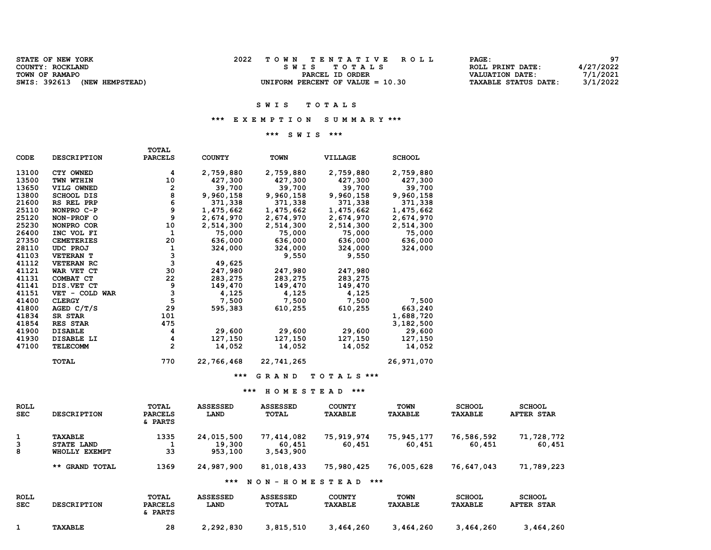| <b>STATE OF NEW YORK</b>        | TOWN TENTATIVE ROLL                | PAGE:                            | 97 |
|---------------------------------|------------------------------------|----------------------------------|----|
| COUNTY: ROCKLAND                | SWIS TOTALS                        | 4/27/2022<br>ROLL PRINT DATE:    |    |
| TOWN OF RAMAPO                  | PARCEL ID ORDER                    | 7/1/2021<br>VALUATION DATE:      |    |
| SWIS: 392613<br>(NEW HEMPSTEAD) | UNIFORM PERCENT OF VALUE $= 10.30$ | 3/1/2022<br>TAXABLE STATUS DATE: |    |

#### SWIS TOTALS

### \*\*\* E X E M P T I O N S U M M A R Y \*\*\*

### \*\*\* S W I S \*\*\*

| CODE  | <b>DESCRIPTION</b> | <b>PARCELS</b> | <b>COUNTY</b> | <b>TOWN</b> | VILLAGE          | <b>SCHOOL</b> |
|-------|--------------------|----------------|---------------|-------------|------------------|---------------|
| 13100 | CTY OWNED          | 4              | 2,759,880     | 2,759,880   | 2,759,880        | 2,759,880     |
| 13500 | TWN WTHIN          | 10             | 427,300       | 427,300     | 427,300          | 427,300       |
| 13650 | VILG OWNED         | 2              | 39,700        | 39,700      | 39,700           | 39,700        |
| 13800 | <b>SCHOOL DIS</b>  | 8              | 9,960,158     | 9,960,158   | 9,960,158        | 9,960,158     |
| 21600 | RS REL PRP         | 6              | 371,338       | 371,338     | 371,338          | 371,338       |
| 25110 | NONPRO C-P         | 9              | 1,475,662     | 1,475,662   | 1,475,662        | 1,475,662     |
| 25120 | NON-PROF O         | 9              | 2,674,970     | 2,674,970   | 2,674,970        | 2,674,970     |
| 25230 | NONPRO COR         | 10             | 2,514,300     | 2,514,300   | 2,514,300        | 2,514,300     |
| 26400 | INC VOL FI         | 1              | 75,000        | 75,000      | 75,000           | 75,000        |
| 27350 | <b>CEMETERIES</b>  | 20             | 636,000       | 636,000     | 636,000          | 636,000       |
| 28110 | <b>UDC PROJ</b>    | 1              | 324,000       | 324,000     | 324,000          | 324,000       |
| 41103 | <b>VETERAN T</b>   | 3              |               | 9,550       | 9,550            |               |
| 41112 | <b>VETERAN RC</b>  | 3              | 49,625        |             |                  |               |
| 41121 | WAR VET CT         | 30             | 247,980       | 247,980     | 247,980          |               |
| 41131 | COMBAT CT          | 22             | 283,275       | 283,275     | 283,275          |               |
| 41141 | DIS.VET CT         | 9              | 149,470       | 149,470     | 149,470          |               |
| 41151 | VET - COLD WAR     | 3              | 4,125         | 4,125       | 4,125            |               |
| 41400 | <b>CLERGY</b>      | 5              | 7,500         | 7,500       | 7,500            | 7,500         |
| 41800 | AGED $C/T/S$       | 29             | 595,383       | 610,255     | 610,255          | 663,240       |
| 41834 | SR STAR            | 101            |               |             |                  | 1,688,720     |
| 41854 | RES STAR           | 475            |               |             |                  | 3,182,500     |
| 41900 | <b>DISABLE</b>     | 4              | 29,600        | 29,600      | 29,600           | 29,600        |
| 41930 | DISABLE LI         | 4              | 127,150       | 127,150     | 127,150          | 127,150       |
| 47100 | <b>TELECOMM</b>    | $\overline{2}$ | 14,052        | 14,052      | 14,052           | 14,052        |
|       | TOTAL              | 770            | 22,766,468    | 22,741,265  |                  | 26,971,070    |
|       |                    |                | ***           | GRAND       | OTALS $***$<br>т |               |

TOTAL

### \*\*\* H O M E S T E A D \*\*\*

| ROLL<br><b>SEC</b> | <b>DESCRIPTION</b>                                   | TOTAL<br><b>PARCELS</b><br>& PARTS | <b>ASSESSED</b><br>LAND         | <b>ASSESSED</b><br>TOTAL          | <b>COUNTY</b><br><b>TAXABLE</b> | <b>TOWN</b><br><b>TAXABLE</b> | <b>SCHOOL</b><br><b>TAXABLE</b> | <b>SCHOOL</b><br><b>AFTER STAR</b> |
|--------------------|------------------------------------------------------|------------------------------------|---------------------------------|-----------------------------------|---------------------------------|-------------------------------|---------------------------------|------------------------------------|
| 1<br>3<br>8        | <b>TAXABLE</b><br><b>STATE LAND</b><br>WHOLLY EXEMPT | 1335<br>33                         | 24,015,500<br>19,300<br>953,100 | 77,414,082<br>60,451<br>3,543,900 | 75,919,974<br>60,451            | 75,945,177<br>60,451          | 76,586,592<br>60,451            | 71,728,772<br>60,451               |
|                    | ** GRAND TOTAL                                       | 1369                               | 24,987,900                      | 81,018,433                        | 75,980,425                      | 76,005,628                    | 76,647,043                      | 71,789,223                         |
|                    |                                                      |                                    | ***                             | NON-HOMESTEAD                     | ***                             |                               |                                 |                                    |
| ROLL<br><b>SEC</b> | <b>DESCRIPTION</b>                                   | TOTAL<br><b>PARCELS</b><br>& PARTS | <b>ASSESSED</b><br>LAND         | <b>ASSESSED</b><br>TOTAL          | <b>COUNTY</b><br><b>TAXABLE</b> | <b>TOWN</b><br><b>TAXABLE</b> | <b>SCHOOL</b><br><b>TAXABLE</b> | <b>SCHOOL</b><br><b>AFTER STAR</b> |

1 TAXABLE 28 2,292,830 3,815,510 3,464,260 3,464,260 3,464,260 3,464,260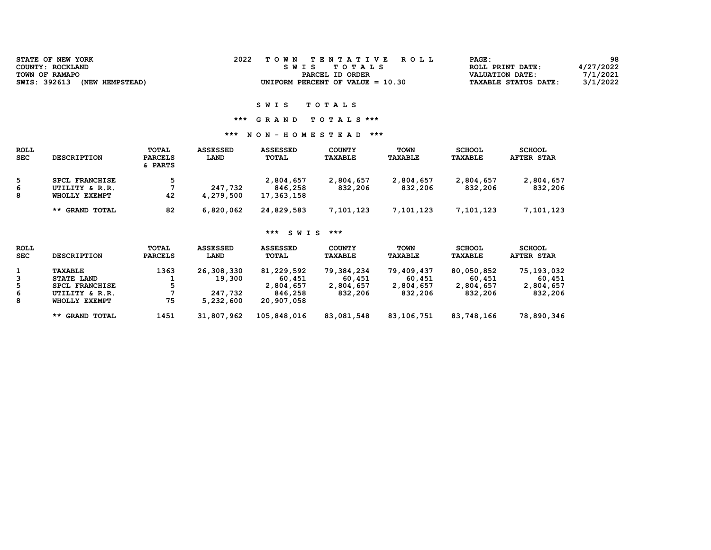| 2022<br>STATE OF NEW YORK       | TOWN TENTATIVE ROLL                | PAGE:                       | 98        |
|---------------------------------|------------------------------------|-----------------------------|-----------|
| COUNTY: ROCKLAND                | SWIS TOTALS                        | ROLL PRINT DATE:            | 4/27/2022 |
| TOWN OF RAMAPO                  | PARCEL ID ORDER                    | VALUATION DATE:             | 7/1/2021  |
| SWIS: 392613<br>(NEW HEMPSTEAD) | UNIFORM PERCENT OF VALUE $= 10.30$ | <b>TAXABLE STATUS DATE:</b> | 3/1/2022  |

# \*\*\* G R A N D T O T A L S \*\*\*

## \*\*\* N O N - H O M E S T E A D \*\*\*

| ROLL<br><b>SEC</b> | <b>DESCRIPTION</b>                                       | TOTAL<br><b>PARCELS</b><br>& PARTS | <b>ASSESSED</b><br>LAND | <b>ASSESSED</b><br>TOTAL           | <b>COUNTY</b><br><b>TAXABLE</b> | TOWN<br><b>TAXABLE</b> | <b>SCHOOL</b><br><b>TAXABLE</b> | <b>SCHOOL</b><br><b>AFTER STAR</b> |
|--------------------|----------------------------------------------------------|------------------------------------|-------------------------|------------------------------------|---------------------------------|------------------------|---------------------------------|------------------------------------|
| 5.<br>6<br>8       | <b>SPCL FRANCHISE</b><br>UTILITY & R.R.<br>WHOLLY EXEMPT | 42                                 | 247,732<br>4,279,500    | 2,804,657<br>846,258<br>17,363,158 | 2,804,657<br>832,206            | 2,804,657<br>832,206   | 2,804,657<br>832,206            | 2,804,657<br>832,206               |
|                    | ** GRAND TOTAL                                           | 82                                 | 6,820,062               | 24,829,583                         | 7,101,123                       | 7,101,123              | 7,101,123                       | 7,101,123                          |

### \*\*\* S W I S \*\*\*

| <b>ROLL</b><br><b>SEC</b> | <b>DESCRIPTION</b> | TOTAL<br><b>PARCELS</b> | <b>ASSESSED</b><br>LAND | ASSESSED<br>TOTAL | <b>COUNTY</b><br><b>TAXABLE</b> | <b>TOWN</b><br><b>TAXABLE</b> | <b>SCHOOL</b><br><b>TAXABLE</b> | <b>SCHOOL</b><br><b>AFTER STAR</b> |
|---------------------------|--------------------|-------------------------|-------------------------|-------------------|---------------------------------|-------------------------------|---------------------------------|------------------------------------|
|                           |                    |                         |                         |                   |                                 |                               |                                 |                                    |
|                           | <b>TAXABLE</b>     | 1363                    | 26,308,330              | 81,229,592        | 79,384,234                      | 79,409,437                    | 80,050,852                      | 75,193,032                         |
| 3                         | STATE LAND         |                         | 19,300                  | 60,451            | 60,451                          | 60,451                        | 60,451                          | 60,451                             |
| 5                         | SPCL FRANCHISE     |                         |                         | 2,804,657         | 2,804,657                       | 2,804,657                     | 2,804,657                       | 2,804,657                          |
| 6                         | UTILITY & R.R.     |                         | 247,732                 | 846,258           | 832,206                         | 832,206                       | 832,206                         | 832,206                            |
| 8                         | WHOLLY EXEMPT      | 75                      | 5,232,600               | 20,907,058        |                                 |                               |                                 |                                    |
|                           | ** GRAND TOTAL     | 1451                    | 31,807,962              | 105,848,016       | 83,081,548                      | 83,106,751                    | 83,748,166                      | 78,890,346                         |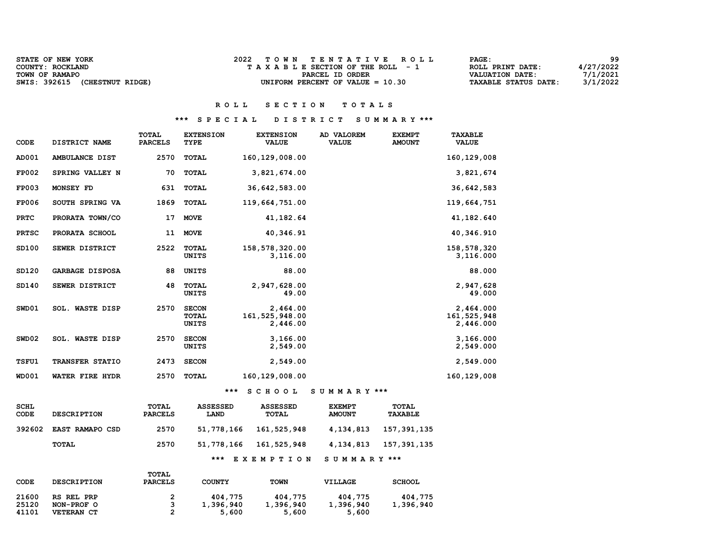| <b>STATE OF NEW YORK</b>         | TOWN TENTATIVE ROLL                | <b>PAGE :</b>               | 99        |
|----------------------------------|------------------------------------|-----------------------------|-----------|
| COUNTY: ROCKLAND                 | TAXABLE SECTION OF THE ROLL - 1    | ROLL PRINT DATE:            | 4/27/2022 |
| TOWN OF RAMAPO                   | PARCEL ID ORDER                    | <b>VALUATION DATE:</b>      | 7/1/2021  |
| SWIS: 392615<br>(CHESTNUT RIDGE) | UNIFORM PERCENT OF VALUE $= 10.30$ | <b>TAXABLE STATUS DATE:</b> | 3/1/2022  |

### \*\*\* S P E C I A L D I S T R I C T S U M M A R Y \*\*\*

| <b>CODE</b>       | DISTRICT NAME          | <b>TOTAL</b><br><b>PARCELS</b> | <b>EXTENSION</b><br>TYPE              | <b>EXTENSION</b><br><b>VALUE</b>       | AD VALOREM<br><b>VALUE</b> | <b>EXEMPT</b><br><b>AMOUNT</b> | <b>TAXABLE</b><br><b>VALUE</b>        |
|-------------------|------------------------|--------------------------------|---------------------------------------|----------------------------------------|----------------------------|--------------------------------|---------------------------------------|
| AD001             | AMBULANCE DIST         | 2570                           | TOTAL                                 | 160, 129, 008.00                       |                            |                                | 160, 129, 008                         |
| <b>FP002</b>      | SPRING VALLEY N        | 70                             | <b>TOTAL</b>                          | 3,821,674.00                           |                            |                                | 3,821,674                             |
| <b>FP003</b>      | MONSEY FD              | 631                            | TOTAL                                 | 36,642,583.00                          |                            |                                | 36,642,583                            |
| <b>FP006</b>      | SOUTH SPRING VA        | 1869                           | TOTAL                                 | 119,664,751.00                         |                            |                                | 119,664,751                           |
| <b>PRTC</b>       | PRORATA TOWN/CO        | 17                             | <b>MOVE</b>                           | 41,182.64                              |                            |                                | 41,182.640                            |
| <b>PRTSC</b>      | PRORATA SCHOOL         | 11                             | <b>MOVE</b>                           | 40,346.91                              |                            |                                | 40,346.910                            |
| SD100             | SEWER DISTRICT         | 2522                           | <b>TOTAL</b><br>UNITS                 | 158,578,320.00<br>3,116.00             |                            |                                | 158,578,320<br>3,116.000              |
| SD120             | <b>GARBAGE DISPOSA</b> | 88                             | <b>UNITS</b>                          | 88.00                                  |                            |                                | 88.000                                |
| SD140             | SEWER DISTRICT         | 48                             | <b>TOTAL</b><br>UNITS                 | 2,947,628.00<br>49.00                  |                            |                                | 2,947,628<br>49.000                   |
| SWD01             | <b>SOL. WASTE DISP</b> | 2570                           | <b>SECON</b><br><b>TOTAL</b><br>UNITS | 2,464.00<br>161,525,948.00<br>2,446.00 |                            |                                | 2,464.000<br>161,525,948<br>2,446.000 |
| SWD <sub>02</sub> | <b>SOL. WASTE DISP</b> | 2570                           | <b>SECON</b><br><b>UNITS</b>          | 3,166.00<br>2,549.00                   |                            |                                | 3,166.000<br>2,549.000                |
| <b>TSFU1</b>      | TRANSFER STATIO        | 2473                           | <b>SECON</b>                          | 2,549.00                               |                            |                                | 2,549.000                             |
| <b>WD001</b>      | WATER FIRE HYDR        | 2570                           | <b>TOTAL</b>                          | 160, 129, 008.00                       |                            |                                | 160, 129, 008                         |

### \*\*\* S C H O O L S U M M A R Y \*\*\*

| SCHL   |                        | TOTAL          | <b>ASSESSED</b> | <b>ASSESSED</b>        | <b>EXEMPT</b> | TOTAL          |
|--------|------------------------|----------------|-----------------|------------------------|---------------|----------------|
| CODE   | <b>DESCRIPTION</b>     | <b>PARCELS</b> | LAND            | TOTAL                  | <b>AMOUNT</b> | <b>TAXABLE</b> |
| 392602 | <b>EAST RAMAPO CSD</b> | 2570           | 51,778,166      | 161,525,948            | 4,134,813     | 157,391,135    |
|        | TOTAL                  | 2570           |                 | 51,778,166 161,525,948 | 4,134,813     | 157,391,135    |
|        |                        |                | ***             | EXEMPTION              | SUMMARY ***   |                |

| CODE  | <b>DESCRIPTION</b> | <b>TOTAL</b><br><b>PARCELS</b> | COUNTY    | <b>TOWN</b> | <b>VILLAGE</b> | <b>SCHOOL</b> |
|-------|--------------------|--------------------------------|-----------|-------------|----------------|---------------|
| 21600 | RS REL PRP         |                                | 404,775   | 404,775     | 404,775        | 404,775       |
| 25120 | NON-PROF O         |                                | 1,396,940 | 1,396,940   | 1,396,940      | 1,396,940     |
| 41101 | <b>VETERAN CT</b>  | 2                              | 5,600     | 5,600       | 5,600          |               |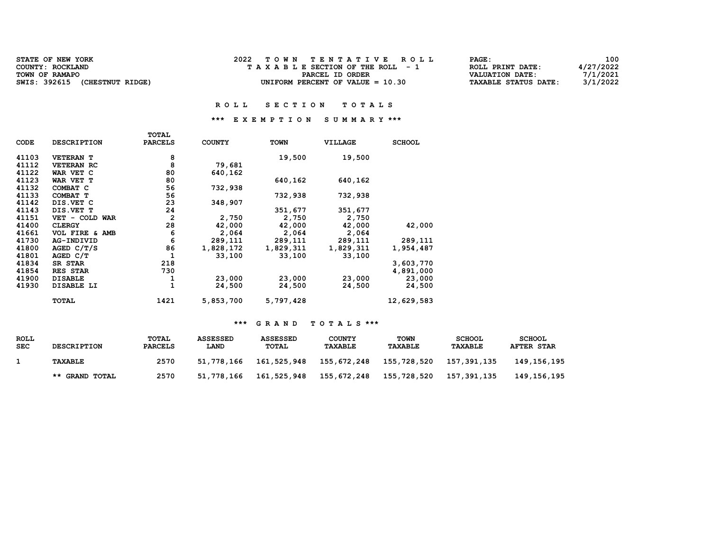| STATE OF NEW YORK                | 2022<br>TOWN TENTATIVE ROLL        | PAGE:                  | 100       |
|----------------------------------|------------------------------------|------------------------|-----------|
| COUNTY: ROCKLAND                 | TAXABLE SECTION OF THE ROLL - 1    | ROLL PRINT DATE:       | 4/27/2022 |
| TOWN OF RAMAPO                   | PARCEL ID ORDER                    | <b>VALUATION DATE:</b> | 7/1/2021  |
| SWIS: 392615<br>(CHESTNUT RIDGE) | UNIFORM PERCENT OF VALUE $= 10.30$ | TAXABLE STATUS DATE:   | 3/1/2022  |

### \*\*\* E X E M P T I O N S U M M A R Y \*\*\*

|       |                    | <b>TOTAL</b>   |               |             |                |               |
|-------|--------------------|----------------|---------------|-------------|----------------|---------------|
| CODE  | <b>DESCRIPTION</b> | <b>PARCELS</b> | <b>COUNTY</b> | <b>TOWN</b> | <b>VILLAGE</b> | <b>SCHOOL</b> |
| 41103 | <b>VETERAN T</b>   | 8              |               | 19,500      | 19,500         |               |
| 41112 | <b>VETERAN RC</b>  | 8              | 79,681        |             |                |               |
| 41122 | WAR VET C          | 80             | 640,162       |             |                |               |
| 41123 | WAR VET T          | 80             |               | 640,162     | 640,162        |               |
| 41132 | COMBAT C           | 56             | 732,938       |             |                |               |
| 41133 | COMBAT T           | 56             |               | 732,938     | 732,938        |               |
| 41142 | DIS.VET C          | 23             | 348,907       |             |                |               |
| 41143 | DIS.VET T          | 24             |               | 351,677     | 351,677        |               |
| 41151 | VET - COLD WAR     | $\overline{2}$ | 2,750         | 2,750       | 2,750          |               |
| 41400 | <b>CLERGY</b>      | 28             | 42,000        | 42,000      | 42,000         | 42,000        |
| 41661 | VOL FIRE & AMB     | 6              | 2,064         | 2,064       | 2,064          |               |
| 41730 | AG-INDIVID         | 6              | 289,111       | 289,111     | 289,111        | 289,111       |
| 41800 | AGED $C/T/S$       | 86             | 1,828,172     | 1,829,311   | 1,829,311      | 1,954,487     |
| 41801 | AGED C/T           | 1              | 33,100        | 33,100      | 33,100         |               |
| 41834 | SR STAR            | 218            |               |             |                | 3,603,770     |
| 41854 | RES STAR           | 730            |               |             |                | 4,891,000     |
| 41900 | <b>DISABLE</b>     | 1              | 23,000        | 23,000      | 23,000         | 23,000        |
| 41930 | DISABLE LI         | $\mathbf{1}$   | 24,500        | 24,500      | 24,500         | 24,500        |
|       | <b>TOTAL</b>       | 1421           | 5,853,700     | 5,797,428   |                | 12,629,583    |

| <b>ROLL</b><br><b>SEC</b> | <b>DESCRIPTION</b> | TOTAL<br><b>PARCELS</b> | <b>ASSESSED</b><br><b>LAND</b> | ASSESSED<br><b>TOTAL</b> | <b>COUNTY</b><br>TAXABLE | <b>TOWN</b><br><b>TAXABLE</b> | <b>SCHOOL</b><br>TAXABLE | <b>SCHOOL</b><br><b>AFTER STAR</b> |
|---------------------------|--------------------|-------------------------|--------------------------------|--------------------------|--------------------------|-------------------------------|--------------------------|------------------------------------|
|                           | TAXABLE            | 2570                    | 51,778,166                     | 161,525,948              | 155,672,248              | 155,728,520                   | 157,391,135              | 149, 156, 195                      |
|                           | ** GRAND TOTAL     | 2570                    | 51,778,166                     | 161,525,948              | 155,672,248              | 155,728,520                   | 157,391,135              | 149,156,195                        |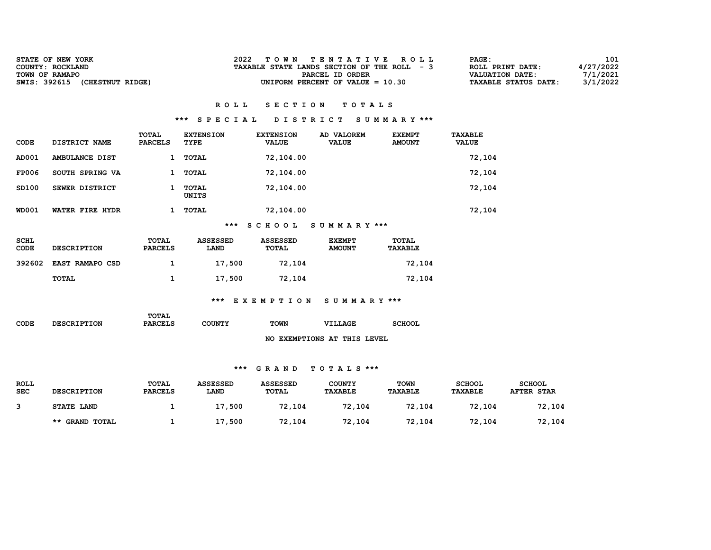| <b>STATE OF NEW YORK</b>         | TOWN TENTATIVE ROLL                         | $\mathtt{PAGE}$ :           | 101       |
|----------------------------------|---------------------------------------------|-----------------------------|-----------|
| COUNTY: ROCKLAND                 | TAXABLE STATE LANDS SECTION OF THE ROLL - 3 | ROLL PRINT DATE:            | 4/27/2022 |
| TOWN OF RAMAPO                   | PARCEL ID ORDER                             | VALUATION DATE:             | 7/1/2021  |
| SWIS: 392615<br>(CHESTNUT RIDGE) | UNIFORM PERCENT OF VALUE = $10.30$          | <b>TAXABLE STATUS DATE:</b> | 3/1/2022  |

### \*\*\* S P E C I A L D I S T R I C T S U M M A R Y \*\*\*

| CODE         | DISTRICT NAME   | TOTAL<br><b>PARCELS</b> | <b>EXTENSION</b><br>TYPE | <b>EXTENSION</b><br><b>VALUE</b> | AD VALOREM<br><b>VALUE</b> | <b>EXEMPT</b><br><b>AMOUNT</b> | <b>TAXABLE</b><br><b>VALUE</b> |
|--------------|-----------------|-------------------------|--------------------------|----------------------------------|----------------------------|--------------------------------|--------------------------------|
| AD001        | AMBULANCE DIST  |                         | TOTAL                    | 72,104.00                        |                            |                                | 72,104                         |
| <b>FP006</b> | SOUTH SPRING VA |                         | TOTAL                    | 72,104.00                        |                            |                                | 72,104                         |
| SD100        | SEWER DISTRICT  |                         | TOTAL<br>UNITS           | 72,104.00                        |                            |                                | 72,104                         |
| <b>WD001</b> | WATER FIRE HYDR |                         | TOTAL                    | 72,104.00                        |                            |                                | 72,104                         |

\*\*\* S C H O O L S U M M A R Y \*\*\*

| SCHL<br><b>CODE</b> | <b>DESCRIPTION</b>     | <b>TOTAL</b><br><b>PARCELS</b> | ASSESSED<br><b>LAND</b> | <b>ASSESSED</b><br>TOTAL | <b>EXEMPT</b><br><b>AMOUNT</b> | <b>TOTAL</b><br><b>TAXABLE</b> |
|---------------------|------------------------|--------------------------------|-------------------------|--------------------------|--------------------------------|--------------------------------|
| 392602              | <b>EAST RAMAPO CSD</b> |                                | 17,500                  | 72,104                   |                                | 72,104                         |
|                     | TOTAL                  |                                | 17,500                  | 72,104                   |                                | 72,104                         |

## \*\*\* E X E M P T I O N S U M M A R Y \*\*\*

| CODE | <b>DESCRIPTION</b> | TOTAL<br><b>PARCELS</b> | <b>COUNTY</b> | <b>TOWN</b> | <b>VILLAGE</b>              | <b>SCHOOL</b> |
|------|--------------------|-------------------------|---------------|-------------|-----------------------------|---------------|
|      |                    |                         |               |             | NO EXEMPTIONS AT THIS LEVEL |               |

| <b>ROLL</b><br><b>SEC</b> | <b>DESCRIPTION</b>    | TOTAL<br><b>PARCELS</b> | <b>ASSESSED</b><br><b>LAND</b> | <b>ASSESSED</b><br>TOTAL | <b>COUNTY</b><br>TAXABLE | <b>TOWN</b><br><b>TAXABLE</b> | <b>SCHOOL</b><br><b>TAXABLE</b> | <b>SCHOOL</b><br><b>AFTER STAR</b> |
|---------------------------|-----------------------|-------------------------|--------------------------------|--------------------------|--------------------------|-------------------------------|---------------------------------|------------------------------------|
|                           | <b>STATE LAND</b>     |                         | 17,500                         | 72,104                   | 72,104                   | 72,104                        | 72,104                          | 72,104                             |
|                           | <b>** GRAND TOTAL</b> |                         | 17,500                         | 72,104                   | 72,104                   | 72,104                        | 72,104                          | 72,104                             |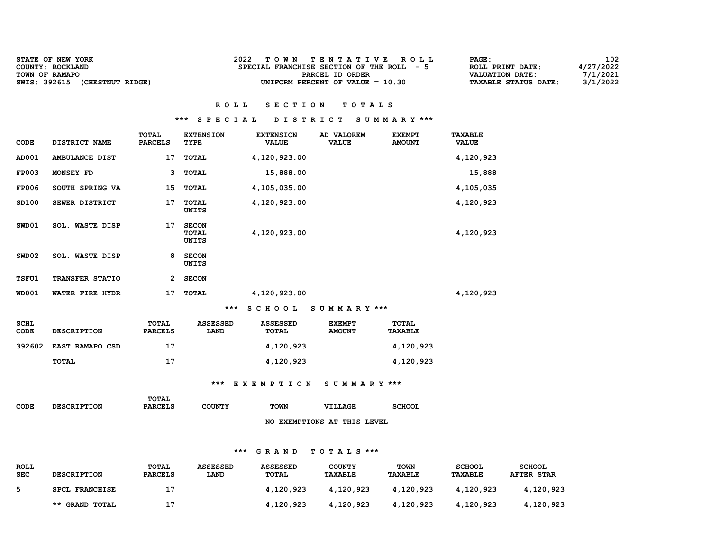| <b>STATE OF NEW YORK</b>         | 2022<br>TOWN TENTATIVE ROLL                | PAGE:                  | 102       |
|----------------------------------|--------------------------------------------|------------------------|-----------|
| COUNTY: ROCKLAND                 | SPECIAL FRANCHISE SECTION OF THE ROLL $-5$ | ROLL PRINT DATE:       | 4/27/2022 |
| TOWN OF RAMAPO                   | PARCEL ID ORDER                            | <b>VALUATION DATE:</b> | 7/1/2021  |
| SWIS: 392615<br>(CHESTNUT RIDGE) | UNIFORM PERCENT OF VALUE $= 10.30$         | TAXABLE STATUS DATE:   | 3/1/2022  |

### \*\*\* S P E C I A L D I S T R I C T S U M M A R Y \*\*\*

| CODE                | DISTRICT NAME          | <b>TOTAL</b><br><b>PARCELS</b> | <b>EXTENSION</b><br>TYPE              | <b>EXTENSION</b><br><b>VALUE</b> | AD VALOREM<br><b>VALUE</b>     | <b>EXEMPT</b><br><b>AMOUNT</b> | <b>TAXABLE</b><br><b>VALUE</b> |
|---------------------|------------------------|--------------------------------|---------------------------------------|----------------------------------|--------------------------------|--------------------------------|--------------------------------|
| AD001               | AMBULANCE DIST         | 17                             | <b>TOTAL</b>                          | 4,120,923.00                     |                                |                                | 4,120,923                      |
| <b>FP003</b>        | MONSEY FD              | 3                              | <b>TOTAL</b>                          | 15,888.00                        |                                |                                | 15,888                         |
| <b>FP006</b>        | SOUTH SPRING VA        | 15                             | <b>TOTAL</b>                          | 4,105,035.00                     |                                |                                | 4,105,035                      |
| SD100               | SEWER DISTRICT         | 17                             | <b>TOTAL</b><br>UNITS                 | 4,120,923.00                     |                                |                                | 4,120,923                      |
| SWD01               | <b>SOL. WASTE DISP</b> | 17                             | <b>SECON</b><br><b>TOTAL</b><br>UNITS | 4,120,923.00                     |                                |                                | 4,120,923                      |
| SWD02               | SOL. WASTE DISP        | 8                              | <b>SECON</b><br>UNITS                 |                                  |                                |                                |                                |
| TSFU1               | TRANSFER STATIO        | 2                              | <b>SECON</b>                          |                                  |                                |                                |                                |
| <b>WD001</b>        | WATER FIRE HYDR        | 17                             | TOTAL                                 | 4,120,923.00                     |                                |                                | 4,120,923                      |
|                     |                        |                                | $***$                                 | <b>SCHOOL</b>                    | SUMMARY ***                    |                                |                                |
| <b>SCHL</b><br>CODE | <b>DESCRIPTION</b>     | <b>TOTAL</b><br><b>PARCELS</b> | <b>ASSESSED</b><br>LAND               | <b>ASSESSED</b><br>TOTAL         | <b>EXEMPT</b><br><b>AMOUNT</b> | <b>TOTAL</b><br><b>TAXABLE</b> |                                |

| 392602 EAST RAMAPO CSD | 4,120,923 | 4,120,923 |
|------------------------|-----------|-----------|
| TOTAL                  | 4,120,923 | 4,120,923 |

### \*\*\* E X E M P T I O N S U M M A R Y \*\*\*

|      |                    | TOTAL          |               |             |                             |               |
|------|--------------------|----------------|---------------|-------------|-----------------------------|---------------|
| CODE | <b>DESCRIPTION</b> | <b>PARCELS</b> | <b>COUNTY</b> | <b>TOWN</b> | VILLAGE                     | <b>SCHOOL</b> |
|      |                    |                |               |             |                             |               |
|      |                    |                |               |             | NO EXEMPTIONS AT THIS LEVEL |               |

| <b>ROLL</b><br><b>SEC</b> | <b>DESCRIPTION</b>    | TOTAL<br><b>PARCELS</b> | <b>ASSESSED</b><br><b>LAND</b> | <b>ASSESSED</b><br>TOTAL | <b>COUNTY</b><br><b>TAXABLE</b> | <b>TOWN</b><br><b>TAXABLE</b> | <b>SCHOOL</b><br>TAXABLE | <b>SCHOOL</b><br><b>AFTER STAR</b> |
|---------------------------|-----------------------|-------------------------|--------------------------------|--------------------------|---------------------------------|-------------------------------|--------------------------|------------------------------------|
| 5.                        | <b>SPCL FRANCHISE</b> | 17                      |                                | 4,120,923                | 4,120,923                       | 4,120,923                     | 4,120,923                | 4,120,923                          |
|                           | ** GRAND TOTAL        |                         |                                | 4,120,923                | 4,120,923                       | 4,120,923                     | 4,120,923                | 4,120,923                          |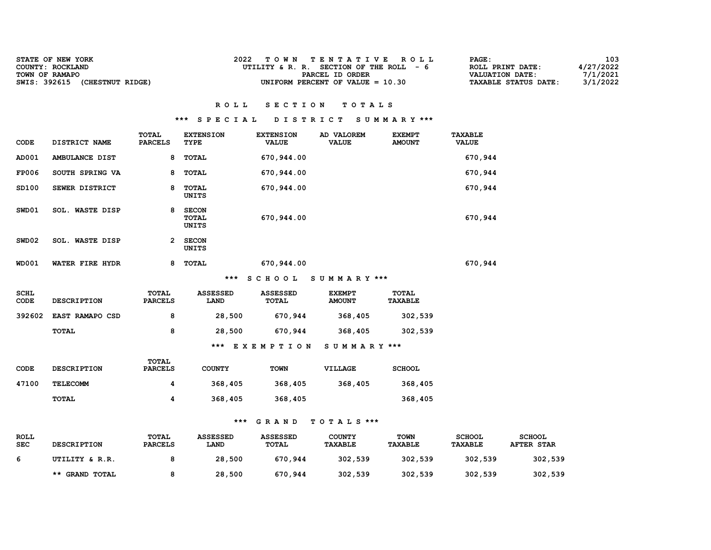| STATE OF NEW YORK<br>COUNTY: ROCKLAND              | TOWN TENTATIVE ROLL<br>UTILITY & R. R. SECTION OF THE ROLL - 6 | 103<br>PAGE:<br>4/27/2022<br>ROLL PRINT DATE:                          |
|----------------------------------------------------|----------------------------------------------------------------|------------------------------------------------------------------------|
| TOWN OF RAMAPO<br>SWIS: 392615<br>(CHESTNUT RIDGE) | PARCEL ID ORDER<br>UNIFORM PERCENT OF VALUE = $10.30$          | 7/1/2021<br>VALUATION DATE:<br>3/1/2022<br><b>TAXABLE STATUS DATE:</b> |

## R O L L S E C T I O N T O T A L S

### \*\*\* S P E C I A L D I S T R I C T S U M M A R Y \*\*\*

| CODE         | DISTRICT NAME          | TOTAL<br><b>PARCELS</b> | <b>EXTENSION</b><br><b>TYPE</b> | <b>EXTENSION</b><br><b>VALUE</b> | AD VALOREM<br><b>VALUE</b> | <b>EXEMPT</b><br><b>AMOUNT</b> | <b>TAXABLE</b><br><b>VALUE</b> |
|--------------|------------------------|-------------------------|---------------------------------|----------------------------------|----------------------------|--------------------------------|--------------------------------|
| AD001        | AMBULANCE DIST         | 8                       | <b>TOTAL</b>                    | 670,944.00                       |                            |                                | 670,944                        |
| <b>FP006</b> | SOUTH SPRING VA        | 8                       | <b>TOTAL</b>                    | 670,944.00                       |                            |                                | 670,944                        |
| SD100        | SEWER DISTRICT         | 8                       | <b>TOTAL</b><br>UNITS           | 670,944.00                       |                            |                                | 670,944                        |
| SWD01        | <b>SOL. WASTE DISP</b> | 8                       | <b>SECON</b><br>TOTAL<br>UNITS  | 670,944.00                       |                            |                                | 670,944                        |
| SWD02        | <b>SOL. WASTE DISP</b> | 2                       | <b>SECON</b><br><b>UNITS</b>    |                                  |                            |                                |                                |
| <b>WD001</b> | WATER FIRE HYDR        | 8                       | TOTAL                           | 670,944.00                       |                            |                                | 670,944                        |
|              |                        |                         | ***                             | <b>SCHOOL</b>                    | SUMMARY ***                |                                |                                |

| <b>SCHL</b><br>CODE | <b>DESCRIPTION</b>     | TOTAL<br><b>PARCELS</b> | <b>ASSESSED</b><br><b>LAND</b> | <b>ASSESSED</b><br>TOTAL | <b>EXEMPT</b><br><b>AMOUNT</b> | TOTAL<br>TAXABLE |
|---------------------|------------------------|-------------------------|--------------------------------|--------------------------|--------------------------------|------------------|
| 392602              | <b>EAST RAMAPO CSD</b> | 8                       | 28,500                         | 670,944                  | 368,405                        | 302,539          |
|                     | TOTAL                  | 8                       | 28,500                         | 670,944                  | 368,405                        | 302,539          |
|                     |                        |                         | ***                            | EXEMPTION                | SUMMARY ***                    |                  |

| CODE  | <b>DESCRIPTION</b> | TOTAL<br><b>PARCELS</b> | <b>COUNTY</b> | <b>TOWN</b> | VILLAGE | <b>SCHOOL</b> |
|-------|--------------------|-------------------------|---------------|-------------|---------|---------------|
| 47100 | <b>TELECOMM</b>    | 4                       | 368,405       | 368,405     | 368,405 | 368,405       |
|       | TOTAL              | 4                       | 368,405       | 368,405     |         | 368,405       |

| <b>ROLL</b><br><b>SEC</b> | <b>DESCRIPTION</b> | TOTAL<br><b>PARCELS</b> | <b>ASSESSED</b><br><b>LAND</b> | <b>ASSESSED</b><br>TOTAL | COUNTY<br>TAXABLE | <b>TOWN</b><br><b>TAXABLE</b> | <b>SCHOOL</b><br>TAXABLE | <b>SCHOOL</b><br><b>AFTER STAR</b> |
|---------------------------|--------------------|-------------------------|--------------------------------|--------------------------|-------------------|-------------------------------|--------------------------|------------------------------------|
| 6                         | UTILITY & R.R.     |                         | 28,500                         | 670,944                  | 302,539           | 302,539                       | 302,539                  | 302,539                            |
|                           | ** GRAND TOTAL     |                         | 28,500                         | 670,944                  | 302,539           | 302,539                       | 302,539                  | 302,539                            |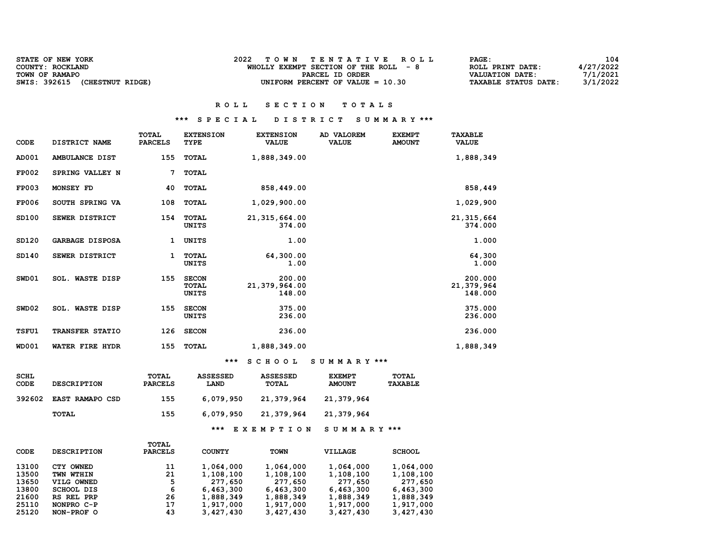| STATE OF NEW YORK                | TOWN TENTATIVE ROLL                   | 104<br>PAGE:                            |
|----------------------------------|---------------------------------------|-----------------------------------------|
| COUNTY: ROCKLAND                 | WHOLLY EXEMPT SECTION OF THE ROLL - 8 | 4/27/2022<br>ROLL PRINT DATE:           |
| TOWN OF RAMAPO                   | PARCEL ID ORDER                       | 7/1/2021<br>VALUATION DATE:             |
| SWIS: 392615<br>(CHESTNUT RIDGE) | UNIFORM PERCENT OF VALUE $= 10.30$    | 3/1/2022<br><b>TAXABLE STATUS DATE:</b> |

## \*\*\* S P E C I A L D I S T R I C T S U M M A R Y \*\*\*

| CODE                       | DISTRICT NAME          | <b>TOTAL</b><br><b>PARCELS</b> | <b>EXTENSION</b><br>TYPE                     | <b>EXTENSION</b><br><b>VALUE</b>  | AD VALOREM<br><b>VALUE</b>     | <b>EXEMPT</b><br><b>AMOUNT</b> | <b>TAXABLE</b><br><b>VALUE</b>   |
|----------------------------|------------------------|--------------------------------|----------------------------------------------|-----------------------------------|--------------------------------|--------------------------------|----------------------------------|
| AD001                      | AMBULANCE DIST         | 155                            | <b>TOTAL</b>                                 | 1,888,349.00                      |                                |                                | 1,888,349                        |
| <b>FP002</b>               | SPRING VALLEY N        | 7                              | <b>TOTAL</b>                                 |                                   |                                |                                |                                  |
| <b>FP003</b>               | MONSEY FD              | 40                             | <b>TOTAL</b>                                 | 858,449.00                        |                                |                                | 858,449                          |
| <b>FP006</b>               | SOUTH SPRING VA        | 108                            | <b>TOTAL</b>                                 | 1,029,900.00                      |                                |                                | 1,029,900                        |
| SD100                      | SEWER DISTRICT         | 154                            | <b>TOTAL</b><br><b>UNITS</b>                 | 21, 315, 664.00<br>374.00         |                                |                                | 21, 315, 664<br>374.000          |
| SD120                      | <b>GARBAGE DISPOSA</b> | 1                              | UNITS                                        | 1.00                              |                                |                                | 1.000                            |
| SD140                      | SEWER DISTRICT         | 1                              | <b>TOTAL</b><br><b>UNITS</b>                 | 64,300.00<br>1.00                 |                                |                                | 64,300<br>1.000                  |
| SWD01                      | <b>SOL. WASTE DISP</b> | 155                            | <b>SECON</b><br><b>TOTAL</b><br><b>UNITS</b> | 200.00<br>21,379,964.00<br>148.00 |                                |                                | 200.000<br>21,379,964<br>148.000 |
| SWD02                      | <b>SOL. WASTE DISP</b> | 155                            | <b>SECON</b><br>UNITS                        | 375.00<br>236.00                  |                                |                                | 375.000<br>236.000               |
| TSFU1                      | TRANSFER STATIO        | 126                            | <b>SECON</b>                                 | 236.00                            |                                |                                | 236.000                          |
| <b>WD001</b>               | WATER FIRE HYDR        | 155                            | <b>TOTAL</b>                                 | 1,888,349.00                      |                                |                                | 1,888,349                        |
|                            |                        |                                | ***                                          | <b>SCHOOL</b>                     | SUMMARY ***                    |                                |                                  |
| <b>SCHL</b><br><b>CODE</b> | <b>DESCRIPTION</b>     | <b>TOTAL</b><br><b>PARCELS</b> | <b>ASSESSED</b><br>LAND                      | <b>ASSESSED</b><br><b>TOTAL</b>   | <b>EXEMPT</b><br><b>AMOUNT</b> | <b>TOTAL</b><br><b>TAXABLE</b> |                                  |

| CODE   | <b>DESCRIPTION</b>     | <b>PARCELS</b> | LAND      | TOTAL      | <b>AMOUNT</b> | <b>TAXABLE</b> |
|--------|------------------------|----------------|-----------|------------|---------------|----------------|
| 392602 | <b>EAST RAMAPO CSD</b> | 155            | 6,079,950 | 21,379,964 | 21,379,964    |                |
|        | TOTAL                  | 155            | 6,079,950 | 21,379,964 | 21,379,964    |                |

### \*\*\* E X E M P T I O N S U M M A R Y \*\*\*

|       |                    | TOTAL          |               |             |                |               |
|-------|--------------------|----------------|---------------|-------------|----------------|---------------|
| CODE  | <b>DESCRIPTION</b> | <b>PARCELS</b> | <b>COUNTY</b> | <b>TOWN</b> | <b>VILLAGE</b> | <b>SCHOOL</b> |
| 13100 | CTY OWNED          | 11             | 1,064,000     | 1,064,000   | 1,064,000      | 1,064,000     |
| 13500 | TWN WTHIN          | 21             | 1,108,100     | 1,108,100   | 1,108,100      | 1,108,100     |
| 13650 | VILG OWNED         | 5              | 277,650       | 277,650     | 277,650        | 277,650       |
| 13800 | <b>SCHOOL DIS</b>  | 6              | 6,463,300     | 6,463,300   | 6,463,300      | 6,463,300     |
| 21600 | RS REL PRP         | 26             | 1,888,349     | 1,888,349   | 1,888,349      | 1,888,349     |
| 25110 | NONPRO C-P         | 17             | 1,917,000     | 1,917,000   | 1,917,000      | 1,917,000     |
| 25120 | NON-PROF O         | 43             | 3,427,430     | 3,427,430   | 3,427,430      | 3,427,430     |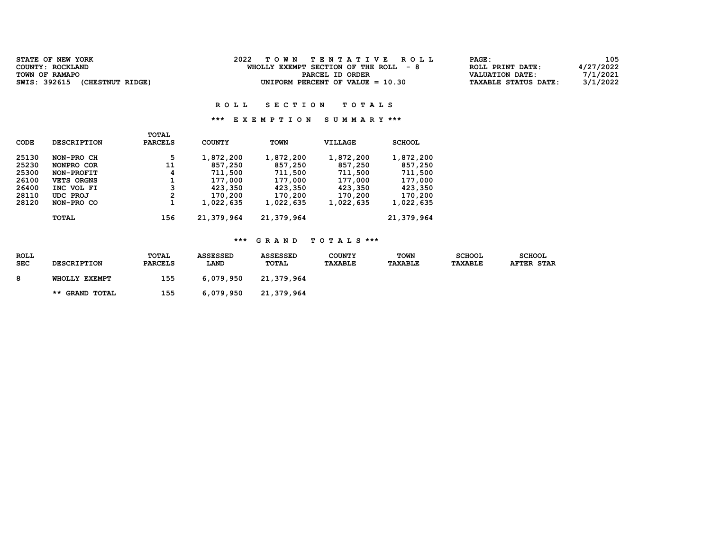| STATE OF NEW YORK                | TOWN TENTATIVE ROLL                   | 105<br>PAGE:                            |
|----------------------------------|---------------------------------------|-----------------------------------------|
| COUNTY: ROCKLAND                 | WHOLLY EXEMPT SECTION OF THE ROLL - 8 | 4/27/2022<br>ROLL PRINT DATE:           |
| TOWN OF RAMAPO                   | PARCEL ID ORDER                       | 7/1/2021<br>VALUATION DATE:             |
| SWIS: 392615<br>(CHESTNUT RIDGE) | UNIFORM PERCENT OF VALUE $= 10.30$    | 3/1/2022<br><b>TAXABLE STATUS DATE:</b> |
|                                  |                                       |                                         |

### \*\*\* E X E M P T I O N S U M M A R Y \*\*\*

|       |                    | TOTAL          |               |             |                |               |
|-------|--------------------|----------------|---------------|-------------|----------------|---------------|
| CODE  | <b>DESCRIPTION</b> | <b>PARCELS</b> | <b>COUNTY</b> | <b>TOWN</b> | <b>VILLAGE</b> | <b>SCHOOL</b> |
| 25130 | NON-PRO CH         | 5              | 1,872,200     | 1,872,200   | 1,872,200      | 1,872,200     |
| 25230 | NONPRO COR         | 11             | 857,250       | 857,250     | 857,250        | 857,250       |
| 25300 | NON-PROFIT         | 4              | 711,500       | 711,500     | 711,500        | 711,500       |
| 26100 | VETS ORGNS         | 1              | 177,000       | 177,000     | 177,000        | 177,000       |
| 26400 | INC VOL FI         | з              | 423,350       | 423,350     | 423,350        | 423,350       |
| 28110 | UDC PROJ           | 2              | 170,200       | 170,200     | 170,200        | 170,200       |
| 28120 | NON-PRO CO         | 1              | 1,022,635     | 1,022,635   | 1,022,635      | 1,022,635     |
|       | <b>TOTAL</b>       | 156            | 21,379,964    | 21,379,964  |                | 21,379,964    |

| <b>ROLL</b><br><b>SEC</b> | <b>DESCRIPTION</b>    | <b>TOTAL</b><br><b>PARCELS</b> | <b>ASSESSED</b><br><b>LAND</b> | <b>ASSESSED</b><br><b>TOTAL</b> | <b>COUNTY</b><br><b>TAXABLE</b> | <b>TOWN</b><br><b>TAXABLE</b> | <b>SCHOOL</b><br>TAXABLE | <b>SCHOOL</b><br><b>AFTER STAR</b> |
|---------------------------|-----------------------|--------------------------------|--------------------------------|---------------------------------|---------------------------------|-------------------------------|--------------------------|------------------------------------|
| 8                         | WHOLLY EXEMPT         | 155                            | 6,079,950                      | 21,379,964                      |                                 |                               |                          |                                    |
|                           | <b>** GRAND TOTAL</b> | 155.                           | 6,079,950                      | 21,379,964                      |                                 |                               |                          |                                    |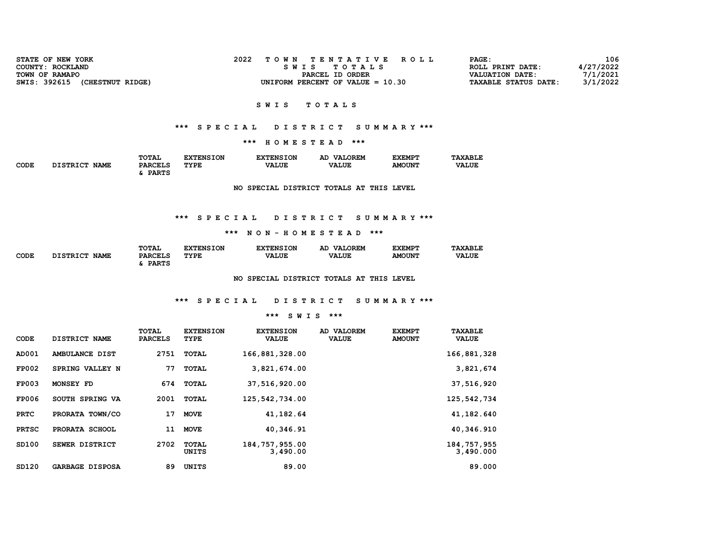| <b>STATE OF NEW YORK</b>         | TOWN TENTATIVE ROLL                | PAGE :                      | 106       |
|----------------------------------|------------------------------------|-----------------------------|-----------|
| COUNTY: ROCKLAND                 | SWIS TOTALS                        | ROLL PRINT DATE:            | 4/27/2022 |
| TOWN OF RAMAPO                   | PARCEL ID ORDER                    | <b>VALUATION DATE:</b>      | 7/1/2021  |
| SWIS: 392615<br>(CHESTNUT RIDGE) | UNIFORM PERCENT OF VALUE $= 10.30$ | <b>TAXABLE STATUS DATE:</b> | 3/1/2022  |

### \*\*\* S P E C I A L D I S T R I C T S U M M A R Y \*\*\*

\*\*\* H O M E S T E A D \*\*\*

|             |                                | TOTAL          | <b>'XTENSION</b> | <b>EXTENSION</b> | <b>VALOREM</b><br>AD | <b>EXEMPT</b> | <b>TAXABLE</b> |
|-------------|--------------------------------|----------------|------------------|------------------|----------------------|---------------|----------------|
| CODE<br>- - | <b>DISTRICT</b><br><b>NAME</b> | <b>PARCELS</b> | TYPE             | <b>VALUE</b>     | <b>VALUE</b>         | <b>AMOUNT</b> | <b>VALUE</b>   |
|             |                                | <b>DADTC</b>   |                  |                  |                      |               |                |

NO SPECIAL DISTRICT TOTALS AT THIS LEVEL

### \*\*\* S P E C I A L D I S T R I C T S U M M A R Y \*\*\*

#### \*\*\* N O N - H O M E S T E A D \*\*\*

|             |                           | TOTAL          | <b>NSION</b><br>™TN< . | <b>EXTENSION</b> | LOREM<br>VAT.<br>АC | <b>EXEMPT</b> | <b>TAXABLE</b> |
|-------------|---------------------------|----------------|------------------------|------------------|---------------------|---------------|----------------|
| CODE<br>___ | חמד סחס דר<br><b>NAME</b> | <b>PARCELS</b> | TYPE                   | <b>VALUE</b>     | <b>VALUE</b>        | <b>AMOUNT</b> | <b>VALUE</b>   |
|             |                           | <b>DADMC</b>   |                        |                  |                     |               |                |

NO SPECIAL DISTRICT TOTALS AT THIS LEVEL

# \*\*\* S P E C I A L D I S T R I C T S U M M A R Y \*\*\*

#### \*\*\* S W I S \*\*\*

| CODE         | DISTRICT NAME          | <b>TOTAL</b><br><b>PARCELS</b> | <b>EXTENSION</b><br>TYPE | <b>EXTENSION</b><br><b>VALUE</b> | AD VALOREM<br><b>VALUE</b> | <b>EXEMPT</b><br><b>AMOUNT</b> | <b>TAXABLE</b><br><b>VALUE</b> |
|--------------|------------------------|--------------------------------|--------------------------|----------------------------------|----------------------------|--------------------------------|--------------------------------|
| AD001        | AMBULANCE DIST         | 2751                           | TOTAL                    | 166,881,328.00                   |                            |                                | 166,881,328                    |
| <b>FP002</b> | SPRING VALLEY N        | 77                             | TOTAL                    | 3,821,674.00                     |                            |                                | 3,821,674                      |
| <b>FP003</b> | MONSEY FD              | 674                            | <b>TOTAL</b>             | 37,516,920.00                    |                            |                                | 37,516,920                     |
| <b>FP006</b> | SOUTH SPRING VA        | 2001                           | TOTAL                    | 125,542,734.00                   |                            |                                | 125,542,734                    |
| <b>PRTC</b>  | PRORATA TOWN/CO        | 17                             | <b>MOVE</b>              | 41,182.64                        |                            |                                | 41,182.640                     |
| <b>PRTSC</b> | PRORATA SCHOOL         | 11                             | <b>MOVE</b>              | 40,346.91                        |                            |                                | 40,346.910                     |
| SD100        | SEWER DISTRICT         | 2702                           | <b>TOTAL</b><br>UNITS    | 184, 757, 955.00<br>3,490.00     |                            |                                | 184, 757, 955<br>3,490.000     |
| SD120        | <b>GARBAGE DISPOSA</b> | 89                             | UNITS                    | 89.00                            |                            |                                | 89.000                         |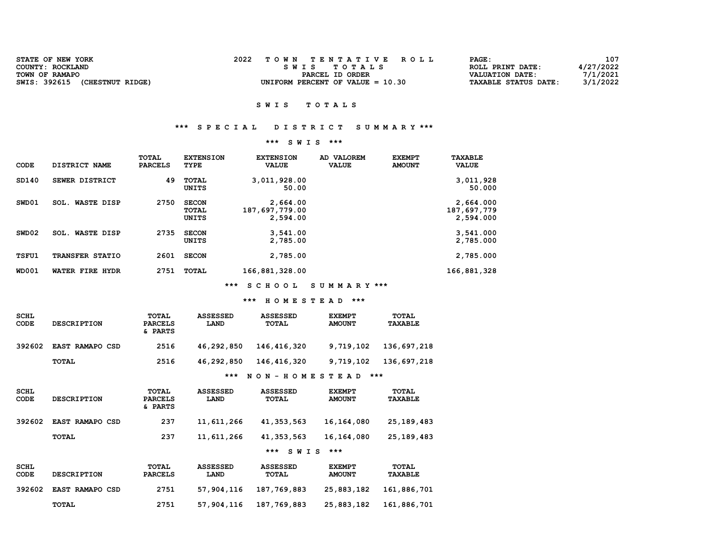| COUNTY: ROCKLAND<br>ROLL PRINT DATE:<br>SWIS TOTALS                                            | STATE OF NEW YORK | TOWN TENTATIVE ROLL | 107<br>PAGE: |
|------------------------------------------------------------------------------------------------|-------------------|---------------------|--------------|
|                                                                                                |                   |                     | 4/27/2022    |
| <b>VALUATION DATE:</b><br>PARCEL ID ORDER                                                      | TOWN OF RAMAPO    |                     | 7/1/2021     |
| SWIS: 392615<br>(CHESTNUT RIDGE)<br>UNIFORM PERCENT OF VALUE $= 10.30$<br>TAXABLE STATUS DATE: |                   |                     | 3/1/2022     |

## \*\*\* S P E C I A L D I S T R I C T S U M M A R Y \*\*\*

### \*\*\* S W I S \*\*\*

| CODE         | DISTRICT NAME             | TOTAL<br><b>PARCELS</b> | <b>EXTENSION</b><br>TYPE       | <b>EXTENSION</b><br><b>VALUE</b>       | AD VALOREM<br><b>VALUE</b> | <b>EXEMPT</b><br><b>AMOUNT</b> | <b>TAXABLE</b><br><b>VALUE</b>        |
|--------------|---------------------------|-------------------------|--------------------------------|----------------------------------------|----------------------------|--------------------------------|---------------------------------------|
| SD140        | SEWER DISTRICT            | 49                      | TOTAL<br>UNITS                 | 3,011,928.00<br>50.00                  |                            |                                | 3,011,928<br>50.000                   |
| SWD01        | <b>WASTE DISP</b><br>SOL. | 2750                    | <b>SECON</b><br>TOTAL<br>UNITS | 2,664.00<br>187,697,779.00<br>2,594.00 |                            |                                | 2,664.000<br>187,697,779<br>2,594.000 |
| SWD02        | <b>WASTE DISP</b><br>SOL. | 2735                    | <b>SECON</b><br>UNITS          | 3,541.00<br>2,785.00                   |                            |                                | 3,541.000<br>2,785.000                |
| <b>TSFU1</b> | <b>TRANSFER STATIO</b>    | 2601                    | <b>SECON</b>                   | 2,785.00                               |                            |                                | 2,785.000                             |
| <b>WD001</b> | WATER FIRE HYDR           | 2751                    | TOTAL                          | 166,881,328.00                         |                            |                                | 166,881,328                           |

\*\*\* S C H O O L S U M M A R Y \*\*\*

### \*\*\* H O M E S T E A D \*\*\*

| <b>SCHL</b><br><b>CODE</b> | <b>DESCRIPTION</b>     | TOTAL<br><b>PARCELS</b><br>& PARTS | <b>ASSESSED</b><br>LAND | <b>ASSESSED</b><br>TOTAL | <b>EXEMPT</b><br><b>AMOUNT</b> | TOTAL<br><b>TAXABLE</b> |
|----------------------------|------------------------|------------------------------------|-------------------------|--------------------------|--------------------------------|-------------------------|
| 392602                     | <b>EAST RAMAPO CSD</b> | 2516                               | 46,292,850              | 146,416,320              | 9,719,102                      | 136,697,218             |
|                            | TOTAL                  | 2516                               | 46,292,850              | 146,416,320              | 9,719,102                      | 136,697,218             |
|                            |                        |                                    | ***                     | NON - HOMESTEAD          | ***                            |                         |

| <b>SCHL</b><br>CODE | <b>DESCRIPTION</b>     | TOTAL<br><b>PARCELS</b><br>& PARTS | <b>ASSESSED</b><br>LAND | <b>ASSESSED</b><br>TOTAL | <b>EXEMPT</b><br><b>AMOUNT</b> | <b>TOTAL</b><br><b>TAXABLE</b> |
|---------------------|------------------------|------------------------------------|-------------------------|--------------------------|--------------------------------|--------------------------------|
| 392602              | <b>EAST RAMAPO CSD</b> | 237                                | 11,611,266              | 41,353,563               | 16,164,080                     | 25, 189, 483                   |
|                     | TOTAL                  | 237                                | 11,611,266              | 41,353,563               | 16,164,080                     | 25,189,483                     |
|                     |                        |                                    |                         | ***<br><b>SWIS</b>       | ***                            |                                |

| <b>SCHL</b><br>CODE | <b>DESCRIPTION</b> | TOTAL<br><b>PARCELS</b> | <b>ASSESSED</b><br><b>LAND</b> | <b>ASSESSED</b><br>TOTAL | <b>EXEMPT</b><br><b>AMOUNT</b> | <b>TOTAL</b><br><b>TAXABLE</b> |
|---------------------|--------------------|-------------------------|--------------------------------|--------------------------|--------------------------------|--------------------------------|
| 392602              | EAST RAMAPO CSD    | 2751                    | 57,904,116                     | 187,769,883              | 25,883,182                     | 161,886,701                    |
|                     | <b>TOTAL</b>       | 2751                    | 57,904,116                     | 187,769,883              | 25,883,182                     | 161,886,701                    |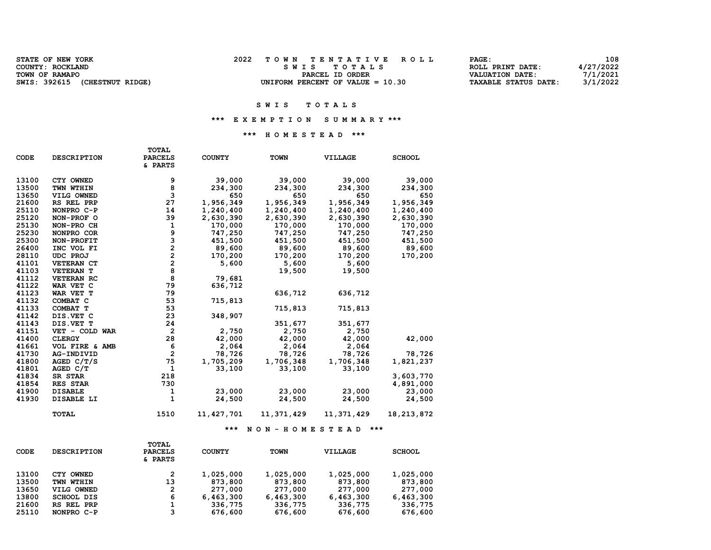| <b>STATE OF NEW YORK</b>         | TOWN TENTATIVE ROLL                | PAGE:                | 108       |
|----------------------------------|------------------------------------|----------------------|-----------|
| COUNTY: ROCKLAND                 | SWIS TOTALS                        | ROLL PRINT DATE:     | 4/27/2022 |
| TOWN OF RAMAPO                   | PARCEL ID ORDER                    | VALUATION DATE:      | 7/1/2021  |
| SWIS: 392615<br>(CHESTNUT RIDGE) | UNIFORM PERCENT OF VALUE $= 10.30$ | TAXABLE STATUS DATE: | 3/1/2022  |

### \*\*\* E X E M P T I O N S U M M A R Y \*\*\*

### \*\*\* H O M E S T E A D \*\*\*

| <b>CODE</b> | <b>DESCRIPTION</b> | <b>PARCELS</b><br>& PARTS | <b>COUNTY</b> | <b>TOWN</b> | VILLAGE    | <b>SCHOOL</b> |
|-------------|--------------------|---------------------------|---------------|-------------|------------|---------------|
|             |                    |                           |               |             |            |               |
| 13100       | CTY OWNED          | 9                         | 39,000        | 39,000      | 39,000     | 39,000        |
| 13500       | TWN WTHIN          | 8                         | 234,300       | 234,300     | 234,300    | 234,300       |
| 13650       | VILG OWNED         | 3                         | 650           | 650         | 650        | 650           |
| 21600       | RS REL PRP         | 27                        | 1,956,349     | 1,956,349   | 1,956,349  | 1,956,349     |
| 25110       | NONPRO C-P         | 14                        | 1,240,400     | 1,240,400   | 1,240,400  | 1,240,400     |
| 25120       | NON-PROF O         | 39                        | 2,630,390     | 2,630,390   | 2,630,390  | 2,630,390     |
| 25130       | NON-PRO CH         | 1                         | 170,000       | 170,000     | 170,000    | 170,000       |
| 25230       | NONPRO COR         | 9                         | 747,250       | 747,250     | 747,250    | 747,250       |
| 25300       | NON-PROFIT         |                           | 451,500       | 451,500     | 451,500    | 451,500       |
| 26400       | INC VOL FI         |                           | 89,600        | 89,600      | 89,600     | 89,600        |
| 28110       | UDC PROJ           | 3228                      | 170,200       | 170,200     | 170,200    | 170,200       |
| 41101       | VETERAN CT         |                           | 5,600         | 5,600       | 5,600      |               |
| 41103       | <b>VETERAN T</b>   |                           |               | 19,500      | 19,500     |               |
| 41112       | <b>VETERAN RC</b>  | 8                         | 79,681        |             |            |               |
| 41122       | WAR VET C          | 79                        | 636,712       |             |            |               |
| 41123       | WAR VET T          | 79                        |               | 636,712     | 636,712    |               |
| 41132       | COMBAT C           | 53                        | 715,813       |             |            |               |
| 41133       | COMBAT T           | 53                        |               | 715,813     | 715,813    |               |
| 41142       | DIS.VET C          | 23                        | 348,907       |             |            |               |
| 41143       | DIS.VET T          | 24                        |               | 351,677     | 351,677    |               |
| 41151       | VET - COLD WAR     | 2                         | 2,750         | 2,750       | 2,750      |               |
| 41400       | <b>CLERGY</b>      | 28                        | 42,000        | 42,000      | 42,000     | 42,000        |
| 41661       | VOL FIRE & AMB     | 6                         | 2,064         | 2,064       | 2,064      |               |
| 41730       | AG-INDIVID         | $\overline{2}$            | 78,726        | 78,726      | 78,726     | 78,726        |
| 41800       | AGED $C/T/S$       | 75                        | 1,705,209     | 1,706,348   | 1,706,348  | 1,821,237     |
| 41801       | AGED C/T           | $\mathbf{1}$              | 33,100        | 33,100      | 33,100     |               |
| 41834       | SR STAR            | 218                       |               |             |            | 3,603,770     |
| 41854       | <b>RES STAR</b>    | 730                       |               |             |            | 4,891,000     |
| 41900       | <b>DISABLE</b>     | 1                         | 23,000        | 23,000      | 23,000     | 23,000        |
| 41930       | DISABLE LI         | $\mathbf{1}$              | 24,500        | 24,500      | 24,500     | 24,500        |
|             | <b>TOTAL</b>       | 1510                      | 11,427,701    | 11,371,429  | 11,371,429 | 18,213,872    |

TOTAL

### \*\*\* N O N - H O M E S T E A D \*\*\*

| CODE  | <b>DESCRIPTION</b> | TOTAL<br><b>PARCELS</b><br>& PARTS | <b>COUNTY</b> | <b>TOWN</b> | <b>VILLAGE</b> | <b>SCHOOL</b> |
|-------|--------------------|------------------------------------|---------------|-------------|----------------|---------------|
| 13100 | CTY OWNED          | 2                                  | 1,025,000     | 1,025,000   | 1,025,000      | 1,025,000     |
| 13500 | TWN WTHIN          | 13                                 | 873,800       | 873,800     | 873,800        | 873,800       |
| 13650 | VILG OWNED         | 2                                  | 277,000       | 277,000     | 277,000        | 277,000       |
| 13800 | <b>SCHOOL DIS</b>  | 6                                  | 6,463,300     | 6,463,300   | 6,463,300      | 6,463,300     |
| 21600 | RS REL PRP         | 1                                  | 336,775       | 336,775     | 336,775        | 336,775       |
| 25110 | NONPRO C-P         | 3                                  | 676,600       | 676,600     | 676,600        | 676,600       |
|       |                    |                                    |               |             |                |               |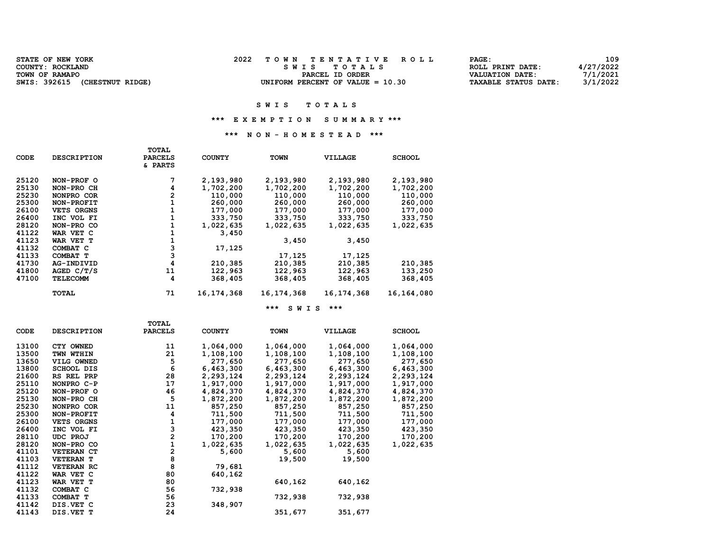| <b>STATE OF NEW YORK</b>         | TOWN TENTATIVE ROLL                | PAGE:                | 109       |
|----------------------------------|------------------------------------|----------------------|-----------|
| COUNTY: ROCKLAND                 | SWIS TOTALS                        | ROLL PRINT DATE:     | 4/27/2022 |
| TOWN OF RAMAPO                   | PARCEL ID ORDER                    | VALUATION DATE:      | 7/1/2021  |
| SWIS: 392615<br>(CHESTNUT RIDGE) | UNIFORM PERCENT OF VALUE $= 10.30$ | TAXABLE STATUS DATE: | 3/1/2022  |

### \*\*\* E X E M P T I O N S U M M A R Y \*\*\*

### \*\*\* N O N - H O M E S T E A D \*\*\*

| <b>CODE</b> | <b>DESCRIPTION</b> | TOTAL<br><b>PARCELS</b><br>& PARTS | <b>COUNTY</b> | <b>TOWN</b>  | <b>VILLAGE</b> | <b>SCHOOL</b> |
|-------------|--------------------|------------------------------------|---------------|--------------|----------------|---------------|
| 25120       | NON-PROF O         |                                    | 2,193,980     | 2,193,980    | 2,193,980      | 2,193,980     |
| 25130       | NON-PRO CH         | 4                                  | 1,702,200     | 1,702,200    | 1,702,200      | 1,702,200     |
| 25230       | NONPRO COR         | 2                                  | 110,000       | 110,000      | 110,000        | 110,000       |
| 25300       | NON-PROFIT         |                                    | 260,000       | 260,000      | 260,000        | 260,000       |
| 26100       | <b>VETS ORGNS</b>  |                                    | 177,000       | 177,000      | 177,000        | 177,000       |
| 26400       | INC VOL FI         |                                    | 333,750       | 333,750      | 333,750        | 333,750       |
| 28120       | NON-PRO CO         |                                    | 1,022,635     | 1,022,635    | 1,022,635      | 1,022,635     |
| 41122       | WAR VET C          |                                    | 3,450         |              |                |               |
| 41123       | WAR VET T          |                                    |               | 3,450        | 3,450          |               |
| 41132       | COMBAT C           | 3                                  | 17,125        |              |                |               |
| 41133       | COMBAT T           | 3                                  |               | 17,125       | 17,125         |               |
| 41730       | AG-INDIVID         | 4                                  | 210,385       | 210,385      | 210,385        | 210,385       |
| 41800       | AGED $C/T/S$       | 11                                 | 122,963       | 122,963      | 122,963        | 133,250       |
| 47100       | <b>TELECOMM</b>    | 4                                  | 368,405       | 368,405      | 368,405        | 368,405       |
|             | <b>TOTAL</b>       | 71                                 | 16, 174, 368  | 16, 174, 368 | 16,174,368     | 16,164,080    |
|             |                    |                                    |               | ***<br>S W I | ***<br>s       |               |

|       |                    | TOTAL          |               |             |           |               |
|-------|--------------------|----------------|---------------|-------------|-----------|---------------|
| CODE  | <b>DESCRIPTION</b> | <b>PARCELS</b> | <b>COUNTY</b> | <b>TOWN</b> | VILLAGE   | <b>SCHOOL</b> |
| 13100 | CTY OWNED          | 11             | 1,064,000     | 1,064,000   | 1,064,000 | 1,064,000     |
| 13500 | TWN WTHIN          | 21             | 1,108,100     | 1,108,100   | 1,108,100 | 1,108,100     |
| 13650 | VILG OWNED         | 5              | 277,650       | 277,650     | 277,650   | 277,650       |
| 13800 | <b>SCHOOL DIS</b>  | 6              | 6,463,300     | 6,463,300   | 6,463,300 | 6,463,300     |
| 21600 | RS REL PRP         | 28             | 2,293,124     | 2,293,124   | 2,293,124 | 2,293,124     |
| 25110 | NONPRO C-P         | 17             | 1,917,000     | 1,917,000   | 1,917,000 | 1,917,000     |
| 25120 | NON-PROF O         | 46             | 4,824,370     | 4,824,370   | 4,824,370 | 4,824,370     |
| 25130 | NON-PRO CH         | 5              | 1,872,200     | 1,872,200   | 1,872,200 | 1,872,200     |
| 25230 | NONPRO COR         | 11             | 857,250       | 857,250     | 857,250   | 857,250       |
| 25300 | NON-PROFIT         | 4              | 711,500       | 711,500     | 711,500   | 711,500       |
| 26100 | VETS ORGNS         | $\mathbf{1}$   | 177,000       | 177,000     | 177,000   | 177,000       |
| 26400 | INC VOL FI         | 3              | 423,350       | 423,350     | 423,350   | 423,350       |
| 28110 | UDC PROJ           | 2              | 170,200       | 170,200     | 170,200   | 170,200       |
| 28120 | NON-PRO CO         | $\mathbf 1$    | 1,022,635     | 1,022,635   | 1,022,635 | 1,022,635     |
| 41101 | <b>VETERAN CT</b>  | 2              | 5,600         | 5,600       | 5,600     |               |
| 41103 | <b>VETERAN T</b>   | 8              |               | 19,500      | 19,500    |               |
| 41112 | <b>VETERAN RC</b>  | 8              | 79,681        |             |           |               |
| 41122 | WAR VET C          | 80             | 640,162       |             |           |               |
| 41123 | WAR VET T          | 80             |               | 640,162     | 640,162   |               |
| 41132 | COMBAT C           | 56             | 732,938       |             |           |               |
| 41133 | COMBAT T           | 56             |               | 732,938     | 732,938   |               |
| 41142 | DIS.VET C          | 23             | 348,907       |             |           |               |
| 41143 | DIS.VET T          | 24             |               | 351,677     | 351,677   |               |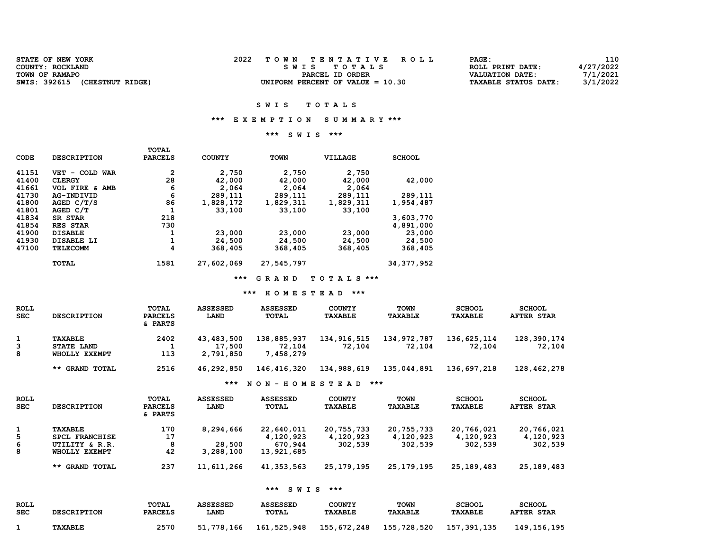| <b>STATE OF NEW YORK</b>         | TOWN TENTATIVE ROLL                | PAGE :                      | 110       |
|----------------------------------|------------------------------------|-----------------------------|-----------|
| COUNTY: ROCKLAND                 | SWIS TOTALS                        | ROLL PRINT DATE:            | 4/27/2022 |
| TOWN OF RAMAPO                   | PARCEL ID ORDER                    | <b>VALUATION DATE:</b>      | 7/1/2021  |
| SWIS: 392615<br>(CHESTNUT RIDGE) | UNIFORM PERCENT OF VALUE $= 10.30$ | <b>TAXABLE STATUS DATE:</b> | 3/1/2022  |

### \*\*\* E X E M P T I O N S U M M A R Y \*\*\*

### \*\*\* S W I S \*\*\*

| CODE  | <b>DESCRIPTION</b> | <b>PARCELS</b> | <b>COUNTY</b> | <b>TOWN</b>  | VILLAGE    | <b>SCHOOL</b> |
|-------|--------------------|----------------|---------------|--------------|------------|---------------|
| 41151 | VET - COLD WAR     | 2              | 2,750         | 2,750        | 2,750      |               |
| 41400 | <b>CLERGY</b>      | 28             | 42,000        | 42,000       | 42,000     | 42,000        |
| 41661 | VOL FIRE & AMB     | 6              | 2,064         | 2,064        | 2,064      |               |
| 41730 | AG-INDIVID         | 6              | 289,111       | 289,111      | 289,111    | 289,111       |
| 41800 | AGED C/T/S         | 86             | 1,828,172     | 1,829,311    | 1,829,311  | 1,954,487     |
| 41801 | AGED C/T           |                | 33,100        | 33,100       | 33,100     |               |
| 41834 | SR STAR            | 218            |               |              |            | 3,603,770     |
| 41854 | RES STAR           | 730            |               |              |            | 4,891,000     |
| 41900 | <b>DISABLE</b>     |                | 23,000        | 23,000       | 23,000     | 23,000        |
| 41930 | DISABLE LI         |                | 24,500        | 24,500       | 24,500     | 24,500        |
| 47100 | <b>TELECOMM</b>    | 4              | 368,405       | 368,405      | 368,405    | 368,405       |
|       | TOTAL              | 1581           | 27,602,069    | 27,545,797   |            | 34, 377, 952  |
|       |                    |                | ***           | <b>GRAND</b> | TOTALS *** |               |

TOTAL

### \*\*\* H O M E S T E A D \*\*\*

| ROLL<br><b>SEC</b> | <b>DESCRIPTION</b>                            | TOTAL<br><b>PARCELS</b><br>& PARTS | <b>ASSESSED</b><br>LAND           | <b>ASSESSED</b><br>TOTAL           | <b>COUNTY</b><br><b>TAXABLE</b> | <b>TOWN</b><br><b>TAXABLE</b> | <b>SCHOOL</b><br><b>TAXABLE</b> | <b>SCHOOL</b><br><b>AFTER STAR</b> |
|--------------------|-----------------------------------------------|------------------------------------|-----------------------------------|------------------------------------|---------------------------------|-------------------------------|---------------------------------|------------------------------------|
| 3<br>8             | TAXABLE<br><b>STATE LAND</b><br>WHOLLY EXEMPT | 2402<br>113                        | 43,483,500<br>17,500<br>2,791,850 | 138,885,937<br>72,104<br>7,458,279 | 134,916,515<br>72.104           | 134,972,787<br>72,104         | 136,625,114<br>72,104           | 128,390,174<br>72,104              |
|                    | ** GRAND TOTAL                                | 2516                               | 46,292,850                        | 146,416,320                        | 134,988,619                     | 135,044,891                   | 136,697,218                     | 128,462,278                        |
|                    |                                               |                                    | ***                               | NON - HOMESTEAD                    |                                 | ***                           |                                 |                                    |

| ROLL<br><b>SEC</b> | <b>DESCRIPTION</b>               | TOTAL<br><b>PARCELS</b><br>& PARTS | <b>ASSESSED</b><br>LAND | <b>ASSESSED</b><br>TOTAL | <b>COUNTY</b><br><b>TAXABLE</b> | <b>TOWN</b><br><b>TAXABLE</b> | <b>SCHOOL</b><br><b>TAXABLE</b> | <b>SCHOOL</b><br><b>AFTER STAR</b> |
|--------------------|----------------------------------|------------------------------------|-------------------------|--------------------------|---------------------------------|-------------------------------|---------------------------------|------------------------------------|
| 5                  | <b>TAXABLE</b><br>SPCL FRANCHISE | 170<br>17                          | 8,294,666               | 22,640,011<br>4,120,923  | 20,755,733<br>4,120,923         | 20,755,733<br>4,120,923       | 20,766,021<br>4,120,923         | 20,766,021<br>4,120,923            |
| 6<br>8             | UTILITY & R.R.<br>WHOLLY EXEMPT  | 8<br>42                            | 28,500<br>3,288,100     | 670,944<br>13,921,685    | 302,539                         | 302,539                       | 302,539                         | 302,539                            |
|                    | <b>** GRAND TOTAL</b>            | 237                                | 11,611,266              | 41,353,563               | 25,179,195                      | 25, 179, 195                  | 25, 189, 483                    | 25,189,483                         |

| <b>ROLL</b> | <b>DESCRIPTION</b> | TOTAL          | ASSESSED    | ASSESSED     | <b>COUNTY</b>  | <b>TOWN</b>    | <b>SCHOOL</b>  | <b>SCHOOL</b>     |
|-------------|--------------------|----------------|-------------|--------------|----------------|----------------|----------------|-------------------|
| <b>SEC</b>  |                    | <b>PARCELS</b> | <b>LAND</b> | <b>TOTAL</b> | <b>TAXABLE</b> | <b>TAXABLE</b> | <b>TAXABLE</b> | <b>AFTER STAR</b> |
|             | <b>TAXABLE</b>     | 2570           | 51,778,166  | 161,525,948  | 155,672,248    | 155,728,520    | 157,391,135    | 149, 156, 195     |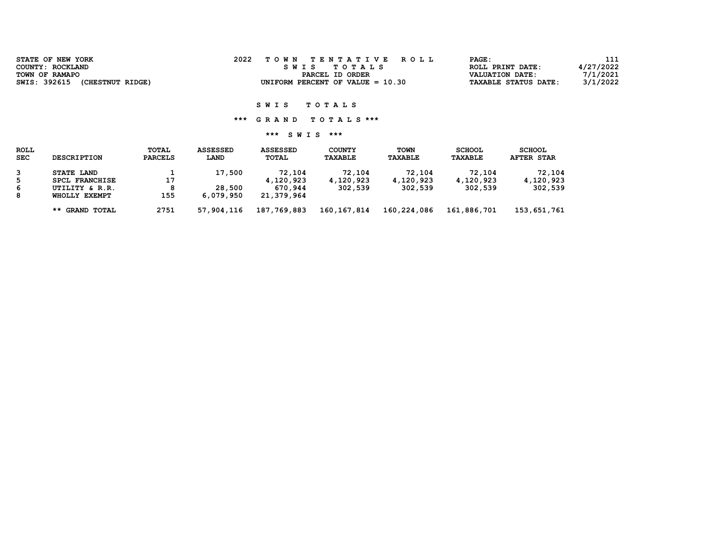| <b>STATE OF NEW YORK</b>         | 2022<br>TOWN TENTATIVE ROLL        | <b>PAGE :</b>               | 111       |
|----------------------------------|------------------------------------|-----------------------------|-----------|
| COUNTY: ROCKLAND                 | SWIS TOTALS                        | ROLL PRINT DATE:            | 4/27/2022 |
| TOWN OF RAMAPO                   | PARCEL ID ORDER                    | <b>VALUATION DATE:</b>      | 7/1/2021  |
| SWIS: 392615<br>(CHESTNUT RIDGE) | UNIFORM PERCENT OF VALUE $= 10.30$ | <b>TAXABLE STATUS DATE:</b> | 3/1/2022  |
|                                  |                                    |                             |           |

### \*\*\* G R A N D T O T A L S \*\*\*

| ROLL<br><b>SEC</b> | <b>DESCRIPTION</b>    | TOTAL<br><b>PARCELS</b> | <b>ASSESSED</b><br>LAND | <b>ASSESSED</b><br>TOTAL | <b>COUNTY</b><br><b>TAXABLE</b> | TOWN<br><b>TAXABLE</b> | <b>SCHOOL</b><br>TAXABLE | <b>SCHOOL</b><br><b>AFTER STAR</b> |
|--------------------|-----------------------|-------------------------|-------------------------|--------------------------|---------------------------------|------------------------|--------------------------|------------------------------------|
|                    | <b>STATE LAND</b>     |                         | 17,500                  | 72,104                   | 72,104                          | 72,104                 | 72,104                   | 72,104                             |
| 5.                 | <b>SPCL FRANCHISE</b> | 17                      |                         | 4,120,923                | 4,120,923                       | 4,120,923              | 4,120,923                | 4,120,923                          |
| 6                  | UTILITY & R.R.        |                         | 28,500                  | 670,944                  | 302,539                         | 302,539                | 302,539                  | 302,539                            |
| 8                  | WHOLLY EXEMPT         | 155                     | 6,079,950               | 21,379,964               |                                 |                        |                          |                                    |
|                    | ** GRAND TOTAL        | 2751                    | 57,904,116              | 187,769,883              | 160, 167, 814                   | 160,224,086            | 161,886,701              | 153,651,761                        |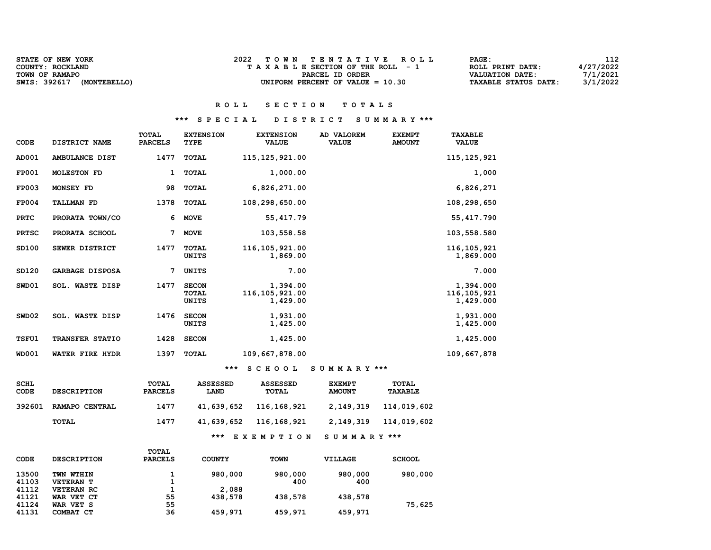| <b>STATE OF NEW YORK</b>            | TOWN TENTATIVE ROLL                | 112.<br><b>PAGE :</b>                   |
|-------------------------------------|------------------------------------|-----------------------------------------|
| COUNTY: ROCKLAND                    | TAXABLE SECTION OF THE ROLL - 1    | 4/27/2022<br>ROLL PRINT DATE:           |
| TOWN OF RAMAPO                      | PARCEL ID ORDER                    | 7/1/2021<br>VALUATION DATE:             |
| SWIS: 392617<br><b>(MONTEBELLO)</b> | UNIFORM PERCENT OF VALUE $= 10.30$ | 3/1/2022<br><b>TAXABLE STATUS DATE:</b> |

### \*\*\* S P E C I A L D I S T R I C T S U M M A R Y \*\*\*

| <b>CODE</b>  | DISTRICT NAME          | <b>TOTAL</b><br><b>PARCELS</b> | <b>EXTENSION</b><br><b>TYPE</b>       | <b>EXTENSION</b><br><b>VALUE</b>         | AD VALOREM<br><b>VALUE</b> | <b>EXEMPT</b><br><b>AMOUNT</b> | <b>TAXABLE</b><br><b>VALUE</b>          |
|--------------|------------------------|--------------------------------|---------------------------------------|------------------------------------------|----------------------------|--------------------------------|-----------------------------------------|
| AD001        | AMBULANCE DIST         | 1477                           | <b>TOTAL</b>                          | 115, 125, 921.00                         |                            |                                | 115, 125, 921                           |
| <b>FP001</b> | <b>MOLESTON FD</b>     | 1                              | <b>TOTAL</b>                          | 1,000.00                                 |                            |                                | 1,000                                   |
| <b>FP003</b> | MONSEY FD              | 98                             | <b>TOTAL</b>                          | 6,826,271.00                             |                            |                                | 6,826,271                               |
| <b>FP004</b> | <b>TALLMAN FD</b>      | 1378                           | <b>TOTAL</b>                          | 108,298,650.00                           |                            |                                | 108,298,650                             |
| <b>PRTC</b>  | PRORATA TOWN/CO        | 6                              | <b>MOVE</b>                           | 55, 417.79                               |                            |                                | 55, 417.790                             |
| <b>PRTSC</b> | PRORATA SCHOOL         | 7                              | <b>MOVE</b>                           | 103,558.58                               |                            |                                | 103,558.580                             |
| SD100        | SEWER DISTRICT         | 1477                           | <b>TOTAL</b><br><b>UNITS</b>          | 116, 105, 921.00<br>1,869.00             |                            |                                | 116, 105, 921<br>1,869.000              |
| SD120        | <b>GARBAGE DISPOSA</b> | 7                              | <b>UNITS</b>                          | 7.00                                     |                            |                                | 7.000                                   |
| SWD01        | <b>SOL. WASTE DISP</b> | 1477                           | <b>SECON</b><br><b>TOTAL</b><br>UNITS | 1,394.00<br>116, 105, 921.00<br>1,429.00 |                            |                                | 1,394.000<br>116, 105, 921<br>1,429.000 |
| SWD02        | <b>SOL. WASTE DISP</b> | 1476                           | <b>SECON</b><br>UNITS                 | 1,931.00<br>1,425.00                     |                            |                                | 1,931.000<br>1,425.000                  |
| <b>TSFU1</b> | TRANSFER STATIO        | 1428                           | <b>SECON</b>                          | 1,425.00                                 |                            |                                | 1,425.000                               |
| <b>WD001</b> | WATER FIRE HYDR        | 1397                           | TOTAL                                 | 109,667,878.00                           |                            |                                | 109,667,878                             |

\*\*\* S C H O O L S U M M A R Y \*\*\*

| SCHL<br>CODE | <b>DESCRIPTION</b> | TOTAL<br><b>PARCELS</b> | <b>ASSESSED</b><br>LAND | <b>ASSESSED</b><br>TOTAL | <b>EXEMPT</b><br><b>AMOUNT</b> | TOTAL<br><b>TAXABLE</b> |
|--------------|--------------------|-------------------------|-------------------------|--------------------------|--------------------------------|-------------------------|
| 392601       | RAMAPO CENTRAL     | 1477                    | 41,639,652              | 116,168,921              | 2,149,319                      | 114,019,602             |
|              | TOTAL              | 1477                    | 41,639,652              | 116,168,921              | 2,149,319                      | 114,019,602             |
|              |                    |                         | ***                     | EXEMPTION SUMMARY ***    |                                |                         |

| CODE           | <b>DESCRIPTION</b>              | <b>TOTAL</b><br><b>PARCELS</b> | <b>COUNTY</b>    | <b>TOWN</b>    | VILLAGE        | <b>SCHOOL</b> |
|----------------|---------------------------------|--------------------------------|------------------|----------------|----------------|---------------|
| 13500<br>41103 | TWN WTHIN<br><b>VETERAN T</b>   | 1                              | 980,000          | 980,000<br>400 | 980,000<br>400 | 980,000       |
| 41112<br>41121 | <b>VETERAN RC</b><br>WAR VET CT | 55                             | 2,088<br>438,578 | 438,578        | 438,578        |               |
| 41124<br>41131 | WAR VET S<br>COMBAT CT          | 55<br>36                       | 459,971          | 459,971        | 459,971        | 75,625        |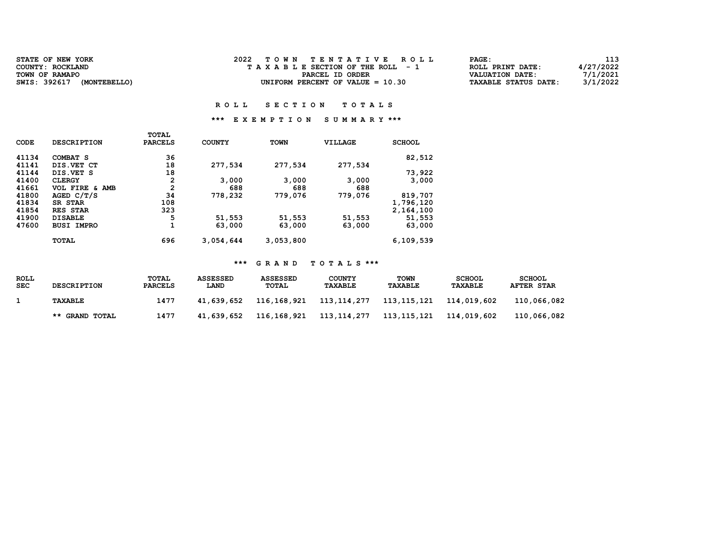| <b>STATE OF NEW YORK</b>            | 2022<br>TOWN TENTATIVE ROLL        | 113<br><b>PAGE :</b>                    |
|-------------------------------------|------------------------------------|-----------------------------------------|
| COUNTY: ROCKLAND                    | TAXABLE SECTION OF THE ROLL - 1    | 4/27/2022<br>ROLL PRINT DATE:           |
| TOWN OF RAMAPO                      | PARCEL ID ORDER                    | 7/1/2021<br>VALUATION DATE:             |
| SWIS: 392617<br><b>(MONTEBELLO)</b> | UNIFORM PERCENT OF VALUE $= 10.30$ | 3/1/2022<br><b>TAXABLE STATUS DATE:</b> |

### \*\*\* E X E M P T I O N S U M M A R Y \*\*\*

| <b>CODE</b> | <b>DESCRIPTION</b> | TOTAL<br><b>PARCELS</b> | <b>COUNTY</b> | <b>TOWN</b> | <b>VILLAGE</b> | <b>SCHOOL</b> |
|-------------|--------------------|-------------------------|---------------|-------------|----------------|---------------|
|             |                    |                         |               |             |                |               |
| 41134       | COMBAT S           | 36                      |               |             |                | 82,512        |
| 41141       | DIS. VET CT        | 18                      | 277,534       | 277,534     | 277,534        |               |
| 41144       | DIS. VET S         | 18                      |               |             |                | 73,922        |
| 41400       | <b>CLERGY</b>      | $\mathbf{2}$            | 3,000         | 3,000       | 3,000          | 3,000         |
| 41661       | VOL FIRE & AMB     | $\mathbf{2}$            | 688           | 688         | 688            |               |
| 41800       | AGED $C/T/S$       | 34                      | 778,232       | 779,076     | 779,076        | 819,707       |
| 41834       | <b>SR STAR</b>     | 108                     |               |             |                | 1,796,120     |
| 41854       | RES STAR           | 323                     |               |             |                | 2,164,100     |
| 41900       | <b>DISABLE</b>     | 5                       | 51,553        | 51,553      | 51,553         | 51,553        |
| 47600       | <b>BUSI IMPRO</b>  | 1                       | 63,000        | 63,000      | 63,000         | 63,000        |
|             | <b>TOTAL</b>       | 696                     | 3,054,644     | 3,053,800   |                | 6,109,539     |

| <b>ROLL</b><br><b>SEC</b> | <b>DESCRIPTION</b>    | <b>TOTAL</b><br><b>PARCELS</b> | <b>ASSESSED</b><br><b>LAND</b> | <b>ASSESSED</b><br>TOTAL | <b>COUNTY</b><br><b>TAXABLE</b> | TOWN<br><b>TAXABLE</b> | <b>SCHOOL</b><br>TAXABLE | <b>SCHOOL</b><br><b>AFTER STAR</b> |
|---------------------------|-----------------------|--------------------------------|--------------------------------|--------------------------|---------------------------------|------------------------|--------------------------|------------------------------------|
|                           | TAXABLE               | 1477                           | 41,639,652                     | 116,168,921              | 113, 114, 277                   | 113, 115, 121          | 114,019,602              | 110,066,082                        |
|                           | <b>** GRAND TOTAL</b> | 1477                           | 41,639,652                     | 116,168,921              | 113, 114, 277                   | 113, 115, 121          | 114,019,602              | 110,066,082                        |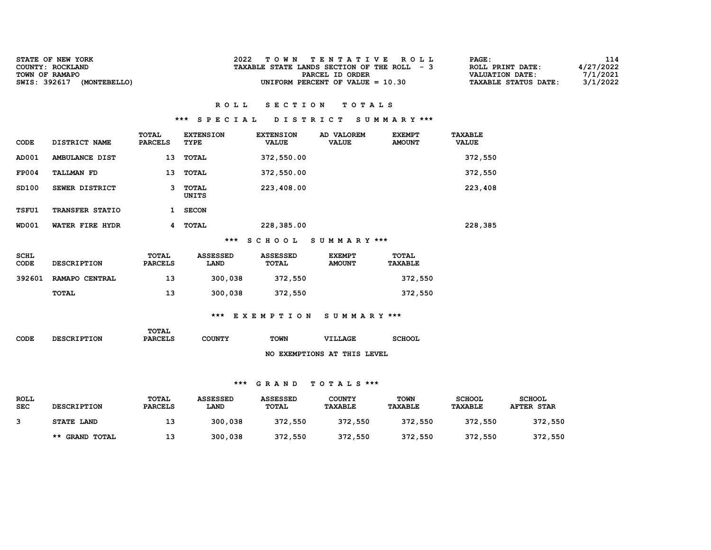| <b>STATE OF NEW YORK</b>            | 2022<br>TOWN TENTATIVE ROLL                 | 114<br>PAGE:                       |
|-------------------------------------|---------------------------------------------|------------------------------------|
| COUNTY: ROCKLAND                    | TAXABLE STATE LANDS SECTION OF THE ROLL - 3 | 4/27/2022<br>ROLL PRINT DATE:      |
| TOWN OF RAMAPO                      | PARCEL ID ORDER                             | 7/1/2021<br><b>VALUATION DATE:</b> |
| SWIS: 392617<br><b>(MONTEBELLO)</b> | UNIFORM PERCENT OF VALUE $= 10.30$          | 3/1/2022<br>TAXABLE STATUS DATE:   |

### \*\*\* S P E C I A L D I S T R I C T S U M M A R Y \*\*\*

| CODE         | DISTRICT NAME     | <b>TOTAL</b><br><b>PARCELS</b> | <b>EXTENSION</b><br>TYPE | <b>EXTENSION</b><br><b>VALUE</b> | AD VALOREM<br><b>VALUE</b> | <b>EXEMPT</b><br><b>AMOUNT</b> | <b>TAXABLE</b><br><b>VALUE</b> |
|--------------|-------------------|--------------------------------|--------------------------|----------------------------------|----------------------------|--------------------------------|--------------------------------|
| AD001        | AMBULANCE DIST    | 13                             | TOTAL                    | 372,550.00                       |                            |                                | 372,550                        |
| <b>FP004</b> | <b>TALLMAN FD</b> | 13                             | TOTAL                    | 372,550.00                       |                            |                                | 372,550                        |
| SD100        | SEWER DISTRICT    | 3                              | <b>TOTAL</b><br>UNITS    | 223,408.00                       |                            |                                | 223,408                        |
| <b>TSFU1</b> | TRANSFER STATIO   |                                | <b>SECON</b>             |                                  |                            |                                |                                |
| <b>WD001</b> | WATER FIRE HYDR   | 4                              | TOTAL                    | 228,385.00                       |                            |                                | 228,385                        |
|              |                   |                                |                          |                                  |                            |                                |                                |

### \*\*\* S C H O O L S U M M A R Y \*\*\*

| SCHL<br><b>CODE</b> | <b>DESCRIPTION</b> | <b>TOTAL</b><br><b>PARCELS</b> | <b>ASSESSED</b><br><b>LAND</b> | ASSESSED<br><b>TOTAL</b> | <b>EXEMPT</b><br><b>AMOUNT</b> | TOTAL<br>TAXABLE |
|---------------------|--------------------|--------------------------------|--------------------------------|--------------------------|--------------------------------|------------------|
| 392601              | RAMAPO CENTRAL     | 13                             | 300,038                        | 372,550                  |                                | 372,550          |
|                     | <b>TOTAL</b>       | 13                             | 300,038                        | 372,550                  |                                | 372,550          |

### \*\*\* E X E M P T I O N S U M M A R Y \*\*\*

|             |                    | TOTAL          |               |             |                                 |               |
|-------------|--------------------|----------------|---------------|-------------|---------------------------------|---------------|
| <b>CODE</b> | <b>DESCRIPTION</b> | <b>PARCELS</b> | <b>COUNTY</b> | <b>TOWN</b> | VILLAGE                         | <b>SCHOOL</b> |
|             |                    |                |               |             |                                 |               |
|             |                    |                |               | NO.         | <b>EXEMPTIONS AT THIS LEVEL</b> |               |

| <b>ROLL</b><br><b>SEC</b> | <b>DESCRIPTION</b>    | TOTAL<br><b>PARCELS</b> | <b>ASSESSED</b><br><b>LAND</b> | <b>ASSESSED</b><br>TOTAL | <b>COUNTY</b><br><b>TAXABLE</b> | <b>TOWN</b><br><b>TAXABLE</b> | <b>SCHOOL</b><br>TAXABLE | <b>SCHOOL</b><br><b>AFTER STAR</b> |
|---------------------------|-----------------------|-------------------------|--------------------------------|--------------------------|---------------------------------|-------------------------------|--------------------------|------------------------------------|
|                           | <b>STATE LAND</b>     | 13                      | 300,038                        | 372,550                  | 372,550                         | 372,550                       | 372,550                  | 372,550                            |
|                           | <b>** GRAND TOTAL</b> | 13                      | 300,038                        | 372,550                  | 372,550                         | 372,550                       | 372,550                  | 372,550                            |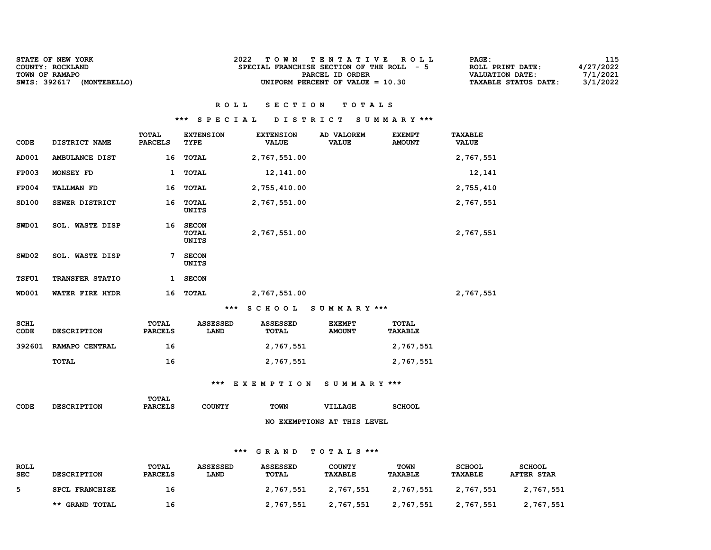| <b>STATE OF NEW YORK</b>            | TOWN TENTATIVE ROLL                        | 115<br><b>PAGE:</b>                     |
|-------------------------------------|--------------------------------------------|-----------------------------------------|
| COUNTY: ROCKLAND                    | SPECIAL FRANCHISE SECTION OF THE ROLL $-5$ | 4/27/2022<br>ROLL PRINT DATE:           |
| TOWN OF RAMAPO                      | PARCEL ID ORDER                            | 7/1/2021<br>VALUATION DATE:             |
| SWIS: 392617<br><b>(MONTEBELLO)</b> | UNIFORM PERCENT OF VALUE $= 10.30$         | 3/1/2022<br><b>TAXABLE STATUS DATE:</b> |

### \*\*\* S P E C I A L D I S T R I C T S U M M A R Y \*\*\*

| CODE         | DISTRICT NAME          | TOTAL<br><b>PARCELS</b> | <b>EXTENSION</b><br>TYPE       | <b>EXTENSION</b><br><b>VALUE</b> | AD VALOREM<br><b>VALUE</b> | <b>EXEMPT</b><br><b>AMOUNT</b> | <b>TAXABLE</b><br><b>VALUE</b> |
|--------------|------------------------|-------------------------|--------------------------------|----------------------------------|----------------------------|--------------------------------|--------------------------------|
| AD001        | AMBULANCE DIST         | 16                      | <b>TOTAL</b>                   | 2,767,551.00                     |                            |                                | 2,767,551                      |
| <b>FP003</b> | MONSEY FD              | 1                       | <b>TOTAL</b>                   | 12,141.00                        |                            |                                | 12,141                         |
| <b>FP004</b> | <b>TALLMAN FD</b>      | 16                      | <b>TOTAL</b>                   | 2,755,410.00                     |                            |                                | 2,755,410                      |
| SD100        | SEWER DISTRICT         | 16                      | <b>TOTAL</b><br>UNITS          | 2,767,551.00                     |                            |                                | 2,767,551                      |
| SWD01        | <b>SOL. WASTE DISP</b> | 16                      | <b>SECON</b><br>TOTAL<br>UNITS | 2,767,551.00                     |                            |                                | 2,767,551                      |
| SWD02        | <b>SOL. WASTE DISP</b> | 7                       | <b>SECON</b><br>UNITS          |                                  |                            |                                |                                |
| <b>TSFU1</b> | <b>TRANSFER STATIO</b> | 1                       | <b>SECON</b>                   |                                  |                            |                                |                                |
| <b>WD001</b> | WATER FIRE HYDR        | 16                      | TOTAL                          | 2,767,551.00                     |                            |                                | 2,767,551                      |
|              |                        |                         |                                | $***$<br><b>SCHOOL</b>           | SUMMARY ***                |                                |                                |

| <b>SCHL</b><br>CODE | <b>DESCRIPTION</b> | TOTAL<br><b>PARCELS</b> | <b>ASSESSED</b><br><b>LAND</b> | <b>ASSESSED</b><br><b>TOTAL</b> | <b>EXEMPT</b><br><b>AMOUNT</b> | <b>TOTAL</b><br><b>TAXABLE</b> |
|---------------------|--------------------|-------------------------|--------------------------------|---------------------------------|--------------------------------|--------------------------------|
| 392601              | RAMAPO CENTRAL     | 16                      |                                | 2,767,551                       |                                | 2,767,551                      |
|                     | <b>TOTAL</b>       | 16                      |                                | 2,767,551                       |                                | 2,767,551                      |

### \*\*\* E X E M P T I O N S U M M A R Y \*\*\*

|      |                    | TOTAL          |        |             |                             |               |
|------|--------------------|----------------|--------|-------------|-----------------------------|---------------|
| CODE | <b>DESCRIPTION</b> | <b>PARCELS</b> | COUNTY | <b>TOWN</b> | <b>VILLAGE</b>              | <b>SCHOOL</b> |
|      |                    |                |        |             |                             |               |
|      |                    |                |        |             | NO EXEMPTIONS AT THIS LEVEL |               |

| <b>ROLL</b><br><b>SEC</b> | <b>DESCRIPTION</b>    | <b>TOTAL</b><br><b>PARCELS</b> | <b>ASSESSED</b><br><b>LAND</b> | <b>ASSESSED</b><br>TOTAL | <b>COUNTY</b><br><b>TAXABLE</b> | <b>TOWN</b><br><b>TAXABLE</b> | <b>SCHOOL</b><br>TAXABLE | <b>SCHOOL</b><br><b>AFTER STAR</b> |
|---------------------------|-----------------------|--------------------------------|--------------------------------|--------------------------|---------------------------------|-------------------------------|--------------------------|------------------------------------|
| 5.                        | <b>SPCL FRANCHISE</b> | 16                             |                                | 2,767,551                | 2,767,551                       | 2,767,551                     | 2,767,551                | 2,767,551                          |
|                           | <b>** GRAND TOTAL</b> | 16                             |                                | 2,767,551                | 2,767,551                       | 2,767,551                     | 2,767,551                | 2,767,551                          |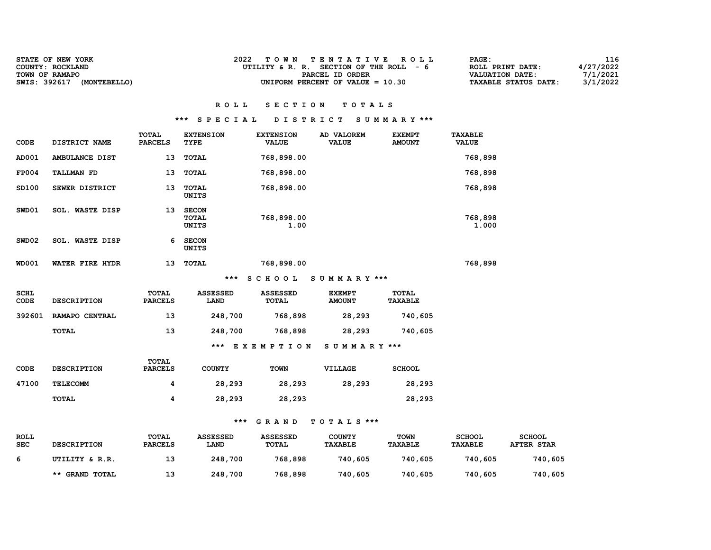| STATE OF NEW YORK<br>COUNTY: ROCKLAND          | TOWN TENTATIVE ROLL<br>UTILITY & R. R. SECTION OF THE ROLL - 6 | 116<br>PAGE:<br>4/27/2022<br>ROLL PRINT DATE:                          |
|------------------------------------------------|----------------------------------------------------------------|------------------------------------------------------------------------|
| TOWN OF RAMAPO<br>SWIS: 392617<br>(MONTEBELLO) | PARCEL ID ORDER<br>UNIFORM PERCENT OF VALUE $= 10.30$          | 7/1/2021<br>VALUATION DATE:<br>3/1/2022<br><b>TAXABLE STATUS DATE:</b> |

### \*\*\* S P E C I A L D I S T R I C T S U M M A R Y \*\*\*

| CODE                       | DISTRICT NAME          | <b>TOTAL</b><br><b>PARCELS</b> | <b>EXTENSION</b><br>TYPE              | <b>EXTENSION</b><br><b>VALUE</b> | AD VALOREM<br><b>VALUE</b>     | <b>EXEMPT</b><br><b>AMOUNT</b> | <b>TAXABLE</b><br><b>VALUE</b> |
|----------------------------|------------------------|--------------------------------|---------------------------------------|----------------------------------|--------------------------------|--------------------------------|--------------------------------|
| AD001                      | AMBULANCE DIST         | 13                             | TOTAL                                 | 768,898.00                       |                                |                                | 768,898                        |
| <b>FP004</b>               | TALLMAN FD             | 13                             | <b>TOTAL</b>                          | 768,898.00                       |                                |                                | 768,898                        |
| SD100                      | SEWER DISTRICT         | 13                             | <b>TOTAL</b><br>UNITS                 | 768,898.00                       |                                |                                | 768,898                        |
| SWD01                      | SOL. WASTE DISP        | 13                             | <b>SECON</b><br><b>TOTAL</b><br>UNITS | 768,898.00<br>1.00               |                                |                                | 768,898<br>1.000               |
| SWD02                      | <b>SOL. WASTE DISP</b> | 6                              | <b>SECON</b><br><b>UNITS</b>          |                                  |                                |                                |                                |
| <b>WD001</b>               | WATER FIRE HYDR        | 13                             | <b>TOTAL</b>                          | 768,898.00                       |                                |                                | 768,898                        |
|                            |                        |                                | $***$                                 | <b>SCHOOL</b>                    | SUMMARY ***                    |                                |                                |
| <b>SCHL</b><br><b>CODE</b> | <b>DESCRIPTION</b>     | TOTAL<br><b>PARCELS</b>        | <b>ASSESSED</b><br>LAND               | <b>ASSESSED</b><br>TOTAL         | <b>EXEMPT</b><br><b>AMOUNT</b> | <b>TOTAL</b><br><b>TAXABLE</b> |                                |
| 392601                     | RAMAPO CENTRAL         | 13                             | 248,700                               | 768,898                          | 28,293                         | 740,605                        |                                |
|                            | <b>TOTAL</b>           | 13                             | 248,700                               | 768,898                          | 28,293                         | 740,605                        |                                |
|                            |                        |                                | ***                                   | EXEMPTION                        | SUMMARY ***                    |                                |                                |

| CODE  | <b>DESCRIPTION</b> | TOTAL<br><b>PARCELS</b> | <b>COUNTY</b> | <b>TOWN</b> | VILLAGE | <b>SCHOOL</b> |
|-------|--------------------|-------------------------|---------------|-------------|---------|---------------|
| 47100 | <b>TELECOMM</b>    | 4                       | 28,293        | 28,293      | 28,293  | 28,293        |
|       | TOTAL              | 4                       | 28,293        | 28,293      |         | 28,293        |

| ROLL<br><b>SEC</b> | <b>DESCRIPTION</b>    | TOTAL<br><b>PARCELS</b> | <b>ASSESSED</b><br><b>LAND</b> | <b>ASSESSED</b><br>TOTAL | COUNTY<br>TAXABLE | <b>TOWN</b><br><b>TAXABLE</b> | <b>SCHOOL</b><br><b>TAXABLE</b> | <b>SCHOOL</b><br><b>AFTER STAR</b> |
|--------------------|-----------------------|-------------------------|--------------------------------|--------------------------|-------------------|-------------------------------|---------------------------------|------------------------------------|
| 6                  | UTILITY & R.R.        | 13                      | 248,700                        | 768,898                  | 740,605           | 740,605                       | 740,605                         | 740,605                            |
|                    | <b>** GRAND TOTAL</b> | 13                      | 248,700                        | 768,898                  | 740,605           | 740,605                       | 740,605                         | 740,605                            |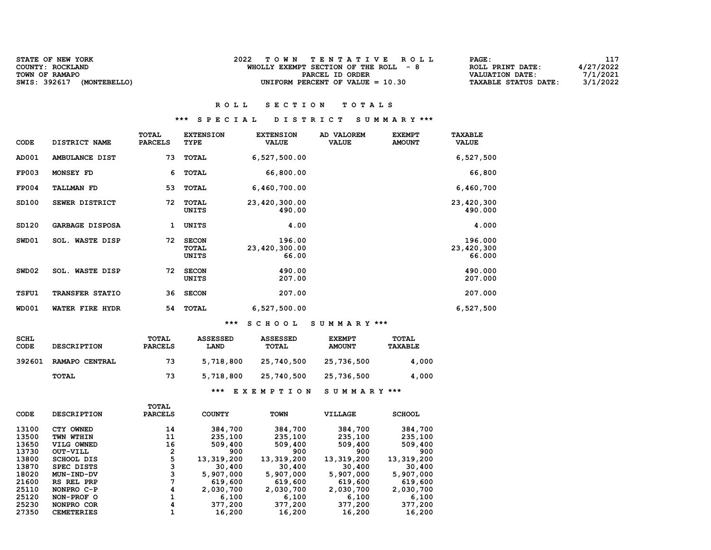| STATE OF NEW YORK                   | TOWN TENTATIVE ROLL                    | 117<br>PAGE:                            |
|-------------------------------------|----------------------------------------|-----------------------------------------|
| COUNTY: ROCKLAND                    | WHOLLY EXEMPT SECTION OF THE ROLL $-8$ | 4/27/2022<br>ROLL PRINT DATE:           |
| TOWN OF RAMAPO                      | PARCEL ID ORDER                        | 7/1/2021<br>VALUATION DATE:             |
| SWIS: 392617<br><b>(MONTEBELLO)</b> | UNIFORM PERCENT OF VALUE $= 10.30$     | 3/1/2022<br><b>TAXABLE STATUS DATE:</b> |

### \*\*\* S P E C I A L D I S T R I C T S U M M A R Y \*\*\*

| <b>CODE</b>  | DISTRICT NAME             | <b>TOTAL</b><br><b>PARCELS</b> | <b>EXTENSION</b><br>TYPE       | <b>EXTENSION</b><br><b>VALUE</b> | AD VALOREM<br><b>VALUE</b> | <b>EXEMPT</b><br><b>AMOUNT</b> | <b>TAXABLE</b><br><b>VALUE</b>  |
|--------------|---------------------------|--------------------------------|--------------------------------|----------------------------------|----------------------------|--------------------------------|---------------------------------|
| AD001        | AMBULANCE DIST            | 73                             | <b>TOTAL</b>                   | 6,527,500.00                     |                            |                                | 6,527,500                       |
| <b>FP003</b> | MONSEY FD                 | 6                              | <b>TOTAL</b>                   | 66,800.00                        |                            |                                | 66,800                          |
| <b>FP004</b> | <b>TALLMAN FD</b>         | 53                             | TOTAL                          | 6,460,700.00                     |                            |                                | 6,460,700                       |
| SD100        | SEWER DISTRICT            | 72                             | TOTAL<br>UNITS                 | 23,420,300.00<br>490.00          |                            |                                | 23,420,300<br>490.000           |
| SD120        | <b>GARBAGE DISPOSA</b>    | 1                              | UNITS                          | 4.00                             |                            |                                | 4.000                           |
| SWD01        | <b>WASTE DISP</b><br>SOL. | 72                             | <b>SECON</b><br>TOTAL<br>UNITS | 196.00<br>23,420,300.00<br>66.00 |                            |                                | 196.000<br>23,420,300<br>66.000 |
| SWD02        | <b>WASTE DISP</b><br>SOL. | 72                             | <b>SECON</b><br>UNITS          | 490.00<br>207.00                 |                            |                                | 490.000<br>207.000              |
| <b>TSFU1</b> | TRANSFER STATIO           | 36                             | <b>SECON</b>                   | 207.00                           |                            |                                | 207.000                         |
| <b>WD001</b> | WATER FIRE HYDR           | 54                             | TOTAL                          | 6,527,500.00                     |                            |                                | 6,527,500                       |

### \*\*\* S C H O O L S U M M A R Y \*\*\*

| <b>SCHL</b><br>CODE | <b>DESCRIPTION</b> | TOTAL<br><b>PARCELS</b> | ASSESSED<br>LAND | ASSESSED<br>TOTAL | <b>EXEMPT</b><br><b>AMOUNT</b> | <b>TOTAL</b><br><b>TAXABLE</b> |
|---------------------|--------------------|-------------------------|------------------|-------------------|--------------------------------|--------------------------------|
| 392601              | RAMAPO CENTRAL     | 73                      | 5,718,800        | 25,740,500        | 25,736,500                     | 4,000                          |
|                     | TOTAL              | 73                      | 5,718,800        | 25,740,500        | 25,736,500                     | 4,000                          |

# \*\*\* E X E M P T I O N S U M M A R Y \*\*\*

|             |                    | TOTAL          |               |             |                |               |
|-------------|--------------------|----------------|---------------|-------------|----------------|---------------|
| <b>CODE</b> | <b>DESCRIPTION</b> | <b>PARCELS</b> | <b>COUNTY</b> | <b>TOWN</b> | <b>VILLAGE</b> | <b>SCHOOL</b> |
| 13100       | CTY OWNED          | 14             |               |             |                | 384,700       |
|             |                    |                | 384,700       | 384,700     | 384,700        |               |
| 13500       | TWN WTHIN          | 11             | 235,100       | 235,100     | 235,100        | 235,100       |
| 13650       | VILG OWNED         | 16             | 509,400       | 509,400     | 509,400        | 509,400       |
| 13730       | OUT-VILL           | 2              | 900           | 900         | 900            | 900           |
| 13800       | <b>SCHOOL DIS</b>  | 5              | 13,319,200    | 13,319,200  | 13,319,200     | 13,319,200    |
| 13870       | SPEC DISTS         |                | 30,400        | 30,400      | 30,400         | 30,400        |
| 18020       | MUN-IND-DV         | з              | 5,907,000     | 5,907,000   | 5,907,000      | 5,907,000     |
| 21600       | RS REL PRP         |                | 619,600       | 619,600     | 619,600        | 619,600       |
| 25110       | NONPRO C-P         | 4              | 2,030,700     | 2,030,700   | 2,030,700      | 2,030,700     |
| 25120       | NON-PROF O         |                | 6,100         | 6,100       | 6,100          | 6,100         |
| 25230       | NONPRO COR         | 4              | 377,200       | 377,200     | 377,200        | 377,200       |
| 27350       | <b>CEMETERIES</b>  |                | 16,200        | 16,200      | 16,200         | 16,200        |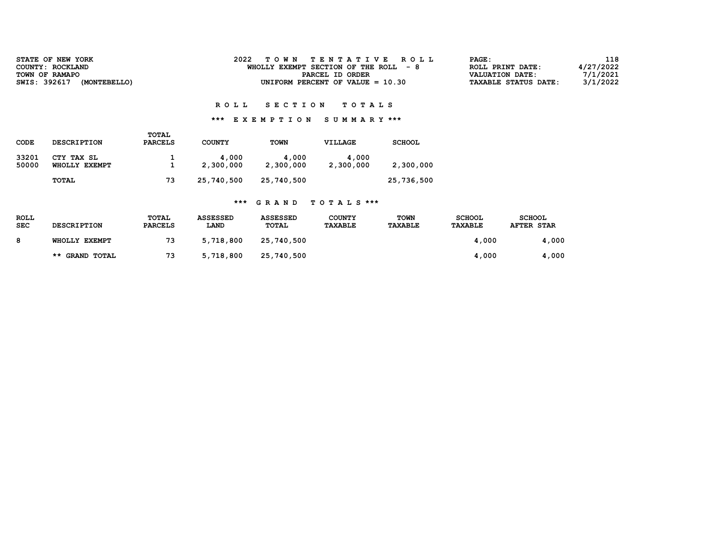| <b>STATE OF NEW YORK</b><br>COUNTY: ROCKLAND          | 2022<br>TOWN TENTATIVE ROLL<br>WHOLLY EXEMPT SECTION OF THE ROLL $-8$ | 118<br><b>PAGE:</b><br>4/27/2022<br>ROLL PRINT DATE:                   |
|-------------------------------------------------------|-----------------------------------------------------------------------|------------------------------------------------------------------------|
| TOWN OF RAMAPO<br>SWIS: 392617<br><b>(MONTEBELLO)</b> | PARCEL ID ORDER<br>UNIFORM PERCENT OF VALUE $= 10.30$                 | 7/1/2021<br><b>VALUATION DATE:</b><br>3/1/2022<br>TAXABLE STATUS DATE: |

### \*\*\* E X E M P T I O N S U M M A R Y \*\*\*

| CODE           | <b>DESCRIPTION</b>          | TOTAL<br><b>PARCELS</b> | <b>COUNTY</b>      | <b>TOWN</b>        | VILLAGE            | <b>SCHOOL</b> |
|----------------|-----------------------------|-------------------------|--------------------|--------------------|--------------------|---------------|
| 33201<br>50000 | CTY TAX SL<br>WHOLLY EXEMPT |                         | 4,000<br>2,300,000 | 4,000<br>2,300,000 | 4,000<br>2,300,000 | 2,300,000     |
|                | TOTAL                       | 73                      | 25,740,500         | 25,740,500         |                    | 25,736,500    |

| <b>ROLL</b><br><b>SEC</b> | <b>DESCRIPTION</b>    | TOTAL<br><b>PARCELS</b> | <b>ASSESSED</b><br><b>LAND</b> | <b>ASSESSED</b><br>TOTAL | <b>COUNTY</b><br>TAXABLE | <b>TOWN</b><br><b>TAXABLE</b> | <b>SCHOOL</b><br><b>TAXABLE</b> | <b>SCHOOL</b><br><b>AFTER STAR</b> |
|---------------------------|-----------------------|-------------------------|--------------------------------|--------------------------|--------------------------|-------------------------------|---------------------------------|------------------------------------|
| 8                         | WHOLLY EXEMPT         | 73                      | 5,718,800                      | 25,740,500               |                          |                               | 4,000                           | 4,000                              |
|                           | <b>** GRAND TOTAL</b> | 73                      | 5,718,800                      | 25,740,500               |                          |                               | 4,000                           | 4,000                              |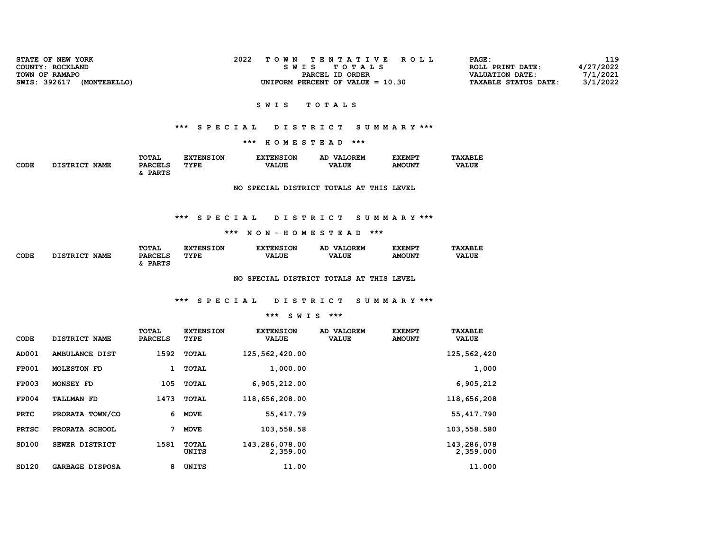| STATE OF NEW YORK            | 2022<br>TOWN TENTATIVE ROLL        | PAGE:                       | 119       |
|------------------------------|------------------------------------|-----------------------------|-----------|
| COUNTY: ROCKLAND             | SWIS TOTALS                        | ROLL PRINT DATE:            | 4/27/2022 |
| TOWN OF RAMAPO               | PARCEL ID ORDER                    | VALUATION DATE:             | 7/1/2021  |
| SWIS: 392617<br>(MONTEBELLO) | UNIFORM PERCENT OF VALUE $= 10.30$ | <b>TAXABLE STATUS DATE:</b> | 3/1/2022  |
|                              |                                    |                             |           |

### \*\*\* S P E C I A L D I S T R I C T S U M M A R Y \*\*\*

\*\*\* H O M E S T E A D \*\*\*

|             |                                | TOTAL          | <b>'XTENSION</b> | <b>EXTENSION</b> | <b>VALOREM</b><br>AD | <b>EXEMPT</b> | <b>TAXABLE</b> |
|-------------|--------------------------------|----------------|------------------|------------------|----------------------|---------------|----------------|
| CODE<br>- - | <b>DISTRICT</b><br><b>NAME</b> | <b>PARCELS</b> | TYPE             | <b>VALUE</b>     | <b>VALUE</b>         | <b>AMOUNT</b> | <b>VALUE</b>   |
|             |                                | <b>DADTC</b>   |                  |                  |                      |               |                |

NO SPECIAL DISTRICT TOTALS AT THIS LEVEL

### \*\*\* S P E C I A L D I S T R I C T S U M M A R Y \*\*\*

#### \*\*\* N O N - H O M E S T E A D \*\*\*

|             |                           | TOTAL          | <b>NSION</b><br>™TRN< | <b>EXTENSION</b> | LOREM<br>VAT.<br>АC | <b>EXEMPT</b> | <b>TAXABLE</b> |
|-------------|---------------------------|----------------|-----------------------|------------------|---------------------|---------------|----------------|
| CODE<br>___ | חמד סחס דר<br><b>NAME</b> | <b>PARCELS</b> | TYPE                  | <b>VALUE</b>     | <b>VALUE</b>        | <b>AMOUNT</b> | <b>VALUE</b>   |
|             |                           | <b>DADMC</b>   |                       |                  |                     |               |                |

NO SPECIAL DISTRICT TOTALS AT THIS LEVEL

### \*\*\* S P E C I A L D I S T R I C T S U M M A R Y \*\*\*

| CODE         | DISTRICT NAME          | <b>TOTAL</b><br><b>PARCELS</b> | <b>EXTENSION</b><br>TYPE | <b>EXTENSION</b><br><b>VALUE</b> | AD VALOREM<br><b>VALUE</b> | <b>EXEMPT</b><br><b>AMOUNT</b> | <b>TAXABLE</b><br><b>VALUE</b> |
|--------------|------------------------|--------------------------------|--------------------------|----------------------------------|----------------------------|--------------------------------|--------------------------------|
| AD001        | AMBULANCE DIST         | 1592                           | TOTAL                    | 125,562,420.00                   |                            |                                | 125,562,420                    |
| <b>FP001</b> | <b>MOLESTON FD</b>     | $\mathbf{1}$                   | <b>TOTAL</b>             | 1,000.00                         |                            |                                | 1,000                          |
| <b>FP003</b> | MONSEY FD              | 105                            | TOTAL                    | 6,905,212.00                     |                            |                                | 6,905,212                      |
| <b>FP004</b> | <b>TALLMAN FD</b>      | 1473                           | TOTAL                    | 118,656,208.00                   |                            |                                | 118,656,208                    |
| <b>PRTC</b>  | PRORATA TOWN/CO        | 6                              | <b>MOVE</b>              | 55, 417.79                       |                            |                                | 55, 417.790                    |
| <b>PRTSC</b> | PRORATA SCHOOL         | 7                              | <b>MOVE</b>              | 103,558.58                       |                            |                                | 103,558.580                    |
| SD100        | SEWER DISTRICT         | 1581                           | <b>TOTAL</b><br>UNITS    | 143,286,078.00<br>2,359.00       |                            |                                | 143,286,078<br>2,359.000       |
| SD120        | <b>GARBAGE DISPOSA</b> | 8                              | UNITS                    | 11.00                            |                            |                                | 11.000                         |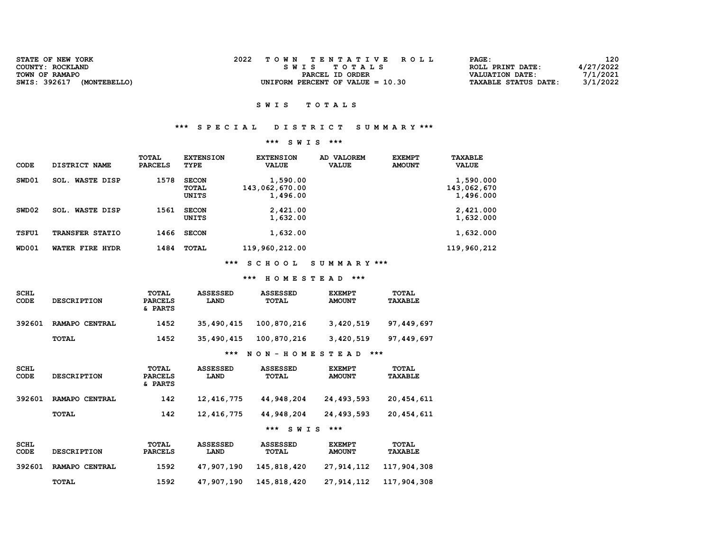| TOWN TENTATIVE ROLL                                                       | 120                                     |
|---------------------------------------------------------------------------|-----------------------------------------|
| STATE OF NEW YORK                                                         | <b>PAGE :</b>                           |
| COUNTY: ROCKLAND                                                          | 4/27/2022                               |
| SWIS TOTALS                                                               | ROLL PRINT DATE:                        |
| TOWN OF RAMAPO                                                            | 7/1/2021                                |
| PARCEL ID ORDER                                                           | VALUATION DATE:                         |
| SWIS: 392617<br>UNIFORM PERCENT OF VALUE $= 10.30$<br><b>(MONTEBELLO)</b> | 3/1/2022<br><b>TAXABLE STATUS DATE:</b> |

### \*\*\* S P E C I A L D I S T R I C T S U M M A R Y \*\*\*

### \*\*\* S W I S \*\*\*

| CODE         | DISTRICT NAME             | TOTAL<br><b>PARCELS</b> | <b>EXTENSION</b><br>TYPE       | <b>EXTENSION</b><br><b>VALUE</b>       | AD VALOREM<br><b>VALUE</b> | <b>EXEMPT</b><br><b>AMOUNT</b> | TAXABLE<br><b>VALUE</b>               |
|--------------|---------------------------|-------------------------|--------------------------------|----------------------------------------|----------------------------|--------------------------------|---------------------------------------|
| SWD01        | <b>WASTE DISP</b><br>SOL. | 1578                    | <b>SECON</b><br>TOTAL<br>UNITS | 1,590.00<br>143,062,670.00<br>1,496.00 |                            |                                | 1,590.000<br>143,062,670<br>1,496.000 |
| SWD02        | <b>WASTE DISP</b><br>SOL. | 1561                    | <b>SECON</b><br>UNITS          | 2,421.00<br>1,632.00                   |                            |                                | 2,421.000<br>1,632.000                |
| <b>TSFU1</b> | <b>TRANSFER STATIO</b>    | 1466                    | <b>SECON</b>                   | 1,632.00                               |                            |                                | 1,632.000                             |
| <b>WD001</b> | WATER FIRE HYDR           | 1484                    | <b>TOTAL</b>                   | 119,960,212.00                         |                            |                                | 119,960,212                           |

\*\*\* S C H O O L S U M M A R Y \*\*\*

### \*\*\* H O M E S T E A D \*\*\*

| <b>SCHL</b><br>CODE | <b>DESCRIPTION</b> | TOTAL<br><b>PARCELS</b><br>& PARTS | <b>ASSESSED</b><br><b>LAND</b> | <b>ASSESSED</b><br>TOTAL | <b>EXEMPT</b><br><b>AMOUNT</b> | <b>TOTAL</b><br><b>TAXABLE</b> |
|---------------------|--------------------|------------------------------------|--------------------------------|--------------------------|--------------------------------|--------------------------------|
| 392601              | RAMAPO CENTRAL     | 1452                               | 35,490,415                     | 100,870,216              | 3,420,519                      | 97,449,697                     |
|                     | <b>TOTAL</b>       | 1452                               | 35,490,415                     | 100,870,216              | 3,420,519                      | 97,449,697                     |

### \*\*\* N O N - H O M E S T E A D \*\*\*

| SCHL<br><b>CODE</b> | <b>DESCRIPTION</b> | TOTAL<br><b>PARCELS</b><br>& PARTS | <b>ASSESSED</b><br>LAND   | <b>ASSESSED</b><br>TOTAL  | <b>EXEMPT</b><br><b>AMOUNT</b> | TOTAL<br><b>TAXABLE</b> |
|---------------------|--------------------|------------------------------------|---------------------------|---------------------------|--------------------------------|-------------------------|
| 392601              | RAMAPO CENTRAL     | 142                                | 12,416,775                | 44,948,204                | 24,493,593                     | 20,454,611              |
|                     | TOTAL              | 142                                | 12,416,775                | 44,948,204                | 24,493,593                     | 20,454,611              |
|                     |                    |                                    |                           | ***<br><b>SWIS</b>        | ***                            |                         |
| SCHL<br>CODE        | אמדידפד פימדים     | TOTAL<br><b>DARCELS</b>            | <b>ASSESSED</b><br>חות ד. | <b>ASSESSED</b><br>TOTAT. | <b>EXEMPT</b><br><b>AMOUNT</b> | TOTAL<br><b>TAYARLE</b> |

| CODE   | <b>DESCRIPTION</b> | PARCELS | <b>LAND</b> | <b>TOTAL</b> | <b>AMOUNT</b> | <b>TAXABLE</b>             |
|--------|--------------------|---------|-------------|--------------|---------------|----------------------------|
| 392601 | RAMAPO CENTRAL     | 1592    | 47,907,190  | 145,818,420  |               | 27,914,112 117,904,308     |
|        | <b>TOTAL</b>       | 1592    | 47,907,190  | 145,818,420  |               | 27, 914, 112 117, 904, 308 |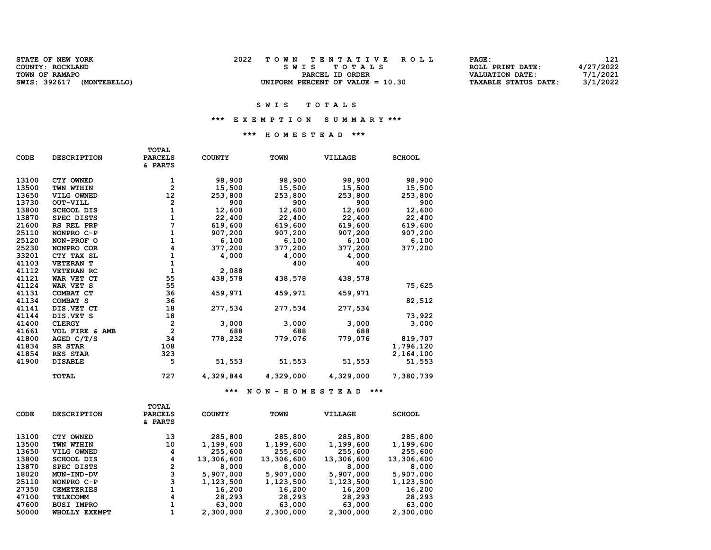| <b>STATE OF NEW YORK</b>     | TOWN TENTATIVE ROLL                | PAGE:                       | 121       |
|------------------------------|------------------------------------|-----------------------------|-----------|
| COUNTY: ROCKLAND             | SWIS TOTALS                        | ROLL PRINT DATE:            | 4/27/2022 |
| TOWN OF RAMAPO               | PARCEL ID ORDER                    | VALUATION DATE:             | 7/1/2021  |
| SWIS: 392617<br>(MONTEBELLO) | UNIFORM PERCENT OF VALUE $= 10.30$ | <b>TAXABLE STATUS DATE:</b> | 3/1/2022  |

#### SWIS TOTALS

### \*\*\* E X E M P T I O N S U M M A R Y \*\*\*

### \*\*\* H O M E S T E A D \*\*\*

| <b>CODE</b> | <b>DESCRIPTION</b>  | <b>TOTAL</b><br><b>PARCELS</b><br>& PARTS | <b>COUNTY</b> | <b>TOWN</b> | <b>VILLAGE</b> | <b>SCHOOL</b> |
|-------------|---------------------|-------------------------------------------|---------------|-------------|----------------|---------------|
| 13100       | CTY OWNED           | 1                                         | 98,900        | 98,900      | 98,900         | 98,900        |
| 13500       | TWN WTHIN           | $\overline{\mathbf{2}}$                   | 15,500        | 15,500      | 15,500         | 15,500        |
| 13650       | VILG OWNED          | 12                                        | 253,800       | 253,800     | 253,800        | 253,800       |
| 13730       | OUT-VILL            | $\mathbf{2}$                              | 900           | 900         | 900            | 900           |
| 13800       | <b>SCHOOL DIS</b>   | $\mathbf{1}$                              | 12,600        | 12,600      | 12,600         | 12,600        |
| 13870       | SPEC DISTS          | $\mathbf{1}$                              | 22,400        | 22,400      | 22,400         | 22,400        |
| 21600       | RS REL PRP          | 7                                         | 619,600       | 619,600     | 619,600        | 619,600       |
| 25110       | NONPRO C-P          | 1                                         | 907,200       | 907,200     | 907,200        | 907,200       |
| 25120       | NON-PROF O          | 1                                         | 6,100         | 6,100       | 6,100          | 6,100         |
| 25230       | NONPRO COR          | 4                                         | 377,200       | 377,200     | 377,200        | 377,200       |
| 33201       | CTY TAX SL          | $\mathbf 1$                               | 4,000         | 4,000       | 4,000          |               |
| 41103       | <b>VETERAN T</b>    | $\mathbf{1}$                              |               | 400         | 400            |               |
| 41112       | <b>VETERAN RC</b>   | $\mathbf{1}$                              | 2,088         |             |                |               |
| 41121       | WAR VET CT          | 55                                        | 438,578       | 438,578     | 438,578        |               |
| 41124       | WAR VET S           | 55                                        |               |             |                | 75,625        |
| 41131       | COMBAT CT           | 36                                        | 459,971       | 459,971     | 459,971        |               |
| 41134       | COMBAT <sub>S</sub> | 36                                        |               |             |                | 82,512        |
| 41141       | DIS.VET CT          | 18                                        | 277,534       | 277,534     | 277,534        |               |
| 41144       | DIS.VET S           | 18                                        |               |             |                | 73,922        |
| 41400       | <b>CLERGY</b>       | $\overline{2}$                            | 3,000         | 3,000       | 3,000          | 3,000         |
| 41661       | VOL FIRE & AMB      | $\overline{2}$                            | 688           | 688         | 688            |               |
| 41800       | AGED $C/T/S$        | 34                                        | 778,232       | 779,076     | 779,076        | 819,707       |
| 41834       | SR STAR             | 108                                       |               |             |                | 1,796,120     |
| 41854       | <b>RES STAR</b>     | 323                                       |               |             |                | 2,164,100     |
| 41900       | <b>DISABLE</b>      | 5                                         | 51,553        | 51,553      | 51,553         | 51,553        |
|             | <b>TOTAL</b>        | 727                                       | 4,329,844     | 4,329,000   | 4,329,000      | 7,380,739     |

\*\*\* N O N - H O M E S T E A D \*\*\*

|       |                     | <b>TOTAL</b>   |               |             |                |               |
|-------|---------------------|----------------|---------------|-------------|----------------|---------------|
| CODE  | <b>DESCRIPTION</b>  | <b>PARCELS</b> | <b>COUNTY</b> | <b>TOWN</b> | <b>VILLAGE</b> | <b>SCHOOL</b> |
|       |                     | & PARTS        |               |             |                |               |
| 13100 | <b>OWNED</b><br>CTY | 13             | 285,800       | 285,800     | 285,800        | 285,800       |
| 13500 | TWN WTHIN           | 10             | 1,199,600     | 1,199,600   | 1,199,600      | 1,199,600     |
| 13650 | VILG OWNED          | 4              | 255,600       | 255,600     | 255,600        | 255,600       |
| 13800 | SCHOOL DIS          | 4              | 13,306,600    | 13,306,600  | 13,306,600     | 13,306,600    |
| 13870 | <b>SPEC DISTS</b>   | 2              | 8,000         | 8,000       | 8,000          | 8,000         |
| 18020 | <b>MUN-IND-DV</b>   | 3              | 5,907,000     | 5,907,000   | 5,907,000      | 5,907,000     |
| 25110 | NONPRO C-P          | з              | 1,123,500     | 1,123,500   | 1,123,500      | 1,123,500     |
| 27350 | <b>CEMETERIES</b>   |                | 16,200        | 16,200      | 16,200         | 16,200        |
| 47100 | TELECOMM            | 4              | 28,293        | 28,293      | 28,293         | 28,293        |
| 47600 | <b>BUSI IMPRO</b>   |                | 63,000        | 63,000      | 63,000         | 63,000        |
| 50000 | WHOLLY EXEMPT       |                | 2,300,000     | 2,300,000   | 2,300,000      | 2,300,000     |
|       |                     |                |               |             |                |               |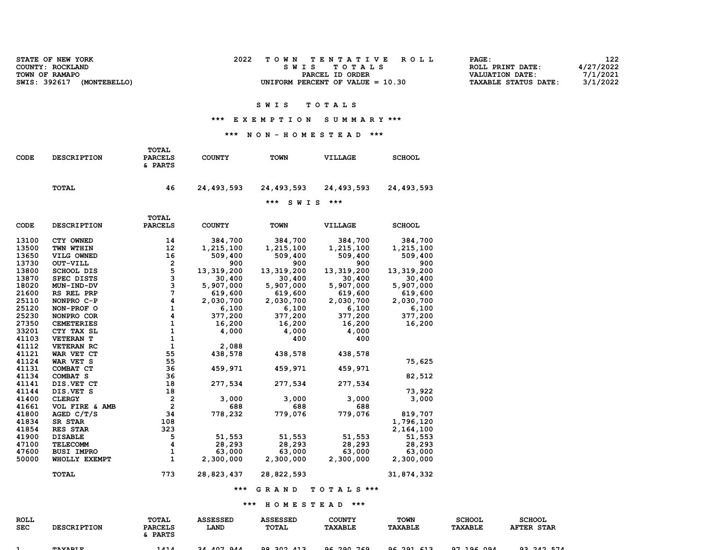| 2022<br>STATE OF NEW YORK           | TOWN TENTATIVE ROLL                | PAGE:                       | 122       |
|-------------------------------------|------------------------------------|-----------------------------|-----------|
| COUNTY: ROCKLAND                    | SWIS TOTALS                        | ROLL PRINT DATE:            | 4/27/2022 |
| TOWN OF RAMAPO                      | PARCEL ID ORDER                    | VALUATION DATE:             | 7/1/2021  |
| SWIS: 392617<br><b>(MONTEBELLO)</b> | UNIFORM PERCENT OF VALUE $= 10.30$ | <b>TAXABLE STATUS DATE:</b> | 3/1/2022  |

### SWIS TOTALS

### \*\*\* E X E M P T I O N S U M M A R Y \*\*\*

### \*\*\* N O N - H O M E S T E A D \*\*\*

| CODE | <b>DESCRIPTION</b> | TOTAL<br><b>PARCELS</b><br>& PARTS | <b>COUNTY</b> | <b>TOWN</b>  | <b>VILLAGE</b> | <b>SCHOOL</b> |
|------|--------------------|------------------------------------|---------------|--------------|----------------|---------------|
|      | TOTAL              | 46                                 | 24,493,593    | 24,493,593   | 24,493,593     | 24,493,593    |
|      |                    |                                    |               | *** SWIS *** |                |               |

|             |                    | TOTAL                   |               |              |                |               |
|-------------|--------------------|-------------------------|---------------|--------------|----------------|---------------|
| <b>CODE</b> | <b>DESCRIPTION</b> | <b>PARCELS</b>          | <b>COUNTY</b> | <b>TOWN</b>  | <b>VILLAGE</b> | <b>SCHOOL</b> |
| 13100       | CTY OWNED          | 14                      | 384,700       | 384,700      | 384,700        | 384,700       |
| 13500       | TWN WTHIN          | 12                      | 1,215,100     | 1,215,100    | 1,215,100      | 1,215,100     |
| 13650       | VILG OWNED         | 16                      | 509,400       | 509,400      | 509,400        | 509,400       |
| 13730       | OUT-VILL           | $\mathbf{2}$            | 900           | 900          | 900            | 900           |
| 13800       | <b>SCHOOL DIS</b>  | 5                       | 13,319,200    | 13, 319, 200 | 13, 319, 200   | 13,319,200    |
| 13870       | <b>SPEC DISTS</b>  | 3                       | 30,400        | 30,400       | 30,400         | 30,400        |
| 18020       | MUN-IND-DV         | 3                       | 5,907,000     | 5,907,000    | 5,907,000      | 5,907,000     |
| 21600       | RS REL PRP         | 7                       | 619,600       | 619,600      | 619,600        | 619,600       |
| 25110       | NONPRO C-P         | 4                       | 2,030,700     | 2,030,700    | 2,030,700      | 2,030,700     |
| 25120       | NON-PROF O         | $\mathbf{1}$            | 6,100         | 6,100        | 6,100          | 6,100         |
| 25230       | NONPRO COR         | 4                       | 377,200       | 377,200      | 377,200        | 377,200       |
| 27350       | <b>CEMETERIES</b>  | $\mathbf{1}$            | 16,200        | 16,200       | 16,200         | 16,200        |
| 33201       | CTY TAX SL         | $\mathbf{1}$            | 4,000         | 4,000        | 4,000          |               |
| 41103       | <b>VETERAN T</b>   | $\mathbf{1}$            |               | 400          | 400            |               |
| 41112       | <b>VETERAN RC</b>  | $\mathbf{1}$            | 2,088         |              |                |               |
| 41121       | WAR VET CT         | 55                      | 438,578       | 438,578      | 438,578        |               |
| 41124       | WAR VET S          | 55                      |               |              |                | 75,625        |
| 41131       | COMBAT CT          | 36                      | 459,971       | 459,971      | 459,971        |               |
| 41134       | <b>COMBAT S</b>    | 36                      |               |              |                | 82,512        |
| 41141       | DIS.VET CT         | 18                      | 277,534       | 277,534      | 277,534        |               |
| 41144       | DIS.VET S          | 18                      |               |              |                | 73,922        |
| 41400       | <b>CLERGY</b>      | $\overline{\mathbf{2}}$ | 3,000         | 3,000        | 3,000          | 3,000         |
| 41661       | VOL FIRE & AMB     | $\overline{2}$          | 688           | 688          | 688            |               |
| 41800       | AGED C/T/S         | 34                      | 778,232       | 779,076      | 779,076        | 819,707       |
| 41834       | SR STAR            | 108                     |               |              |                | 1,796,120     |
| 41854       | <b>RES STAR</b>    | 323                     |               |              |                | 2,164,100     |
| 41900       | <b>DISABLE</b>     | 5                       | 51,553        | 51,553       | 51,553         | 51,553        |
| 47100       | <b>TELECOMM</b>    | 4                       | 28,293        | 28,293       | 28,293         | 28,293        |
| 47600       | <b>BUSI IMPRO</b>  | $\mathbf{1}$            | 63,000        | 63,000       | 63,000         | 63,000        |
| 50000       | WHOLLY EXEMPT      | $\mathbf{1}$            | 2,300,000     | 2,300,000    | 2,300,000      | 2,300,000     |
|             | <b>TOTAL</b>       | 773                     | 28,823,437    | 28,822,593   |                | 31,874,332    |

\*\*\* G R A N D T O T A L S \*\*\*

### \*\*\* H O M E S T E A D \*\*\*

| ROLL       |                       | <b>TOTAL</b>                   | ASSESSED    | ASSESSED      | <b>COUNTY</b>  | <b>TOWN</b>                           | <b>SCHOOL</b>  | <b>SCHOOL</b>     |
|------------|-----------------------|--------------------------------|-------------|---------------|----------------|---------------------------------------|----------------|-------------------|
| <b>SEC</b> | <b>DESCRIPTION</b>    | <b>PARCELS</b><br><b>PARTS</b> | <b>LAND</b> | <b>TOTAL</b>  | <b>TAXABLE</b> | <b>TAXABLE</b>                        | <b>TAXABLE</b> | <b>AFTER STAR</b> |
|            | $m \times m \times m$ | .                              | 24.107.044  | 00. 200. U.S. | $AC$ 000 760   | 0 <sub>0</sub> 0 <sub>0</sub><br>$-1$ | 07.106.004     | 0.2, 0.12, 0.74   |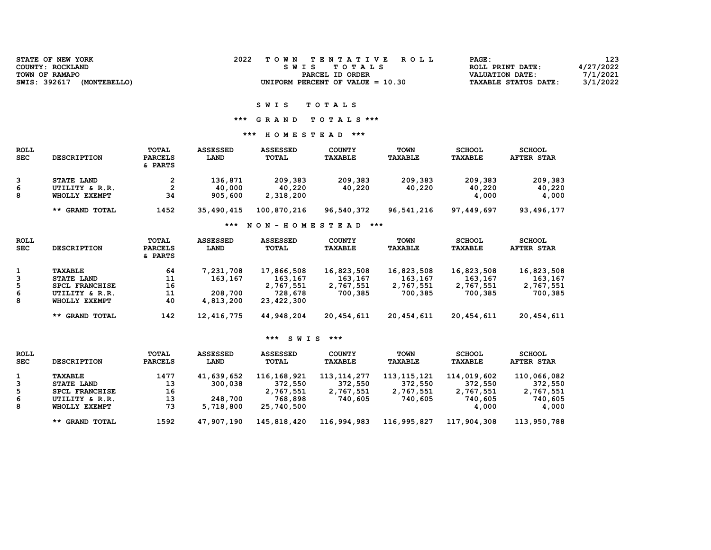| STATE OF NEW YORK            | TOWN TENTATIVE ROLL                | PAGE:                       | 123       |
|------------------------------|------------------------------------|-----------------------------|-----------|
| COUNTY: ROCKLAND             | TOTAL S<br>S W T S                 | ROLL PRINT DATE:            | 4/27/2022 |
| TOWN OF RAMAPO               | PARCEL ID ORDER                    | VALUATION DATE:             | 7/1/2021  |
| SWIS: 392617<br>(MONTEBELLO) | UNIFORM PERCENT OF VALUE $= 10.30$ | <b>TAXABLE STATUS DATE:</b> | 3/1/2022  |

### \*\*\* G R A N D T O T A L S \*\*\*

### \*\*\* H O M E S T E A D \*\*\*

| <b>ROLL</b><br><b>SEC</b> | <b>DESCRIPTION</b>                            | TOTAL<br><b>PARCELS</b><br>& PARTS | <b>ASSESSED</b><br>LAND      | ASSESSED<br>TOTAL              | <b>COUNTY</b><br><b>TAXABLE</b> | <b>TOWN</b><br><b>TAXABLE</b> | <b>SCHOOL</b><br><b>TAXABLE</b> | <b>SCHOOL</b><br><b>AFTER STAR</b> |
|---------------------------|-----------------------------------------------|------------------------------------|------------------------------|--------------------------------|---------------------------------|-------------------------------|---------------------------------|------------------------------------|
| 3<br>6<br>8               | STATE LAND<br>UTILITY & R.R.<br>WHOLLY EXEMPT | 34                                 | 136,871<br>40,000<br>905,600 | 209,383<br>40,220<br>2,318,200 | 209,383<br>40,220               | 209,383<br>40,220             | 209,383<br>40,220<br>4,000      | 209,383<br>40,220<br>4,000         |
|                           | ** GRAND TOTAL                                | 1452                               | 35,490,415                   | 100,870,216                    | 96,540,372                      | 96,541,216                    | 97,449,697                      | 93,496,177                         |

### \*\*\* N O N - H O M E S T E A D \*\*\*

| ROLL<br><b>SEC</b> | <b>DESCRIPTION</b> | TOTAL<br><b>PARCELS</b><br>& PARTS | <b>ASSESSED</b><br>LAND | <b>ASSESSED</b><br>TOTAL | <b>COUNTY</b><br><b>TAXABLE</b> | <b>TOWN</b><br><b>TAXABLE</b> | <b>SCHOOL</b><br>TAXABLE | <b>SCHOOL</b><br><b>AFTER STAR</b> |
|--------------------|--------------------|------------------------------------|-------------------------|--------------------------|---------------------------------|-------------------------------|--------------------------|------------------------------------|
|                    | TAXABLE            | 64                                 | 7,231,708               | 17,866,508               | 16,823,508                      | 16,823,508                    | 16,823,508               | 16,823,508                         |
| 3                  | STATE LAND         | 11                                 | 163,167                 | 163,167                  | 163,167                         | 163,167                       | 163,167                  | 163,167                            |
| 5                  | SPCL FRANCHISE     | 16                                 |                         | 2,767,551                | 2,767,551                       | 2,767,551                     | 2,767,551                | 2,767,551                          |
| 6                  | UTILITY & R.R.     | 11                                 | 208,700                 | 728,678                  | 700,385                         | 700,385                       | 700,385                  | 700,385                            |
| 8                  | WHOLLY EXEMPT      | 40                                 | 4,813,200               | 23,422,300               |                                 |                               |                          |                                    |
|                    | ** GRAND TOTAL     | 142                                | 12,416,775              | 44,948,204               | 20,454,611                      | 20,454,611                    | 20,454,611               | 20,454,611                         |

| <b>ROLL</b> |                       | TOTAL          | <b>ASSESSED</b> | <b>ASSESSED</b> | <b>COUNTY</b>  | <b>TOWN</b>    | <b>SCHOOL</b>  | <b>SCHOOL</b>     |
|-------------|-----------------------|----------------|-----------------|-----------------|----------------|----------------|----------------|-------------------|
| <b>SEC</b>  | <b>DESCRIPTION</b>    | <b>PARCELS</b> | LAND            | TOTAL           | <b>TAXABLE</b> | <b>TAXABLE</b> | <b>TAXABLE</b> | <b>AFTER STAR</b> |
|             | TAXABLE               | 1477           | 41,639,652      | 116,168,921     | 113, 114, 277  | 113, 115, 121  | 114,019,602    | 110,066,082       |
| 3           | <b>STATE LAND</b>     | 13             | 300,038         | 372,550         | 372,550        | 372,550        | 372,550        | 372,550           |
| 5.          | <b>SPCL FRANCHISE</b> | 16             |                 | 2,767,551       | 2,767,551      | 2,767,551      | 2,767,551      | 2,767,551         |
| 6           | UTILITY & R.R.        | 13             | 248,700         | 768,898         | 740,605        | 740,605        | 740,605        | 740,605           |
| 8           | WHOLLY EXEMPT         | 73             | 5,718,800       | 25,740,500      |                |                | 4,000          | 4,000             |
|             | ** GRAND TOTAL        | 1592           | 47,907,190      | 145,818,420     | 116,994,983    | 116,995,827    | 117,904,308    | 113,950,788       |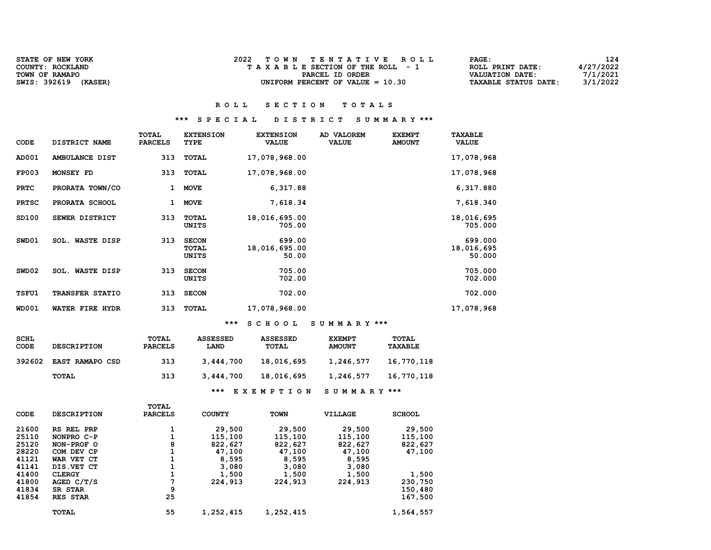| <b>STATE OF NEW YORK</b> | TOWN TENTATIVE ROLL                   | <b>PAGE :</b>               | 124       |
|--------------------------|---------------------------------------|-----------------------------|-----------|
| COUNTY: ROCKLAND         | T A X A B L E SECTION OF THE ROLL - 1 | ROLL PRINT DATE:            | 4/27/2022 |
| TOWN OF RAMAPO           | PARCEL ID ORDER                       | VALUATION DATE:             | 7/1/2021  |
| SWIS: 392619<br>(KASER)  | UNIFORM PERCENT OF VALUE $= 10.30$    | <b>TAXABLE STATUS DATE:</b> | 3/1/2022  |

### R O L L S E C T I O N T O T A L S

### \*\*\* S P E C I A L D I S T R I C T S U M M A R Y \*\*\*

| CODE         | DISTRICT NAME             | TOTAL<br><b>PARCELS</b> | <b>EXTENSION</b><br>TYPE              | <b>EXTENSION</b><br><b>VALUE</b> | AD VALOREM<br><b>VALUE</b> | <b>EXEMPT</b><br><b>AMOUNT</b> | <b>TAXABLE</b><br><b>VALUE</b>  |
|--------------|---------------------------|-------------------------|---------------------------------------|----------------------------------|----------------------------|--------------------------------|---------------------------------|
| AD001        | AMBULANCE DIST            | 313                     | <b>TOTAL</b>                          | 17,078,968.00                    |                            |                                | 17,078,968                      |
| <b>FP003</b> | MONSEY FD                 | 313                     | TOTAL                                 | 17,078,968.00                    |                            |                                | 17,078,968                      |
| PRTC         | PRORATA TOWN/CO           | $\mathbf{1}$            | <b>MOVE</b>                           | 6,317.88                         |                            |                                | 6,317.880                       |
| <b>PRTSC</b> | PRORATA SCHOOL            | $\mathbf{1}$            | <b>MOVE</b>                           | 7,618.34                         |                            |                                | 7,618.340                       |
| SD100        | SEWER DISTRICT            | 313                     | TOTAL<br>UNITS                        | 18,016,695.00<br>705.00          |                            |                                | 18,016,695<br>705.000           |
| SWD01        | <b>WASTE DISP</b><br>SOL. | 313                     | <b>SECON</b><br><b>TOTAL</b><br>UNITS | 699.00<br>18,016,695.00<br>50.00 |                            |                                | 699.000<br>18,016,695<br>50.000 |
| SWD02        | <b>SOL. WASTE DISP</b>    | 313                     | <b>SECON</b><br>UNITS                 | 705.00<br>702.00                 |                            |                                | 705.000<br>702.000              |
| TSFU1        | TRANSFER STATIO           | 313                     | <b>SECON</b>                          | 702.00                           |                            |                                | 702.000                         |
| <b>WD001</b> | WATER FIRE HYDR           | 313                     | TOTAL                                 | 17,078,968.00                    |                            |                                | 17,078,968                      |

### \*\*\* S C H O O L S U M M A R Y \*\*\*

| <b>SCHL</b><br>CODE | <b>DESCRIPTION</b>     | TOTAL<br><b>PARCELS</b> | ASSESSED<br><b>LAND</b> | ASSESSED<br>TOTAL | <b>EXEMPT</b><br><b>AMOUNT</b> | TOTAL<br><b>TAXABLE</b> |
|---------------------|------------------------|-------------------------|-------------------------|-------------------|--------------------------------|-------------------------|
| 392602              | <b>EAST RAMAPO CSD</b> | 313                     | 3,444,700               | 18,016,695        | 1,246,577                      | 16,770,118              |
|                     | TOTAL                  | 313                     | 3,444,700               | 18,016,695        | 1,246,577                      | 16,770,118              |

### \*\*\* E X E M P T I O N S U M M A R Y \*\*\*

|             |                    | <b>TOTAL</b>   |               |             |                |               |
|-------------|--------------------|----------------|---------------|-------------|----------------|---------------|
| <b>CODE</b> | <b>DESCRIPTION</b> | <b>PARCELS</b> | <b>COUNTY</b> | <b>TOWN</b> | <b>VILLAGE</b> | <b>SCHOOL</b> |
| 21600       | RS REL PRP         |                | 29,500        | 29,500      | 29,500         | 29,500        |
| 25110       | NONPRO C-P         |                | 115,100       | 115,100     | 115,100        | 115,100       |
| 25120       | NON-PROF O         | 8              | 822,627       | 822,627     | 822,627        | 822,627       |
| 28220       | COM DEV CP         | 1              | 47,100        | 47,100      | 47,100         | 47,100        |
| 41121       | WAR VET CT         |                | 8,595         | 8,595       | 8,595          |               |
| 41141       | DIS.VET CT         |                | 3,080         | 3,080       | 3,080          |               |
| 41400       | <b>CLERGY</b>      |                | 1,500         | 1,500       | 1,500          | 1,500         |
| 41800       | AGED $C/T/S$       | 7              | 224,913       | 224,913     | 224,913        | 230,750       |
| 41834       | SR STAR            | 9              |               |             |                | 150,480       |
| 41854       | RES STAR           | 25             |               |             |                | 167,500       |
|             | <b>TOTAL</b>       | 55             | 1,252,415     | 1,252,415   |                | 1,564,557     |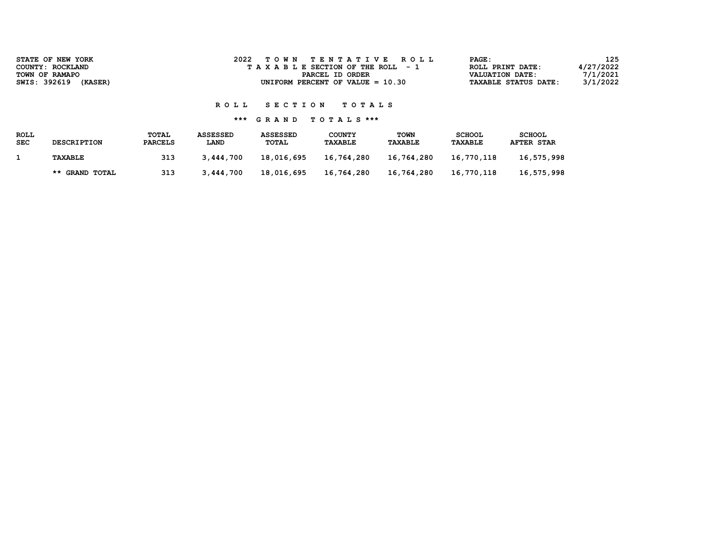| <b>STATE OF NEW YORK</b><br>COUNTY: ROCKLAND | 2022<br>TOWN TENTATIVE ROLL<br>T A X A B L E SECTION OF THE ROLL - 1 | 125<br>PAGE:<br>4/27/2022<br>ROLL PRINT DATE: |
|----------------------------------------------|----------------------------------------------------------------------|-----------------------------------------------|
| TOWN OF RAMAPO                               | PARCEL ID ORDER                                                      | 7/1/2021<br>VALUATION DATE:                   |
| SWIS: 392619<br>(KASER)                      | UNIFORM PERCENT OF VALUE $= 10.30$                                   | 3/1/2022<br><b>TAXABLE STATUS DATE:</b>       |
|                                              |                                                                      |                                               |

| <b>ROLL</b><br><b>SEC</b> | <b>DESCRIPTION</b>    | <b>TOTAL</b><br><b>PARCELS</b> | <b>ASSESSED</b><br><b>LAND</b> | ASSESSED<br><b>TOTAL</b> | <b>COUNTY</b><br><b>TAXABLE</b> | <b>TOWN</b><br><b>TAXABLE</b> | <b>SCHOOL</b><br>TAXABLE | <b>SCHOOL</b><br><b>AFTER STAR</b> |
|---------------------------|-----------------------|--------------------------------|--------------------------------|--------------------------|---------------------------------|-------------------------------|--------------------------|------------------------------------|
|                           | <b>TAXABLE</b>        | 313                            | 3,444,700                      | 18,016,695               | 16,764,280                      | 16,764,280                    | 16,770,118               | 16,575,998                         |
|                           | <b>** GRAND TOTAL</b> | 313                            | 3,444,700                      | 18,016,695               | 16,764,280                      | 16,764,280                    | 16,770,118               | 16,575,998                         |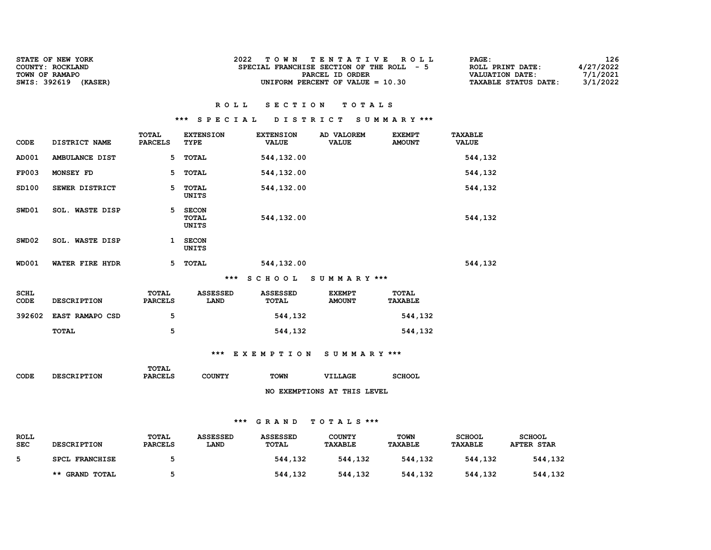| <b>STATE OF NEW YORK</b> | TOWN TENTATIVE ROLL                       | <b>PAGE :</b>               | 126       |
|--------------------------|-------------------------------------------|-----------------------------|-----------|
| COUNTY: ROCKLAND         | SPECIAL FRANCHISE SECTION OF THE ROLL - 5 | ROLL PRINT DATE:            | 4/27/2022 |
| TOWN OF RAMAPO           | PARCEL ID ORDER                           | <b>VALUATION DATE:</b>      | 7/1/2021  |
| SWIS: 392619<br>(KASER)  | UNIFORM PERCENT OF VALUE $= 10.30$        | <b>TAXABLE STATUS DATE:</b> | 3/1/2022  |

### \*\*\* S P E C I A L D I S T R I C T S U M M A R Y \*\*\*

| CODE              | DISTRICT NAME          | <b>TOTAL</b><br><b>PARCELS</b> | <b>EXTENSION</b><br>TYPE       | <b>EXTENSION</b><br><b>VALUE</b> | AD VALOREM<br><b>VALUE</b> | <b>EXEMPT</b><br><b>AMOUNT</b> | <b>TAXABLE</b><br><b>VALUE</b> |
|-------------------|------------------------|--------------------------------|--------------------------------|----------------------------------|----------------------------|--------------------------------|--------------------------------|
| AD001             | AMBULANCE DIST         | 5.                             | TOTAL                          | 544,132.00                       |                            |                                | 544,132                        |
| <b>FP003</b>      | MONSEY FD              | 5.                             | TOTAL                          | 544,132.00                       |                            |                                | 544,132                        |
| SD100             | SEWER DISTRICT         | 5.                             | TOTAL<br>UNITS                 | 544,132.00                       |                            |                                | 544,132                        |
| SWD01             | <b>SOL. WASTE DISP</b> | 5.                             | <b>SECON</b><br>TOTAL<br>UNITS | 544,132.00                       |                            |                                | 544,132                        |
| SWD <sub>02</sub> | <b>SOL. WASTE DISP</b> | 1                              | <b>SECON</b><br>UNITS          |                                  |                            |                                |                                |
| <b>WD001</b>      | WATER FIRE HYDR        | 5.                             | TOTAL                          | 544,132.00                       |                            |                                | 544,132                        |
|                   |                        |                                | $***$                          | <b>SCHOOL</b>                    | SUMMARY ***                |                                |                                |

| SCHL<br>CODE | <b>DESCRIPTION</b>     | <b>TOTAL</b><br><b>PARCELS</b> | <b>ASSESSED</b><br><b>LAND</b> | <b>ASSESSED</b><br><b>TOTAL</b> | <b>EXEMPT</b><br><b>AMOUNT</b> | TOTAL<br><b>TAXABLE</b> |
|--------------|------------------------|--------------------------------|--------------------------------|---------------------------------|--------------------------------|-------------------------|
| 392602       | <b>EAST RAMAPO CSD</b> | 5                              |                                | 544,132                         |                                | 544,132                 |
|              | TOTAL                  | π                              |                                | 544,132                         |                                | 544,132                 |

### \*\*\* E X E M P T I O N S U M M A R Y \*\*\*

|             |                    | TOTAL          |        |             |                |               |
|-------------|--------------------|----------------|--------|-------------|----------------|---------------|
| <b>CODE</b> | <b>DESCRIPTION</b> | <b>PARCELS</b> | COUNTY | <b>TOWN</b> | <b>VILLAGE</b> | <b>SCHOOL</b> |
|             |                    |                |        |             |                |               |

NO EXEMPTIONS AT THIS LEVEL

| <b>ROLL</b><br><b>SEC</b> | <b>DESCRIPTION</b>    | TOTAL<br><b>PARCELS</b> | <b>ASSESSED</b><br><b>LAND</b> | <b>ASSESSED</b><br>TOTAL | <b>COUNTY</b><br>TAXABLE | <b>TOWN</b><br><b>TAXABLE</b> | <b>SCHOOL</b><br><b>TAXABLE</b> | <b>SCHOOL</b><br><b>AFTER STAR</b> |
|---------------------------|-----------------------|-------------------------|--------------------------------|--------------------------|--------------------------|-------------------------------|---------------------------------|------------------------------------|
|                           | SPCL FRANCHISE        |                         |                                | 544,132                  | 544,132                  | 544,132                       | 544,132                         | 544,132                            |
|                           | <b>** GRAND TOTAL</b> |                         |                                | 544,132                  | 544,132                  | 544,132                       | 544,132                         | 544,132                            |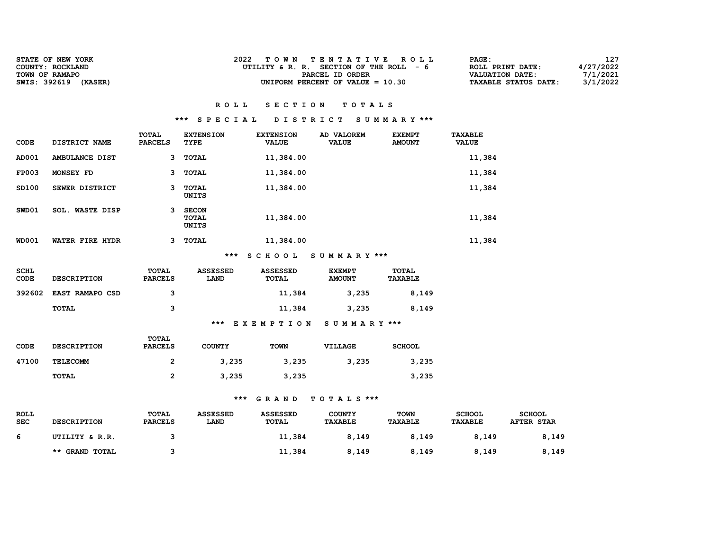| <b>STATE OF NEW YORK</b><br>COUNTY: ROCKLAND | 2022<br>TOWN TENTATIVE ROLL<br>UTILITY & R. R. SECTION OF THE ROLL - 6 | 127<br>PAGE:<br>4/27/2022<br>ROLL PRINT DATE:                          |
|----------------------------------------------|------------------------------------------------------------------------|------------------------------------------------------------------------|
| TOWN OF RAMAPO<br>SWIS: 392619<br>(KASER)    | PARCEL ID ORDER<br>UNIFORM PERCENT OF VALUE $= 10.30$                  | 7/1/2021<br>VALUATION DATE:<br>3/1/2022<br><b>TAXABLE STATUS DATE:</b> |

### \*\*\* S P E C I A L D I S T R I C T S U M M A R Y \*\*\*

| CODE         | DISTRICT NAME             | TOTAL<br><b>PARCELS</b> | <b>EXTENSION</b><br>TYPE       | <b>EXTENSION</b><br><b>VALUE</b> | AD VALOREM<br><b>VALUE</b> | <b>EXEMPT</b><br><b>AMOUNT</b> | <b>TAXABLE</b><br><b>VALUE</b> |
|--------------|---------------------------|-------------------------|--------------------------------|----------------------------------|----------------------------|--------------------------------|--------------------------------|
| AD001        | AMBULANCE DIST            | 3                       | <b>TOTAL</b>                   | 11,384.00                        |                            |                                | 11,384                         |
| <b>FP003</b> | MONSEY FD                 | 3                       | <b>TOTAL</b>                   | 11,384.00                        |                            |                                | 11,384                         |
| SD100        | SEWER DISTRICT            | 3                       | <b>TOTAL</b><br>UNITS          | 11,384.00                        |                            |                                | 11,384                         |
| SWD01        | <b>WASTE DISP</b><br>SOL. | 3                       | <b>SECON</b><br>TOTAL<br>UNITS | 11,384.00                        |                            |                                | 11,384                         |
| <b>WD001</b> | WATER FIRE HYDR           |                         | <b>TOTAL</b>                   | 11,384.00                        |                            |                                | 11,384                         |

### \*\*\* S C H O O L S U M M A R Y \*\*\*

| <b>SCHL</b><br>CODE | <b>DESCRIPTION</b>     | <b>TOTAL</b><br><b>PARCELS</b> | <b>ASSESSED</b><br><b>LAND</b> | <b>ASSESSED</b><br>TOTAL | <b>EXEMPT</b><br><b>AMOUNT</b> | <b>TOTAL</b><br><b>TAXABLE</b> |
|---------------------|------------------------|--------------------------------|--------------------------------|--------------------------|--------------------------------|--------------------------------|
| 392602              | <b>EAST RAMAPO CSD</b> | 3                              |                                | 11,384                   | 3,235                          | 8,149                          |
|                     | <b>TOTAL</b>           | ຈ                              |                                | 11,384                   | 3,235                          | 8,149                          |

### \*\*\* E X E M P T I O N S U M M A R Y \*\*\*

| CODE  | <b>DESCRIPTION</b> | TOTAL<br><b>PARCELS</b> | COUNTY | TOWN  | VILLAGE | <b>SCHOOL</b> |
|-------|--------------------|-------------------------|--------|-------|---------|---------------|
| 47100 | TELECOMM           |                         | 3,235  | 3,235 | 3,235   | 3,235         |
|       | <b>TOTAL</b>       |                         | 3,235  | 3,235 |         | 3,235         |

| <b>ROLL</b><br><b>SEC</b> | <b>DESCRIPTION</b> | <b>TOTAL</b><br><b>PARCELS</b> | <b>ASSESSED</b><br><b>LAND</b> | <b>ASSESSED</b><br>TOTAL | <b>COUNTY</b><br><b>TAXABLE</b> | <b>TOWN</b><br><b>TAXABLE</b> | <b>SCHOOL</b><br>TAXABLE | <b>SCHOOL</b><br><b>AFTER STAR</b> |
|---------------------------|--------------------|--------------------------------|--------------------------------|--------------------------|---------------------------------|-------------------------------|--------------------------|------------------------------------|
| 6                         | UTILITY & R.R.     |                                |                                | 11,384                   | 8,149                           | 8,149                         | 8,149                    | 8,149                              |
|                           | ** GRAND TOTAL     |                                |                                | 11,384                   | 8,149                           | 8,149                         | 8,149                    | 8,149                              |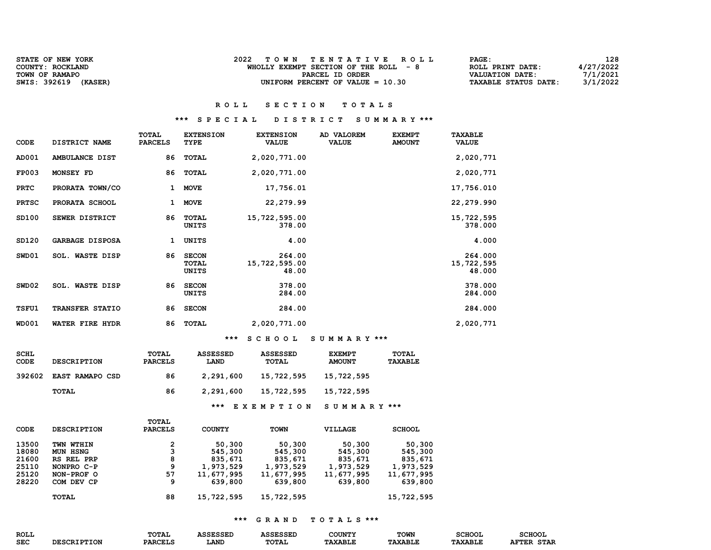| <b>STATE OF NEW YORK</b> | TOWN TENTATIVE ROLL                    | 128<br><b>PAGE :</b>                    |
|--------------------------|----------------------------------------|-----------------------------------------|
| COUNTY: ROCKLAND         | WHOLLY EXEMPT SECTION OF THE ROLL $-8$ | 4/27/2022<br>ROLL PRINT DATE:           |
| TOWN OF RAMAPO           | PARCEL ID ORDER                        | 7/1/2021<br>VALUATION DATE:             |
| SWIS: 392619<br>(KASER)  | UNIFORM PERCENT OF VALUE $= 10.30$     | 3/1/2022<br><b>TAXABLE STATUS DATE:</b> |

### R O L L S E C T I O N T O T A L S

### \*\*\* S P E C I A L D I S T R I C T S U M M A R Y \*\*\*

| CODE         | DISTRICT NAME          | TOTAL<br><b>PARCELS</b> | <b>EXTENSION</b><br>TYPE       | <b>EXTENSION</b><br><b>VALUE</b> | AD VALOREM<br><b>VALUE</b> | <b>EXEMPT</b><br><b>AMOUNT</b> | <b>TAXABLE</b><br><b>VALUE</b>  |
|--------------|------------------------|-------------------------|--------------------------------|----------------------------------|----------------------------|--------------------------------|---------------------------------|
| AD001        | AMBULANCE DIST         | 86                      | <b>TOTAL</b>                   | 2,020,771.00                     |                            |                                | 2,020,771                       |
| <b>FP003</b> | MONSEY FD              | 86                      | <b>TOTAL</b>                   | 2,020,771.00                     |                            |                                | 2,020,771                       |
| PRTC         | PRORATA TOWN/CO        | $\mathbf{1}$            | <b>MOVE</b>                    | 17,756.01                        |                            |                                | 17,756.010                      |
| <b>PRTSC</b> | PRORATA SCHOOL         | 1                       | <b>MOVE</b>                    | 22, 279.99                       |                            |                                | 22, 279.990                     |
| SD100        | SEWER DISTRICT         | 86                      | <b>TOTAL</b><br>UNITS          | 15,722,595.00<br>378.00          |                            |                                | 15,722,595<br>378.000           |
| SD120        | <b>GARBAGE DISPOSA</b> | 1                       | UNITS                          | 4.00                             |                            |                                | 4.000                           |
| SWD01        | SOL. WASTE DISP        | 86                      | <b>SECON</b><br>TOTAL<br>UNITS | 264.00<br>15,722,595.00<br>48.00 |                            |                                | 264.000<br>15,722,595<br>48.000 |
| SWD02        | SOL. WASTE DISP        | 86                      | <b>SECON</b><br>UNITS          | 378.00<br>284.00                 |                            |                                | 378.000<br>284.000              |
| <b>TSFU1</b> | TRANSFER STATIO        | 86                      | <b>SECON</b>                   | 284.00                           |                            |                                | 284.000                         |
| <b>WD001</b> | WATER FIRE HYDR        | 86                      | <b>TOTAL</b>                   | 2,020,771.00                     |                            |                                | 2,020,771                       |

### \*\*\* S C H O O L S U M M A R Y \*\*\*

| SCHL<br>CODE | <b>DESCRIPTION</b> | TOTAL<br><b>PARCELS</b> | <b>ASSESSED</b><br>LAND | <b>ASSESSED</b><br>TOTAL | <b>EXEMPT</b><br><b>AMOUNT</b> | TOTAL<br><b>TAXABLE</b> |
|--------------|--------------------|-------------------------|-------------------------|--------------------------|--------------------------------|-------------------------|
| 392602       | EAST RAMAPO CSD    | 86                      | 2,291,600               | 15,722,595               | 15,722,595                     |                         |
|              | TOTAL              | 86                      | 2,291,600               | 15,722,595               | 15,722,595                     |                         |
|              |                    |                         | ***                     | EXEMPTION                | SUMMARY ***                    |                         |

|       |                    | TOTAL          |               |             |                |               |
|-------|--------------------|----------------|---------------|-------------|----------------|---------------|
| CODE  | <b>DESCRIPTION</b> | <b>PARCELS</b> | <b>COUNTY</b> | <b>TOWN</b> | <b>VILLAGE</b> | <b>SCHOOL</b> |
| 13500 | TWN WTHIN          | 2              | 50,300        | 50,300      | 50,300         | 50,300        |
| 18080 | <b>MUN HSNG</b>    | 3              | 545,300       | 545,300     | 545,300        | 545,300       |
| 21600 | RS REL PRP         | 8              | 835,671       | 835,671     | 835,671        | 835,671       |
| 25110 | NONPRO C-P         | 9              | 1,973,529     | 1,973,529   | 1,973,529      | 1,973,529     |
| 25120 | NON-PROF O         | 57             | 11,677,995    | 11,677,995  | 11,677,995     | 11,677,995    |
| 28220 | COM DEV CP         | 9              | 639,800       | 639,800     | 639,800        | 639,800       |
|       | TOTAL              | 88             | 15,722,595    | 15,722,595  |                | 15,722,595    |

| ROLL       |                    | <b>TOTAL</b>   | <b>ASSESSED</b> | ASSESSED     | <b>COUNTY</b>  | <b>TOWN</b>    | <b>SCHOOL</b>  | <b>SCHOOL</b> |
|------------|--------------------|----------------|-----------------|--------------|----------------|----------------|----------------|---------------|
| <b>SEC</b> | <b>DESCRIPTION</b> | <b>PARCELS</b> | <b>LANT</b>     | <b>TOTAL</b> | <b>TAXABLE</b> | <b>TAXABLE</b> | <b>TAXABLE</b> | STAR<br>AFTER |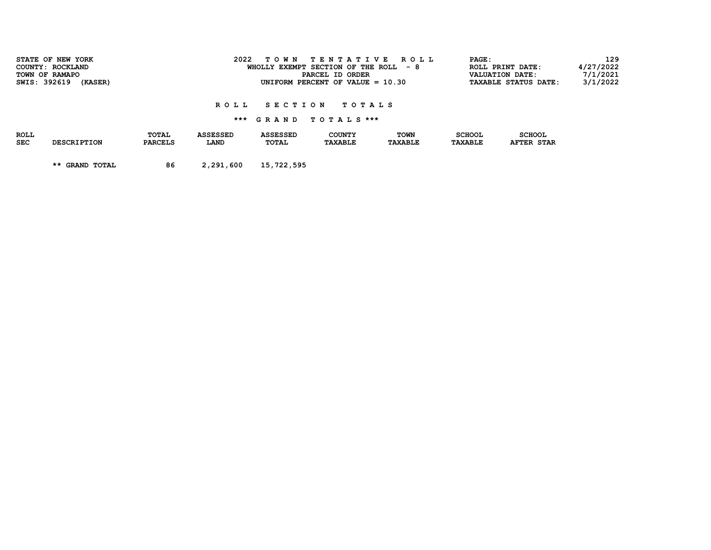|                    | STATE OF NEW YORK<br>COUNTY: ROCKLAND<br>TOWN OF RAMAPO<br>SWIS: 392619 (KASER) |                         | 2022                           |                          | TOWN TENTATIVE ROLL<br>WHOLLY EXEMPT SECTION OF THE ROLL $-8$<br>PARCEL ID ORDER<br>UNIFORM PERCENT OF VALUE $= 10.30$ |                        | PAGE:                           | ROLL PRINT DATE:<br><b>VALUATION DATE:</b><br><b>TAXABLE STATUS DATE:</b> | 129<br>4/27/2022<br>7/1/2021<br>3/1/2022 |
|--------------------|---------------------------------------------------------------------------------|-------------------------|--------------------------------|--------------------------|------------------------------------------------------------------------------------------------------------------------|------------------------|---------------------------------|---------------------------------------------------------------------------|------------------------------------------|
|                    |                                                                                 |                         | R O L L                        | <b>SECTION</b>           | TOTAL S                                                                                                                |                        |                                 |                                                                           |                                          |
|                    |                                                                                 |                         |                                |                          | *** GRAND TOTALS ***                                                                                                   |                        |                                 |                                                                           |                                          |
| ROLL<br><b>SEC</b> | <b>DESCRIPTION</b>                                                              | TOTAL<br><b>PARCELS</b> | <b>ASSESSED</b><br><b>LAND</b> | <b>ASSESSED</b><br>TOTAL | <b>COUNTY</b><br>TAXABLE                                                                                               | TOWN<br><b>TAXABLE</b> | <b>SCHOOL</b><br><b>TAXABLE</b> | <b>SCHOOL</b><br><b>AFTER STAR</b>                                        |                                          |

\*\* GRAND TOTAL 86 2,291,600 15,722,595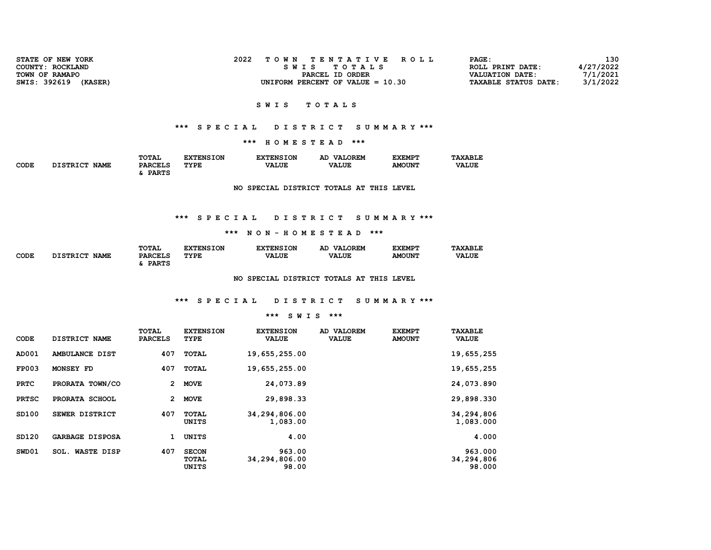| STATE OF NEW YORK<br>COUNTY: ROCKLAND | 2022<br>TOWN TENTATIVE ROLL<br>SWIS TOTALS | 130<br>PAGE:<br>4/27/2022<br>ROLL PRINT DATE: |
|---------------------------------------|--------------------------------------------|-----------------------------------------------|
| TOWN OF RAMAPO                        | PARCEL ID ORDER                            | 7/1/2021<br>VALUATION DATE:                   |
| SWIS: 392619<br>(KASER)               | UNIFORM PERCENT OF VALUE $= 10.30$         | 3/1/2022<br><b>TAXABLE STATUS DATE:</b>       |

### \*\*\* S P E C I A L D I S T R I C T S U M M A R Y \*\*\*

\*\*\* H O M E S T E A D \*\*\*

|                     |                                | TOTAL          | <b>XTENSION</b> | <b>EXTENSION</b> | <b>VALOREM</b><br>AD | <b>EXEMPT</b> | <b>TAXABLE</b> |
|---------------------|--------------------------------|----------------|-----------------|------------------|----------------------|---------------|----------------|
| <b>CODE</b><br>$ -$ | <b>DISTRICT</b><br><b>NAME</b> | <b>PARCELS</b> | TYPE            | <b>VALUE</b>     | <b>VALUE</b>         | <b>AMOUNT</b> | <b>VALUE</b>   |
|                     |                                | <b>DADTC</b>   |                 |                  |                      |               |                |

NO SPECIAL DISTRICT TOTALS AT THIS LEVEL

### \*\*\* S P E C I A L D I S T R I C T S U M M A R Y \*\*\*

#### \*\*\* N O N - H O M E S T E A D \*\*\*

|             |                           | TOTAL          | <b>NSION</b><br>™TRN< | <b>EXTENSION</b> | LOREM<br>VAT.<br>АC | <b>EXEMPT</b> | <b>TAXABLE</b> |
|-------------|---------------------------|----------------|-----------------------|------------------|---------------------|---------------|----------------|
| CODE<br>___ | חמד סחס דר<br><b>NAME</b> | <b>PARCELS</b> | TYPE                  | <b>VALUE</b>     | <b>VALUE</b>        | <b>AMOUNT</b> | <b>VALUE</b>   |
|             |                           | <b>DADMC</b>   |                       |                  |                     |               |                |

NO SPECIAL DISTRICT TOTALS AT THIS LEVEL

### \*\*\* S P E C I A L D I S T R I C T S U M M A R Y \*\*\*

| CODE         | DISTRICT NAME          | TOTAL<br><b>PARCELS</b> | <b>EXTENSION</b><br>TYPE       | <b>EXTENSION</b><br><b>VALUE</b> | <b>AD VALOREM</b><br><b>VALUE</b> | <b>EXEMPT</b><br><b>AMOUNT</b> | <b>TAXABLE</b><br><b>VALUE</b>  |
|--------------|------------------------|-------------------------|--------------------------------|----------------------------------|-----------------------------------|--------------------------------|---------------------------------|
| AD001        | AMBULANCE DIST         | 407                     | <b>TOTAL</b>                   | 19,655,255.00                    |                                   |                                | 19,655,255                      |
| <b>FP003</b> | MONSEY FD              | 407                     | TOTAL                          | 19,655,255.00                    |                                   |                                | 19,655,255                      |
| <b>PRTC</b>  | PRORATA TOWN/CO        | $\mathbf{2}$            | <b>MOVE</b>                    | 24,073.89                        |                                   |                                | 24,073.890                      |
| <b>PRTSC</b> | PRORATA SCHOOL         | $\overline{2}$          | <b>MOVE</b>                    | 29,898.33                        |                                   |                                | 29,898.330                      |
| SD100        | SEWER DISTRICT         | 407                     | <b>TOTAL</b><br>UNITS          | 34,294,806.00<br>1,083.00        |                                   |                                | 34,294,806<br>1,083.000         |
| SD120        | <b>GARBAGE DISPOSA</b> | 1                       | UNITS                          | 4.00                             |                                   |                                | 4.000                           |
| SWD01        | <b>SOL. WASTE DISP</b> | 407                     | <b>SECON</b><br>TOTAL<br>UNITS | 963.00<br>34,294,806.00<br>98.00 |                                   |                                | 963.000<br>34,294,806<br>98.000 |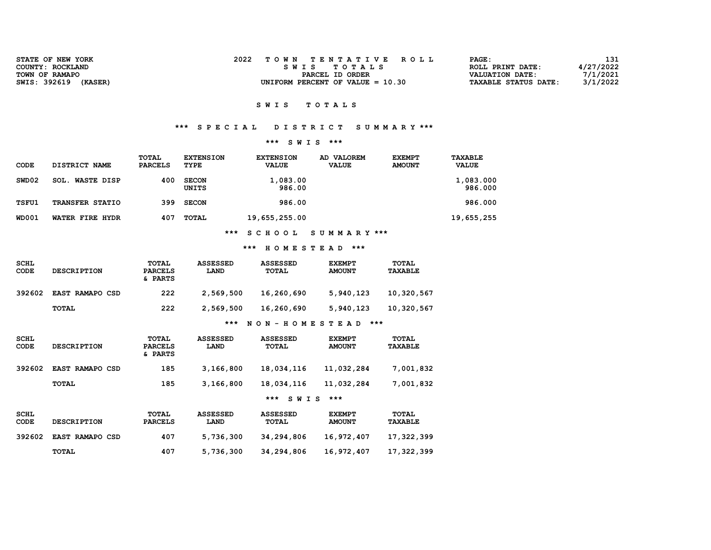| STATE OF NEW YORK       | TOWN TENTATIVE ROLL                | PAGE:                  | 131       |
|-------------------------|------------------------------------|------------------------|-----------|
| COUNTY: ROCKLAND        | SWIS TOTALS                        | ROLL PRINT DATE:       | 4/27/2022 |
| TOWN OF RAMAPO          | PARCEL ID ORDER                    | <b>VALUATION DATE:</b> | 7/1/2021  |
| SWIS: 392619<br>(KASER) | UNIFORM PERCENT OF VALUE $= 10.30$ | TAXABLE STATUS DATE:   | 3/1/2022  |

### \*\*\* S P E C I A L D I S T R I C T S U M M A R Y \*\*\*

### \*\*\* S W I S \*\*\*

| CODE              | DISTRICT NAME             | TOTAL<br><b>PARCELS</b> | <b>EXTENSION</b><br>TYPE | <b>EXTENSION</b><br><b>VALUE</b> | <b>VALOREM</b><br>AD.<br><b>VALUE</b> | <b>EXEMPT</b><br><b>AMOUNT</b> | TAXABLE<br><b>VALUE</b> |
|-------------------|---------------------------|-------------------------|--------------------------|----------------------------------|---------------------------------------|--------------------------------|-------------------------|
| SWD <sub>02</sub> | <b>WASTE DISP</b><br>SOL. | 400                     | <b>SECON</b><br>UNITS    | 1,083.00<br>986.00               |                                       |                                | 1,083.000<br>986.000    |
| <b>TSFU1</b>      | <b>TRANSFER STATIO</b>    | 399                     | <b>SECON</b>             | 986.00                           |                                       |                                | 986.000                 |
| <b>WD001</b>      | WATER FIRE HYDR           | 407                     | TOTAL                    | 19,655,255.00                    |                                       |                                | 19,655,255              |

\*\*\* S C H O O L S U M M A R Y \*\*\*

### \*\*\* H O M E S T E A D \*\*\*

| <b>SCHL</b><br>CODE | <b>DESCRIPTION</b>     | TOTAL<br><b>PARCELS</b><br>& PARTS | <b>ASSESSED</b><br><b>LAND</b> | <b>ASSESSED</b><br>TOTAL | <b>EXEMPT</b><br><b>AMOUNT</b> | <b>TOTAL</b><br>TAXABLE |
|---------------------|------------------------|------------------------------------|--------------------------------|--------------------------|--------------------------------|-------------------------|
| 392602              | <b>EAST RAMAPO CSD</b> | 222                                | 2,569,500                      | 16,260,690               | 5,940,123                      | 10,320,567              |
|                     | <b>TOTAL</b>           | 222                                | 2,569,500                      | 16,260,690               | 5,940,123                      | 10,320,567              |
|                     |                        |                                    | ***                            | NON - HOMESTEAD          | ***                            |                         |

| <b>SCHL</b><br><b>CODE</b> | <b>DESCRIPTION</b>     | <b>TOTAL</b><br><b>PARCELS</b><br>& PARTS | <b>ASSESSED</b><br>LAND        | <b>ASSESSED</b><br>TOTAL        | <b>EXEMPT</b><br><b>AMOUNT</b> | <b>TOTAL</b><br><b>TAXABLE</b> |
|----------------------------|------------------------|-------------------------------------------|--------------------------------|---------------------------------|--------------------------------|--------------------------------|
| 392602                     | <b>EAST RAMAPO CSD</b> | 185                                       | 3,166,800                      | 18,034,116                      | 11,032,284                     | 7,001,832                      |
|                            | <b>TOTAL</b>           | 185                                       | 3,166,800                      | 18,034,116                      | 11,032,284                     | 7,001,832                      |
|                            |                        |                                           |                                | ***<br><b>SWIS</b>              | $***$                          |                                |
| <b>SCHL</b><br><b>CODE</b> | <b>DESCRIPTION</b>     | TOTAL<br><b>PARCELS</b>                   | <b>ASSESSED</b><br><b>LAND</b> | <b>ASSESSED</b><br><b>TOTAL</b> | <b>EXEMPT</b><br><b>AMOUNT</b> | TOTAL<br><b>TAXABLE</b>        |
| 392602                     | <b>EAST RAMAPO CSD</b> | 407                                       | 5,736,300                      | 34,294,806                      | 16,972,407                     | 17,322,399                     |
|                            | <b>TOTAL</b>           | 407                                       | 5,736,300                      | 34,294,806                      | 16,972,407                     | 17,322,399                     |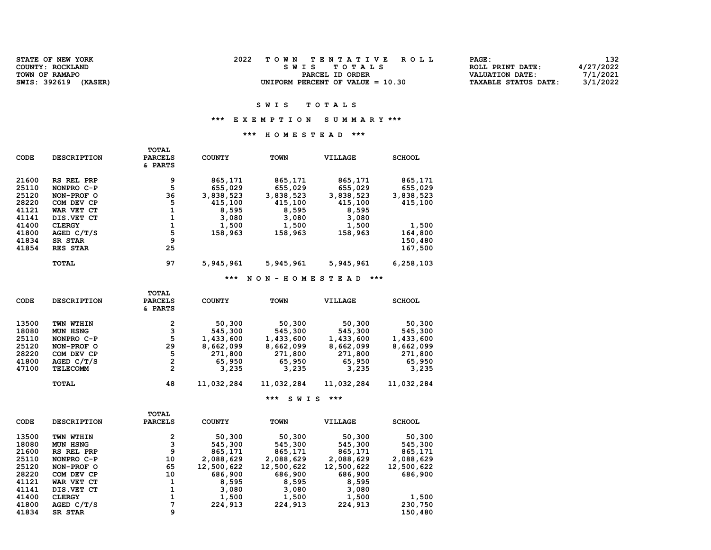| <b>STATE OF NEW YORK</b> | TOWN TENTATIVE ROLL                | PAGE:                       | 132       |
|--------------------------|------------------------------------|-----------------------------|-----------|
| COUNTY: ROCKLAND         | SWIS TOTALS                        | ROLL PRINT DATE:            | 4/27/2022 |
| TOWN OF RAMAPO           | PARCEL ID ORDER                    | VALUATION DATE:             | 7/1/2021  |
| SWIS: 392619<br>(KASER)  | UNIFORM PERCENT OF VALUE $= 10.30$ | <b>TAXABLE STATUS DATE:</b> | 3/1/2022  |

#### SWIS TOTALS

### \*\*\* E X E M P T I O N S U M M A R Y \*\*\*

### \*\*\* H O M E S T E A D \*\*\*

| <b>CODE</b> | <b>DESCRIPTION</b> | <b>TOTAL</b><br><b>PARCELS</b><br>& PARTS | <b>COUNTY</b> | <b>TOWN</b> | VILLAGE   | <b>SCHOOL</b> |
|-------------|--------------------|-------------------------------------------|---------------|-------------|-----------|---------------|
| 21600       | RS REL PRP         | 9                                         | 865,171       | 865,171     | 865,171   | 865,171       |
| 25110       | NONPRO C-P         | 5                                         | 655,029       | 655,029     | 655,029   | 655,029       |
| 25120       | NON-PROF O         | 36                                        | 3,838,523     | 3,838,523   | 3,838,523 | 3,838,523     |
| 28220       | COM DEV CP         | 5                                         | 415,100       | 415,100     | 415,100   | 415,100       |
| 41121       | WAR VET CT         |                                           | 8,595         | 8,595       | 8,595     |               |
| 41141       | DIS. VET CT        |                                           | 3,080         | 3,080       | 3,080     |               |
| 41400       | <b>CLERGY</b>      |                                           | 1,500         | 1,500       | 1,500     | 1,500         |
| 41800       | AGED $C/T/S$       | 5                                         | 158,963       | 158,963     | 158,963   | 164,800       |
| 41834       | <b>SR STAR</b>     | 9                                         |               |             |           | 150,480       |
| 41854       | <b>RES STAR</b>    | 25                                        |               |             |           | 167,500       |
|             | <b>TOTAL</b>       | 97                                        | 5,945,961     | 5,945,961   | 5,945,961 | 6,258,103     |

\*\*\* N O N - H O M E S T E A D \*\*\*

|             |                    | TOTAL          |               |                      |            |               |
|-------------|--------------------|----------------|---------------|----------------------|------------|---------------|
| <b>CODE</b> | <b>DESCRIPTION</b> | <b>PARCELS</b> | <b>COUNTY</b> | TOWN                 | VILLAGE    | <b>SCHOOL</b> |
|             |                    | & PARTS        |               |                      |            |               |
| 13500       | TWN WTHIN          | 2              | 50,300        | 50,300               | 50,300     | 50,300        |
| 18080       | MUN HSNG           | 3              | 545,300       | 545,300              | 545,300    | 545,300       |
| 25110       | NONPRO C-P         | 5              | 1,433,600     | 1,433,600            | 1,433,600  | 1,433,600     |
| 25120       | NON-PROF O         | 29             | 8,662,099     | 8,662,099            | 8,662,099  | 8,662,099     |
| 28220       | COM DEV CP         | 5              | 271,800       | 271,800              | 271,800    | 271,800       |
| 41800       | AGED $C/T/S$       | 2              | 65,950        | 65,950               | 65,950     | 65,950        |
| 47100       | <b>TELECOMM</b>    | 2              | 3,235         | 3,235                | 3,235      | 3,235         |
|             | <b>TOTAL</b>       | 48             | 11,032,284    | 11,032,284           | 11,032,284 | 11,032,284    |
|             |                    |                |               | $***$<br><b>SWIS</b> | $***$      |               |

|       |                    | <b>TOTAL</b>   |               |             |                |               |
|-------|--------------------|----------------|---------------|-------------|----------------|---------------|
| CODE  | <b>DESCRIPTION</b> | <b>PARCELS</b> | <b>COUNTY</b> | <b>TOWN</b> | <b>VILLAGE</b> | <b>SCHOOL</b> |
| 13500 | TWN WTHIN          | 2              | 50,300        | 50,300      | 50,300         | 50,300        |
| 18080 | MUN HSNG           | 3              | 545,300       | 545,300     | 545,300        | 545,300       |
| 21600 | RS REL PRP         | 9              | 865,171       | 865,171     | 865,171        | 865,171       |
| 25110 | NONPRO C-P         | 10             | 2,088,629     | 2,088,629   | 2,088,629      | 2,088,629     |
| 25120 | NON-PROF O         | 65             | 12,500,622    | 12,500,622  | 12,500,622     | 12,500,622    |
| 28220 | COM DEV CP         | 10             | 686,900       | 686,900     | 686,900        | 686,900       |
| 41121 | WAR VET CT         |                | 8,595         | 8,595       | 8,595          |               |
| 41141 | DIS. VET CT        |                | 3,080         | 3,080       | 3,080          |               |
| 41400 | <b>CLERGY</b>      |                | 1,500         | 1,500       | 1,500          | 1,500         |
| 41800 | AGED $C/T/S$       | 7              | 224,913       | 224,913     | 224,913        | 230,750       |
| 41834 | <b>SR STAR</b>     | 9              |               |             |                | 150,480       |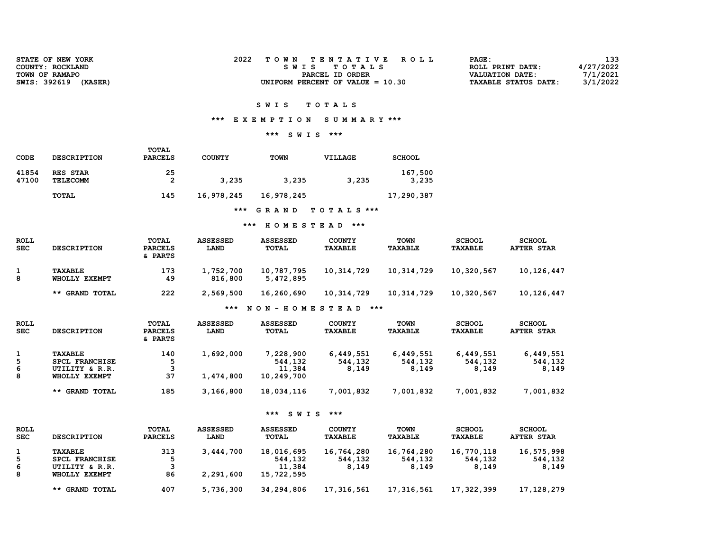| STATE OF NEW YORK       | 2022<br>TOWN TENTATIVE ROLL        | PAGE:                       | 133       |
|-------------------------|------------------------------------|-----------------------------|-----------|
| COUNTY: ROCKLAND        | SWIS TOTALS                        | ROLL PRINT DATE:            | 4/27/2022 |
| TOWN OF RAMAPO          | PARCEL ID ORDER                    | <b>VALUATION DATE:</b>      | 7/1/2021  |
| SWIS: 392619<br>(KASER) | UNIFORM PERCENT OF VALUE $= 10.30$ | <b>TAXABLE STATUS DATE:</b> | 3/1/2022  |
|                         |                                    |                             |           |

### \*\*\* E X E M P T I O N S U M M A R Y \*\*\*

### \*\*\* S W I S \*\*\*

| CODE           | <b>DESCRIPTION</b>          | TOTAL<br><b>PARCELS</b> | <b>COUNTY</b> | <b>TOWN</b> | VILLAGE    | <b>SCHOOL</b>    |
|----------------|-----------------------------|-------------------------|---------------|-------------|------------|------------------|
| 41854<br>47100 | RES STAR<br><b>TELECOMM</b> | 25<br>2                 | 3,235         | 3,235       | 3,235      | 167,500<br>3,235 |
|                | TOTAL                       | 145                     | 16,978,245    | 16,978,245  |            | 17,290,387       |
|                |                             |                         | ***           | GRAND       | TOTALS *** |                  |

### \*\*\* H O M E S T E A D \*\*\*

| <b>ROLL</b><br><b>SEC</b> | <b>DESCRIPTION</b>              | <b>TOTAL</b><br><b>PARCELS</b><br>& PARTS | <b>ASSESSED</b><br>LAND | <b>ASSESSED</b><br>TOTAL | <b>COUNTY</b><br><b>TAXABLE</b> | <b>TOWN</b><br><b>TAXABLE</b> | <b>SCHOOL</b><br><b>TAXABLE</b> | <b>SCHOOL</b><br><b>AFTER STAR</b> |
|---------------------------|---------------------------------|-------------------------------------------|-------------------------|--------------------------|---------------------------------|-------------------------------|---------------------------------|------------------------------------|
| 8                         | <b>TAXABLE</b><br>WHOLLY EXEMPT | 173<br>49                                 | 1,752,700<br>816,800    | 10,787,795<br>5,472,895  | 10,314,729                      | 10,314,729                    | 10,320,567                      | 10,126,447                         |
|                           | ** GRAND TOTAL                  | 222                                       | 2,569,500               | 16,260,690               | 10,314,729                      | 10,314,729                    | 10,320,567                      | 10,126,447                         |

### \*\*\* N O N - H O M E S T E A D \*\*\*

| ROLL<br><b>SEC</b> | <b>DESCRIPTION</b>               | TOTAL<br><b>PARCELS</b><br>& PARTS | <b>ASSESSED</b><br>LAND | <b>ASSESSED</b><br>TOTAL | <b>COUNTY</b><br><b>TAXABLE</b> | <b>TOWN</b><br><b>TAXABLE</b> | <b>SCHOOL</b><br>TAXABLE | <b>SCHOOL</b><br><b>AFTER STAR</b> |
|--------------------|----------------------------------|------------------------------------|-------------------------|--------------------------|---------------------------------|-------------------------------|--------------------------|------------------------------------|
| 5                  | TAXABLE<br><b>SPCL FRANCHISE</b> | 140                                | 1,692,000               | 7,228,900<br>544,132     | 6,449,551<br>544,132            | 6,449,551<br>544,132          | 6,449,551<br>544,132     | 6,449,551<br>544,132               |
| 6<br>8             | UTILITY & R.R.<br>WHOLLY EXEMPT  | 37                                 | 1,474,800               | 11,384<br>10,249,700     | 8,149                           | 8,149                         | 8,149                    | 8,149                              |
|                    | <b>** GRAND TOTAL</b>            | 185                                | 3,166,800               | 18,034,116               | 7,001,832                       | 7,001,832                     | 7,001,832                | 7,001,832                          |

| <b>ROLL</b><br><b>SEC</b> | <b>DESCRIPTION</b>                      | TOTAL<br><b>PARCELS</b> | <b>ASSESSED</b><br>LAND | <b>ASSESSED</b><br>TOTAL | <b>COUNTY</b><br><b>TAXABLE</b> | <b>TOWN</b><br><b>TAXABLE</b> | <b>SCHOOL</b><br><b>TAXABLE</b> | <b>SCHOOL</b><br><b>AFTER STAR</b> |
|---------------------------|-----------------------------------------|-------------------------|-------------------------|--------------------------|---------------------------------|-------------------------------|---------------------------------|------------------------------------|
| 5                         | <b>TAXABLE</b><br><b>SPCL FRANCHISE</b> | 313                     | 3,444,700               | 18,016,695<br>544,132    | 16,764,280<br>544,132           | 16,764,280<br>544,132         | 16,770,118<br>544,132           | 16,575,998<br>544,132              |
| -6<br>8                   | UTILITY & R.R.<br>WHOLLY EXEMPT         | 86                      | 2,291,600               | 11,384<br>15,722,595     | 8,149                           | 8,149                         | 8,149                           | 8,149                              |
|                           | ** GRAND TOTAL                          | 407                     | 5,736,300               | 34,294,806               | 17,316,561                      | 17,316,561                    | 17,322,399                      | 17, 128, 279                       |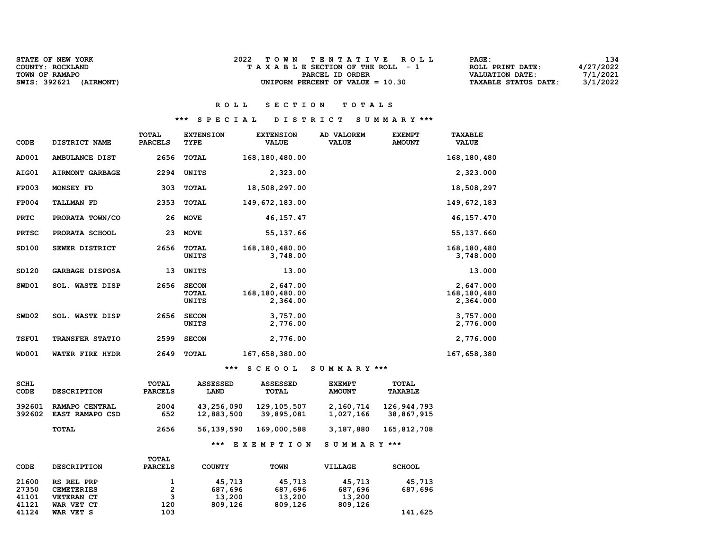| <b>STATE OF NEW YORK</b>         | 2022<br>TOWN TENTATIVE ROLL        | 134<br><b>PAGE :</b>                    |
|----------------------------------|------------------------------------|-----------------------------------------|
| COUNTY: ROCKLAND                 | TAXABLE SECTION OF THE ROLL - 1    | 4/27/2022<br>ROLL PRINT DATE:           |
| TOWN OF RAMAPO                   | PARCEL ID ORDER                    | 7/1/2021<br>VALUATION DATE:             |
| SWIS: 392621<br><b>(AIRMONT)</b> | UNIFORM PERCENT OF VALUE $= 10.30$ | 3/1/2022<br><b>TAXABLE STATUS DATE:</b> |

### \*\*\* S P E C I A L D I S T R I C T S U M M A R Y \*\*\*

| <b>CODE</b>  | DISTRICT NAME          | <b>TOTAL</b><br><b>PARCELS</b> | <b>EXTENSION</b><br><b>TYPE</b>       | <b>EXTENSION</b><br><b>VALUE</b>         | AD VALOREM<br><b>VALUE</b> | <b>EXEMPT</b><br><b>AMOUNT</b> | <b>TAXABLE</b><br><b>VALUE</b>        |
|--------------|------------------------|--------------------------------|---------------------------------------|------------------------------------------|----------------------------|--------------------------------|---------------------------------------|
| AD001        | AMBULANCE DIST         | 2656                           | <b>TOTAL</b>                          | 168, 180, 480.00                         |                            |                                | 168,180,480                           |
| AIG01        | <b>AIRMONT GARBAGE</b> | 2294                           | <b>UNITS</b>                          | 2,323.00                                 |                            |                                | 2,323.000                             |
| <b>FP003</b> | MONSEY FD              | 303                            | <b>TOTAL</b>                          | 18,508,297.00                            |                            |                                | 18,508,297                            |
| <b>FP004</b> | <b>TALLMAN FD</b>      | 2353                           | <b>TOTAL</b>                          | 149,672,183.00                           |                            |                                | 149,672,183                           |
| <b>PRTC</b>  | PRORATA TOWN/CO        | 26                             | <b>MOVE</b>                           | 46,157.47                                |                            |                                | 46,157.470                            |
| <b>PRTSC</b> | PRORATA SCHOOL         | 23                             | <b>MOVE</b>                           | 55,137.66                                |                            |                                | 55,137.660                            |
| SD100        | SEWER DISTRICT         | 2656                           | <b>TOTAL</b><br>UNITS                 | 168, 180, 480.00<br>3,748.00             |                            |                                | 168,180,480<br>3,748.000              |
| SD120        | <b>GARBAGE DISPOSA</b> | 13                             | UNITS                                 | 13.00                                    |                            |                                | 13.000                                |
| SWD01        | <b>SOL. WASTE DISP</b> | 2656                           | <b>SECON</b><br><b>TOTAL</b><br>UNITS | 2,647.00<br>168, 180, 480.00<br>2,364.00 |                            |                                | 2,647.000<br>168,180,480<br>2,364.000 |
| SWD02        | <b>SOL. WASTE DISP</b> | 2656                           | <b>SECON</b><br>UNITS                 | 3,757.00<br>2,776.00                     |                            |                                | 3,757.000<br>2,776.000                |
| TSFU1        | <b>TRANSFER STATIO</b> | 2599                           | <b>SECON</b>                          | 2,776.00                                 |                            |                                | 2,776.000                             |
| <b>WD001</b> | WATER FIRE HYDR        | 2649                           | <b>TOTAL</b>                          | 167,658,380.00                           |                            |                                | 167,658,380                           |

\*\*\* S C H O O L S U M M A R Y \*\*\*

| <b>SCHL</b> |                        | TOTAL          | <b>ASSESSED</b> | <b>ASSESSED</b>  | <b>EXEMPT</b> | <b>TOTAL</b> |
|-------------|------------------------|----------------|-----------------|------------------|---------------|--------------|
| CODE        | <b>DESCRIPTION</b>     | <b>PARCELS</b> | LAND            | TOTAL            | <b>AMOUNT</b> | TAXABLE      |
| 392601      | RAMAPO CENTRAL         | 2004           | 43,256,090      | 129,105,507      | 2,160,714     | 126,944,793  |
| 392602      | <b>EAST RAMAPO CSD</b> | 652            | 12,883,500      | 39,895,081       | 1,027,166     | 38,867,915   |
|             | <b>TOTAL</b>           | 2656           | 56,139,590      | 169,000,588      | 3,187,880     | 165,812,708  |
|             |                        |                | ***             | <b>EXEMPTION</b> | SUMMARY ***   |              |

| CODE  | <b>DESCRIPTION</b> | TOTAL<br><b>PARCELS</b> | <b>COUNTY</b> | <b>TOWN</b> | <b>VILLAGE</b> | <b>SCHOOL</b> |
|-------|--------------------|-------------------------|---------------|-------------|----------------|---------------|
| 21600 | RS REL PRP         |                         | 45,713        | 45,713      | 45,713         | 45,713        |
| 27350 | <b>CEMETERIES</b>  | 2                       | 687,696       | 687,696     | 687,696        | 687,696       |
| 41101 | <b>VETERAN CT</b>  | 3                       | 13,200        | 13,200      | 13,200         |               |
| 41121 | WAR VET CT         | 120                     | 809,126       | 809,126     | 809,126        |               |
| 41124 | WAR VET S          | 103                     |               |             |                | 141,625       |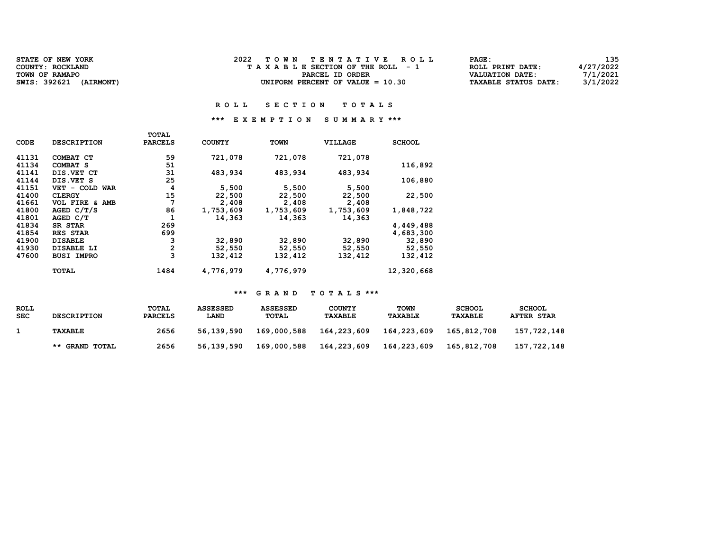| <b>STATE OF NEW YORK</b><br>COUNTY: ROCKLAND       | 2022<br>TOWN TENTATIVE ROLL<br>TAXABLE SECTION OF THE ROLL - 1 | <b>PAGE :</b><br>ROLL PRINT DATE:                     | 135<br>4/27/2022     |
|----------------------------------------------------|----------------------------------------------------------------|-------------------------------------------------------|----------------------|
| TOWN OF RAMAPO<br>SWIS: 392621<br><i>(AIRMONT)</i> | PARCEL ID ORDER<br>UNIFORM PERCENT OF VALUE $= 10.30$          | <b>VALUATION DATE:</b><br><b>TAXABLE STATUS DATE:</b> | 7/1/2021<br>3/1/2022 |

### \*\*\* E X E M P T I O N S U M M A R Y \*\*\*

|             |                    | TOTAL                   |               |             |           |               |
|-------------|--------------------|-------------------------|---------------|-------------|-----------|---------------|
| <b>CODE</b> | <b>DESCRIPTION</b> | <b>PARCELS</b>          | <b>COUNTY</b> | <b>TOWN</b> | VILLAGE   | <b>SCHOOL</b> |
|             |                    |                         |               |             |           |               |
| 41131       | COMBAT CT          | 59                      | 721,078       | 721,078     | 721,078   |               |
| 41134       | COMBAT S           | 51                      |               |             |           | 116,892       |
| 41141       | DIS. VET CT        | 31                      | 483,934       | 483,934     | 483,934   |               |
| 41144       | DIS.VET S          | 25                      |               |             |           | 106,880       |
| 41151       | VET - COLD WAR     | 4                       | 5,500         | 5,500       | 5,500     |               |
| 41400       | <b>CLERGY</b>      | 15                      | 22,500        | 22,500      | 22,500    | 22,500        |
| 41661       | VOL FIRE & AMB     | 7                       | 2,408         | 2,408       | 2,408     |               |
| 41800       | AGED C/T/S         | 86                      | 1,753,609     | 1,753,609   | 1,753,609 | 1,848,722     |
| 41801       | AGED C/T           | 1                       | 14,363        | 14,363      | 14,363    |               |
| 41834       | SR STAR            | 269                     |               |             |           | 4,449,488     |
| 41854       | RES STAR           | 699                     |               |             |           | 4,683,300     |
| 41900       | <b>DISABLE</b>     | 3                       | 32,890        | 32,890      | 32,890    | 32,890        |
| 41930       | DISABLE LI         | $\overline{\mathbf{c}}$ | 52,550        | 52,550      | 52,550    | 52,550        |
| 47600       | <b>BUSI IMPRO</b>  | 3                       | 132,412       | 132,412     | 132,412   | 132,412       |
|             | TOTAL              | 1484                    | 4,776,979     | 4,776,979   |           | 12,320,668    |

| <b>ROLL</b><br><b>SEC</b> | <b>DESCRIPTION</b>    | <b>TOTAL</b><br><b>PARCELS</b> | <b>ASSESSED</b><br><b>LAND</b> | ASSESSED<br>TOTAL | <b>COUNTY</b><br><b>TAXABLE</b> | TOWN<br><b>TAXABLE</b> | <b>SCHOOL</b><br>TAXABLE | <b>SCHOOL</b><br><b>AFTER STAR</b> |
|---------------------------|-----------------------|--------------------------------|--------------------------------|-------------------|---------------------------------|------------------------|--------------------------|------------------------------------|
|                           | TAXABLE               | 2656                           | 56.139.590                     | 169,000,588       | 164,223,609                     | 164,223,609            | 165,812,708              | 157,722,148                        |
|                           | <b>** GRAND TOTAL</b> | 2656                           | 56,139,590                     | 169,000,588       | 164,223,609                     | 164,223,609            | 165,812,708              | 157,722,148                        |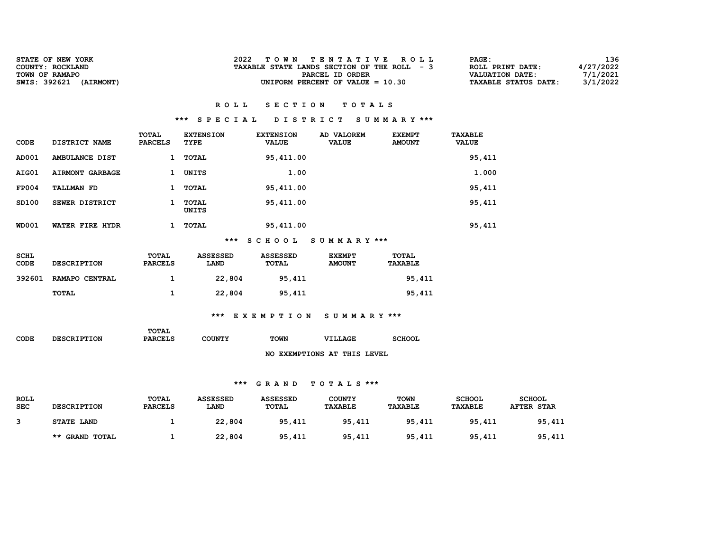| <b>STATE OF NEW YORK</b>  | TOWN TENTATIVE ROLL                         | PAGE:                       | 136       |
|---------------------------|---------------------------------------------|-----------------------------|-----------|
| COUNTY: ROCKLAND          | TAXABLE STATE LANDS SECTION OF THE ROLL - 3 | ROLL PRINT DATE:            | 4/27/2022 |
| TOWN OF RAMAPO            | PARCEL ID ORDER                             | VALUATION DATE:             | 7/1/2021  |
| SWIS: 392621<br>(AIRMONT) | UNIFORM PERCENT OF VALUE $= 10.30$          | <b>TAXABLE STATUS DATE:</b> | 3/1/2022  |

### \*\*\* S P E C I A L D I S T R I C T S U M M A R Y \*\*\*

| CODE         | DISTRICT NAME          | TOTAL<br><b>PARCELS</b> | <b>EXTENSION</b><br>TYPE | <b>EXTENSION</b><br><b>VALUE</b> | AD VALOREM<br><b>VALUE</b> | <b>EXEMPT</b><br><b>AMOUNT</b> | <b>TAXABLE</b><br><b>VALUE</b> |
|--------------|------------------------|-------------------------|--------------------------|----------------------------------|----------------------------|--------------------------------|--------------------------------|
| AD001        | AMBULANCE DIST         | 1                       | TOTAL                    | 95,411.00                        |                            |                                | 95,411                         |
| AIG01        | <b>AIRMONT GARBAGE</b> | ı                       | UNITS                    | 1.00                             |                            |                                | 1.000                          |
| <b>FP004</b> | <b>TALLMAN FD</b>      | 1                       | TOTAL                    | 95,411.00                        |                            |                                | 95,411                         |
| SD100        | SEWER DISTRICT         |                         | TOTAL<br>UNITS           | 95,411.00                        |                            |                                | 95,411                         |
| <b>WD001</b> | WATER FIRE HYDR        |                         | TOTAL                    | 95,411.00                        |                            |                                | 95,411                         |

### \*\*\* S C H O O L S U M M A R Y \*\*\*

| SCHL<br><b>CODE</b> | <b>DESCRIPTION</b> | <b>TOTAL</b><br><b>PARCELS</b> | <b>ASSESSED</b><br><b>LAND</b> | ASSESSED<br>TOTAL | <b>EXEMPT</b><br><b>AMOUNT</b> | <b>TOTAL</b><br><b>TAXABLE</b> |
|---------------------|--------------------|--------------------------------|--------------------------------|-------------------|--------------------------------|--------------------------------|
| 392601              | RAMAPO CENTRAL     |                                | 22,804                         | 95,411            |                                | 95,411                         |
|                     | TOTAL              |                                | 22,804                         | 95,411            |                                | 95,411                         |

### \*\*\* E X E M P T I O N S U M M A R Y \*\*\*

|             |                    | TOTAL          |               |             |                                 |               |
|-------------|--------------------|----------------|---------------|-------------|---------------------------------|---------------|
| <b>CODE</b> | <b>DESCRIPTION</b> | <b>PARCELS</b> | <b>COUNTY</b> | <b>TOWN</b> | VILLAGE                         | <b>SCHOOL</b> |
|             |                    |                |               |             |                                 |               |
|             |                    |                |               | NO.         | <b>EXEMPTIONS AT THIS LEVEL</b> |               |

| <b>ROLL</b><br><b>SEC</b> | <b>DESCRIPTION</b>    | TOTAL<br><b>PARCELS</b> | <b>ASSESSED</b><br><b>LAND</b> | <b>ASSESSED</b><br>TOTAL | <b>COUNTY</b><br><b>TAXABLE</b> | <b>TOWN</b><br><b>TAXABLE</b> | <b>SCHOOL</b><br><b>TAXABLE</b> | <b>SCHOOL</b><br><b>AFTER STAR</b> |
|---------------------------|-----------------------|-------------------------|--------------------------------|--------------------------|---------------------------------|-------------------------------|---------------------------------|------------------------------------|
|                           | <b>STATE LAND</b>     |                         | 22,804                         | 95,411                   | 95,411                          | 95,411                        | 95,411                          | 95,411                             |
|                           | <b>** GRAND TOTAL</b> |                         | 22,804                         | 95,411                   | 95,411                          | 95,411                        | 95,411                          | 95,411                             |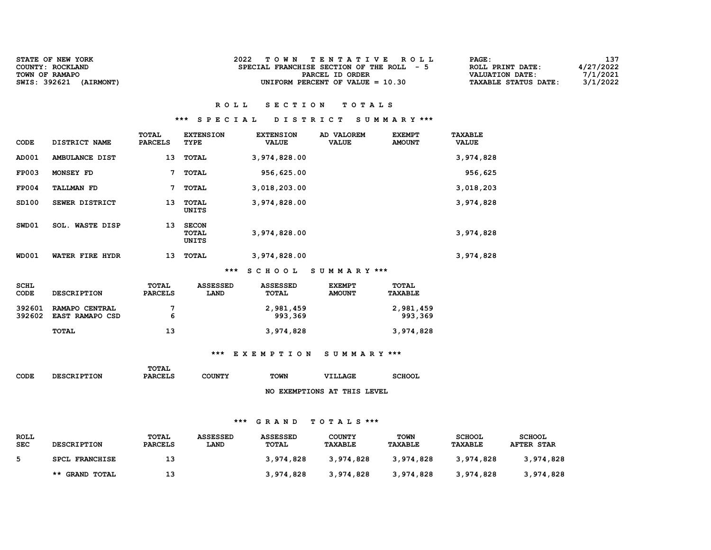| <b>STATE OF NEW YORK</b>           | 2022<br>TOWN TENTATIVE ROLL<br>SPECIAL FRANCHISE SECTION OF THE ROLL - 5 | 137<br>PAGE:<br>4/27/2022                              |
|------------------------------------|--------------------------------------------------------------------------|--------------------------------------------------------|
| COUNTY: ROCKLAND<br>TOWN OF RAMAPO | PARCEL ID ORDER                                                          | ROLL PRINT DATE:<br>7/1/2021<br><b>VALUATION DATE:</b> |
| SWIS: 392621<br><b>(AIRMONT)</b>   | UNIFORM PERCENT OF VALUE $= 10.30$                                       | 3/1/2022<br>TAXABLE STATUS DATE:                       |

### \*\*\* S P E C I A L D I S T R I C T S U M M A R Y \*\*\*

| CODE         | DISTRICT NAME          | TOTAL<br><b>PARCELS</b> | <b>EXTENSION</b><br><b>TYPE</b> | <b>EXTENSION</b><br><b>VALUE</b> | AD VALOREM<br><b>VALUE</b> | <b>EXEMPT</b><br><b>AMOUNT</b> | <b>TAXABLE</b><br><b>VALUE</b> |
|--------------|------------------------|-------------------------|---------------------------------|----------------------------------|----------------------------|--------------------------------|--------------------------------|
| AD001        | AMBULANCE DIST         | 13                      | TOTAL                           | 3,974,828.00                     |                            |                                | 3,974,828                      |
| <b>FP003</b> | MONSEY FD              | 7                       | TOTAL                           | 956,625.00                       |                            |                                | 956,625                        |
| <b>FP004</b> | <b>TALLMAN FD</b>      | 7                       | TOTAL                           | 3,018,203.00                     |                            |                                | 3,018,203                      |
| SD100        | SEWER DISTRICT         | 13                      | TOTAL<br>UNITS                  | 3,974,828.00                     |                            |                                | 3,974,828                      |
| SWD01        | <b>SOL. WASTE DISP</b> | 13                      | <b>SECON</b><br>TOTAL<br>UNITS  | 3,974,828.00                     |                            |                                | 3,974,828                      |
| <b>WD001</b> | WATER FIRE HYDR        | 13                      | TOTAL                           | 3,974,828.00                     |                            |                                | 3,974,828                      |

### \*\*\* S C H O O L S U M M A R Y \*\*\*

| <b>SCHL</b><br>CODE | <b>DESCRIPTION</b>                       | TOTAL<br><b>PARCELS</b> | <b>ASSESSED</b><br><b>LAND</b> | <b>ASSESSED</b><br><b>TOTAL</b> | <b>EXEMPT</b><br><b>AMOUNT</b> | <b>TOTAL</b><br><b>TAXABLE</b> |
|---------------------|------------------------------------------|-------------------------|--------------------------------|---------------------------------|--------------------------------|--------------------------------|
| 392601<br>392602    | RAMAPO CENTRAL<br><b>EAST RAMAPO CSD</b> | 6                       |                                | 2,981,459<br>993,369            |                                | 2,981,459<br>993,369           |
|                     | TOTAL                                    | 13                      |                                | 3,974,828                       |                                | 3,974,828                      |

### \*\*\* E X E M P T I O N S U M M A R Y \*\*\*

|                    |                  | <b>TOTAT</b><br>. |                                                                                                                                                                                                                                                                                                                                                                                                                                                                                                   |             |                               |  |
|--------------------|------------------|-------------------|---------------------------------------------------------------------------------------------------------------------------------------------------------------------------------------------------------------------------------------------------------------------------------------------------------------------------------------------------------------------------------------------------------------------------------------------------------------------------------------------------|-------------|-------------------------------|--|
| <b>CODE</b><br>___ | ON<br>יחרד<br>лғ | . הממר            | ייזורור<br>$\begin{array}{cccccccccccccc} \multicolumn{4}{c}{} & \multicolumn{4}{c}{} & \multicolumn{4}{c}{} & \multicolumn{4}{c}{} & \multicolumn{4}{c}{} & \multicolumn{4}{c}{} & \multicolumn{4}{c}{} & \multicolumn{4}{c}{} & \multicolumn{4}{c}{} & \multicolumn{4}{c}{} & \multicolumn{4}{c}{} & \multicolumn{4}{c}{} & \multicolumn{4}{c}{} & \multicolumn{4}{c}{} & \multicolumn{4}{c}{} & \multicolumn{4}{c}{} & \multicolumn{4}{c}{} & \multicolumn{4}{c}{} & \multicolumn{4}{c}{} & \$ | <b>TOWN</b> | $\sim$<br>--<br>$\sim$ $\sim$ |  |
|                    |                  |                   |                                                                                                                                                                                                                                                                                                                                                                                                                                                                                                   |             |                               |  |

NO EXEMPTIONS AT THIS LEVEL

| <b>ROLL</b><br><b>SEC</b> | <b>DESCRIPTION</b>    | TOTAL<br><b>PARCELS</b> | <b>ASSESSED</b><br><b>LAND</b> | ASSESSED<br><b>TOTAL</b> | <b>COUNTY</b><br><b>TAXABLE</b> | <b>TOWN</b><br><b>TAXABLE</b> | <b>SCHOOL</b><br>TAXABLE | <b>SCHOOL</b><br><b>AFTER STAR</b> |
|---------------------------|-----------------------|-------------------------|--------------------------------|--------------------------|---------------------------------|-------------------------------|--------------------------|------------------------------------|
|                           | <b>SPCL FRANCHISE</b> | 13                      |                                | 3,974,828                | 3,974,828                       | 3,974,828                     | 3,974,828                | 3,974,828                          |
|                           | ** GRAND TOTAL        |                         |                                | 3,974,828                | 3,974,828                       | 3,974,828                     | 3,974,828                | 3,974,828                          |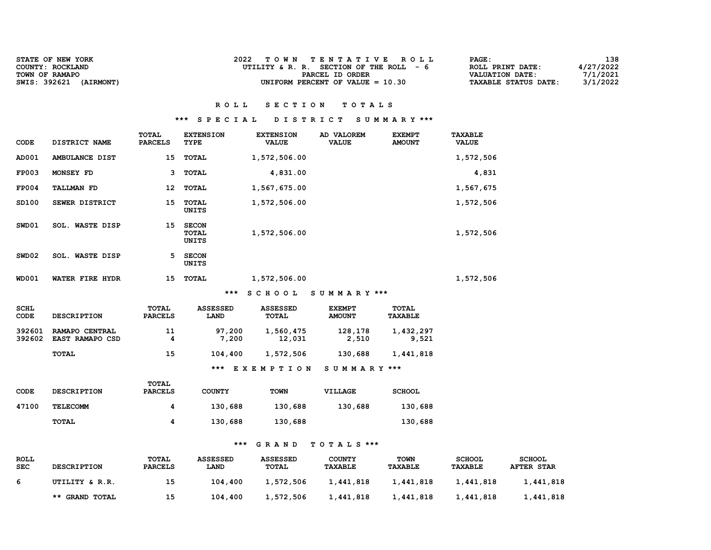| <b>STATE OF NEW YORK</b><br>COUNTY: ROCKLAND       | 2022<br>TOWN TENTATIVE ROLL<br>UTILITY & R. R. SECTION OF THE ROLL $-6$ | 138<br><b>PAGE :</b><br>4/27/2022<br>ROLL PRINT DATE:                  |
|----------------------------------------------------|-------------------------------------------------------------------------|------------------------------------------------------------------------|
| TOWN OF RAMAPO<br>SWIS: 392621<br><b>(AIRMONT)</b> | PARCEL ID ORDER<br>UNIFORM PERCENT OF VALUE $= 10.30$                   | 7/1/2021<br>VALUATION DATE:<br>3/1/2022<br><b>TAXABLE STATUS DATE:</b> |

### \*\*\* S P E C I A L D I S T R I C T S U M M A R Y \*\*\*

| CODE                | DISTRICT NAME                     | <b>TOTAL</b><br><b>PARCELS</b> | <b>EXTENSION</b><br>TYPE                     | <b>EXTENSION</b><br><b>VALUE</b> | AD VALOREM<br><b>VALUE</b>     | <b>EXEMPT</b><br><b>AMOUNT</b> | <b>TAXABLE</b><br><b>VALUE</b> |
|---------------------|-----------------------------------|--------------------------------|----------------------------------------------|----------------------------------|--------------------------------|--------------------------------|--------------------------------|
| AD001               | AMBULANCE DIST                    | 15                             | <b>TOTAL</b>                                 | 1,572,506.00                     |                                |                                | 1,572,506                      |
| <b>FP003</b>        | MONSEY FD                         | 3                              | <b>TOTAL</b>                                 | 4,831.00                         |                                |                                | 4,831                          |
| <b>FP004</b>        | <b>TALLMAN FD</b>                 | $12 \overline{ }$              | <b>TOTAL</b>                                 | 1,567,675.00                     |                                |                                | 1,567,675                      |
| SD100               | SEWER DISTRICT                    | 15                             | <b>TOTAL</b><br><b>UNITS</b>                 | 1,572,506.00                     |                                |                                | 1,572,506                      |
| SWD01               | SOL. WASTE DISP                   | 15                             | <b>SECON</b><br><b>TOTAL</b><br><b>UNITS</b> | 1,572,506.00                     |                                |                                | 1,572,506                      |
| SWD02               | SOL. WASTE DISP                   | 5.                             | <b>SECON</b><br><b>UNITS</b>                 |                                  |                                |                                |                                |
| <b>WD001</b>        | WATER FIRE HYDR                   | 15                             | <b>TOTAL</b>                                 | 1,572,506.00                     |                                |                                | 1,572,506                      |
|                     |                                   |                                | ***                                          | <b>SCHOOL</b>                    | SUMMARY ***                    |                                |                                |
| <b>SCHL</b><br>CODE | <b>DESCRIPTION</b>                | <b>TOTAL</b><br><b>PARCELS</b> | <b>ASSESSED</b><br>LAND                      | <b>ASSESSED</b><br>TOTAL         | <b>EXEMPT</b><br><b>AMOUNT</b> | <b>TOTAL</b><br><b>TAXABLE</b> |                                |
| 392601<br>392602    | RAMAPO CENTRAL<br>EAST RAMAPO CSD | 11<br>4                        | 97,200<br>7,200                              | 1,560,475<br>12,031              | 128,178<br>2,510               | 1,432,297<br>9,521             |                                |
|                     | <b>TOTAL</b>                      | 15                             | 104,400                                      | 1,572,506                        | 130,688                        | 1,441,818                      |                                |
|                     |                                   |                                |                                              | *** EXEMPTION                    | SUMMARY ***                    |                                |                                |
| <b>CODE</b>         | <b>DESCRIPTION</b>                | TOTAL<br><b>PARCELS</b>        | <b>COUNTY</b>                                | <b>TOWN</b>                      | VILLAGE                        | <b>SCHOOL</b>                  |                                |
| 47100               | <b>TELECOMM</b>                   | 4                              | 130,688                                      | 130,688                          | 130,688                        | 130,688                        |                                |
|                     | <b>TOTAL</b>                      | 4                              | 130,688                                      | 130,688                          |                                | 130,688                        |                                |
|                     |                                   |                                | ***                                          | <b>GRAND</b>                     | TOTALS ***                     |                                |                                |
| DOTT.               |                                   | <b>MOMAT</b>                   | <b>ACCROCED</b>                              | <b>BOODCOPP</b>                  | $CCTN$ T $N$                   | <b>MOLDIT</b>                  | 000000                         |

| <b>ROLL</b><br><b>SEC</b> | <b>DESCRIPTION</b>    | <b>TOTAL</b><br><b>PARCELS</b> | <b>ASSESSED</b><br><b>LAND</b> | <b>ASSESSED</b><br>TOTAL | <b>COUNTY</b><br>TAXABLE | <b>TOWN</b><br><b>TAXABLE</b> | <b>SCHOOL</b><br><b>TAXABLE</b> | <b>SCHOOL</b><br><b>AFTER STAR</b> |
|---------------------------|-----------------------|--------------------------------|--------------------------------|--------------------------|--------------------------|-------------------------------|---------------------------------|------------------------------------|
| -6                        | UTILITY & R.R.        | 15                             | 104,400                        | 1,572,506                | 1,441,818                | 1,441,818                     | 1,441,818                       | 1,441,818                          |
|                           | <b>** GRAND TOTAL</b> | 15                             | 104,400                        | 1,572,506                | 1,441,818                | 1,441,818                     | 1,441,818                       | 1,441,818                          |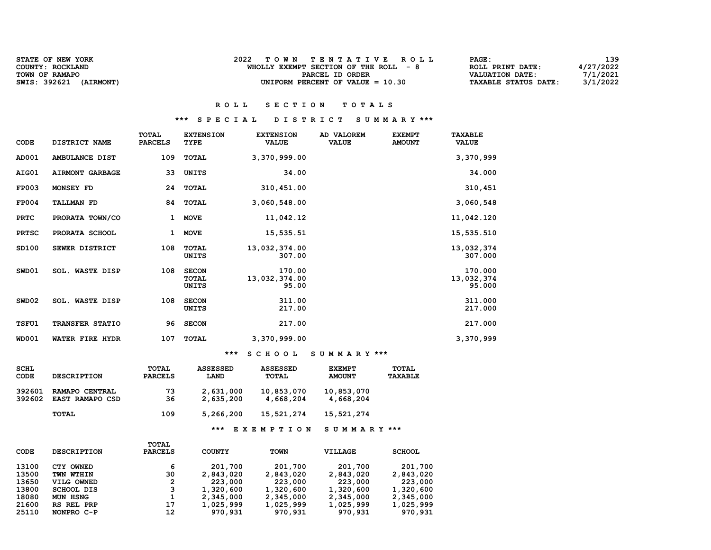| STATE OF NEW YORK                | TOWN TENTATIVE ROLL                   | 139<br>PAGE:                            |
|----------------------------------|---------------------------------------|-----------------------------------------|
| COUNTY: ROCKLAND                 | WHOLLY EXEMPT SECTION OF THE ROLL - 8 | 4/27/2022<br>ROLL PRINT DATE:           |
| TOWN OF RAMAPO                   | PARCEL ID ORDER                       | 7/1/2021<br>VALUATION DATE:             |
| SWIS: 392621<br><i>(AIRMONT)</i> | UNIFORM PERCENT OF VALUE $= 10.30$    | 3/1/2022<br><b>TAXABLE STATUS DATE:</b> |

### \*\*\* S P E C I A L D I S T R I C T S U M M A R Y \*\*\*

| CODE         | DISTRICT NAME          | <b>TOTAL</b><br><b>PARCELS</b> | <b>EXTENSION</b><br>TYPE                     | <b>EXTENSION</b><br><b>VALUE</b> | AD VALOREM<br><b>VALUE</b> | <b>EXEMPT</b><br><b>AMOUNT</b> | <b>TAXABLE</b><br><b>VALUE</b>  |  |
|--------------|------------------------|--------------------------------|----------------------------------------------|----------------------------------|----------------------------|--------------------------------|---------------------------------|--|
| AD001        | AMBULANCE DIST         | 109                            | TOTAL                                        | 3,370,999.00                     |                            |                                | 3,370,999                       |  |
| AIG01        | <b>AIRMONT GARBAGE</b> | 33                             | UNITS                                        | 34.00                            |                            |                                | 34.000                          |  |
| <b>FP003</b> | MONSEY FD              | 24                             | TOTAL                                        | 310,451.00                       |                            |                                | 310,451                         |  |
| <b>FP004</b> | <b>TALLMAN FD</b>      | 84                             | TOTAL                                        | 3,060,548.00                     |                            |                                | 3,060,548                       |  |
| <b>PRTC</b>  | PRORATA TOWN/CO        | 1                              | <b>MOVE</b>                                  | 11,042.12                        |                            |                                | 11,042.120                      |  |
| <b>PRTSC</b> | PRORATA SCHOOL         | 1                              | <b>MOVE</b>                                  | 15,535.51                        |                            |                                | 15,535.510                      |  |
| SD100        | SEWER DISTRICT         | 108                            | <b>TOTAL</b><br>UNITS                        | 13,032,374.00<br>307.00          |                            |                                | 13,032,374<br>307.000           |  |
| SWD01        | SOL. WASTE DISP        | 108                            | <b>SECON</b><br><b>TOTAL</b><br><b>UNITS</b> | 170.00<br>13,032,374.00<br>95.00 |                            |                                | 170.000<br>13,032,374<br>95.000 |  |
| SWD02        | SOL. WASTE DISP        | 108                            | <b>SECON</b><br>UNITS                        | 311.00<br>217.00                 |                            |                                | 311.000<br>217.000              |  |
| <b>TSFU1</b> | <b>TRANSFER STATIO</b> | 96                             | <b>SECON</b>                                 | 217.00                           |                            |                                | 217.000                         |  |
| <b>WD001</b> | WATER FIRE HYDR        | 107                            | TOTAL                                        | 3,370,999.00                     |                            |                                | 3,370,999                       |  |

### \*\*\* S C H O O L S U M M A R Y \*\*\*

| <b>SCHL</b> | <b>DESCRIPTION</b>     | TOTAL          | <b>ASSESSED</b> | <b>ASSESSED</b> | <b>EXEMPT</b> | TOTAL          |
|-------------|------------------------|----------------|-----------------|-----------------|---------------|----------------|
| CODE        |                        | <b>PARCELS</b> | <b>LAND</b>     | TOTAL           | <b>AMOUNT</b> | <b>TAXABLE</b> |
| 392601      | RAMAPO CENTRAL         | 73             | 2,631,000       | 10,853,070      | 10,853,070    |                |
| 392602      | <b>EAST RAMAPO CSD</b> | 36             | 2,635,200       | 4,668,204       | 4,668,204     |                |
|             | <b>TOTAL</b>           | 109            | 5,266,200       | 15,521,274      | 15,521,274    |                |

### \*\*\* E X E M P T I O N S U M M A R Y \*\*\*

|       |                    | <b>TOTAL</b>   |               |             |           |               |
|-------|--------------------|----------------|---------------|-------------|-----------|---------------|
| CODE  | <b>DESCRIPTION</b> | <b>PARCELS</b> | <b>COUNTY</b> | <b>TOWN</b> | VILLAGE   | <b>SCHOOL</b> |
| 13100 | CTY OWNED          | 6              | 201,700       | 201,700     | 201,700   | 201,700       |
| 13500 | TWN WTHIN          | 30             | 2,843,020     | 2,843,020   | 2,843,020 | 2,843,020     |
| 13650 | VILG OWNED         | 2              | 223,000       | 223,000     | 223,000   | 223,000       |
| 13800 | <b>SCHOOL DIS</b>  | 3              | 1,320,600     | 1,320,600   | 1,320,600 | 1,320,600     |
| 18080 | MUN HSNG           | 1              | 2,345,000     | 2,345,000   | 2,345,000 | 2,345,000     |
| 21600 | RS REL PRP         | 17             | 1,025,999     | 1,025,999   | 1,025,999 | 1,025,999     |
| 25110 | NONPRO C-P         | 12             | 970,931       | 970,931     | 970,931   | 970,931       |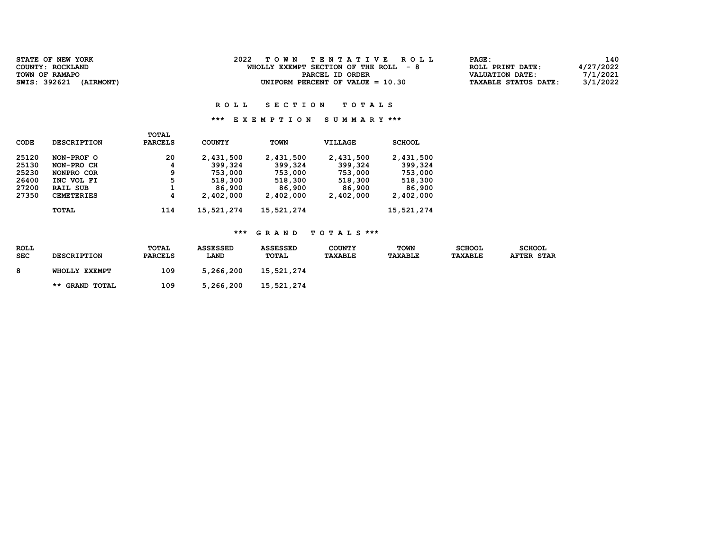| STATE OF NEW YORK         | 2022<br>TOWN TENTATIVE ROLL            | 140<br>PAGE:                            |
|---------------------------|----------------------------------------|-----------------------------------------|
| COUNTY: ROCKLAND          | WHOLLY EXEMPT SECTION OF THE ROLL $-8$ | 4/27/2022<br>ROLL PRINT DATE:           |
| TOWN OF RAMAPO            | PARCEL ID ORDER                        | 7/1/2021<br>VALUATION DATE:             |
| SWIS: 392621<br>(AIRMONT) | UNIFORM PERCENT OF VALUE $= 10.30$     | 3/1/2022<br><b>TAXABLE STATUS DATE:</b> |
|                           |                                        |                                         |

### \*\*\* E X E M P T I O N S U M M A R Y \*\*\*

|             |                    | TOTAL          |               |             |           |               |
|-------------|--------------------|----------------|---------------|-------------|-----------|---------------|
| <b>CODE</b> | <b>DESCRIPTION</b> | <b>PARCELS</b> | <b>COUNTY</b> | <b>TOWN</b> | VILLAGE   | <b>SCHOOL</b> |
| 25120       | NON-PROF O         | 20             | 2,431,500     | 2,431,500   | 2,431,500 | 2,431,500     |
| 25130       | NON-PRO CH         | 4              | 399,324       | 399,324     | 399,324   | 399,324       |
| 25230       | NONPRO COR         | 9              | 753,000       | 753,000     | 753,000   | 753,000       |
| 26400       | INC VOL FI         | 5              | 518,300       | 518,300     | 518,300   | 518,300       |
| 27200       | <b>RAIL SUB</b>    | 1              | 86,900        | 86,900      | 86,900    | 86,900        |
| 27350       | <b>CEMETERIES</b>  | 4              | 2,402,000     | 2,402,000   | 2,402,000 | 2,402,000     |
|             | <b>TOTAL</b>       | 114            | 15,521,274    | 15,521,274  |           | 15,521,274    |

| ROLL<br><b>SEC</b> | <b>DESCRIPTION</b>    | TOTAL<br><b>PARCELS</b> | <b>ASSESSED</b><br><b>LAND</b> | <b>ASSESSED</b><br>TOTAL | <b>COUNTY</b><br><b>TAXABLE</b> | <b>TOWN</b><br><b>TAXABLE</b> | <b>SCHOOL</b><br><b>TAXABLE</b> | <b>SCHOOL</b><br><b>AFTER STAR</b> |
|--------------------|-----------------------|-------------------------|--------------------------------|--------------------------|---------------------------------|-------------------------------|---------------------------------|------------------------------------|
| 8                  | WHOLLY EXEMPT         | 109                     | 5,266,200                      | 15,521,274               |                                 |                               |                                 |                                    |
|                    | <b>** GRAND TOTAL</b> | 109                     | 5,266,200                      | 15,521,274               |                                 |                               |                                 |                                    |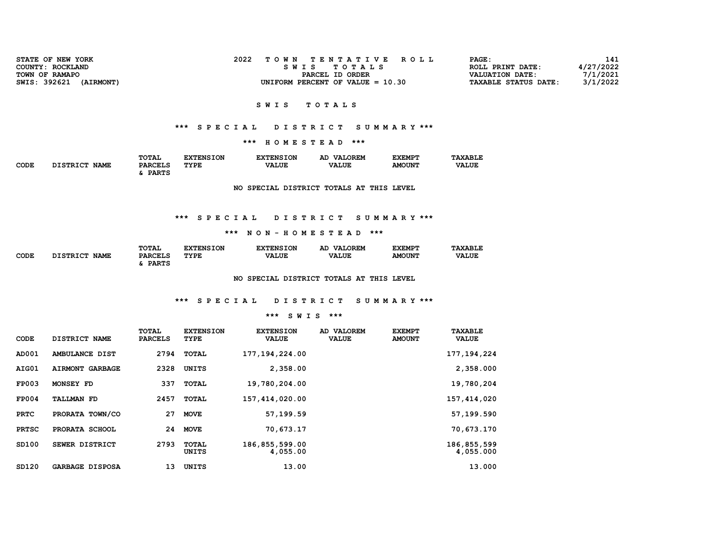| STATE OF NEW YORK<br>COUNTY: ROCKLAND<br>TOWN OF RAMAPO | 2022<br>TOWN TENTATIVE ROLL<br>SWIS TOTALS<br>PARCEL ID ORDER | PAGE:<br>ROLL PRINT DATE:<br>VALUATION DATE: | 141<br>4/27/2022<br>7/1/2021 |
|---------------------------------------------------------|---------------------------------------------------------------|----------------------------------------------|------------------------------|
| SWIS: 392621<br><i>(AIRMONT)</i>                        | UNIFORM PERCENT OF VALUE $= 10.30$                            | <b>TAXABLE STATUS DATE:</b>                  | 3/1/2022                     |

### \*\*\* S P E C I A L D I S T R I C T S U M M A R Y \*\*\*

\*\*\* H O M E S T E A D \*\*\*

|              |                                | TOTAL          | <b>XTENSION</b> | <b>EXTENSION</b> | LOREM<br>1721<br>AC | <b>EXEMPT</b> | <b>TAXABLE</b> |
|--------------|--------------------------------|----------------|-----------------|------------------|---------------------|---------------|----------------|
| CODE<br>$ -$ | <b>NAME</b><br><b>DISTRICT</b> | <b>PARCELS</b> | TYPE            | <b>VALUE</b>     | <b>VALUE</b>        | <b>AMOUNT</b> | <b>VALUE</b>   |
|              |                                | <b>DADTC</b>   |                 |                  |                     |               |                |

NO SPECIAL DISTRICT TOTALS AT THIS LEVEL

### \*\*\* S P E C I A L D I S T R I C T S U M M A R Y \*\*\*

#### \*\*\* N O N - H O M E S T E A D \*\*\*

|             |                           | TOTAL          | <b>NSION</b><br>™TRN< | <b>EXTENSION</b> | LOREM<br>VAT.<br>АC | <b>EXEMPT</b> | <b>TAXABLE</b> |
|-------------|---------------------------|----------------|-----------------------|------------------|---------------------|---------------|----------------|
| CODE<br>___ | חמד סחס דר<br><b>NAME</b> | <b>PARCELS</b> | TYPE                  | <b>VALUE</b>     | <b>VALUE</b>        | <b>AMOUNT</b> | <b>VALUE</b>   |
|             |                           | <b>DADMC</b>   |                       |                  |                     |               |                |

NO SPECIAL DISTRICT TOTALS AT THIS LEVEL

## \*\*\* S P E C I A L D I S T R I C T S U M M A R Y \*\*\*

| CODE         | DISTRICT NAME          | TOTAL<br><b>PARCELS</b> | <b>EXTENSION</b><br>TYPE | <b>EXTENSION</b><br><b>VALUE</b> | AD VALOREM<br><b>VALUE</b> | <b>EXEMPT</b><br><b>AMOUNT</b> | <b>TAXABLE</b><br><b>VALUE</b> |
|--------------|------------------------|-------------------------|--------------------------|----------------------------------|----------------------------|--------------------------------|--------------------------------|
| AD001        | AMBULANCE DIST         | 2794                    | TOTAL                    | 177, 194, 224.00                 |                            |                                | 177, 194, 224                  |
| AIG01        | <b>AIRMONT GARBAGE</b> | 2328                    | UNITS                    | 2,358.00                         |                            |                                | 2,358.000                      |
| <b>FP003</b> | MONSEY FD              | 337                     | <b>TOTAL</b>             | 19,780,204.00                    |                            |                                | 19,780,204                     |
| <b>FP004</b> | <b>TALLMAN FD</b>      | 2457                    | TOTAL                    | 157, 414, 020.00                 |                            |                                | 157, 414, 020                  |
| <b>PRTC</b>  | PRORATA TOWN/CO        | 27                      | <b>MOVE</b>              | 57,199.59                        |                            |                                | 57,199.590                     |
| <b>PRTSC</b> | PRORATA SCHOOL         | 24                      | <b>MOVE</b>              | 70,673.17                        |                            |                                | 70,673.170                     |
| SD100        | SEWER DISTRICT         | 2793                    | <b>TOTAL</b><br>UNITS    | 186,855,599.00<br>4,055.00       |                            |                                | 186,855,599<br>4,055.000       |
| SD120        | <b>GARBAGE DISPOSA</b> | 13                      | UNITS                    | 13.00                            |                            |                                | 13.000                         |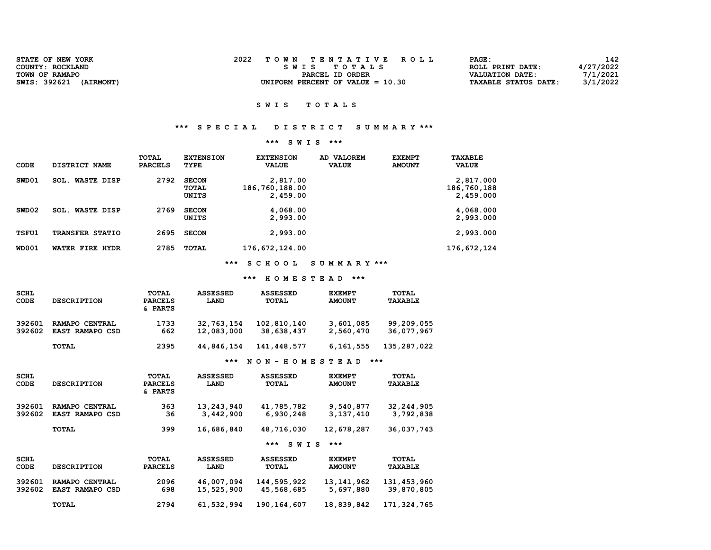| STATE OF NEW YORK         | TOWN TENTATIVE ROLL                | 142<br>PAGE:                       |
|---------------------------|------------------------------------|------------------------------------|
| COUNTY: ROCKLAND          | SWIS TOTALS                        | 4/27/2022<br>ROLL PRINT DATE:      |
| TOWN OF RAMAPO            | PARCEL ID ORDER                    | 7/1/2021<br><b>VALUATION DATE:</b> |
| SWIS: 392621<br>(AIRMONT) | UNIFORM PERCENT OF VALUE $= 10.30$ | 3/1/2022<br>TAXABLE STATUS DATE:   |
|                           |                                    |                                    |

### \*\*\* S P E C I A L D I S T R I C T S U M M A R Y \*\*\*

### \*\*\* S W I S \*\*\*

| CODE         | DISTRICT NAME             | TOTAL<br><b>PARCELS</b> | <b>EXTENSION</b><br>TYPE       | <b>EXTENSION</b><br><b>VALUE</b>       | AD VALOREM<br><b>VALUE</b> | <b>EXEMPT</b><br><b>AMOUNT</b> | TAXABLE<br><b>VALUE</b>               |
|--------------|---------------------------|-------------------------|--------------------------------|----------------------------------------|----------------------------|--------------------------------|---------------------------------------|
| SWD01        | <b>WASTE DISP</b><br>SOL. | 2792                    | <b>SECON</b><br>TOTAL<br>UNITS | 2,817.00<br>186,760,188.00<br>2,459.00 |                            |                                | 2,817.000<br>186,760,188<br>2,459.000 |
| SWD02        | <b>SOL. WASTE DISP</b>    | 2769                    | <b>SECON</b><br>UNITS          | 4,068.00<br>2,993.00                   |                            |                                | 4,068.000<br>2,993.000                |
| TSFU1        | <b>TRANSFER STATIO</b>    | 2695                    | <b>SECON</b>                   | 2,993.00                               |                            |                                | 2,993.000                             |
| <b>WD001</b> | WATER FIRE HYDR           | 2785                    | <b>TOTAL</b>                   | 176,672,124.00                         |                            |                                | 176,672,124                           |

\*\*\* S C H O O L S U M M A R Y \*\*\*

### \*\*\* H O M E S T E A D \*\*\*

| SCHL<br>CODE     | <b>DESCRIPTION</b>                | TOTAL<br><b>PARCELS</b><br>& PARTS | <b>ASSESSED</b><br>LAND  | <b>ASSESSED</b><br>TOTAL  | <b>EXEMPT</b><br><b>AMOUNT</b> | TOTAL<br><b>TAXABLE</b>  |
|------------------|-----------------------------------|------------------------------------|--------------------------|---------------------------|--------------------------------|--------------------------|
| 392601<br>392602 | RAMAPO CENTRAL<br>EAST RAMAPO CSD | 1733<br>662                        | 32,763,154<br>12,083,000 | 102,810,140<br>38,638,437 | 3,601,085<br>2,560,470         | 99,209,055<br>36,077,967 |
|                  | <b>TOTAL</b>                      | 2395                               | 44,846,154               | 141,448,577               | 6,161,555                      | 135,287,022              |
|                  |                                   |                                    | ***                      | NON - HOMESTEAD           | ***                            |                          |

| SCHL<br>CODE     | <b>DESCRIPTION</b>                       | <b>TOTAL</b><br><b>PARCELS</b><br>& PARTS | <b>ASSESSED</b><br>LAND | <b>ASSESSED</b><br>TOTAL | <b>EXEMPT</b><br><b>AMOUNT</b> | TOTAL<br><b>TAXABLE</b>   |
|------------------|------------------------------------------|-------------------------------------------|-------------------------|--------------------------|--------------------------------|---------------------------|
| 392601<br>392602 | RAMAPO CENTRAL<br><b>EAST RAMAPO CSD</b> | 363<br>36                                 | 13,243,940<br>3,442,900 | 41,785,782<br>6,930,248  | 9,540,877<br>3,137,410         | 32, 244, 905<br>3,792,838 |
|                  | <b>TOTAL</b>                             | 399                                       | 16,686,840              | 48,716,030               | 12,678,287                     | 36,037,743                |

| <b>SCHL</b> | <b>DESCRIPTION</b> | TOTAL          | <b>ASSESSED</b> | ASSESSED    | <b>EXEMPT</b> | <b>TOTAL</b> |
|-------------|--------------------|----------------|-----------------|-------------|---------------|--------------|
| CODE        |                    | <b>PARCELS</b> | <b>LAND</b>     | TOTAL       | <b>AMOUNT</b> | TAXABLE      |
| 392601      | RAMAPO CENTRAL     | 2096           | 46,007,094      | 144,595,922 | 13,141,962    | 131,453,960  |
| 392602      | EAST RAMAPO CSD    | 698            | 15,525,900      | 45,568,685  | 5,697,880     | 39,870,805   |
|             | TOTAL              | 2794           | 61,532,994      | 190,164,607 | 18,839,842    | 171,324,765  |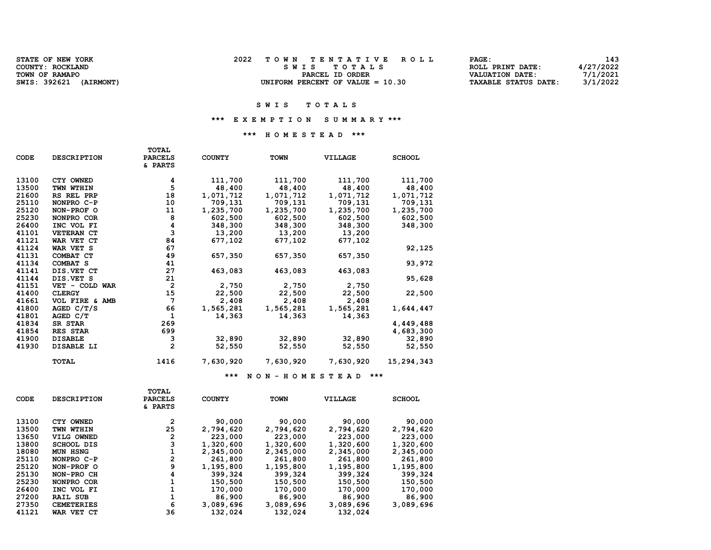| <b>STATE OF NEW YORK</b>         | TOWN TENTATIVE ROLL                | PAGE:                       | 143.      |
|----------------------------------|------------------------------------|-----------------------------|-----------|
| COUNTY: ROCKLAND                 | SWIS TOTALS                        | ROLL PRINT DATE:            | 4/27/2022 |
| TOWN OF RAMAPO                   | PARCEL ID ORDER                    | <b>VALUATION DATE:</b>      | 7/1/2021  |
| SWIS: 392621<br><b>(AIRMONT)</b> | UNIFORM PERCENT OF VALUE $= 10.30$ | <b>TAXABLE STATUS DATE:</b> | 3/1/2022  |

#### SWIS TOTALS

### \*\*\* E X E M P T I O N S U M M A R Y \*\*\*

### \*\*\* H O M E S T E A D \*\*\*

| <b>CODE</b> | <b>DESCRIPTION</b>  | TOTAL<br><b>PARCELS</b><br>& PARTS | <b>COUNTY</b> | <b>TOWN</b> | <b>VILLAGE</b> | <b>SCHOOL</b> |
|-------------|---------------------|------------------------------------|---------------|-------------|----------------|---------------|
| 13100       | CTY OWNED           | 4                                  | 111,700       | 111,700     | 111,700        | 111,700       |
| 13500       | TWN WTHIN           | 5                                  | 48,400        | 48,400      | 48,400         | 48,400        |
| 21600       | RS REL PRP          | 18                                 | 1,071,712     | 1,071,712   | 1,071,712      | 1,071,712     |
| 25110       | NONPRO C-P          | 10                                 | 709,131       | 709,131     | 709,131        | 709,131       |
| 25120       | NON-PROF O          | 11                                 | 1,235,700     | 1,235,700   | 1,235,700      | 1,235,700     |
| 25230       | NONPRO COR          | 8                                  | 602,500       | 602,500     | 602,500        | 602,500       |
| 26400       | INC VOL FI          | $\frac{4}{3}$                      | 348,300       | 348,300     | 348,300        | 348,300       |
| 41101       | <b>VETERAN CT</b>   |                                    | 13,200        | 13,200      | 13,200         |               |
| 41121       | WAR VET CT          | 84                                 | 677,102       | 677,102     | 677,102        |               |
| 41124       | WAR VET S           | 67                                 |               |             |                | 92,125        |
| 41131       | COMBAT CT           | 49                                 | 657,350       | 657,350     | 657,350        |               |
| 41134       | COMBAT <sub>S</sub> | 41                                 |               |             |                | 93,972        |
| 41141       | DIS. VET CT         | 27                                 | 463,083       | 463,083     | 463,083        |               |
| 41144       | DIS.VET S           | 21                                 |               |             |                | 95,628        |
| 41151       | VET - COLD WAR      | $\mathbf{2}$                       | 2,750         | 2,750       | 2,750          |               |
| 41400       | <b>CLERGY</b>       | 15                                 | 22,500        | 22,500      | 22,500         | 22,500        |
| 41661       | VOL FIRE & AMB      | 7                                  | 2,408         | 2,408       | 2,408          |               |
| 41800       | AGED C/T/S          | 66                                 | 1,565,281     | 1,565,281   | 1,565,281      | 1,644,447     |
| 41801       | AGED C/T            | 1                                  | 14,363        | 14,363      | 14,363         |               |
| 41834       | SR STAR             | 269                                |               |             |                | 4,449,488     |
| 41854       | RES STAR            | 699                                |               |             |                | 4,683,300     |
| 41900       | <b>DISABLE</b>      | з                                  | 32,890        | 32,890      | 32,890         | 32,890        |
| 41930       | DISABLE LI          | $\overline{2}$                     | 52,550        | 52,550      | 52,550         | 52,550        |
|             | <b>TOTAL</b>        | 1416                               | 7,630,920     | 7,630,920   | 7,630,920      | 15,294,343    |

\*\*\* N O N - H O M E S T E A D \*\*\*

| <b>CODE</b> | <b>DESCRIPTION</b> | TOTAL<br><b>PARCELS</b><br>& PARTS | <b>COUNTY</b> | <b>TOWN</b> | <b>VILLAGE</b> | <b>SCHOOL</b> |
|-------------|--------------------|------------------------------------|---------------|-------------|----------------|---------------|
| 13100       | CTY OWNED          | 2                                  | 90,000        | 90,000      | 90,000         | 90,000        |
| 13500       | TWN WTHIN          | 25                                 | 2,794,620     | 2,794,620   | 2,794,620      | 2,794,620     |
| 13650       | VILG OWNED         | 2                                  | 223,000       | 223,000     | 223,000        | 223,000       |
| 13800       | <b>SCHOOL DIS</b>  | 3                                  | 1,320,600     | 1,320,600   | 1,320,600      | 1,320,600     |
| 18080       | MUN HSNG           | 1                                  | 2,345,000     | 2,345,000   | 2,345,000      | 2,345,000     |
| 25110       | NONPRO C-P         | 2                                  | 261,800       | 261,800     | 261,800        | 261,800       |
| 25120       | NON-PROF O         | 9                                  | 1,195,800     | 1,195,800   | 1,195,800      | 1,195,800     |
| 25130       | NON-PRO CH         | 4                                  | 399,324       | 399,324     | 399,324        | 399,324       |
| 25230       | NONPRO COR         |                                    | 150,500       | 150,500     | 150,500        | 150,500       |
| 26400       | INC VOL FI         |                                    | 170,000       | 170,000     | 170,000        | 170,000       |
| 27200       | RAIL SUB           |                                    | 86,900        | 86,900      | 86,900         | 86,900        |
| 27350       | <b>CEMETERIES</b>  | 6                                  | 3,089,696     | 3,089,696   | 3,089,696      | 3,089,696     |
| 41121       | WAR VET CT         | 36                                 | 132,024       | 132,024     | 132,024        |               |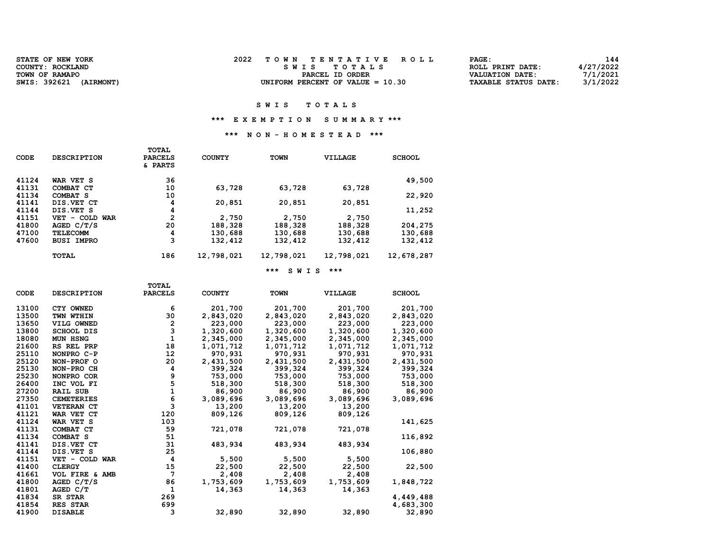| <b>STATE OF NEW YORK</b>         | TOWN TENTATIVE ROLL                | $\mathtt{PAGE}$ :           | 144       |
|----------------------------------|------------------------------------|-----------------------------|-----------|
| COUNTY: ROCKLAND                 | SWIS TOTALS                        | ROLL PRINT DATE:            | 4/27/2022 |
| TOWN OF RAMAPO                   | PARCEL ID ORDER                    | VALUATION DATE:             | 7/1/2021  |
| SWIS: 392621<br><b>(AIRMONT)</b> | UNIFORM PERCENT OF VALUE $= 10.30$ | <b>TAXABLE STATUS DATE:</b> | 3/1/2022  |

### SWIS TOTALS

### \*\*\* E X E M P T I O N S U M M A R Y \*\*\*

### \*\*\* N O N - H O M E S T E A D \*\*\*

| <b>CODE</b> | <b>DESCRIPTION</b> | TOTAL<br><b>PARCELS</b><br>& PARTS | <b>COUNTY</b> | <b>TOWN</b> | <b>VILLAGE</b> | <b>SCHOOL</b> |
|-------------|--------------------|------------------------------------|---------------|-------------|----------------|---------------|
| 41124       | WAR VET S          | 36                                 |               |             |                | 49,500        |
| 41131       | COMBAT CT          | 10                                 | 63,728        | 63,728      | 63,728         |               |
| 41134       | COMBAT S           | 10                                 |               |             |                | 22,920        |
| 41141       | DIS. VET CT        | 4                                  | 20,851        | 20,851      | 20,851         |               |
| 41144       | DIS. VET S         | 4                                  |               |             |                | 11,252        |
| 41151       | VET - COLD WAR     | 2                                  | 2,750         | 2,750       | 2,750          |               |
| 41800       | AGED C/T/S         | 20                                 | 188,328       | 188,328     | 188,328        | 204,275       |
| 47100       | <b>TELECOMM</b>    | 4                                  | 130,688       | 130,688     | 130,688        | 130,688       |
| 47600       | <b>BUSI IMPRO</b>  | 3                                  | 132,412       | 132,412     | 132,412        | 132,412       |
|             | <b>TOTAL</b>       | 186                                | 12,798,021    | 12,798,021  | 12,798,021     | 12,678,287    |

```
 *** S W I S ***
```

|             |                    | <b>TOTAL</b>   |               |             |                |               |
|-------------|--------------------|----------------|---------------|-------------|----------------|---------------|
| <b>CODE</b> | <b>DESCRIPTION</b> | <b>PARCELS</b> | <b>COUNTY</b> | <b>TOWN</b> | <b>VILLAGE</b> | <b>SCHOOL</b> |
| 13100       | CTY OWNED          | 6              | 201,700       | 201,700     | 201,700        | 201,700       |
| 13500       | TWN WTHIN          | 30             | 2,843,020     | 2,843,020   | 2,843,020      | 2,843,020     |
| 13650       | VILG OWNED         | 2              | 223,000       | 223,000     | 223,000        | 223,000       |
| 13800       | <b>SCHOOL DIS</b>  | 3              | 1,320,600     | 1,320,600   | 1,320,600      | 1,320,600     |
| 18080       | <b>MUN HSNG</b>    | $\mathbf{1}$   | 2,345,000     | 2,345,000   | 2,345,000      | 2,345,000     |
| 21600       | RS REL PRP         | 18             |               |             |                |               |
|             |                    |                | 1,071,712     | 1,071,712   | 1,071,712      | 1,071,712     |
| 25110       | NONPRO C-P         | 12             | 970,931       | 970,931     | 970,931        | 970,931       |
| 25120       | NON-PROF O         | 20             | 2,431,500     | 2,431,500   | 2,431,500      | 2,431,500     |
| 25130       | NON-PRO CH         | 4              | 399,324       | 399,324     | 399,324        | 399,324       |
| 25230       | NONPRO COR         | 9<br>5         | 753,000       | 753,000     | 753,000        | 753,000       |
| 26400       | INC VOL FI         |                | 518,300       | 518,300     | 518,300        | 518,300       |
| 27200       | <b>RAIL SUB</b>    | $\mathbf{1}$   | 86,900        | 86,900      | 86,900         | 86,900        |
| 27350       | <b>CEMETERIES</b>  | 6              | 3,089,696     | 3,089,696   | 3,089,696      | 3,089,696     |
| 41101       | <b>VETERAN CT</b>  | 3              | 13,200        | 13,200      | 13,200         |               |
| 41121       | WAR VET CT         | 120            | 809,126       | 809,126     | 809,126        |               |
| 41124       | WAR VET S          | 103            |               |             |                | 141,625       |
| 41131       | COMBAT CT          | 59             | 721,078       | 721,078     | 721,078        |               |
| 41134       | <b>COMBAT S</b>    | 51             |               |             |                | 116,892       |
| 41141       | DIS. VET CT        | 31             | 483,934       | 483,934     | 483,934        |               |
| 41144       | DIS.VET S          | 25             |               |             |                | 106,880       |
| 41151       | VET - COLD WAR     | 4              | 5,500         | 5,500       | 5,500          |               |
| 41400       | <b>CLERGY</b>      | 15             | 22,500        | 22,500      | 22,500         | 22,500        |
| 41661       | VOL FIRE & AMB     | 7              | 2,408         | 2,408       | 2,408          |               |
| 41800       | AGED $C/T/S$       | 86             | 1,753,609     | 1,753,609   | 1,753,609      | 1,848,722     |
| 41801       | AGED C/T           | 1              | 14,363        | 14,363      | 14,363         |               |
| 41834       | SR STAR            | 269            |               |             |                | 4,449,488     |
| 41854       | RES STAR           | 699            |               |             |                | 4,683,300     |
| 41900       | <b>DISABLE</b>     | 3              | 32,890        | 32,890      | 32,890         | 32,890        |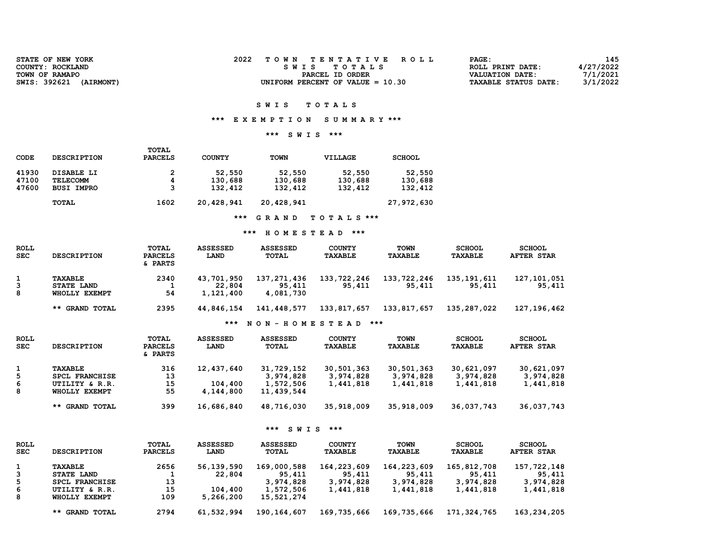| STATE OF NEW YORK         | 2022<br>TOWN TENTATIVE ROLL        | PAGE:                       | 145       |
|---------------------------|------------------------------------|-----------------------------|-----------|
| COUNTY: ROCKLAND          | SWIS TOTALS                        | ROLL PRINT DATE:            | 4/27/2022 |
| TOWN OF RAMAPO            | PARCEL ID ORDER                    | VALUATION DATE:             | 7/1/2021  |
| SWIS: 392621<br>(AIRMONT) | UNIFORM PERCENT OF VALUE $= 10.30$ | <b>TAXABLE STATUS DATE:</b> | 3/1/2022  |
|                           |                                    |                             |           |

## \*\*\* E X E M P T I O N S U M M A R Y \*\*\*

## \*\*\* S W I S \*\*\*

| CODE                    | <b>DESCRIPTION</b>                          | TOTAL<br><b>PARCELS</b> | <b>COUNTY</b>                | <b>TOWN</b>                  | VILLAGE                      | <b>SCHOOL</b>                |
|-------------------------|---------------------------------------------|-------------------------|------------------------------|------------------------------|------------------------------|------------------------------|
| 41930<br>47100<br>47600 | DISABLE LI<br>TELECOMM<br><b>BUSI IMPRO</b> | $\mathbf{2}$<br>4<br>3  | 52,550<br>130,688<br>132,412 | 52,550<br>130,688<br>132,412 | 52,550<br>130,688<br>132,412 | 52,550<br>130,688<br>132,412 |
|                         | <b>TOTAL</b>                                | 1602                    | 20,428,941                   | 20,428,941                   |                              | 27,972,630                   |

\*\*\* G R A N D T O T A L S \*\*\*

## \*\*\* H O M E S T E A D \*\*\*

| ROLL<br><b>SEC</b> | <b>DESCRIPTION</b>                            | TOTAL<br><b>PARCELS</b><br>& PARTS | <b>ASSESSED</b><br>LAND           | <b>ASSESSED</b><br>TOTAL           | <b>COUNTY</b><br><b>TAXABLE</b> | TOWN<br><b>TAXABLE</b> | <b>SCHOOL</b><br><b>TAXABLE</b> | <b>SCHOOL</b><br><b>AFTER STAR</b> |
|--------------------|-----------------------------------------------|------------------------------------|-----------------------------------|------------------------------------|---------------------------------|------------------------|---------------------------------|------------------------------------|
| 3<br>8             | TAXABLE<br><b>STATE LAND</b><br>WHOLLY EXEMPT | 2340<br>54                         | 43,701,950<br>22,804<br>1,121,400 | 137,271,436<br>95,411<br>4,081,730 | 133,722,246<br>95,411           | 133,722,246<br>95,411  | 135,191,611<br>95,411           | 127,101,051<br>95,411              |
|                    | ** GRAND TOTAL                                | 2395                               | 44,846,154                        | 141,448,577                        | 133,817,657                     | 133,817,657            | 135,287,022                     | 127, 196, 462                      |
|                    |                                               |                                    | ***                               | NON - HOMESTEAD                    |                                 | ***                    |                                 |                                    |

| <b>ROLL</b><br><b>SEC</b> | <b>DESCRIPTION</b>    | TOTAL<br><b>PARCELS</b><br>& PARTS | <b>ASSESSED</b><br>LAND | <b>ASSESSED</b><br>TOTAL | <b>COUNTY</b><br><b>TAXABLE</b> | TOWN<br><b>TAXABLE</b> | <b>SCHOOL</b><br><b>TAXABLE</b> | <b>SCHOOL</b><br><b>AFTER STAR</b> |
|---------------------------|-----------------------|------------------------------------|-------------------------|--------------------------|---------------------------------|------------------------|---------------------------------|------------------------------------|
|                           | TAXABLE               | 316                                | 12,437,640              | 31,729,152               | 30,501,363                      | 30,501,363             | 30,621,097                      | 30,621,097                         |
| 5.                        | <b>SPCL FRANCHISE</b> | 13                                 |                         | 3,974,828                | 3,974,828                       | 3,974,828              | 3,974,828                       | 3,974,828                          |
| 6                         | UTILITY & R.R.        | 15                                 | 104,400                 | 1,572,506                | 1,441,818                       | 1,441,818              | 1,441,818                       | 1,441,818                          |
| 8                         | WHOLLY EXEMPT         | 55                                 | 4,144,800               | 11,439,544               |                                 |                        |                                 |                                    |
|                           | ** GRAND TOTAL        | 399                                | 16,686,840              | 48,716,030               | 35,918,009                      | 35,918,009             | 36,037,743                      | 36,037,743                         |

## \*\*\* S W I S \*\*\*

| ROLL       |                    | TOTAL          | <b>ASSESSED</b> | ASSESSED    | <b>COUNTY</b> | TOWN           | <b>SCHOOL</b>  | <b>SCHOOL</b>     |
|------------|--------------------|----------------|-----------------|-------------|---------------|----------------|----------------|-------------------|
| <b>SEC</b> | <b>DESCRIPTION</b> | <b>PARCELS</b> | LAND            | TOTAL       | TAXABLE       | <b>TAXABLE</b> | <b>TAXABLE</b> | <b>AFTER STAR</b> |
|            | TAXABLE            | 2656           | 56,139,590      | 169,000,588 | 164,223,609   | 164,223,609    | 165,812,708    | 157,722,148       |
| 3          | STATE LAND         |                | 22,804          | 95,411      | 95,411        | 95,411         | 95,411         | 95,411            |
| 5.         | SPCL FRANCHISE     | 13             |                 | 3,974,828   | 3,974,828     | 3,974,828      | 3,974,828      | 3,974,828         |
| 6          | UTILITY & R.R.     | 15             | 104,400         | 1,572,506   | 1,441,818     | 1,441,818      | 1,441,818      | 1,441,818         |
| 8          | WHOLLY EXEMPT      | 109            | 5,266,200       | 15,521,274  |               |                |                |                   |
|            | ** GRAND TOTAL     | 2794           | 61,532,994      | 190,164,607 | 169,735,666   | 169,735,666    | 171,324,765    | 163,234,205       |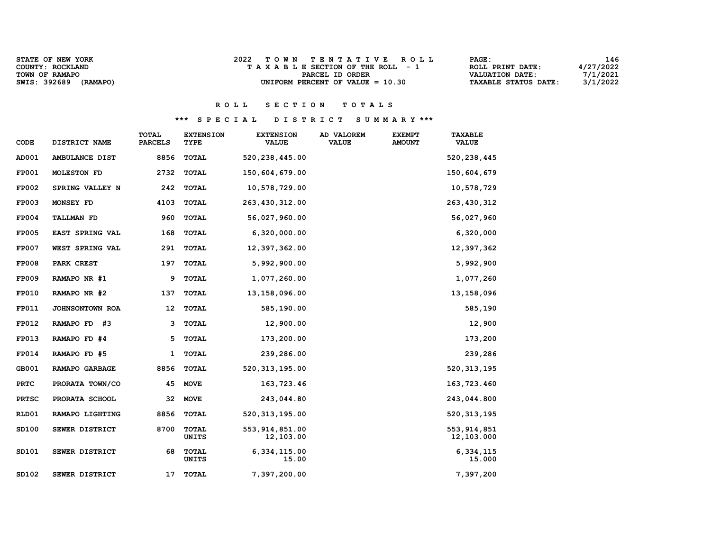| <b>STATE OF NEW YORK</b> | TOWN TENTATIVE ROLL                | 146<br><b>PAGE :</b>                    |
|--------------------------|------------------------------------|-----------------------------------------|
| COUNTY: ROCKLAND         | TAXABLE SECTION OF THE ROLL - 1    | 4/27/2022<br>ROLL PRINT DATE:           |
| TOWN OF RAMAPO           | PARCEL ID ORDER                    | 7/1/2021<br>VALUATION DATE:             |
| SWIS: 392689<br>(RAMAPO) | UNIFORM PERCENT OF VALUE $= 10.30$ | 3/1/2022<br><b>TAXABLE STATUS DATE:</b> |

# \*\*\* S P E C I A L D I S T R I C T S U M M A R Y \*\*\*

| CODE         | DISTRICT NAME          | <b>TOTAL</b><br><b>PARCELS</b> | <b>EXTENSION</b><br>TYPE | <b>EXTENSION</b><br><b>VALUE</b> | AD VALOREM<br><b>VALUE</b> | <b>EXEMPT</b><br><b>AMOUNT</b> | <b>TAXABLE</b><br><b>VALUE</b> |
|--------------|------------------------|--------------------------------|--------------------------|----------------------------------|----------------------------|--------------------------------|--------------------------------|
| AD001        | AMBULANCE DIST         | 8856                           | <b>TOTAL</b>             | 520, 238, 445.00                 |                            |                                | 520, 238, 445                  |
| <b>FP001</b> | <b>MOLESTON FD</b>     | 2732                           | <b>TOTAL</b>             | 150,604,679.00                   |                            |                                | 150,604,679                    |
| <b>FP002</b> | SPRING VALLEY N        | 242                            | <b>TOTAL</b>             | 10,578,729.00                    |                            |                                | 10,578,729                     |
| <b>FP003</b> | MONSEY FD              | 4103                           | <b>TOTAL</b>             | 263, 430, 312.00                 |                            |                                | 263,430,312                    |
| <b>FP004</b> | <b>TALLMAN FD</b>      | 960                            | <b>TOTAL</b>             | 56,027,960.00                    |                            |                                | 56,027,960                     |
| <b>FP005</b> | EAST SPRING VAL        | 168                            | <b>TOTAL</b>             | 6,320,000.00                     |                            |                                | 6,320,000                      |
| <b>FP007</b> | WEST SPRING VAL        | 291                            | <b>TOTAL</b>             | 12,397,362.00                    |                            |                                | 12,397,362                     |
| <b>FP008</b> | PARK CREST             | 197                            | <b>TOTAL</b>             | 5,992,900.00                     |                            |                                | 5,992,900                      |
| <b>FP009</b> | RAMAPO NR #1           | 9                              | <b>TOTAL</b>             | 1,077,260.00                     |                            |                                | 1,077,260                      |
| <b>FP010</b> | RAMAPO NR #2           | 137                            | <b>TOTAL</b>             | 13,158,096.00                    |                            |                                | 13, 158, 096                   |
| FP011        | <b>JOHNSONTOWN ROA</b> | 12                             | <b>TOTAL</b>             | 585,190.00                       |                            |                                | 585,190                        |
| FP012        | #3<br>RAMAPO FD        | 3                              | <b>TOTAL</b>             | 12,900.00                        |                            |                                | 12,900                         |
| <b>FP013</b> | RAMAPO FD #4           | 5                              | <b>TOTAL</b>             | 173,200.00                       |                            |                                | 173,200                        |
| <b>FP014</b> | RAMAPO FD #5           | 1                              | <b>TOTAL</b>             | 239,286.00                       |                            |                                | 239,286                        |
| GB001        | RAMAPO GARBAGE         | 8856                           | <b>TOTAL</b>             | 520, 313, 195.00                 |                            |                                | 520, 313, 195                  |
| <b>PRTC</b>  | PRORATA TOWN/CO        | 45                             | <b>MOVE</b>              | 163,723.46                       |                            |                                | 163,723.460                    |
| <b>PRTSC</b> | PRORATA SCHOOL         | 32                             | <b>MOVE</b>              | 243,044.80                       |                            |                                | 243,044.800                    |
| RLD01        | RAMAPO LIGHTING        | 8856                           | <b>TOTAL</b>             | 520, 313, 195.00                 |                            |                                | 520, 313, 195                  |
| SD100        | SEWER DISTRICT         | 8700                           | <b>TOTAL</b><br>UNITS    | 553, 914, 851.00<br>12,103.00    |                            |                                | 553, 914, 851<br>12,103.000    |
| SD101        | SEWER DISTRICT         | 68                             | TOTAL<br>UNITS           | 6,334,115.00<br>15.00            |                            |                                | 6,334,115<br>15.000            |
| SD102        | <b>SEWER DISTRICT</b>  | 17                             | TOTAL                    | 7,397,200.00                     |                            |                                | 7,397,200                      |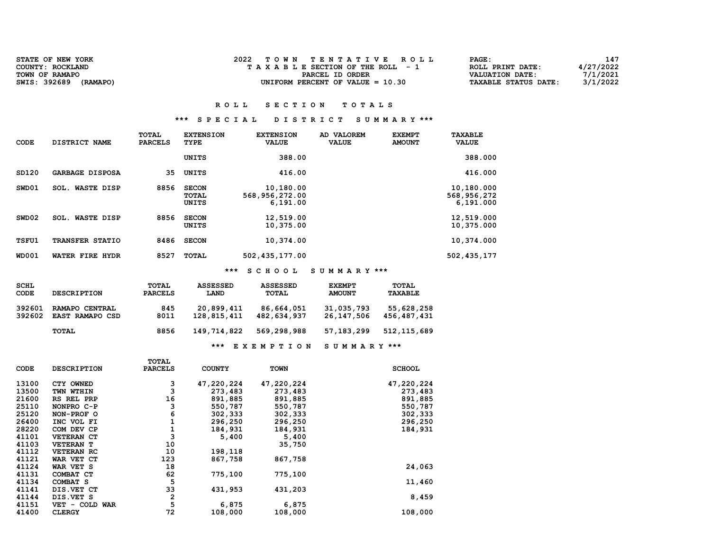| <b>STATE OF NEW YORK</b> | TOWN TENTATIVE ROLL                | 147<br><b>PAGE :</b>                    |
|--------------------------|------------------------------------|-----------------------------------------|
| COUNTY: ROCKLAND         | TAXABLE SECTION OF THE ROLL - 1    | 4/27/2022<br>ROLL PRINT DATE:           |
| TOWN OF RAMAPO           | PARCEL ID ORDER                    | 7/1/2021<br>VALUATION DATE:             |
| SWIS: 392689<br>(RAMAPO) | UNIFORM PERCENT OF VALUE $= 10.30$ | 3/1/2022<br><b>TAXABLE STATUS DATE:</b> |

## \*\*\* S P E C I A L D I S T R I C T S U M M A R Y \*\*\*

| CODE              | DISTRICT NAME             | TOTAL<br><b>PARCELS</b> | <b>EXTENSION</b><br>TYPE       | <b>EXTENSION</b><br><b>VALUE</b>        | AD VALOREM<br><b>VALUE</b> | <b>EXEMPT</b><br><b>AMOUNT</b> | <b>TAXABLE</b><br><b>VALUE</b>         |
|-------------------|---------------------------|-------------------------|--------------------------------|-----------------------------------------|----------------------------|--------------------------------|----------------------------------------|
|                   |                           |                         | <b>UNITS</b>                   | 388.00                                  |                            |                                | 388,000                                |
| SD120             | <b>GARBAGE DISPOSA</b>    | 35                      | UNITS                          | 416.00                                  |                            |                                | 416.000                                |
| SWD01             | <b>WASTE DISP</b><br>SOL. | 8856                    | <b>SECON</b><br>TOTAL<br>UNITS | 10,180.00<br>568,956,272.00<br>6,191.00 |                            |                                | 10,180.000<br>568,956,272<br>6,191.000 |
| SWD <sub>02</sub> | <b>WASTE DISP</b><br>SOL. | 8856                    | <b>SECON</b><br>UNITS          | 12,519.00<br>10,375.00                  |                            |                                | 12,519.000<br>10,375.000               |
| <b>TSFU1</b>      | <b>TRANSFER STATIO</b>    | 8486                    | <b>SECON</b>                   | 10,374.00                               |                            |                                | 10,374.000                             |
| <b>WD001</b>      | WATER FIRE HYDR           | 8527                    | <b>TOTAL</b>                   | 502, 435, 177.00                        |                            |                                | 502, 435, 177                          |

# \*\*\* S C H O O L S U M M A R Y \*\*\*

| SCHL   | <b>DESCRIPTION</b>     | TOTAL          | ASSESSED    | <b>ASSESSED</b> | <b>EXEMPT</b> | <b>TOTAL</b>   |
|--------|------------------------|----------------|-------------|-----------------|---------------|----------------|
| CODE   |                        | <b>PARCELS</b> | <b>LAND</b> | TOTAL           | <b>AMOUNT</b> | <b>TAXABLE</b> |
| 392601 | RAMAPO CENTRAL         | 845            | 20,899,411  | 86,664,051      | 31,035,793    | 55,628,258     |
| 392602 | <b>EAST RAMAPO CSD</b> | 8011           | 128,815,411 | 482,634,937     | 26,147,506    | 456,487,431    |
|        | <b>TOTAL</b>           | 8856           | 149,714,822 | 569,298,988     | 57, 183, 299  | 512, 115, 689  |
|        |                        |                |             |                 |               |                |

# \*\*\* E X E M P T I O N S U M M A R Y \*\*\*

|       |                    | TOTAL          |               |             |               |
|-------|--------------------|----------------|---------------|-------------|---------------|
| CODE  | <b>DESCRIPTION</b> | <b>PARCELS</b> | <b>COUNTY</b> | <b>TOWN</b> | <b>SCHOOL</b> |
| 13100 | CTY OWNED          | з              | 47,220,224    | 47,220,224  | 47,220,224    |
|       |                    | 3              |               |             |               |
| 13500 | TWN WTHIN          |                | 273,483       | 273,483     | 273,483       |
| 21600 | RS REL PRP         | 16             | 891,885       | 891,885     | 891,885       |
| 25110 | NONPRO C-P         | 3              | 550,787       | 550,787     | 550,787       |
| 25120 | NON-PROF O         | 6              | 302,333       | 302,333     | 302,333       |
| 26400 | INC VOL FI         |                | 296,250       | 296,250     | 296,250       |
| 28220 | COM DEV CP         |                | 184,931       | 184,931     | 184,931       |
| 41101 | <b>VETERAN CT</b>  | 1<br>3         | 5,400         | 5,400       |               |
| 41103 | <b>VETERAN T</b>   | 10             |               | 35,750      |               |
| 41112 | <b>VETERAN RC</b>  | 10             | 198,118       |             |               |
| 41121 | WAR VET CT         | 123            | 867,758       | 867,758     |               |
| 41124 | WAR VET S          | 18             |               |             | 24,063        |
| 41131 | COMBAT CT          | 62             | 775,100       | 775,100     |               |
| 41134 | COMBAT S           | 5              |               |             | 11,460        |
| 41141 | DIS. VET CT        | 33             | 431,953       | 431,203     |               |
| 41144 | DIS.VET S          | 2              |               |             | 8,459         |
| 41151 | VET - COLD WAR     | 5              | 6,875         | 6,875       |               |
| 41400 | <b>CLERGY</b>      | 72             | 108,000       | 108,000     | 108,000       |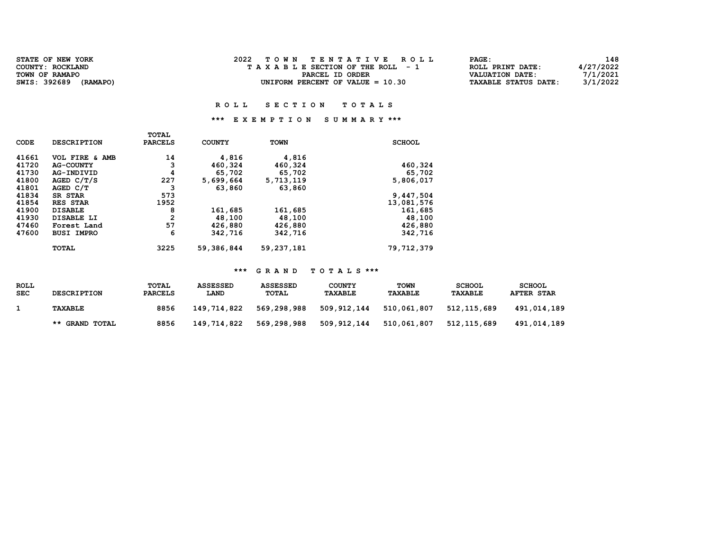| 2022<br>TOWN TENTATIVE ROLL<br>STATE OF NEW YORK               | 148<br>PAGE:                     |
|----------------------------------------------------------------|----------------------------------|
| T A X A B L E SECTION OF THE ROLL - 1                          | 4/27/2022                        |
| COUNTY: ROCKLAND                                               | ROLL PRINT DATE:                 |
| TOWN OF RAMAPO                                                 | 7/1/2021                         |
| PARCEL ID ORDER                                                | <b>VALUATION DATE:</b>           |
| SWIS: 392689<br>(RAMAPO)<br>UNIFORM PERCENT OF VALUE $= 10.30$ | 3/1/2022<br>TAXABLE STATUS DATE: |

## \*\*\* E X E M P T I O N S U M M A R Y \*\*\*

| <b>CODE</b> | <b>DESCRIPTION</b> | TOTAL<br><b>PARCELS</b> | <b>COUNTY</b> | <b>TOWN</b> | <b>SCHOOL</b> |
|-------------|--------------------|-------------------------|---------------|-------------|---------------|
| 41661       | VOL FIRE & AMB     | 14                      | 4,816         | 4,816       |               |
| 41720       | <b>AG-COUNTY</b>   | з                       | 460,324       | 460,324     | 460,324       |
| 41730       | AG-INDIVID         | 4                       | 65,702        | 65,702      | 65,702        |
| 41800       | AGED $C/T/S$       | 227                     | 5,699,664     | 5,713,119   | 5,806,017     |
| 41801       | AGED C/T           | 3                       | 63,860        | 63,860      |               |
| 41834       | SR STAR            | 573                     |               |             | 9,447,504     |
| 41854       | <b>RES STAR</b>    | 1952                    |               |             | 13,081,576    |
| 41900       | <b>DISABLE</b>     | 8                       | 161,685       | 161,685     | 161,685       |
| 41930       | DISABLE LI         | $\overline{2}$          | 48,100        | 48,100      | 48,100        |
| 47460       | Forest Land        | 57                      | 426,880       | 426,880     | 426,880       |
| 47600       | <b>BUSI IMPRO</b>  | 6                       | 342,716       | 342,716     | 342,716       |
|             | <b>TOTAL</b>       | 3225                    | 59,386,844    | 59,237,181  | 79,712,379    |

# \*\*\* G R A N D T O T A L S \*\*\*

| <b>ROLL</b><br><b>SEC</b> | <b>DESCRIPTION</b> | <b>TOTAL</b><br><b>PARCELS</b> | <b>ASSESSED</b><br>LAND | ASSESSED<br>TOTAL | <b>COUNTY</b><br><b>TAXABLE</b> | TOWN<br><b>TAXABLE</b> | <b>SCHOOL</b><br>TAXABLE | <b>SCHOOL</b><br><b>AFTER STAR</b> |
|---------------------------|--------------------|--------------------------------|-------------------------|-------------------|---------------------------------|------------------------|--------------------------|------------------------------------|
|                           | TAXABLE            | 8856                           | 149,714,822             | 569,298,988       | 509,912,144                     | 510,061,807            | 512,115,689              | 491,014,189                        |
|                           | ** GRAND TOTAL     | 8856                           | 149,714,822             | 569,298,988       | 509,912,144                     | 510,061,807            | 512, 115, 689            | 491,014,189                        |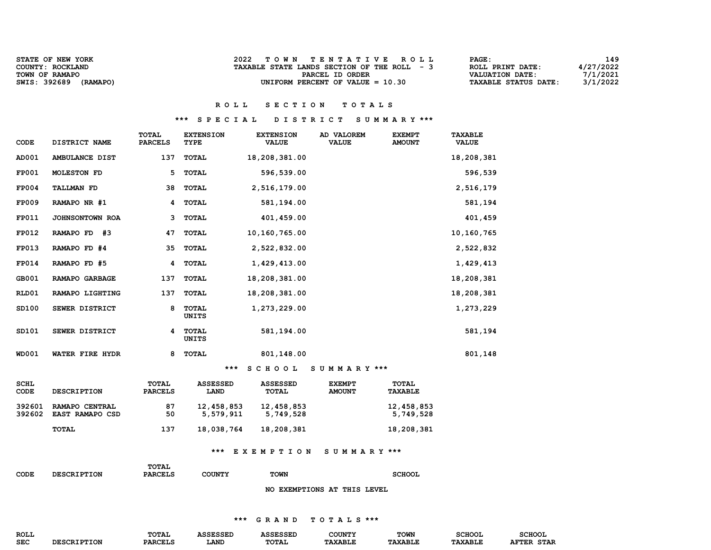| <b>STATE OF NEW YORK</b> | TOWN TENTATIVE ROLL                         | <b>PAGE :</b>               | 149       |
|--------------------------|---------------------------------------------|-----------------------------|-----------|
| COUNTY: ROCKLAND         | TAXABLE STATE LANDS SECTION OF THE ROLL - 3 | ROLL PRINT DATE:            | 4/27/2022 |
| TOWN OF RAMAPO           | PARCEL ID ORDER                             | <b>VALUATION DATE:</b>      | 7/1/2021  |
| SWIS: 392689<br>(RAMAPO) | UNIFORM PERCENT OF VALUE $= 10.30$          | <b>TAXABLE STATUS DATE:</b> | 3/1/2022  |

## \*\*\* S P E C I A L D I S T R I C T S U M M A R Y \*\*\*

| CODE         | DISTRICT NAME      | <b>TOTAL</b><br><b>PARCELS</b> | <b>EXTENSION</b><br><b>TYPE</b> | <b>EXTENSION</b><br><b>VALUE</b> | AD VALOREM<br><b>VALUE</b> | <b>EXEMPT</b><br><b>AMOUNT</b> | <b>TAXABLE</b><br><b>VALUE</b> |
|--------------|--------------------|--------------------------------|---------------------------------|----------------------------------|----------------------------|--------------------------------|--------------------------------|
| AD001        | AMBULANCE DIST     | 137                            | TOTAL                           | 18,208,381.00                    |                            |                                | 18,208,381                     |
| <b>FP001</b> | <b>MOLESTON FD</b> | 5                              | <b>TOTAL</b>                    | 596,539.00                       |                            |                                | 596,539                        |
| <b>FP004</b> | <b>TALLMAN FD</b>  | 38                             | <b>TOTAL</b>                    | 2,516,179.00                     |                            |                                | 2,516,179                      |
| <b>FP009</b> | RAMAPO NR #1       | 4                              | <b>TOTAL</b>                    | 581,194.00                       |                            |                                | 581,194                        |
| <b>FP011</b> | JOHNSONTOWN ROA    | з                              | TOTAL                           | 401,459.00                       |                            |                                | 401,459                        |
| <b>FP012</b> | RAMAPO FD #3       | 47                             | <b>TOTAL</b>                    | 10,160,765.00                    |                            |                                | 10,160,765                     |
| <b>FP013</b> | RAMAPO FD #4       | 35                             | <b>TOTAL</b>                    | 2,522,832.00                     |                            |                                | 2,522,832                      |
| <b>FP014</b> | RAMAPO FD #5       | 4                              | <b>TOTAL</b>                    | 1,429,413.00                     |                            |                                | 1,429,413                      |
| GB001        | RAMAPO GARBAGE     | 137                            | <b>TOTAL</b>                    | 18,208,381.00                    |                            |                                | 18,208,381                     |
| RLD01        | RAMAPO LIGHTING    | 137                            | <b>TOTAL</b>                    | 18,208,381.00                    |                            |                                | 18,208,381                     |
| SD100        | SEWER DISTRICT     | 8                              | TOTAL<br>UNITS                  | 1,273,229.00                     |                            |                                | 1,273,229                      |
| SD101        | SEWER DISTRICT     | 4                              | <b>TOTAL</b><br><b>UNITS</b>    | 581,194.00                       |                            |                                | 581,194                        |
| <b>WD001</b> | WATER FIRE HYDR    | 8                              | <b>TOTAL</b>                    | 801,148.00                       |                            |                                | 801,148                        |
|              |                    |                                |                                 | ***<br><b>SCHOOL</b>             | SUMMARY ***                |                                |                                |

| SCHL   | <b>DESCRIPTION</b> | TOTAL          | ASSESSED    | <b>ASSESSED</b> | <b>EXEMPT</b> | TOTAL          |
|--------|--------------------|----------------|-------------|-----------------|---------------|----------------|
| CODE   |                    | <b>PARCELS</b> | <b>LAND</b> | TOTAL           | <b>AMOUNT</b> | <b>TAXABLE</b> |
| 392601 | RAMAPO CENTRAL     | 87             | 12,458,853  | 12,458,853      |               | 12,458,853     |
| 392602 | EAST RAMAPO CSD    | 50             | 5,579,911   | 5,749,528       |               | 5,749,528      |
|        | TOTAL              | 137            | 18,038,764  | 18,208,381      |               | 18,208,381     |

## \*\*\* E X E M P T I O N S U M M A R Y \*\*\*

|             |                    | TOTAL          |        |                             |               |
|-------------|--------------------|----------------|--------|-----------------------------|---------------|
| <b>CODE</b> | <b>DESCRIPTION</b> | <b>PARCELS</b> | COUNTY | <b>TOWN</b>                 | <b>SCHOOL</b> |
|             |                    |                |        |                             |               |
|             |                    |                |        | NO EXEMPTIONS AT THIS LEVEL |               |

## \*\*\* G R A N D T O T A L S \*\*\*

| <b>ROLI</b> | <b>TOTAT</b> | --<br>.    |              | TATITI | $m \wedge m$<br>ww | ---             |
|-------------|--------------|------------|--------------|--------|--------------------|-----------------|
| <b>SEC</b>  |              | <b>ANL</b> | <b>momni</b> |        |                    | CH <sub>m</sub> |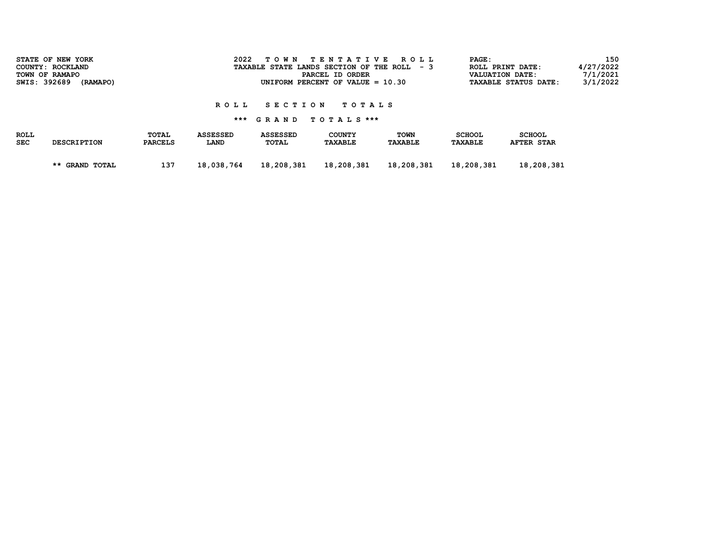|                    | STATE OF NEW YORK<br>COUNTY: ROCKLAND<br>TOWN OF RAMAPO<br>SWIS: 392689 (RAMAPO) |                                | 2022                    |                          | TOWN TENTATIVE ROLL<br>TAXABLE STATE LANDS SECTION OF THE ROLL - 3<br>PARCEL ID ORDER<br>UNIFORM PERCENT OF VALUE $= 10.30$ |                               | PAGE:                    | ROLL PRINT DATE:<br>VALUATION DATE:<br><b>TAXABLE STATUS DATE:</b> | 150<br>4/27/2022<br>7/1/2021<br>3/1/2022 |
|--------------------|----------------------------------------------------------------------------------|--------------------------------|-------------------------|--------------------------|-----------------------------------------------------------------------------------------------------------------------------|-------------------------------|--------------------------|--------------------------------------------------------------------|------------------------------------------|
|                    |                                                                                  |                                | R O L L                 | <b>SECTION</b>           | TOTAL S                                                                                                                     |                               |                          |                                                                    |                                          |
|                    |                                                                                  |                                |                         |                          | *** GRAND TOTALS ***                                                                                                        |                               |                          |                                                                    |                                          |
| ROLL<br><b>SEC</b> | <b>DESCRIPTION</b>                                                               | <b>TOTAL</b><br><b>PARCELS</b> | <b>ASSESSED</b><br>LAND | <b>ASSESSED</b><br>TOTAL | COUNTY<br><b>TAXABLE</b>                                                                                                    | <b>TOWN</b><br><b>TAXABLE</b> | <b>SCHOOL</b><br>TAXABLE | <b>SCHOOL</b><br><b>AFTER STAR</b>                                 |                                          |

| ** GRAND TOTAL | 137 | 18,038,764 | 18,208,381 | 18,208,381 | 18,208,381 | 18,208,381 | 18,208,381 |
|----------------|-----|------------|------------|------------|------------|------------|------------|
|----------------|-----|------------|------------|------------|------------|------------|------------|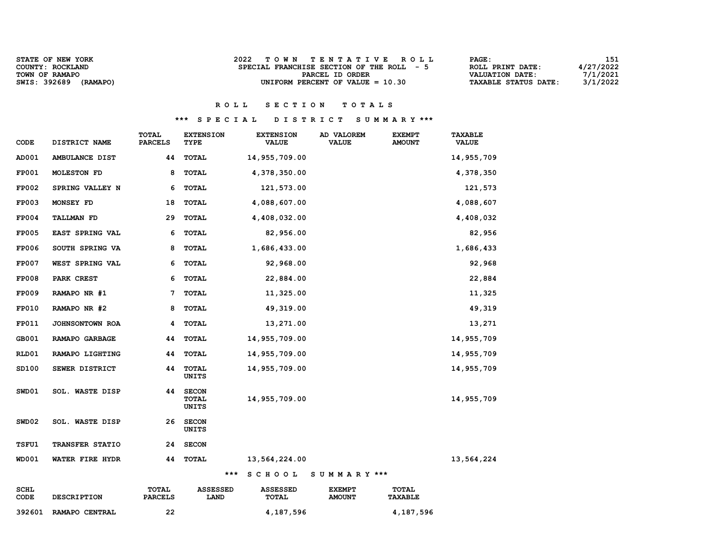| STATE OF NEW YORK        | 2022<br>TOWN TENTATIVE ROLL               | 151<br>PAGE:                            |
|--------------------------|-------------------------------------------|-----------------------------------------|
| COUNTY: ROCKLAND         | SPECIAL FRANCHISE SECTION OF THE ROLL - 5 | 4/27/2022<br>ROLL PRINT DATE:           |
| TOWN OF RAMAPO           | PARCEL ID ORDER                           | 7/1/2021<br>VALUATION DATE:             |
| SWIS: 392689<br>(RAMAPO) | UNIFORM PERCENT OF VALUE $= 10.30$        | 3/1/2022<br><b>TAXABLE STATUS DATE:</b> |

# \*\*\* S P E C I A L D I S T R I C T S U M M A R Y \*\*\*

| <b>CODE</b>  | DISTRICT NAME          | TOTAL<br><b>PARCELS</b>        | <b>EXTENSION</b><br><b>TYPE</b>       | <b>EXTENSION</b><br><b>VALUE</b> | AD VALOREM<br><b>VALUE</b>     | <b>EXEMPT</b><br><b>AMOUNT</b> | <b>TAXABLE</b><br><b>VALUE</b> |
|--------------|------------------------|--------------------------------|---------------------------------------|----------------------------------|--------------------------------|--------------------------------|--------------------------------|
| AD001        | AMBULANCE DIST         | 44                             | TOTAL                                 | 14,955,709.00                    |                                |                                | 14,955,709                     |
| <b>FP001</b> | <b>MOLESTON FD</b>     | 8                              | TOTAL                                 | 4,378,350.00                     |                                |                                | 4,378,350                      |
| <b>FP002</b> | SPRING VALLEY N        | 6                              | <b>TOTAL</b>                          | 121,573.00                       |                                |                                | 121,573                        |
| <b>FP003</b> | MONSEY FD              | 18                             | <b>TOTAL</b>                          | 4,088,607.00                     |                                |                                | 4,088,607                      |
| <b>FP004</b> | <b>TALLMAN FD</b>      | 29                             | TOTAL                                 | 4,408,032.00                     |                                |                                | 4,408,032                      |
| <b>FP005</b> | EAST SPRING VAL        | 6                              | TOTAL                                 | 82,956.00                        |                                |                                | 82,956                         |
| <b>FP006</b> | SOUTH SPRING VA        | 8                              | <b>TOTAL</b>                          | 1,686,433.00                     |                                |                                | 1,686,433                      |
| <b>FP007</b> | WEST SPRING VAL        | 6                              | TOTAL                                 | 92,968.00                        |                                |                                | 92,968                         |
| <b>FP008</b> | PARK CREST             | 6                              | <b>TOTAL</b>                          | 22,884.00                        |                                |                                | 22,884                         |
| <b>FP009</b> | RAMAPO NR #1           | 7                              | <b>TOTAL</b>                          | 11,325.00                        |                                |                                | 11,325                         |
| <b>FP010</b> | RAMAPO NR #2           | 8                              | TOTAL                                 | 49,319.00                        |                                |                                | 49,319                         |
| <b>FP011</b> | JOHNSONTOWN ROA        | 4                              | TOTAL                                 | 13,271.00                        |                                |                                | 13,271                         |
| GB001        | RAMAPO GARBAGE         | 44                             | <b>TOTAL</b>                          | 14,955,709.00                    |                                |                                | 14,955,709                     |
| RLD01        | RAMAPO LIGHTING        | 44                             | <b>TOTAL</b>                          | 14,955,709.00                    |                                |                                | 14,955,709                     |
| SD100        | SEWER DISTRICT         | 44                             | <b>TOTAL</b><br>UNITS                 | 14,955,709.00                    |                                |                                | 14,955,709                     |
| SWD01        | SOL. WASTE DISP        | 44                             | <b>SECON</b><br><b>TOTAL</b><br>UNITS | 14,955,709.00                    |                                |                                | 14,955,709                     |
| SWD02        | SOL. WASTE DISP        | 26                             | <b>SECON</b><br>UNITS                 |                                  |                                |                                |                                |
| <b>TSFU1</b> | <b>TRANSFER STATIO</b> | 24                             | <b>SECON</b>                          |                                  |                                |                                |                                |
| <b>WD001</b> | WATER FIRE HYDR        | 44                             | <b>TOTAL</b>                          | 13,564,224.00                    |                                |                                | 13,564,224                     |
|              |                        |                                | ***                                   | <b>SCHOOL</b>                    | SUMMARY ***                    |                                |                                |
| SCHL<br>CODE | <b>DESCRIPTION</b>     | <b>TOTAL</b><br><b>PARCELS</b> | <b>ASSESSED</b><br><b>LAND</b>        | <b>ASSESSED</b><br>TOTAL         | <b>EXEMPT</b><br><b>AMOUNT</b> | TOTAL<br><b>TAXABLE</b>        |                                |
| 392601       | RAMAPO CENTRAL         | 22                             |                                       | 4,187,596                        |                                | 4,187,596                      |                                |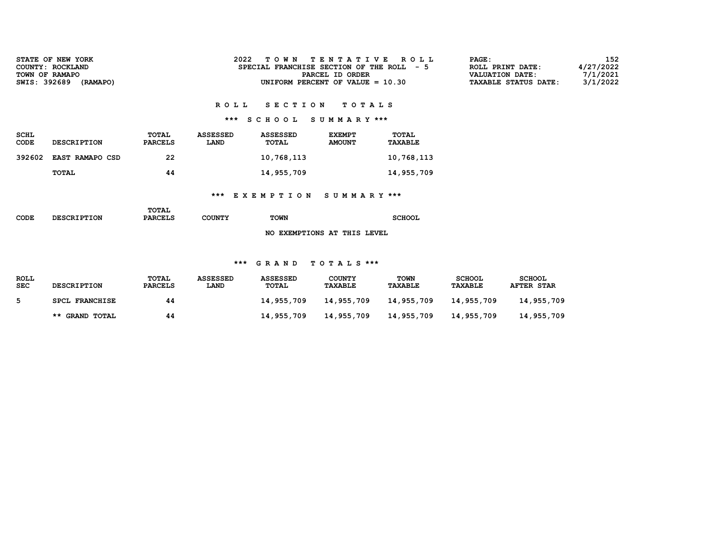| <b>STATE OF NEW YORK</b> | 2022<br>TOWN TENTATIVE ROLL               | 152<br><b>PAGE :</b>                    |
|--------------------------|-------------------------------------------|-----------------------------------------|
| COUNTY: ROCKLAND         | SPECIAL FRANCHISE SECTION OF THE ROLL - 5 | 4/27/2022<br>ROLL PRINT DATE:           |
| TOWN OF RAMAPO           | PARCEL ID ORDER                           | 7/1/2021<br>VALUATION DATE:             |
| SWIS: 392689<br>(RAMAPO) | UNIFORM PERCENT OF VALUE $= 10.30$        | 3/1/2022<br><b>TAXABLE STATUS DATE:</b> |

## \*\*\* S C H O O L S U M M A R Y \*\*\*

| <b>SCHL</b><br>CODE | <b>DESCRIPTION</b>     | <b>TOTAL</b><br><b>PARCELS</b> | <b>ASSESSED</b><br><b>LAND</b> | <b>ASSESSED</b><br><b>TOTAL</b> | <b>EXEMPT</b><br><b>AMOUNT</b> | <b>TOTAL</b><br><b>TAXABLE</b> |
|---------------------|------------------------|--------------------------------|--------------------------------|---------------------------------|--------------------------------|--------------------------------|
| 392602              | <b>EAST RAMAPO CSD</b> | 22                             |                                | 10,768,113                      |                                | 10,768,113                     |
|                     | <b>TOTAL</b>           | 44                             |                                | 14,955,709                      |                                | 14,955,709                     |

## \*\*\* E X E M P T I O N S U M M A R Y \*\*\*

|      |                    | TOTAL          |        |                                        |               |
|------|--------------------|----------------|--------|----------------------------------------|---------------|
| CODE | <b>DESCRIPTION</b> | <b>PARCELS</b> | COUNTY | <b>TOWN</b>                            | <b>SCHOOL</b> |
|      |                    |                |        |                                        |               |
|      |                    |                |        | <b>EXEMPTIONS AT THIS LEVEL</b><br>NO. |               |

## \*\*\* G R A N D T O T A L S \*\*\*

| <b>ROLL</b><br><b>SEC</b> | <b>DESCRIPTION</b> | <b>TOTAL</b><br><b>PARCELS</b> | <b>ASSESSED</b><br><b>LAND</b> | <b>ASSESSED</b><br>TOTAL | <b>COUNTY</b><br><b>TAXABLE</b> | TOWN<br><b>TAXABLE</b> | <b>SCHOOL</b><br>TAXABLE | <b>SCHOOL</b><br><b>AFTER STAR</b> |
|---------------------------|--------------------|--------------------------------|--------------------------------|--------------------------|---------------------------------|------------------------|--------------------------|------------------------------------|
|                           | SPCL FRANCHISE     | 44                             |                                | 14,955,709               | 14,955,709                      | 14,955,709             | 14,955,709               | 14,955,709                         |
|                           | ** GRAND TOTAL     | 44                             |                                | 14,955,709               | 14,955,709                      | 14,955,709             | 14,955,709               | 14,955,709                         |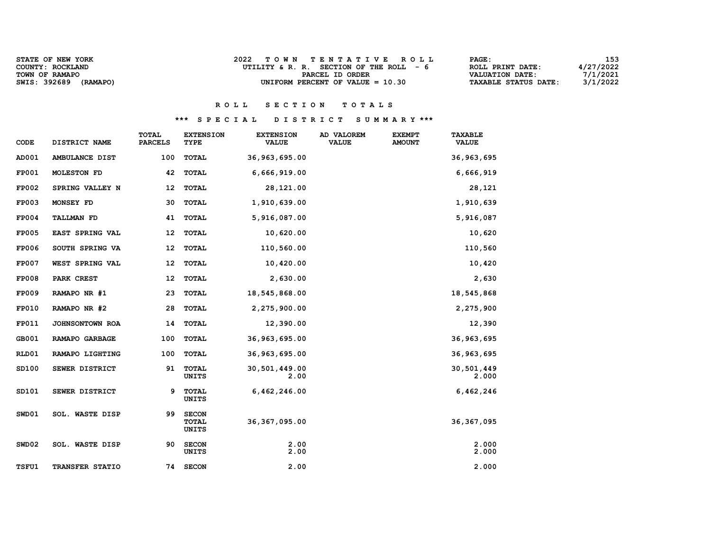| STATE OF NEW YORK        | TOWN TENTATIVE ROLL                      | 153.<br><b>PAGE :</b>                   |
|--------------------------|------------------------------------------|-----------------------------------------|
| COUNTY: ROCKLAND         | UTILITY & R. R. SECTION OF THE ROLL $-6$ | 4/27/2022<br>ROLL PRINT DATE:           |
| TOWN OF RAMAPO           | PARCEL ID ORDER                          | 7/1/2021<br>VALUATION DATE:             |
| SWIS: 392689<br>(RAMAPO) | UNIFORM PERCENT OF VALUE $= 10.30$       | 3/1/2022<br><b>TAXABLE STATUS DATE:</b> |

# \*\*\* S P E C I A L D I S T R I C T S U M M A R Y \*\*\*

| CODE         | DISTRICT NAME          | TOTAL<br><b>PARCELS</b> | <b>EXTENSION</b><br>TYPE              | <b>EXTENSION</b><br><b>VALUE</b> | AD VALOREM<br><b>VALUE</b> | <b>EXEMPT</b><br><b>AMOUNT</b> | <b>TAXABLE</b><br><b>VALUE</b> |
|--------------|------------------------|-------------------------|---------------------------------------|----------------------------------|----------------------------|--------------------------------|--------------------------------|
| AD001        | AMBULANCE DIST         | 100                     | <b>TOTAL</b>                          | 36,963,695.00                    |                            |                                | 36, 963, 695                   |
| <b>FP001</b> | <b>MOLESTON FD</b>     | 42                      | <b>TOTAL</b>                          | 6,666,919.00                     |                            |                                | 6,666,919                      |
| <b>FP002</b> | SPRING VALLEY N        | 12                      | <b>TOTAL</b>                          | 28,121.00                        |                            |                                | 28,121                         |
| <b>FP003</b> | MONSEY FD              | 30                      | <b>TOTAL</b>                          | 1,910,639.00                     |                            |                                | 1,910,639                      |
| <b>FP004</b> | <b>TALLMAN FD</b>      | 41                      | <b>TOTAL</b>                          | 5,916,087.00                     |                            |                                | 5,916,087                      |
| <b>FP005</b> | EAST SPRING VAL        | 12                      | <b>TOTAL</b>                          | 10,620.00                        |                            |                                | 10,620                         |
| <b>FP006</b> | SOUTH SPRING VA        | 12                      | <b>TOTAL</b>                          | 110,560.00                       |                            |                                | 110,560                        |
| <b>FP007</b> | WEST SPRING VAL        | 12                      | <b>TOTAL</b>                          | 10,420.00                        |                            |                                | 10,420                         |
| <b>FP008</b> | PARK CREST             | 12                      | <b>TOTAL</b>                          | 2,630.00                         |                            |                                | 2,630                          |
| <b>FP009</b> | RAMAPO NR #1           | 23                      | <b>TOTAL</b>                          | 18,545,868.00                    |                            |                                | 18,545,868                     |
| <b>FP010</b> | RAMAPO NR #2           | 28                      | <b>TOTAL</b>                          | 2,275,900.00                     |                            |                                | 2,275,900                      |
| FP011        | JOHNSONTOWN ROA        | 14                      | <b>TOTAL</b>                          | 12,390.00                        |                            |                                | 12,390                         |
| GB001        | RAMAPO GARBAGE         | 100                     | <b>TOTAL</b>                          | 36, 963, 695.00                  |                            |                                | 36, 963, 695                   |
| RLD01        | RAMAPO LIGHTING        | 100                     | <b>TOTAL</b>                          | 36,963,695.00                    |                            |                                | 36, 963, 695                   |
| SD100        | SEWER DISTRICT         | 91                      | <b>TOTAL</b><br><b>UNITS</b>          | 30,501,449.00<br>2.00            |                            |                                | 30,501,449<br>2.000            |
| SD101        | <b>SEWER DISTRICT</b>  | 9                       | <b>TOTAL</b><br>UNITS                 | 6,462,246.00                     |                            |                                | 6,462,246                      |
| SWD01        | SOL. WASTE DISP        | 99                      | <b>SECON</b><br>TOTAL<br><b>UNITS</b> | 36, 367, 095.00                  |                            |                                | 36, 367, 095                   |
| SWD02        | SOL. WASTE DISP        | 90                      | <b>SECON</b><br><b>UNITS</b>          | 2.00<br>2.00                     |                            |                                | 2.000<br>2.000                 |
| <b>TSFU1</b> | <b>TRANSFER STATIO</b> | 74                      | <b>SECON</b>                          | 2.00                             |                            |                                | 2.000                          |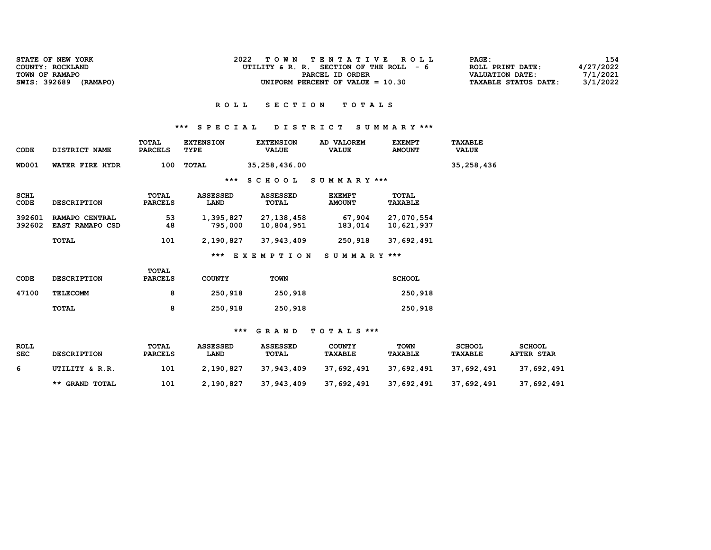| STATE OF NEW YORK        | TOWN TENTATIVE ROLL                      | 154<br>PAGE:                            |
|--------------------------|------------------------------------------|-----------------------------------------|
| COUNTY: ROCKLAND         | UTILITY & R. R. SECTION OF THE ROLL $-6$ | 4/27/2022<br>ROLL PRINT DATE:           |
| TOWN OF RAMAPO           | PARCEL ID ORDER                          | 7/1/2021<br>VALUATION DATE:             |
| SWIS: 392689<br>(RAMAPO) | UNIFORM PERCENT OF VALUE $= 10.30$       | 3/1/2022<br><b>TAXABLE STATUS DATE:</b> |

# \*\*\* S P E C I A L D I S T R I C T S U M M A R Y \*\*\*

| CODE             | DISTRICT NAME                                     | TOTAL<br><b>PARCELS</b>        | <b>EXTENSION</b><br>TYPE          | <b>EXTENSION</b><br><b>VALUE</b>       | AD VALOREM<br><b>VALUE</b>     | <b>EXEMPT</b><br><b>AMOUNT</b>         | TAXABLE<br><b>VALUE</b> |
|------------------|---------------------------------------------------|--------------------------------|-----------------------------------|----------------------------------------|--------------------------------|----------------------------------------|-------------------------|
| <b>WD001</b>     | WATER FIRE HYDR                                   | 100                            | TOTAL                             | 35,258,436.00                          |                                |                                        | 35,258,436              |
|                  |                                                   |                                | ***                               | S C H O O L                            | SUMMARY ***                    |                                        |                         |
| SCHL<br>CODE     | <b>DESCRIPTION</b>                                | <b>TOTAL</b><br><b>PARCELS</b> | <b>ASSESSED</b><br>LAND           | <b>ASSESSED</b><br>TOTAL               | <b>EXEMPT</b><br><b>AMOUNT</b> | <b>TOTAL</b><br><b>TAXABLE</b>         |                         |
| 392601<br>392602 | RAMAPO CENTRAL<br><b>EAST RAMAPO CSD</b><br>TOTAL | 53<br>48<br>101                | 1,395,827<br>795,000<br>2,190,827 | 27,138,458<br>10,804,951<br>37,943,409 | 67,904<br>183,014<br>250,918   | 27,070,554<br>10,621,937<br>37,692,491 |                         |
|                  |                                                   |                                | ***                               | <b>EXEMPTION</b>                       | SUMMARY ***                    |                                        |                         |

| <b>CODE</b> | <b>DESCRIPTION</b> | TOTAL<br><b>PARCELS</b> | <b>COUNTY</b> | <b>TOWN</b> | <b>SCHOOL</b> |
|-------------|--------------------|-------------------------|---------------|-------------|---------------|
| 47100       | <b>TELECOMM</b>    | 8                       | 250,918       | 250,918     | 250,918       |
|             | TOTAL              | 8                       | 250,918       | 250,918     | 250,918       |

## \*\*\* G R A N D T O T A L S \*\*\*

| <b>ROLL</b><br><b>SEC</b> | <b>DESCRIPTION</b> | TOTAL<br><b>PARCELS</b> | <b>ASSESSED</b><br><b>LAND</b> | ASSESSED<br><b>TOTAL</b> | COUNTY<br>TAXABLE | <b>TOWN</b><br><b>TAXABLE</b> | <b>SCHOOL</b><br>TAXABLE | <b>SCHOOL</b><br><b>AFTER STAR</b> |
|---------------------------|--------------------|-------------------------|--------------------------------|--------------------------|-------------------|-------------------------------|--------------------------|------------------------------------|
| - 6                       | UTILITY & R.R.     | 101                     | 2,190,827                      | 37,943,409               | 37,692,491        | 37,692,491                    | 37,692,491               | 37,692,491                         |
|                           | ** GRAND TOTAL     | 101                     | 2,190,827                      | 37,943,409               | 37,692,491        | 37,692,491                    | 37,692,491               | 37,692,491                         |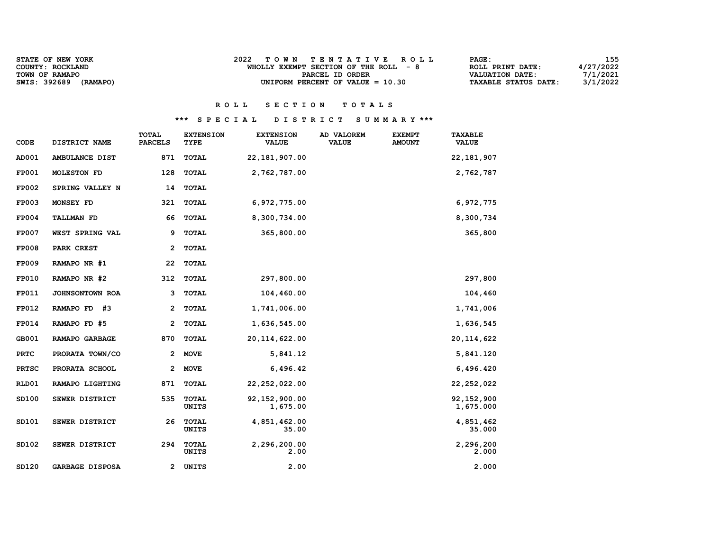| STATE OF NEW YORK        | TOWN TENTATIVE ROLL                    | PAGE :                      | 155.      |
|--------------------------|----------------------------------------|-----------------------------|-----------|
| COUNTY: ROCKLAND         | WHOLLY EXEMPT SECTION OF THE ROLL $-8$ | ROLL PRINT DATE:            | 4/27/2022 |
| TOWN OF RAMAPO           | PARCEL ID ORDER                        | VALUATION DATE:             | 7/1/2021  |
| SWIS: 392689<br>(RAMAPO) | UNIFORM PERCENT OF VALUE $= 10.30$     | <b>TAXABLE STATUS DATE:</b> | 3/1/2022  |

# R O L L S E C T I O N T O T A L S

# \*\*\* S P E C I A L D I S T R I C T S U M M A R Y \*\*\*

| CODE         | DISTRICT NAME          | TOTAL<br><b>PARCELS</b> | <b>EXTENSION</b><br>TYPE | <b>EXTENSION</b><br><b>VALUE</b> | AD VALOREM<br><b>VALUE</b> | <b>EXEMPT</b><br><b>AMOUNT</b> | <b>TAXABLE</b><br><b>VALUE</b> |
|--------------|------------------------|-------------------------|--------------------------|----------------------------------|----------------------------|--------------------------------|--------------------------------|
| AD001        | AMBULANCE DIST         | 871                     | <b>TOTAL</b>             | 22, 181, 907.00                  |                            |                                | 22, 181, 907                   |
| <b>FP001</b> | <b>MOLESTON FD</b>     | 128                     | <b>TOTAL</b>             | 2,762,787.00                     |                            |                                | 2,762,787                      |
| <b>FP002</b> | SPRING VALLEY N        | 14                      | <b>TOTAL</b>             |                                  |                            |                                |                                |
| <b>FP003</b> | MONSEY FD              | 321                     | <b>TOTAL</b>             | 6,972,775.00                     |                            |                                | 6,972,775                      |
| <b>FP004</b> | <b>TALLMAN FD</b>      | 66                      | <b>TOTAL</b>             | 8,300,734.00                     |                            |                                | 8,300,734                      |
| <b>FP007</b> | WEST SPRING VAL        | 9                       | <b>TOTAL</b>             | 365,800.00                       |                            |                                | 365,800                        |
| <b>FP008</b> | PARK CREST             | 2                       | <b>TOTAL</b>             |                                  |                            |                                |                                |
| <b>FP009</b> | RAMAPO NR #1           | 22                      | <b>TOTAL</b>             |                                  |                            |                                |                                |
| <b>FP010</b> | RAMAPO NR #2           | 312                     | <b>TOTAL</b>             | 297,800.00                       |                            |                                | 297,800                        |
| FP011        | JOHNSONTOWN ROA        | 3                       | <b>TOTAL</b>             | 104,460.00                       |                            |                                | 104,460                        |
| <b>FP012</b> | -#3<br>RAMAPO FD       | 2                       | <b>TOTAL</b>             | 1,741,006.00                     |                            |                                | 1,741,006                      |
| <b>FP014</b> | RAMAPO FD #5           | 2                       | <b>TOTAL</b>             | 1,636,545.00                     |                            |                                | 1,636,545                      |
| GB001        | RAMAPO GARBAGE         | 870                     | <b>TOTAL</b>             | 20, 114, 622.00                  |                            |                                | 20, 114, 622                   |
| <b>PRTC</b>  | PRORATA TOWN/CO        | 2                       | <b>MOVE</b>              | 5,841.12                         |                            |                                | 5,841.120                      |
| <b>PRTSC</b> | PRORATA SCHOOL         | 2                       | <b>MOVE</b>              | 6,496.42                         |                            |                                | 6,496.420                      |
| RLD01        | RAMAPO LIGHTING        | 871                     | <b>TOTAL</b>             | 22, 252, 022.00                  |                            |                                | 22, 252, 022                   |
| SD100        | SEWER DISTRICT         | 535                     | <b>TOTAL</b><br>UNITS    | 92, 152, 900.00<br>1,675.00      |                            |                                | 92, 152, 900<br>1,675.000      |
| SD101        | SEWER DISTRICT         | 26                      | TOTAL<br><b>UNITS</b>    | 4,851,462.00<br>35.00            |                            |                                | 4,851,462<br>35.000            |
| SD102        | SEWER DISTRICT         | 294                     | <b>TOTAL</b><br>UNITS    | 2,296,200.00<br>2.00             |                            |                                | 2,296,200<br>2.000             |
| SD120        | <b>GARBAGE DISPOSA</b> | 2                       | UNITS                    | 2.00                             |                            |                                | 2.000                          |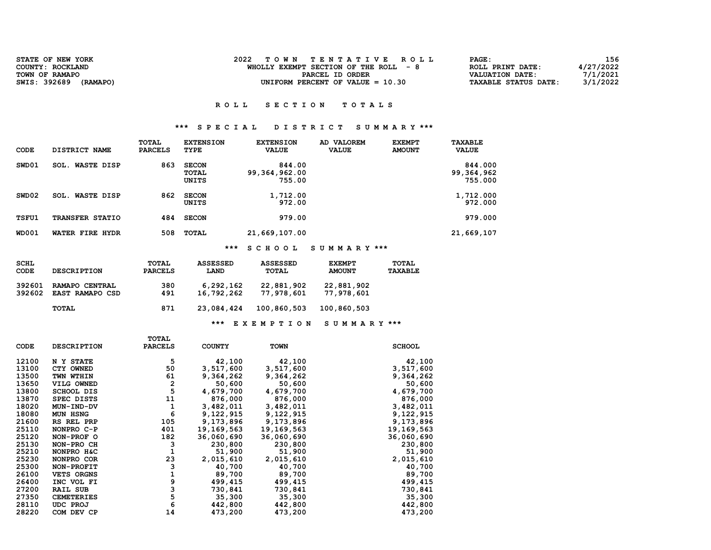| STATE OF NEW YORK        | TOWN TENTATIVE ROLL                    | PAGE :                      | 156       |
|--------------------------|----------------------------------------|-----------------------------|-----------|
| COUNTY: ROCKLAND         | WHOLLY EXEMPT SECTION OF THE ROLL $-8$ | ROLL PRINT DATE:            | 4/27/2022 |
| TOWN OF RAMAPO           | PARCEL ID ORDER                        | VALUATION DATE:             | 7/1/2021  |
| SWIS: 392689<br>(RAMAPO) | UNIFORM PERCENT OF VALUE $= 10.30$     | <b>TAXABLE STATUS DATE:</b> | 3/1/2022  |

# \*\*\* S P E C I A L D I S T R I C T S U M M A R Y \*\*\*

| CODE         | DISTRICT NAME             | TOTAL<br><b>PARCELS</b> | <b>EXTENSION</b><br>TYPE       | <b>EXTENSION</b><br><b>VALUE</b>  | AD VALOREM<br><b>VALUE</b> | <b>EXEMPT</b><br><b>AMOUNT</b> | <b>TAXABLE</b><br><b>VALUE</b>   |
|--------------|---------------------------|-------------------------|--------------------------------|-----------------------------------|----------------------------|--------------------------------|----------------------------------|
| SWD01        | <b>WASTE DISP</b><br>SOL. | 863                     | <b>SECON</b><br>TOTAL<br>UNITS | 844.00<br>99,364,962.00<br>755.00 |                            |                                | 844.000<br>99,364,962<br>755.000 |
| SWD02        | <b>WASTE DISP</b><br>SOL. | 862                     | <b>SECON</b><br>UNITS          | 1,712.00<br>972.00                |                            |                                | 1,712.000<br>972.000             |
| TSFU1        | <b>TRANSFER STATIO</b>    | 484                     | <b>SECON</b>                   | 979.00                            |                            |                                | 979.000                          |
| <b>WD001</b> | WATER FIRE HYDR           | 508                     | TOTAL                          | 21,669,107.00                     |                            |                                | 21,669,107                       |

\*\*\* S C H O O L S U M M A R Y \*\*\*

| <b>SCHL</b> | <b>DESCRIPTION</b>     | TOTAL          | <b>ASSESSED</b> | <b>ASSESSED</b> | <b>EXEMPT</b> | TOTAL          |
|-------------|------------------------|----------------|-----------------|-----------------|---------------|----------------|
| CODE        |                        | <b>PARCELS</b> | LAND            | TOTAL           | <b>AMOUNT</b> | <b>TAXABLE</b> |
| 392601      | RAMAPO CENTRAL         | 380            | 6,292,162       | 22,881,902      | 22,881,902    |                |
| 392602      | <b>EAST RAMAPO CSD</b> | 491            | 16,792,262      | 77,978,601      | 77,978,601    |                |
|             | <b>TOTAL</b>           | 871            | 23,084,424      | 100,860,503     | 100,860,503   |                |

## \*\*\* E X E M P T I O N S U M M A R Y \*\*\*

|       |                    | <b>TOTAL</b>   |               |             |               |
|-------|--------------------|----------------|---------------|-------------|---------------|
| CODE  | <b>DESCRIPTION</b> | <b>PARCELS</b> | <b>COUNTY</b> | <b>TOWN</b> | <b>SCHOOL</b> |
|       |                    |                |               |             |               |
| 12100 | N Y STATE          | 5              | 42,100        | 42,100      | 42,100        |
| 13100 | CTY OWNED          | 50             | 3,517,600     | 3,517,600   | 3,517,600     |
| 13500 | TWN WTHIN          | 61             | 9,364,262     | 9,364,262   | 9,364,262     |
| 13650 | VILG OWNED         | $\overline{2}$ | 50,600        | 50,600      | 50,600        |
| 13800 | <b>SCHOOL DIS</b>  | 5              | 4,679,700     | 4,679,700   | 4,679,700     |
| 13870 | SPEC DISTS         | 11             | 876,000       | 876,000     | 876,000       |
| 18020 | MUN-IND-DV         | 1              | 3,482,011     | 3,482,011   | 3,482,011     |
| 18080 | MUN HSNG           | 6              | 9,122,915     | 9,122,915   | 9,122,915     |
| 21600 | RS REL PRP         | 105            | 9,173,896     | 9,173,896   | 9,173,896     |
| 25110 | NONPRO C-P         | 401            | 19,169,563    | 19,169,563  | 19,169,563    |
| 25120 | NON-PROF O         | 182            | 36,060,690    | 36,060,690  | 36,060,690    |
| 25130 | NON-PRO CH         | 3              | 230,800       | 230,800     | 230,800       |
| 25210 | NONPRO H&C         | 1              | 51,900        | 51,900      | 51,900        |
| 25230 | NONPRO COR         | 23             | 2,015,610     | 2,015,610   | 2,015,610     |
| 25300 | NON-PROFIT         | 3              | 40,700        | 40,700      | 40,700        |
| 26100 | <b>VETS ORGNS</b>  | 1              | 89,700        | 89,700      | 89,700        |
| 26400 | INC VOL FI         | 9              | 499,415       | 499,415     | 499,415       |
| 27200 | <b>RAIL SUB</b>    | 3              | 730,841       | 730,841     | 730,841       |
| 27350 | <b>CEMETERIES</b>  | 5              | 35,300        | 35,300      | 35,300        |
| 28110 | UDC PROJ           | 6              | 442,800       | 442,800     | 442,800       |
| 28220 | COM DEV CP         | 14             | 473,200       | 473,200     | 473,200       |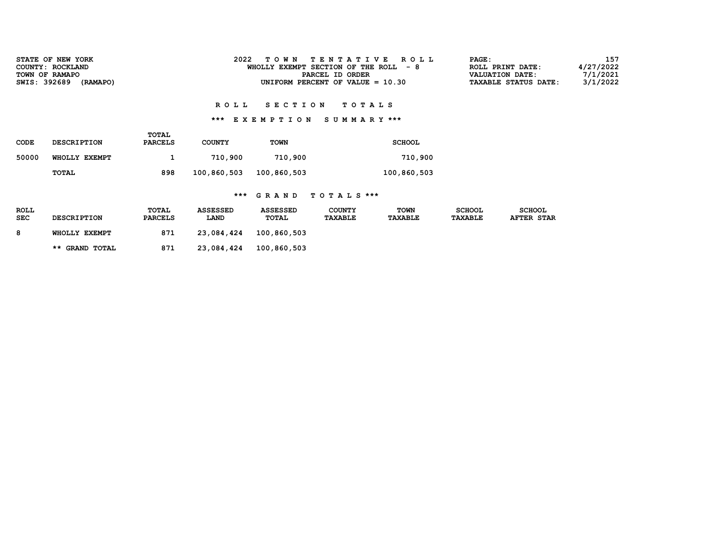| SWIS: 392689              | STATE OF NEW YORK<br>COUNTY: ROCKLAND<br>TOWN OF RAMAPO<br>(RAMAPO) |                                | 2022                    | <b>TOWN</b>              | TENTATIVE<br>WHOLLY EXEMPT SECTION OF THE ROLL<br>PARCEL ID ORDER<br>UNIFORM PERCENT OF VALUE = 10.30 | ROLL<br>- 8                   | PAGE:                           | ROLL PRINT DATE:<br><b>VALUATION DATE:</b><br><b>TAXABLE STATUS DATE:</b> | 157<br>4/27/2022<br>7/1/2021<br>3/1/2022 |
|---------------------------|---------------------------------------------------------------------|--------------------------------|-------------------------|--------------------------|-------------------------------------------------------------------------------------------------------|-------------------------------|---------------------------------|---------------------------------------------------------------------------|------------------------------------------|
|                           |                                                                     |                                | ROLL                    | <b>SECTION</b>           | TOTALS                                                                                                |                               |                                 |                                                                           |                                          |
|                           |                                                                     |                                | ***                     | EXEMPTION                | SUMMARY ***                                                                                           |                               |                                 |                                                                           |                                          |
| CODE                      | <b>DESCRIPTION</b>                                                  | <b>TOTAL</b><br><b>PARCELS</b> | <b>COUNTY</b>           | <b>TOWN</b>              |                                                                                                       | <b>SCHOOL</b>                 |                                 |                                                                           |                                          |
| 50000                     | WHOLLY EXEMPT                                                       | 1                              | 710,900                 | 710,900                  |                                                                                                       | 710,900                       |                                 |                                                                           |                                          |
|                           | TOTAL                                                               | 898                            | 100,860,503             | 100,860,503              |                                                                                                       | 100,860,503                   |                                 |                                                                           |                                          |
|                           |                                                                     |                                |                         | *** GRAND                | TOTALS ***                                                                                            |                               |                                 |                                                                           |                                          |
| <b>ROLL</b><br><b>SEC</b> | <b>DESCRIPTION</b>                                                  | TOTAL<br><b>PARCELS</b>        | <b>ASSESSED</b><br>LAND | <b>ASSESSED</b><br>TOTAL | <b>COUNTY</b><br><b>TAXABLE</b>                                                                       | <b>TOWN</b><br><b>TAXABLE</b> | <b>SCHOOL</b><br><b>TAXABLE</b> | <b>SCHOOL</b><br><b>AFTER STAR</b>                                        |                                          |
| 8                         | WHOLLY EXEMPT                                                       | 871                            | 23,084,424              | 100,860,503              |                                                                                                       |                               |                                 |                                                                           |                                          |

\*\* GRAND TOTAL 871 23,084,424 100,860,503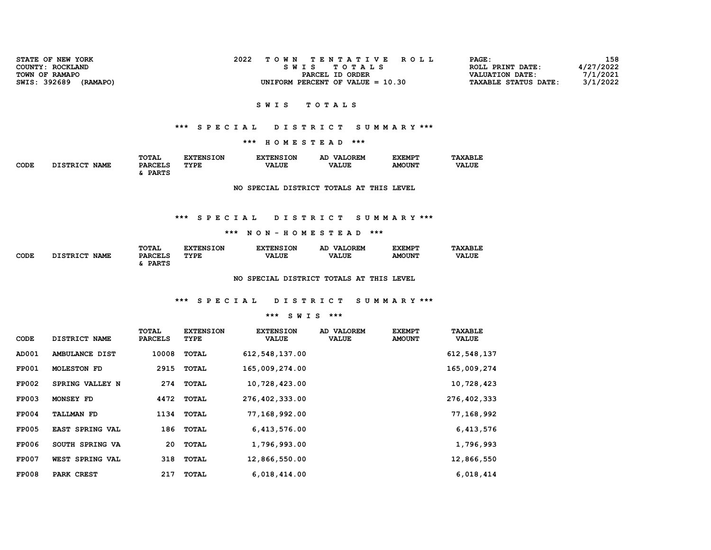| COUNTY: ROCKLAND<br>SWIS TOTALS                                | ROLL PRINT DATE:            | 4/27/2022 |
|----------------------------------------------------------------|-----------------------------|-----------|
| TOWN OF RAMAPO<br>PARCEL ID ORDER                              | VALUATION DATE:             | 7/1/2021  |
| SWIS: 392689<br>(RAMAPO)<br>UNIFORM PERCENT OF VALUE $= 10.30$ | <b>TAXABLE STATUS DATE:</b> | 3/1/2022  |

## \*\*\* S P E C I A L D I S T R I C T S U M M A R Y \*\*\*

\*\*\* H O M E S T E A D \*\*\*

|              |                                | TOTAL          | <b>XTENSION</b> | <b>EXTENSION</b> | LOREM<br>17 A 1<br>AC | <b>EXEMPT</b> | <b>TAXABLE</b> |
|--------------|--------------------------------|----------------|-----------------|------------------|-----------------------|---------------|----------------|
| CODE<br>$ -$ | <b>NAME</b><br><b>DISTRICT</b> | <b>PARCELS</b> | TYPE            | <b>VALUE</b>     | <b>VALUE</b>          | <b>AMOUNT</b> | <b>VALUE</b>   |
|              |                                | <b>DADTC</b>   |                 |                  |                       |               |                |

NO SPECIAL DISTRICT TOTALS AT THIS LEVEL

## \*\*\* S P E C I A L D I S T R I C T S U M M A R Y \*\*\*

### \*\*\* N O N - H O M E S T E A D \*\*\*

|             |                           | TOTAL          | <b>NSION</b><br>™TRN< | <b>EXTENSION</b> | LOREM<br>VAT.<br>АC | <b>EXEMPT</b> | <b>TAXABLE</b> |
|-------------|---------------------------|----------------|-----------------------|------------------|---------------------|---------------|----------------|
| CODE<br>___ | חמד סחס דר<br><b>NAME</b> | <b>PARCELS</b> | TYPE                  | <b>VALUE</b>     | <b>VALUE</b>        | <b>AMOUNT</b> | <b>VALUE</b>   |
|             |                           | <b>DADMC</b>   |                       |                  |                     |               |                |

NO SPECIAL DISTRICT TOTALS AT THIS LEVEL

# \*\*\* S P E C I A L D I S T R I C T S U M M A R Y \*\*\*

#### \*\*\* S W I S \*\*\*

| <b>CODE</b>  | DISTRICT NAME          | TOTAL<br><b>PARCELS</b> | <b>EXTENSION</b><br><b>TYPE</b> | <b>EXTENSION</b><br><b>VALUE</b> | AD VALOREM<br><b>VALUE</b> | <b>EXEMPT</b><br><b>AMOUNT</b> | <b>TAXABLE</b><br><b>VALUE</b> |
|--------------|------------------------|-------------------------|---------------------------------|----------------------------------|----------------------------|--------------------------------|--------------------------------|
| AD001        | AMBULANCE DIST         | 10008                   | TOTAL                           | 612, 548, 137.00                 |                            |                                | 612, 548, 137                  |
| <b>FP001</b> | <b>MOLESTON FD</b>     | 2915                    | TOTAL                           | 165,009,274.00                   |                            |                                | 165,009,274                    |
| <b>FP002</b> | SPRING VALLEY N        | 274                     | TOTAL                           | 10,728,423.00                    |                            |                                | 10,728,423                     |
| <b>FP003</b> | MONSEY FD              | 4472                    | TOTAL                           | 276,402,333.00                   |                            |                                | 276,402,333                    |
| <b>FP004</b> | <b>TALLMAN FD</b>      | 1134                    | TOTAL                           | 77,168,992.00                    |                            |                                | 77,168,992                     |
| <b>FP005</b> | <b>EAST SPRING VAL</b> | 186                     | <b>TOTAL</b>                    | 6,413,576.00                     |                            |                                | 6,413,576                      |
| <b>FP006</b> | SOUTH SPRING VA        | 20                      | <b>TOTAL</b>                    | 1,796,993.00                     |                            |                                | 1,796,993                      |
| <b>FP007</b> | WEST SPRING VAL        | 318                     | TOTAL                           | 12,866,550.00                    |                            |                                | 12,866,550                     |
| <b>FP008</b> | PARK CREST             | 217                     | <b>TOTAL</b>                    | 6,018,414.00                     |                            |                                | 6,018,414                      |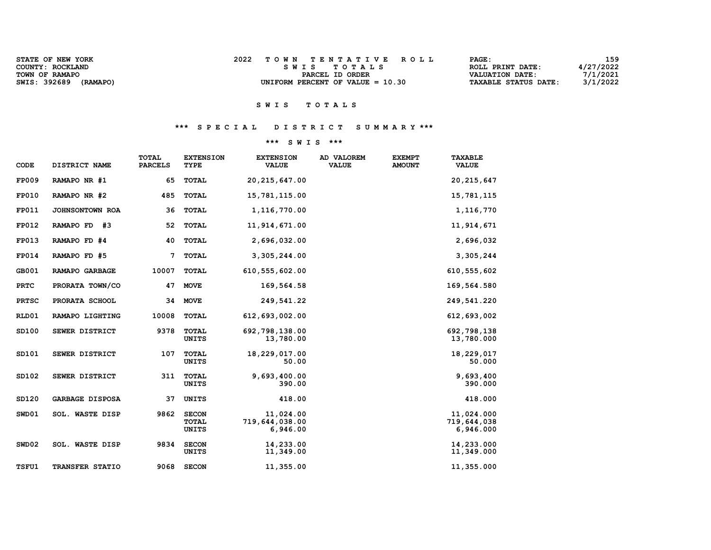| STATE OF NEW YORK        | 2022<br>TOWN TENTATIVE ROLL        | 159<br>PAGE:                       |
|--------------------------|------------------------------------|------------------------------------|
| COUNTY: ROCKLAND         | SWIS TOTALS                        | 4/27/2022<br>ROLL PRINT DATE:      |
| TOWN OF RAMAPO           | PARCEL ID ORDER                    | 7/1/2021<br><b>VALUATION DATE:</b> |
| SWIS: 392689<br>(RAMAPO) | UNIFORM PERCENT OF VALUE $= 10.30$ | 3/1/2022<br>TAXABLE STATUS DATE:   |
|                          |                                    |                                    |

# \*\*\* S P E C I A L D I S T R I C T S U M M A R Y \*\*\*

## \*\*\* S W I S \*\*\*

| <b>CODE</b>  | DISTRICT NAME          | TOTAL<br><b>PARCELS</b> | <b>EXTENSION</b><br><b>TYPE</b>              | <b>EXTENSION</b><br><b>VALUE</b>        | AD VALOREM<br><b>VALUE</b> | <b>EXEMPT</b><br><b>AMOUNT</b> | <b>TAXABLE</b><br><b>VALUE</b>         |
|--------------|------------------------|-------------------------|----------------------------------------------|-----------------------------------------|----------------------------|--------------------------------|----------------------------------------|
| <b>FP009</b> | RAMAPO NR #1           | 65                      | TOTAL                                        | 20, 215, 647.00                         |                            |                                | 20, 215, 647                           |
| <b>FP010</b> | RAMAPO NR #2           | 485                     | <b>TOTAL</b>                                 | 15,781,115.00                           |                            |                                | 15,781,115                             |
| FP011        | JOHNSONTOWN ROA        | 36                      | <b>TOTAL</b>                                 | 1,116,770.00                            |                            |                                | 1,116,770                              |
| <b>FP012</b> | - #3<br>RAMAPO FD      | 52                      | <b>TOTAL</b>                                 | 11,914,671.00                           |                            |                                | 11,914,671                             |
| <b>FP013</b> | RAMAPO FD #4           | 40                      | <b>TOTAL</b>                                 | 2,696,032.00                            |                            |                                | 2,696,032                              |
| <b>FP014</b> | RAMAPO FD #5           | 7                       | <b>TOTAL</b>                                 | 3,305,244.00                            |                            |                                | 3,305,244                              |
| GB001        | RAMAPO GARBAGE         | 10007                   | <b>TOTAL</b>                                 | 610, 555, 602.00                        |                            |                                | 610, 555, 602                          |
| <b>PRTC</b>  | PRORATA TOWN/CO        | 47                      | <b>MOVE</b>                                  | 169,564.58                              |                            |                                | 169,564.580                            |
| <b>PRTSC</b> | PRORATA SCHOOL         | 34                      | <b>MOVE</b>                                  | 249,541.22                              |                            |                                | 249,541.220                            |
| RLD01        | RAMAPO LIGHTING        | 10008                   | <b>TOTAL</b>                                 | 612, 693, 002.00                        |                            |                                | 612,693,002                            |
| SD100        | SEWER DISTRICT         | 9378                    | <b>TOTAL</b><br><b>UNITS</b>                 | 692,798,138.00<br>13,780.00             |                            |                                | 692,798,138<br>13,780.000              |
| SD101        | SEWER DISTRICT         | 107                     | <b>TOTAL</b><br><b>UNITS</b>                 | 18,229,017.00<br>50.00                  |                            |                                | 18,229,017<br>50.000                   |
| SD102        | SEWER DISTRICT         | 311                     | <b>TOTAL</b><br>UNITS                        | 9,693,400.00<br>390.00                  |                            |                                | 9,693,400<br>390.000                   |
| SD120        | <b>GARBAGE DISPOSA</b> | 37                      | UNITS                                        | 418.00                                  |                            |                                | 418.000                                |
| SWD01        | SOL. WASTE DISP        | 9862                    | <b>SECON</b><br><b>TOTAL</b><br><b>UNITS</b> | 11,024.00<br>719,644,038.00<br>6,946.00 |                            |                                | 11,024.000<br>719,644,038<br>6,946.000 |
| SWD02        | SOL. WASTE DISP        | 9834                    | <b>SECON</b><br>UNITS                        | 14,233.00<br>11,349.00                  |                            |                                | 14,233.000<br>11,349.000               |
| TSFU1        | TRANSFER STATIO        | 9068                    | <b>SECON</b>                                 | 11,355.00                               |                            |                                | 11,355.000                             |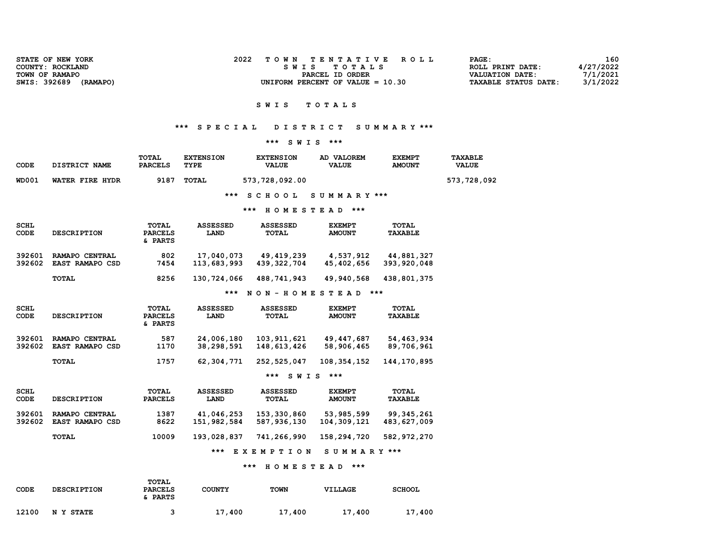|                                                                                               | STATE OF NEW YORK | TOWN TENTATIVE ROLL<br>PAGE: | 160       |
|-----------------------------------------------------------------------------------------------|-------------------|------------------------------|-----------|
| COUNTY: ROCKLAND                                                                              | SWIS TOTALS       | ROLL PRINT DATE:             | 4/27/2022 |
| TOWN OF RAMAPO<br>PARCEL ID ORDER<br>VALUATION DATE:                                          |                   |                              | 7/1/2021  |
| SWIS: 392689<br>UNIFORM PERCENT OF VALUE $= 10.30$<br>(RAMAPO)<br><b>TAXABLE STATUS DATE:</b> |                   |                              | 3/1/2022  |

## \*\*\* S P E C I A L D I S T R I C T S U M M A R Y \*\*\*

## \*\*\* S W I S \*\*\*

| <b>CODE</b> | DISTRICT NAME   | TOTAL<br><b>PARCELS</b> | <b>EXTENSION</b><br>TYPE | <b>EXTENSION</b><br><b>VALUE</b> | AD VALOREM<br><b>VALUE</b> | <b>EXEMPT</b><br><b>AMOUNT</b> | TAXABLE<br><b>VALUE</b> |
|-------------|-----------------|-------------------------|--------------------------|----------------------------------|----------------------------|--------------------------------|-------------------------|
| WD001       | WATER FIRE HYDR | 9187                    | <b>TOTAL</b>             | 573,728,092.00                   |                            |                                | 573,728,092             |

# \*\*\* S C H O O L S U M M A R Y \*\*\*

## \*\*\* H O M E S T E A D \*\*\*

| <b>SCHL</b><br><b>CODE</b>          | <b>DESCRIPTION</b>                       | <b>TOTAL</b><br><b>PARCELS</b><br>& PARTS | <b>ASSESSED</b><br>LAND   | <b>ASSESSED</b><br>TOTAL  | <b>EXEMPT</b><br><b>AMOUNT</b> | <b>TOTAL</b><br><b>TAXABLE</b> |
|-------------------------------------|------------------------------------------|-------------------------------------------|---------------------------|---------------------------|--------------------------------|--------------------------------|
| 392601<br>392602                    | RAMAPO CENTRAL<br><b>EAST RAMAPO CSD</b> | 802<br>7454                               | 17,040,073<br>113,683,993 | 49,419,239<br>439,322,704 | 4,537,912<br>45,402,656        | 44,881,327<br>393,920,048      |
|                                     | <b>TOTAL</b>                             | 8256                                      | 130,724,066               | 488,741,943               | 49,940,568                     | 438,801,375                    |
|                                     |                                          |                                           | ***                       | NON-HOMESTEAD             |                                | $***$                          |
| <b>SCHL</b><br>$\sim$ $\sim$ $\sim$ | -----------                              | <b>TOTAL</b><br>-------                   | <b>ASSESSED</b><br>----   | <b>ASSESSED</b><br>-----  | <b>EXEMPT</b><br>---------     | TOTAL<br>-------               |

| CODE             | <b>DESCRIPTION</b>                | <b>PARCELS</b><br>& PARTS | <b>LAND</b>              | <b>TOTAL</b>               | <b>AMOUNT</b>            | <b>TAXABLE</b>           |
|------------------|-----------------------------------|---------------------------|--------------------------|----------------------------|--------------------------|--------------------------|
| 392601<br>392602 | RAMAPO CENTRAL<br>EAST RAMAPO CSD | 587<br>1170               | 24,006,180<br>38,298,591 | 103,911,621<br>148,613,426 | 49,447,687<br>58,906,465 | 54,463,934<br>89,706,961 |
|                  | TOTAL                             | 1757                      | 62,304,771               | 252,525,047                | 108,354,152              | 144,170,895              |

## \*\*\* S W I S \*\*\*

| <b>SCHL</b> | <b>DESCRIPTION</b> | TOTAL          | <b>ASSESSED</b> | <b>ASSESSED</b> | <b>EXEMPT</b> | TOTAL          |
|-------------|--------------------|----------------|-----------------|-----------------|---------------|----------------|
| <b>CODE</b> |                    | <b>PARCELS</b> | LAND            | TOTAL           | <b>AMOUNT</b> | <b>TAXABLE</b> |
| 392601      | RAMAPO CENTRAL     | 1387           | 41,046,253      | 153,330,860     | 53,985,599    | 99,345,261     |
| 392602      | EAST RAMAPO CSD    | 8622           | 151,982,584     | 587,936,130     | 104,309,121   | 483,627,009    |
|             | <b>TOTAL</b>       | 10009          | 193,028,837     | 741,266,990     | 158,294,720   | 582,972,270    |
|             |                    |                | ***             | EXEMPTION       | SUMMARY ***   |                |

# \*\*\* H O M E S T E A D \*\*\*

| CODE  | <b>DESCRIPTION</b> | <b>TOTAL</b><br><b>PARCELS</b><br>PARTS | COUNTY | <b>TOWN</b> | <b>VILLAGE</b> | <b>SCHOOL</b> |
|-------|--------------------|-----------------------------------------|--------|-------------|----------------|---------------|
| 12100 | N Y STATE          |                                         | 17,400 | 17,400      | 17,400         | 17,400        |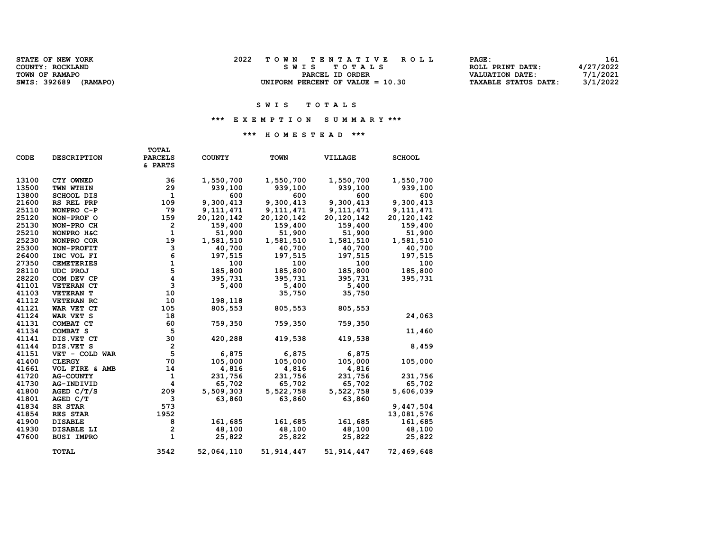| STATE OF NEW YORK        | 2022<br>TOWN TENTATIVE ROLL        | <b>PAGE:</b>                | 161       |
|--------------------------|------------------------------------|-----------------------------|-----------|
| COUNTY: ROCKLAND         | TOTAL S<br>S W I S                 | ROLL PRINT DATE:            | 4/27/2022 |
| TOWN OF RAMAPO           | PARCEL ID ORDER                    | <b>VALUATION DATE:</b>      | 7/1/2021  |
| SWIS: 392689<br>(RAMAPO) | UNIFORM PERCENT OF VALUE = $10.30$ | <b>TAXABLE STATUS DATE:</b> | 3/1/2022  |

#### SWIS TOTALS

## \*\*\* E X E M P T I O N S U M M A R Y \*\*\*

## \*\*\* H O M E S T E A D \*\*\*

| CODE  | <b>DESCRIPTION</b> | <b>PARCELS</b><br>& PARTS | <b>COUNTY</b> | <b>TOWN</b>  | VILLAGE      | <b>SCHOOL</b> |
|-------|--------------------|---------------------------|---------------|--------------|--------------|---------------|
| 13100 | CTY OWNED          | 36                        | 1,550,700     | 1,550,700    | 1,550,700    | 1,550,700     |
| 13500 | TWN WTHIN          | 29                        | 939,100       | 939,100      | 939,100      | 939,100       |
| 13800 | <b>SCHOOL DIS</b>  | 1                         | 600           | 600          | 600          | 600           |
| 21600 | RS REL PRP         | 109                       | 9,300,413     | 9,300,413    | 9,300,413    | 9,300,413     |
| 25110 | NONPRO C-P         | 79                        | 9, 111, 471   | 9,111,471    | 9, 111, 471  | 9, 111, 471   |
| 25120 | NON-PROF O         | 159                       | 20, 120, 142  | 20,120,142   | 20, 120, 142 | 20,120,142    |
| 25130 | NON-PRO CH         | 2                         | 159,400       | 159,400      | 159,400      | 159,400       |
| 25210 | NONPRO H&C         | 1                         | 51,900        | 51,900       | 51,900       | 51,900        |
| 25230 | NONPRO COR         | 19                        | 1,581,510     | 1,581,510    | 1,581,510    | 1,581,510     |
| 25300 | NON-PROFIT         | 3                         | 40,700        | 40,700       | 40,700       | 40,700        |
| 26400 | INC VOL FI         | 6                         | 197,515       | 197,515      | 197,515      | 197,515       |
| 27350 | <b>CEMETERIES</b>  | $\mathbf 1$               | 100           | 100          | 100          | 100           |
| 28110 | UDC PROJ           | 5                         | 185,800       | 185,800      | 185,800      | 185,800       |
| 28220 | COM DEV CP         | 4                         | 395,731       | 395,731      | 395,731      | 395,731       |
| 41101 | <b>VETERAN CT</b>  | 3                         | 5,400         | 5,400        | 5,400        |               |
| 41103 | <b>VETERAN T</b>   | 10                        |               | 35,750       | 35,750       |               |
| 41112 | <b>VETERAN RC</b>  | 10                        | 198,118       |              |              |               |
| 41121 | WAR VET CT         | 105                       | 805,553       | 805,553      | 805,553      |               |
| 41124 | WAR VET S          | 18                        |               |              |              | 24,063        |
| 41131 | COMBAT CT          | 60                        | 759,350       | 759,350      | 759,350      |               |
| 41134 | <b>COMBAT S</b>    | 5                         |               |              |              | 11,460        |
| 41141 | DIS.VET CT         | 30                        | 420,288       | 419,538      | 419,538      |               |
| 41144 | DIS.VET S          | 2                         |               |              |              | 8,459         |
| 41151 | VET - COLD WAR     | 5                         | 6,875         | 6,875        | 6,875        |               |
| 41400 | <b>CLERGY</b>      | 70                        | 105,000       | 105,000      | 105,000      | 105,000       |
| 41661 | VOL FIRE & AMB     | 14                        | 4,816         | 4,816        | 4,816        |               |
| 41720 | <b>AG-COUNTY</b>   | 1                         | 231,756       | 231,756      | 231,756      | 231,756       |
| 41730 | AG-INDIVID         | 4                         | 65,702        | 65,702       | 65,702       | 65,702        |
| 41800 | AGED C/T/S         | 209                       | 5,509,303     | 5,522,758    | 5,522,758    | 5,606,039     |
| 41801 | AGED C/T           | 3                         | 63,860        | 63,860       | 63,860       |               |
| 41834 | SR STAR            | 573                       |               |              |              | 9,447,504     |
| 41854 | <b>RES STAR</b>    | 1952                      |               |              |              | 13,081,576    |
| 41900 | <b>DISABLE</b>     | 8                         | 161,685       | 161,685      | 161,685      | 161,685       |
| 41930 | DISABLE LI         | 2                         | 48,100        | 48,100       | 48,100       | 48,100        |
| 47600 | <b>BUSI IMPRO</b>  | $\mathbf{1}$              | 25,822        | 25,822       | 25,822       | 25,822        |
|       | TOTAL              | 3542                      | 52,064,110    | 51, 914, 447 | 51, 914, 447 | 72,469,648    |

TOTAL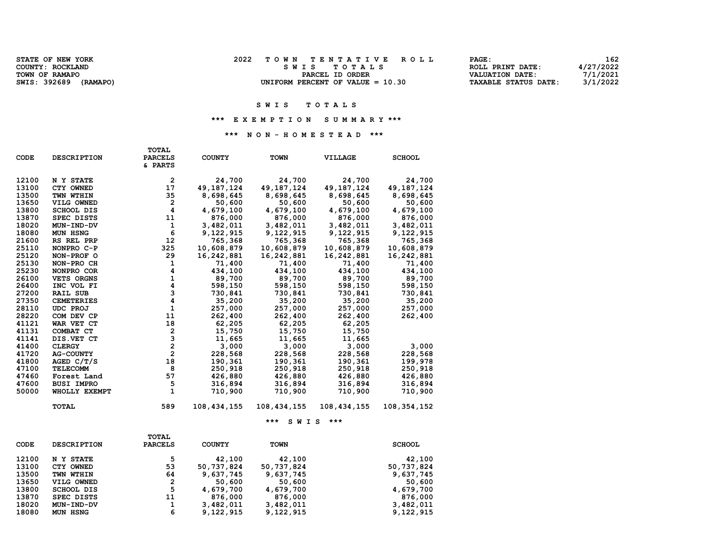| STATE OF NEW YORK        | 2022<br>TOWN TENTATIVE ROLL        | PAGE:                       | 162       |
|--------------------------|------------------------------------|-----------------------------|-----------|
| COUNTY: ROCKLAND         | SWIS TOTALS                        | ROLL PRINT DATE:            | 4/27/2022 |
| TOWN OF RAMAPO           | PARCEL ID ORDER                    | VALUATION DATE:             | 7/1/2021  |
| SWIS: 392689<br>(RAMAPO) | UNIFORM PERCENT OF VALUE $= 10.30$ | <b>TAXABLE STATUS DATE:</b> | 3/1/2022  |

#### SWIS TOTALS

## \*\*\* E X E M P T I O N S U M M A R Y \*\*\*

## \*\*\* N O N - H O M E S T E A D \*\*\*

| <b>CODE</b> | <b>DESCRIPTION</b> | <b>PARCELS</b><br>& PARTS | <b>COUNTY</b> | <b>TOWN</b>  | <b>VILLAGE</b> | <b>SCHOOL</b> |
|-------------|--------------------|---------------------------|---------------|--------------|----------------|---------------|
|             |                    |                           |               |              |                |               |
| 12100       | N Y STATE          | 2                         | 24,700        | 24,700       | 24,700         | 24,700        |
| 13100       | CTY OWNED          | 17                        | 49, 187, 124  | 49, 187, 124 | 49, 187, 124   | 49, 187, 124  |
| 13500       | TWN WTHIN          | 35                        | 8,698,645     | 8,698,645    | 8,698,645      | 8,698,645     |
| 13650       | VILG OWNED         | 2                         | 50,600        | 50,600       | 50,600         | 50,600        |
| 13800       | <b>SCHOOL DIS</b>  | 4                         | 4,679,100     | 4,679,100    | 4,679,100      | 4,679,100     |
| 13870       | SPEC DISTS         | 11                        | 876,000       | 876,000      | 876,000        | 876,000       |
| 18020       | MUN-IND-DV         | 1                         | 3,482,011     | 3,482,011    | 3,482,011      | 3,482,011     |
| 18080       | <b>MUN HSNG</b>    | 6                         | 9,122,915     | 9,122,915    | 9,122,915      | 9,122,915     |
| 21600       | RS REL PRP         | 12                        | 765,368       | 765,368      | 765,368        | 765,368       |
| 25110       | NONPRO C-P         | 325                       | 10,608,879    | 10,608,879   | 10,608,879     | 10,608,879    |
| 25120       | NON-PROF O         | 29                        | 16,242,881    | 16,242,881   | 16,242,881     | 16,242,881    |
| 25130       | NON-PRO CH         | 1                         | 71,400        | 71,400       | 71,400         | 71,400        |
| 25230       | NONPRO COR         | 4                         | 434,100       | 434,100      | 434,100        | 434,100       |
| 26100       | VETS ORGNS         | 1                         | 89,700        | 89,700       | 89,700         | 89,700        |
| 26400       | INC VOL FI         | 4                         | 598,150       | 598,150      | 598,150        | 598,150       |
| 27200       | <b>RAIL SUB</b>    | 3                         | 730,841       | 730,841      | 730,841        | 730,841       |
| 27350       | <b>CEMETERIES</b>  | 4                         | 35,200        | 35,200       | 35,200         | 35,200        |
| 28110       | UDC PROJ           | $\mathbf{1}$              | 257,000       | 257,000      | 257,000        | 257,000       |
| 28220       | COM DEV CP         | 11                        | 262,400       | 262,400      | 262,400        | 262,400       |
| 41121       | WAR VET CT         | 18                        | 62,205        | 62,205       | 62,205         |               |
| 41131       | COMBAT CT          | 2                         | 15,750        | 15,750       | 15,750         |               |
| 41141       | DIS.VET CT         | 3                         | 11,665        | 11,665       | 11,665         |               |
| 41400       | <b>CLERGY</b>      | 2                         | 3,000         | 3,000        | 3,000          | 3,000         |
| 41720       | <b>AG-COUNTY</b>   | $\overline{2}$            | 228,568       | 228,568      | 228,568        | 228,568       |
| 41800       | AGED $C/T/S$       | 18                        | 190,361       | 190,361      | 190,361        | 199,978       |
| 47100       | TELECOMM           | 8                         | 250,918       | 250,918      | 250,918        | 250,918       |
| 47460       | Forest Land        | 57                        | 426,880       | 426,880      | 426,880        | 426,880       |
| 47600       | <b>BUSI IMPRO</b>  | 5                         | 316,894       | 316,894      | 316,894        | 316,894       |
| 50000       | WHOLLY EXEMPT      | $\mathbf{1}$              | 710,900       | 710,900      | 710,900        | 710,900       |
|             | TOTAL              | 589                       | 108,434,155   | 108,434,155  | 108, 434, 155  | 108,354,152   |

TOTAL

\*\*\* S W I S \*\*\*

|       |                    | TOTAL          |               |             |               |
|-------|--------------------|----------------|---------------|-------------|---------------|
| CODE  | <b>DESCRIPTION</b> | <b>PARCELS</b> | <b>COUNTY</b> | <b>TOWN</b> | <b>SCHOOL</b> |
| 12100 | N Y STATE          | 5              | 42,100        | 42,100      | 42,100        |
| 13100 | CTY OWNED          | 53             | 50,737,824    | 50,737,824  | 50,737,824    |
| 13500 | TWN WTHIN          | 64             | 9,637,745     | 9,637,745   | 9,637,745     |
| 13650 | VILG OWNED         | 2              | 50,600        | 50,600      | 50,600        |
| 13800 | <b>SCHOOL DIS</b>  | 5              | 4,679,700     | 4,679,700   | 4,679,700     |
| 13870 | <b>SPEC DISTS</b>  | 11             | 876,000       | 876,000     | 876,000       |
| 18020 | MUN-IND-DV         |                | 3,482,011     | 3,482,011   | 3,482,011     |
| 18080 | MUN HSNG           | 6              | 9,122,915     | 9,122,915   | 9,122,915     |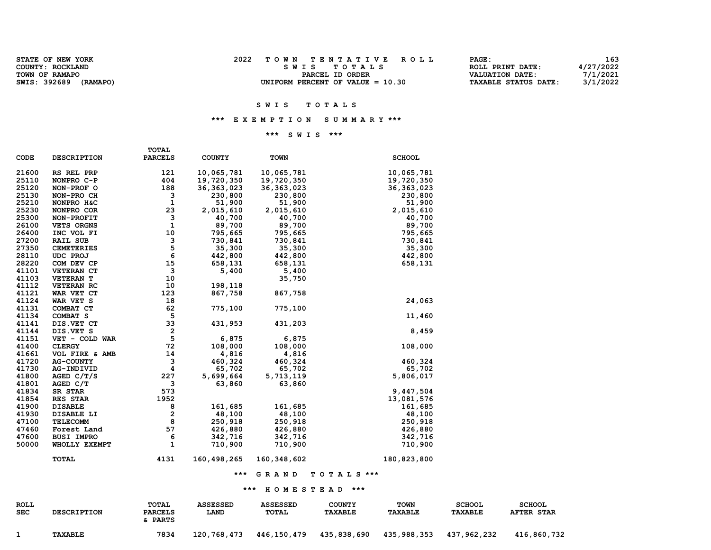| STATE OF NEW YORK     |  |
|-----------------------|--|
| COUNTY: ROCKLAND      |  |
| TOWN OF RAMAPO        |  |
| SWIS: 392689 (RAMAPO) |  |

| STATE OF NEW YORK        | TOWN TENTATIVE ROLL                | 163<br>$\mathtt{PAGE}$ :                |
|--------------------------|------------------------------------|-----------------------------------------|
| COUNTY: ROCKLAND         | SWIS TOTALS                        | 4/27/2022<br>ROLL PRINT DATE:           |
| TOWN OF RAMAPO           | PARCEL ID ORDER                    | 7/1/2021<br>VALUATION DATE:             |
| SWIS: 392689<br>(RAMAPO) | UNIFORM PERCENT OF VALUE $= 10.30$ | 3/1/2022<br><b>TAXABLE STATUS DATE:</b> |

# SWIS TOTALS

## \*\*\* E X E M P T I O N S U M M A R Y \*\*\*

## \*\*\* S W I S \*\*\*

| CODE  | <b>DESCRIPTION</b> | <b>PARCELS</b> | <b>COUNTY</b> | <b>TOWN</b>   | <b>SCHOOL</b> |
|-------|--------------------|----------------|---------------|---------------|---------------|
| 21600 | RS REL PRP         | 121            | 10,065,781    | 10,065,781    | 10,065,781    |
| 25110 | NONPRO C-P         | 404            | 19,720,350    | 19,720,350    | 19,720,350    |
| 25120 | NON-PROF O         | 188            | 36, 363, 023  | 36, 363, 023  | 36, 363, 023  |
| 25130 | NON-PRO CH         | з              | 230,800       | 230,800       | 230,800       |
| 25210 | NONPRO H&C         | 1              | 51,900        | 51,900        | 51,900        |
| 25230 | NONPRO COR         | 23             | 2,015,610     | 2,015,610     | 2,015,610     |
| 25300 | NON-PROFIT         | 3              | 40,700        | 40,700        | 40,700        |
| 26100 | VETS ORGNS         | 1              | 89,700        | 89,700        | 89,700        |
| 26400 | INC VOL FI         | 10             | 795,665       | 795,665       | 795,665       |
| 27200 | <b>RAIL SUB</b>    | 3              | 730,841       | 730,841       | 730,841       |
| 27350 | <b>CEMETERIES</b>  | 5              | 35,300        | 35,300        | 35,300        |
| 28110 | UDC PROJ           | 6              | 442,800       | 442,800       | 442,800       |
| 28220 | COM DEV CP         | 15             | 658,131       | 658,131       | 658,131       |
| 41101 | VETERAN CT         | 3              | 5,400         | 5,400         |               |
| 41103 | <b>VETERAN T</b>   | 10             |               | 35,750        |               |
| 41112 | <b>VETERAN RC</b>  | 10             | 198,118       |               |               |
| 41121 | WAR VET CT         | 123            | 867,758       | 867,758       |               |
| 41124 | WAR VET S          | 18             |               |               | 24,063        |
| 41131 | COMBAT CT          | 62             | 775,100       | 775,100       |               |
| 41134 | <b>COMBAT S</b>    | 5              |               |               | 11,460        |
| 41141 | DIS.VET CT         | 33             | 431,953       | 431,203       |               |
| 41144 | DIS.VET S          | 2              |               |               | 8,459         |
| 41151 | VET - COLD WAR     | 5              | 6,875         | 6,875         |               |
| 41400 | <b>CLERGY</b>      | 72             | 108,000       | 108,000       | 108,000       |
| 41661 | VOL FIRE & AMB     | 14             | 4,816         | 4,816         |               |
| 41720 | <b>AG-COUNTY</b>   | 3              | 460,324       | 460,324       | 460,324       |
| 41730 | AG-INDIVID         | 4              | 65,702        | 65,702        | 65,702        |
| 41800 | AGED $C/T/S$       | 227            | 5,699,664     | 5,713,119     | 5,806,017     |
| 41801 | AGED C/T           | 3              | 63,860        | 63,860        |               |
| 41834 | SR STAR            | 573            |               |               | 9,447,504     |
| 41854 | RES STAR           | 1952           |               |               | 13,081,576    |
| 41900 | <b>DISABLE</b>     | 8              | 161,685       | 161,685       | 161,685       |
| 41930 | DISABLE LI         | 2              | 48,100        | 48,100        | 48,100        |
| 47100 | <b>TELECOMM</b>    | 8              | 250,918       | 250,918       | 250,918       |
| 47460 | Forest Land        | 57             | 426,880       | 426,880       | 426,880       |
| 47600 | <b>BUSI IMPRO</b>  | 6              | 342,716       | 342,716       | 342,716       |
| 50000 | WHOLLY EXEMPT      | $\mathbf{1}$   | 710,900       | 710,900       | 710,900       |
|       | TOTAL              | 4131           | 160,498,265   | 160, 348, 602 | 180,823,800   |
|       |                    |                | ***           | GRAND         | TOTALS ***    |

TOTAL

## \*\*\* H O M E S T E A D \*\*\*

| <b>ROLL</b><br><b>SEC</b> | <b>DESCRIPTION</b> | TOTAL<br><b>PARCELS</b><br>& PARTS | <b>ASSESSED</b><br><b>LAND</b> | <b>ASSESSED</b><br>TOTAL | <b>COUNTY</b><br><b>TAXABLE</b> | <b>TOWN</b><br><b>TAXABLE</b> | <b>SCHOOL</b><br><b>TAXABLE</b> | <b>SCHOOL</b><br><b>AFTER STAR</b> |
|---------------------------|--------------------|------------------------------------|--------------------------------|--------------------------|---------------------------------|-------------------------------|---------------------------------|------------------------------------|
|                           | <b>TAXABLE</b>     | 7834                               | 120,768,473                    | 446,150,479              | 435,838,690                     | 435,988,353                   | 437,962,232                     | 416,860,732                        |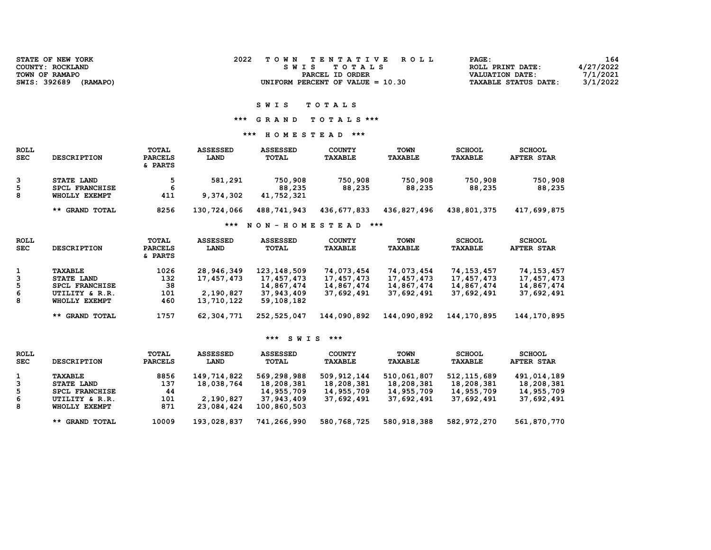| STATE OF NEW YORK        | TOWN TENTATIVE ROLL                | PAGE:                       | 164       |
|--------------------------|------------------------------------|-----------------------------|-----------|
| COUNTY: ROCKLAND         | TOTAL S<br>S W T S                 | ROLL PRINT DATE:            | 4/27/2022 |
| TOWN OF RAMAPO           | PARCEL ID ORDER                    | VALUATION DATE:             | 7/1/2021  |
| SWIS: 392689<br>(RAMAPO) | UNIFORM PERCENT OF VALUE $= 10.30$ | <b>TAXABLE STATUS DATE:</b> | 3/1/2022  |

# \*\*\* G R A N D T O T A L S \*\*\*

## \*\*\* H O M E S T E A D \*\*\*

| <b>ROLL</b><br><b>SEC</b> | <b>DESCRIPTION</b>                                          | TOTAL<br><b>PARCELS</b><br>& PARTS | <b>ASSESSED</b><br>LAND | <b>ASSESSED</b><br>TOTAL        | <b>COUNTY</b><br><b>TAXABLE</b> | <b>TOWN</b><br><b>TAXABLE</b> | <b>SCHOOL</b><br>TAXABLE | <b>SCHOOL</b><br><b>AFTER STAR</b> |
|---------------------------|-------------------------------------------------------------|------------------------------------|-------------------------|---------------------------------|---------------------------------|-------------------------------|--------------------------|------------------------------------|
| 3<br>5.<br>8              | <b>STATE LAND</b><br><b>SPCL FRANCHISE</b><br>WHOLLY EXEMPT | ב<br>6<br>411                      | 581,291<br>9,374,302    | 750,908<br>88,235<br>41,752,321 | 750,908<br>88,235               | 750,908<br>88,235             | 750,908<br>88,235        | 750,908<br>88,235                  |
|                           | ** GRAND TOTAL                                              | 8256                               | 130,724,066             | 488,741,943                     | 436,677,833                     | 436,827,496                   | 438,801,375              | 417,699,875                        |

## \*\*\* N O N - H O M E S T E A D \*\*\*

| <b>ROLL</b> |                    | TOTAL                     | <b>ASSESSED</b> | <b>ASSESSED</b> | <b>COUNTY</b>  | <b>TOWN</b>    | <b>SCHOOL</b>  | <b>SCHOOL</b>     |
|-------------|--------------------|---------------------------|-----------------|-----------------|----------------|----------------|----------------|-------------------|
| <b>SEC</b>  | <b>DESCRIPTION</b> | <b>PARCELS</b><br>& PARTS | LAND            | TOTAL           | <b>TAXABLE</b> | <b>TAXABLE</b> | <b>TAXABLE</b> | <b>AFTER STAR</b> |
|             | <b>TAXABLE</b>     | 1026                      | 28,946,349      | 123, 148, 509   | 74,073,454     | 74,073,454     | 74, 153, 457   | 74, 153, 457      |
| 3           | STATE LAND         | 132                       | 17,457,473      | 17,457,473      | 17,457,473     | 17,457,473     | 17,457,473     | 17,457,473        |
| 5           | SPCL FRANCHISE     | 38                        |                 | 14,867,474      | 14,867,474     | 14,867,474     | 14,867,474     | 14,867,474        |
| 6           | UTILITY & R.R.     | 101                       | 2,190,827       | 37,943,409      | 37,692,491     | 37,692,491     | 37,692,491     | 37,692,491        |
| 8           | WHOLLY EXEMPT      | 460                       | 13,710,122      | 59,108,182      |                |                |                |                   |
|             | ** GRAND TOTAL     | 1757                      | 62,304,771      | 252,525,047     | 144,090,892    | 144,090,892    | 144, 170, 895  | 144, 170, 895     |

# \*\*\* S W I S \*\*\*

| <b>ROLL</b> |                       | TOTAL          | <b>ASSESSED</b> | <b>ASSESSED</b> | <b>COUNTY</b>  | <b>TOWN</b>    | <b>SCHOOL</b> | <b>SCHOOL</b>     |
|-------------|-----------------------|----------------|-----------------|-----------------|----------------|----------------|---------------|-------------------|
| <b>SEC</b>  | <b>DESCRIPTION</b>    | <b>PARCELS</b> | LAND            | TOTAL           | <b>TAXABLE</b> | <b>TAXABLE</b> | TAXABLE       | <b>AFTER STAR</b> |
|             | <b>TAXABLE</b>        | 8856           | 149,714,822     | 569,298,988     | 509,912,144    | 510,061,807    | 512, 115, 689 | 491,014,189       |
| 3           | <b>STATE LAND</b>     | 137            | 18,038,764      | 18,208,381      | 18,208,381     | 18,208,381     | 18,208,381    | 18,208,381        |
| 5.          | <b>SPCL FRANCHISE</b> | 44             |                 | 14,955,709      | 14,955,709     | 14,955,709     | 14,955,709    | 14,955,709        |
| 6           | UTILITY & R.R.        | 101            | 2,190,827       | 37,943,409      | 37,692,491     | 37,692,491     | 37,692,491    | 37,692,491        |
| 8           | WHOLLY EXEMPT         | 871            | 23,084,424      | 100,860,503     |                |                |               |                   |
|             | ** GRAND TOTAL        | 10009          | 193,028,837     | 741,266,990     | 580,768,725    | 580,918,388    | 582,972,270   | 561,870,770       |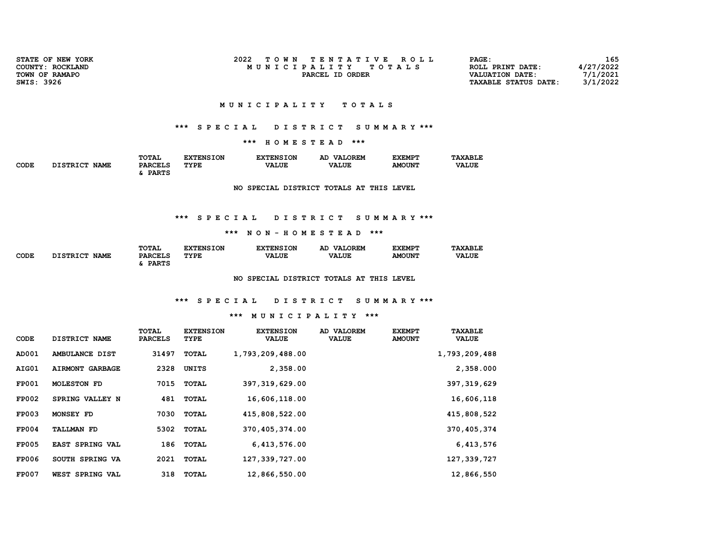| SWIS: 3926   | STATE OF NEW YORK<br>COUNTY: ROCKLAND<br>TOWN OF RAMAPO |                                                                       | 2022<br><b>TOWN</b><br>M U N I C I P A L I T Y        | TENTATIVE ROLL<br>TOTAL S<br>PARCEL ID ORDER                 | PAGE:<br>ROLL PRINT DATE:<br><b>VALUATION DATE:</b><br><b>TAXABLE STATUS DATE:</b> | 165<br>4/27/2022<br>7/1/2021<br>3/1/2022 |
|--------------|---------------------------------------------------------|-----------------------------------------------------------------------|-------------------------------------------------------|--------------------------------------------------------------|------------------------------------------------------------------------------------|------------------------------------------|
|              |                                                         |                                                                       | M U N I C I P A L I T Y                               | T O T A L S                                                  |                                                                                    |                                          |
|              |                                                         |                                                                       | *** SPECIAL                                           | DISTRICT SUMMARY ***                                         |                                                                                    |                                          |
| <b>CODE</b>  | DISTRICT NAME                                           | TOTAL<br><b>EXTENSION</b><br><b>PARCELS</b><br>TYPE<br>& PARTS        | *** HOMESTEAD ***<br><b>EXTENSION</b><br><b>VALUE</b> | <b>EXEMPT</b><br>AD VALOREM<br><b>VALUE</b><br><b>AMOUNT</b> | <b>TAXABLE</b><br><b>VALUE</b>                                                     |                                          |
|              |                                                         |                                                                       |                                                       | NO SPECIAL DISTRICT TOTALS AT THIS LEVEL                     |                                                                                    |                                          |
|              |                                                         |                                                                       | *** SPECIAL<br>*** NON-HOMESTEAD ***                  | DISTRICT SUMMARY ***                                         |                                                                                    |                                          |
| CODE         | DISTRICT NAME                                           | TOTAL<br><b>EXTENSION</b><br><b>PARCELS</b><br><b>TYPE</b><br>& PARTS | <b>EXTENSION</b><br><b>VALUE</b>                      | <b>EXEMPT</b><br>AD VALOREM<br><b>VALUE</b><br><b>AMOUNT</b> | <b>TAXABLE</b><br><b>VALUE</b>                                                     |                                          |
|              |                                                         |                                                                       |                                                       | NO SPECIAL DISTRICT TOTALS AT THIS LEVEL                     |                                                                                    |                                          |
|              |                                                         |                                                                       | *** SPECIAL<br>*** MUNICIPALITY ***                   | DISTRICT SUMMARY ***                                         |                                                                                    |                                          |
| CODE         | DISTRICT NAME                                           | TOTAL<br><b>EXTENSION</b><br><b>PARCELS</b><br><b>TYPE</b>            | <b>EXTENSION</b><br><b>VALUE</b>                      | <b>EXEMPT</b><br>AD VALOREM<br><b>VALUE</b><br><b>AMOUNT</b> | <b>TAXABLE</b><br><b>VALUE</b>                                                     |                                          |
| AD001        | AMBULANCE DIST                                          | 31497<br>TOTAL                                                        | 1,793,209,488.00                                      |                                                              | 1,793,209,488                                                                      |                                          |
| AIG01        | <b>AIRMONT GARBAGE</b>                                  | 2328<br>UNITS                                                         | 2,358.00                                              |                                                              | 2,358.000                                                                          |                                          |
| <b>FP001</b> | <b>MOLESTON FD</b>                                      | 7015<br><b>TOTAL</b>                                                  | 397, 319, 629.00                                      |                                                              | 397, 319, 629                                                                      |                                          |

 FP002 SPRING VALLEY N 481 TOTAL 16,606,118.00 16,606,118 FP003 MONSEY FD 7030 TOTAL 415,808,522.00 415,808,522 FP004 TALLMAN FD 5302 TOTAL 370,405,374.00 370,405,374 FP005 EAST SPRING VAL 186 TOTAL 6,413,576.00 6,413,576 FP006 SOUTH SPRING VA 2021 TOTAL 127,339,727.00 127,339,727 FP007 WEST SPRING VAL 318 TOTAL 12,866,550.00 12,866,550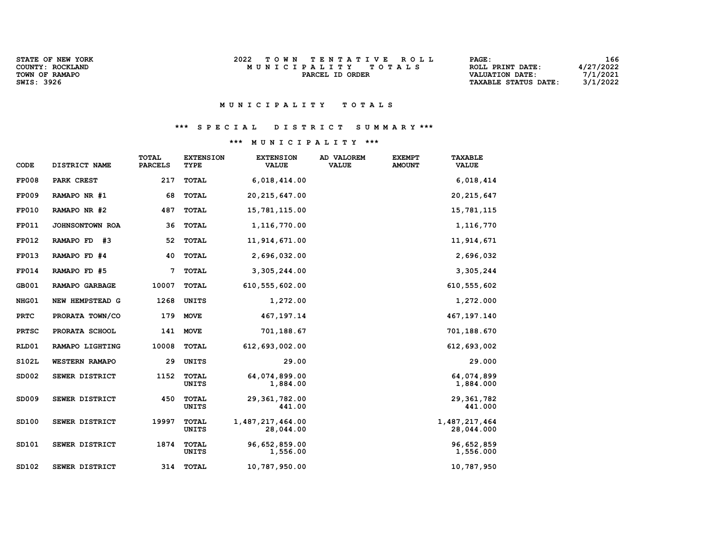| <b>STATE OF NEW YORK</b> | 2022<br>TOWN TENTATIVE ROLL | 166<br>PAGE:                            |
|--------------------------|-----------------------------|-----------------------------------------|
| <b>COUNTY: ROCKLAND</b>  | MUNICIPALITY TOTALS         | 1/27/2022<br>ROLL PRINT DATE:           |
| TOWN OF RAMAPO           | PARCEL ID ORDER             | 7/1/2021<br><b>VALUATION DATE:</b>      |
| SWIS: 3926               |                             | 3/1/2022<br><b>TAXABLE STATUS DATE:</b> |

## M U N I C I P A L I T Y T O T A L S

# \*\*\* S P E C I A L D I S T R I C T S U M M A R Y \*\*\*

## \*\*\* M U N I C I P A L I T Y \*\*\*

| <b>CODE</b>  | DISTRICT NAME         | <b>TOTAL</b><br><b>PARCELS</b> | <b>EXTENSION</b><br><b>TYPE</b> | <b>EXTENSION</b><br><b>VALUE</b> | AD VALOREM<br><b>VALUE</b> | <b>EXEMPT</b><br><b>AMOUNT</b> | <b>TAXABLE</b><br><b>VALUE</b> |
|--------------|-----------------------|--------------------------------|---------------------------------|----------------------------------|----------------------------|--------------------------------|--------------------------------|
| <b>FP008</b> | PARK CREST            | 217                            | <b>TOTAL</b>                    | 6,018,414.00                     |                            |                                | 6,018,414                      |
| <b>FP009</b> | RAMAPO NR #1          | 68                             | <b>TOTAL</b>                    | 20, 215, 647.00                  |                            |                                | 20, 215, 647                   |
| <b>FP010</b> | RAMAPO NR #2          | 487                            | <b>TOTAL</b>                    | 15,781,115.00                    |                            |                                | 15,781,115                     |
| FP011        | JOHNSONTOWN ROA       | 36                             | <b>TOTAL</b>                    | 1,116,770.00                     |                            |                                | 1,116,770                      |
| <b>FP012</b> | RAMAPO FD<br>#3       | 52                             | <b>TOTAL</b>                    | 11,914,671.00                    |                            |                                | 11,914,671                     |
| <b>FP013</b> | RAMAPO FD #4          | 40                             | <b>TOTAL</b>                    | 2,696,032.00                     |                            |                                | 2,696,032                      |
| <b>FP014</b> | RAMAPO FD #5          | 7                              | <b>TOTAL</b>                    | 3,305,244.00                     |                            |                                | 3,305,244                      |
| GB001        | <b>RAMAPO GARBAGE</b> | 10007                          | <b>TOTAL</b>                    | 610, 555, 602.00                 |                            |                                | 610, 555, 602                  |
| NHG01        | NEW HEMPSTEAD G       | 1268                           | <b>UNITS</b>                    | 1,272.00                         |                            |                                | 1,272.000                      |
| <b>PRTC</b>  | PRORATA TOWN/CO       | 179                            | <b>MOVE</b>                     | 467,197.14                       |                            |                                | 467, 197. 140                  |
| <b>PRTSC</b> | PRORATA SCHOOL        | 141                            | <b>MOVE</b>                     | 701,188.67                       |                            |                                | 701,188.670                    |
| RLD01        | RAMAPO LIGHTING       | 10008                          | <b>TOTAL</b>                    | 612, 693, 002.00                 |                            |                                | 612,693,002                    |
| <b>S102L</b> | <b>WESTERN RAMAPO</b> | 29                             | <b>UNITS</b>                    | 29.00                            |                            |                                | 29.000                         |
| SD002        | SEWER DISTRICT        | 1152                           | <b>TOTAL</b><br><b>UNITS</b>    | 64,074,899.00<br>1,884.00        |                            |                                | 64,074,899<br>1,884.000        |
| SD009        | SEWER DISTRICT        | 450                            | <b>TOTAL</b><br><b>UNITS</b>    | 29, 361, 782.00<br>441.00        |                            |                                | 29, 361, 782<br>441.000        |
| SD100        | SEWER DISTRICT        | 19997                          | TOTAL<br><b>UNITS</b>           | 1,487,217,464.00<br>28,044.00    |                            |                                | 1,487,217,464<br>28,044.000    |
| SD101        | SEWER DISTRICT        | 1874                           | <b>TOTAL</b><br>UNITS           | 96,652,859.00<br>1,556.00        |                            |                                | 96,652,859<br>1,556.000        |
| SD102        | SEWER DISTRICT        | 314                            | <b>TOTAL</b>                    | 10,787,950.00                    |                            |                                | 10,787,950                     |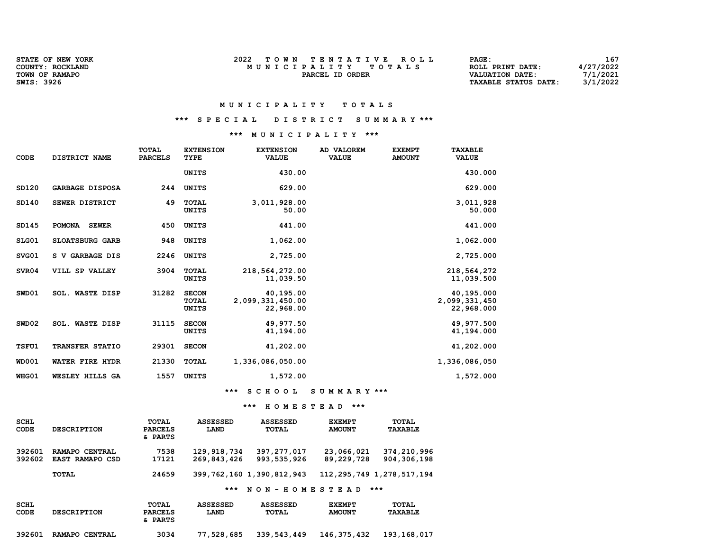| <b>STATE OF NEW YORK</b> | 2022<br>TOWN TENTATIVE ROLL        | PAGE:                       | 167       |
|--------------------------|------------------------------------|-----------------------------|-----------|
| <b>COUNTY: ROCKLAND</b>  | M U N I C I P A L I T Y<br>TOTAL S | ROLL PRINT DATE:            | 4/27/2022 |
| TOWN OF RAMAPO           | PARCEL ID ORDER                    | VALUATION DATE:             | 7/1/2021  |
| SWIS: 3926               |                                    | <b>TAXABLE STATUS DATE:</b> | 3/1/2022  |

## \*\*\* S P E C I A L D I S T R I C T S U M M A R Y \*\*\*

## \*\*\* M U N I C I P A L I T Y \*\*\*

| <b>CODE</b>  | DISTRICT NAME                 | <b>TOTAL</b><br><b>PARCELS</b> | <b>EXTENSION</b><br><b>TYPE</b>       | <b>EXTENSION</b><br><b>VALUE</b>           | <b>AD VALOREM</b><br><b>VALUE</b> | <b>EXEMPT</b><br><b>AMOUNT</b> | <b>TAXABLE</b><br><b>VALUE</b>            |
|--------------|-------------------------------|--------------------------------|---------------------------------------|--------------------------------------------|-----------------------------------|--------------------------------|-------------------------------------------|
|              |                               |                                | UNITS                                 | 430.00                                     |                                   |                                | 430.000                                   |
| SD120        | <b>GARBAGE DISPOSA</b>        | 244                            | <b>UNITS</b>                          | 629.00                                     |                                   |                                | 629.000                                   |
| SD140        | SEWER DISTRICT                | 49                             | <b>TOTAL</b><br><b>UNITS</b>          | 3,011,928.00<br>50.00                      |                                   |                                | 3,011,928<br>50.000                       |
| SD145        | <b>POMONA</b><br><b>SEWER</b> | 450                            | <b>UNITS</b>                          | 441.00                                     |                                   |                                | 441.000                                   |
| SLG01        | SLOATSBURG GARB               | 948                            | <b>UNITS</b>                          | 1,062.00                                   |                                   |                                | 1,062.000                                 |
| SVG01        | S V GARBAGE DIS               | 2246                           | <b>UNITS</b>                          | 2,725.00                                   |                                   |                                | 2,725.000                                 |
| SVR04        | VILL SP VALLEY                | 3904                           | <b>TOTAL</b><br><b>UNITS</b>          | 218,564,272.00<br>11,039.50                |                                   |                                | 218,564,272<br>11,039.500                 |
| SWD01        | <b>SOL. WASTE DISP</b>        | 31282                          | <b>SECON</b><br><b>TOTAL</b><br>UNITS | 40,195.00<br>2,099,331,450.00<br>22,968.00 |                                   |                                | 40,195.000<br>2,099,331,450<br>22,968.000 |
| SWD02        | <b>SOL. WASTE DISP</b>        | 31115                          | <b>SECON</b><br>UNITS                 | 49,977.50<br>41,194.00                     |                                   |                                | 49,977.500<br>41,194.000                  |
| <b>TSFU1</b> | <b>TRANSFER STATIO</b>        | 29301                          | <b>SECON</b>                          | 41,202.00                                  |                                   |                                | 41,202.000                                |
| <b>WD001</b> | WATER FIRE HYDR               | 21330                          | <b>TOTAL</b>                          | 1,336,086,050.00                           |                                   |                                | 1,336,086,050                             |
| WHG01        | WESLEY HILLS GA               | 1557                           | UNITS                                 | 1,572.00                                   |                                   |                                | 1,572.000                                 |

\*\*\* S C H O O L S U M M A R Y \*\*\*

### \*\*\* H O M E S T E A D \*\*\*

| <b>SCHL</b><br><b>CODE</b> | <b>DESCRIPTION</b>                       | <b>TOTAL</b><br><b>PARCELS</b><br>& PARTS | <b>ASSESSED</b><br>LAND    | <b>ASSESSED</b><br><b>TOTAL</b> | <b>EXEMPT</b><br><b>AMOUNT</b> | <b>TOTAL</b><br><b>TAXABLE</b> |
|----------------------------|------------------------------------------|-------------------------------------------|----------------------------|---------------------------------|--------------------------------|--------------------------------|
| 392601<br>392602           | RAMAPO CENTRAL<br><b>EAST RAMAPO CSD</b> | 7538<br>17121                             | 129,918,734<br>269,843,426 | 397, 277, 017<br>993, 535, 926  | 23,066,021<br>89,229,728       | 374,210,996<br>904,306,198     |
|                            | <b>TOTAL</b>                             | 24659                                     |                            | 399, 762, 160 1, 390, 812, 943  | 112, 295, 749 1, 278, 517, 194 |                                |
|                            |                                          |                                           | ***                        | NON-HOMESTEAD                   | ***                            |                                |
| <b>SCHL</b><br>CODE        | <b>DESCRIPTION</b>                       | <b>TOTAL</b><br><b>PARCELS</b><br>& PARTS | <b>ASSESSED</b><br>LAND    | <b>ASSESSED</b><br><b>TOTAL</b> | <b>EXEMPT</b><br><b>AMOUNT</b> | <b>TOTAL</b><br><b>TAXABLE</b> |

STATE OF NEW YORK COUNTY: ROCKLAND<br>TOWN OF RAMAPO

392601 RAMAPO CENTRAL 3034 77,528,685 339,543,449 146,375,432 193,168,017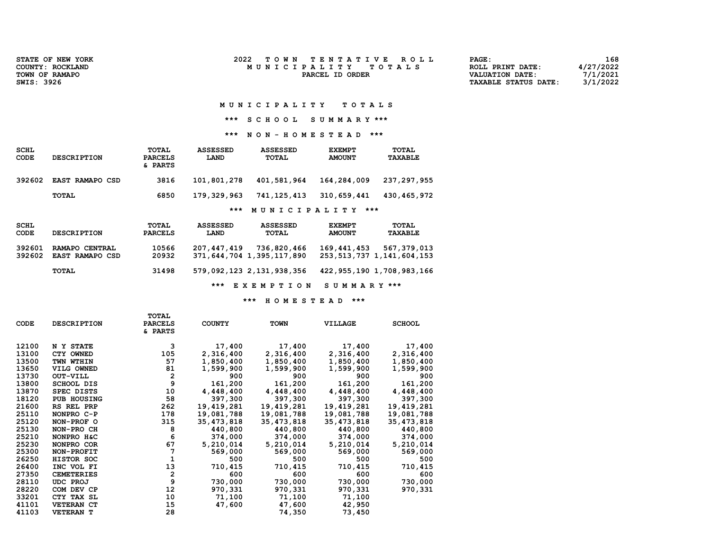| STATE OF NEW YORK | 2022<br>TOWN TENTATIVE ROLL | 168<br><b>PAGE :</b>                    |
|-------------------|-----------------------------|-----------------------------------------|
| COUNTY: ROCKLAND  | MUNICIPALITY TOTALS         | 4/27/2022<br>ROLL PRINT DATE:           |
| TOWN OF RAMAPO    | PARCEL ID ORDER             | 7/1/2021<br>VALUATION DATE:             |
| SWIS: 3926        |                             | 3/1/2022<br><b>TAXABLE STATUS DATE:</b> |
|                   |                             |                                         |

\*\*\* S C H O O L S U M M A R Y \*\*\*

\*\*\* N O N - H O M E S T E A D \*\*\*

| SCHL<br><b>CODE</b> | <b>DESCRIPTION</b>     | TOTAL<br><b>PARCELS</b><br>& PARTS | <b>ASSESSED</b><br>LAND | <b>ASSESSED</b><br>TOTAL | <b>EXEMPT</b><br><b>AMOUNT</b> | TOTAL<br><b>TAXABLE</b> |
|---------------------|------------------------|------------------------------------|-------------------------|--------------------------|--------------------------------|-------------------------|
| 392602              | <b>EAST RAMAPO CSD</b> | 3816                               | 101,801,278             | 401,581,964              | 164,284,009                    | 237, 297, 955           |
|                     | TOTAL                  | 6850                               | 179,329,963             | 741, 125, 413            | 310,659,441                    | 430,465,972             |
|                     |                        |                                    | ***                     | MUNICIPALITY             | ***                            |                         |
| 00117               |                        | $m \wedge m \wedge r$              | <b>30000000</b>         | <b>30000000</b>          | <b>BYBYDD</b>                  | <b>MOMAT</b>            |

| SCHL<br>CODE     | <b>DESCRIPTION</b>                | TOTAL<br><b>PARCELS</b> | ASSESSED<br><b>LAND</b> | ASSESSED<br>TOTAL                        | <b>EXEMPT</b><br><b>AMOUNT</b> | TOTAL<br><b>TAXABLE</b>                       |
|------------------|-----------------------------------|-------------------------|-------------------------|------------------------------------------|--------------------------------|-----------------------------------------------|
| 392601<br>392602 | RAMAPO CENTRAL<br>EAST RAMAPO CSD | 10566<br>20932          | 207,447,419             | 736,820,466<br>371,644,704 1,395,117,890 | 169,441,453                    | 567,379,013<br>253, 513, 737 1, 141, 604, 153 |
|                  | <b>TOTAL</b>                      | 31498                   |                         | 579,092,123 2,131,938,356                |                                | 422, 955, 190 1, 708, 983, 166                |
|                  |                                   |                         |                         |                                          |                                |                                               |

\*\*\* E X E M P T I O N S U M M A R Y \*\*\*

\*\*\* H O M E S T E A D \*\*\*

|       |                    | <b>TOTAL</b>   |               |             |                |               |
|-------|--------------------|----------------|---------------|-------------|----------------|---------------|
| CODE  | <b>DESCRIPTION</b> | <b>PARCELS</b> | <b>COUNTY</b> | <b>TOWN</b> | <b>VILLAGE</b> | <b>SCHOOL</b> |
|       |                    | & PARTS        |               |             |                |               |
|       |                    |                |               |             |                |               |
| 12100 | N Y STATE          | 3              | 17,400        | 17,400      | 17,400         | 17,400        |
| 13100 | CTY OWNED          | 105            | 2,316,400     | 2,316,400   | 2,316,400      | 2,316,400     |
| 13500 | TWN WTHIN          | 57             | 1,850,400     | 1,850,400   | 1,850,400      | 1,850,400     |
| 13650 | VILG OWNED         | 81             | 1,599,900     | 1,599,900   | 1,599,900      | 1,599,900     |
| 13730 | OUT-VILL           | $\overline{2}$ | 900           | 900         | 900            | 900           |
| 13800 | SCHOOL DIS         | 9              | 161,200       | 161,200     | 161,200        | 161,200       |
| 13870 | SPEC DISTS         | 10             | 4,448,400     | 4,448,400   | 4,448,400      | 4,448,400     |
| 18120 | <b>PUB HOUSING</b> | 58             | 397,300       | 397,300     | 397,300        | 397,300       |
| 21600 | RS REL PRP         | 262            | 19,419,281    | 19,419,281  | 19,419,281     | 19,419,281    |
| 25110 | NONPRO C-P         | 178            | 19,081,788    | 19,081,788  | 19,081,788     | 19,081,788    |
| 25120 | NON-PROF O         | 315            | 35, 473, 818  | 35,473,818  | 35, 473, 818   | 35,473,818    |
| 25130 | NON-PRO CH         | 8              | 440,800       | 440,800     | 440,800        | 440,800       |
| 25210 | NONPRO H&C         | 6              | 374,000       | 374,000     | 374,000        | 374,000       |
| 25230 | NONPRO COR         | 67             | 5,210,014     | 5,210,014   | 5,210,014      | 5,210,014     |
| 25300 | NON-PROFIT         | 7              | 569,000       | 569,000     | 569,000        | 569,000       |
| 26250 | HISTOR SOC         | $\mathbf{1}$   | 500           | 500         | 500            | 500           |
| 26400 | INC VOL FI         | 13             | 710,415       | 710,415     | 710,415        | 710,415       |
| 27350 | <b>CEMETERIES</b>  | $\overline{2}$ | 600           | 600         | 600            | 600           |
| 28110 | UDC PROJ           | 9              | 730,000       | 730,000     | 730,000        | 730,000       |
| 28220 | COM DEV CP         | 12             | 970,331       | 970,331     | 970,331        | 970,331       |
| 33201 | CTY TAX SL         | 10             | 71,100        | 71,100      | 71,100         |               |
| 41101 | <b>VETERAN CT</b>  | 15             | 47,600        | 47,600      | 42,950         |               |
| 41103 | <b>VETERAN T</b>   | 28             |               | 74,350      | 73,450         |               |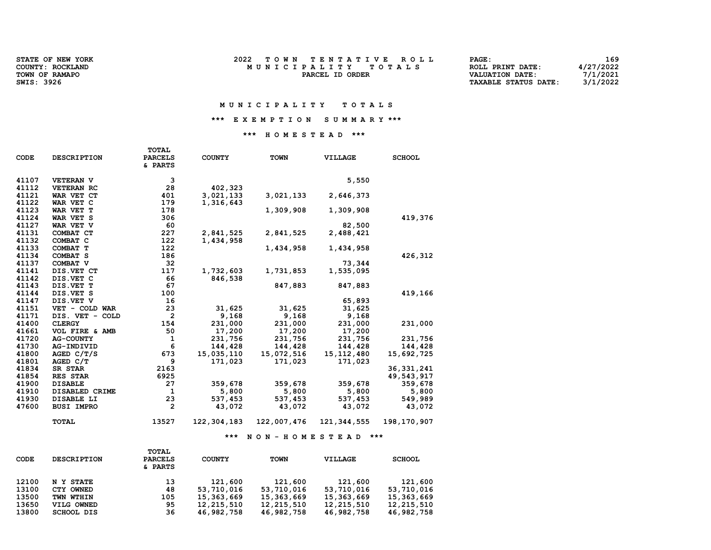| STATE OF NEW YORK |  |
|-------------------|--|
| COUNTY: ROCKLAND  |  |
| TOWN OF RAMAPO    |  |
| SWIS: 3926        |  |

| <b>STATE OF NEW YORK</b> | TOWN TENTATIVE ROLL | 169<br>PAGE:                            |
|--------------------------|---------------------|-----------------------------------------|
| COUNTY: ROCKLAND         | MUNICIPALITY TOTALS | 4/27/2022<br>ROLL PRINT DATE:           |
| TOWN OF RAMAPO           | PARCEL ID ORDER     | 7/1/2021<br><b>VALUATION DATE:</b>      |
| SWIS: 3926               |                     | 3/1/2022<br><b>TAXABLE STATUS DATE:</b> |

## \*\*\* E X E M P T I O N S U M M A R Y \*\*\*

## \*\*\* H O M E S T E A D \*\*\*

| CODE  | <b>DESCRIPTION</b> | <b>PARCELS</b><br>& PARTS | <b>COUNTY</b> | <b>TOWN</b> | <b>VILLAGE</b> | <b>SCHOOL</b> |
|-------|--------------------|---------------------------|---------------|-------------|----------------|---------------|
|       |                    |                           |               |             |                |               |
| 41107 | <b>VETERAN V</b>   | 3                         |               |             | 5,550          |               |
| 41112 | <b>VETERAN RC</b>  | 28                        | 402,323       |             |                |               |
| 41121 | WAR VET CT         | 401                       | 3,021,133     | 3,021,133   | 2,646,373      |               |
| 41122 | WAR VET C          | 179                       | 1,316,643     |             |                |               |
| 41123 | WAR VET T          | 178                       |               | 1,309,908   | 1,309,908      |               |
| 41124 | WAR VET S          | 306                       |               |             |                | 419,376       |
| 41127 | WAR VET V          | 60                        |               |             | 82,500         |               |
| 41131 | COMBAT CT          | 227                       | 2,841,525     | 2,841,525   | 2,488,421      |               |
| 41132 | COMBAT C           | 122                       | 1,434,958     |             |                |               |
| 41133 | COMBAT T           | 122                       |               | 1,434,958   | 1,434,958      |               |
| 41134 | COMBAT S           | 186                       |               |             |                | 426,312       |
| 41137 | COMBAT V           | 32                        |               |             | 73,344         |               |
| 41141 | DIS.VET CT         | 117                       | 1,732,603     | 1,731,853   | 1,535,095      |               |
| 41142 | DIS.VET C          | 66                        | 846,538       |             |                |               |
| 41143 | DIS.VET T          | 67                        |               | 847,883     | 847,883        |               |
| 41144 | DIS.VET S          | 100                       |               |             |                | 419,166       |
| 41147 | DIS.VET V          | 16                        |               |             | 65,893         |               |
| 41151 | VET - COLD WAR     | 23                        | 31,625        | 31,625      | 31,625         |               |
| 41171 | DIS. VET - COLD    | $\mathbf{2}$              | 9,168         | 9,168       | 9,168          |               |
| 41400 | <b>CLERGY</b>      | 154                       | 231,000       | 231,000     | 231,000        | 231,000       |
| 41661 | VOL FIRE & AMB     | 50                        | 17,200        | 17,200      | 17,200         |               |
| 41720 | <b>AG-COUNTY</b>   | 1                         | 231,756       | 231,756     | 231,756        | 231,756       |
| 41730 | AG-INDIVID         | 6                         | 144,428       | 144,428     | 144,428        | 144,428       |
| 41800 | AGED C/T/S         | 673                       | 15,035,110    | 15,072,516  | 15, 112, 480   | 15,692,725    |
| 41801 | AGED C/T           | 9                         | 171,023       | 171,023     | 171,023        |               |
| 41834 | SR STAR            | 2163                      |               |             |                | 36, 331, 241  |
| 41854 | <b>RES STAR</b>    | 6925                      |               |             |                | 49,543,917    |
| 41900 | <b>DISABLE</b>     | 27                        | 359,678       | 359,678     | 359,678        | 359,678       |
| 41910 | DISABLED CRIME     | 1                         | 5,800         | 5,800       | 5,800          | 5,800         |
| 41930 | DISABLE LI         | 23                        | 537,453       | 537,453     | 537,453        | 549,989       |
| 47600 | <b>BUSI IMPRO</b>  | 2                         | 43,072        | 43,072      | 43,072         | 43,072        |
|       | TOTAL              | 13527                     | 122,304,183   | 122,007,476 | 121, 344, 555  | 198, 170, 907 |

TOTAL

## \*\*\* N O N - H O M E S T E A D \*\*\*

| CODE  | <b>DESCRIPTION</b> | TOTAL<br><b>PARCELS</b><br>& PARTS | <b>COUNTY</b> | <b>TOWN</b> | <b>VILLAGE</b> | <b>SCHOOL</b> |
|-------|--------------------|------------------------------------|---------------|-------------|----------------|---------------|
| 12100 | N Y STATE          | 13                                 | 121,600       | 121,600     | 121,600        | 121,600       |
| 13100 | CTY OWNED          | 48                                 | 53,710,016    | 53,710,016  | 53,710,016     | 53,710,016    |
| 13500 | TWN WTHIN          | 105                                | 15,363,669    | 15,363,669  | 15,363,669     | 15,363,669    |
| 13650 | VILG OWNED         | 95                                 | 12,215,510    | 12,215,510  | 12,215,510     | 12,215,510    |
| 13800 | <b>SCHOOL DIS</b>  | 36                                 | 46,982,758    | 46,982,758  | 46,982,758     | 46,982,758    |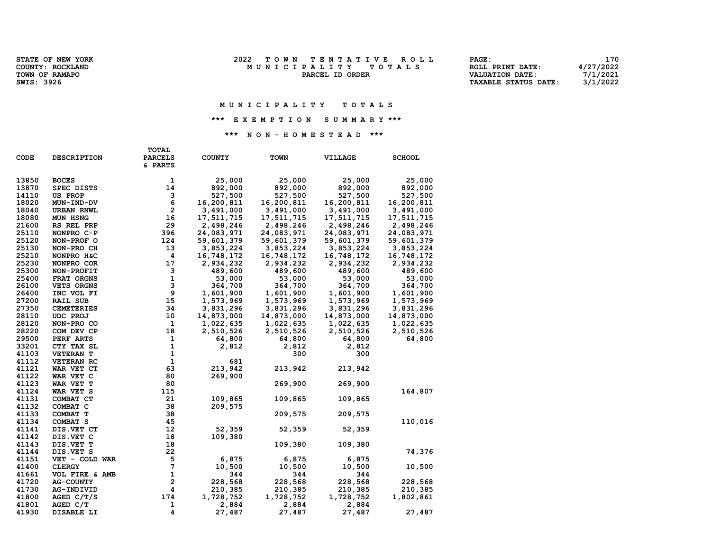| <b>STATE OF NEW YORK</b> | 2022<br>TOWN TENTATIVE ROLL | 170<br>PAGE:                            |
|--------------------------|-----------------------------|-----------------------------------------|
| <b>COUNTY: ROCKLAND</b>  | MUNICIPALITY TOTALS         | 4/27/2022<br>ROLL PRINT DATE:           |
| TOWN OF RAMAPO           | PARCEL ID ORDER             | 7/1/2021<br><b>VALUATION DATE:</b>      |
| SWIS: 3926               |                             | 3/1/2022<br><b>TAXABLE STATUS DATE:</b> |

#### M U N I C I P A L I T Y T O T A L S

## \*\*\* E X E M P T I O N S U M M A R Y \*\*\*

## \*\*\* N O N - H O M E S T E A D \*\*\*

| CODE           | <b>DESCRIPTION</b>       | <b>PARCELS</b><br>& PARTS    | <b>COUNTY</b>        | <b>TOWN</b>          | <b>VILLAGE</b>       | <b>SCHOOL</b>        |
|----------------|--------------------------|------------------------------|----------------------|----------------------|----------------------|----------------------|
| 13850          | <b>BOCES</b>             | 1                            | 25,000               | 25,000               | 25,000               | 25,000               |
| 13870          | SPEC DISTS               | 14                           | 892,000              | 892,000              | 892,000              | 892,000              |
| 14110          | US PROP                  | 3                            | 527,500              | 527,500              | 527,500              | 527,500              |
| 18020          | MUN-IND-DV               | 6                            | 16,200,811           | 16,200,811           | 16,200,811           | 16,200,811           |
| 18040          | <b>URBAN RNWL</b>        | $\mathbf{2}$                 | 3,491,000            | 3,491,000            | 3,491,000            | 3,491,000            |
| 18080          | MUN HSNG                 | 16                           | 17,511,715           | 17,511,715           | 17,511,715           | 17,511,715           |
| 21600          | RS REL PRP               | 29                           | 2,498,246            | 2,498,246            | 2,498,246            | 2,498,246            |
| 25110          | NONPRO C-P               | 396                          | 24,083,971           | 24,083,971           | 24,083,971           | 24,083,971           |
| 25120          | NON-PROF O               | 124                          | 59,601,379           | 59,601,379           | 59,601,379           | 59,601,379           |
| 25130          | NON-PRO CH               | 13                           | 3,853,224            | 3,853,224            | 3,853,224            | 3,853,224            |
| 25210          | NONPRO H&C               | 4                            | 16,748,172           | 16,748,172           | 16,748,172           | 16,748,172           |
| 25230          | NONPRO COR               | 17                           | 2,934,232            | 2,934,232            | 2,934,232            | 2,934,232            |
| 25300          | <b>NON-PROFIT</b>        | 3                            | 489,600              | 489,600              | 489,600              | 489,600              |
| 25400          | FRAT ORGNS               | $\mathbf{1}$                 | 53,000               | 53,000               | 53,000               | 53,000               |
| 26100          | VETS ORGNS               | 3                            | 364,700              | 364,700              | 364,700              | 364,700              |
| 26400          | INC VOL FI               | 9                            | 1,601,900            | 1,601,900            | 1,601,900            | 1,601,900            |
| 27200          | <b>RAIL SUB</b>          | 15                           | 1,573,969            | 1,573,969            | 1,573,969            | 1,573,969            |
| 27350          | <b>CEMETERIES</b>        | 34                           | 3,831,296            | 3,831,296            | 3,831,296            | 3,831,296            |
| 28110          | UDC PROJ                 | 10                           | 14,873,000           | 14,873,000           | 14,873,000           | 14,873,000           |
| 28120          | NON-PRO CO               | $\mathbf{1}$                 | 1,022,635            | 1,022,635            | 1,022,635            | 1,022,635            |
| 28220          | COM DEV CP               | 18                           | 2,510,526            | 2,510,526            | 2,510,526            | 2,510,526            |
| 29500          | PERF ARTS                | 1                            | 64,800               | 64,800               | 64,800               | 64,800               |
| 33201          | CTY TAX SL               | 1                            | 2,812                | 2,812                | 2,812                |                      |
| 41103          | <b>VETERAN T</b>         | $\mathbf{1}$                 |                      | 300                  | 300                  |                      |
| 41112          | VETERAN RC               | $\mathbf{1}$                 | 681                  |                      |                      |                      |
| 41121          | WAR VET CT               | 63                           | 213,942              | 213,942              | 213,942              |                      |
| 41122          | WAR VET C                | 80                           | 269,900              |                      |                      |                      |
| 41123          | WAR VET T                | 80                           |                      | 269,900              | 269,900              |                      |
| 41124          | WAR VET S                | 115                          |                      |                      |                      | 164,807              |
| 41131          | COMBAT CT                | 21                           | 109,865              | 109,865              | 109,865              |                      |
| 41132          | COMBAT C                 | 38                           | 209,575              |                      |                      |                      |
| 41133          | COMBAT T                 | 38                           |                      | 209,575              | 209,575              |                      |
| 41134          | COMBAT <sub>S</sub>      | 45                           |                      |                      |                      | 110,016              |
| 41141          | DIS.VET CT               | 12                           | 52,359               | 52,359               | 52,359               |                      |
| 41142          | DIS.VET C                | 18                           | 109,380              |                      |                      |                      |
| 41143          | DIS.VET T                | 18                           |                      | 109,380              | 109,380              |                      |
| 41144          | DIS.VET S                | 22                           |                      |                      |                      | 74,376               |
| 41151          | VET - COLD WAR           | 5                            | 6,875                | 6,875                | 6,875                |                      |
| 41400          | <b>CLERGY</b>            | 7<br>$\mathbf 1$             | 10,500               | 10,500               | 10,500               | 10,500               |
| 41661          | VOL FIRE & AMB           |                              | 344                  | 344                  | 344                  |                      |
| 41720          | <b>AG-COUNTY</b>         | $\overline{\mathbf{2}}$<br>4 | 228,568              | 228,568              | 228,568              | 228,568              |
| 41730<br>41800 | AG-INDIVID<br>AGED C/T/S | 174                          | 210,385<br>1,728,752 | 210,385<br>1,728,752 | 210,385<br>1,728,752 | 210,385<br>1,802,861 |
| 41801          | AGED C/T                 |                              |                      |                      |                      |                      |
| 41930          |                          | 1<br>4                       | 2,884<br>27,487      | 2,884<br>27,487      | 2,884<br>27,487      | 27,487               |
|                | DISABLE LI               |                              |                      |                      |                      |                      |

TOTAL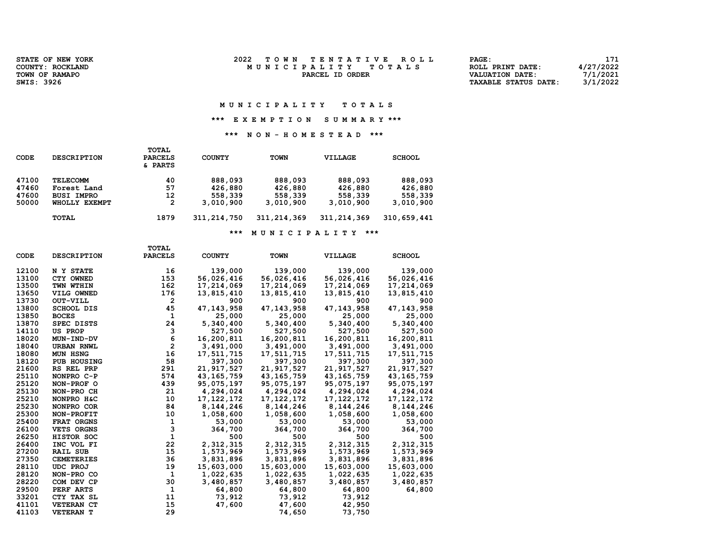| <b>STATE OF NEW YORK</b> | 2022<br>TOWN TENTATIVE ROLL        | 171<br>PAGE:                            |
|--------------------------|------------------------------------|-----------------------------------------|
| <b>COUNTY: ROCKLAND</b>  | M U N I C I P A L I T Y<br>TOTAL S | 4/27/2022<br>ROLL PRINT DATE:           |
| TOWN OF RAMAPO           | PARCEL ID ORDER                    | 7/1/2021<br>VALUATION DATE:             |
| SWIS: 3926               |                                    | 3/1/2022<br><b>TAXABLE STATUS DATE:</b> |

#### M U N I C I P A L I T Y T O T A L S

## \*\*\* E X E M P T I O N S U M M A R Y \*\*\*

## \*\*\* N O N - H O M E S T E A D \*\*\*

| CODE                             | <b>DESCRIPTION</b>                                                   | TOTAL<br><b>PARCELS</b><br>& PARTS | <b>COUNTY</b>                              | <b>TOWN</b>                                | VILLAGE                                    | <b>SCHOOL</b>                              |
|----------------------------------|----------------------------------------------------------------------|------------------------------------|--------------------------------------------|--------------------------------------------|--------------------------------------------|--------------------------------------------|
| 47100<br>47460<br>47600<br>50000 | <b>TELECOMM</b><br>Forest Land<br><b>BUSI IMPRO</b><br>WHOLLY EXEMPT | 40<br>57<br>12<br>2                | 888,093<br>426,880<br>558,339<br>3,010,900 | 888,093<br>426,880<br>558,339<br>3,010,900 | 888,093<br>426,880<br>558,339<br>3,010,900 | 888,093<br>426,880<br>558,339<br>3,010,900 |
|                                  | <b>TOTAL</b>                                                         | 1879                               | 311, 214, 750                              | 311, 214, 369                              | 311, 214, 369                              | 310,659,441                                |

## \*\*\* M U N I C I P A L I T Y \*\*\*

|             |                    | <b>TOTAL</b>            |               |              |                |               |
|-------------|--------------------|-------------------------|---------------|--------------|----------------|---------------|
| <b>CODE</b> | <b>DESCRIPTION</b> | <b>PARCELS</b>          | <b>COUNTY</b> | <b>TOWN</b>  | <b>VILLAGE</b> | <b>SCHOOL</b> |
| 12100       | N Y STATE          | 16                      | 139,000       | 139,000      | 139,000        | 139,000       |
| 13100       | CTY OWNED          | 153                     | 56,026,416    | 56,026,416   | 56,026,416     | 56,026,416    |
| 13500       | TWN WTHIN          | 162                     | 17,214,069    | 17,214,069   | 17,214,069     | 17,214,069    |
| 13650       | VILG OWNED         | 176                     | 13,815,410    | 13,815,410   | 13,815,410     | 13,815,410    |
| 13730       | OUT-VILL           | $\mathbf{2}$            | 900           | 900          | 900            | 900           |
| 13800       | <b>SCHOOL DIS</b>  | 45                      | 47,143,958    | 47, 143, 958 | 47, 143, 958   | 47, 143, 958  |
| 13850       | <b>BOCES</b>       | 1                       | 25,000        | 25,000       | 25,000         | 25,000        |
| 13870       | SPEC DISTS         | 24                      | 5,340,400     | 5,340,400    | 5,340,400      | 5,340,400     |
| 14110       | <b>US PROP</b>     | з                       | 527,500       | 527,500      | 527,500        | 527,500       |
| 18020       | MUN-IND-DV         | 6                       | 16,200,811    | 16,200,811   | 16,200,811     | 16,200,811    |
| 18040       | <b>URBAN RNWL</b>  | $\overline{\mathbf{2}}$ | 3,491,000     | 3,491,000    | 3,491,000      | 3,491,000     |
| 18080       | <b>MUN HSNG</b>    | 16                      | 17,511,715    | 17,511,715   | 17,511,715     | 17,511,715    |
| 18120       | <b>PUB HOUSING</b> | 58                      | 397,300       | 397,300      | 397,300        | 397,300       |
| 21600       | RS REL PRP         | 291                     | 21,917,527    | 21,917,527   | 21, 917, 527   | 21,917,527    |
| 25110       | NONPRO C-P         | 574                     | 43, 165, 759  | 43, 165, 759 | 43, 165, 759   | 43, 165, 759  |
| 25120       | NON-PROF O         | 439                     | 95,075,197    | 95,075,197   | 95,075,197     | 95,075,197    |
| 25130       | NON-PRO CH         | 21                      | 4,294,024     | 4,294,024    | 4,294,024      | 4,294,024     |
| 25210       | NONPRO H&C         | 10                      | 17, 122, 172  | 17, 122, 172 | 17, 122, 172   | 17,122,172    |
| 25230       | NONPRO COR         | 84                      | 8,144,246     | 8,144,246    | 8,144,246      | 8,144,246     |
| 25300       | NON-PROFIT         | 10                      | 1,058,600     | 1,058,600    | 1,058,600      | 1,058,600     |
| 25400       | FRAT ORGNS         | 1                       | 53,000        | 53,000       | 53,000         | 53,000        |
| 26100       | <b>VETS ORGNS</b>  | 3                       | 364,700       | 364,700      | 364,700        | 364,700       |
| 26250       | HISTOR SOC         | $\mathbf{1}$            | 500           | 500          | 500            | 500           |
| 26400       | INC VOL FI         | 22                      | 2,312,315     | 2,312,315    | 2,312,315      | 2,312,315     |
| 27200       | <b>RAIL SUB</b>    | 15                      | 1,573,969     | 1,573,969    | 1,573,969      | 1,573,969     |
| 27350       | <b>CEMETERIES</b>  | 36                      | 3,831,896     | 3,831,896    | 3,831,896      | 3,831,896     |
| 28110       | <b>UDC PROJ</b>    | 19                      | 15,603,000    | 15,603,000   | 15,603,000     | 15,603,000    |
| 28120       | NON-PRO CO         | 1                       | 1,022,635     | 1,022,635    | 1,022,635      | 1,022,635     |
| 28220       | COM DEV CP         | 30                      | 3,480,857     | 3,480,857    | 3,480,857      | 3,480,857     |
| 29500       | PERF ARTS          | 1                       | 64,800        | 64,800       | 64,800         | 64,800        |
| 33201       | CTY TAX SL         | 11                      | 73,912        | 73,912       | 73,912         |               |
| 41101       | VETERAN CT         | 15                      | 47,600        | 47,600       | 42,950         |               |
| 41103       | <b>VETERAN T</b>   | 29                      |               | 74,650       | 73,750         |               |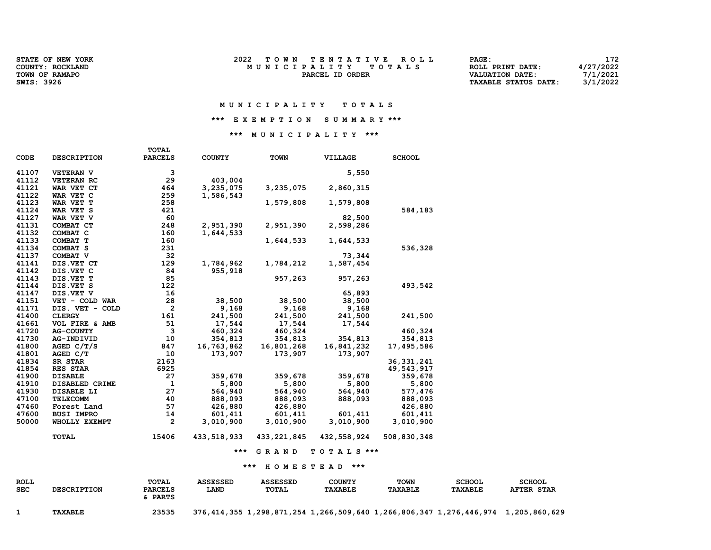| STATE OF NEW YORK |  |
|-------------------|--|
| COUNTY: ROCKLAND  |  |
| TOWN OF RAMAPO    |  |
| <b>SWIS: 3926</b> |  |

| <b>STATE OF NEW YORK</b> | 2022<br>TOWN TENTATIVE ROLL | 172<br>PAGE:                            |
|--------------------------|-----------------------------|-----------------------------------------|
| <b>COUNTY: ROCKLAND</b>  | MUNICIPALITY TOTALS         | 4/27/2022<br>ROLL PRINT DATE:           |
| TOWN OF RAMAPO           | PARCEL ID ORDER             | 7/1/2021<br><b>VALUATION DATE:</b>      |
| SWIS: 3926               |                             | 3/1/2022<br><b>TAXABLE STATUS DATE:</b> |

## \*\*\* E X E M P T I O N S U M M A R Y \*\*\*

## \*\*\* M U N I C I P A L I T Y \*\*\*

|       |                   | <b>TOTAL</b>   |               |               |                |               |
|-------|-------------------|----------------|---------------|---------------|----------------|---------------|
| CODE  | DESCRIPTION       | <b>PARCELS</b> | <b>COUNTY</b> | <b>TOWN</b>   | <b>VILLAGE</b> | <b>SCHOOL</b> |
| 41107 | <b>VETERAN V</b>  | 3              |               |               | 5,550          |               |
| 41112 | VETERAN RC        | 29             | 403,004       |               |                |               |
| 41121 | WAR VET CT        | 464            | 3,235,075     | 3,235,075     | 2,860,315      |               |
| 41122 | WAR VET C         | 259            | 1,586,543     |               |                |               |
| 41123 | WAR VET T         | 258            |               | 1,579,808     | 1,579,808      |               |
| 41124 | WAR VET S         | 421            |               |               |                | 584,183       |
| 41127 | WAR VET V         | 60             |               |               | 82,500         |               |
| 41131 | COMBAT CT         | 248            | 2,951,390     | 2,951,390     | 2,598,286      |               |
| 41132 | COMBAT C          | 160            | 1,644,533     |               |                |               |
| 41133 | COMBAT T          | 160            |               | 1,644,533     | 1,644,533      |               |
| 41134 | <b>COMBAT S</b>   | 231            |               |               |                | 536,328       |
| 41137 | COMBAT V          | 32             |               |               | 73,344         |               |
| 41141 | DIS.VET CT        | 129            | 1,784,962     | 1,784,212     | 1,587,454      |               |
| 41142 | DIS.VET C         | 84             | 955,918       |               |                |               |
| 41143 | DIS.VET T         | 85             |               | 957,263       | 957,263        |               |
| 41144 | DIS.VET S         | 122            |               |               |                | 493,542       |
| 41147 | DIS.VET V         | 16             |               |               | 65,893         |               |
| 41151 | VET - COLD WAR    | 28             | 38,500        | 38,500        | 38,500         |               |
| 41171 | DIS. VET - COLD   | 2              | 9,168         | 9,168         | 9,168          |               |
| 41400 | <b>CLERGY</b>     | 161            | 241,500       | 241,500       | 241,500        | 241,500       |
| 41661 | VOL FIRE & AMB    | 51             | 17,544        | 17,544        | 17,544         |               |
| 41720 | <b>AG-COUNTY</b>  | 3              | 460,324       | 460,324       |                | 460,324       |
| 41730 | AG-INDIVID        | 10             | 354,813       | 354,813       | 354,813        | 354,813       |
| 41800 | AGED $C/T/S$      | 847            | 16,763,862    | 16,801,268    | 16,841,232     | 17,495,586    |
| 41801 | AGED C/T          | 10             | 173,907       | 173,907       | 173,907        |               |
| 41834 | SR STAR           | 2163           |               |               |                | 36, 331, 241  |
| 41854 | RES STAR          | 6925           |               |               |                | 49,543,917    |
| 41900 | <b>DISABLE</b>    | 27             | 359,678       | 359,678       | 359,678        | 359,678       |
| 41910 | DISABLED CRIME    | $\mathbf{1}$   | 5,800         | 5,800         | 5,800          | 5,800         |
| 41930 | DISABLE LI        | 27             | 564,940       | 564,940       | 564,940        | 577,476       |
| 47100 | TELECOMM          | 40             | 888,093       | 888,093       | 888,093        | 888,093       |
| 47460 | Forest Land       | 57             | 426,880       | 426,880       |                | 426,880       |
| 47600 | <b>BUSI IMPRO</b> | 14             | 601,411       | 601,411       | 601,411        | 601,411       |
| 50000 | WHOLLY EXEMPT     | $\overline{2}$ | 3,010,900     | 3,010,900     | 3,010,900      | 3,010,900     |
|       | <b>TOTAL</b>      | 15406          | 433,518,933   | 433, 221, 845 | 432,558,924    | 508,830,348   |
|       |                   |                | ***           | GRAND         | TOTALS ***     |               |

## \*\*\* H O M E S T E A D \*\*\*

| ROLL<br><b>SEC</b> | <b>DESCRIPTION</b> | TOTAL<br><b>PARCELS</b><br>& PARTS | <b>ASSESSED</b><br>LAND | <b>ASSESSED</b><br><b>TOTAL</b> | <b>COUNTY</b><br>TAXABLE | <b>TOWN</b><br><b>TAXABLE</b> | <b>SCHOOL</b><br><b>TAXABLE</b>                                                   | <b>SCHOOL</b><br><b>AFTER STAR</b> |
|--------------------|--------------------|------------------------------------|-------------------------|---------------------------------|--------------------------|-------------------------------|-----------------------------------------------------------------------------------|------------------------------------|
|                    | <b>TAXABLE</b>     | 23535                              |                         |                                 |                          |                               | 376,414,355 1,298,871,254 1,266,509,640 1,266,806,347 1,276,446,974 1,205,860,629 |                                    |